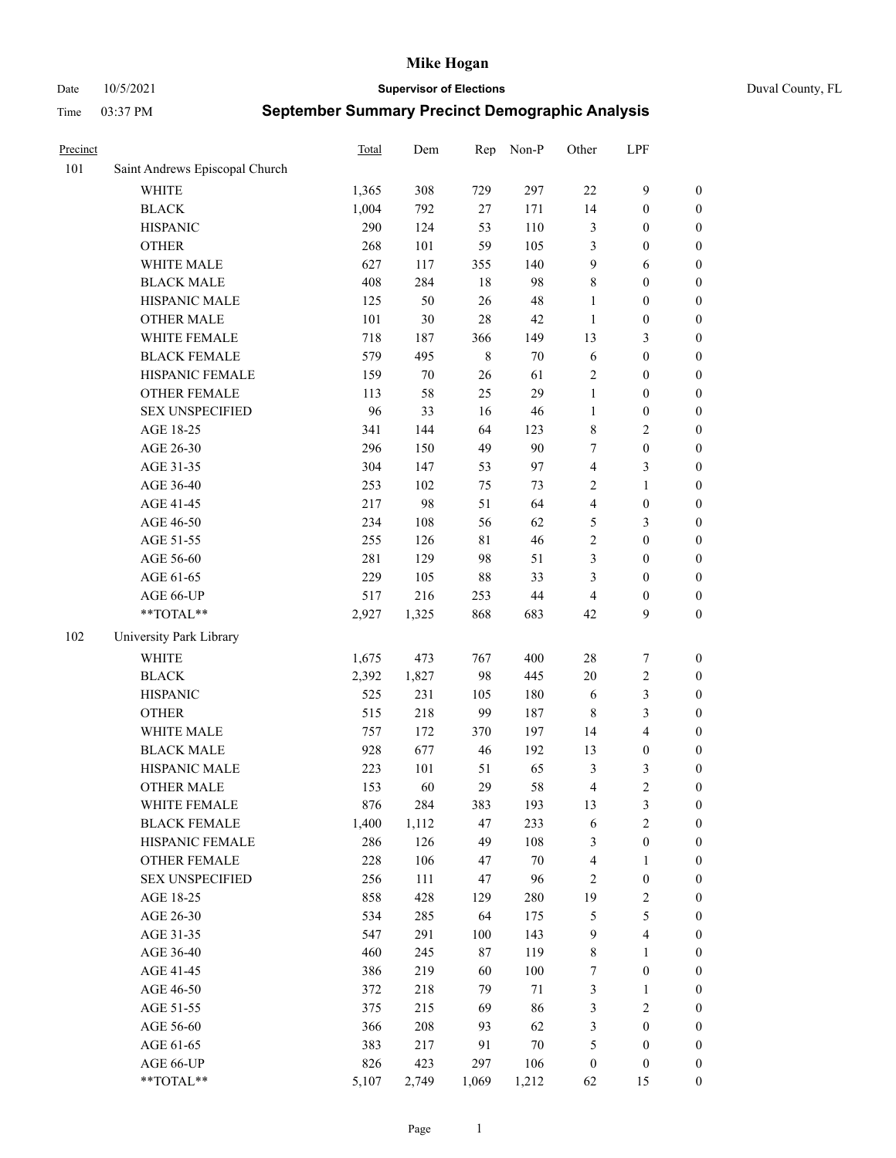Date 10/5/2021 **Supervisor of Elections** Duval County, FL

| Precinct |                                | Total | Dem   | Rep         | Non-P  | Other            | LPF                     |                  |
|----------|--------------------------------|-------|-------|-------------|--------|------------------|-------------------------|------------------|
| 101      | Saint Andrews Episcopal Church |       |       |             |        |                  |                         |                  |
|          | <b>WHITE</b>                   | 1,365 | 308   | 729         | 297    | 22               | $\mathbf{9}$            | 0                |
|          | $\operatorname{BLACK}$         | 1,004 | 792   | 27          | 171    | 14               | $\boldsymbol{0}$        | $\boldsymbol{0}$ |
|          | <b>HISPANIC</b>                | 290   | 124   | 53          | 110    | 3                | $\boldsymbol{0}$        | $\boldsymbol{0}$ |
|          | <b>OTHER</b>                   | 268   | 101   | 59          | 105    | 3                | $\boldsymbol{0}$        | $\boldsymbol{0}$ |
|          | WHITE MALE                     | 627   | 117   | 355         | 140    | 9                | 6                       | $\boldsymbol{0}$ |
|          | <b>BLACK MALE</b>              | 408   | 284   | 18          | 98     | 8                | $\boldsymbol{0}$        | $\boldsymbol{0}$ |
|          | HISPANIC MALE                  | 125   | 50    | 26          | 48     | $\mathbf{1}$     | $\boldsymbol{0}$        | $\boldsymbol{0}$ |
|          | <b>OTHER MALE</b>              | 101   | 30    | 28          | 42     | $\mathbf{1}$     | $\boldsymbol{0}$        | $\boldsymbol{0}$ |
|          | WHITE FEMALE                   | 718   | 187   | 366         | 149    | 13               | $\mathfrak{Z}$          | $\boldsymbol{0}$ |
|          | <b>BLACK FEMALE</b>            | 579   | 495   | $\,$ 8 $\,$ | $70\,$ | 6                | $\boldsymbol{0}$        | $\boldsymbol{0}$ |
|          | HISPANIC FEMALE                | 159   | 70    | 26          | 61     | $\sqrt{2}$       | $\boldsymbol{0}$        | $\boldsymbol{0}$ |
|          | <b>OTHER FEMALE</b>            | 113   | 58    | 25          | 29     | $\mathbf{1}$     | $\boldsymbol{0}$        | $\boldsymbol{0}$ |
|          | <b>SEX UNSPECIFIED</b>         | 96    | 33    | 16          | 46     | $\mathbf{1}$     | $\boldsymbol{0}$        | $\boldsymbol{0}$ |
|          | AGE 18-25                      | 341   | 144   | 64          | 123    | 8                | $\sqrt{2}$              | $\boldsymbol{0}$ |
|          | AGE 26-30                      | 296   | 150   | 49          | 90     | 7                | $\boldsymbol{0}$        | $\boldsymbol{0}$ |
|          | AGE 31-35                      | 304   | 147   | 53          | 97     | 4                | $\mathfrak{Z}$          | $\boldsymbol{0}$ |
|          | AGE 36-40                      | 253   | 102   | 75          | 73     | 2                | $\mathbf{1}$            | $\boldsymbol{0}$ |
|          | AGE 41-45                      | 217   | 98    | 51          | 64     | $\overline{4}$   | $\boldsymbol{0}$        | $\boldsymbol{0}$ |
|          | AGE 46-50                      | 234   | 108   | 56          | 62     | 5                | $\mathfrak{Z}$          | $\boldsymbol{0}$ |
|          | AGE 51-55                      | 255   | 126   | 81          | 46     | 2                | $\boldsymbol{0}$        | $\boldsymbol{0}$ |
|          | AGE 56-60                      | 281   | 129   | 98          | 51     | 3                | $\boldsymbol{0}$        | 0                |
|          | AGE 61-65                      | 229   | 105   | 88          | 33     | 3                | $\boldsymbol{0}$        | $\boldsymbol{0}$ |
|          | AGE 66-UP                      | 517   | 216   | 253         | $44\,$ | $\overline{4}$   | $\boldsymbol{0}$        | $\boldsymbol{0}$ |
|          | **TOTAL**                      | 2,927 | 1,325 | 868         | 683    | 42               | 9                       | $\boldsymbol{0}$ |
| 102      | University Park Library        |       |       |             |        |                  |                         |                  |
|          | <b>WHITE</b>                   | 1,675 | 473   | 767         | 400    | 28               | $\boldsymbol{7}$        | $\boldsymbol{0}$ |
|          | <b>BLACK</b>                   | 2,392 | 1,827 | 98          | 445    | 20               | $\sqrt{2}$              | $\boldsymbol{0}$ |
|          | <b>HISPANIC</b>                | 525   | 231   | 105         | 180    | 6                | $\mathfrak{Z}$          | $\boldsymbol{0}$ |
|          | <b>OTHER</b>                   | 515   | 218   | 99          | 187    | $\,$ 8 $\,$      | $\mathfrak{Z}$          | $\boldsymbol{0}$ |
|          | WHITE MALE                     | 757   | 172   | 370         | 197    | 14               | $\overline{4}$          | $\boldsymbol{0}$ |
|          | <b>BLACK MALE</b>              | 928   | 677   | 46          | 192    | 13               | $\boldsymbol{0}$        | $\boldsymbol{0}$ |
|          | HISPANIC MALE                  | 223   | 101   | 51          | 65     | 3                | $\mathfrak{Z}$          | $\boldsymbol{0}$ |
|          | <b>OTHER MALE</b>              | 153   | 60    | 29          | 58     | 4                | $\overline{c}$          | $\boldsymbol{0}$ |
|          | WHITE FEMALE                   | 876   | 284   | 383         | 193    | 13               | 3                       | 0                |
|          | <b>BLACK FEMALE</b>            | 1,400 | 1,112 | 47          | 233    | 6                | $\sqrt{2}$              | $\boldsymbol{0}$ |
|          | HISPANIC FEMALE                | 286   | 126   | 49          | 108    | 3                | $\boldsymbol{0}$        | $\overline{0}$   |
|          | OTHER FEMALE                   | 228   | 106   | 47          | $70\,$ | 4                | $\mathbf{1}$            | $\overline{0}$   |
|          | <b>SEX UNSPECIFIED</b>         | 256   | 111   | 47          | 96     | $\overline{c}$   | $\boldsymbol{0}$        | 0                |
|          | AGE 18-25                      | 858   | 428   | 129         | 280    | 19               | $\sqrt{2}$              | 0                |
|          | AGE 26-30                      | 534   | 285   | 64          | 175    | 5                | $\mathfrak{S}$          | 0                |
|          | AGE 31-35                      | 547   | 291   | 100         | 143    | 9                | $\overline{\mathbf{4}}$ | 0                |
|          | AGE 36-40                      | 460   | 245   | 87          | 119    | 8                | $\mathbf{1}$            | 0                |
|          | AGE 41-45                      | 386   | 219   | 60          | 100    | 7                | $\boldsymbol{0}$        | 0                |
|          | AGE 46-50                      | 372   | 218   | 79          | 71     | 3                | $\mathbf{1}$            | 0                |
|          | AGE 51-55                      | 375   | 215   | 69          | 86     | 3                | $\sqrt{2}$              | 0                |
|          | AGE 56-60                      | 366   | 208   | 93          | 62     | 3                | $\boldsymbol{0}$        | 0                |
|          | AGE 61-65                      | 383   | 217   | 91          | $70\,$ | 5                | $\boldsymbol{0}$        | $\overline{0}$   |
|          | AGE 66-UP                      | 826   | 423   | 297         | 106    | $\boldsymbol{0}$ | $\boldsymbol{0}$        | 0                |
|          | **TOTAL**                      | 5,107 | 2,749 | 1,069       | 1,212  | 62               | 15                      | $\boldsymbol{0}$ |
|          |                                |       |       |             |        |                  |                         |                  |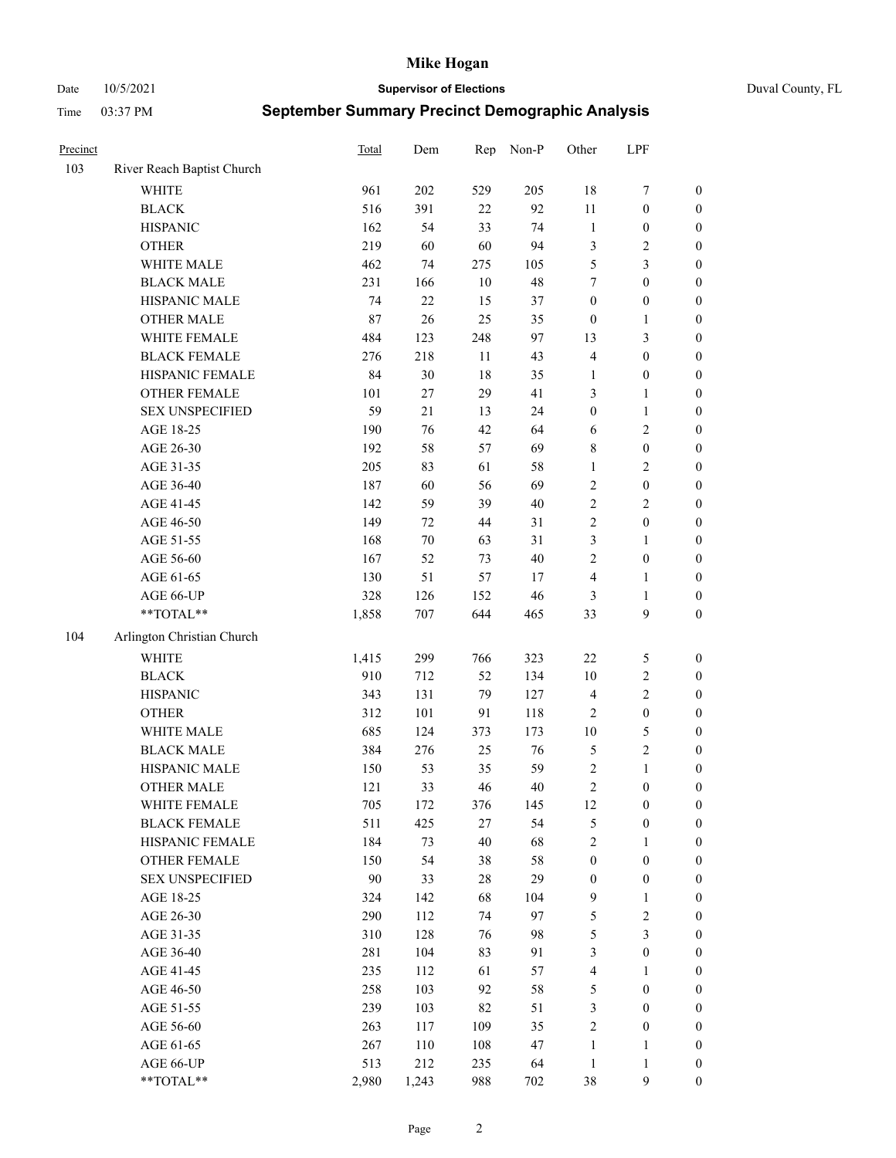Date 10/5/2021 **Supervisor of Elections** Duval County, FL

| Precinct |                            | <b>Total</b> | Dem    | Rep    | Non-P  | Other            | LPF              |                  |
|----------|----------------------------|--------------|--------|--------|--------|------------------|------------------|------------------|
| 103      | River Reach Baptist Church |              |        |        |        |                  |                  |                  |
|          | <b>WHITE</b>               | 961          | 202    | 529    | 205    | $18\,$           | $\boldsymbol{7}$ | 0                |
|          | <b>BLACK</b>               | 516          | 391    | 22     | 92     | 11               | $\boldsymbol{0}$ | $\boldsymbol{0}$ |
|          | <b>HISPANIC</b>            | 162          | 54     | 33     | 74     | $\mathbf{1}$     | $\boldsymbol{0}$ | $\boldsymbol{0}$ |
|          | <b>OTHER</b>               | 219          | 60     | 60     | 94     | 3                | $\sqrt{2}$       | $\boldsymbol{0}$ |
|          | WHITE MALE                 | 462          | 74     | 275    | 105    | 5                | $\mathfrak{Z}$   | $\boldsymbol{0}$ |
|          | <b>BLACK MALE</b>          | 231          | 166    | 10     | 48     | 7                | $\boldsymbol{0}$ | $\boldsymbol{0}$ |
|          | HISPANIC MALE              | 74           | 22     | 15     | 37     | $\boldsymbol{0}$ | $\boldsymbol{0}$ | $\boldsymbol{0}$ |
|          | <b>OTHER MALE</b>          | $87\,$       | 26     | 25     | 35     | $\boldsymbol{0}$ | $\mathbf{1}$     | $\boldsymbol{0}$ |
|          | WHITE FEMALE               | 484          | 123    | 248    | 97     | 13               | $\mathfrak{Z}$   | $\boldsymbol{0}$ |
|          | <b>BLACK FEMALE</b>        | 276          | 218    | 11     | 43     | $\overline{4}$   | $\boldsymbol{0}$ | $\boldsymbol{0}$ |
|          | HISPANIC FEMALE            | 84           | 30     | 18     | 35     | 1                | $\boldsymbol{0}$ | 0                |
|          | OTHER FEMALE               | 101          | 27     | 29     | 41     | 3                | $\mathbf{1}$     | $\boldsymbol{0}$ |
|          | <b>SEX UNSPECIFIED</b>     | 59           | 21     | 13     | 24     | $\boldsymbol{0}$ | $\mathbf{1}$     | $\boldsymbol{0}$ |
|          | AGE 18-25                  | 190          | 76     | 42     | 64     | 6                | $\sqrt{2}$       | $\boldsymbol{0}$ |
|          | AGE 26-30                  | 192          | 58     | 57     | 69     | 8                | $\boldsymbol{0}$ | $\boldsymbol{0}$ |
|          | AGE 31-35                  | 205          | 83     | 61     | 58     | $\mathbf{1}$     | $\sqrt{2}$       | $\boldsymbol{0}$ |
|          | AGE 36-40                  | 187          | 60     | 56     | 69     | $\overline{c}$   | $\boldsymbol{0}$ | $\boldsymbol{0}$ |
|          | AGE 41-45                  | 142          | 59     | 39     | $40\,$ | $\sqrt{2}$       | $\overline{2}$   | $\boldsymbol{0}$ |
|          | AGE 46-50                  | 149          | 72     | 44     | 31     | $\overline{c}$   | $\boldsymbol{0}$ | $\boldsymbol{0}$ |
|          | AGE 51-55                  | 168          | $70\,$ | 63     | 31     | 3                | $\mathbf{1}$     | $\boldsymbol{0}$ |
|          | AGE 56-60                  | 167          | 52     | 73     | $40\,$ | $\sqrt{2}$       | $\boldsymbol{0}$ | 0                |
|          | AGE 61-65                  | 130          | 51     | 57     | 17     | $\overline{4}$   | $\mathbf{1}$     | 0                |
|          | AGE 66-UP                  | 328          | 126    | 152    | 46     | 3                | $\mathbf{1}$     | $\boldsymbol{0}$ |
|          | $**TOTAL**$                | 1,858        | 707    | 644    | 465    | 33               | $\boldsymbol{9}$ | $\boldsymbol{0}$ |
| 104      | Arlington Christian Church |              |        |        |        |                  |                  |                  |
|          | <b>WHITE</b>               | 1,415        | 299    | 766    | 323    | $22\,$           | $\mathfrak{S}$   | $\boldsymbol{0}$ |
|          | <b>BLACK</b>               | 910          | 712    | 52     | 134    | 10               | $\sqrt{2}$       | $\boldsymbol{0}$ |
|          | <b>HISPANIC</b>            | 343          | 131    | 79     | 127    | $\overline{4}$   | $\sqrt{2}$       | $\boldsymbol{0}$ |
|          | <b>OTHER</b>               | 312          | 101    | 91     | 118    | $\overline{c}$   | $\boldsymbol{0}$ | $\boldsymbol{0}$ |
|          | WHITE MALE                 | 685          | 124    | 373    | 173    | $10\,$           | $\mathfrak{S}$   | $\boldsymbol{0}$ |
|          | <b>BLACK MALE</b>          | 384          | 276    | 25     | 76     | 5                | $\overline{2}$   | $\boldsymbol{0}$ |
|          | HISPANIC MALE              | 150          | 53     | 35     | 59     | $\overline{c}$   | $\mathbf{1}$     | $\boldsymbol{0}$ |
|          | <b>OTHER MALE</b>          | 121          | 33     | 46     | 40     | $\overline{c}$   | $\boldsymbol{0}$ | $\boldsymbol{0}$ |
|          | WHITE FEMALE               | 705          | 172    | 376    | 145    | 12               | $\boldsymbol{0}$ | 0                |
|          | <b>BLACK FEMALE</b>        | 511          | 425    | 27     | 54     | 5                | $\boldsymbol{0}$ | $\boldsymbol{0}$ |
|          | HISPANIC FEMALE            | 184          | 73     | 40     | 68     | $\overline{c}$   | $\mathbf{1}$     | $\overline{0}$   |
|          | OTHER FEMALE               | 150          | 54     | 38     | 58     | $\boldsymbol{0}$ | $\boldsymbol{0}$ | $\overline{0}$   |
|          | <b>SEX UNSPECIFIED</b>     | 90           | 33     | $28\,$ | 29     | $\boldsymbol{0}$ | $\boldsymbol{0}$ | 0                |
|          | AGE 18-25                  | 324          | 142    | 68     | 104    | 9                | $\mathbf{1}$     | $\theta$         |
|          | AGE 26-30                  | 290          | 112    | 74     | 97     | 5                | $\sqrt{2}$       | 0                |
|          | AGE 31-35                  | 310          | 128    | 76     | 98     | 5                | $\mathfrak{Z}$   | 0                |
|          | AGE 36-40                  | 281          | 104    | 83     | 91     | 3                | $\boldsymbol{0}$ | 0                |
|          | AGE 41-45                  | 235          | 112    | 61     | 57     | $\overline{4}$   | $\mathbf{1}$     | 0                |
|          | AGE 46-50                  | 258          | 103    | 92     | 58     | 5                | $\boldsymbol{0}$ | 0                |
|          | AGE 51-55                  | 239          | 103    | 82     | 51     | 3                | $\boldsymbol{0}$ | 0                |
|          | AGE 56-60                  | 263          | 117    | 109    | 35     | 2                | $\boldsymbol{0}$ | $\overline{0}$   |
|          | AGE 61-65                  | 267          | 110    | 108    | 47     | $\mathbf{1}$     | $\mathbf{1}$     | $\boldsymbol{0}$ |
|          | AGE 66-UP                  | 513          | 212    | 235    | 64     | $\mathbf{1}$     | $\mathbf{1}$     | $\boldsymbol{0}$ |
|          | **TOTAL**                  | 2,980        | 1,243  | 988    | 702    | 38               | $\mathbf{9}$     | $\boldsymbol{0}$ |
|          |                            |              |        |        |        |                  |                  |                  |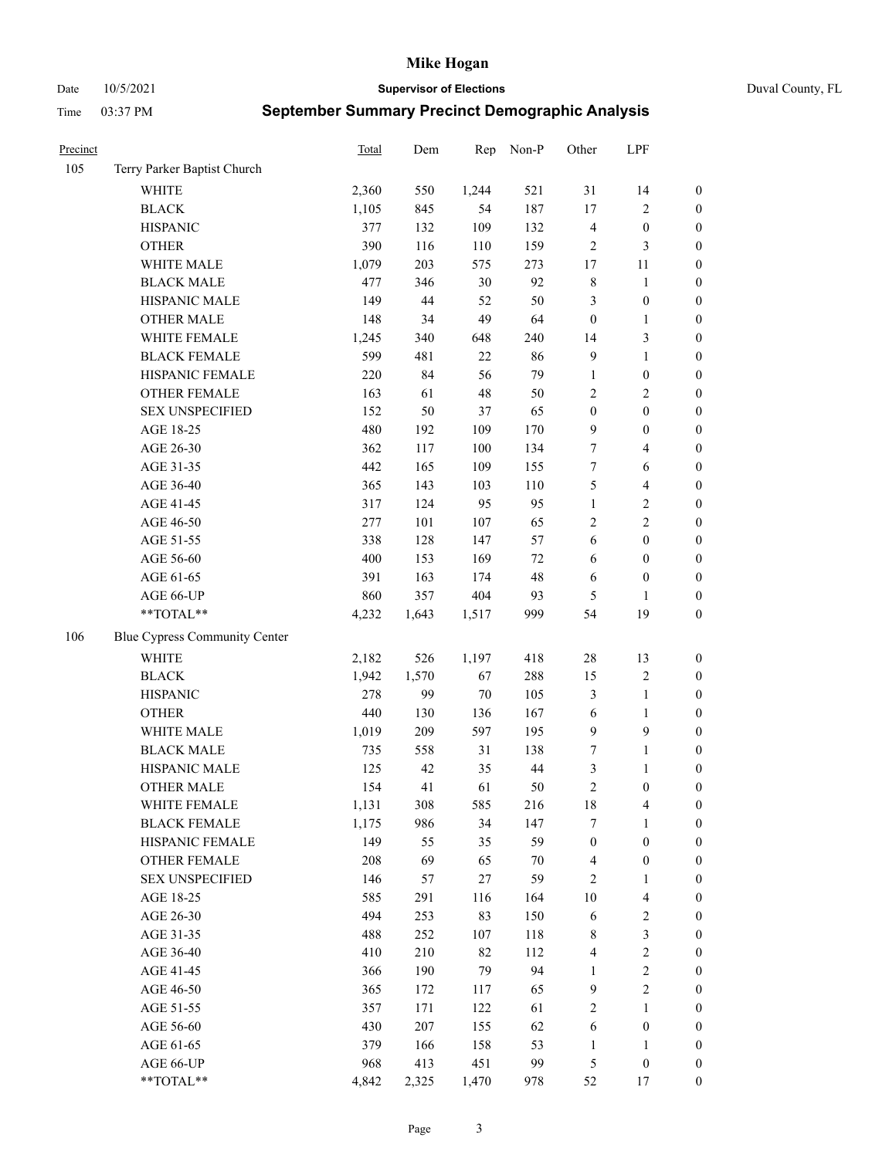Date 10/5/2021 **Supervisor of Elections** Duval County, FL

| Precinct |                               | Total | Dem   | Rep    | Non-P  | Other            | LPF                     |                  |
|----------|-------------------------------|-------|-------|--------|--------|------------------|-------------------------|------------------|
| 105      | Terry Parker Baptist Church   |       |       |        |        |                  |                         |                  |
|          | <b>WHITE</b>                  | 2,360 | 550   | 1,244  | 521    | 31               | 14                      | $\boldsymbol{0}$ |
|          | <b>BLACK</b>                  | 1,105 | 845   | 54     | 187    | 17               | $\sqrt{2}$              | $\boldsymbol{0}$ |
|          | <b>HISPANIC</b>               | 377   | 132   | 109    | 132    | $\overline{4}$   | $\boldsymbol{0}$        | $\boldsymbol{0}$ |
|          | <b>OTHER</b>                  | 390   | 116   | 110    | 159    | $\overline{2}$   | $\mathfrak{Z}$          | $\boldsymbol{0}$ |
|          | WHITE MALE                    | 1,079 | 203   | 575    | 273    | 17               | 11                      | $\boldsymbol{0}$ |
|          | <b>BLACK MALE</b>             | 477   | 346   | $30\,$ | 92     | $\,$ 8 $\,$      | $\mathbf{1}$            | $\boldsymbol{0}$ |
|          | HISPANIC MALE                 | 149   | 44    | 52     | 50     | 3                | $\boldsymbol{0}$        | $\boldsymbol{0}$ |
|          | <b>OTHER MALE</b>             | 148   | 34    | 49     | 64     | $\boldsymbol{0}$ | $\mathbf{1}$            | $\boldsymbol{0}$ |
|          | WHITE FEMALE                  | 1,245 | 340   | 648    | 240    | 14               | $\mathfrak{Z}$          | $\boldsymbol{0}$ |
|          | <b>BLACK FEMALE</b>           | 599   | 481   | $22\,$ | 86     | $\overline{9}$   | $\mathbf{1}$            | $\boldsymbol{0}$ |
|          | HISPANIC FEMALE               | 220   | 84    | 56     | 79     | $\mathbf{1}$     | $\boldsymbol{0}$        | 0                |
|          | OTHER FEMALE                  | 163   | 61    | $48\,$ | 50     | $\mathbf{2}$     | $\sqrt{2}$              | $\boldsymbol{0}$ |
|          | <b>SEX UNSPECIFIED</b>        | 152   | 50    | 37     | 65     | $\boldsymbol{0}$ | $\boldsymbol{0}$        | $\boldsymbol{0}$ |
|          | AGE 18-25                     | 480   | 192   | 109    | 170    | 9                | $\boldsymbol{0}$        | $\boldsymbol{0}$ |
|          | AGE 26-30                     | 362   | 117   | 100    | 134    | 7                | $\overline{\mathbf{4}}$ | $\boldsymbol{0}$ |
|          | AGE 31-35                     | 442   | 165   | 109    | 155    | $\boldsymbol{7}$ | 6                       | $\boldsymbol{0}$ |
|          | AGE 36-40                     | 365   | 143   | 103    | 110    | 5                | $\overline{\mathbf{4}}$ | $\boldsymbol{0}$ |
|          | AGE 41-45                     | 317   | 124   | 95     | 95     | $\mathbf{1}$     | $\sqrt{2}$              | $\boldsymbol{0}$ |
|          | AGE 46-50                     | 277   | 101   | 107    | 65     | $\mathfrak{2}$   | $\overline{2}$          | $\boldsymbol{0}$ |
|          | AGE 51-55                     | 338   | 128   | 147    | 57     | 6                | $\boldsymbol{0}$        | $\boldsymbol{0}$ |
|          | AGE 56-60                     | 400   | 153   | 169    | $72\,$ | 6                | $\boldsymbol{0}$        | 0                |
|          | AGE 61-65                     | 391   | 163   | 174    | 48     | 6                | $\boldsymbol{0}$        | 0                |
|          | AGE 66-UP                     | 860   | 357   | 404    | 93     | $\mathfrak{S}$   | $\mathbf{1}$            | $\boldsymbol{0}$ |
|          | $**TOTAL**$                   | 4,232 | 1,643 | 1,517  | 999    | 54               | 19                      | $\boldsymbol{0}$ |
| 106      | Blue Cypress Community Center |       |       |        |        |                  |                         |                  |
|          | <b>WHITE</b>                  | 2,182 | 526   | 1,197  | 418    | $28\,$           | 13                      | $\boldsymbol{0}$ |
|          | <b>BLACK</b>                  | 1,942 | 1,570 | 67     | 288    | 15               | $\sqrt{2}$              | $\boldsymbol{0}$ |
|          | <b>HISPANIC</b>               | 278   | 99    | 70     | 105    | 3                | $\mathbf{1}$            | $\boldsymbol{0}$ |
|          | <b>OTHER</b>                  | 440   | 130   | 136    | 167    | 6                | $\mathbf{1}$            | $\boldsymbol{0}$ |
|          | WHITE MALE                    | 1,019 | 209   | 597    | 195    | $\overline{9}$   | $\mathbf{9}$            | $\boldsymbol{0}$ |
|          | <b>BLACK MALE</b>             | 735   | 558   | 31     | 138    | 7                | $\mathbf{1}$            | $\boldsymbol{0}$ |
|          | HISPANIC MALE                 | 125   | 42    | 35     | 44     | 3                | 1                       | $\boldsymbol{0}$ |
|          | <b>OTHER MALE</b>             | 154   | 41    | 61     | 50     | $\sqrt{2}$       | $\boldsymbol{0}$        | $\boldsymbol{0}$ |
|          | WHITE FEMALE                  | 1,131 | 308   | 585    | 216    | 18               | 4                       | 0                |
|          | <b>BLACK FEMALE</b>           | 1,175 | 986   | 34     | 147    | 7                | $\mathbf{1}$            | $\boldsymbol{0}$ |
|          | HISPANIC FEMALE               | 149   | 55    | 35     | 59     | $\boldsymbol{0}$ | $\boldsymbol{0}$        | $\overline{0}$   |
|          | OTHER FEMALE                  | 208   | 69    | 65     | $70\,$ | $\overline{4}$   | $\boldsymbol{0}$        | $\overline{0}$   |
|          | <b>SEX UNSPECIFIED</b>        | 146   | 57    | 27     | 59     | $\overline{c}$   | $\mathbf{1}$            | 0                |
|          | AGE 18-25                     | 585   | 291   | 116    | 164    | 10               | $\overline{\mathbf{4}}$ | 0                |
|          | AGE 26-30                     | 494   | 253   | 83     | 150    | 6                | $\sqrt{2}$              | 0                |
|          | AGE 31-35                     | 488   | 252   | 107    | 118    | 8                | $\mathfrak{Z}$          | 0                |
|          | AGE 36-40                     | 410   | 210   | 82     | 112    | 4                | $\sqrt{2}$              | 0                |
|          | AGE 41-45                     | 366   | 190   | 79     | 94     | $\mathbf{1}$     | $\sqrt{2}$              | 0                |
|          | AGE 46-50                     | 365   | 172   | 117    | 65     | $\overline{9}$   | $\sqrt{2}$              | 0                |
|          | AGE 51-55                     | 357   | 171   | 122    | 61     | $\overline{c}$   | $\mathbf{1}$            | 0                |
|          | AGE 56-60                     | 430   | 207   | 155    | 62     | 6                | $\boldsymbol{0}$        | $\boldsymbol{0}$ |
|          | AGE 61-65                     | 379   | 166   | 158    | 53     | 1                | 1                       | $\boldsymbol{0}$ |
|          | AGE 66-UP                     | 968   | 413   | 451    | 99     | 5                | $\boldsymbol{0}$        | 0                |
|          | **TOTAL**                     | 4,842 | 2,325 | 1,470  | 978    | 52               | 17                      | $\boldsymbol{0}$ |
|          |                               |       |       |        |        |                  |                         |                  |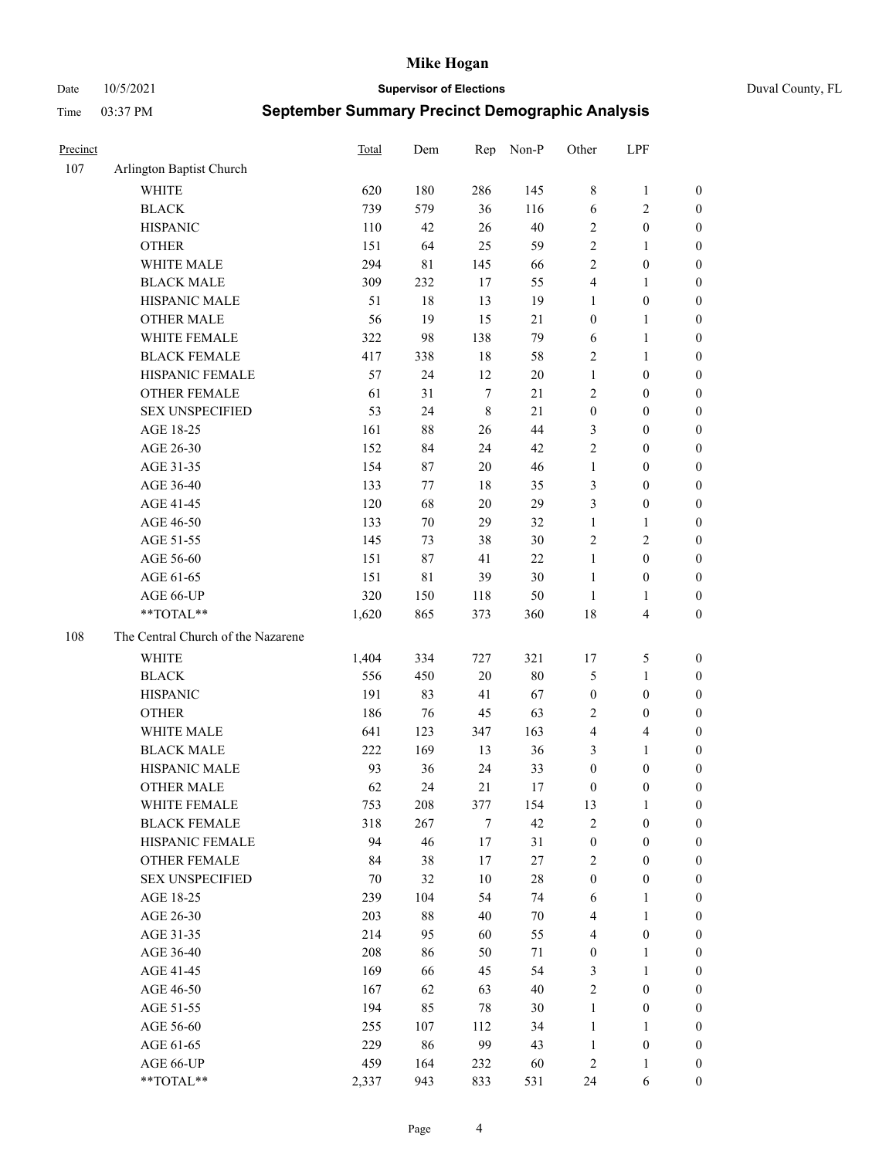Date 10/5/2021 **Supervisor of Elections** Duval County, FL

|                          |                                                                                                                                                                                                                                                                                 | Dem                                                                                                           | Rep                                                                                    |                                                                                           |                                                                                                        |                                                                                                                                                                          |                                                                                                                                                                                      |
|--------------------------|---------------------------------------------------------------------------------------------------------------------------------------------------------------------------------------------------------------------------------------------------------------------------------|---------------------------------------------------------------------------------------------------------------|----------------------------------------------------------------------------------------|-------------------------------------------------------------------------------------------|--------------------------------------------------------------------------------------------------------|--------------------------------------------------------------------------------------------------------------------------------------------------------------------------|--------------------------------------------------------------------------------------------------------------------------------------------------------------------------------------|
| Arlington Baptist Church |                                                                                                                                                                                                                                                                                 |                                                                                                               |                                                                                        |                                                                                           |                                                                                                        |                                                                                                                                                                          |                                                                                                                                                                                      |
| <b>WHITE</b>             | 620                                                                                                                                                                                                                                                                             | 180                                                                                                           | 286                                                                                    | 145                                                                                       | 8                                                                                                      | $\mathbf{1}$                                                                                                                                                             | 0                                                                                                                                                                                    |
| <b>BLACK</b>             | 739                                                                                                                                                                                                                                                                             | 579                                                                                                           | 36                                                                                     | 116                                                                                       | $\sqrt{6}$                                                                                             | $\sqrt{2}$                                                                                                                                                               | 0                                                                                                                                                                                    |
| <b>HISPANIC</b>          | 110                                                                                                                                                                                                                                                                             | 42                                                                                                            | 26                                                                                     | 40                                                                                        | $\mathfrak{2}$                                                                                         | $\boldsymbol{0}$                                                                                                                                                         | $\boldsymbol{0}$                                                                                                                                                                     |
| <b>OTHER</b>             | 151                                                                                                                                                                                                                                                                             | 64                                                                                                            | 25                                                                                     | 59                                                                                        | $\overline{c}$                                                                                         | $\mathbf{1}$                                                                                                                                                             | $\boldsymbol{0}$                                                                                                                                                                     |
| WHITE MALE               | 294                                                                                                                                                                                                                                                                             | 81                                                                                                            | 145                                                                                    | 66                                                                                        | $\overline{c}$                                                                                         | $\boldsymbol{0}$                                                                                                                                                         | $\boldsymbol{0}$                                                                                                                                                                     |
| <b>BLACK MALE</b>        | 309                                                                                                                                                                                                                                                                             | 232                                                                                                           | 17                                                                                     | 55                                                                                        | 4                                                                                                      | $\mathbf{1}$                                                                                                                                                             | $\boldsymbol{0}$                                                                                                                                                                     |
| HISPANIC MALE            | 51                                                                                                                                                                                                                                                                              | 18                                                                                                            | 13                                                                                     | 19                                                                                        | 1                                                                                                      | $\boldsymbol{0}$                                                                                                                                                         | $\boldsymbol{0}$                                                                                                                                                                     |
| <b>OTHER MALE</b>        | 56                                                                                                                                                                                                                                                                              | 19                                                                                                            | 15                                                                                     | 21                                                                                        | $\boldsymbol{0}$                                                                                       | $\mathbf{1}$                                                                                                                                                             | $\boldsymbol{0}$                                                                                                                                                                     |
| WHITE FEMALE             | 322                                                                                                                                                                                                                                                                             | 98                                                                                                            | 138                                                                                    | 79                                                                                        | 6                                                                                                      | $\mathbf{1}$                                                                                                                                                             | $\boldsymbol{0}$                                                                                                                                                                     |
| <b>BLACK FEMALE</b>      | 417                                                                                                                                                                                                                                                                             | 338                                                                                                           | 18                                                                                     | 58                                                                                        | $\overline{c}$                                                                                         | $\mathbf{1}$                                                                                                                                                             | 0                                                                                                                                                                                    |
| HISPANIC FEMALE          | 57                                                                                                                                                                                                                                                                              | 24                                                                                                            | 12                                                                                     | $20\,$                                                                                    | $\mathbf{1}$                                                                                           | $\boldsymbol{0}$                                                                                                                                                         | 0                                                                                                                                                                                    |
| <b>OTHER FEMALE</b>      | 61                                                                                                                                                                                                                                                                              | 31                                                                                                            | $\tau$                                                                                 | 21                                                                                        | $\mathfrak{2}$                                                                                         | $\boldsymbol{0}$                                                                                                                                                         | $\boldsymbol{0}$                                                                                                                                                                     |
| <b>SEX UNSPECIFIED</b>   | 53                                                                                                                                                                                                                                                                              | 24                                                                                                            | $\,$ 8 $\,$                                                                            | 21                                                                                        | $\boldsymbol{0}$                                                                                       | $\boldsymbol{0}$                                                                                                                                                         | $\boldsymbol{0}$                                                                                                                                                                     |
| AGE 18-25                | 161                                                                                                                                                                                                                                                                             | 88                                                                                                            | 26                                                                                     | 44                                                                                        | 3                                                                                                      | $\boldsymbol{0}$                                                                                                                                                         | $\boldsymbol{0}$                                                                                                                                                                     |
| AGE 26-30                | 152                                                                                                                                                                                                                                                                             | 84                                                                                                            | 24                                                                                     | 42                                                                                        | $\overline{c}$                                                                                         | $\boldsymbol{0}$                                                                                                                                                         | $\boldsymbol{0}$                                                                                                                                                                     |
| AGE 31-35                | 154                                                                                                                                                                                                                                                                             | 87                                                                                                            | $20\,$                                                                                 | 46                                                                                        | $\mathbf{1}$                                                                                           | $\boldsymbol{0}$                                                                                                                                                         | $\boldsymbol{0}$                                                                                                                                                                     |
| AGE 36-40                | 133                                                                                                                                                                                                                                                                             | 77                                                                                                            | $18\,$                                                                                 | 35                                                                                        | 3                                                                                                      | $\boldsymbol{0}$                                                                                                                                                         | $\boldsymbol{0}$                                                                                                                                                                     |
| AGE 41-45                | 120                                                                                                                                                                                                                                                                             | 68                                                                                                            | $20\,$                                                                                 | 29                                                                                        | 3                                                                                                      | $\boldsymbol{0}$                                                                                                                                                         | $\boldsymbol{0}$                                                                                                                                                                     |
| AGE 46-50                | 133                                                                                                                                                                                                                                                                             | $70\,$                                                                                                        | 29                                                                                     | 32                                                                                        | $\mathbf{1}$                                                                                           | $\mathbf{1}$                                                                                                                                                             | $\boldsymbol{0}$                                                                                                                                                                     |
| AGE 51-55                | 145                                                                                                                                                                                                                                                                             | 73                                                                                                            | 38                                                                                     | 30                                                                                        | $\overline{c}$                                                                                         | $\sqrt{2}$                                                                                                                                                               | $\boldsymbol{0}$                                                                                                                                                                     |
| AGE 56-60                | 151                                                                                                                                                                                                                                                                             | 87                                                                                                            | 41                                                                                     | 22                                                                                        | $\mathbf{1}$                                                                                           | $\boldsymbol{0}$                                                                                                                                                         | 0                                                                                                                                                                                    |
| AGE 61-65                | 151                                                                                                                                                                                                                                                                             | 81                                                                                                            | 39                                                                                     | 30                                                                                        | $\mathbf{1}$                                                                                           | $\boldsymbol{0}$                                                                                                                                                         | 0                                                                                                                                                                                    |
| AGE 66-UP                | 320                                                                                                                                                                                                                                                                             | 150                                                                                                           | 118                                                                                    | 50                                                                                        | $\mathbf{1}$                                                                                           | $\mathbf{1}$                                                                                                                                                             | $\boldsymbol{0}$                                                                                                                                                                     |
| **TOTAL**                | 1,620                                                                                                                                                                                                                                                                           | 865                                                                                                           | 373                                                                                    | 360                                                                                       | 18                                                                                                     | $\overline{\mathbf{4}}$                                                                                                                                                  | $\boldsymbol{0}$                                                                                                                                                                     |
|                          |                                                                                                                                                                                                                                                                                 |                                                                                                               |                                                                                        |                                                                                           |                                                                                                        |                                                                                                                                                                          |                                                                                                                                                                                      |
|                          |                                                                                                                                                                                                                                                                                 |                                                                                                               |                                                                                        |                                                                                           |                                                                                                        |                                                                                                                                                                          | $\boldsymbol{0}$                                                                                                                                                                     |
|                          |                                                                                                                                                                                                                                                                                 |                                                                                                               |                                                                                        |                                                                                           |                                                                                                        |                                                                                                                                                                          | $\boldsymbol{0}$                                                                                                                                                                     |
|                          |                                                                                                                                                                                                                                                                                 |                                                                                                               |                                                                                        |                                                                                           |                                                                                                        |                                                                                                                                                                          | $\boldsymbol{0}$                                                                                                                                                                     |
|                          |                                                                                                                                                                                                                                                                                 |                                                                                                               |                                                                                        |                                                                                           |                                                                                                        |                                                                                                                                                                          | $\boldsymbol{0}$                                                                                                                                                                     |
|                          |                                                                                                                                                                                                                                                                                 |                                                                                                               |                                                                                        |                                                                                           |                                                                                                        |                                                                                                                                                                          | $\boldsymbol{0}$                                                                                                                                                                     |
|                          |                                                                                                                                                                                                                                                                                 |                                                                                                               |                                                                                        |                                                                                           |                                                                                                        |                                                                                                                                                                          | $\boldsymbol{0}$                                                                                                                                                                     |
|                          |                                                                                                                                                                                                                                                                                 |                                                                                                               |                                                                                        |                                                                                           |                                                                                                        |                                                                                                                                                                          | 0                                                                                                                                                                                    |
|                          |                                                                                                                                                                                                                                                                                 | 24                                                                                                            |                                                                                        |                                                                                           |                                                                                                        | $\boldsymbol{0}$                                                                                                                                                         | $\boldsymbol{0}$                                                                                                                                                                     |
|                          |                                                                                                                                                                                                                                                                                 |                                                                                                               |                                                                                        |                                                                                           |                                                                                                        | 1                                                                                                                                                                        | 0                                                                                                                                                                                    |
| <b>BLACK FEMALE</b>      |                                                                                                                                                                                                                                                                                 |                                                                                                               | 7                                                                                      | 42                                                                                        | $\mathfrak{2}$                                                                                         | $\boldsymbol{0}$                                                                                                                                                         | $\boldsymbol{0}$                                                                                                                                                                     |
|                          | 94                                                                                                                                                                                                                                                                              |                                                                                                               |                                                                                        |                                                                                           |                                                                                                        | $\boldsymbol{0}$                                                                                                                                                         | $\overline{0}$                                                                                                                                                                       |
|                          |                                                                                                                                                                                                                                                                                 |                                                                                                               |                                                                                        |                                                                                           |                                                                                                        | $\boldsymbol{0}$                                                                                                                                                         | $\overline{0}$                                                                                                                                                                       |
| <b>SEX UNSPECIFIED</b>   | 70                                                                                                                                                                                                                                                                              | 32                                                                                                            | 10                                                                                     | 28                                                                                        | $\boldsymbol{0}$                                                                                       | $\boldsymbol{0}$                                                                                                                                                         | 0                                                                                                                                                                                    |
| AGE 18-25                | 239                                                                                                                                                                                                                                                                             | 104                                                                                                           | 54                                                                                     | 74                                                                                        | 6                                                                                                      | $\mathbf{1}$                                                                                                                                                             | $\overline{0}$                                                                                                                                                                       |
| AGE 26-30                |                                                                                                                                                                                                                                                                                 |                                                                                                               | 40                                                                                     |                                                                                           | 4                                                                                                      | $\mathbf{1}$                                                                                                                                                             | 0                                                                                                                                                                                    |
|                          |                                                                                                                                                                                                                                                                                 |                                                                                                               |                                                                                        |                                                                                           | 4                                                                                                      |                                                                                                                                                                          | 0                                                                                                                                                                                    |
|                          |                                                                                                                                                                                                                                                                                 |                                                                                                               | 50                                                                                     |                                                                                           |                                                                                                        | $\mathbf{1}$                                                                                                                                                             | 0                                                                                                                                                                                    |
| AGE 41-45                | 169                                                                                                                                                                                                                                                                             | 66                                                                                                            | 45                                                                                     | 54                                                                                        | 3                                                                                                      | $\mathbf{1}$                                                                                                                                                             | 0                                                                                                                                                                                    |
| AGE 46-50                | 167                                                                                                                                                                                                                                                                             | 62                                                                                                            | 63                                                                                     | 40                                                                                        | $\mathfrak{2}$                                                                                         | $\boldsymbol{0}$                                                                                                                                                         | 0                                                                                                                                                                                    |
|                          | 194                                                                                                                                                                                                                                                                             | 85                                                                                                            |                                                                                        |                                                                                           | $\mathbf{1}$                                                                                           |                                                                                                                                                                          | 0                                                                                                                                                                                    |
| AGE 56-60                | 255                                                                                                                                                                                                                                                                             | 107                                                                                                           | 112                                                                                    | 34                                                                                        | $\mathbf{1}$                                                                                           | $\mathbf{1}$                                                                                                                                                             | $\overline{0}$                                                                                                                                                                       |
| AGE 61-65                | 229                                                                                                                                                                                                                                                                             | 86                                                                                                            | 99                                                                                     | 43                                                                                        | $\mathbf{1}$                                                                                           | $\boldsymbol{0}$                                                                                                                                                         | $\overline{0}$                                                                                                                                                                       |
| AGE 66-UP                | 459                                                                                                                                                                                                                                                                             | 164                                                                                                           | 232                                                                                    | 60                                                                                        | $\overline{c}$                                                                                         | $\mathbf{1}$                                                                                                                                                             | $\boldsymbol{0}$                                                                                                                                                                     |
| **TOTAL**                | 2,337                                                                                                                                                                                                                                                                           | 943                                                                                                           | 833                                                                                    | 531                                                                                       | 24                                                                                                     | 6                                                                                                                                                                        | $\boldsymbol{0}$                                                                                                                                                                     |
|                          | The Central Church of the Nazarene<br><b>WHITE</b><br><b>BLACK</b><br><b>HISPANIC</b><br><b>OTHER</b><br>WHITE MALE<br><b>BLACK MALE</b><br>HISPANIC MALE<br><b>OTHER MALE</b><br>WHITE FEMALE<br>HISPANIC FEMALE<br><b>OTHER FEMALE</b><br>AGE 31-35<br>AGE 36-40<br>AGE 51-55 | <b>Total</b><br>1,404<br>556<br>191<br>186<br>641<br>222<br>93<br>62<br>753<br>318<br>84<br>203<br>214<br>208 | 334<br>450<br>83<br>76<br>123<br>169<br>36<br>208<br>267<br>46<br>38<br>88<br>95<br>86 | 727<br>$20\,$<br>41<br>45<br>347<br>13<br>24<br>21<br>377<br>$17\,$<br>17<br>60<br>$78\,$ | Non-P<br>321<br>80<br>67<br>63<br>163<br>36<br>33<br>17<br>154<br>31<br>27<br>$70\,$<br>55<br>71<br>30 | Other<br>17<br>5<br>$\boldsymbol{0}$<br>$\overline{c}$<br>4<br>3<br>$\boldsymbol{0}$<br>$\boldsymbol{0}$<br>13<br>$\boldsymbol{0}$<br>$\overline{c}$<br>$\boldsymbol{0}$ | LPF<br>$\mathfrak{S}$<br>$\mathbf{1}$<br>$\boldsymbol{0}$<br>$\boldsymbol{0}$<br>$\overline{\mathbf{4}}$<br>$\mathbf{1}$<br>$\boldsymbol{0}$<br>$\boldsymbol{0}$<br>$\boldsymbol{0}$ |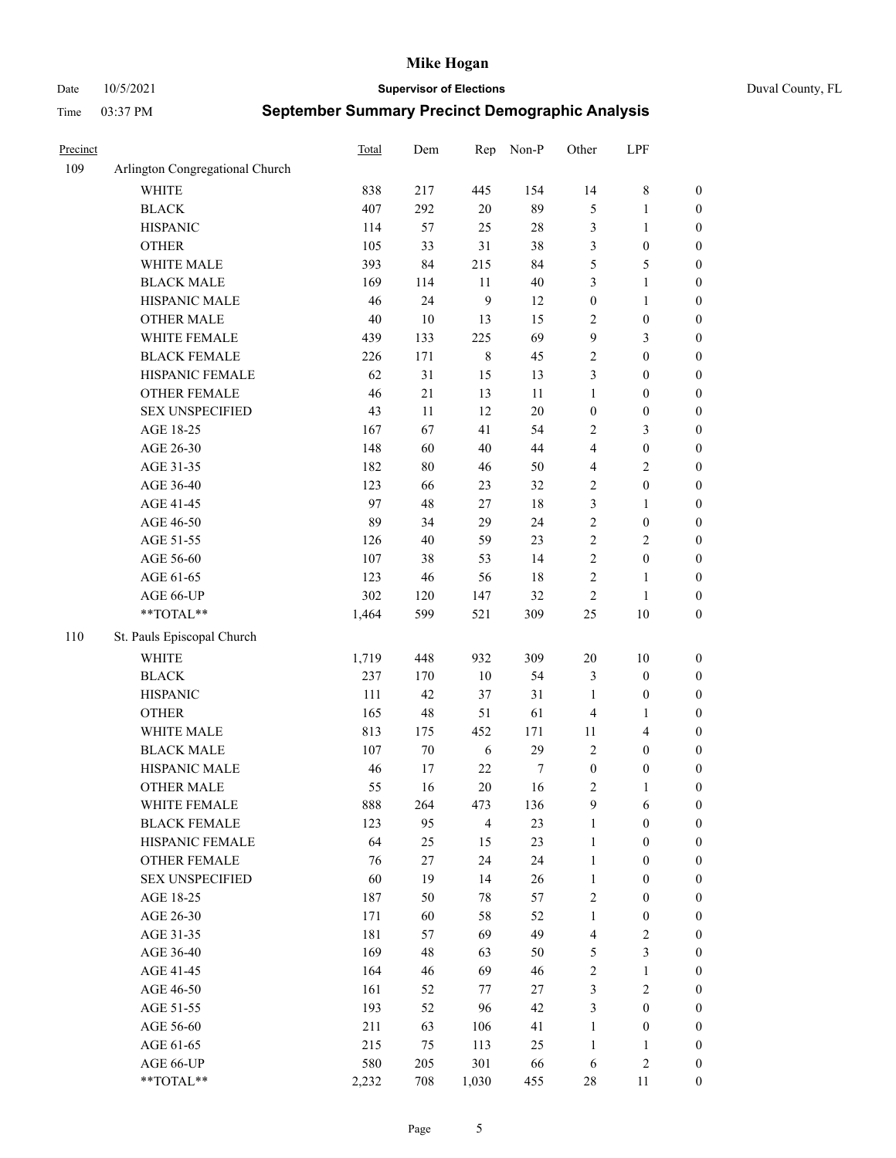Date 10/5/2021 **Supervisor of Elections** Duval County, FL

| Precinct |                                 | Total | Dem    | Rep            | Non-P  | Other            | LPF                     |                  |
|----------|---------------------------------|-------|--------|----------------|--------|------------------|-------------------------|------------------|
| 109      | Arlington Congregational Church |       |        |                |        |                  |                         |                  |
|          | <b>WHITE</b>                    | 838   | 217    | 445            | 154    | 14               | $8\,$                   | 0                |
|          | <b>BLACK</b>                    | 407   | 292    | $20\,$         | 89     | 5                | $\mathbf{1}$            | $\boldsymbol{0}$ |
|          | <b>HISPANIC</b>                 | 114   | 57     | 25             | $28\,$ | 3                | $\mathbf{1}$            | $\boldsymbol{0}$ |
|          | <b>OTHER</b>                    | 105   | 33     | 31             | 38     | 3                | $\boldsymbol{0}$        | $\boldsymbol{0}$ |
|          | WHITE MALE                      | 393   | 84     | 215            | 84     | 5                | $\mathfrak{S}$          | $\boldsymbol{0}$ |
|          | <b>BLACK MALE</b>               | 169   | 114    | 11             | $40\,$ | 3                | $\mathbf{1}$            | $\boldsymbol{0}$ |
|          | HISPANIC MALE                   | 46    | 24     | 9              | 12     | $\boldsymbol{0}$ | $\mathbf{1}$            | $\boldsymbol{0}$ |
|          | <b>OTHER MALE</b>               | 40    | $10\,$ | 13             | 15     | $\mathbf{2}$     | $\boldsymbol{0}$        | $\boldsymbol{0}$ |
|          | WHITE FEMALE                    | 439   | 133    | 225            | 69     | 9                | $\mathfrak{Z}$          | $\boldsymbol{0}$ |
|          | <b>BLACK FEMALE</b>             | 226   | 171    | $\,$ 8 $\,$    | 45     | $\sqrt{2}$       | $\boldsymbol{0}$        | $\boldsymbol{0}$ |
|          | HISPANIC FEMALE                 | 62    | 31     | 15             | 13     | 3                | $\boldsymbol{0}$        | $\boldsymbol{0}$ |
|          | <b>OTHER FEMALE</b>             | 46    | 21     | 13             | 11     | $\mathbf{1}$     | $\boldsymbol{0}$        | $\boldsymbol{0}$ |
|          | <b>SEX UNSPECIFIED</b>          | 43    | 11     | 12             | $20\,$ | $\boldsymbol{0}$ | $\boldsymbol{0}$        | $\boldsymbol{0}$ |
|          | AGE 18-25                       | 167   | 67     | 41             | 54     | $\sqrt{2}$       | $\mathfrak{Z}$          | $\boldsymbol{0}$ |
|          | AGE 26-30                       | 148   | 60     | 40             | 44     | 4                | $\boldsymbol{0}$        | $\boldsymbol{0}$ |
|          | AGE 31-35                       | 182   | 80     | $46\,$         | 50     | 4                | $\sqrt{2}$              | $\boldsymbol{0}$ |
|          | AGE 36-40                       | 123   | 66     | 23             | 32     | $\overline{c}$   | $\boldsymbol{0}$        | $\boldsymbol{0}$ |
|          | AGE 41-45                       | 97    | 48     | $27\,$         | $18\,$ | 3                | $\mathbf{1}$            | $\boldsymbol{0}$ |
|          | AGE 46-50                       | 89    | 34     | 29             | 24     | $\sqrt{2}$       | $\boldsymbol{0}$        | $\boldsymbol{0}$ |
|          | AGE 51-55                       | 126   | 40     | 59             | 23     | $\sqrt{2}$       | $\sqrt{2}$              | $\boldsymbol{0}$ |
|          | AGE 56-60                       | 107   | 38     | 53             | 14     | $\sqrt{2}$       | $\boldsymbol{0}$        | 0                |
|          | AGE 61-65                       | 123   | 46     | 56             | $18\,$ | $\sqrt{2}$       | $\mathbf{1}$            | 0                |
|          | AGE 66-UP                       | 302   | 120    | 147            | 32     | $\sqrt{2}$       | $\mathbf{1}$            | $\boldsymbol{0}$ |
|          | $**TOTAL**$                     | 1,464 | 599    | 521            | 309    | $25\,$           | $10\,$                  | $\boldsymbol{0}$ |
| 110      | St. Pauls Episcopal Church      |       |        |                |        |                  |                         |                  |
|          | <b>WHITE</b>                    | 1,719 | 448    | 932            | 309    | $20\,$           | $10\,$                  | $\boldsymbol{0}$ |
|          | <b>BLACK</b>                    | 237   | 170    | $10\,$         | 54     | 3                | $\boldsymbol{0}$        | $\boldsymbol{0}$ |
|          | <b>HISPANIC</b>                 | 111   | 42     | 37             | 31     | $\mathbf{1}$     | $\boldsymbol{0}$        | $\boldsymbol{0}$ |
|          | <b>OTHER</b>                    | 165   | 48     | 51             | 61     | 4                | $\mathbf{1}$            | $\boldsymbol{0}$ |
|          | WHITE MALE                      | 813   | 175    | 452            | 171    | $11\,$           | $\overline{\mathbf{4}}$ | $\boldsymbol{0}$ |
|          | <b>BLACK MALE</b>               | 107   | $70\,$ | 6              | 29     | $\mathfrak{2}$   | $\boldsymbol{0}$        | $\boldsymbol{0}$ |
|          | HISPANIC MALE                   | 46    | 17     | $22\,$         | 7      | $\boldsymbol{0}$ | $\boldsymbol{0}$        | $\boldsymbol{0}$ |
|          | <b>OTHER MALE</b>               | 55    | 16     | $20\,$         | 16     | $\overline{c}$   | $\mathbf{1}$            | $\boldsymbol{0}$ |
|          | WHITE FEMALE                    | 888   | 264    | 473            | 136    | 9                | 6                       | 0                |
|          | <b>BLACK FEMALE</b>             | 123   | 95     | $\overline{4}$ | 23     | $\mathbf{1}$     | $\boldsymbol{0}$        | $\boldsymbol{0}$ |
|          | HISPANIC FEMALE                 | 64    | 25     | 15             | 23     | $\mathbf{1}$     | $\boldsymbol{0}$        | $\overline{0}$   |
|          | OTHER FEMALE                    | 76    | 27     | 24             | 24     | $\mathbf{1}$     | $\boldsymbol{0}$        | $\overline{0}$   |
|          | <b>SEX UNSPECIFIED</b>          | 60    | 19     | 14             | 26     | $\mathbf{1}$     | $\boldsymbol{0}$        | 0                |
|          | AGE 18-25                       | 187   | 50     | 78             | 57     | $\overline{c}$   | $\boldsymbol{0}$        | $\theta$         |
|          | AGE 26-30                       | 171   | 60     | 58             | 52     | $\mathbf{1}$     | $\boldsymbol{0}$        | 0                |
|          | AGE 31-35                       | 181   | 57     | 69             | 49     | 4                | $\sqrt{2}$              | 0                |
|          | AGE 36-40                       | 169   | 48     | 63             | 50     | 5                | $\mathfrak{Z}$          | 0                |
|          | AGE 41-45                       | 164   | 46     | 69             | 46     | $\sqrt{2}$       | $\mathbf{1}$            | 0                |
|          | AGE 46-50                       | 161   | 52     | 77             | 27     | 3                | $\sqrt{2}$              | 0                |
|          | AGE 51-55                       | 193   | 52     | 96             | 42     | 3                | $\boldsymbol{0}$        | 0                |
|          | AGE 56-60                       | 211   | 63     | 106            | 41     | $\mathbf{1}$     | $\boldsymbol{0}$        | $\overline{0}$   |
|          | AGE 61-65                       | 215   | 75     | 113            | 25     | $\mathbf{1}$     | $\mathbf{1}$            | $\overline{0}$   |
|          | AGE 66-UP                       | 580   | 205    | 301            | 66     | 6                | $\sqrt{2}$              | 0                |
|          | **TOTAL**                       | 2,232 | 708    | 1,030          | 455    | 28               | 11                      | $\boldsymbol{0}$ |
|          |                                 |       |        |                |        |                  |                         |                  |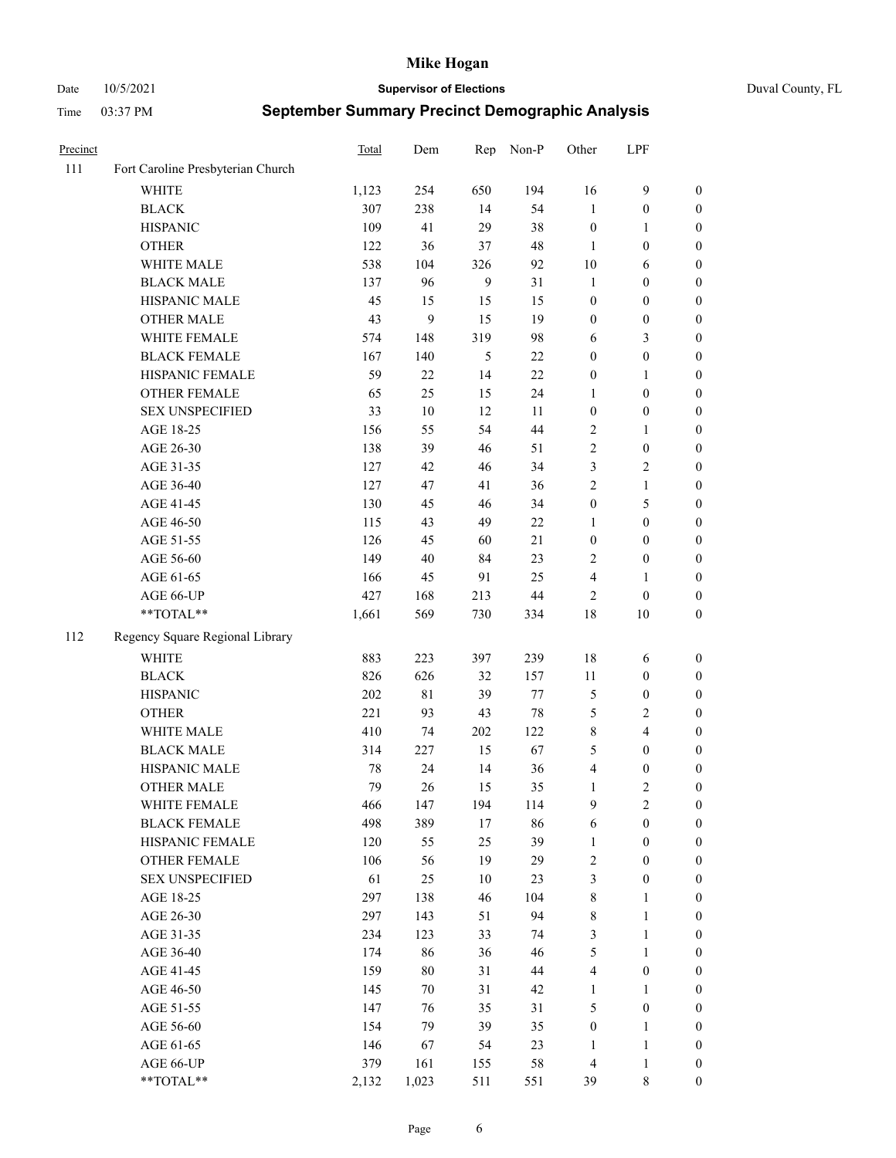Date 10/5/2021 **Supervisor of Elections** Duval County, FL

| Precinct |                                   | Total | Dem         | Rep | Non-P  | Other            | LPF              |                  |
|----------|-----------------------------------|-------|-------------|-----|--------|------------------|------------------|------------------|
| 111      | Fort Caroline Presbyterian Church |       |             |     |        |                  |                  |                  |
|          | <b>WHITE</b>                      | 1,123 | 254         | 650 | 194    | 16               | $\mathbf{9}$     | 0                |
|          | <b>BLACK</b>                      | 307   | 238         | 14  | 54     | $\mathbf{1}$     | $\boldsymbol{0}$ | 0                |
|          | <b>HISPANIC</b>                   | 109   | 41          | 29  | 38     | $\boldsymbol{0}$ | $\mathbf{1}$     | $\boldsymbol{0}$ |
|          | <b>OTHER</b>                      | 122   | 36          | 37  | 48     | 1                | $\boldsymbol{0}$ | $\boldsymbol{0}$ |
|          | WHITE MALE                        | 538   | 104         | 326 | 92     | 10               | 6                | $\boldsymbol{0}$ |
|          | <b>BLACK MALE</b>                 | 137   | 96          | 9   | 31     | $\mathbf{1}$     | $\boldsymbol{0}$ | $\boldsymbol{0}$ |
|          | HISPANIC MALE                     | 45    | 15          | 15  | 15     | $\boldsymbol{0}$ | $\boldsymbol{0}$ | $\boldsymbol{0}$ |
|          | <b>OTHER MALE</b>                 | 43    | 9           | 15  | 19     | $\boldsymbol{0}$ | $\boldsymbol{0}$ | $\boldsymbol{0}$ |
|          | WHITE FEMALE                      | 574   | 148         | 319 | 98     | 6                | $\mathfrak{Z}$   | $\boldsymbol{0}$ |
|          | <b>BLACK FEMALE</b>               | 167   | 140         | 5   | $22\,$ | $\boldsymbol{0}$ | $\boldsymbol{0}$ | 0                |
|          | HISPANIC FEMALE                   | 59    | 22          | 14  | 22     | $\boldsymbol{0}$ | $\mathbf{1}$     | 0                |
|          | OTHER FEMALE                      | 65    | 25          | 15  | 24     | $\mathbf{1}$     | $\boldsymbol{0}$ | $\boldsymbol{0}$ |
|          | <b>SEX UNSPECIFIED</b>            | 33    | $10\,$      | 12  | 11     | $\boldsymbol{0}$ | $\boldsymbol{0}$ | $\boldsymbol{0}$ |
|          | AGE 18-25                         | 156   | 55          | 54  | 44     | $\sqrt{2}$       | 1                | $\boldsymbol{0}$ |
|          | AGE 26-30                         | 138   | 39          | 46  | 51     | $\overline{c}$   | $\boldsymbol{0}$ | $\boldsymbol{0}$ |
|          | AGE 31-35                         | 127   | 42          | 46  | 34     | 3                | $\sqrt{2}$       | $\boldsymbol{0}$ |
|          | AGE 36-40                         | 127   | 47          | 41  | 36     | $\overline{c}$   | $\mathbf{1}$     | $\boldsymbol{0}$ |
|          | AGE 41-45                         | 130   | 45          | 46  | 34     | $\boldsymbol{0}$ | $\mathfrak{S}$   | $\boldsymbol{0}$ |
|          | AGE 46-50                         | 115   | 43          | 49  | 22     | 1                | $\boldsymbol{0}$ | $\boldsymbol{0}$ |
|          | AGE 51-55                         | 126   | 45          | 60  | 21     | $\boldsymbol{0}$ | $\boldsymbol{0}$ | $\boldsymbol{0}$ |
|          | AGE 56-60                         | 149   | 40          | 84  | 23     | 2                | $\boldsymbol{0}$ | 0                |
|          | AGE 61-65                         | 166   | 45          | 91  | 25     | 4                | $\mathbf{1}$     | 0                |
|          | AGE 66-UP                         | 427   | 168         | 213 | $44\,$ | $\overline{2}$   | $\boldsymbol{0}$ | $\boldsymbol{0}$ |
|          | **TOTAL**                         | 1,661 | 569         | 730 | 334    | 18               | $10\,$           | $\boldsymbol{0}$ |
| 112      | Regency Square Regional Library   |       |             |     |        |                  |                  |                  |
|          | <b>WHITE</b>                      | 883   | 223         | 397 | 239    | 18               | 6                | $\boldsymbol{0}$ |
|          | <b>BLACK</b>                      | 826   | 626         | 32  | 157    | 11               | $\boldsymbol{0}$ | $\boldsymbol{0}$ |
|          | <b>HISPANIC</b>                   | 202   | $8\sqrt{1}$ | 39  | 77     | 5                | $\boldsymbol{0}$ | $\boldsymbol{0}$ |
|          | <b>OTHER</b>                      | 221   | 93          | 43  | $78\,$ | 5                | $\sqrt{2}$       | $\boldsymbol{0}$ |
|          | WHITE MALE                        | 410   | 74          | 202 | 122    | 8                | $\overline{4}$   | $\boldsymbol{0}$ |
|          | <b>BLACK MALE</b>                 | 314   | 227         | 15  | 67     | 5                | $\boldsymbol{0}$ | $\boldsymbol{0}$ |
|          | HISPANIC MALE                     | 78    | 24          | 14  | 36     | 4                | $\boldsymbol{0}$ | $\boldsymbol{0}$ |
|          | <b>OTHER MALE</b>                 | 79    | 26          | 15  | 35     | $\mathbf{1}$     | $\mathbf{2}$     | $\boldsymbol{0}$ |
|          | WHITE FEMALE                      | 466   | 147         | 194 | 114    | 9                | 2                | 0                |
|          | <b>BLACK FEMALE</b>               | 498   | 389         | 17  | 86     | 6                | $\boldsymbol{0}$ | $\boldsymbol{0}$ |
|          | HISPANIC FEMALE                   | 120   | 55          | 25  | 39     | $\mathbf{1}$     | $\boldsymbol{0}$ | $\overline{0}$   |
|          | OTHER FEMALE                      | 106   | 56          | 19  | 29     | $\overline{c}$   | $\boldsymbol{0}$ | $\overline{0}$   |
|          | <b>SEX UNSPECIFIED</b>            | 61    | 25          | 10  | 23     | 3                | $\boldsymbol{0}$ | 0                |
|          | AGE 18-25                         | 297   | 138         | 46  | 104    | $\,$ 8 $\,$      | $\mathbf{1}$     | 0                |
|          | AGE 26-30                         | 297   | 143         | 51  | 94     | 8                | $\mathbf{1}$     | 0                |
|          | AGE 31-35                         | 234   | 123         | 33  | 74     | 3                | $\mathbf{1}$     | 0                |
|          | AGE 36-40                         | 174   | 86          | 36  | 46     | 5                | $\mathbf{1}$     | 0                |
|          | AGE 41-45                         | 159   | $80\,$      | 31  | 44     | $\overline{4}$   | $\boldsymbol{0}$ | 0                |
|          | AGE 46-50                         | 145   | 70          | 31  | 42     | $\mathbf{1}$     | $\mathbf{1}$     | 0                |
|          | AGE 51-55                         | 147   | 76          | 35  | 31     | 5                | $\boldsymbol{0}$ | 0                |
|          | AGE 56-60                         | 154   | 79          | 39  | 35     | $\boldsymbol{0}$ | $\mathbf{1}$     | $\overline{0}$   |
|          | AGE 61-65                         | 146   | 67          | 54  | 23     | 1                | $\mathbf{1}$     | $\overline{0}$   |
|          | AGE 66-UP                         | 379   | 161         | 155 | 58     | $\overline{4}$   | $\mathbf{1}$     | $\boldsymbol{0}$ |
|          | **TOTAL**                         | 2,132 | 1,023       | 511 | 551    | 39               | $8\,$            | $\boldsymbol{0}$ |
|          |                                   |       |             |     |        |                  |                  |                  |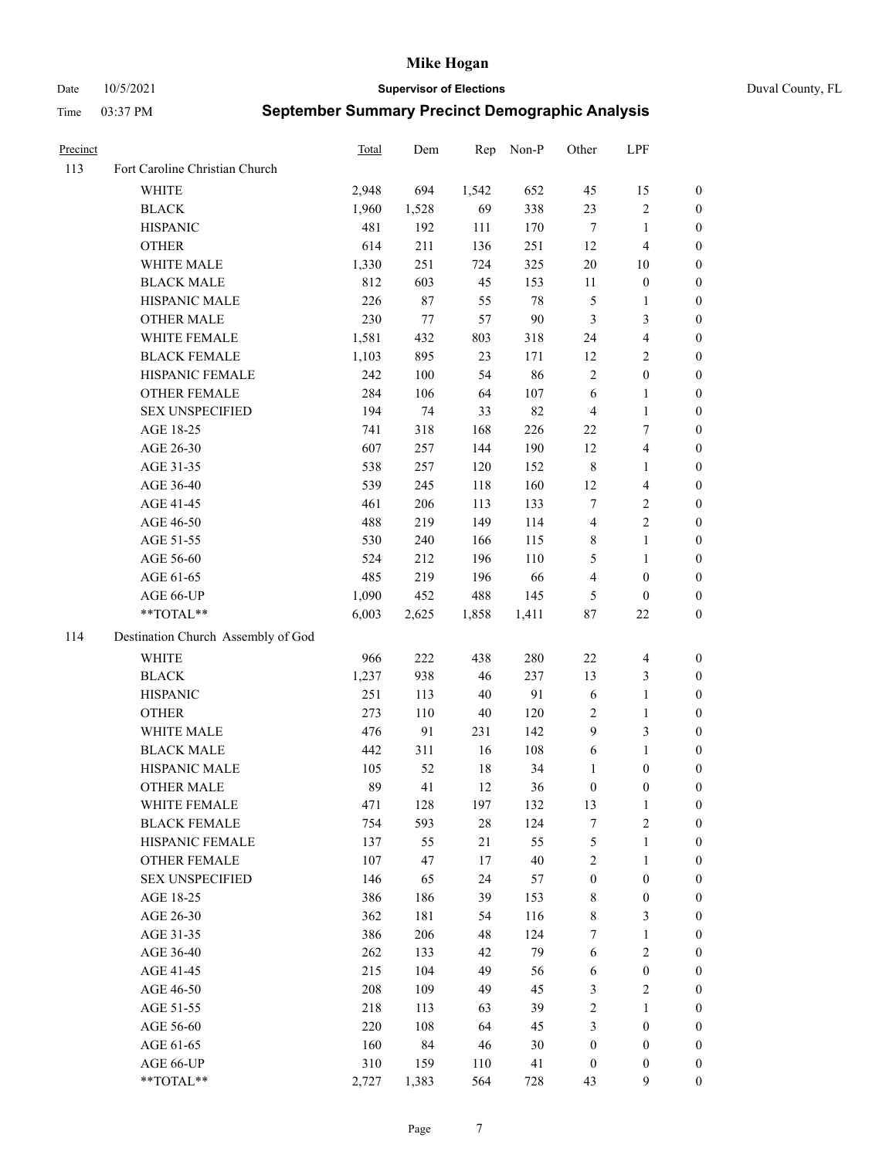Date 10/5/2021 **Supervisor of Elections** Duval County, FL

| Precinct |                                    | <b>Total</b> | Dem   | Rep    | Non-P  | Other            | LPF                     |                  |
|----------|------------------------------------|--------------|-------|--------|--------|------------------|-------------------------|------------------|
| 113      | Fort Caroline Christian Church     |              |       |        |        |                  |                         |                  |
|          | <b>WHITE</b>                       | 2,948        | 694   | 1,542  | 652    | 45               | 15                      | 0                |
|          | <b>BLACK</b>                       | 1,960        | 1,528 | 69     | 338    | 23               | $\sqrt{2}$              | 0                |
|          | <b>HISPANIC</b>                    | 481          | 192   | 111    | 170    | $\tau$           | $\mathbf{1}$            | $\boldsymbol{0}$ |
|          | <b>OTHER</b>                       | 614          | 211   | 136    | 251    | 12               | $\overline{\mathbf{4}}$ | $\boldsymbol{0}$ |
|          | WHITE MALE                         | 1,330        | 251   | 724    | 325    | $20\,$           | 10                      | $\boldsymbol{0}$ |
|          | <b>BLACK MALE</b>                  | 812          | 603   | 45     | 153    | 11               | $\boldsymbol{0}$        | $\boldsymbol{0}$ |
|          | HISPANIC MALE                      | 226          | 87    | 55     | 78     | 5                | $\mathbf{1}$            | $\boldsymbol{0}$ |
|          | <b>OTHER MALE</b>                  | 230          | 77    | 57     | $90\,$ | 3                | $\mathfrak{Z}$          | $\boldsymbol{0}$ |
|          | WHITE FEMALE                       | 1,581        | 432   | 803    | 318    | 24               | $\overline{\mathbf{4}}$ | $\boldsymbol{0}$ |
|          | <b>BLACK FEMALE</b>                | 1,103        | 895   | 23     | 171    | 12               | $\sqrt{2}$              | 0                |
|          | HISPANIC FEMALE                    | 242          | 100   | 54     | 86     | $\sqrt{2}$       | $\boldsymbol{0}$        | 0                |
|          | OTHER FEMALE                       | 284          | 106   | 64     | 107    | $\sqrt{6}$       | $\mathbf{1}$            | 0                |
|          | <b>SEX UNSPECIFIED</b>             | 194          | 74    | 33     | 82     | $\overline{4}$   | $\mathbf{1}$            | $\boldsymbol{0}$ |
|          | AGE 18-25                          | 741          | 318   | 168    | 226    | 22               | $\tau$                  | $\boldsymbol{0}$ |
|          | AGE 26-30                          | 607          | 257   | 144    | 190    | 12               | $\overline{\mathbf{4}}$ | $\boldsymbol{0}$ |
|          | AGE 31-35                          | 538          | 257   | 120    | 152    | $\,$ $\,$        | $\mathbf{1}$            | $\boldsymbol{0}$ |
|          | AGE 36-40                          | 539          | 245   | 118    | 160    | 12               | $\overline{\mathbf{4}}$ | $\boldsymbol{0}$ |
|          | AGE 41-45                          | 461          | 206   | 113    | 133    | $\tau$           | $\sqrt{2}$              | $\overline{0}$   |
|          | AGE 46-50                          | 488          | 219   | 149    | 114    | $\overline{4}$   | $\overline{2}$          | $\boldsymbol{0}$ |
|          | AGE 51-55                          | 530          | 240   | 166    | 115    | 8                | $\mathbf{1}$            | 0                |
|          | AGE 56-60                          | 524          | 212   | 196    | 110    | 5                | $\mathbf{1}$            | 0                |
|          | AGE 61-65                          | 485          | 219   | 196    | 66     | 4                | $\boldsymbol{0}$        | 0                |
|          | AGE 66-UP                          | 1,090        | 452   | 488    | 145    | 5                | $\boldsymbol{0}$        | $\boldsymbol{0}$ |
|          | **TOTAL**                          | 6,003        | 2,625 | 1,858  | 1,411  | $87\,$           | $22\,$                  | $\boldsymbol{0}$ |
| 114      | Destination Church Assembly of God |              |       |        |        |                  |                         |                  |
|          | <b>WHITE</b>                       | 966          | 222   | 438    | 280    | $22\,$           | $\overline{\mathbf{4}}$ | $\boldsymbol{0}$ |
|          | <b>BLACK</b>                       | 1,237        | 938   | 46     | 237    | 13               | $\mathfrak{Z}$          | $\boldsymbol{0}$ |
|          | <b>HISPANIC</b>                    | 251          | 113   | $40\,$ | 91     | 6                | $\mathbf{1}$            | $\boldsymbol{0}$ |
|          | <b>OTHER</b>                       | 273          | 110   | 40     | 120    | 2                | $\mathbf{1}$            | $\boldsymbol{0}$ |
|          | WHITE MALE                         | 476          | 91    | 231    | 142    | 9                | 3                       | $\boldsymbol{0}$ |
|          | <b>BLACK MALE</b>                  | 442          | 311   | 16     | 108    | $\sqrt{6}$       | $\mathbf{1}$            | $\boldsymbol{0}$ |
|          | HISPANIC MALE                      | 105          | 52    | 18     | 34     | 1                | $\boldsymbol{0}$        | 0                |
|          | <b>OTHER MALE</b>                  | 89           | 41    | 12     | 36     | $\boldsymbol{0}$ | $\boldsymbol{0}$        | $\boldsymbol{0}$ |
|          | WHITE FEMALE                       | 471          | 128   | 197    | 132    | 13               | 1                       | 0                |
|          | <b>BLACK FEMALE</b>                | 754          | 593   | 28     | 124    | 7                | $\sqrt{2}$              | $\overline{0}$   |
|          | HISPANIC FEMALE                    | 137          | 55    | 21     | 55     | 5                | $\mathbf{1}$            | $\overline{0}$   |
|          | OTHER FEMALE                       | 107          | 47    | 17     | $40\,$ | 2                | $\mathbf{1}$            | $\overline{0}$   |
|          | <b>SEX UNSPECIFIED</b>             | 146          | 65    | 24     | 57     | $\boldsymbol{0}$ | $\boldsymbol{0}$        | 0                |
|          | AGE 18-25                          | 386          | 186   | 39     | 153    | 8                | $\boldsymbol{0}$        | 0                |
|          | AGE 26-30                          | 362          | 181   | 54     | 116    | 8                | 3                       | 0                |
|          | AGE 31-35                          | 386          | 206   | 48     | 124    | 7                | $\mathbf{1}$            | 0                |
|          | AGE 36-40                          | 262          | 133   | 42     | 79     | 6                | $\sqrt{2}$              | 0                |
|          | AGE 41-45                          | 215          | 104   | 49     | 56     | 6                | $\boldsymbol{0}$        | 0                |
|          | AGE 46-50                          | 208          | 109   | 49     | 45     | 3                | $\sqrt{2}$              | 0                |
|          | AGE 51-55                          | 218          | 113   | 63     | 39     | 2                | $\mathbf{1}$            | 0                |
|          | AGE 56-60                          | 220          | 108   | 64     | 45     | 3                | $\boldsymbol{0}$        | 0                |
|          | AGE 61-65                          | 160          | 84    | 46     | 30     | $\boldsymbol{0}$ | $\boldsymbol{0}$        | $\overline{0}$   |
|          | AGE 66-UP                          | 310          | 159   | 110    | 41     | $\boldsymbol{0}$ | $\boldsymbol{0}$        | 0                |
|          | **TOTAL**                          | 2,727        | 1,383 | 564    | 728    | 43               | 9                       | $\boldsymbol{0}$ |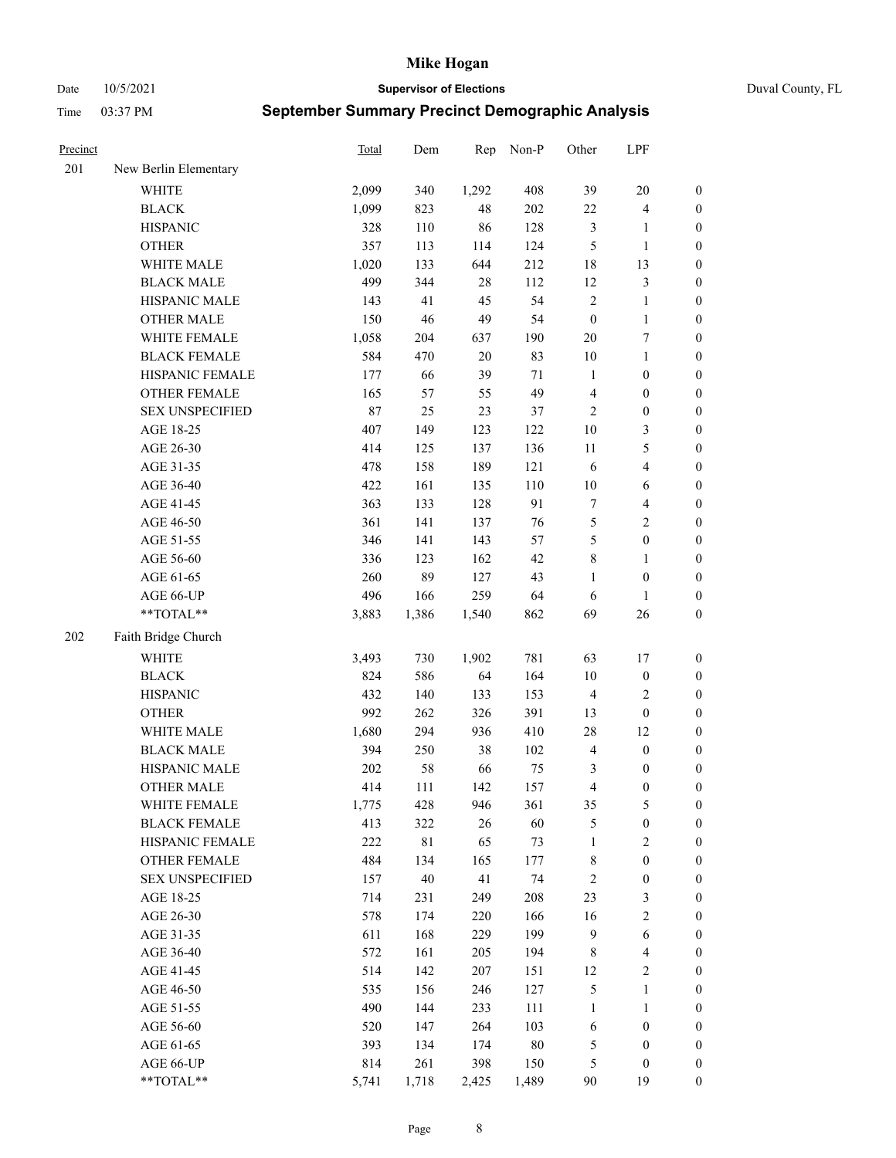Date 10/5/2021 **Supervisor of Elections** Duval County, FL

| Precinct |                        | Total      | Dem         | Rep        | Non-P      | Other                | LPF                                   |                  |
|----------|------------------------|------------|-------------|------------|------------|----------------------|---------------------------------------|------------------|
| 201      | New Berlin Elementary  |            |             |            |            |                      |                                       |                  |
|          | <b>WHITE</b>           | 2,099      | 340         | 1,292      | 408        | 39                   | $20\,$                                | 0                |
|          | <b>BLACK</b>           | 1,099      | 823         | 48         | 202        | $22\,$               | $\overline{\mathbf{4}}$               | 0                |
|          | <b>HISPANIC</b>        | 328        | 110         | 86         | 128        | 3                    | $\mathbf{1}$                          | $\boldsymbol{0}$ |
|          | <b>OTHER</b>           | 357        | 113         | 114        | 124        | 5                    | $\mathbf{1}$                          | $\boldsymbol{0}$ |
|          | WHITE MALE             | 1,020      | 133         | 644        | 212        | 18                   | 13                                    | $\boldsymbol{0}$ |
|          | <b>BLACK MALE</b>      | 499        | 344         | 28         | 112        | 12                   | $\mathfrak{Z}$                        | $\boldsymbol{0}$ |
|          | HISPANIC MALE          | 143        | 41          | 45         | 54         | $\sqrt{2}$           | $\mathbf{1}$                          | $\boldsymbol{0}$ |
|          | <b>OTHER MALE</b>      | 150        | 46          | 49         | 54         | $\boldsymbol{0}$     | $\mathbf{1}$                          | $\boldsymbol{0}$ |
|          | WHITE FEMALE           | 1,058      | 204         | 637        | 190        | $20\,$               | $\boldsymbol{7}$                      | $\boldsymbol{0}$ |
|          | <b>BLACK FEMALE</b>    | 584        | 470         | 20         | 83         | 10                   | $\mathbf{1}$                          | $\boldsymbol{0}$ |
|          | HISPANIC FEMALE        | 177        | 66          | 39         | 71         | $\mathbf{1}$         | $\boldsymbol{0}$                      | 0                |
|          | OTHER FEMALE           | 165        | 57          | 55         | 49         | 4                    | $\boldsymbol{0}$                      | $\boldsymbol{0}$ |
|          | <b>SEX UNSPECIFIED</b> | $87\,$     | 25          | 23         | 37         | $\sqrt{2}$           | $\boldsymbol{0}$                      | $\boldsymbol{0}$ |
|          | AGE 18-25              | 407        | 149         | 123        | 122        | $10\,$               | $\mathfrak{Z}$                        | $\boldsymbol{0}$ |
|          | AGE 26-30              | 414        | 125         | 137        | 136        | 11                   | $\mathfrak{S}$                        | $\boldsymbol{0}$ |
|          | AGE 31-35              | 478        | 158         | 189        | 121        | 6                    | $\overline{\mathbf{4}}$               | $\boldsymbol{0}$ |
|          | AGE 36-40              | 422        | 161         | 135        | 110        | $10\,$               | 6                                     | $\boldsymbol{0}$ |
|          | AGE 41-45              | 363        | 133         | 128        | 91         | $\boldsymbol{7}$     | $\overline{\mathbf{4}}$               | $\boldsymbol{0}$ |
|          | AGE 46-50              | 361        | 141         | 137        | 76         | 5                    | $\overline{2}$                        | $\boldsymbol{0}$ |
|          | AGE 51-55              | 346        | 141         | 143        | 57         | 5                    | $\boldsymbol{0}$                      | $\boldsymbol{0}$ |
|          | AGE 56-60              | 336        | 123         | 162        | 42         | $\,$ $\,$            | $\mathbf{1}$                          | 0                |
|          | AGE 61-65              | 260        | 89          | 127        | 43         | 1                    | $\boldsymbol{0}$                      | $\boldsymbol{0}$ |
|          | AGE 66-UP              | 496        | 166         | 259        | 64         | 6                    | $\mathbf{1}$                          | $\boldsymbol{0}$ |
|          | **TOTAL**              | 3,883      | 1,386       | 1,540      | 862        | 69                   | $26\,$                                | $\boldsymbol{0}$ |
| 202      | Faith Bridge Church    |            |             |            |            |                      |                                       |                  |
|          |                        |            |             |            |            |                      |                                       |                  |
|          | <b>WHITE</b>           | 3,493      | 730         | 1,902      | 781        | 63                   | 17                                    | $\boldsymbol{0}$ |
|          | <b>BLACK</b>           | 824        | 586         | 64         | 164        | 10                   | $\boldsymbol{0}$                      | $\boldsymbol{0}$ |
|          | <b>HISPANIC</b>        | 432        | 140         | 133        | 153        | $\overline{4}$       | $\sqrt{2}$                            | $\boldsymbol{0}$ |
|          | <b>OTHER</b>           | 992        | 262         | 326        | 391        | 13                   | $\boldsymbol{0}$                      | $\boldsymbol{0}$ |
|          | WHITE MALE             | 1,680      | 294         | 936        | 410        | 28                   | 12                                    | $\boldsymbol{0}$ |
|          | <b>BLACK MALE</b>      | 394        | 250         | 38         | 102        | 4                    | $\boldsymbol{0}$                      | $\boldsymbol{0}$ |
|          | HISPANIC MALE          | $202\,$    | 58          | 66         | 75         | 3                    | $\boldsymbol{0}$                      | 0                |
|          | <b>OTHER MALE</b>      | 414        | 111         | 142        | 157        | 4                    | $\boldsymbol{0}$                      | $\boldsymbol{0}$ |
|          | WHITE FEMALE           | 1,775      | 428         | 946        | 361        | 35                   | 5                                     | 0                |
|          | <b>BLACK FEMALE</b>    | 413        | 322         | 26         | 60         | 5                    | $\boldsymbol{0}$                      | $\boldsymbol{0}$ |
|          | HISPANIC FEMALE        | 222        | $8\sqrt{1}$ | 65         | 73         | $\mathbf{1}$         | $\sqrt{2}$                            | $\overline{0}$   |
|          | OTHER FEMALE           | 484        | 134         | 165        | 177        | 8                    | $\boldsymbol{0}$                      | $\overline{0}$   |
|          | <b>SEX UNSPECIFIED</b> | 157        | $40\,$      | 41         | 74         | $\overline{c}$       | $\boldsymbol{0}$                      | 0                |
|          | AGE 18-25              | 714        | 231         | 249        | 208        | 23                   | $\mathfrak{Z}$                        | $\overline{0}$   |
|          | AGE 26-30              | 578        | 174         | 220        | 166<br>199 | 16<br>$\overline{9}$ | $\sqrt{2}$                            | 0                |
|          | AGE 31-35              | 611        | 168         | 229        |            |                      | 6                                     | 0                |
|          | AGE 36-40              | 572<br>514 | 161<br>142  | 205<br>207 | 194        | $\,$ 8 $\,$<br>12    | $\overline{\mathbf{4}}$<br>$\sqrt{2}$ | 0                |
|          | AGE 41-45              |            |             |            | 151        |                      |                                       | 0                |
|          | AGE 46-50              | 535        | 156         | 246        | 127        | 5                    | $\mathbf{1}$                          | 0                |
|          | AGE 51-55              | 490        | 144         | 233        | 111        | $\mathbf{1}$         | $\mathbf{1}$                          | 0                |
|          | AGE 56-60              | 520        | 147         | 264        | 103        | 6                    | $\boldsymbol{0}$                      | $\boldsymbol{0}$ |
|          | AGE 61-65              | 393        | 134         | 174        | $80\,$     | 5                    | $\boldsymbol{0}$                      | $\boldsymbol{0}$ |
|          | AGE 66-UP              | 814        | 261         | 398        | 150        | 5                    | $\boldsymbol{0}$                      | 0                |
|          | **TOTAL**              | 5,741      | 1,718       | 2,425      | 1,489      | 90                   | 19                                    | $\boldsymbol{0}$ |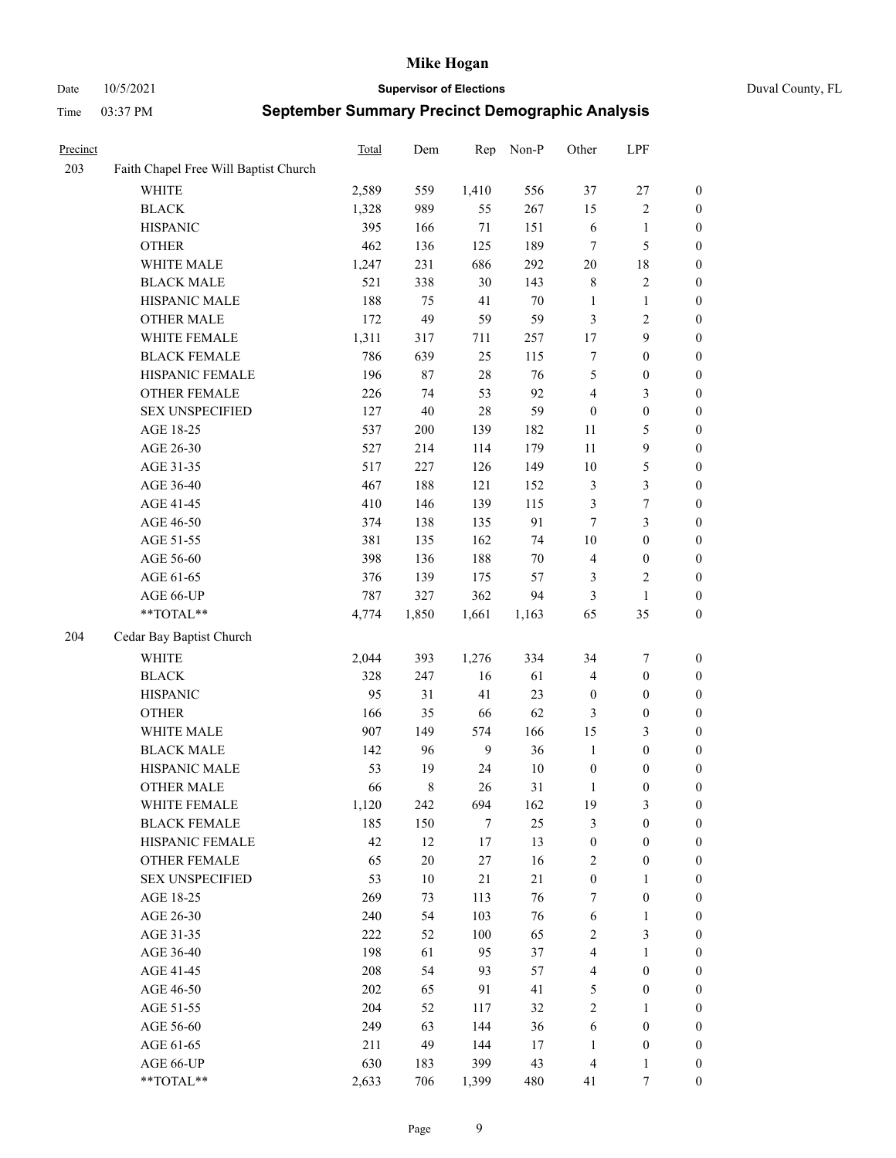Date 10/5/2021 **Supervisor of Elections** Duval County, FL

| Precinct |                                       | Total | Dem    | Rep            | Non-P  | Other                   | LPF              |                  |
|----------|---------------------------------------|-------|--------|----------------|--------|-------------------------|------------------|------------------|
| 203      | Faith Chapel Free Will Baptist Church |       |        |                |        |                         |                  |                  |
|          | <b>WHITE</b>                          | 2,589 | 559    | 1,410          | 556    | 37                      | $27\,$           | $\boldsymbol{0}$ |
|          | <b>BLACK</b>                          | 1,328 | 989    | 55             | 267    | 15                      | $\sqrt{2}$       | $\boldsymbol{0}$ |
|          | <b>HISPANIC</b>                       | 395   | 166    | $71\,$         | 151    | 6                       | $\mathbf{1}$     | $\boldsymbol{0}$ |
|          | <b>OTHER</b>                          | 462   | 136    | 125            | 189    | 7                       | $\mathfrak{S}$   | $\boldsymbol{0}$ |
|          | WHITE MALE                            | 1,247 | 231    | 686            | 292    | 20                      | 18               | $\boldsymbol{0}$ |
|          | <b>BLACK MALE</b>                     | 521   | 338    | 30             | 143    | $\,$ 8 $\,$             | $\sqrt{2}$       | $\boldsymbol{0}$ |
|          | HISPANIC MALE                         | 188   | 75     | 41             | 70     | $\mathbf{1}$            | $\mathbf{1}$     | $\boldsymbol{0}$ |
|          | <b>OTHER MALE</b>                     | 172   | 49     | 59             | 59     | 3                       | $\mathfrak{2}$   | $\boldsymbol{0}$ |
|          | WHITE FEMALE                          | 1,311 | 317    | 711            | 257    | 17                      | $\boldsymbol{9}$ | $\boldsymbol{0}$ |
|          | <b>BLACK FEMALE</b>                   | 786   | 639    | 25             | 115    | $\tau$                  | $\boldsymbol{0}$ | 0                |
|          | HISPANIC FEMALE                       | 196   | 87     | $28\,$         | 76     | $\mathfrak s$           | $\boldsymbol{0}$ | $\boldsymbol{0}$ |
|          | OTHER FEMALE                          | 226   | 74     | 53             | 92     | 4                       | $\mathfrak{Z}$   | $\boldsymbol{0}$ |
|          | <b>SEX UNSPECIFIED</b>                | 127   | 40     | 28             | 59     | $\boldsymbol{0}$        | $\boldsymbol{0}$ | $\boldsymbol{0}$ |
|          | AGE 18-25                             | 537   | 200    | 139            | 182    | $11\,$                  | $\mathfrak{S}$   | $\boldsymbol{0}$ |
|          | AGE 26-30                             | 527   | 214    | 114            | 179    | 11                      | $\boldsymbol{9}$ | $\boldsymbol{0}$ |
|          | AGE 31-35                             | 517   | 227    | 126            | 149    | 10                      | $\mathfrak s$    | $\boldsymbol{0}$ |
|          | AGE 36-40                             | 467   | 188    | 121            | 152    | 3                       | $\mathfrak{Z}$   | $\boldsymbol{0}$ |
|          | AGE 41-45                             | 410   | 146    | 139            | 115    | 3                       | $\boldsymbol{7}$ | $\boldsymbol{0}$ |
|          | AGE 46-50                             | 374   | 138    | 135            | 91     | $\tau$                  | $\mathfrak{Z}$   | $\boldsymbol{0}$ |
|          | AGE 51-55                             | 381   | 135    | 162            | 74     | $10\,$                  | $\boldsymbol{0}$ | 0                |
|          | AGE 56-60                             | 398   | 136    | 188            | $70\,$ | 4                       | $\boldsymbol{0}$ | 0                |
|          | AGE 61-65                             | 376   | 139    | 175            | 57     | 3                       | $\sqrt{2}$       | $\boldsymbol{0}$ |
|          | AGE 66-UP                             | 787   | 327    | 362            | 94     | 3                       | $\mathbf{1}$     | $\boldsymbol{0}$ |
|          | $**TOTAL**$                           | 4,774 | 1,850  | 1,661          | 1,163  | 65                      | 35               | $\boldsymbol{0}$ |
| 204      | Cedar Bay Baptist Church              |       |        |                |        |                         |                  |                  |
|          | <b>WHITE</b>                          | 2,044 | 393    | 1,276          | 334    | 34                      | 7                | $\boldsymbol{0}$ |
|          | <b>BLACK</b>                          | 328   | 247    | 16             | 61     | 4                       | $\boldsymbol{0}$ | $\boldsymbol{0}$ |
|          | <b>HISPANIC</b>                       | 95    | 31     | 41             | 23     | $\boldsymbol{0}$        | $\boldsymbol{0}$ | $\boldsymbol{0}$ |
|          | <b>OTHER</b>                          | 166   | 35     | 66             | 62     | 3                       | $\boldsymbol{0}$ | $\boldsymbol{0}$ |
|          | WHITE MALE                            | 907   | 149    | 574            | 166    | 15                      | $\mathfrak{Z}$   | $\boldsymbol{0}$ |
|          | <b>BLACK MALE</b>                     | 142   | 96     | $\overline{9}$ | 36     | $\mathbf{1}$            | $\boldsymbol{0}$ | $\boldsymbol{0}$ |
|          | HISPANIC MALE                         | 53    | 19     | 24             | $10\,$ | $\boldsymbol{0}$        | $\boldsymbol{0}$ | 0                |
|          | <b>OTHER MALE</b>                     | 66    | 8      | 26             | 31     | $\mathbf{1}$            | $\boldsymbol{0}$ | $\boldsymbol{0}$ |
|          | WHITE FEMALE                          | 1,120 | 242    | 694            | 162    | 19                      | 3                | $\overline{0}$   |
|          | <b>BLACK FEMALE</b>                   | 185   | 150    | $\tau$         | 25     | 3                       | $\boldsymbol{0}$ | $\overline{0}$   |
|          | HISPANIC FEMALE                       | 42    | 12     | $17\,$         | 13     | $\boldsymbol{0}$        | $\boldsymbol{0}$ | $\overline{0}$   |
|          | <b>OTHER FEMALE</b>                   | 65    | $20\,$ | $27\,$         | 16     | $\overline{c}$          | $\boldsymbol{0}$ | 0                |
|          | <b>SEX UNSPECIFIED</b>                | 53    | $10\,$ | 21             | $21\,$ | $\boldsymbol{0}$        | $\mathbf{1}$     | 0                |
|          | AGE 18-25                             | 269   | 73     | 113            | 76     | 7                       | $\boldsymbol{0}$ | 0                |
|          | AGE 26-30                             | 240   | 54     | 103            | 76     | 6                       | $\mathbf{1}$     | 0                |
|          | AGE 31-35                             | 222   | 52     | 100            | 65     | $\sqrt{2}$              | $\mathfrak{Z}$   | 0                |
|          | AGE 36-40                             | 198   | 61     | 95             | 37     | $\overline{4}$          | $\mathbf{1}$     | 0                |
|          | AGE 41-45                             | 208   | 54     | 93             | 57     | $\overline{\mathbf{4}}$ | $\boldsymbol{0}$ | 0                |
|          | AGE 46-50                             | 202   | 65     | 91             | 41     | 5                       | $\boldsymbol{0}$ | 0                |
|          | AGE 51-55                             | 204   | 52     | 117            | 32     | $\sqrt{2}$              | $\mathbf{1}$     | $\boldsymbol{0}$ |
|          | AGE 56-60                             | 249   | 63     | 144            | 36     | 6                       | $\boldsymbol{0}$ | $\boldsymbol{0}$ |
|          | AGE 61-65                             | 211   | 49     | 144            | 17     | $\mathbf{1}$            | $\boldsymbol{0}$ | 0                |
|          | AGE 66-UP                             | 630   | 183    | 399            | 43     | $\overline{4}$          | $\mathbf{1}$     | 0                |
|          | **TOTAL**                             | 2,633 | 706    | 1,399          | 480    | 41                      | $\tau$           | $\overline{0}$   |
|          |                                       |       |        |                |        |                         |                  |                  |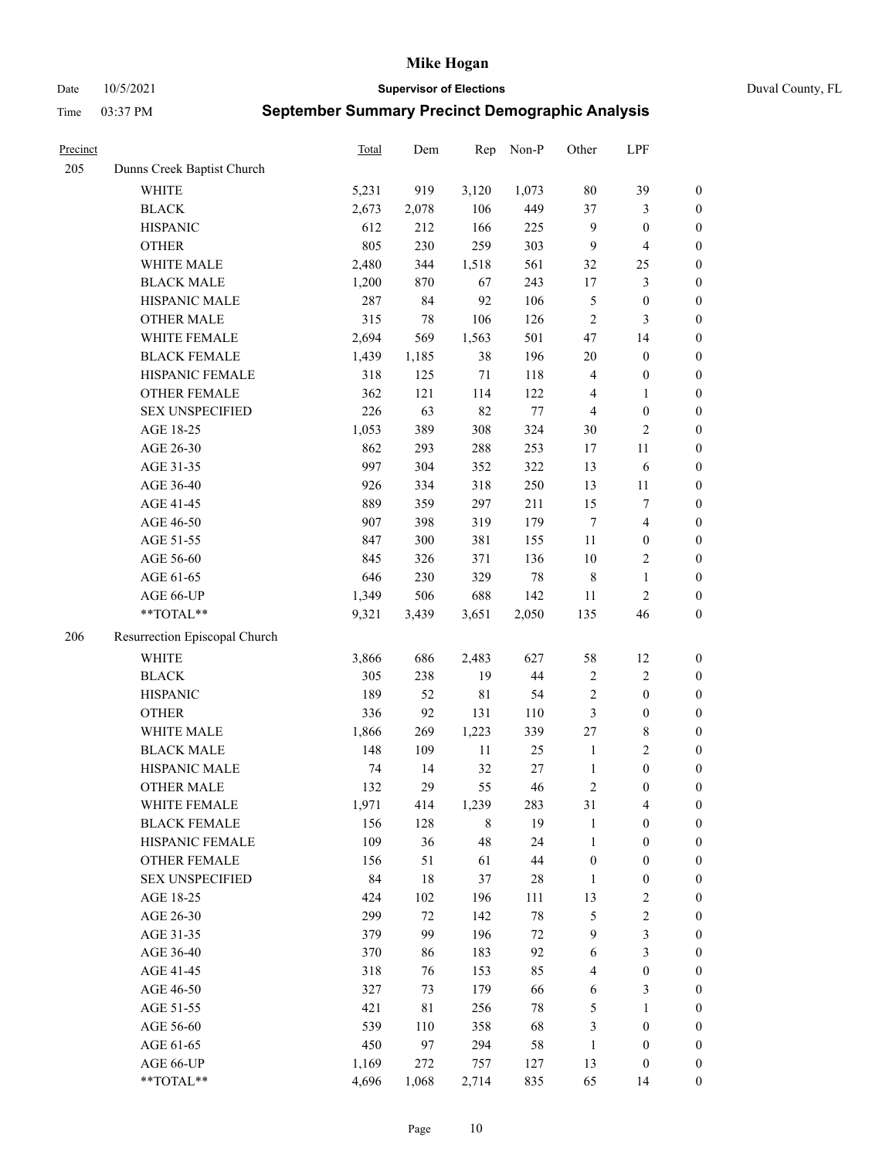Date 10/5/2021 **Supervisor of Elections** Duval County, FL

| Precinct |                               | <b>Total</b> | Dem    | Rep    | Non-P  | Other            | LPF                     |                  |
|----------|-------------------------------|--------------|--------|--------|--------|------------------|-------------------------|------------------|
| 205      | Dunns Creek Baptist Church    |              |        |        |        |                  |                         |                  |
|          | <b>WHITE</b>                  | 5,231        | 919    | 3,120  | 1,073  | $80\,$           | 39                      | $\boldsymbol{0}$ |
|          | <b>BLACK</b>                  | 2,673        | 2,078  | 106    | 449    | 37               | 3                       | $\boldsymbol{0}$ |
|          | <b>HISPANIC</b>               | 612          | 212    | 166    | 225    | 9                | $\boldsymbol{0}$        | $\boldsymbol{0}$ |
|          | <b>OTHER</b>                  | 805          | 230    | 259    | 303    | 9                | $\overline{\mathbf{4}}$ | $\boldsymbol{0}$ |
|          | WHITE MALE                    | 2,480        | 344    | 1,518  | 561    | 32               | 25                      | $\boldsymbol{0}$ |
|          | <b>BLACK MALE</b>             | 1,200        | 870    | 67     | 243    | 17               | $\mathfrak{Z}$          | $\boldsymbol{0}$ |
|          | HISPANIC MALE                 | 287          | 84     | 92     | 106    | 5                | $\boldsymbol{0}$        | $\boldsymbol{0}$ |
|          | <b>OTHER MALE</b>             | 315          | $78\,$ | 106    | 126    | $\mathbf{2}$     | 3                       | $\boldsymbol{0}$ |
|          | WHITE FEMALE                  | 2,694        | 569    | 1,563  | 501    | 47               | 14                      | $\boldsymbol{0}$ |
|          | <b>BLACK FEMALE</b>           | 1,439        | 1,185  | 38     | 196    | $20\,$           | $\boldsymbol{0}$        | $\boldsymbol{0}$ |
|          | HISPANIC FEMALE               | 318          | 125    | 71     | 118    | 4                | $\boldsymbol{0}$        | 0                |
|          | OTHER FEMALE                  | 362          | 121    | 114    | 122    | 4                | $\mathbf{1}$            | $\boldsymbol{0}$ |
|          | <b>SEX UNSPECIFIED</b>        | 226          | 63     | 82     | 77     | 4                | $\boldsymbol{0}$        | $\boldsymbol{0}$ |
|          | AGE 18-25                     | 1,053        | 389    | 308    | 324    | $30\,$           | $\sqrt{2}$              | $\boldsymbol{0}$ |
|          | AGE 26-30                     | 862          | 293    | 288    | 253    | 17               | $11\,$                  | $\boldsymbol{0}$ |
|          | AGE 31-35                     | 997          | 304    | 352    | 322    | 13               | 6                       | $\boldsymbol{0}$ |
|          | AGE 36-40                     | 926          | 334    | 318    | 250    | 13               | $11\,$                  | $\boldsymbol{0}$ |
|          | AGE 41-45                     | 889          | 359    | 297    | 211    | 15               | $\boldsymbol{7}$        | $\boldsymbol{0}$ |
|          | AGE 46-50                     | 907          | 398    | 319    | 179    | $\tau$           | $\overline{4}$          | $\boldsymbol{0}$ |
|          | AGE 51-55                     | 847          | 300    | 381    | 155    | 11               | $\boldsymbol{0}$        | $\boldsymbol{0}$ |
|          | AGE 56-60                     | 845          | 326    | 371    | 136    | $10\,$           | $\sqrt{2}$              | 0                |
|          | AGE 61-65                     | 646          | 230    | 329    | $78\,$ | $\,$ 8 $\,$      | $\mathbf{1}$            | $\boldsymbol{0}$ |
|          | AGE 66-UP                     | 1,349        | 506    | 688    | 142    | 11               | $\sqrt{2}$              | $\boldsymbol{0}$ |
|          | **TOTAL**                     | 9,321        | 3,439  | 3,651  | 2,050  | 135              | 46                      | $\boldsymbol{0}$ |
| 206      | Resurrection Episcopal Church |              |        |        |        |                  |                         |                  |
|          | <b>WHITE</b>                  | 3,866        | 686    | 2,483  | 627    | 58               | 12                      | $\boldsymbol{0}$ |
|          | <b>BLACK</b>                  | 305          | 238    | 19     | $44\,$ | $\sqrt{2}$       | $\sqrt{2}$              | $\boldsymbol{0}$ |
|          | <b>HISPANIC</b>               | 189          | 52     | 81     | 54     | 2                | $\boldsymbol{0}$        | $\boldsymbol{0}$ |
|          | <b>OTHER</b>                  | 336          | 92     | 131    | 110    | 3                | $\boldsymbol{0}$        | $\boldsymbol{0}$ |
|          | WHITE MALE                    | 1,866        | 269    | 1,223  | 339    | 27               | $8\,$                   | $\boldsymbol{0}$ |
|          | <b>BLACK MALE</b>             | 148          | 109    | $11\,$ | 25     | $\mathbf{1}$     | $\overline{2}$          | $\boldsymbol{0}$ |
|          | HISPANIC MALE                 | 74           | 14     | 32     | $27\,$ | $\mathbf{1}$     | $\boldsymbol{0}$        | $\boldsymbol{0}$ |
|          | <b>OTHER MALE</b>             | 132          | 29     | 55     | 46     | 2                | $\boldsymbol{0}$        | $\boldsymbol{0}$ |
|          | WHITE FEMALE                  | 1,971        | 414    | 1,239  | 283    | 31               | 4                       | 0                |
|          | <b>BLACK FEMALE</b>           | 156          | 128    | 8      | 19     | $\mathbf{1}$     | $\boldsymbol{0}$        | 0                |
|          | HISPANIC FEMALE               | 109          | 36     | 48     | 24     | $\mathbf{1}$     | $\boldsymbol{0}$        | 0                |
|          | OTHER FEMALE                  | 156          | 51     | 61     | $44\,$ | $\boldsymbol{0}$ | $\boldsymbol{0}$        | 0                |
|          | <b>SEX UNSPECIFIED</b>        | 84           | $18\,$ | 37     | $28\,$ | $\mathbf{1}$     | $\boldsymbol{0}$        | 0                |
|          | AGE 18-25                     | 424          | 102    | 196    | 111    | 13               | $\sqrt{2}$              | 0                |
|          | AGE 26-30                     | 299          | 72     | 142    | $78\,$ | 5                | $\sqrt{2}$              | 0                |
|          | AGE 31-35                     | 379          | 99     | 196    | $72\,$ | 9                | $\mathfrak{Z}$          | 0                |
|          | AGE 36-40                     | 370          | 86     | 183    | 92     | 6                | $\mathfrak{Z}$          | 0                |
|          | AGE 41-45                     | 318          | 76     | 153    | 85     | $\overline{4}$   | $\boldsymbol{0}$        | 0                |
|          | AGE 46-50                     | 327          | 73     | 179    | 66     | 6                | 3                       | 0                |
|          | AGE 51-55                     | 421          | 81     | 256    | 78     | 5                | $\mathbf{1}$            | 0                |
|          | AGE 56-60                     | 539          | 110    | 358    | 68     | 3                | $\boldsymbol{0}$        | 0                |
|          | AGE 61-65                     | 450          | 97     | 294    | 58     | $\mathbf{1}$     | $\boldsymbol{0}$        | 0                |
|          | AGE 66-UP                     | 1,169        | 272    | 757    | 127    | 13               | $\boldsymbol{0}$        | 0                |
|          | **TOTAL**                     | 4,696        | 1,068  | 2,714  | 835    | 65               | 14                      | $\boldsymbol{0}$ |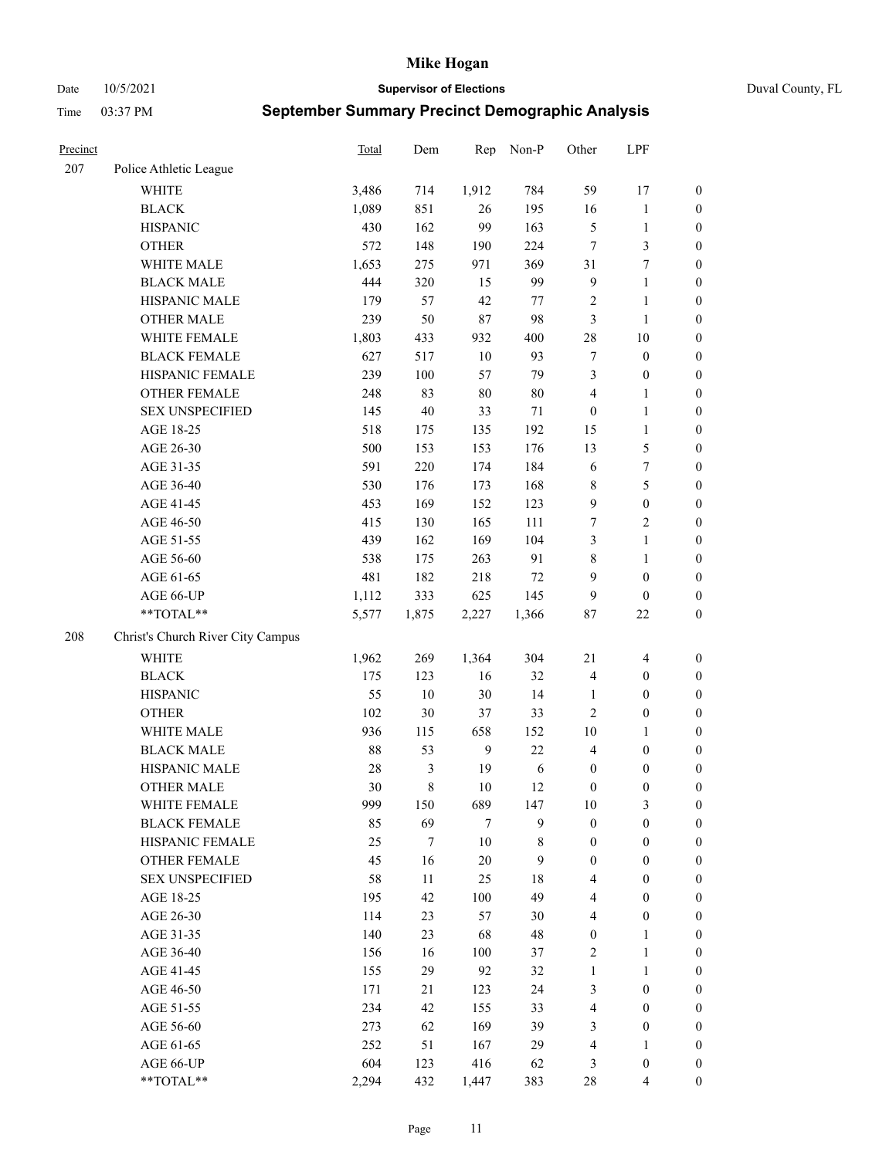Date 10/5/2021 **Supervisor of Elections** Duval County, FL

| Precinct |                                   | <b>Total</b> | Dem   | Rep            | Non-P      | Other            | LPF                     |                  |
|----------|-----------------------------------|--------------|-------|----------------|------------|------------------|-------------------------|------------------|
| 207      | Police Athletic League            |              |       |                |            |                  |                         |                  |
|          | <b>WHITE</b>                      | 3,486        | 714   | 1,912          | 784        | 59               | 17                      | 0                |
|          | <b>BLACK</b>                      | 1,089        | 851   | 26             | 195        | 16               | $\mathbf{1}$            | $\boldsymbol{0}$ |
|          | <b>HISPANIC</b>                   | 430          | 162   | 99             | 163        | $\mathfrak{S}$   | $\mathbf{1}$            | $\boldsymbol{0}$ |
|          | <b>OTHER</b>                      | 572          | 148   | 190            | 224        | $\tau$           | $\mathfrak{Z}$          | $\boldsymbol{0}$ |
|          | WHITE MALE                        | 1,653        | 275   | 971            | 369        | 31               | $\tau$                  | $\boldsymbol{0}$ |
|          | <b>BLACK MALE</b>                 | 444          | 320   | 15             | 99         | $\overline{9}$   | $\mathbf{1}$            | $\boldsymbol{0}$ |
|          | HISPANIC MALE                     | 179          | 57    | 42             | 77         | $\overline{c}$   | 1                       | $\boldsymbol{0}$ |
|          | <b>OTHER MALE</b>                 | 239          | 50    | $87\,$         | 98         | 3                | $\mathbf{1}$            | $\boldsymbol{0}$ |
|          | WHITE FEMALE                      | 1,803        | 433   | 932            | 400        | 28               | $10\,$                  | $\boldsymbol{0}$ |
|          | <b>BLACK FEMALE</b>               | 627          | 517   | 10             | 93         | 7                | $\boldsymbol{0}$        | $\boldsymbol{0}$ |
|          | HISPANIC FEMALE                   | 239          | 100   | 57             | 79         | 3                | $\boldsymbol{0}$        | 0                |
|          | <b>OTHER FEMALE</b>               | 248          | 83    | $80\,$         | $80\,$     | 4                | $\mathbf{1}$            | $\boldsymbol{0}$ |
|          | <b>SEX UNSPECIFIED</b>            | 145          | 40    | 33             | 71         | $\boldsymbol{0}$ | $\mathbf{1}$            | $\boldsymbol{0}$ |
|          | AGE 18-25                         | 518          | 175   | 135            | 192        | 15               | $\mathbf{1}$            | $\boldsymbol{0}$ |
|          | AGE 26-30                         | 500          | 153   | 153            | 176        | 13               | $\mathfrak{S}$          | $\boldsymbol{0}$ |
|          | AGE 31-35                         | 591          | 220   | 174            | 184        | 6                | $\boldsymbol{7}$        | $\boldsymbol{0}$ |
|          | AGE 36-40                         | 530          | 176   | 173            | 168        | 8                | $\mathfrak s$           | $\boldsymbol{0}$ |
|          | AGE 41-45                         | 453          | 169   | 152            | 123        | 9                | $\boldsymbol{0}$        | $\boldsymbol{0}$ |
|          | AGE 46-50                         | 415          | 130   | 165            | 111        | 7                | $\overline{c}$          | $\boldsymbol{0}$ |
|          | AGE 51-55                         | 439          | 162   | 169            | 104        | 3                | $\mathbf{1}$            | $\boldsymbol{0}$ |
|          | AGE 56-60                         | 538          | 175   | 263            | 91         | 8                | $\mathbf{1}$            | 0                |
|          | AGE 61-65                         | 481          | 182   | 218            | $72\,$     | 9                | $\boldsymbol{0}$        | $\boldsymbol{0}$ |
|          | AGE 66-UP                         | 1,112        | 333   | 625            | 145        | 9                | $\boldsymbol{0}$        | $\boldsymbol{0}$ |
|          | $**TOTAL**$                       | 5,577        | 1,875 | 2,227          | 1,366      | 87               | $22\,$                  | $\boldsymbol{0}$ |
| 208      | Christ's Church River City Campus |              |       |                |            |                  |                         |                  |
|          | <b>WHITE</b>                      | 1,962        | 269   | 1,364          | 304        | $21\,$           | $\overline{\mathbf{4}}$ | $\boldsymbol{0}$ |
|          | <b>BLACK</b>                      | 175          | 123   | 16             | 32         | 4                | $\boldsymbol{0}$        | $\boldsymbol{0}$ |
|          | <b>HISPANIC</b>                   | 55           | 10    | 30             | 14         | $\mathbf{1}$     | $\boldsymbol{0}$        | $\boldsymbol{0}$ |
|          | <b>OTHER</b>                      | 102          | 30    | 37             | 33         | $\overline{c}$   | $\boldsymbol{0}$        | $\boldsymbol{0}$ |
|          | WHITE MALE                        | 936          | 115   | 658            | 152        | 10               | $\mathbf{1}$            | $\boldsymbol{0}$ |
|          | <b>BLACK MALE</b>                 | 88           | 53    | 9              | 22         | $\overline{4}$   | $\boldsymbol{0}$        | $\boldsymbol{0}$ |
|          | HISPANIC MALE                     | 28           | 3     | 19             | $\sqrt{6}$ | $\boldsymbol{0}$ | $\boldsymbol{0}$        | $\boldsymbol{0}$ |
|          | <b>OTHER MALE</b>                 | 30           | 8     | 10             | 12         | $\boldsymbol{0}$ | $\boldsymbol{0}$        | $\boldsymbol{0}$ |
|          | WHITE FEMALE                      | 999          | 150   | 689            | 147        | 10               | 3                       | 0                |
|          | <b>BLACK FEMALE</b>               | 85           | 69    | $\overline{7}$ | 9          | $\boldsymbol{0}$ | $\boldsymbol{0}$        | $\boldsymbol{0}$ |
|          | HISPANIC FEMALE                   | 25           | 7     | $10\,$         | 8          | $\boldsymbol{0}$ | $\boldsymbol{0}$        | $\overline{0}$   |
|          | <b>OTHER FEMALE</b>               | 45           | 16    | $20\,$         | 9          | $\boldsymbol{0}$ | $\boldsymbol{0}$        | $\overline{0}$   |
|          | <b>SEX UNSPECIFIED</b>            | 58           | 11    | 25             | 18         | 4                | $\boldsymbol{0}$        | $\overline{0}$   |
|          | AGE 18-25                         | 195          | 42    | 100            | 49         | 4                | $\boldsymbol{0}$        | $\theta$         |
|          | AGE 26-30                         | 114          | 23    | 57             | 30         | 4                | $\boldsymbol{0}$        | 0                |
|          | AGE 31-35                         | 140          | 23    | 68             | 48         | $\boldsymbol{0}$ | $\mathbf{1}$            | 0                |
|          | AGE 36-40                         | 156          | 16    | 100            | 37         | 2                | $\mathbf{1}$            | 0                |
|          | AGE 41-45                         | 155          | 29    | 92             | 32         | $\mathbf{1}$     | $\mathbf{1}$            | 0                |
|          | AGE 46-50                         | 171          | 21    | 123            | 24         | 3                | $\boldsymbol{0}$        | 0                |
|          | AGE 51-55                         | 234          | 42    | 155            | 33         | 4                | $\boldsymbol{0}$        | $\overline{0}$   |
|          | AGE 56-60                         | 273          | 62    | 169            | 39         | 3                | $\boldsymbol{0}$        | $\overline{0}$   |
|          | AGE 61-65                         | 252          | 51    | 167            | 29         | 4                | $\mathbf{1}$            | $\overline{0}$   |
|          | AGE 66-UP                         | 604          | 123   | 416            | 62         | 3                | $\boldsymbol{0}$        | $\boldsymbol{0}$ |
|          | **TOTAL**                         | 2,294        | 432   | 1,447          | 383        | 28               | $\overline{4}$          | $\boldsymbol{0}$ |
|          |                                   |              |       |                |            |                  |                         |                  |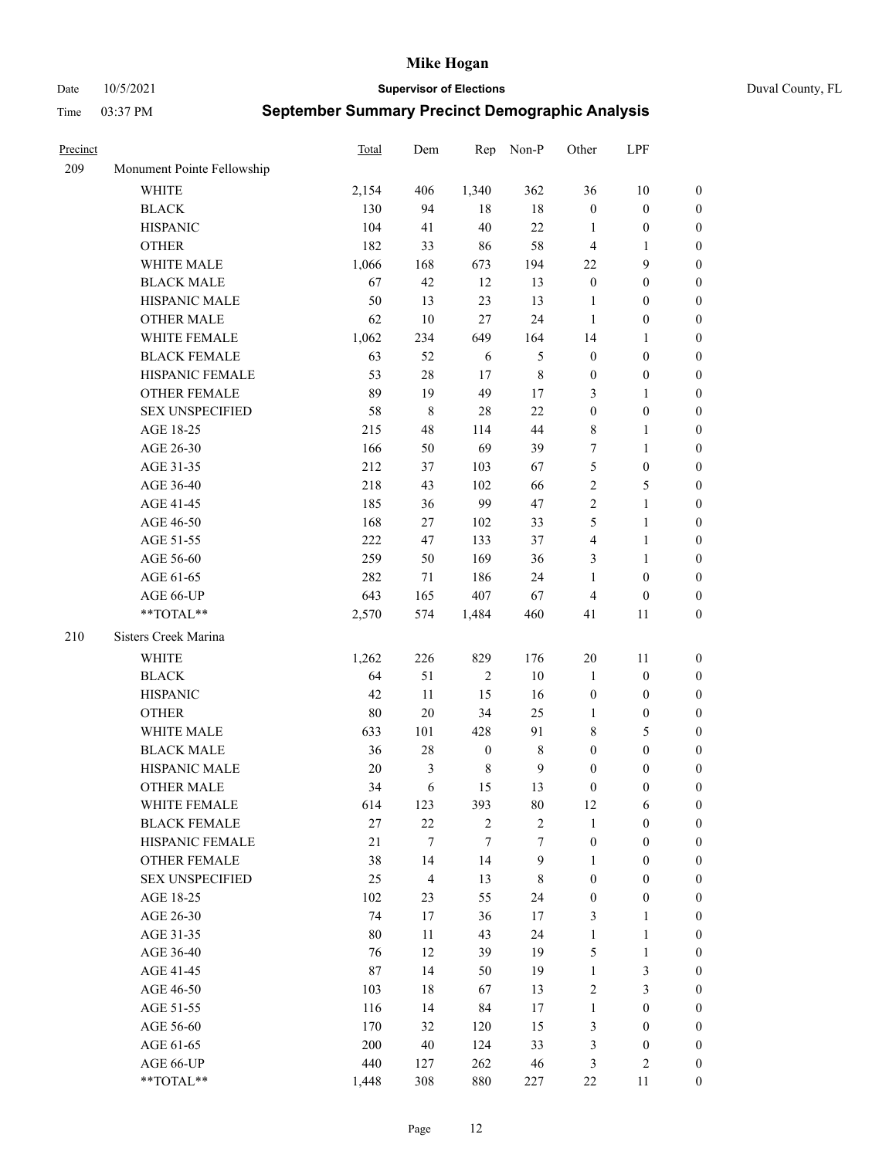Date 10/5/2021 **Supervisor of Elections** Duval County, FL

| Precinct |                            | Total | Dem    | Rep              | Non-P          | Other            | LPF              |                  |
|----------|----------------------------|-------|--------|------------------|----------------|------------------|------------------|------------------|
| 209      | Monument Pointe Fellowship |       |        |                  |                |                  |                  |                  |
|          | <b>WHITE</b>               | 2,154 | 406    | 1,340            | 362            | 36               | $10\,$           | 0                |
|          | <b>BLACK</b>               | 130   | 94     | 18               | $18\,$         | $\boldsymbol{0}$ | $\boldsymbol{0}$ | 0                |
|          | <b>HISPANIC</b>            | 104   | 41     | 40               | 22             | 1                | $\boldsymbol{0}$ | $\boldsymbol{0}$ |
|          | <b>OTHER</b>               | 182   | 33     | 86               | 58             | $\overline{4}$   | $\mathbf{1}$     | $\boldsymbol{0}$ |
|          | WHITE MALE                 | 1,066 | 168    | 673              | 194            | 22               | 9                | $\boldsymbol{0}$ |
|          | <b>BLACK MALE</b>          | 67    | 42     | 12               | 13             | $\boldsymbol{0}$ | $\boldsymbol{0}$ | $\boldsymbol{0}$ |
|          | HISPANIC MALE              | 50    | 13     | 23               | 13             | $\mathbf{1}$     | $\boldsymbol{0}$ | $\boldsymbol{0}$ |
|          | <b>OTHER MALE</b>          | 62    | 10     | 27               | 24             | $\mathbf{1}$     | $\boldsymbol{0}$ | $\boldsymbol{0}$ |
|          | WHITE FEMALE               | 1,062 | 234    | 649              | 164            | 14               | $\mathbf{1}$     | $\boldsymbol{0}$ |
|          | <b>BLACK FEMALE</b>        | 63    | 52     | 6                | 5              | $\boldsymbol{0}$ | $\boldsymbol{0}$ | 0                |
|          | HISPANIC FEMALE            | 53    | $28\,$ | 17               | $8\,$          | $\boldsymbol{0}$ | $\boldsymbol{0}$ | 0                |
|          | OTHER FEMALE               | 89    | 19     | 49               | 17             | 3                | $\mathbf{1}$     | 0                |
|          | <b>SEX UNSPECIFIED</b>     | 58    | 8      | 28               | 22             | $\boldsymbol{0}$ | $\boldsymbol{0}$ | $\boldsymbol{0}$ |
|          | AGE 18-25                  | 215   | 48     | 114              | 44             | 8                | $\mathbf{1}$     | $\boldsymbol{0}$ |
|          | AGE 26-30                  | 166   | 50     | 69               | 39             | 7                | $\mathbf{1}$     | $\boldsymbol{0}$ |
|          | AGE 31-35                  | 212   | 37     | 103              | 67             | 5                | $\boldsymbol{0}$ | $\boldsymbol{0}$ |
|          | AGE 36-40                  | 218   | 43     | 102              | 66             | 2                | $\mathfrak{S}$   | $\boldsymbol{0}$ |
|          | AGE 41-45                  | 185   | 36     | 99               | 47             | $\mathbf{2}$     | $\mathbf{1}$     | $\boldsymbol{0}$ |
|          | AGE 46-50                  | 168   | 27     | 102              | 33             | 5                | $\mathbf{1}$     | $\boldsymbol{0}$ |
|          | AGE 51-55                  | 222   | 47     | 133              | 37             | 4                | $\mathbf{1}$     | 0                |
|          | AGE 56-60                  | 259   | 50     | 169              | 36             | 3                | $\mathbf{1}$     | 0                |
|          | AGE 61-65                  | 282   | 71     | 186              | 24             | $\mathbf{1}$     | $\boldsymbol{0}$ | 0                |
|          | AGE 66-UP                  | 643   | 165    | 407              | 67             | $\overline{4}$   | $\boldsymbol{0}$ | $\boldsymbol{0}$ |
|          | $**TOTAL**$                | 2,570 | 574    | 1,484            | 460            | 41               | 11               | $\boldsymbol{0}$ |
| 210      | Sisters Creek Marina       |       |        |                  |                |                  |                  |                  |
|          | <b>WHITE</b>               | 1,262 | 226    | 829              | 176            | $20\,$           | 11               | $\boldsymbol{0}$ |
|          | <b>BLACK</b>               | 64    | 51     | $\sqrt{2}$       | $10\,$         | $\mathbf{1}$     | $\boldsymbol{0}$ | $\boldsymbol{0}$ |
|          | <b>HISPANIC</b>            | 42    | 11     | 15               | 16             | $\boldsymbol{0}$ | $\boldsymbol{0}$ | $\boldsymbol{0}$ |
|          | <b>OTHER</b>               | 80    | $20\,$ | 34               | 25             | $\mathbf{1}$     | $\boldsymbol{0}$ | $\boldsymbol{0}$ |
|          | WHITE MALE                 | 633   | 101    | 428              | 91             | 8                | $\mathfrak{S}$   | $\boldsymbol{0}$ |
|          | <b>BLACK MALE</b>          | 36    | 28     | $\boldsymbol{0}$ | $8\,$          | $\boldsymbol{0}$ | $\boldsymbol{0}$ | $\boldsymbol{0}$ |
|          | HISPANIC MALE              | 20    | 3      | $\,$ 8 $\,$      | $\mathbf{9}$   | $\boldsymbol{0}$ | $\boldsymbol{0}$ | 0                |
|          | <b>OTHER MALE</b>          | 34    | 6      | 15               | 13             | $\boldsymbol{0}$ | $\boldsymbol{0}$ | $\boldsymbol{0}$ |
|          | WHITE FEMALE               | 614   | 123    | 393              | 80             | 12               | 6                | 0                |
|          | <b>BLACK FEMALE</b>        | 27    | 22     | $\overline{2}$   | $\overline{c}$ | $\mathbf{1}$     | $\boldsymbol{0}$ | $\overline{0}$   |
|          | HISPANIC FEMALE            | 21    | $\tau$ | 7                | 7              | $\boldsymbol{0}$ | $\boldsymbol{0}$ | $\overline{0}$   |
|          | <b>OTHER FEMALE</b>        | 38    | 14     | 14               | 9              | $\mathbf{1}$     | $\boldsymbol{0}$ | $\overline{0}$   |
|          | <b>SEX UNSPECIFIED</b>     | 25    | 4      | 13               | $\,$ 8 $\,$    | $\boldsymbol{0}$ | $\boldsymbol{0}$ | 0                |
|          | AGE 18-25                  | 102   | 23     | 55               | 24             | $\boldsymbol{0}$ | $\boldsymbol{0}$ | $\theta$         |
|          | AGE 26-30                  | 74    | 17     | 36               | 17             | 3                | $\mathbf{1}$     | 0                |
|          | AGE 31-35                  | 80    | 11     | 43               | 24             | $\mathbf{1}$     | $\mathbf{1}$     | 0                |
|          | AGE 36-40                  | 76    | 12     | 39               | 19             | 5                | $\mathbf{1}$     | 0                |
|          | AGE 41-45                  | 87    | 14     | 50               | 19             | $\mathbf{1}$     | $\mathfrak{Z}$   | 0                |
|          | AGE 46-50                  | 103   | 18     | 67               | 13             | $\overline{c}$   | $\mathfrak{Z}$   | 0                |
|          | AGE 51-55                  | 116   | 14     | 84               | 17             | $\mathbf{1}$     | $\boldsymbol{0}$ | $\overline{0}$   |
|          | AGE 56-60                  | 170   | 32     | 120              | 15             | 3                | $\boldsymbol{0}$ | $\overline{0}$   |
|          | AGE 61-65                  | 200   | 40     | 124              | 33             | 3                | $\boldsymbol{0}$ | $\overline{0}$   |
|          | AGE 66-UP                  | 440   | 127    | 262              | 46             | 3                | $\mathfrak{2}$   | $\boldsymbol{0}$ |
|          | **TOTAL**                  | 1,448 | 308    | 880              | 227            | $22\,$           | 11               | $\boldsymbol{0}$ |
|          |                            |       |        |                  |                |                  |                  |                  |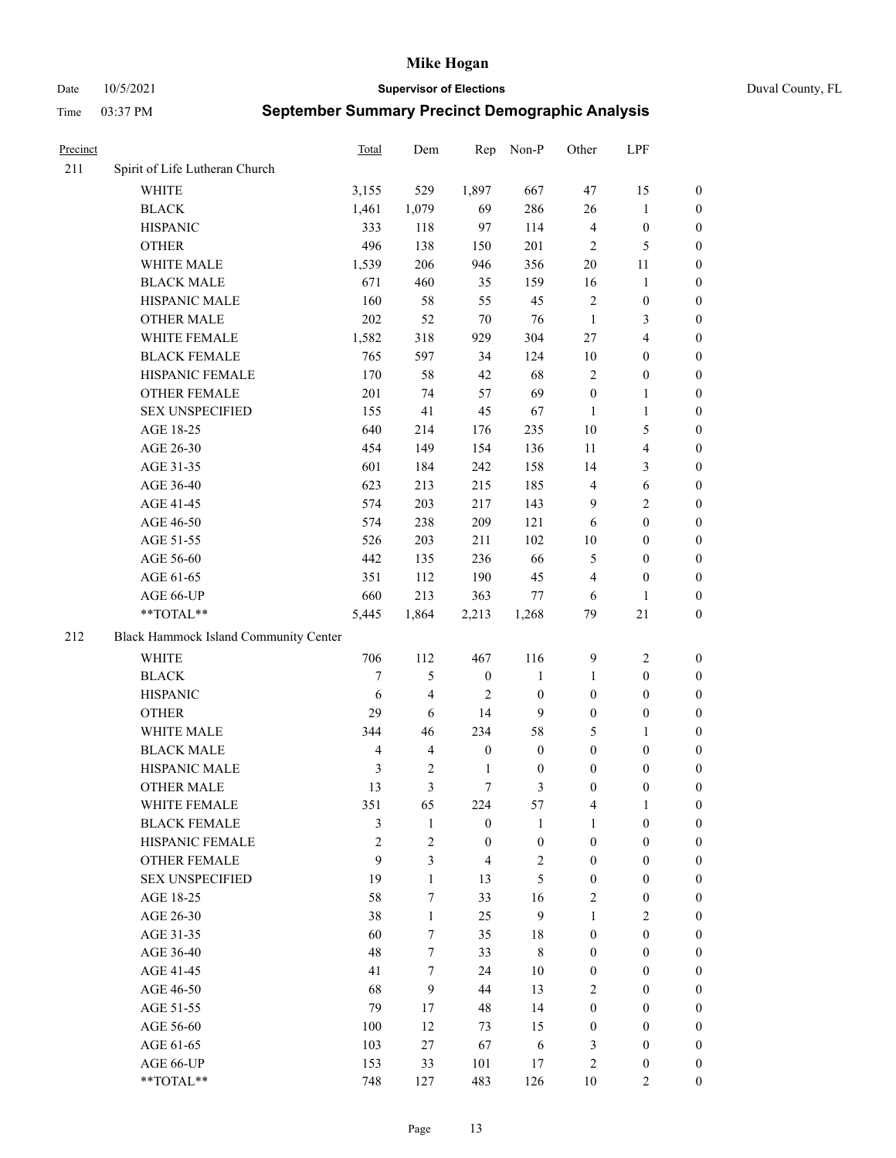Date 10/5/2021 **Supervisor of Elections** Duval County, FL

| Precinct |                                       | Total          | Dem                     | Rep              | Non-P            | Other            | LPF                     |                  |
|----------|---------------------------------------|----------------|-------------------------|------------------|------------------|------------------|-------------------------|------------------|
| 211      | Spirit of Life Lutheran Church        |                |                         |                  |                  |                  |                         |                  |
|          | <b>WHITE</b>                          | 3,155          | 529                     | 1,897            | 667              | 47               | 15                      | 0                |
|          | <b>BLACK</b>                          | 1,461          | 1,079                   | 69               | 286              | 26               | $\mathbf{1}$            | 0                |
|          | <b>HISPANIC</b>                       | 333            | 118                     | 97               | 114              | $\overline{4}$   | $\boldsymbol{0}$        | $\boldsymbol{0}$ |
|          | <b>OTHER</b>                          | 496            | 138                     | 150              | 201              | $\overline{2}$   | $\mathfrak{S}$          | $\boldsymbol{0}$ |
|          | WHITE MALE                            | 1,539          | 206                     | 946              | 356              | 20               | 11                      | $\boldsymbol{0}$ |
|          | <b>BLACK MALE</b>                     | 671            | 460                     | 35               | 159              | 16               | $\mathbf{1}$            | $\boldsymbol{0}$ |
|          | HISPANIC MALE                         | 160            | 58                      | 55               | 45               | $\overline{c}$   | $\boldsymbol{0}$        | $\boldsymbol{0}$ |
|          | <b>OTHER MALE</b>                     | 202            | 52                      | 70               | 76               | $\mathbf{1}$     | $\mathfrak{Z}$          | $\boldsymbol{0}$ |
|          | WHITE FEMALE                          | 1,582          | 318                     | 929              | 304              | 27               | $\overline{\mathbf{4}}$ | $\boldsymbol{0}$ |
|          | <b>BLACK FEMALE</b>                   | 765            | 597                     | 34               | 124              | 10               | $\boldsymbol{0}$        | 0                |
|          | HISPANIC FEMALE                       | 170            | 58                      | 42               | 68               | $\overline{c}$   | $\boldsymbol{0}$        | 0                |
|          | <b>OTHER FEMALE</b>                   | 201            | 74                      | 57               | 69               | $\boldsymbol{0}$ | $\mathbf{1}$            | 0                |
|          | <b>SEX UNSPECIFIED</b>                | 155            | 41                      | 45               | 67               | $\mathbf{1}$     | $\mathbf{1}$            | $\boldsymbol{0}$ |
|          | AGE 18-25                             | 640            | 214                     | 176              | 235              | 10               | $\mathfrak{S}$          | $\boldsymbol{0}$ |
|          | AGE 26-30                             | 454            | 149                     | 154              | 136              | 11               | $\overline{\mathbf{4}}$ | $\boldsymbol{0}$ |
|          | AGE 31-35                             | 601            | 184                     | 242              | 158              | 14               | $\mathfrak{Z}$          | $\boldsymbol{0}$ |
|          | AGE 36-40                             | 623            | 213                     | 215              | 185              | 4                | $\sqrt{6}$              | $\boldsymbol{0}$ |
|          | AGE 41-45                             | 574            | 203                     | 217              | 143              | 9                | $\overline{2}$          | $\boldsymbol{0}$ |
|          | AGE 46-50                             | 574            | 238                     | 209              | 121              | 6                | $\boldsymbol{0}$        | $\boldsymbol{0}$ |
|          | AGE 51-55                             | 526            | 203                     | 211              | 102              | $10\,$           | $\boldsymbol{0}$        | 0                |
|          | AGE 56-60                             | 442            | 135                     | 236              | 66               | 5                | $\boldsymbol{0}$        | 0                |
|          | AGE 61-65                             | 351            | 112                     | 190              | 45               | 4                | $\boldsymbol{0}$        | 0                |
|          | AGE 66-UP                             | 660            | 213                     | 363              | 77               | 6                | $\mathbf{1}$            | $\boldsymbol{0}$ |
|          | $**TOTAL**$                           | 5,445          | 1,864                   | 2,213            | 1,268            | 79               | $21\,$                  | $\boldsymbol{0}$ |
| 212      | Black Hammock Island Community Center |                |                         |                  |                  |                  |                         |                  |
|          | <b>WHITE</b>                          | 706            | 112                     | 467              | 116              | 9                | $\sqrt{2}$              | $\boldsymbol{0}$ |
|          | <b>BLACK</b>                          | $\overline{7}$ | 5                       | $\boldsymbol{0}$ | $\mathbf{1}$     | $\mathbf{1}$     | $\boldsymbol{0}$        | $\boldsymbol{0}$ |
|          | <b>HISPANIC</b>                       | 6              | 4                       | $\overline{2}$   | $\boldsymbol{0}$ | $\boldsymbol{0}$ | $\boldsymbol{0}$        | $\boldsymbol{0}$ |
|          | <b>OTHER</b>                          | 29             | 6                       | 14               | 9                | $\boldsymbol{0}$ | $\boldsymbol{0}$        | $\boldsymbol{0}$ |
|          | WHITE MALE                            | 344            | 46                      | 234              | 58               | 5                | $\mathbf{1}$            | $\boldsymbol{0}$ |
|          | <b>BLACK MALE</b>                     | $\overline{4}$ | $\overline{\mathbf{4}}$ | $\boldsymbol{0}$ | $\boldsymbol{0}$ | $\boldsymbol{0}$ | $\boldsymbol{0}$        | $\boldsymbol{0}$ |
|          | HISPANIC MALE                         | $\mathfrak{Z}$ | $\mathbf{2}$            | $\mathbf{1}$     | $\boldsymbol{0}$ | $\boldsymbol{0}$ | $\boldsymbol{0}$        | 0                |
|          | <b>OTHER MALE</b>                     | 13             | 3                       | $\tau$           | 3                | $\boldsymbol{0}$ | $\boldsymbol{0}$        | $\boldsymbol{0}$ |
|          | WHITE FEMALE                          | 351            | 65                      | 224              | 57               | 4                | 1                       | 0                |
|          | <b>BLACK FEMALE</b>                   | 3              | $\mathbf{1}$            | $\boldsymbol{0}$ | $\mathbf{1}$     | $\mathbf{1}$     | $\boldsymbol{0}$        | $\overline{0}$   |
|          | HISPANIC FEMALE                       | $\overline{c}$ | $\overline{c}$          | $\boldsymbol{0}$ | $\boldsymbol{0}$ | $\boldsymbol{0}$ | $\boldsymbol{0}$        | $\overline{0}$   |
|          | <b>OTHER FEMALE</b>                   | 9              | 3                       | $\overline{4}$   | $\sqrt{2}$       | $\boldsymbol{0}$ | $\boldsymbol{0}$        | $\overline{0}$   |
|          | <b>SEX UNSPECIFIED</b>                | 19             | $\mathbf{1}$            | 13               | 5                | $\boldsymbol{0}$ | $\boldsymbol{0}$        | $\overline{0}$   |
|          | AGE 18-25                             | 58             | 7                       | 33               | 16               | $\mathbf{2}$     | $\boldsymbol{0}$        | $\theta$         |
|          | AGE 26-30                             | 38             | $\mathbf{1}$            | 25               | 9                | $\mathbf{1}$     | $\overline{2}$          | $\overline{0}$   |
|          | AGE 31-35                             | 60             | 7                       | 35               | $18\,$           | $\boldsymbol{0}$ | $\boldsymbol{0}$        | 0                |
|          | AGE 36-40                             | 48             | 7                       | 33               | $8\,$            | $\boldsymbol{0}$ | $\boldsymbol{0}$        | 0                |
|          | AGE 41-45                             | 41             | 7                       | 24               | 10               | $\boldsymbol{0}$ | $\boldsymbol{0}$        | 0                |
|          | AGE 46-50                             | 68             | 9                       | 44               | 13               | 2                | $\boldsymbol{0}$        | 0                |
|          | AGE 51-55                             | 79             | 17                      | 48               | 14               | $\boldsymbol{0}$ | $\boldsymbol{0}$        | $\overline{0}$   |
|          | AGE 56-60                             | 100            | 12                      | 73               | 15               | $\boldsymbol{0}$ | $\boldsymbol{0}$        | $\overline{0}$   |
|          | AGE 61-65                             | 103            | 27                      | 67               | 6                | 3                | $\boldsymbol{0}$        | $\overline{0}$   |
|          | AGE 66-UP                             | 153            | 33                      | 101              | 17               | $\overline{c}$   | $\boldsymbol{0}$        | $\boldsymbol{0}$ |
|          | **TOTAL**                             | 748            | 127                     | 483              | 126              | 10               | $\overline{2}$          | $\boldsymbol{0}$ |
|          |                                       |                |                         |                  |                  |                  |                         |                  |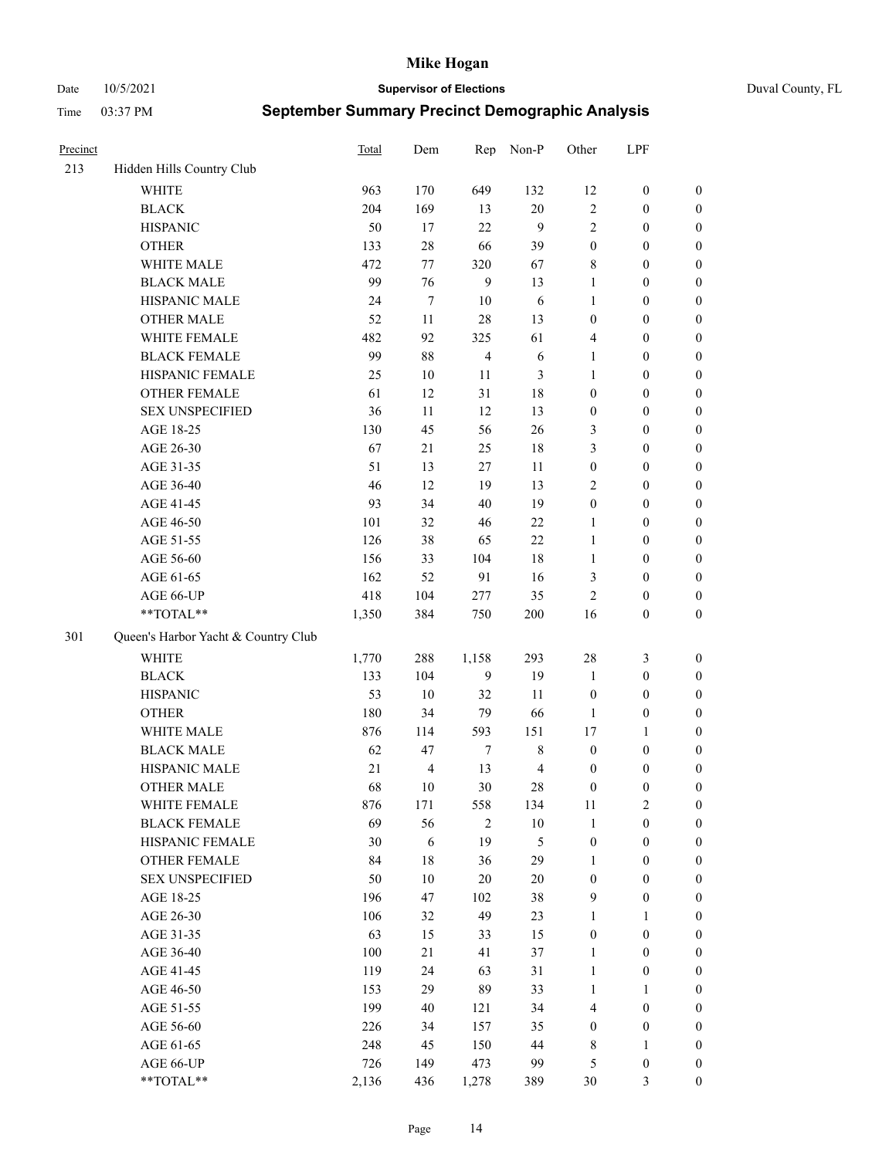Date 10/5/2021 **Supervisor of Elections** Duval County, FL

| Precinct |                                     | Total | Dem            | Rep            | Non-P          | Other            | LPF              |                  |
|----------|-------------------------------------|-------|----------------|----------------|----------------|------------------|------------------|------------------|
| 213      | Hidden Hills Country Club           |       |                |                |                |                  |                  |                  |
|          | <b>WHITE</b>                        | 963   | 170            | 649            | 132            | 12               | $\boldsymbol{0}$ | 0                |
|          | $\operatorname{BLACK}$              | 204   | 169            | 13             | $20\,$         | $\sqrt{2}$       | $\boldsymbol{0}$ | $\boldsymbol{0}$ |
|          | <b>HISPANIC</b>                     | 50    | 17             | 22             | 9              | $\mathfrak{2}$   | $\boldsymbol{0}$ | $\boldsymbol{0}$ |
|          | <b>OTHER</b>                        | 133   | $28\,$         | 66             | 39             | $\boldsymbol{0}$ | $\boldsymbol{0}$ | $\boldsymbol{0}$ |
|          | WHITE MALE                          | 472   | 77             | 320            | 67             | 8                | $\boldsymbol{0}$ | $\boldsymbol{0}$ |
|          | <b>BLACK MALE</b>                   | 99    | 76             | 9              | 13             | $\mathbf{1}$     | $\boldsymbol{0}$ | $\boldsymbol{0}$ |
|          | HISPANIC MALE                       | 24    | $\tau$         | 10             | 6              | $\mathbf{1}$     | $\boldsymbol{0}$ | $\boldsymbol{0}$ |
|          | <b>OTHER MALE</b>                   | 52    | 11             | 28             | 13             | $\boldsymbol{0}$ | $\boldsymbol{0}$ | $\boldsymbol{0}$ |
|          | WHITE FEMALE                        | 482   | 92             | 325            | 61             | 4                | $\boldsymbol{0}$ | $\boldsymbol{0}$ |
|          | <b>BLACK FEMALE</b>                 | 99    | $88\,$         | $\overline{4}$ | 6              | $\mathbf{1}$     | $\boldsymbol{0}$ | $\boldsymbol{0}$ |
|          | HISPANIC FEMALE                     | 25    | 10             | 11             | 3              | $\mathbf{1}$     | $\boldsymbol{0}$ | 0                |
|          | OTHER FEMALE                        | 61    | 12             | 31             | $18\,$         | $\boldsymbol{0}$ | $\boldsymbol{0}$ | $\boldsymbol{0}$ |
|          | <b>SEX UNSPECIFIED</b>              | 36    | 11             | 12             | 13             | $\boldsymbol{0}$ | $\boldsymbol{0}$ | $\boldsymbol{0}$ |
|          | AGE 18-25                           | 130   | 45             | 56             | 26             | 3                | $\boldsymbol{0}$ | $\boldsymbol{0}$ |
|          | AGE 26-30                           | 67    | 21             | 25             | $18\,$         | 3                | $\boldsymbol{0}$ | $\boldsymbol{0}$ |
|          | AGE 31-35                           | 51    | 13             | 27             | 11             | $\boldsymbol{0}$ | $\boldsymbol{0}$ | $\boldsymbol{0}$ |
|          | AGE 36-40                           | 46    | 12             | 19             | 13             | 2                | $\boldsymbol{0}$ | $\boldsymbol{0}$ |
|          | AGE 41-45                           | 93    | 34             | 40             | 19             | $\boldsymbol{0}$ | $\boldsymbol{0}$ | $\boldsymbol{0}$ |
|          | AGE 46-50                           | 101   | 32             | 46             | $22\,$         | $\mathbf{1}$     | $\boldsymbol{0}$ | $\boldsymbol{0}$ |
|          | AGE 51-55                           | 126   | 38             | 65             | $22\,$         | $\mathbf{1}$     | $\boldsymbol{0}$ | $\boldsymbol{0}$ |
|          | AGE 56-60                           | 156   | 33             | 104            | 18             | $\mathbf{1}$     | $\boldsymbol{0}$ | 0                |
|          | AGE 61-65                           | 162   | 52             | 91             | 16             | 3                | $\boldsymbol{0}$ | 0                |
|          | AGE 66-UP                           | 418   | 104            | 277            | 35             | $\mathfrak{2}$   | $\boldsymbol{0}$ | $\boldsymbol{0}$ |
|          | **TOTAL**                           | 1,350 | 384            | 750            | 200            | 16               | $\boldsymbol{0}$ | $\boldsymbol{0}$ |
| 301      | Queen's Harbor Yacht & Country Club |       |                |                |                |                  |                  |                  |
|          | <b>WHITE</b>                        | 1,770 | 288            | 1,158          | 293            | 28               | $\mathfrak{Z}$   | $\boldsymbol{0}$ |
|          | <b>BLACK</b>                        | 133   | 104            | 9              | 19             | $\mathbf{1}$     | $\boldsymbol{0}$ | $\boldsymbol{0}$ |
|          | <b>HISPANIC</b>                     | 53    | 10             | 32             | 11             | $\boldsymbol{0}$ | $\boldsymbol{0}$ | $\boldsymbol{0}$ |
|          | <b>OTHER</b>                        | 180   | 34             | 79             | 66             | $\mathbf{1}$     | $\boldsymbol{0}$ | $\boldsymbol{0}$ |
|          | WHITE MALE                          | 876   | 114            | 593            | 151            | 17               | $\mathbf{1}$     | $\boldsymbol{0}$ |
|          | <b>BLACK MALE</b>                   | 62    | 47             | $\tau$         | $\,$ 8 $\,$    | $\boldsymbol{0}$ | $\boldsymbol{0}$ | $\boldsymbol{0}$ |
|          | HISPANIC MALE                       | 21    | $\overline{4}$ | 13             | $\overline{4}$ | $\boldsymbol{0}$ | $\boldsymbol{0}$ | $\boldsymbol{0}$ |
|          | <b>OTHER MALE</b>                   | 68    | 10             | 30             | 28             | $\boldsymbol{0}$ | $\boldsymbol{0}$ | $\boldsymbol{0}$ |
|          | WHITE FEMALE                        | 876   | 171            | 558            | 134            | 11               | 2                | 0                |
|          | <b>BLACK FEMALE</b>                 | 69    | 56             | $\mathfrak{2}$ | $10\,$         | $\mathbf{1}$     | $\boldsymbol{0}$ | $\boldsymbol{0}$ |
|          | HISPANIC FEMALE                     | 30    | $\sqrt{6}$     | 19             | 5              | $\boldsymbol{0}$ | $\boldsymbol{0}$ | $\overline{0}$   |
|          | OTHER FEMALE                        | 84    | $18\,$         | 36             | 29             | $\mathbf{1}$     | $\boldsymbol{0}$ | $\overline{0}$   |
|          | <b>SEX UNSPECIFIED</b>              | 50    | 10             | 20             | $20\,$         | $\boldsymbol{0}$ | $\boldsymbol{0}$ | 0                |
|          | AGE 18-25                           | 196   | 47             | 102            | 38             | 9                | $\boldsymbol{0}$ | $\theta$         |
|          | AGE 26-30                           | 106   | 32             | 49             | 23             | $\mathbf{1}$     | $\mathbf{1}$     | $\overline{0}$   |
|          | AGE 31-35                           | 63    | 15             | 33             | 15             | $\boldsymbol{0}$ | $\boldsymbol{0}$ | 0                |
|          | AGE 36-40                           | 100   | 21             | 41             | 37             | $\mathbf{1}$     | $\boldsymbol{0}$ | 0                |
|          | AGE 41-45                           | 119   | 24             | 63             | 31             | $\mathbf{1}$     | $\boldsymbol{0}$ | 0                |
|          | AGE 46-50                           | 153   | 29             | 89             | 33             | $\mathbf{1}$     | $\mathbf{1}$     | 0                |
|          | AGE 51-55                           | 199   | 40             | 121            | 34             | 4                | $\boldsymbol{0}$ | 0                |
|          | AGE 56-60                           | 226   | 34             | 157            | 35             | $\boldsymbol{0}$ | $\boldsymbol{0}$ | $\overline{0}$   |
|          | AGE 61-65                           | 248   | 45             | 150            | 44             | 8                | $\mathbf{1}$     | $\overline{0}$   |
|          | AGE 66-UP                           | 726   | 149            | 473            | 99             | 5                | $\boldsymbol{0}$ | $\boldsymbol{0}$ |
|          | **TOTAL**                           | 2,136 | 436            | 1,278          | 389            | 30               | $\mathfrak{Z}$   | $\boldsymbol{0}$ |
|          |                                     |       |                |                |                |                  |                  |                  |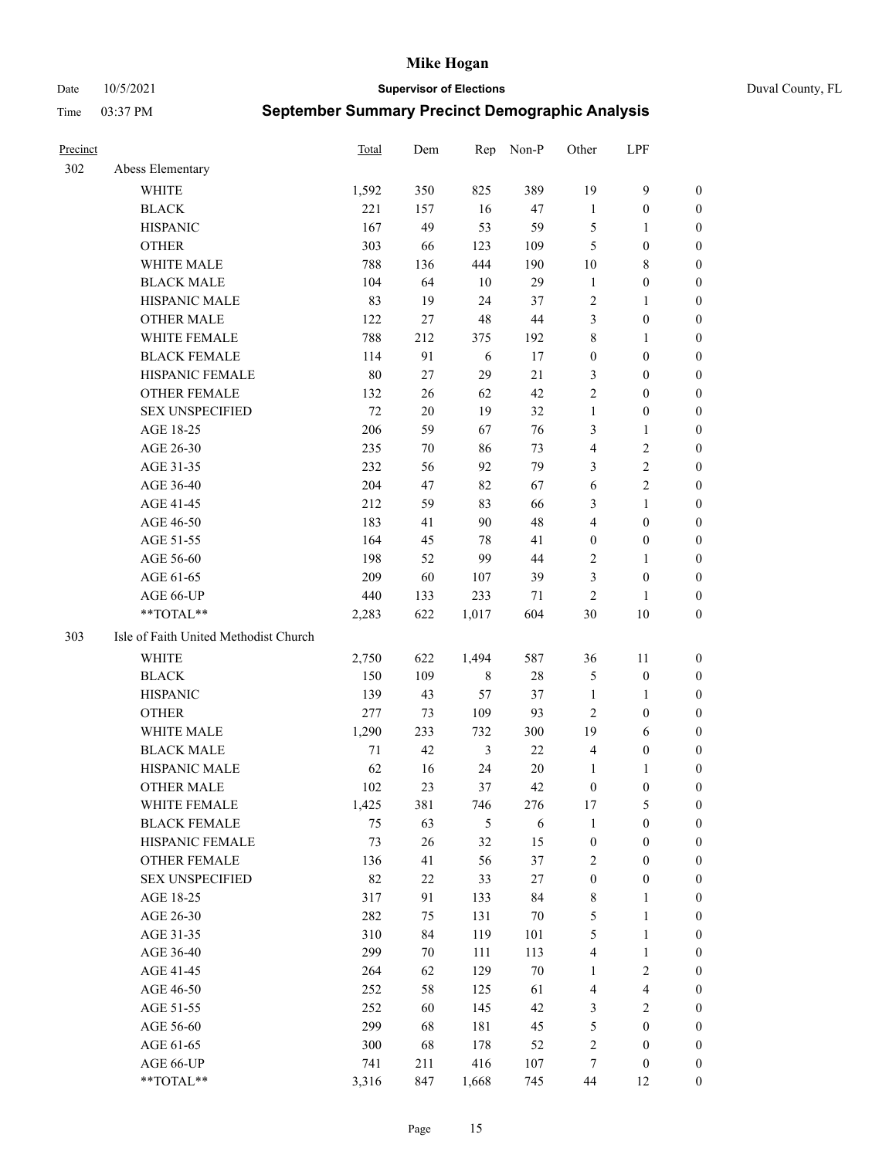### Date 10/5/2021 **Supervisor of Elections** Duval County, FL

| Precinct |                                       | <b>Total</b> | Dem    | Rep            | Non-P  | Other            | LPF                     |                  |
|----------|---------------------------------------|--------------|--------|----------------|--------|------------------|-------------------------|------------------|
| 302      | Abess Elementary                      |              |        |                |        |                  |                         |                  |
|          | <b>WHITE</b>                          | 1,592        | 350    | 825            | 389    | 19               | $\mathbf{9}$            | 0                |
|          | <b>BLACK</b>                          | 221          | 157    | 16             | 47     | $\mathbf{1}$     | $\boldsymbol{0}$        | 0                |
|          | <b>HISPANIC</b>                       | 167          | 49     | 53             | 59     | 5                | $\mathbf{1}$            | $\boldsymbol{0}$ |
|          | <b>OTHER</b>                          | 303          | 66     | 123            | 109    | 5                | $\boldsymbol{0}$        | $\boldsymbol{0}$ |
|          | WHITE MALE                            | 788          | 136    | 444            | 190    | 10               | $\,$ 8 $\,$             | $\boldsymbol{0}$ |
|          | <b>BLACK MALE</b>                     | 104          | 64     | 10             | 29     | $\mathbf{1}$     | $\boldsymbol{0}$        | $\boldsymbol{0}$ |
|          | HISPANIC MALE                         | 83           | 19     | 24             | 37     | 2                | $\mathbf{1}$            | $\boldsymbol{0}$ |
|          | <b>OTHER MALE</b>                     | 122          | 27     | 48             | $44\,$ | 3                | $\boldsymbol{0}$        | $\boldsymbol{0}$ |
|          | WHITE FEMALE                          | 788          | 212    | 375            | 192    | $\,$ $\,$        | $\mathbf{1}$            | $\boldsymbol{0}$ |
|          | <b>BLACK FEMALE</b>                   | 114          | 91     | 6              | 17     | $\boldsymbol{0}$ | $\boldsymbol{0}$        | 0                |
|          | HISPANIC FEMALE                       | 80           | 27     | 29             | 21     | 3                | $\boldsymbol{0}$        | 0                |
|          | <b>OTHER FEMALE</b>                   | 132          | 26     | 62             | 42     | $\mathfrak{2}$   | $\boldsymbol{0}$        | $\boldsymbol{0}$ |
|          | <b>SEX UNSPECIFIED</b>                | 72           | 20     | 19             | 32     | $\mathbf{1}$     | $\boldsymbol{0}$        | $\boldsymbol{0}$ |
|          | AGE 18-25                             | 206          | 59     | 67             | 76     | 3                | $\mathbf{1}$            | $\boldsymbol{0}$ |
|          | AGE 26-30                             | 235          | $70\,$ | 86             | 73     | 4                | $\sqrt{2}$              | $\boldsymbol{0}$ |
|          | AGE 31-35                             | 232          | 56     | 92             | 79     | 3                | $\sqrt{2}$              | $\boldsymbol{0}$ |
|          | AGE 36-40                             | 204          | 47     | 82             | 67     | 6                | $\sqrt{2}$              | $\boldsymbol{0}$ |
|          | AGE 41-45                             | 212          | 59     | 83             | 66     | 3                | $\mathbf{1}$            | $\boldsymbol{0}$ |
|          | AGE 46-50                             | 183          | 41     | 90             | 48     | 4                | $\boldsymbol{0}$        | $\boldsymbol{0}$ |
|          | AGE 51-55                             | 164          | 45     | 78             | 41     | $\boldsymbol{0}$ | $\boldsymbol{0}$        | 0                |
|          | AGE 56-60                             | 198          | 52     | 99             | 44     | 2                | $\mathbf{1}$            | 0                |
|          | AGE 61-65                             | 209          | 60     | 107            | 39     | 3                | $\boldsymbol{0}$        | 0                |
|          | AGE 66-UP                             | 440          | 133    | 233            | 71     | $\overline{2}$   | $\mathbf{1}$            | $\boldsymbol{0}$ |
|          | **TOTAL**                             | 2,283        | 622    | 1,017          | 604    | 30               | $10\,$                  | $\boldsymbol{0}$ |
| 303      | Isle of Faith United Methodist Church |              |        |                |        |                  |                         |                  |
|          | <b>WHITE</b>                          | 2,750        | 622    | 1,494          | 587    | 36               | 11                      | $\boldsymbol{0}$ |
|          | <b>BLACK</b>                          | 150          | 109    | $\,$ 8 $\,$    | $28\,$ | 5                | $\boldsymbol{0}$        | $\boldsymbol{0}$ |
|          | <b>HISPANIC</b>                       | 139          | 43     | 57             | 37     | $\mathbf{1}$     | $\mathbf{1}$            | $\boldsymbol{0}$ |
|          | <b>OTHER</b>                          | 277          | 73     | 109            | 93     | $\overline{c}$   | $\boldsymbol{0}$        | $\boldsymbol{0}$ |
|          | WHITE MALE                            | 1,290        | 233    | 732            | 300    | 19               | 6                       | $\boldsymbol{0}$ |
|          | <b>BLACK MALE</b>                     | $71\,$       | 42     | $\mathfrak{Z}$ | 22     | $\overline{4}$   | $\boldsymbol{0}$        | $\boldsymbol{0}$ |
|          | HISPANIC MALE                         | 62           | 16     | 24             | $20\,$ | 1                | 1                       | 0                |
|          | <b>OTHER MALE</b>                     | 102          | 23     | 37             | 42     | $\boldsymbol{0}$ | $\boldsymbol{0}$        | 0                |
|          | WHITE FEMALE                          | 1,425        | 381    | 746            | 276    | 17               | 5                       | 0                |
|          | <b>BLACK FEMALE</b>                   | 75           | 63     | 5              | 6      | $\mathbf{1}$     | $\boldsymbol{0}$        | $\overline{0}$   |
|          | HISPANIC FEMALE                       | 73           | 26     | 32             | 15     | $\boldsymbol{0}$ | $\boldsymbol{0}$        | $\overline{0}$   |
|          | OTHER FEMALE                          | 136          | 41     | 56             | 37     | $\overline{c}$   | $\boldsymbol{0}$        | $\overline{0}$   |
|          | <b>SEX UNSPECIFIED</b>                | 82           | $22\,$ | 33             | 27     | $\boldsymbol{0}$ | $\boldsymbol{0}$        | 0                |
|          | AGE 18-25                             | 317          | 91     | 133            | 84     | $\,$ 8 $\,$      | $\mathbf{1}$            | 0                |
|          | AGE 26-30                             | 282          | 75     | 131            | $70\,$ | 5                | $\mathbf{1}$            | 0                |
|          | AGE 31-35                             | 310          | 84     | 119            | 101    | 5                | $\mathbf{1}$            | 0                |
|          | AGE 36-40                             | 299          | 70     | 111            | 113    | 4                | $\mathbf{1}$            | 0                |
|          | AGE 41-45                             | 264          | 62     | 129            | $70\,$ | $\mathbf{1}$     | $\sqrt{2}$              | 0                |
|          | AGE 46-50                             | 252          | 58     | 125            | 61     | 4                | $\overline{\mathbf{4}}$ | 0                |
|          | AGE 51-55                             | 252          | 60     | 145            | 42     | 3                | $\overline{2}$          | 0                |
|          | AGE 56-60                             | 299          | 68     | 181            | 45     | 5                | $\boldsymbol{0}$        | $\boldsymbol{0}$ |
|          | AGE 61-65                             | 300          | 68     | 178            | 52     | $\overline{c}$   | $\boldsymbol{0}$        | $\boldsymbol{0}$ |
|          | AGE 66-UP                             | 741          | 211    | 416            | 107    | 7                | $\boldsymbol{0}$        | 0                |
|          | **TOTAL**                             | 3,316        | 847    | 1,668          | 745    | 44               | 12                      | $\boldsymbol{0}$ |
|          |                                       |              |        |                |        |                  |                         |                  |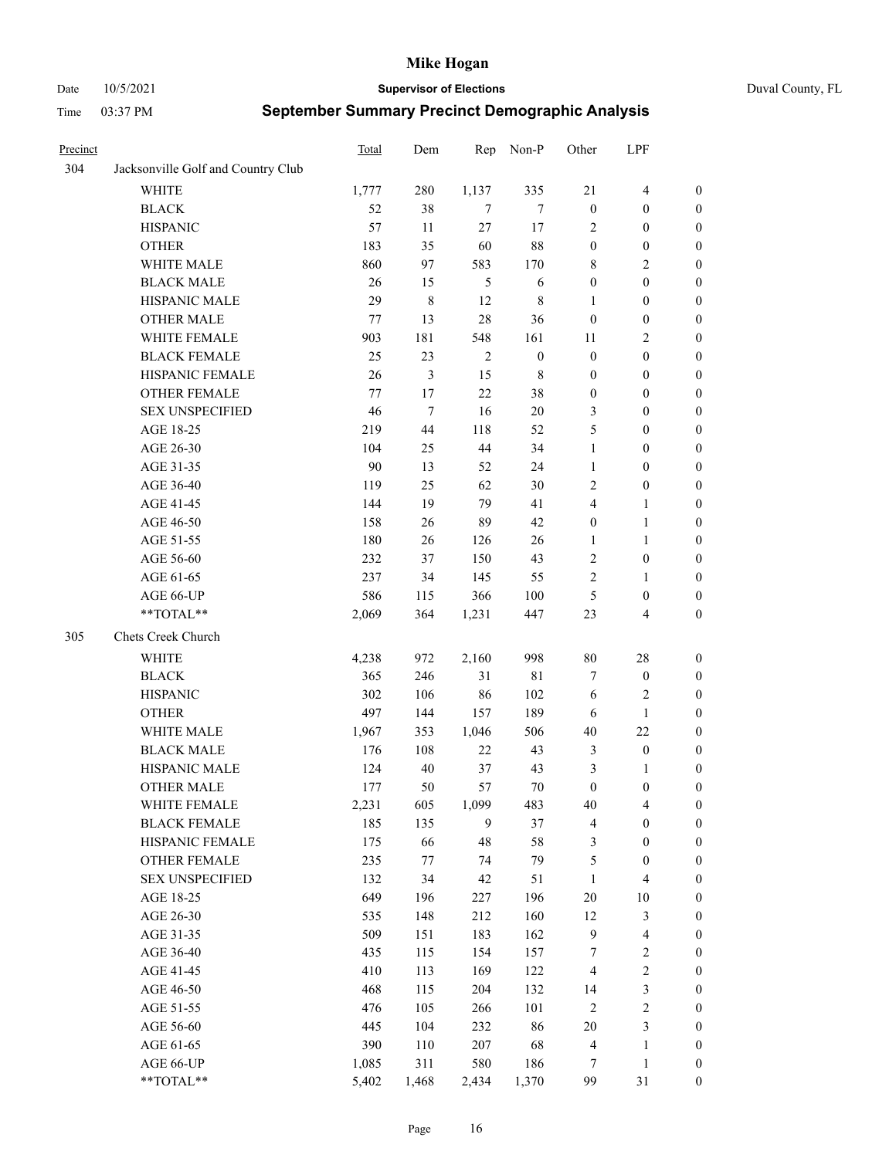Date 10/5/2021 **Supervisor of Elections** Duval County, FL

| Precinct |                                    | Total | Dem   | Rep        | Non-P            | Other            | LPF                     |                  |
|----------|------------------------------------|-------|-------|------------|------------------|------------------|-------------------------|------------------|
| 304      | Jacksonville Golf and Country Club |       |       |            |                  |                  |                         |                  |
|          | <b>WHITE</b>                       | 1,777 | 280   | 1,137      | 335              | 21               | $\overline{4}$          | 0                |
|          | <b>BLACK</b>                       | 52    | 38    | 7          | $\tau$           | $\boldsymbol{0}$ | $\boldsymbol{0}$        | 0                |
|          | <b>HISPANIC</b>                    | 57    | 11    | 27         | 17               | 2                | $\boldsymbol{0}$        | $\boldsymbol{0}$ |
|          | <b>OTHER</b>                       | 183   | 35    | 60         | 88               | $\boldsymbol{0}$ | $\boldsymbol{0}$        | $\boldsymbol{0}$ |
|          | WHITE MALE                         | 860   | 97    | 583        | 170              | 8                | $\sqrt{2}$              | $\boldsymbol{0}$ |
|          | <b>BLACK MALE</b>                  | 26    | 15    | 5          | 6                | $\boldsymbol{0}$ | $\boldsymbol{0}$        | $\boldsymbol{0}$ |
|          | HISPANIC MALE                      | 29    | 8     | 12         | $\,$ 8 $\,$      | $\mathbf{1}$     | $\boldsymbol{0}$        | $\boldsymbol{0}$ |
|          | <b>OTHER MALE</b>                  | 77    | 13    | 28         | 36               | $\boldsymbol{0}$ | $\boldsymbol{0}$        | $\boldsymbol{0}$ |
|          | WHITE FEMALE                       | 903   | 181   | 548        | 161              | 11               | $\mathfrak{2}$          | $\boldsymbol{0}$ |
|          | <b>BLACK FEMALE</b>                | 25    | 23    | $\sqrt{2}$ | $\boldsymbol{0}$ | $\boldsymbol{0}$ | $\boldsymbol{0}$        | 0                |
|          | HISPANIC FEMALE                    | 26    | 3     | 15         | $\,$ 8 $\,$      | $\boldsymbol{0}$ | $\boldsymbol{0}$        | 0                |
|          | OTHER FEMALE                       | 77    | 17    | 22         | 38               | $\boldsymbol{0}$ | $\boldsymbol{0}$        | 0                |
|          | <b>SEX UNSPECIFIED</b>             | 46    | 7     | 16         | $20\,$           | 3                | $\boldsymbol{0}$        | $\boldsymbol{0}$ |
|          | AGE 18-25                          | 219   | 44    | 118        | 52               | 5                | $\boldsymbol{0}$        | $\boldsymbol{0}$ |
|          | AGE 26-30                          | 104   | 25    | 44         | 34               | $\mathbf{1}$     | $\boldsymbol{0}$        | $\boldsymbol{0}$ |
|          | AGE 31-35                          | 90    | 13    | 52         | 24               | $\mathbf{1}$     | $\boldsymbol{0}$        | $\boldsymbol{0}$ |
|          | AGE 36-40                          | 119   | 25    | 62         | 30               | $\overline{c}$   | $\boldsymbol{0}$        | $\boldsymbol{0}$ |
|          | AGE 41-45                          | 144   | 19    | 79         | 41               | 4                | $\mathbf{1}$            | $\boldsymbol{0}$ |
|          | AGE 46-50                          | 158   | 26    | 89         | 42               | $\boldsymbol{0}$ | $\mathbf{1}$            | $\boldsymbol{0}$ |
|          | AGE 51-55                          | 180   | 26    | 126        | 26               | 1                | $\mathbf{1}$            | 0                |
|          | AGE 56-60                          | 232   | 37    | 150        | 43               | $\overline{c}$   | $\boldsymbol{0}$        | 0                |
|          | AGE 61-65                          | 237   | 34    | 145        | 55               | $\overline{c}$   | $\mathbf{1}$            | 0                |
|          | AGE 66-UP                          | 586   | 115   | 366        | $100\,$          | $\mathfrak{S}$   | $\boldsymbol{0}$        | 0                |
|          | **TOTAL**                          | 2,069 | 364   | 1,231      | 447              | 23               | $\overline{\mathbf{4}}$ | $\boldsymbol{0}$ |
| 305      | Chets Creek Church                 |       |       |            |                  |                  |                         |                  |
|          | <b>WHITE</b>                       | 4,238 | 972   | 2,160      | 998              | $80\,$           | $28\,$                  | $\boldsymbol{0}$ |
|          | <b>BLACK</b>                       | 365   | 246   | 31         | 81               | 7                | $\boldsymbol{0}$        | $\boldsymbol{0}$ |
|          | <b>HISPANIC</b>                    | 302   | 106   | 86         | 102              | 6                | $\mathbf{2}$            | $\boldsymbol{0}$ |
|          | <b>OTHER</b>                       | 497   | 144   | 157        | 189              | 6                | $\mathbf{1}$            | $\boldsymbol{0}$ |
|          | WHITE MALE                         | 1,967 | 353   | 1,046      | 506              | 40               | 22                      | $\boldsymbol{0}$ |
|          | <b>BLACK MALE</b>                  | 176   | 108   | 22         | 43               | $\mathfrak{Z}$   | $\boldsymbol{0}$        | $\boldsymbol{0}$ |
|          | HISPANIC MALE                      | 124   | 40    | 37         | 43               | 3                | 1                       | 0                |
|          | <b>OTHER MALE</b>                  | 177   | 50    | 57         | $70\,$           | $\boldsymbol{0}$ | $\boldsymbol{0}$        | $\boldsymbol{0}$ |
|          | WHITE FEMALE                       | 2,231 | 605   | 1,099      | 483              | 40               | 4                       | 0                |
|          | <b>BLACK FEMALE</b>                | 185   | 135   | 9          | 37               | 4                | $\boldsymbol{0}$        | $\boldsymbol{0}$ |
|          | HISPANIC FEMALE                    | 175   | 66    | 48         | 58               | 3                | $\boldsymbol{0}$        | $\boldsymbol{0}$ |
|          | OTHER FEMALE                       | 235   | 77    | 74         | 79               | 5                | $\boldsymbol{0}$        | $\overline{0}$   |
|          | <b>SEX UNSPECIFIED</b>             | 132   | 34    | 42         | 51               | $\mathbf{1}$     | $\overline{4}$          | 0                |
|          | AGE 18-25                          | 649   | 196   | 227        | 196              | $20\,$           | $10\,$                  | 0                |
|          | AGE 26-30                          | 535   | 148   | 212        | 160              | 12               | $\mathfrak{Z}$          | 0                |
|          | AGE 31-35                          | 509   | 151   | 183        | 162              | $\overline{9}$   | $\overline{\mathbf{4}}$ | 0                |
|          | AGE 36-40                          | 435   | 115   | 154        | 157              | 7                | $\sqrt{2}$              | 0                |
|          | AGE 41-45                          | 410   | 113   | 169        | 122              | $\overline{4}$   | $\sqrt{2}$              | 0                |
|          | AGE 46-50                          | 468   | 115   | 204        | 132              | 14               | $\mathfrak{Z}$          | 0                |
|          | AGE 51-55                          | 476   | 105   | 266        | 101              | $\sqrt{2}$       | $\sqrt{2}$              | $\boldsymbol{0}$ |
|          | AGE 56-60                          | 445   | 104   | 232        | 86               | $20\,$           | $\mathfrak{Z}$          | $\boldsymbol{0}$ |
|          | AGE 61-65                          | 390   | 110   | 207        | 68               | 4                | $\mathbf{1}$            | $\boldsymbol{0}$ |
|          | AGE 66-UP                          | 1,085 | 311   | 580        | 186              | 7                | $\mathbf{1}$            | $\boldsymbol{0}$ |
|          | **TOTAL**                          | 5,402 | 1,468 | 2,434      | 1,370            | 99               | 31                      | $\boldsymbol{0}$ |
|          |                                    |       |       |            |                  |                  |                         |                  |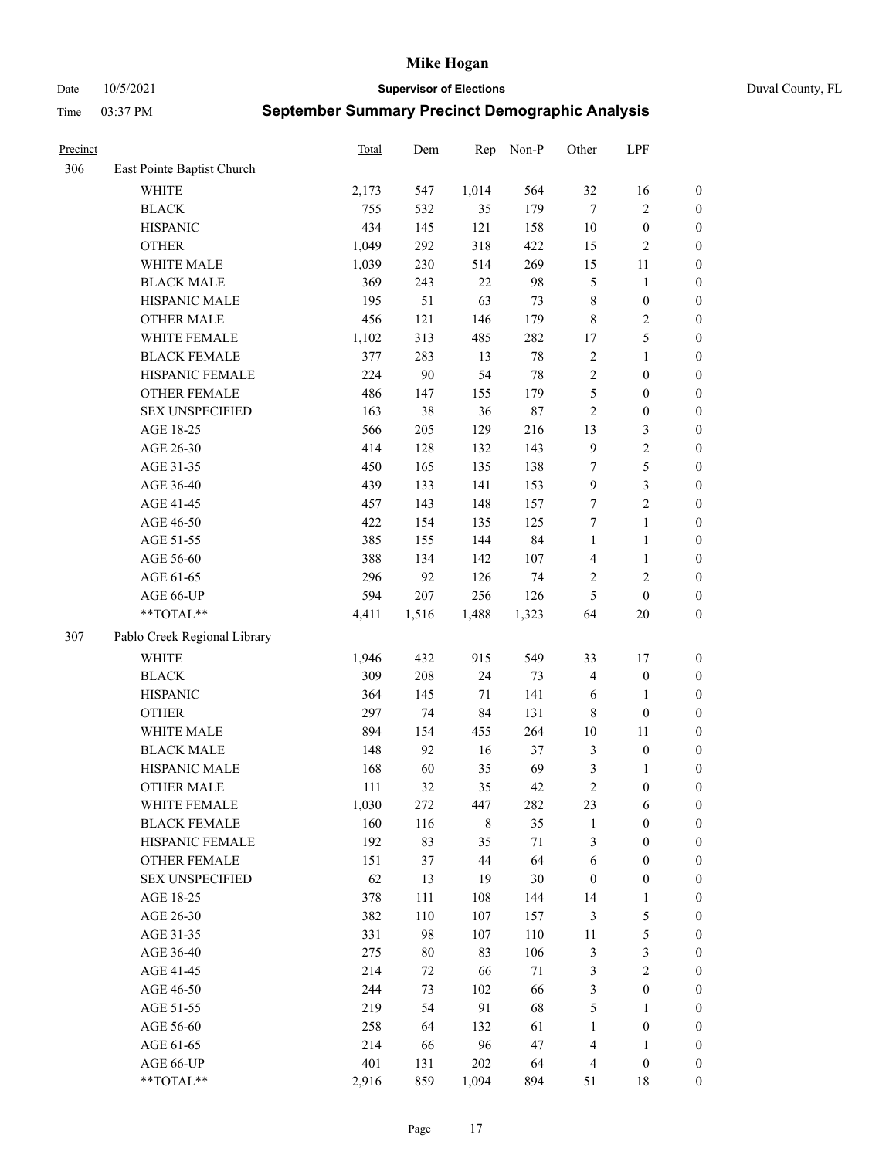Date 10/5/2021 **Supervisor of Elections** Duval County, FL

| Precinct |                              | Total | Dem    | Rep         | Non-P  | Other            | LPF              |                  |
|----------|------------------------------|-------|--------|-------------|--------|------------------|------------------|------------------|
| 306      | East Pointe Baptist Church   |       |        |             |        |                  |                  |                  |
|          | <b>WHITE</b>                 | 2,173 | 547    | 1,014       | 564    | 32               | 16               | 0                |
|          | <b>BLACK</b>                 | 755   | 532    | 35          | 179    | $\tau$           | $\sqrt{2}$       | $\boldsymbol{0}$ |
|          | <b>HISPANIC</b>              | 434   | 145    | 121         | 158    | $10\,$           | $\boldsymbol{0}$ | $\boldsymbol{0}$ |
|          | <b>OTHER</b>                 | 1,049 | 292    | 318         | 422    | 15               | $\sqrt{2}$       | $\boldsymbol{0}$ |
|          | WHITE MALE                   | 1,039 | 230    | 514         | 269    | 15               | 11               | $\boldsymbol{0}$ |
|          | <b>BLACK MALE</b>            | 369   | 243    | 22          | 98     | 5                | $\mathbf{1}$     | $\boldsymbol{0}$ |
|          | HISPANIC MALE                | 195   | 51     | 63          | 73     | $\,$ 8 $\,$      | $\boldsymbol{0}$ | $\boldsymbol{0}$ |
|          | <b>OTHER MALE</b>            | 456   | 121    | 146         | 179    | 8                | $\overline{2}$   | $\boldsymbol{0}$ |
|          | WHITE FEMALE                 | 1,102 | 313    | 485         | 282    | $17$             | $\mathfrak s$    | $\boldsymbol{0}$ |
|          | <b>BLACK FEMALE</b>          | 377   | 283    | 13          | $78\,$ | 2                | $\mathbf{1}$     | $\boldsymbol{0}$ |
|          | HISPANIC FEMALE              | 224   | 90     | 54          | $78\,$ | $\sqrt{2}$       | $\boldsymbol{0}$ | 0                |
|          | <b>OTHER FEMALE</b>          | 486   | 147    | 155         | 179    | 5                | $\boldsymbol{0}$ | $\boldsymbol{0}$ |
|          | <b>SEX UNSPECIFIED</b>       | 163   | 38     | 36          | $87\,$ | $\sqrt{2}$       | $\boldsymbol{0}$ | $\boldsymbol{0}$ |
|          | AGE 18-25                    | 566   | 205    | 129         | 216    | 13               | $\mathfrak{Z}$   | $\boldsymbol{0}$ |
|          | AGE 26-30                    | 414   | 128    | 132         | 143    | 9                | $\sqrt{2}$       | $\boldsymbol{0}$ |
|          | AGE 31-35                    | 450   | 165    | 135         | 138    | 7                | $\mathfrak s$    | $\boldsymbol{0}$ |
|          | AGE 36-40                    | 439   | 133    | 141         | 153    | 9                | $\mathfrak{Z}$   | $\boldsymbol{0}$ |
|          | AGE 41-45                    | 457   | 143    | 148         | 157    | $\tau$           | $\overline{2}$   | $\boldsymbol{0}$ |
|          | AGE 46-50                    | 422   | 154    | 135         | 125    | 7                | $\mathbf{1}$     | $\boldsymbol{0}$ |
|          | AGE 51-55                    | 385   | 155    | 144         | 84     | $\mathbf{1}$     | $\mathbf{1}$     | $\boldsymbol{0}$ |
|          | AGE 56-60                    | 388   | 134    | 142         | 107    | $\overline{4}$   | $\mathbf{1}$     | 0                |
|          | AGE 61-65                    | 296   | 92     | 126         | 74     | $\overline{c}$   | $\sqrt{2}$       | 0                |
|          | AGE 66-UP                    | 594   | 207    | 256         | 126    | 5                | $\boldsymbol{0}$ | $\boldsymbol{0}$ |
|          | $**TOTAL**$                  | 4,411 | 1,516  | 1,488       | 1,323  | 64               | $20\,$           | $\boldsymbol{0}$ |
| 307      | Pablo Creek Regional Library |       |        |             |        |                  |                  |                  |
|          | <b>WHITE</b>                 | 1,946 | 432    | 915         | 549    | 33               | 17               | $\boldsymbol{0}$ |
|          | <b>BLACK</b>                 | 309   | 208    | 24          | 73     | 4                | $\boldsymbol{0}$ | $\boldsymbol{0}$ |
|          | <b>HISPANIC</b>              | 364   | 145    | $71\,$      | 141    | 6                | $\mathbf{1}$     | $\boldsymbol{0}$ |
|          | <b>OTHER</b>                 | 297   | 74     | 84          | 131    | $\,$ 8 $\,$      | $\boldsymbol{0}$ | $\boldsymbol{0}$ |
|          | WHITE MALE                   | 894   | 154    | 455         | 264    | $10\,$           | $11\,$           | $\boldsymbol{0}$ |
|          | <b>BLACK MALE</b>            | 148   | 92     | 16          | 37     | 3                | $\boldsymbol{0}$ | $\boldsymbol{0}$ |
|          | HISPANIC MALE                | 168   | 60     | 35          | 69     | 3                | 1                | $\boldsymbol{0}$ |
|          | <b>OTHER MALE</b>            | 111   | 32     | 35          | 42     | $\mathfrak{2}$   | $\boldsymbol{0}$ | $\boldsymbol{0}$ |
|          | WHITE FEMALE                 | 1,030 | 272    | 447         | 282    | 23               | 6                | 0                |
|          | <b>BLACK FEMALE</b>          | 160   | 116    | $\,$ 8 $\,$ | 35     | $\mathbf{1}$     | $\boldsymbol{0}$ | $\boldsymbol{0}$ |
|          | HISPANIC FEMALE              | 192   | 83     | 35          | 71     | 3                | $\boldsymbol{0}$ | $\overline{0}$   |
|          | OTHER FEMALE                 | 151   | 37     | 44          | 64     | 6                | $\boldsymbol{0}$ | $\overline{0}$   |
|          | <b>SEX UNSPECIFIED</b>       | 62    | 13     | 19          | 30     | $\boldsymbol{0}$ | $\boldsymbol{0}$ | 0                |
|          | AGE 18-25                    | 378   | 111    | 108         | 144    | 14               | $\mathbf{1}$     | 0                |
|          | AGE 26-30                    | 382   | 110    | 107         | 157    | 3                | $\mathfrak{S}$   | 0                |
|          | AGE 31-35                    | 331   | 98     | 107         | 110    | $11\,$           | $\mathfrak s$    | 0                |
|          | AGE 36-40                    | 275   | $80\,$ | 83          | 106    | $\mathfrak{Z}$   | $\mathfrak{Z}$   | 0                |
|          | AGE 41-45                    | 214   | 72     | 66          | 71     | 3                | $\overline{c}$   | 0                |
|          | AGE 46-50                    | 244   | 73     | 102         | 66     | 3                | $\boldsymbol{0}$ | 0                |
|          | AGE 51-55                    | 219   | 54     | 91          | 68     | 5                | $\mathbf{1}$     | 0                |
|          | AGE 56-60                    | 258   | 64     | 132         | 61     | 1                | $\boldsymbol{0}$ | $\boldsymbol{0}$ |
|          | AGE 61-65                    | 214   | 66     | 96          | 47     | 4                | $\mathbf{1}$     | $\boldsymbol{0}$ |
|          | AGE 66-UP                    | 401   | 131    | 202         | 64     | $\overline{4}$   | $\boldsymbol{0}$ | 0                |
|          | **TOTAL**                    | 2,916 | 859    | 1,094       | 894    | 51               | 18               | $\boldsymbol{0}$ |
|          |                              |       |        |             |        |                  |                  |                  |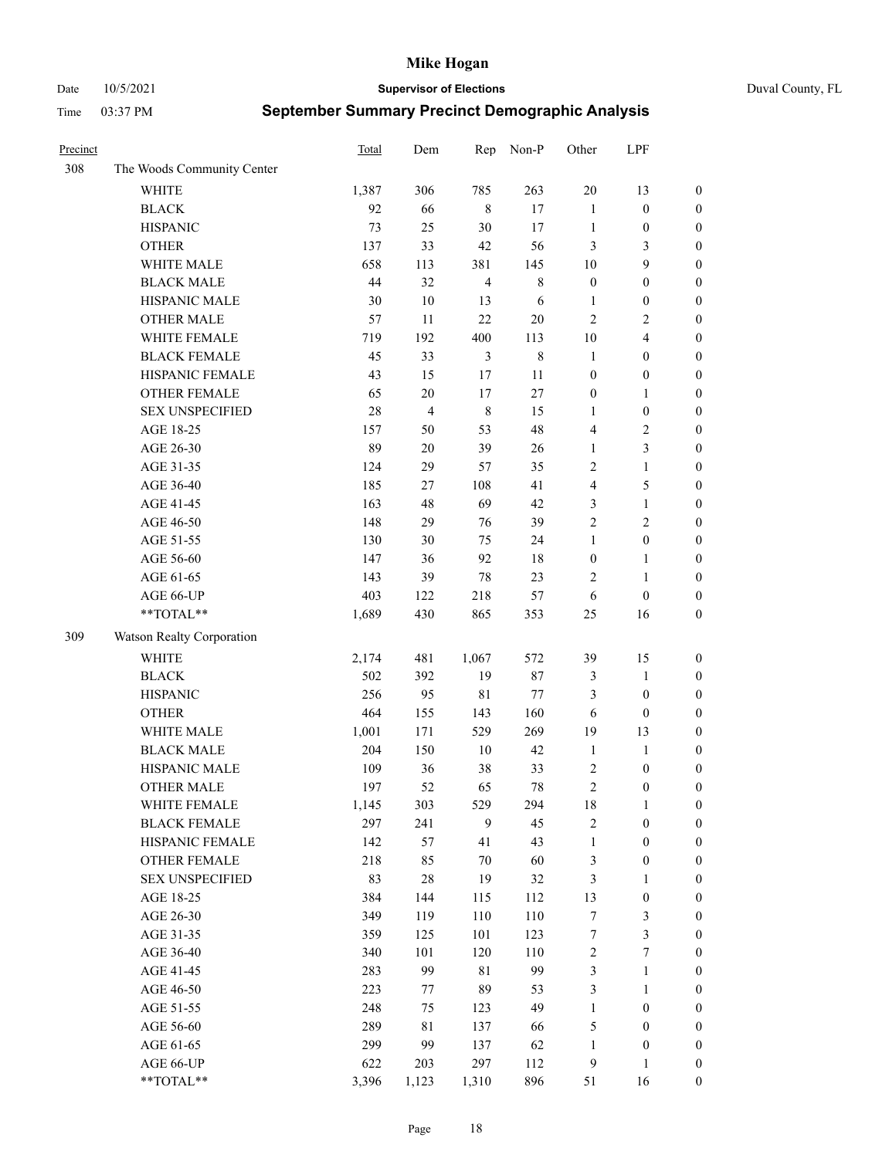Date 10/5/2021 **Supervisor of Elections** Duval County, FL

| Precinct |                            | Total | Dem            | Rep            | Non-P       | Other            | LPF                     |                  |
|----------|----------------------------|-------|----------------|----------------|-------------|------------------|-------------------------|------------------|
| 308      | The Woods Community Center |       |                |                |             |                  |                         |                  |
|          | <b>WHITE</b>               | 1,387 | 306            | 785            | 263         | 20               | 13                      | $\boldsymbol{0}$ |
|          | <b>BLACK</b>               | 92    | 66             | $\,8\,$        | 17          | $\mathbf{1}$     | $\boldsymbol{0}$        | $\boldsymbol{0}$ |
|          | <b>HISPANIC</b>            | 73    | 25             | $30\,$         | 17          | $\mathbf{1}$     | $\boldsymbol{0}$        | $\boldsymbol{0}$ |
|          | <b>OTHER</b>               | 137   | 33             | $42\,$         | 56          | 3                | 3                       | $\boldsymbol{0}$ |
|          | WHITE MALE                 | 658   | 113            | 381            | 145         | 10               | 9                       | $\boldsymbol{0}$ |
|          | <b>BLACK MALE</b>          | 44    | 32             | $\overline{4}$ | $\,$ 8 $\,$ | $\boldsymbol{0}$ | $\boldsymbol{0}$        | $\boldsymbol{0}$ |
|          | HISPANIC MALE              | 30    | $10\,$         | 13             | 6           | $\mathbf{1}$     | $\boldsymbol{0}$        | $\boldsymbol{0}$ |
|          | <b>OTHER MALE</b>          | 57    | 11             | 22             | $20\,$      | $\overline{c}$   | $\overline{2}$          | $\boldsymbol{0}$ |
|          | WHITE FEMALE               | 719   | 192            | 400            | 113         | $10\,$           | $\overline{\mathbf{4}}$ | $\boldsymbol{0}$ |
|          | <b>BLACK FEMALE</b>        | 45    | 33             | $\mathfrak{Z}$ | $\,$ 8 $\,$ | $\mathbf{1}$     | $\boldsymbol{0}$        | $\boldsymbol{0}$ |
|          | HISPANIC FEMALE            | 43    | 15             | 17             | 11          | $\boldsymbol{0}$ | $\boldsymbol{0}$        | 0                |
|          | <b>OTHER FEMALE</b>        | 65    | $20\,$         | 17             | 27          | $\boldsymbol{0}$ | $\mathbf{1}$            | $\boldsymbol{0}$ |
|          | <b>SEX UNSPECIFIED</b>     | 28    | $\overline{4}$ | $\,$ 8 $\,$    | 15          | $\mathbf{1}$     | $\boldsymbol{0}$        | $\boldsymbol{0}$ |
|          | AGE 18-25                  | 157   | 50             | 53             | 48          | 4                | $\sqrt{2}$              | $\boldsymbol{0}$ |
|          | AGE 26-30                  | 89    | $20\,$         | 39             | 26          | $\mathbf{1}$     | $\mathfrak{Z}$          | $\boldsymbol{0}$ |
|          | AGE 31-35                  | 124   | 29             | 57             | 35          | $\sqrt{2}$       | $\mathbf{1}$            | $\boldsymbol{0}$ |
|          | AGE 36-40                  | 185   | 27             | 108            | 41          | 4                | $\mathfrak s$           | $\boldsymbol{0}$ |
|          | AGE 41-45                  | 163   | 48             | 69             | 42          | 3                | $\mathbf{1}$            | $\boldsymbol{0}$ |
|          | AGE 46-50                  | 148   | 29             | 76             | 39          | $\overline{c}$   | $\mathfrak{2}$          | $\boldsymbol{0}$ |
|          | AGE 51-55                  | 130   | 30             | 75             | 24          | $\mathbf{1}$     | $\boldsymbol{0}$        | $\boldsymbol{0}$ |
|          | AGE 56-60                  | 147   | 36             | 92             | 18          | $\boldsymbol{0}$ | $\mathbf{1}$            | 0                |
|          | AGE 61-65                  | 143   | 39             | $78\,$         | 23          | 2                | $\mathbf{1}$            | 0                |
|          | AGE 66-UP                  | 403   | 122            | 218            | 57          | 6                | $\boldsymbol{0}$        | $\boldsymbol{0}$ |
|          | $**TOTAL**$                | 1,689 | 430            | 865            | 353         | $25\,$           | 16                      | $\boldsymbol{0}$ |
| 309      | Watson Realty Corporation  |       |                |                |             |                  |                         |                  |
|          | <b>WHITE</b>               | 2,174 | 481            | 1,067          | 572         | 39               | 15                      | $\boldsymbol{0}$ |
|          | <b>BLACK</b>               | 502   | 392            | 19             | 87          | 3                | $\mathbf{1}$            | $\boldsymbol{0}$ |
|          | <b>HISPANIC</b>            | 256   | 95             | $8\sqrt{1}$    | 77          | 3                | $\boldsymbol{0}$        | $\boldsymbol{0}$ |
|          | <b>OTHER</b>               | 464   | 155            | 143            | 160         | 6                | $\boldsymbol{0}$        | $\boldsymbol{0}$ |
|          | WHITE MALE                 | 1,001 | 171            | 529            | 269         | 19               | 13                      | $\boldsymbol{0}$ |
|          | <b>BLACK MALE</b>          | 204   | 150            | $10\,$         | 42          | $\mathbf{1}$     | $\mathbf{1}$            | $\boldsymbol{0}$ |
|          | HISPANIC MALE              | 109   | 36             | 38             | 33          | $\overline{c}$   | $\boldsymbol{0}$        | $\boldsymbol{0}$ |
|          | <b>OTHER MALE</b>          | 197   | 52             | 65             | 78          | $\overline{c}$   | $\boldsymbol{0}$        | $\boldsymbol{0}$ |
|          | WHITE FEMALE               | 1,145 | 303            | 529            | 294         | 18               | 1                       | 0                |
|          | <b>BLACK FEMALE</b>        | 297   | 241            | 9              | 45          | $\sqrt{2}$       | $\boldsymbol{0}$        | $\boldsymbol{0}$ |
|          | HISPANIC FEMALE            | 142   | 57             | 41             | 43          | $\mathbf{1}$     | $\boldsymbol{0}$        | $\overline{0}$   |
|          | OTHER FEMALE               | 218   | 85             | 70             | 60          | 3                | $\boldsymbol{0}$        | $\overline{0}$   |
|          | <b>SEX UNSPECIFIED</b>     | 83    | 28             | 19             | 32          | 3                | $\mathbf{1}$            | 0                |
|          | AGE 18-25                  | 384   | 144            | 115            | 112         | 13               | $\boldsymbol{0}$        | 0                |
|          | AGE 26-30                  | 349   | 119            | 110            | 110         | $\boldsymbol{7}$ | $\mathfrak{Z}$          | 0                |
|          | AGE 31-35                  | 359   | 125            | 101            | 123         | 7                | $\mathfrak{Z}$          | 0                |
|          | AGE 36-40                  | 340   | 101            | 120            | 110         | $\boldsymbol{2}$ | $\boldsymbol{7}$        | 0                |
|          | AGE 41-45                  | 283   | 99             | $8\sqrt{1}$    | 99          | 3                | $\mathbf{1}$            | 0                |
|          | AGE 46-50                  | 223   | 77             | 89             | 53          | $\mathfrak{Z}$   | $\mathbf{1}$            | 0                |
|          | AGE 51-55                  | 248   | 75             | 123            | 49          | $\mathbf{1}$     | $\boldsymbol{0}$        | 0                |
|          | AGE 56-60                  | 289   | 81             | 137            | 66          | 5                | $\boldsymbol{0}$        | $\boldsymbol{0}$ |
|          | AGE 61-65                  | 299   | 99             | 137            | 62          | $\mathbf{1}$     | $\boldsymbol{0}$        | $\boldsymbol{0}$ |
|          | AGE 66-UP                  | 622   | 203            | 297            | 112         | $\overline{9}$   | $\mathbf{1}$            | $\boldsymbol{0}$ |
|          | **TOTAL**                  | 3,396 | 1,123          | 1,310          | 896         | 51               | 16                      | $\boldsymbol{0}$ |
|          |                            |       |                |                |             |                  |                         |                  |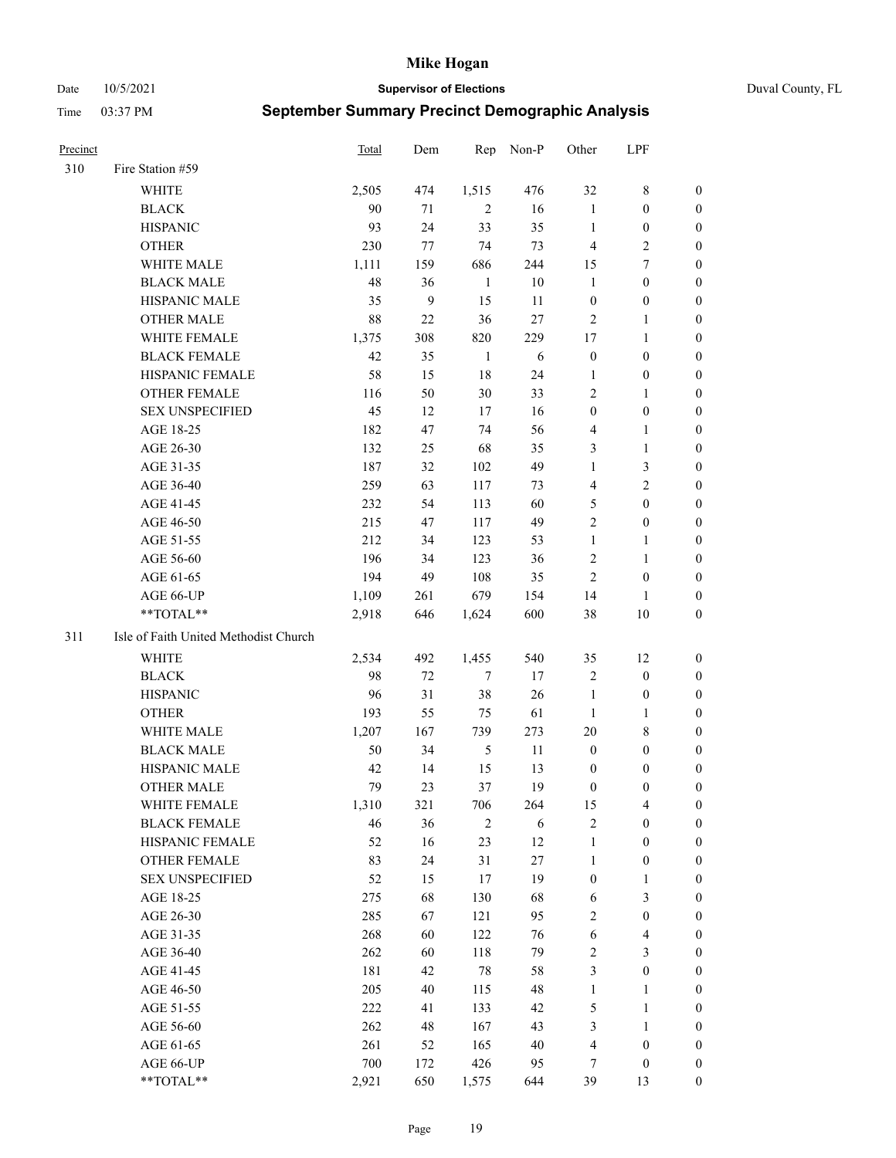Date 10/5/2021 **Supervisor of Elections** Duval County, FL

| <b>Precinct</b> |                                       | Total | Dem          | Rep           | Non-P  | Other            | LPF                     |                  |
|-----------------|---------------------------------------|-------|--------------|---------------|--------|------------------|-------------------------|------------------|
| 310             | Fire Station #59                      |       |              |               |        |                  |                         |                  |
|                 | <b>WHITE</b>                          | 2,505 | 474          | 1,515         | 476    | 32               | $\,$ 8 $\,$             | 0                |
|                 | <b>BLACK</b>                          | 90    | 71           | 2             | 16     | $\mathbf{1}$     | $\boldsymbol{0}$        | 0                |
|                 | <b>HISPANIC</b>                       | 93    | 24           | 33            | 35     | $\mathbf{1}$     | $\boldsymbol{0}$        | 0                |
|                 | <b>OTHER</b>                          | 230   | 77           | 74            | 73     | $\overline{4}$   | $\sqrt{2}$              | $\boldsymbol{0}$ |
|                 | WHITE MALE                            | 1,111 | 159          | 686           | 244    | 15               | $\tau$                  | $\boldsymbol{0}$ |
|                 | <b>BLACK MALE</b>                     | 48    | 36           | 1             | $10\,$ | $\mathbf{1}$     | $\boldsymbol{0}$        | 0                |
|                 | HISPANIC MALE                         | 35    | $\mathbf{9}$ | 15            | 11     | $\boldsymbol{0}$ | $\boldsymbol{0}$        | 0                |
|                 | <b>OTHER MALE</b>                     | 88    | 22           | 36            | 27     | $\mathfrak{2}$   | $\mathbf{1}$            | 0                |
|                 | WHITE FEMALE                          | 1,375 | 308          | 820           | 229    | 17               | $\mathbf{1}$            | 0                |
|                 | <b>BLACK FEMALE</b>                   | 42    | 35           | $\mathbf{1}$  | 6      | $\boldsymbol{0}$ | $\boldsymbol{0}$        | 0                |
|                 | HISPANIC FEMALE                       | 58    | 15           | 18            | 24     | 1                | $\boldsymbol{0}$        | 0                |
|                 | OTHER FEMALE                          | 116   | 50           | 30            | 33     | $\overline{c}$   | $\mathbf{1}$            | 0                |
|                 | <b>SEX UNSPECIFIED</b>                | 45    | 12           | 17            | 16     | $\boldsymbol{0}$ | $\boldsymbol{0}$        | $\boldsymbol{0}$ |
|                 | AGE 18-25                             | 182   | 47           | 74            | 56     | 4                | $\mathbf{1}$            | $\boldsymbol{0}$ |
|                 | AGE 26-30                             | 132   | 25           | 68            | 35     | 3                | $\mathbf{1}$            | $\boldsymbol{0}$ |
|                 | AGE 31-35                             | 187   | 32           | 102           | 49     | $\mathbf{1}$     | $\mathfrak{Z}$          | $\boldsymbol{0}$ |
|                 | AGE 36-40                             | 259   | 63           | 117           | 73     | 4                | $\mathfrak{2}$          | $\boldsymbol{0}$ |
|                 | AGE 41-45                             | 232   | 54           | 113           | 60     | 5                | $\boldsymbol{0}$        | $\boldsymbol{0}$ |
|                 | AGE 46-50                             | 215   | 47           | 117           | 49     | $\overline{c}$   | $\boldsymbol{0}$        | 0                |
|                 | AGE 51-55                             | 212   | 34           | 123           | 53     | $\mathbf{1}$     | $\mathbf{1}$            | 0                |
|                 | AGE 56-60                             | 196   | 34           | 123           | 36     | 2                | $\mathbf{1}$            | 0                |
|                 | AGE 61-65                             | 194   | 49           | 108           | 35     | $\overline{2}$   | $\boldsymbol{0}$        | 0                |
|                 | AGE 66-UP                             | 1,109 | 261          | 679           | 154    | 14               | 1                       | 0                |
|                 | **TOTAL**                             | 2,918 | 646          | 1,624         | 600    | 38               | $10\,$                  | $\boldsymbol{0}$ |
| 311             | Isle of Faith United Methodist Church |       |              |               |        |                  |                         |                  |
|                 | <b>WHITE</b>                          | 2,534 | 492          | 1,455         | 540    | 35               | 12                      | $\boldsymbol{0}$ |
|                 | <b>BLACK</b>                          | 98    | $72\,$       | $\tau$        | 17     | 2                | $\boldsymbol{0}$        | $\boldsymbol{0}$ |
|                 | <b>HISPANIC</b>                       | 96    | 31           | 38            | 26     | $\mathbf{1}$     | $\boldsymbol{0}$        | $\boldsymbol{0}$ |
|                 | <b>OTHER</b>                          | 193   | 55           | 75            | 61     | $\mathbf{1}$     | $\mathbf{1}$            | $\boldsymbol{0}$ |
|                 | WHITE MALE                            | 1,207 | 167          | 739           | 273    | 20               | $\,$ 8 $\,$             | $\boldsymbol{0}$ |
|                 | <b>BLACK MALE</b>                     | 50    | 34           | $\mathfrak s$ | 11     | $\boldsymbol{0}$ | $\boldsymbol{0}$        | 0                |
|                 | HISPANIC MALE                         | 42    | 14           | 15            | 13     | $\boldsymbol{0}$ | $\boldsymbol{0}$        | 0                |
|                 | <b>OTHER MALE</b>                     | 79    | 23           | 37            | 19     | $\boldsymbol{0}$ | $\boldsymbol{0}$        | 0                |
|                 | WHITE FEMALE                          | 1,310 | 321          | 706           | 264    | 15               | 4                       | 0                |
|                 | <b>BLACK FEMALE</b>                   | 46    | 36           | $\sqrt{2}$    | 6      | $\sqrt{2}$       | $\boldsymbol{0}$        | $\overline{0}$   |
|                 | HISPANIC FEMALE                       | 52    | 16           | 23            | 12     | $\mathbf{1}$     | $\boldsymbol{0}$        | $\overline{0}$   |
|                 | OTHER FEMALE                          | 83    | 24           | 31            | 27     | $\mathbf{1}$     | $\boldsymbol{0}$        | 0                |
|                 | <b>SEX UNSPECIFIED</b>                | 52    | 15           | 17            | 19     | $\boldsymbol{0}$ | $\mathbf{1}$            | 0                |
|                 | AGE 18-25                             | 275   | 68           | 130           | 68     | 6                | $\mathfrak{Z}$          | 0                |
|                 | AGE 26-30                             | 285   | 67           | 121           | 95     | 2                | $\boldsymbol{0}$        | 0                |
|                 | AGE 31-35                             | 268   | 60           | 122           | 76     | 6                | $\overline{\mathbf{4}}$ | 0                |
|                 | AGE 36-40                             | 262   | 60           | 118           | 79     | 2                | $\mathfrak{Z}$          | 0                |
|                 | AGE 41-45                             | 181   | 42           | $78\,$        | 58     | 3                | $\boldsymbol{0}$        | 0                |
|                 | AGE 46-50                             | 205   | 40           | 115           | 48     | $\mathbf{1}$     | $\mathbf{1}$            | 0                |
|                 | AGE 51-55                             | 222   | 41           | 133           | 42     | 5                | $\mathbf{1}$            | 0                |
|                 | AGE 56-60                             | 262   | 48           | 167           | 43     | 3                | $\mathbf{1}$            | 0                |
|                 | AGE 61-65                             | 261   | 52           | 165           | 40     | 4                | $\boldsymbol{0}$        | $\boldsymbol{0}$ |
|                 | AGE 66-UP                             | 700   | 172          | 426           | 95     | 7                | $\boldsymbol{0}$        | 0                |
|                 | **TOTAL**                             | 2,921 | 650          | 1,575         | 644    | 39               | 13                      | $\boldsymbol{0}$ |
|                 |                                       |       |              |               |        |                  |                         |                  |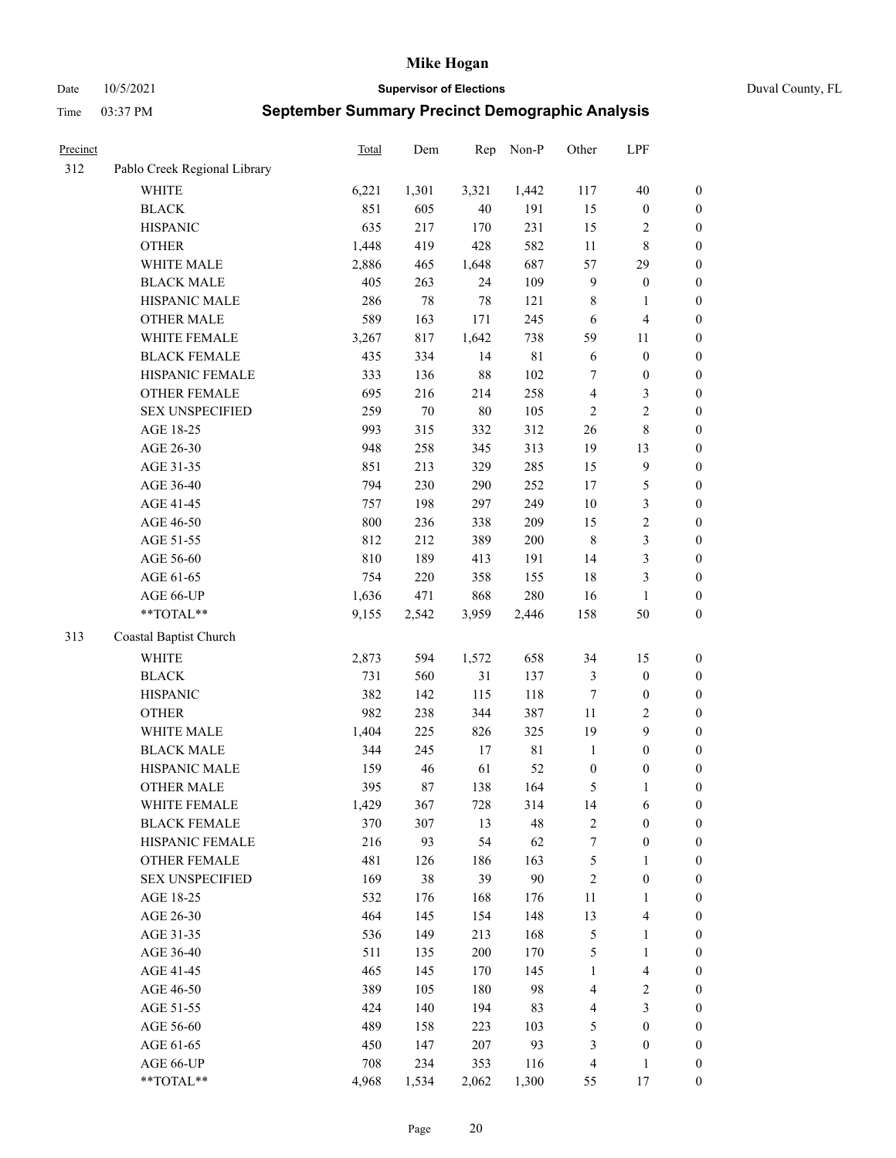Date 10/5/2021 **Supervisor of Elections** Duval County, FL

| Precinct |                              | <b>Total</b> | Dem    | Rep    | Non-P       | Other            | LPF                     |                  |
|----------|------------------------------|--------------|--------|--------|-------------|------------------|-------------------------|------------------|
| 312      | Pablo Creek Regional Library |              |        |        |             |                  |                         |                  |
|          | <b>WHITE</b>                 | 6,221        | 1,301  | 3,321  | 1,442       | 117              | 40                      | 0                |
|          | <b>BLACK</b>                 | 851          | 605    | 40     | 191         | 15               | $\boldsymbol{0}$        | $\boldsymbol{0}$ |
|          | <b>HISPANIC</b>              | 635          | 217    | 170    | 231         | 15               | $\overline{c}$          | $\boldsymbol{0}$ |
|          | <b>OTHER</b>                 | 1,448        | 419    | 428    | 582         | $11\,$           | $\,$ 8 $\,$             | $\boldsymbol{0}$ |
|          | WHITE MALE                   | 2,886        | 465    | 1,648  | 687         | 57               | 29                      | $\boldsymbol{0}$ |
|          | <b>BLACK MALE</b>            | 405          | 263    | 24     | 109         | 9                | $\boldsymbol{0}$        | $\boldsymbol{0}$ |
|          | HISPANIC MALE                | 286          | $78\,$ | $78\,$ | 121         | $\,$ 8 $\,$      | $\mathbf{1}$            | $\boldsymbol{0}$ |
|          | <b>OTHER MALE</b>            | 589          | 163    | 171    | 245         | 6                | $\overline{\mathbf{4}}$ | $\boldsymbol{0}$ |
|          | WHITE FEMALE                 | 3,267        | 817    | 1,642  | 738         | 59               | 11                      | $\boldsymbol{0}$ |
|          | <b>BLACK FEMALE</b>          | 435          | 334    | 14     | $8\sqrt{1}$ | 6                | $\boldsymbol{0}$        | $\boldsymbol{0}$ |
|          | HISPANIC FEMALE              | 333          | 136    | 88     | 102         | 7                | $\boldsymbol{0}$        | 0                |
|          | OTHER FEMALE                 | 695          | 216    | 214    | 258         | 4                | $\mathfrak{Z}$          | $\boldsymbol{0}$ |
|          | <b>SEX UNSPECIFIED</b>       | 259          | $70\,$ | 80     | 105         | $\sqrt{2}$       | $\sqrt{2}$              | $\boldsymbol{0}$ |
|          | AGE 18-25                    | 993          | 315    | 332    | 312         | $26\,$           | $\,$ 8 $\,$             | $\boldsymbol{0}$ |
|          | AGE 26-30                    | 948          | 258    | 345    | 313         | 19               | 13                      | $\boldsymbol{0}$ |
|          | AGE 31-35                    | 851          | 213    | 329    | 285         | 15               | $\boldsymbol{9}$        | $\boldsymbol{0}$ |
|          | AGE 36-40                    | 794          | 230    | 290    | 252         | 17               | $\mathfrak s$           | $\boldsymbol{0}$ |
|          | AGE 41-45                    | 757          | 198    | 297    | 249         | $10\,$           | $\mathfrak{Z}$          | $\boldsymbol{0}$ |
|          | AGE 46-50                    | 800          | 236    | 338    | 209         | 15               | $\sqrt{2}$              | $\boldsymbol{0}$ |
|          | AGE 51-55                    | 812          | 212    | 389    | 200         | $\,$ 8 $\,$      | $\mathfrak{Z}$          | $\boldsymbol{0}$ |
|          | AGE 56-60                    | 810          | 189    | 413    | 191         | 14               | $\mathfrak{Z}$          | $\boldsymbol{0}$ |
|          | AGE 61-65                    | 754          | 220    | 358    | 155         | 18               | $\mathfrak{Z}$          | $\boldsymbol{0}$ |
|          | AGE 66-UP                    | 1,636        | 471    | 868    | 280         | 16               | $\mathbf{1}$            | $\boldsymbol{0}$ |
|          | **TOTAL**                    | 9,155        | 2,542  | 3,959  | 2,446       | 158              | $50\,$                  | $\boldsymbol{0}$ |
| 313      | Coastal Baptist Church       |              |        |        |             |                  |                         |                  |
|          | <b>WHITE</b>                 | 2,873        | 594    | 1,572  | 658         | 34               | 15                      | $\boldsymbol{0}$ |
|          | <b>BLACK</b>                 | 731          | 560    | 31     | 137         | 3                | $\boldsymbol{0}$        | $\boldsymbol{0}$ |
|          | <b>HISPANIC</b>              | 382          | 142    | 115    | 118         | 7                | $\boldsymbol{0}$        | $\boldsymbol{0}$ |
|          | <b>OTHER</b>                 | 982          | 238    | 344    | 387         | $11\,$           | $\sqrt{2}$              | $\boldsymbol{0}$ |
|          | WHITE MALE                   | 1,404        | 225    | 826    | 325         | 19               | 9                       | $\boldsymbol{0}$ |
|          | <b>BLACK MALE</b>            | 344          | 245    | $17\,$ | $8\sqrt{1}$ | $\mathbf{1}$     | $\boldsymbol{0}$        | $\boldsymbol{0}$ |
|          | HISPANIC MALE                | 159          | 46     | 61     | 52          | $\boldsymbol{0}$ | $\boldsymbol{0}$        | $\boldsymbol{0}$ |
|          | <b>OTHER MALE</b>            | 395          | 87     | 138    | 164         | 5                | $\mathbf{1}$            | $\boldsymbol{0}$ |
|          | WHITE FEMALE                 | 1,429        | 367    | 728    | 314         | 14               | 6                       | 0                |
|          | <b>BLACK FEMALE</b>          | 370          | 307    | 13     | 48          | 2                | $\boldsymbol{0}$        | $\boldsymbol{0}$ |
|          | HISPANIC FEMALE              | 216          | 93     | 54     | 62          | $\boldsymbol{7}$ | $\boldsymbol{0}$        | $\overline{0}$   |
|          | <b>OTHER FEMALE</b>          | 481          | 126    | 186    | 163         | 5                | $\mathbf{1}$            | $\overline{0}$   |
|          | <b>SEX UNSPECIFIED</b>       | 169          | 38     | 39     | 90          | $\overline{c}$   | $\boldsymbol{0}$        | 0                |
|          | AGE 18-25                    | 532          | 176    | 168    | 176         | $11\,$           | $\mathbf{1}$            | 0                |
|          | AGE 26-30                    | 464          | 145    | 154    | 148         | 13               | $\overline{\mathbf{4}}$ | 0                |
|          | AGE 31-35                    | 536          | 149    | 213    | 168         | 5                | $\mathbf{1}$            | 0                |
|          | AGE 36-40                    | 511          | 135    | 200    | 170         | 5                | $\mathbf{1}$            | 0                |
|          | AGE 41-45                    | 465          | 145    | 170    | 145         | $\mathbf{1}$     | $\overline{\mathbf{4}}$ | 0                |
|          | AGE 46-50                    | 389          | 105    | 180    | 98          | 4                | $\overline{c}$          | 0                |
|          | AGE 51-55                    | 424          | 140    | 194    | 83          | 4                | 3                       | $\boldsymbol{0}$ |
|          | AGE 56-60                    | 489          | 158    | 223    | 103         | 5                | $\boldsymbol{0}$        | $\boldsymbol{0}$ |
|          | AGE 61-65                    | 450          | 147    | 207    | 93          | 3                | $\boldsymbol{0}$        | $\boldsymbol{0}$ |
|          | AGE 66-UP                    | 708          | 234    | 353    | 116         | 4                | $\mathbf{1}$            | 0                |
|          | **TOTAL**                    | 4,968        | 1,534  | 2,062  | 1,300       | 55               | 17                      | $\boldsymbol{0}$ |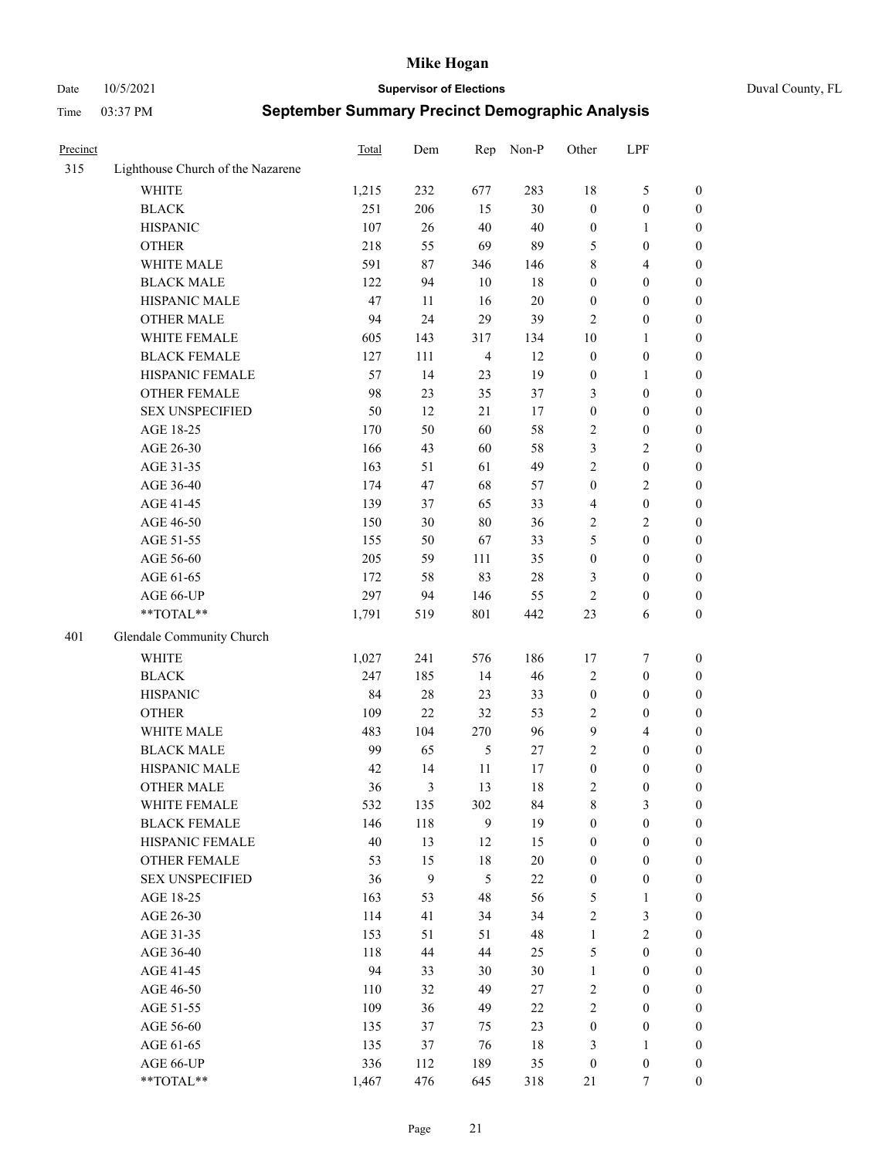Date 10/5/2021 **Supervisor of Elections** Duval County, FL

| Precinct |                                   | Total  | Dem    | Rep            | Non-P  | Other                   | LPF              |                  |
|----------|-----------------------------------|--------|--------|----------------|--------|-------------------------|------------------|------------------|
| 315      | Lighthouse Church of the Nazarene |        |        |                |        |                         |                  |                  |
|          | <b>WHITE</b>                      | 1,215  | 232    | 677            | 283    | 18                      | $\mathfrak{S}$   | 0                |
|          | <b>BLACK</b>                      | 251    | 206    | 15             | 30     | $\boldsymbol{0}$        | $\boldsymbol{0}$ | 0                |
|          | <b>HISPANIC</b>                   | 107    | $26\,$ | 40             | 40     | $\boldsymbol{0}$        | $\mathbf{1}$     | $\boldsymbol{0}$ |
|          | <b>OTHER</b>                      | 218    | 55     | 69             | 89     | 5                       | $\boldsymbol{0}$ | $\boldsymbol{0}$ |
|          | WHITE MALE                        | 591    | $87\,$ | 346            | 146    | 8                       | $\overline{4}$   | $\boldsymbol{0}$ |
|          | <b>BLACK MALE</b>                 | 122    | 94     | 10             | $18\,$ | $\boldsymbol{0}$        | $\boldsymbol{0}$ | $\boldsymbol{0}$ |
|          | HISPANIC MALE                     | 47     | 11     | 16             | $20\,$ | $\boldsymbol{0}$        | $\boldsymbol{0}$ | $\boldsymbol{0}$ |
|          | <b>OTHER MALE</b>                 | 94     | 24     | 29             | 39     | $\mathfrak{2}$          | $\boldsymbol{0}$ | $\boldsymbol{0}$ |
|          | WHITE FEMALE                      | 605    | 143    | 317            | 134    | $10\,$                  | $\mathbf{1}$     | $\boldsymbol{0}$ |
|          | <b>BLACK FEMALE</b>               | 127    | 111    | $\overline{4}$ | 12     | $\boldsymbol{0}$        | $\boldsymbol{0}$ | 0                |
|          | HISPANIC FEMALE                   | 57     | 14     | 23             | 19     | $\boldsymbol{0}$        | $\mathbf{1}$     | 0                |
|          | <b>OTHER FEMALE</b>               | 98     | 23     | 35             | 37     | 3                       | $\boldsymbol{0}$ | $\boldsymbol{0}$ |
|          | <b>SEX UNSPECIFIED</b>            | 50     | 12     | 21             | 17     | $\boldsymbol{0}$        | $\boldsymbol{0}$ | $\boldsymbol{0}$ |
|          | AGE 18-25                         | 170    | 50     | 60             | 58     | $\sqrt{2}$              | $\boldsymbol{0}$ | $\boldsymbol{0}$ |
|          | AGE 26-30                         | 166    | 43     | 60             | 58     | 3                       | $\sqrt{2}$       | $\boldsymbol{0}$ |
|          | AGE 31-35                         | 163    | 51     | 61             | 49     | $\mathfrak{2}$          | $\boldsymbol{0}$ | $\boldsymbol{0}$ |
|          | AGE 36-40                         | 174    | 47     | 68             | 57     | $\boldsymbol{0}$        | $\sqrt{2}$       | $\boldsymbol{0}$ |
|          | AGE 41-45                         | 139    | 37     | 65             | 33     | $\overline{\mathbf{4}}$ | $\boldsymbol{0}$ | $\boldsymbol{0}$ |
|          | AGE 46-50                         | 150    | 30     | 80             | 36     | 2                       | $\overline{2}$   | $\overline{0}$   |
|          | AGE 51-55                         | 155    | 50     | 67             | 33     | 5                       | $\boldsymbol{0}$ | $\boldsymbol{0}$ |
|          | AGE 56-60                         | 205    | 59     | 111            | 35     | $\boldsymbol{0}$        | $\boldsymbol{0}$ | 0                |
|          | AGE 61-65                         | 172    | 58     | 83             | $28\,$ | 3                       | $\boldsymbol{0}$ | 0                |
|          | AGE 66-UP                         | 297    | 94     | 146            | 55     | $\mathfrak{2}$          | $\boldsymbol{0}$ | $\boldsymbol{0}$ |
|          | **TOTAL**                         | 1,791  | 519    | 801            | 442    | 23                      | 6                | $\boldsymbol{0}$ |
| 401      | Glendale Community Church         |        |        |                |        |                         |                  |                  |
|          |                                   |        |        |                |        |                         |                  |                  |
|          | <b>WHITE</b>                      | 1,027  | 241    | 576            | 186    | 17                      | $\boldsymbol{7}$ | $\boldsymbol{0}$ |
|          | <b>BLACK</b>                      | 247    | 185    | 14             | 46     | 2                       | $\boldsymbol{0}$ | $\boldsymbol{0}$ |
|          | <b>HISPANIC</b>                   | 84     | $28\,$ | 23             | 33     | $\boldsymbol{0}$        | $\boldsymbol{0}$ | $\boldsymbol{0}$ |
|          | <b>OTHER</b>                      | 109    | 22     | 32             | 53     | 2                       | $\boldsymbol{0}$ | $\boldsymbol{0}$ |
|          | WHITE MALE                        | 483    | 104    | 270            | 96     | 9                       | $\overline{4}$   | $\boldsymbol{0}$ |
|          | <b>BLACK MALE</b>                 | 99     | 65     | 5              | 27     | $\mathbf{2}$            | $\boldsymbol{0}$ | $\boldsymbol{0}$ |
|          | HISPANIC MALE                     | 42     | 14     | 11             | 17     | $\boldsymbol{0}$        | $\boldsymbol{0}$ | 0                |
|          | <b>OTHER MALE</b>                 | 36     | 3      | 13             | 18     | 2                       | $\boldsymbol{0}$ | $\boldsymbol{0}$ |
|          | WHITE FEMALE                      | 532    | 135    | 302            | 84     | 8                       | 3                | 0                |
|          | <b>BLACK FEMALE</b>               | 146    | 118    | 9              | 19     | $\boldsymbol{0}$        | $\boldsymbol{0}$ | $\boldsymbol{0}$ |
|          | HISPANIC FEMALE                   | $40\,$ | 13     | 12             | 15     | $\boldsymbol{0}$        | $\boldsymbol{0}$ | $\overline{0}$   |
|          | OTHER FEMALE                      | 53     | 15     | 18             | $20\,$ | $\boldsymbol{0}$        | $\boldsymbol{0}$ | $\overline{0}$   |
|          | <b>SEX UNSPECIFIED</b>            | 36     | 9      | 5              | $22\,$ | $\boldsymbol{0}$        | $\boldsymbol{0}$ | 0                |
|          | AGE 18-25                         | 163    | 53     | 48             | 56     | 5                       | $\mathbf{1}$     | 0                |
|          | AGE 26-30                         | 114    | 41     | 34             | 34     | 2                       | $\mathfrak{Z}$   | 0                |
|          | AGE 31-35                         | 153    | 51     | 51             | 48     | $\mathbf{1}$            | $\sqrt{2}$       | 0                |
|          | AGE 36-40                         | 118    | 44     | 44             | 25     | 5                       | $\boldsymbol{0}$ | 0                |
|          | AGE 41-45                         | 94     | 33     | 30             | 30     | $\mathbf{1}$            | $\boldsymbol{0}$ | 0                |
|          | AGE 46-50                         | 110    | 32     | 49             | 27     | 2                       | $\boldsymbol{0}$ | 0                |
|          | AGE 51-55                         | 109    | 36     | 49             | 22     | $\overline{2}$          | $\boldsymbol{0}$ | 0                |
|          | AGE 56-60                         | 135    | 37     | 75             | 23     | $\boldsymbol{0}$        | $\boldsymbol{0}$ | $\overline{0}$   |
|          | AGE 61-65                         | 135    | 37     | 76             | $18\,$ | 3                       | $\mathbf{1}$     | $\overline{0}$   |
|          | AGE 66-UP                         | 336    | 112    | 189            | 35     | $\boldsymbol{0}$        | $\boldsymbol{0}$ | 0                |
|          | **TOTAL**                         | 1,467  | 476    | 645            | 318    | 21                      | $\tau$           | $\boldsymbol{0}$ |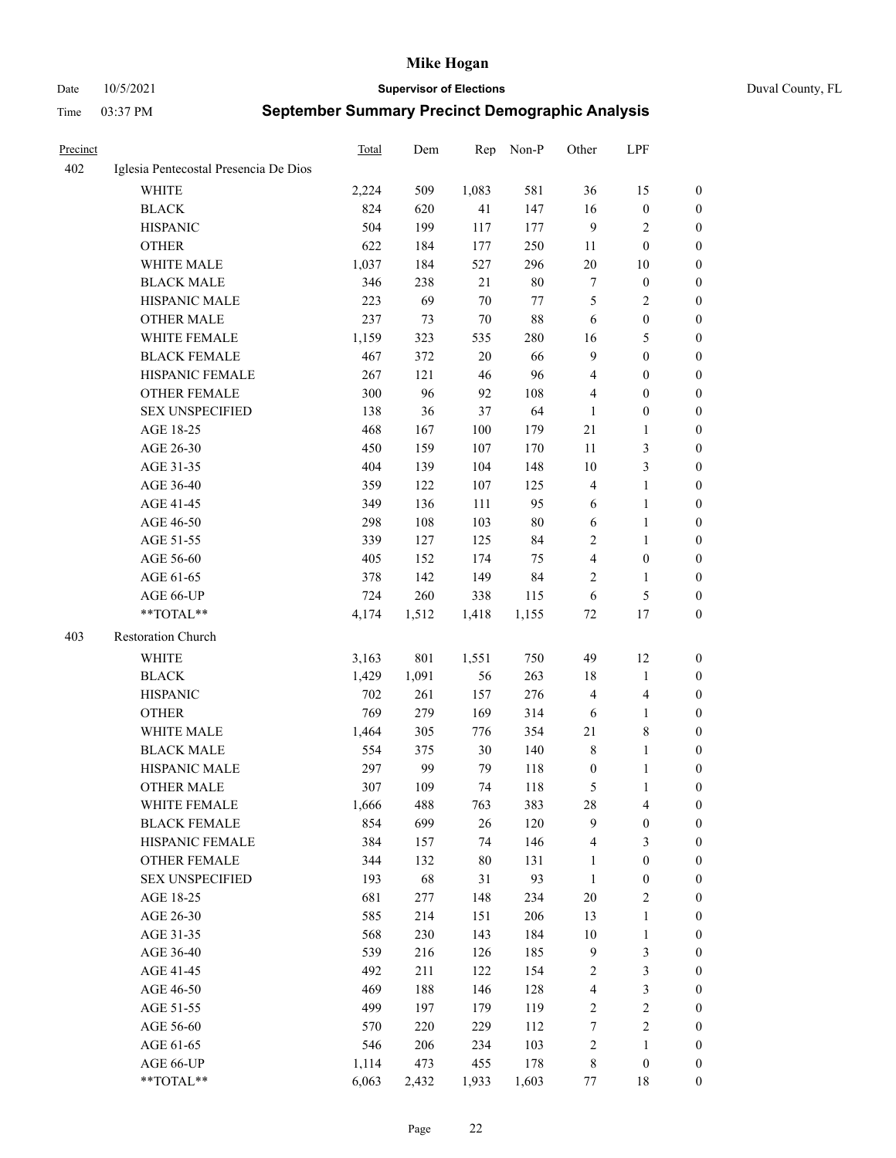Date 10/5/2021 **Supervisor of Elections** Duval County, FL

| <b>Precinct</b> |                                       | Total | Dem   | Rep    | Non-P      | Other            | LPF                     |                  |
|-----------------|---------------------------------------|-------|-------|--------|------------|------------------|-------------------------|------------------|
| 402             | Iglesia Pentecostal Presencia De Dios |       |       |        |            |                  |                         |                  |
|                 | <b>WHITE</b>                          | 2,224 | 509   | 1,083  | 581        | 36               | 15                      | 0                |
|                 | <b>BLACK</b>                          | 824   | 620   | 41     | 147        | 16               | $\boldsymbol{0}$        | 0                |
|                 | <b>HISPANIC</b>                       | 504   | 199   | 117    | 177        | 9                | $\sqrt{2}$              | 0                |
|                 | <b>OTHER</b>                          | 622   | 184   | 177    | 250        | 11               | $\boldsymbol{0}$        | $\boldsymbol{0}$ |
|                 | WHITE MALE                            | 1,037 | 184   | 527    | 296        | 20               | 10                      | $\boldsymbol{0}$ |
|                 | <b>BLACK MALE</b>                     | 346   | 238   | 21     | $80\,$     | 7                | $\boldsymbol{0}$        | $\boldsymbol{0}$ |
|                 | HISPANIC MALE                         | 223   | 69    | 70     | 77         | 5                | $\sqrt{2}$              | $\boldsymbol{0}$ |
|                 | <b>OTHER MALE</b>                     | 237   | 73    | 70     | 88         | 6                | $\boldsymbol{0}$        | $\boldsymbol{0}$ |
|                 | WHITE FEMALE                          | 1,159 | 323   | 535    | 280        | 16               | $\mathfrak{S}$          | $\boldsymbol{0}$ |
|                 | <b>BLACK FEMALE</b>                   | 467   | 372   | $20\,$ | 66         | $\overline{9}$   | $\boldsymbol{0}$        | 0                |
|                 | HISPANIC FEMALE                       | 267   | 121   | 46     | 96         | $\overline{4}$   | $\boldsymbol{0}$        | 0                |
|                 | <b>OTHER FEMALE</b>                   | 300   | 96    | 92     | 108        | 4                | $\boldsymbol{0}$        | 0                |
|                 | <b>SEX UNSPECIFIED</b>                | 138   | 36    | 37     | 64         | $\mathbf{1}$     | $\boldsymbol{0}$        | $\boldsymbol{0}$ |
|                 | AGE 18-25                             | 468   | 167   | 100    | 179        | $21\,$           | $\mathbf{1}$            | $\boldsymbol{0}$ |
|                 | AGE 26-30                             | 450   | 159   | 107    | 170        | $11\,$           | $\mathfrak{Z}$          | $\boldsymbol{0}$ |
|                 | AGE 31-35                             | 404   | 139   | 104    | 148        | 10               | $\mathfrak{Z}$          | $\boldsymbol{0}$ |
|                 | AGE 36-40                             | 359   | 122   | 107    | 125        | 4                | $\mathbf{1}$            | $\boldsymbol{0}$ |
|                 | AGE 41-45                             | 349   | 136   | 111    | 95         | 6                | $\mathbf{1}$            | $\boldsymbol{0}$ |
|                 | AGE 46-50                             | 298   | 108   | 103    | $80\,$     | 6                | $\mathbf{1}$            | 0                |
|                 | AGE 51-55                             | 339   | 127   | 125    | 84         | $\overline{c}$   | $\mathbf{1}$            | 0                |
|                 | AGE 56-60                             | 405   | 152   | 174    | 75         | $\overline{4}$   | $\boldsymbol{0}$        | 0                |
|                 | AGE 61-65                             | 378   | 142   | 149    | 84         | 2                | $\mathbf{1}$            | 0                |
|                 | AGE 66-UP                             | 724   | 260   | 338    | 115        | 6                | $\mathfrak{S}$          | 0                |
|                 | **TOTAL**                             | 4,174 | 1,512 | 1,418  | 1,155      | 72               | 17                      | $\boldsymbol{0}$ |
| 403             | Restoration Church                    |       |       |        |            |                  |                         |                  |
|                 | <b>WHITE</b>                          |       | 801   |        | 750        | 49               | 12                      |                  |
|                 |                                       | 3,163 |       | 1,551  |            |                  |                         | $\boldsymbol{0}$ |
|                 | <b>BLACK</b>                          | 1,429 | 1,091 | 56     | 263        | 18               | $\mathbf{1}$            | $\boldsymbol{0}$ |
|                 | <b>HISPANIC</b>                       | 702   | 261   | 157    | 276        | $\overline{4}$   | $\overline{\mathbf{4}}$ | $\boldsymbol{0}$ |
|                 | <b>OTHER</b>                          | 769   | 279   | 169    | 314        | 6                | $\mathbf{1}$            | $\boldsymbol{0}$ |
|                 | WHITE MALE                            | 1,464 | 305   | 776    | 354        | 21               | $\,$ 8 $\,$             | $\boldsymbol{0}$ |
|                 | <b>BLACK MALE</b>                     | 554   | 375   | $30\,$ | 140        | $\,$ 8 $\,$      | $\mathbf{1}$            | 0                |
|                 | HISPANIC MALE                         | 297   | 99    | 79     | 118        | $\boldsymbol{0}$ | 1                       | 0                |
|                 | <b>OTHER MALE</b>                     | 307   | 109   | 74     | 118        | 5                | $\mathbf{1}$            | 0                |
|                 | WHITE FEMALE                          | 1,666 | 488   | 763    | 383        | 28               | 4                       | 0                |
|                 | <b>BLACK FEMALE</b>                   | 854   | 699   | 26     | 120        | 9                | $\boldsymbol{0}$        | $\boldsymbol{0}$ |
|                 | HISPANIC FEMALE                       | 384   | 157   | 74     | 146        | 4                | $\mathfrak{Z}$          | $\overline{0}$   |
|                 | <b>OTHER FEMALE</b>                   | 344   | 132   | $80\,$ | 131        | $\mathbf{1}$     | $\boldsymbol{0}$        | $\overline{0}$   |
|                 | <b>SEX UNSPECIFIED</b>                | 193   | 68    | 31     | 93         | $\mathbf{1}$     | $\boldsymbol{0}$        | 0                |
|                 | AGE 18-25                             | 681   | 277   | 148    | 234        | 20               | $\sqrt{2}$              | 0                |
|                 | AGE 26-30                             | 585   | 214   | 151    | 206<br>184 | 13               | $\mathbf{1}$            | 0                |
|                 | AGE 31-35                             | 568   | 230   | 143    |            | $10\,$           | $\mathbf{1}$            | 0                |
|                 | AGE 36-40                             | 539   | 216   | 126    | 185        | $\overline{9}$   | $\mathfrak{Z}$          | 0                |
|                 | AGE 41-45                             | 492   | 211   | 122    | 154        | $\overline{c}$   | $\mathfrak{Z}$          | 0                |
|                 | AGE 46-50                             | 469   | 188   | 146    | 128        | 4                | $\mathfrak{Z}$          | 0                |
|                 | AGE 51-55                             | 499   | 197   | 179    | 119        | $\sqrt{2}$       | $\sqrt{2}$              | 0                |
|                 | AGE 56-60                             | 570   | 220   | 229    | 112        | 7                | $\sqrt{2}$              | $\overline{0}$   |
|                 | AGE 61-65                             | 546   | 206   | 234    | 103        | $\overline{c}$   | $\mathbf{1}$            | $\boldsymbol{0}$ |
|                 | AGE 66-UP                             | 1,114 | 473   | 455    | 178        | $\,$ 8 $\,$      | $\boldsymbol{0}$        | $\boldsymbol{0}$ |
|                 | **TOTAL**                             | 6,063 | 2,432 | 1,933  | 1,603      | 77               | 18                      | $\boldsymbol{0}$ |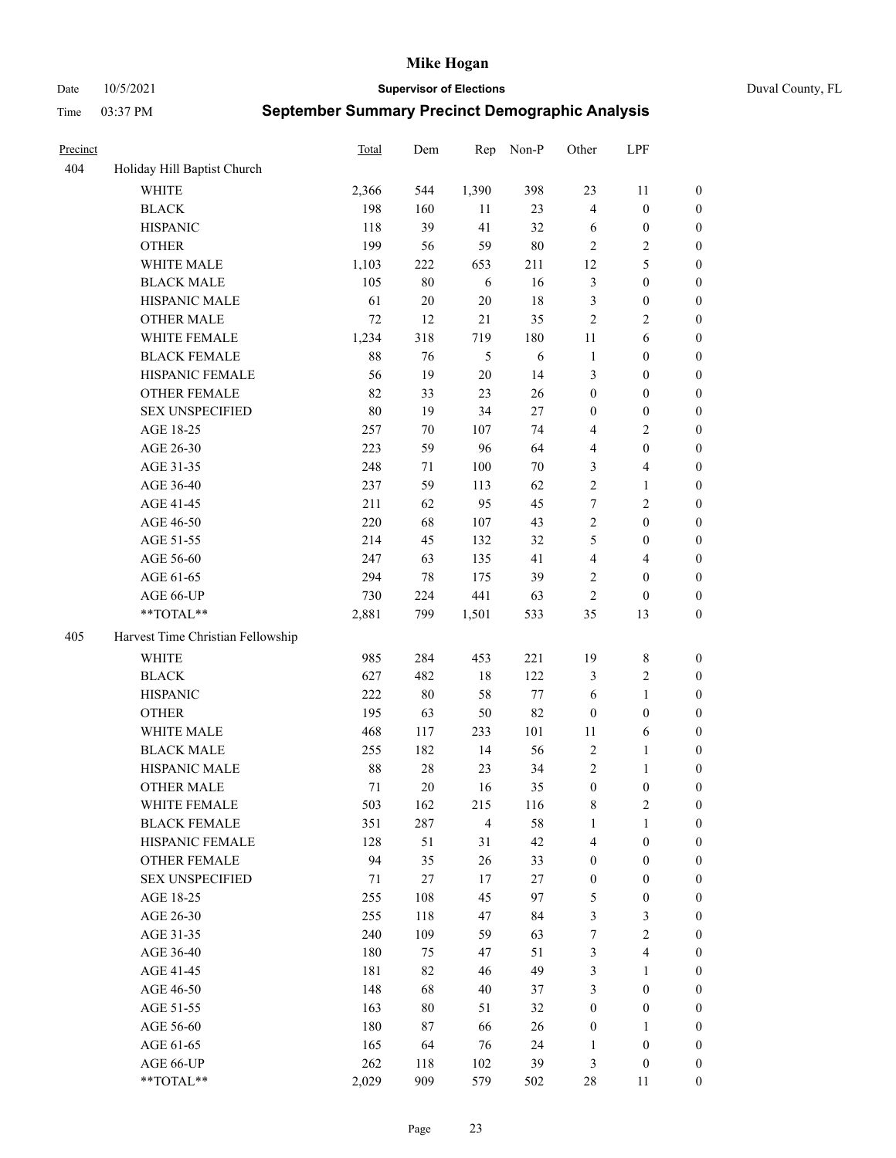Date 10/5/2021 **Supervisor of Elections** Duval County, FL

| Precinct |                                   | <b>Total</b> | Dem    | Rep            | Non-P      | Other            | LPF                     |                  |
|----------|-----------------------------------|--------------|--------|----------------|------------|------------------|-------------------------|------------------|
| 404      | Holiday Hill Baptist Church       |              |        |                |            |                  |                         |                  |
|          | <b>WHITE</b>                      | 2,366        | 544    | 1,390          | 398        | 23               | 11                      | 0                |
|          | <b>BLACK</b>                      | 198          | 160    | 11             | 23         | $\overline{4}$   | $\boldsymbol{0}$        | $\boldsymbol{0}$ |
|          | <b>HISPANIC</b>                   | 118          | 39     | 41             | 32         | 6                | $\boldsymbol{0}$        | $\boldsymbol{0}$ |
|          | <b>OTHER</b>                      | 199          | 56     | 59             | $80\,$     | $\overline{c}$   | $\sqrt{2}$              | $\boldsymbol{0}$ |
|          | WHITE MALE                        | 1,103        | 222    | 653            | 211        | 12               | $\mathfrak{S}$          | $\boldsymbol{0}$ |
|          | <b>BLACK MALE</b>                 | 105          | 80     | 6              | 16         | 3                | $\boldsymbol{0}$        | $\boldsymbol{0}$ |
|          | HISPANIC MALE                     | 61           | 20     | 20             | $18\,$     | 3                | $\boldsymbol{0}$        | $\boldsymbol{0}$ |
|          | <b>OTHER MALE</b>                 | 72           | 12     | 21             | 35         | $\overline{c}$   | $\overline{2}$          | $\boldsymbol{0}$ |
|          | WHITE FEMALE                      | 1,234        | 318    | 719            | 180        | $11\,$           | 6                       | $\boldsymbol{0}$ |
|          | <b>BLACK FEMALE</b>               | 88           | 76     | 5              | $\sqrt{6}$ | $\mathbf{1}$     | $\boldsymbol{0}$        | $\boldsymbol{0}$ |
|          | HISPANIC FEMALE                   | 56           | 19     | $20\,$         | 14         | 3                | $\boldsymbol{0}$        | 0                |
|          | <b>OTHER FEMALE</b>               | 82           | 33     | 23             | 26         | $\boldsymbol{0}$ | $\boldsymbol{0}$        | $\boldsymbol{0}$ |
|          | <b>SEX UNSPECIFIED</b>            | 80           | 19     | 34             | 27         | $\boldsymbol{0}$ | $\boldsymbol{0}$        | $\boldsymbol{0}$ |
|          | AGE 18-25                         | 257          | 70     | 107            | 74         | 4                | $\sqrt{2}$              | $\boldsymbol{0}$ |
|          | AGE 26-30                         | 223          | 59     | 96             | 64         | 4                | $\boldsymbol{0}$        | $\boldsymbol{0}$ |
|          | AGE 31-35                         | 248          | 71     | 100            | 70         | 3                | $\overline{\mathbf{4}}$ | $\boldsymbol{0}$ |
|          | AGE 36-40                         | 237          | 59     | 113            | 62         | $\overline{c}$   | $\mathbf{1}$            | $\boldsymbol{0}$ |
|          | AGE 41-45                         | 211          | 62     | 95             | 45         | $\tau$           | $\mathfrak{2}$          | $\boldsymbol{0}$ |
|          | AGE 46-50                         | 220          | 68     | 107            | 43         | $\overline{c}$   | $\boldsymbol{0}$        | $\boldsymbol{0}$ |
|          | AGE 51-55                         | 214          | 45     | 132            | 32         | 5                | $\boldsymbol{0}$        | $\boldsymbol{0}$ |
|          | AGE 56-60                         | 247          | 63     | 135            | 41         | $\overline{4}$   | $\overline{4}$          | 0                |
|          | AGE 61-65                         | 294          | 78     | 175            | 39         | $\overline{2}$   | $\boldsymbol{0}$        | 0                |
|          | AGE 66-UP                         | 730          | 224    | 441            | 63         | $\sqrt{2}$       | $\boldsymbol{0}$        | $\boldsymbol{0}$ |
|          | $**TOTAL**$                       | 2,881        | 799    | 1,501          | 533        | 35               | 13                      | $\boldsymbol{0}$ |
| 405      | Harvest Time Christian Fellowship |              |        |                |            |                  |                         |                  |
|          | <b>WHITE</b>                      | 985          | 284    | 453            | 221        | 19               | $\,$ 8 $\,$             | $\boldsymbol{0}$ |
|          | <b>BLACK</b>                      | 627          | 482    | 18             | 122        | 3                | $\sqrt{2}$              | $\boldsymbol{0}$ |
|          | <b>HISPANIC</b>                   | 222          | $80\,$ | 58             | 77         | 6                | $\mathbf{1}$            | $\boldsymbol{0}$ |
|          | <b>OTHER</b>                      | 195          | 63     | 50             | 82         | $\boldsymbol{0}$ | $\boldsymbol{0}$        | $\boldsymbol{0}$ |
|          | WHITE MALE                        | 468          | 117    | 233            | 101        | 11               | $\sqrt{6}$              | $\boldsymbol{0}$ |
|          | <b>BLACK MALE</b>                 | 255          | 182    | 14             | 56         | $\sqrt{2}$       | $\mathbf{1}$            | $\boldsymbol{0}$ |
|          | HISPANIC MALE                     | $88\,$       | $28\,$ | 23             | 34         | $\overline{c}$   | 1                       | 0                |
|          | <b>OTHER MALE</b>                 | 71           | 20     | 16             | 35         | $\boldsymbol{0}$ | $\boldsymbol{0}$        | $\boldsymbol{0}$ |
|          | WHITE FEMALE                      | 503          | 162    | 215            | 116        | 8                | 2                       | 0                |
|          | <b>BLACK FEMALE</b>               | 351          | 287    | $\overline{4}$ | 58         | $\mathbf{1}$     | $\mathbf{1}$            | $\boldsymbol{0}$ |
|          | HISPANIC FEMALE                   | 128          | 51     | 31             | 42         | 4                | $\boldsymbol{0}$        | $\overline{0}$   |
|          | OTHER FEMALE                      | 94           | 35     | 26             | 33         | $\boldsymbol{0}$ | $\boldsymbol{0}$        | $\overline{0}$   |
|          | <b>SEX UNSPECIFIED</b>            | 71           | 27     | 17             | 27         | $\boldsymbol{0}$ | $\boldsymbol{0}$        | 0                |
|          | AGE 18-25                         | 255          | 108    | 45             | 97         | 5                | $\boldsymbol{0}$        | $\theta$         |
|          | AGE 26-30                         | 255          | 118    | 47             | 84         | 3                | $\mathfrak{Z}$          | 0                |
|          | AGE 31-35                         | 240          | 109    | 59             | 63         | 7                | $\overline{2}$          | 0                |
|          | AGE 36-40                         | 180          | 75     | 47             | 51         | 3                | $\overline{4}$          | 0                |
|          | AGE 41-45                         | 181          | 82     | 46             | 49         | 3                | $\mathbf{1}$            | 0                |
|          | AGE 46-50                         | 148          | 68     | 40             | 37         | 3                | $\boldsymbol{0}$        | 0                |
|          | AGE 51-55                         | 163          | 80     | 51             | 32         | $\boldsymbol{0}$ | $\boldsymbol{0}$        | 0                |
|          | AGE 56-60                         | 180          | 87     | 66             | 26         | $\boldsymbol{0}$ | $\mathbf{1}$            | $\overline{0}$   |
|          | AGE 61-65                         | 165          | 64     | 76             | 24         | 1                | $\boldsymbol{0}$        | $\overline{0}$   |
|          | AGE 66-UP                         | 262          | 118    | 102            | 39         | 3                | $\boldsymbol{0}$        | $\boldsymbol{0}$ |
|          | **TOTAL**                         | 2,029        | 909    | 579            | 502        | 28               | 11                      | $\boldsymbol{0}$ |
|          |                                   |              |        |                |            |                  |                         |                  |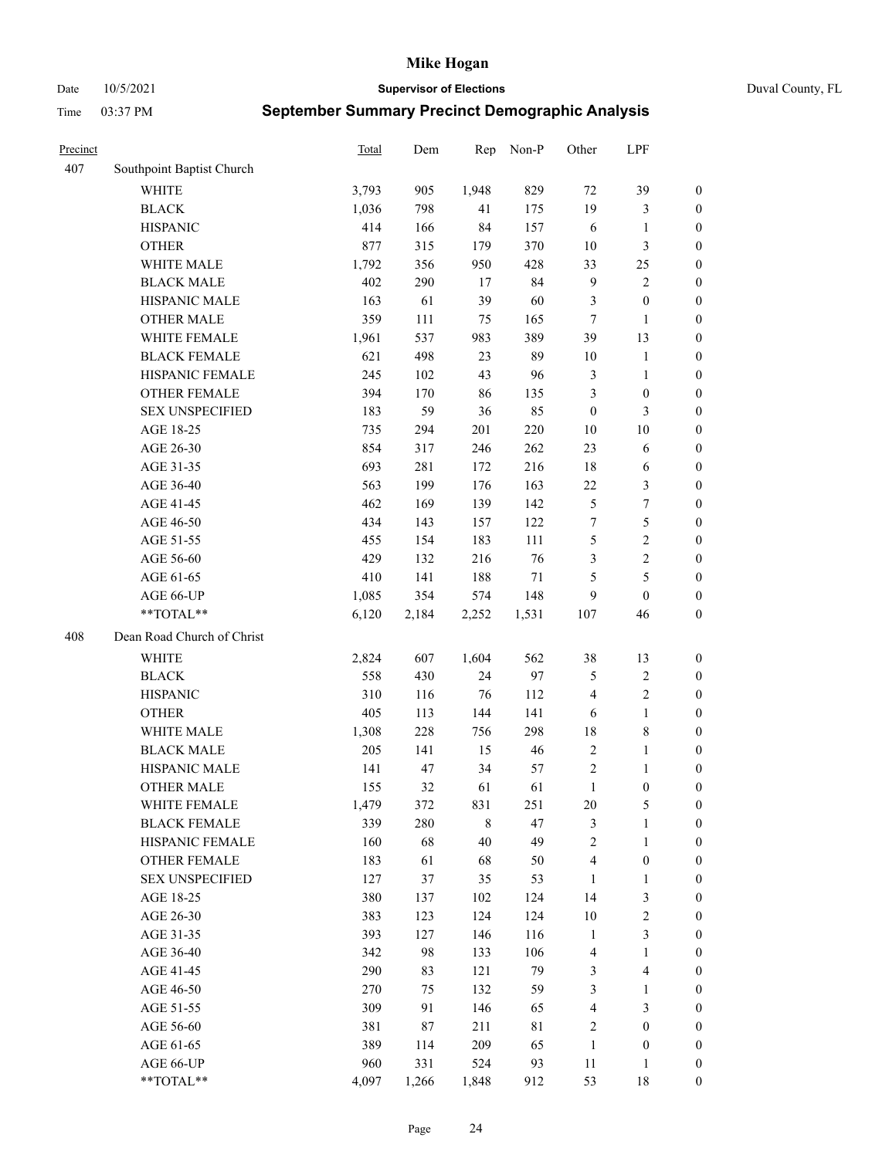Date 10/5/2021 **Supervisor of Elections** Duval County, FL

| Precinct |                            | Total | Dem   | Rep     | Non-P  | Other            | LPF                     |                  |
|----------|----------------------------|-------|-------|---------|--------|------------------|-------------------------|------------------|
| 407      | Southpoint Baptist Church  |       |       |         |        |                  |                         |                  |
|          | <b>WHITE</b>               | 3,793 | 905   | 1,948   | 829    | 72               | 39                      | 0                |
|          | <b>BLACK</b>               | 1,036 | 798   | 41      | 175    | 19               | $\mathfrak{Z}$          | $\boldsymbol{0}$ |
|          | <b>HISPANIC</b>            | 414   | 166   | 84      | 157    | 6                | $\mathbf{1}$            | $\boldsymbol{0}$ |
|          | <b>OTHER</b>               | 877   | 315   | 179     | 370    | 10               | 3                       | $\boldsymbol{0}$ |
|          | WHITE MALE                 | 1,792 | 356   | 950     | 428    | 33               | 25                      | $\boldsymbol{0}$ |
|          | <b>BLACK MALE</b>          | 402   | 290   | 17      | 84     | $\overline{9}$   | $\sqrt{2}$              | $\boldsymbol{0}$ |
|          | HISPANIC MALE              | 163   | 61    | 39      | 60     | 3                | $\boldsymbol{0}$        | $\boldsymbol{0}$ |
|          | <b>OTHER MALE</b>          | 359   | 111   | 75      | 165    | $\tau$           | $\mathbf{1}$            | $\boldsymbol{0}$ |
|          | WHITE FEMALE               | 1,961 | 537   | 983     | 389    | 39               | 13                      | $\boldsymbol{0}$ |
|          | <b>BLACK FEMALE</b>        | 621   | 498   | 23      | 89     | 10               | $\mathbf{1}$            | 0                |
|          | HISPANIC FEMALE            | 245   | 102   | 43      | 96     | 3                | $\mathbf{1}$            | 0                |
|          | OTHER FEMALE               | 394   | 170   | 86      | 135    | 3                | $\boldsymbol{0}$        | $\boldsymbol{0}$ |
|          | <b>SEX UNSPECIFIED</b>     | 183   | 59    | 36      | 85     | $\boldsymbol{0}$ | $\mathfrak{Z}$          | $\boldsymbol{0}$ |
|          | AGE 18-25                  | 735   | 294   | 201     | 220    | 10               | $10\,$                  | $\boldsymbol{0}$ |
|          | AGE 26-30                  | 854   | 317   | 246     | 262    | 23               | 6                       | $\boldsymbol{0}$ |
|          | AGE 31-35                  | 693   | 281   | 172     | 216    | 18               | 6                       | $\boldsymbol{0}$ |
|          | AGE 36-40                  | 563   | 199   | 176     | 163    | 22               | $\mathfrak{Z}$          | $\boldsymbol{0}$ |
|          | AGE 41-45                  | 462   | 169   | 139     | 142    | $\mathfrak{S}$   | $\boldsymbol{7}$        | $\boldsymbol{0}$ |
|          | AGE 46-50                  | 434   | 143   | 157     | 122    | 7                | $\mathfrak s$           | $\boldsymbol{0}$ |
|          | AGE 51-55                  | 455   | 154   | 183     | 111    | 5                | $\sqrt{2}$              | $\boldsymbol{0}$ |
|          | AGE 56-60                  | 429   | 132   | 216     | 76     | 3                | $\sqrt{2}$              | 0                |
|          | AGE 61-65                  | 410   | 141   | 188     | $71\,$ | 5                | $\mathfrak s$           | $\boldsymbol{0}$ |
|          | AGE 66-UP                  | 1,085 | 354   | 574     | 148    | 9                | $\boldsymbol{0}$        | $\boldsymbol{0}$ |
|          | **TOTAL**                  | 6,120 | 2,184 | 2,252   | 1,531  | 107              | 46                      | $\boldsymbol{0}$ |
| 408      | Dean Road Church of Christ |       |       |         |        |                  |                         |                  |
|          | <b>WHITE</b>               | 2,824 | 607   | 1,604   | 562    | 38               | 13                      | $\boldsymbol{0}$ |
|          | <b>BLACK</b>               | 558   | 430   | 24      | 97     | 5                | $\sqrt{2}$              | $\boldsymbol{0}$ |
|          | <b>HISPANIC</b>            | 310   | 116   | 76      | 112    | $\overline{4}$   | $\sqrt{2}$              | $\boldsymbol{0}$ |
|          | <b>OTHER</b>               | 405   | 113   | 144     | 141    | 6                | $\mathbf{1}$            | $\boldsymbol{0}$ |
|          | WHITE MALE                 | 1,308 | 228   | 756     | 298    | 18               | $\,$ 8 $\,$             | $\boldsymbol{0}$ |
|          | <b>BLACK MALE</b>          | 205   | 141   | 15      | 46     | $\sqrt{2}$       | $\mathbf{1}$            | $\boldsymbol{0}$ |
|          | HISPANIC MALE              | 141   | 47    | 34      | 57     | $\overline{c}$   | 1                       | 0                |
|          | <b>OTHER MALE</b>          | 155   | 32    | 61      | 61     | $\mathbf{1}$     | $\boldsymbol{0}$        | $\boldsymbol{0}$ |
|          | WHITE FEMALE               | 1,479 | 372   | 831     | 251    | 20               | 5                       | 0                |
|          | <b>BLACK FEMALE</b>        | 339   | 280   | $\,8\,$ | 47     | 3                | $\mathbf{1}$            | $\boldsymbol{0}$ |
|          | HISPANIC FEMALE            | 160   | 68    | $40\,$  | 49     | $\sqrt{2}$       | $\mathbf{1}$            | $\overline{0}$   |
|          | OTHER FEMALE               | 183   | 61    | 68      | 50     | 4                | $\boldsymbol{0}$        | $\overline{0}$   |
|          | <b>SEX UNSPECIFIED</b>     | 127   | 37    | 35      | 53     | $\mathbf{1}$     | $\mathbf{1}$            | 0                |
|          | AGE 18-25                  | 380   | 137   | 102     | 124    | 14               | $\mathfrak{Z}$          | 0                |
|          | AGE 26-30                  | 383   | 123   | 124     | 124    | $10\,$           | $\sqrt{2}$              | 0                |
|          | AGE 31-35                  | 393   | 127   | 146     | 116    | $\mathbf{1}$     | $\mathfrak{Z}$          | 0                |
|          | AGE 36-40                  | 342   | 98    | 133     | 106    | 4                | $\mathbf{1}$            | 0                |
|          | AGE 41-45                  | 290   | 83    | 121     | 79     | 3                | $\overline{\mathbf{4}}$ | 0                |
|          | AGE 46-50                  | 270   | 75    | 132     | 59     | 3                | $\mathbf{1}$            | 0                |
|          | AGE 51-55                  | 309   | 91    | 146     | 65     | 4                | $\mathfrak{Z}$          | $\boldsymbol{0}$ |
|          | AGE 56-60                  | 381   | 87    | 211     | 81     | 2                | $\boldsymbol{0}$        | $\boldsymbol{0}$ |
|          | AGE 61-65                  | 389   | 114   | 209     | 65     | $\mathbf{1}$     | $\boldsymbol{0}$        | $\boldsymbol{0}$ |
|          | AGE 66-UP                  | 960   | 331   | 524     | 93     | $11\,$           | $\mathbf{1}$            | $\boldsymbol{0}$ |
|          | **TOTAL**                  | 4,097 | 1,266 | 1,848   | 912    | 53               | 18                      | $\boldsymbol{0}$ |
|          |                            |       |       |         |        |                  |                         |                  |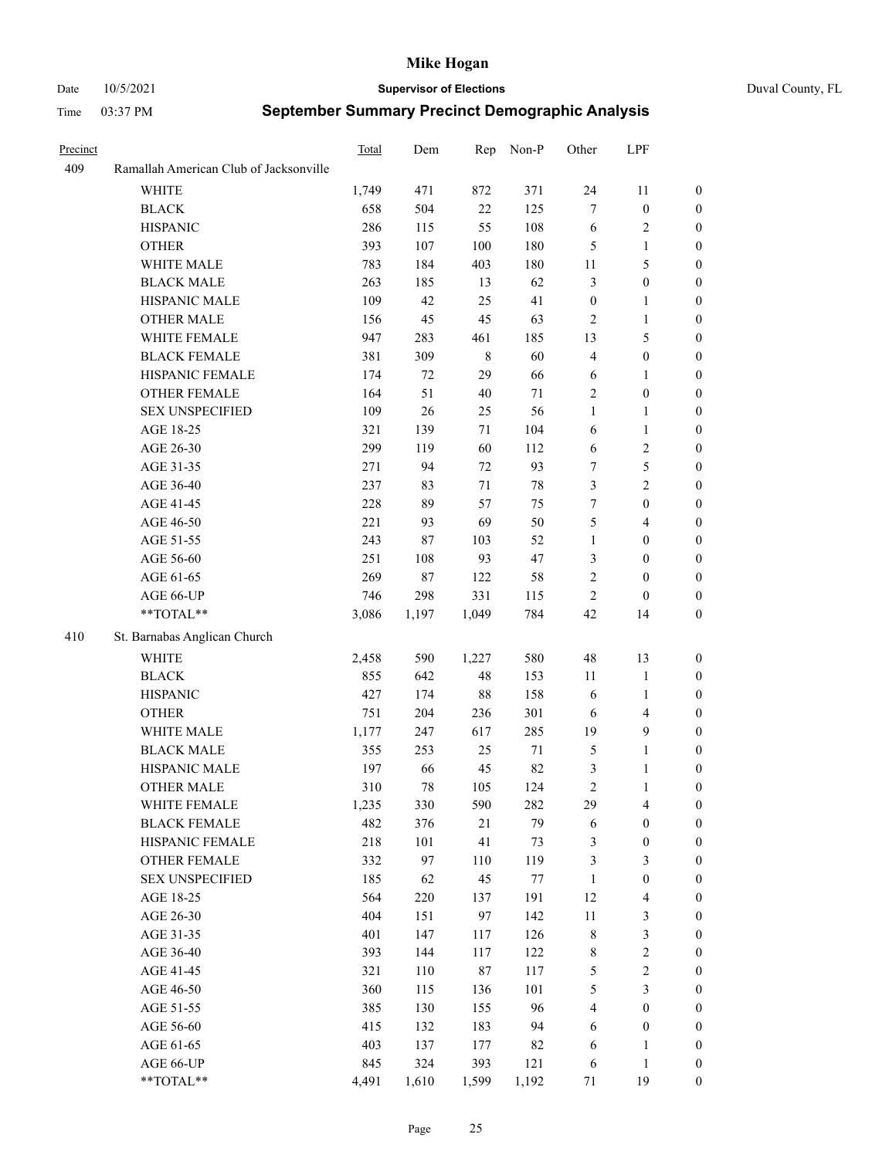#### Date 10/5/2021 **Supervisor of Elections** Duval County, FL

| Precinct |                                        | Total | Dem    |             | Rep Non-P | Other            | LPF              |                  |
|----------|----------------------------------------|-------|--------|-------------|-----------|------------------|------------------|------------------|
| 409      | Ramallah American Club of Jacksonville |       |        |             |           |                  |                  |                  |
|          | <b>WHITE</b>                           | 1,749 | 471    | 872         | 371       | 24               | 11               | 0                |
|          | <b>BLACK</b>                           | 658   | 504    | $22\,$      | 125       | 7                | $\boldsymbol{0}$ | $\boldsymbol{0}$ |
|          | <b>HISPANIC</b>                        | 286   | 115    | 55          | 108       | 6                | $\sqrt{2}$       | $\boldsymbol{0}$ |
|          | <b>OTHER</b>                           | 393   | 107    | 100         | 180       | 5                | $\mathbf{1}$     | $\boldsymbol{0}$ |
|          | WHITE MALE                             | 783   | 184    | 403         | 180       | 11               | 5                | $\boldsymbol{0}$ |
|          | <b>BLACK MALE</b>                      | 263   | 185    | 13          | 62        | 3                | $\boldsymbol{0}$ | $\boldsymbol{0}$ |
|          | HISPANIC MALE                          | 109   | 42     | 25          | 41        | $\boldsymbol{0}$ | $\mathbf{1}$     | $\boldsymbol{0}$ |
|          | <b>OTHER MALE</b>                      | 156   | 45     | 45          | 63        | $\mathbf{2}$     | $\mathbf{1}$     | $\boldsymbol{0}$ |
|          | WHITE FEMALE                           | 947   | 283    | 461         | 185       | 13               | $\mathfrak s$    | $\boldsymbol{0}$ |
|          | <b>BLACK FEMALE</b>                    | 381   | 309    | $\,$ 8 $\,$ | 60        | $\overline{4}$   | $\boldsymbol{0}$ | 0                |
|          | HISPANIC FEMALE                        | 174   | 72     | 29          | 66        | 6                | $\mathbf{1}$     | 0                |
|          | OTHER FEMALE                           | 164   | 51     | 40          | 71        | $\sqrt{2}$       | $\boldsymbol{0}$ | $\boldsymbol{0}$ |
|          | <b>SEX UNSPECIFIED</b>                 | 109   | 26     | 25          | 56        | $\mathbf{1}$     | $\mathbf{1}$     | $\boldsymbol{0}$ |
|          | AGE 18-25                              | 321   | 139    | 71          | 104       | 6                | $\mathbf{1}$     | $\boldsymbol{0}$ |
|          | AGE 26-30                              | 299   | 119    | 60          | 112       | $\sqrt{6}$       | $\sqrt{2}$       | $\boldsymbol{0}$ |
|          | AGE 31-35                              | 271   | 94     | 72          | 93        | 7                | $\mathfrak s$    | $\boldsymbol{0}$ |
|          | AGE 36-40                              | 237   | 83     | 71          | $78\,$    | 3                | $\sqrt{2}$       | $\boldsymbol{0}$ |
|          | AGE 41-45                              | 228   | 89     | 57          | 75        | 7                | $\boldsymbol{0}$ | $\boldsymbol{0}$ |
|          | AGE 46-50                              | 221   | 93     | 69          | 50        | 5                | $\overline{4}$   | 0                |
|          | AGE 51-55                              | 243   | 87     | 103         | 52        | $\mathbf{1}$     | $\boldsymbol{0}$ | 0                |
|          | AGE 56-60                              | 251   | 108    | 93          | 47        | 3                | $\boldsymbol{0}$ | 0                |
|          | AGE 61-65                              | 269   | $87\,$ | 122         | 58        | $\sqrt{2}$       | $\boldsymbol{0}$ | $\boldsymbol{0}$ |
|          | AGE 66-UP                              | 746   | 298    | 331         | 115       | $\mathbf{2}$     | $\boldsymbol{0}$ | $\boldsymbol{0}$ |
|          | **TOTAL**                              | 3,086 | 1,197  | 1,049       | 784       | 42               | 14               | $\boldsymbol{0}$ |
| 410      | St. Barnabas Anglican Church           |       |        |             |           |                  |                  |                  |
|          | <b>WHITE</b>                           | 2,458 | 590    | 1,227       | 580       | 48               | 13               | $\boldsymbol{0}$ |
|          | <b>BLACK</b>                           | 855   | 642    | 48          | 153       | 11               | $\mathbf{1}$     | $\boldsymbol{0}$ |
|          | <b>HISPANIC</b>                        | 427   | 174    | 88          | 158       | 6                | $\mathbf{1}$     | $\boldsymbol{0}$ |
|          | <b>OTHER</b>                           | 751   | 204    | 236         | 301       | 6                | $\overline{4}$   | $\overline{0}$   |
|          | WHITE MALE                             | 1,177 | 247    | 617         | 285       | 19               | $\mathbf{9}$     | $\overline{0}$   |
|          | <b>BLACK MALE</b>                      | 355   | 253    | 25          | 71        | $\mathfrak{S}$   | $\mathbf{1}$     | 0                |
|          | HISPANIC MALE                          | 197   | 66     | 45          | 82        | 3                | $\mathbf{1}$     | 0                |
|          | <b>OTHER MALE</b>                      | 310   | 78     | 105         | 124       | $\sqrt{2}$       | $\mathbf{1}$     | $\boldsymbol{0}$ |
|          | WHITE FEMALE                           | 1,235 | 330    | 590         | 282       | 29               | $\overline{4}$   | $\boldsymbol{0}$ |
|          | <b>BLACK FEMALE</b>                    | 482   | 376    | $21\,$      | 79        | 6                | $\boldsymbol{0}$ | $\boldsymbol{0}$ |
|          | HISPANIC FEMALE                        | 218   | 101    | 41          | 73        | 3                | $\boldsymbol{0}$ | $\overline{0}$   |
|          | <b>OTHER FEMALE</b>                    | 332   | 97     | 110         | 119       | 3                | $\mathfrak{Z}$   | $\overline{0}$   |
|          | <b>SEX UNSPECIFIED</b>                 | 185   | 62     | 45          | 77        | $\mathbf{1}$     | $\boldsymbol{0}$ | 0                |
|          | AGE 18-25                              | 564   | 220    | 137         | 191       | 12               | $\overline{4}$   | 0                |
|          | AGE 26-30                              | 404   | 151    | 97          | 142       | $11\,$           | $\mathfrak{Z}$   | 0                |
|          | AGE 31-35                              | 401   | 147    | 117         | 126       | $\,$ $\,$        | $\mathfrak{Z}$   | 0                |
|          | AGE 36-40                              | 393   | 144    | 117         | 122       | 8                | $\sqrt{2}$       | 0                |
|          | AGE 41-45                              | 321   | 110    | 87          | 117       | 5                | $\boldsymbol{2}$ | 0                |
|          | AGE 46-50                              | 360   | 115    | 136         | 101       | 5                | $\mathfrak{Z}$   | 0                |
|          | AGE 51-55                              | 385   | 130    | 155         | 96        | 4                | $\boldsymbol{0}$ | $\boldsymbol{0}$ |
|          | AGE 56-60                              | 415   | 132    | 183         | 94        | 6                | $\boldsymbol{0}$ | $\boldsymbol{0}$ |
|          | AGE 61-65                              | 403   | 137    | 177         | 82        | 6                | $\mathbf{1}$     | $\boldsymbol{0}$ |
|          | AGE 66-UP                              | 845   | 324    | 393         | 121       | 6                | $\mathbf{1}$     | 0                |
|          | **TOTAL**                              | 4,491 | 1,610  | 1,599       | 1,192     | 71               | 19               | $\boldsymbol{0}$ |
|          |                                        |       |        |             |           |                  |                  |                  |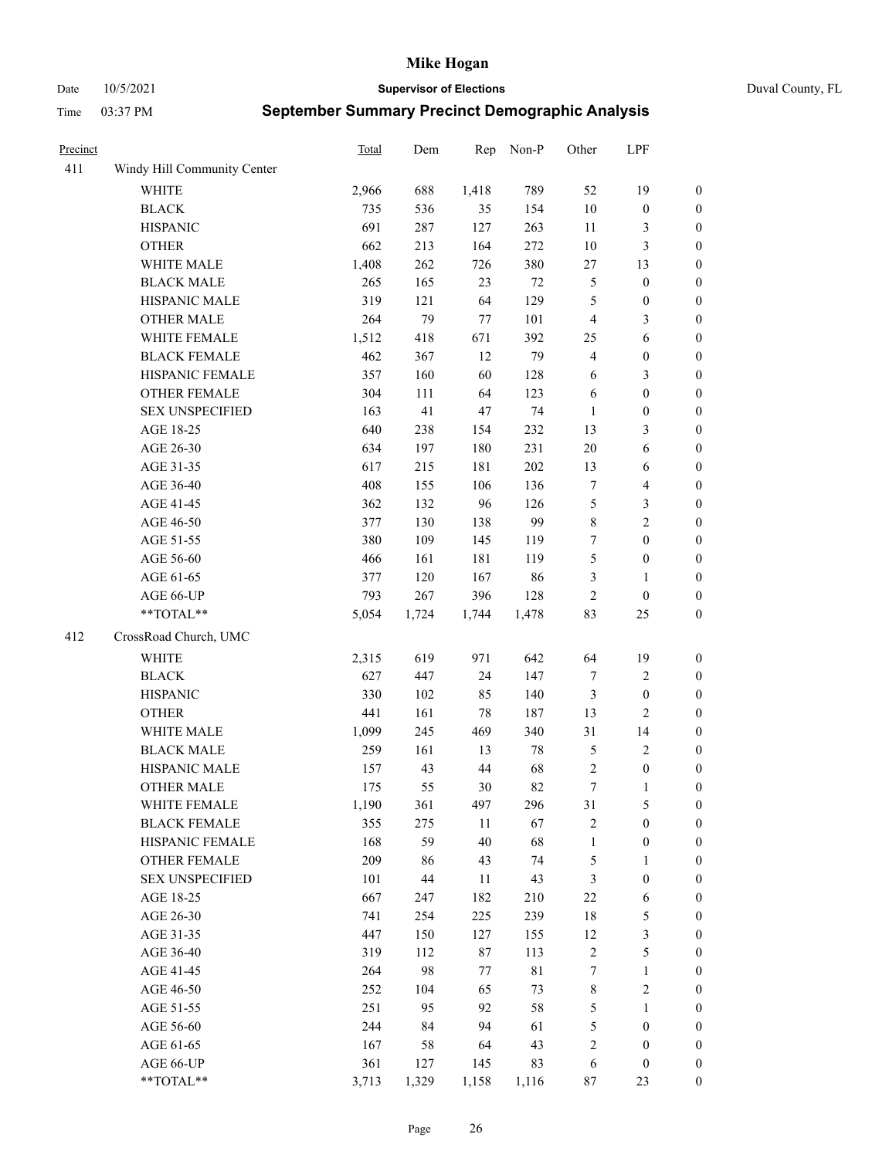Date 10/5/2021 **Supervisor of Elections** Duval County, FL

| Precinct |                             | <b>Total</b> | Dem   | Rep   | Non-P       | Other            | LPF                     |                  |
|----------|-----------------------------|--------------|-------|-------|-------------|------------------|-------------------------|------------------|
| 411      | Windy Hill Community Center |              |       |       |             |                  |                         |                  |
|          | <b>WHITE</b>                | 2,966        | 688   | 1,418 | 789         | 52               | 19                      | 0                |
|          | <b>BLACK</b>                | 735          | 536   | 35    | 154         | $10\,$           | $\boldsymbol{0}$        | $\boldsymbol{0}$ |
|          | <b>HISPANIC</b>             | 691          | 287   | 127   | 263         | 11               | 3                       | $\boldsymbol{0}$ |
|          | <b>OTHER</b>                | 662          | 213   | 164   | 272         | $10\,$           | $\mathfrak{Z}$          | $\boldsymbol{0}$ |
|          | WHITE MALE                  | 1,408        | 262   | 726   | 380         | $27\,$           | 13                      | $\boldsymbol{0}$ |
|          | <b>BLACK MALE</b>           | 265          | 165   | 23    | $72\,$      | 5                | $\boldsymbol{0}$        | $\boldsymbol{0}$ |
|          | HISPANIC MALE               | 319          | 121   | 64    | 129         | 5                | $\boldsymbol{0}$        | $\boldsymbol{0}$ |
|          | <b>OTHER MALE</b>           | 264          | 79    | 77    | 101         | $\overline{4}$   | $\mathfrak{Z}$          | $\boldsymbol{0}$ |
|          | WHITE FEMALE                | 1,512        | 418   | 671   | 392         | 25               | $\sqrt{6}$              | $\boldsymbol{0}$ |
|          | <b>BLACK FEMALE</b>         | 462          | 367   | 12    | 79          | $\overline{4}$   | $\boldsymbol{0}$        | $\boldsymbol{0}$ |
|          | HISPANIC FEMALE             | 357          | 160   | 60    | 128         | 6                | $\mathfrak{Z}$          | $\boldsymbol{0}$ |
|          | OTHER FEMALE                | 304          | 111   | 64    | 123         | 6                | $\boldsymbol{0}$        | $\boldsymbol{0}$ |
|          | <b>SEX UNSPECIFIED</b>      | 163          | 41    | 47    | 74          | $\mathbf{1}$     | $\boldsymbol{0}$        | $\boldsymbol{0}$ |
|          | AGE 18-25                   | 640          | 238   | 154   | 232         | 13               | $\mathfrak{Z}$          | $\boldsymbol{0}$ |
|          | AGE 26-30                   | 634          | 197   | 180   | 231         | $20\,$           | 6                       | $\boldsymbol{0}$ |
|          | AGE 31-35                   | 617          | 215   | 181   | 202         | 13               | 6                       | $\boldsymbol{0}$ |
|          | AGE 36-40                   | 408          | 155   | 106   | 136         | 7                | $\overline{\mathbf{4}}$ | $\boldsymbol{0}$ |
|          | AGE 41-45                   | 362          | 132   | 96    | 126         | 5                | $\mathfrak{Z}$          | $\boldsymbol{0}$ |
|          | AGE 46-50                   | 377          | 130   | 138   | 99          | $\,$ $\,$        | $\overline{2}$          | $\boldsymbol{0}$ |
|          | AGE 51-55                   | 380          | 109   | 145   | 119         | 7                | $\boldsymbol{0}$        | $\boldsymbol{0}$ |
|          | AGE 56-60                   | 466          | 161   | 181   | 119         | 5                | $\boldsymbol{0}$        | 0                |
|          | AGE 61-65                   | 377          | 120   | 167   | 86          | 3                | $\mathbf{1}$            | $\boldsymbol{0}$ |
|          | AGE 66-UP                   | 793          | 267   | 396   | 128         | $\sqrt{2}$       | $\boldsymbol{0}$        | $\boldsymbol{0}$ |
|          | **TOTAL**                   | 5,054        | 1,724 | 1,744 | 1,478       | 83               | 25                      | $\boldsymbol{0}$ |
| 412      | CrossRoad Church, UMC       |              |       |       |             |                  |                         |                  |
|          | <b>WHITE</b>                | 2,315        | 619   | 971   | 642         | 64               | 19                      | $\boldsymbol{0}$ |
|          | <b>BLACK</b>                | 627          | 447   | 24    | 147         | 7                | $\sqrt{2}$              | $\boldsymbol{0}$ |
|          | <b>HISPANIC</b>             | 330          | 102   | 85    | 140         | 3                | $\boldsymbol{0}$        | $\boldsymbol{0}$ |
|          | <b>OTHER</b>                | 441          | 161   | 78    | 187         | 13               | $\overline{c}$          | $\boldsymbol{0}$ |
|          | WHITE MALE                  | 1,099        | 245   | 469   | 340         | 31               | 14                      | $\boldsymbol{0}$ |
|          | <b>BLACK MALE</b>           | 259          | 161   | 13    | $78\,$      | 5                | $\sqrt{2}$              | $\boldsymbol{0}$ |
|          | HISPANIC MALE               | 157          | 43    | 44    | 68          | $\sqrt{2}$       | $\boldsymbol{0}$        | 0                |
|          | OTHER MALE                  | 175          | 55    | 30    | 82          | $\boldsymbol{7}$ | $\mathbf{1}$            | $\boldsymbol{0}$ |
|          | WHITE FEMALE                | 1,190        | 361   | 497   | 296         | 31               | 5                       | 0                |
|          | <b>BLACK FEMALE</b>         | 355          | 275   | 11    | 67          | 2                | $\boldsymbol{0}$        | $\boldsymbol{0}$ |
|          | HISPANIC FEMALE             | 168          | 59    | 40    | 68          | $\mathbf{1}$     | $\boldsymbol{0}$        | $\overline{0}$   |
|          | OTHER FEMALE                | 209          | 86    | 43    | 74          | 5                | $\mathbf{1}$            | $\overline{0}$   |
|          | <b>SEX UNSPECIFIED</b>      | 101          | 44    | 11    | 43          | 3                | $\boldsymbol{0}$        | 0                |
|          | AGE 18-25                   | 667          | 247   | 182   | 210         | $22\,$           | 6                       | 0                |
|          | AGE 26-30                   | 741          | 254   | 225   | 239         | 18               | $\mathfrak{S}$          | 0                |
|          | AGE 31-35                   | 447          | 150   | 127   | 155         | 12               | $\mathfrak{Z}$          | 0                |
|          | AGE 36-40                   | 319          | 112   | 87    | 113         | $\sqrt{2}$       | $\mathfrak{S}$          | 0                |
|          | AGE 41-45                   | 264          | 98    | 77    | $8\sqrt{1}$ | $\boldsymbol{7}$ | $\mathbf{1}$            | 0                |
|          | AGE 46-50                   | 252          | 104   | 65    | 73          | $\,$ 8 $\,$      | $\sqrt{2}$              | 0                |
|          | AGE 51-55                   | 251          | 95    | 92    | 58          | 5                | $\mathbf{1}$            | 0                |
|          | AGE 56-60                   | 244          | 84    | 94    | 61          | 5                | $\boldsymbol{0}$        | 0                |
|          | AGE 61-65                   | 167          | 58    | 64    | 43          | 2                | $\boldsymbol{0}$        | $\boldsymbol{0}$ |
|          | AGE 66-UP                   | 361          | 127   | 145   | 83          | 6                | $\boldsymbol{0}$        | 0                |
|          | **TOTAL**                   | 3,713        | 1,329 | 1,158 | 1,116       | 87               | 23                      | $\boldsymbol{0}$ |
|          |                             |              |       |       |             |                  |                         |                  |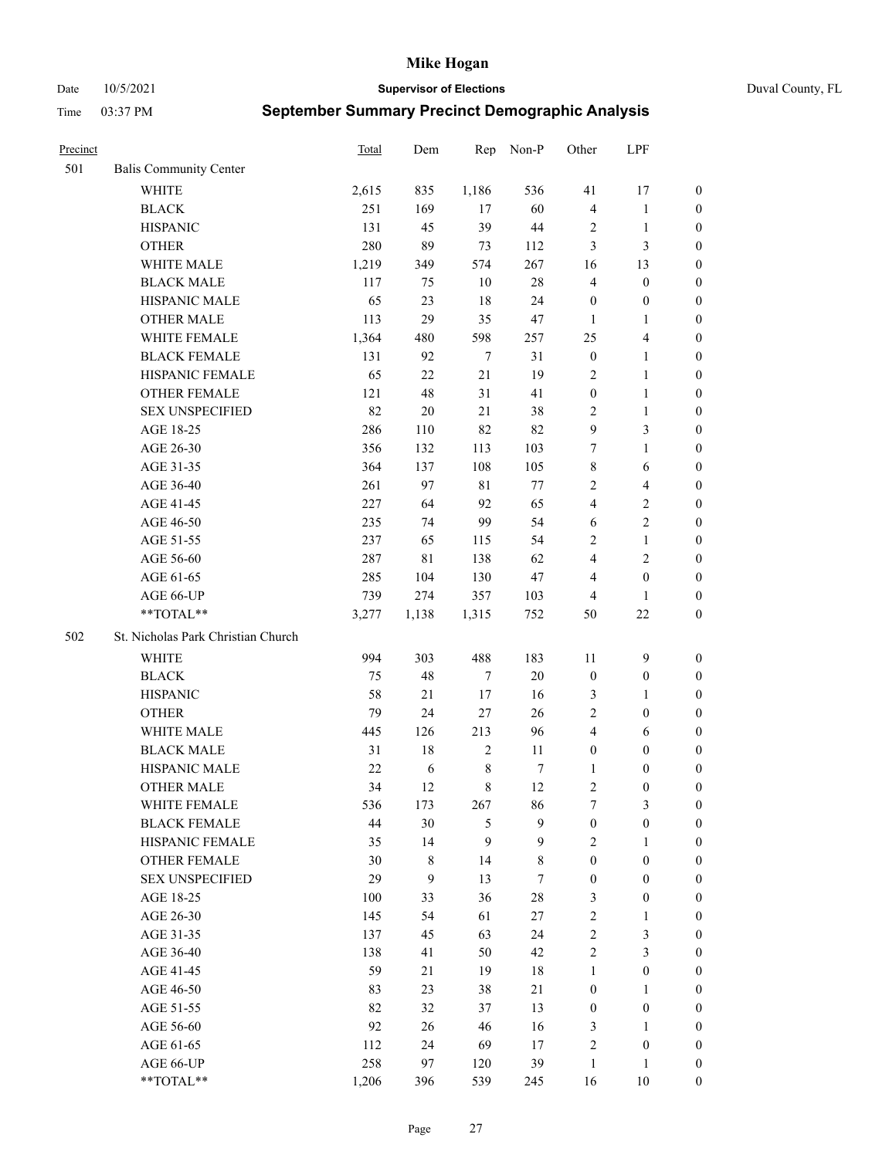Date 10/5/2021 **Supervisor of Elections** Duval County, FL

| Precinct |                                    | Total  | Dem    | Rep              | Non-P       | Other            | LPF                     |                  |
|----------|------------------------------------|--------|--------|------------------|-------------|------------------|-------------------------|------------------|
| 501      | <b>Balis Community Center</b>      |        |        |                  |             |                  |                         |                  |
|          | <b>WHITE</b>                       | 2,615  | 835    | 1,186            | 536         | 41               | 17                      | 0                |
|          | <b>BLACK</b>                       | 251    | 169    | 17               | 60          | $\overline{4}$   | $\mathbf{1}$            | 0                |
|          | <b>HISPANIC</b>                    | 131    | 45     | 39               | 44          | $\overline{c}$   | $\mathbf{1}$            | $\boldsymbol{0}$ |
|          | <b>OTHER</b>                       | 280    | 89     | 73               | 112         | 3                | 3                       | $\boldsymbol{0}$ |
|          | WHITE MALE                         | 1,219  | 349    | 574              | 267         | 16               | 13                      | $\boldsymbol{0}$ |
|          | <b>BLACK MALE</b>                  | 117    | 75     | 10               | $28\,$      | 4                | $\boldsymbol{0}$        | $\boldsymbol{0}$ |
|          | HISPANIC MALE                      | 65     | 23     | 18               | 24          | $\boldsymbol{0}$ | $\boldsymbol{0}$        | $\boldsymbol{0}$ |
|          | <b>OTHER MALE</b>                  | 113    | 29     | 35               | 47          | $\mathbf{1}$     | $\mathbf{1}$            | $\boldsymbol{0}$ |
|          | WHITE FEMALE                       | 1,364  | 480    | 598              | 257         | 25               | $\overline{\mathbf{4}}$ | $\boldsymbol{0}$ |
|          | <b>BLACK FEMALE</b>                | 131    | 92     | $\tau$           | 31          | $\boldsymbol{0}$ | $\mathbf{1}$            | 0                |
|          | HISPANIC FEMALE                    | 65     | 22     | 21               | 19          | 2                | $\mathbf{1}$            | 0                |
|          | <b>OTHER FEMALE</b>                | 121    | 48     | 31               | 41          | $\boldsymbol{0}$ | $\mathbf{1}$            | 0                |
|          | <b>SEX UNSPECIFIED</b>             | 82     | $20\,$ | 21               | 38          | $\mathbf{2}$     | $\mathbf{1}$            | $\boldsymbol{0}$ |
|          | AGE 18-25                          | 286    | 110    | 82               | 82          | 9                | $\mathfrak{Z}$          | $\boldsymbol{0}$ |
|          | AGE 26-30                          | 356    | 132    | 113              | 103         | 7                | $\mathbf{1}$            | $\boldsymbol{0}$ |
|          | AGE 31-35                          | 364    | 137    | 108              | 105         | $\,$ $\,$        | 6                       | $\boldsymbol{0}$ |
|          | AGE 36-40                          | 261    | 97     | $8\sqrt{1}$      | 77          | $\mathbf{2}$     | $\overline{\mathbf{4}}$ | $\boldsymbol{0}$ |
|          | AGE 41-45                          | 227    | 64     | 92               | 65          | $\overline{4}$   | $\sqrt{2}$              | $\boldsymbol{0}$ |
|          | AGE 46-50                          | 235    | 74     | 99               | 54          | 6                | $\overline{2}$          | $\boldsymbol{0}$ |
|          | AGE 51-55                          | 237    | 65     | 115              | 54          | $\sqrt{2}$       | $\mathbf{1}$            | $\boldsymbol{0}$ |
|          | AGE 56-60                          | 287    | 81     | 138              | 62          | 4                | $\overline{2}$          | 0                |
|          | AGE 61-65                          | 285    | 104    | 130              | 47          | 4                | $\boldsymbol{0}$        | 0                |
|          | AGE 66-UP                          | 739    | 274    | 357              | 103         | $\overline{4}$   | $\mathbf{1}$            | $\boldsymbol{0}$ |
|          | $**TOTAL**$                        | 3,277  | 1,138  | 1,315            | 752         | 50               | $22\,$                  | $\boldsymbol{0}$ |
| 502      | St. Nicholas Park Christian Church |        |        |                  |             |                  |                         |                  |
|          | <b>WHITE</b>                       | 994    | 303    | 488              | 183         | 11               | $\mathbf{9}$            | $\boldsymbol{0}$ |
|          | <b>BLACK</b>                       | 75     | 48     | $\boldsymbol{7}$ | $20\,$      | $\boldsymbol{0}$ | $\boldsymbol{0}$        | $\boldsymbol{0}$ |
|          | <b>HISPANIC</b>                    | 58     | 21     | 17               | 16          | 3                | $\mathbf{1}$            | $\boldsymbol{0}$ |
|          | <b>OTHER</b>                       | 79     | 24     | $27\,$           | 26          | $\overline{c}$   | $\boldsymbol{0}$        | $\boldsymbol{0}$ |
|          | WHITE MALE                         | 445    | 126    | 213              | 96          | $\overline{4}$   | 6                       | $\boldsymbol{0}$ |
|          | <b>BLACK MALE</b>                  | 31     | 18     | $\sqrt{2}$       | 11          | $\boldsymbol{0}$ | $\boldsymbol{0}$        | $\boldsymbol{0}$ |
|          | HISPANIC MALE                      | $22\,$ | 6      | $\,$ 8 $\,$      | 7           | 1                | $\boldsymbol{0}$        | 0                |
|          | <b>OTHER MALE</b>                  | 34     | 12     | $\,8\,$          | 12          | $\overline{c}$   | $\boldsymbol{0}$        | $\boldsymbol{0}$ |
|          | WHITE FEMALE                       | 536    | 173    | 267              | 86          | 7                | 3                       | 0                |
|          | <b>BLACK FEMALE</b>                | 44     | 30     | 5                | 9           | $\boldsymbol{0}$ | $\boldsymbol{0}$        | $\boldsymbol{0}$ |
|          | HISPANIC FEMALE                    | 35     | 14     | 9                | 9           | $\mathbf{2}$     | $\mathbf{1}$            | $\overline{0}$   |
|          | <b>OTHER FEMALE</b>                | 30     | 8      | 14               | $\,$ 8 $\,$ | $\boldsymbol{0}$ | $\boldsymbol{0}$        | $\overline{0}$   |
|          | <b>SEX UNSPECIFIED</b>             | 29     | 9      | 13               | $\tau$      | $\boldsymbol{0}$ | $\boldsymbol{0}$        | 0                |
|          | AGE 18-25                          | 100    | 33     | 36               | $28\,$      | 3                | $\boldsymbol{0}$        | $\overline{0}$   |
|          | AGE 26-30                          | 145    | 54     | 61               | 27          | $\sqrt{2}$       | $\mathbf{1}$            | 0                |
|          | AGE 31-35                          | 137    | 45     | 63               | 24          | $\sqrt{2}$       | $\mathfrak{Z}$          | 0                |
|          | AGE 36-40                          | 138    | 41     | 50               | 42          | $\sqrt{2}$       | $\mathfrak{Z}$          | 0                |
|          | AGE 41-45                          | 59     | 21     | 19               | $18\,$      | $\mathbf{1}$     | $\boldsymbol{0}$        | 0                |
|          | AGE 46-50                          | 83     | 23     | 38               | 21          | $\boldsymbol{0}$ | $\mathbf{1}$            | 0                |
|          | AGE 51-55                          | 82     | 32     | 37               | 13          | $\boldsymbol{0}$ | $\boldsymbol{0}$        | $\overline{0}$   |
|          | AGE 56-60                          | 92     | 26     | 46               | 16          | 3                | $\mathbf{1}$            | $\overline{0}$   |
|          | AGE 61-65                          | 112    | 24     | 69               | 17          | $\overline{c}$   | $\boldsymbol{0}$        | $\overline{0}$   |
|          | AGE 66-UP                          | 258    | 97     | 120              | 39          | $\mathbf{1}$     | $\mathbf{1}$            | $\boldsymbol{0}$ |
|          | **TOTAL**                          | 1,206  | 396    | 539              | 245         | 16               | 10                      | $\boldsymbol{0}$ |
|          |                                    |        |        |                  |             |                  |                         |                  |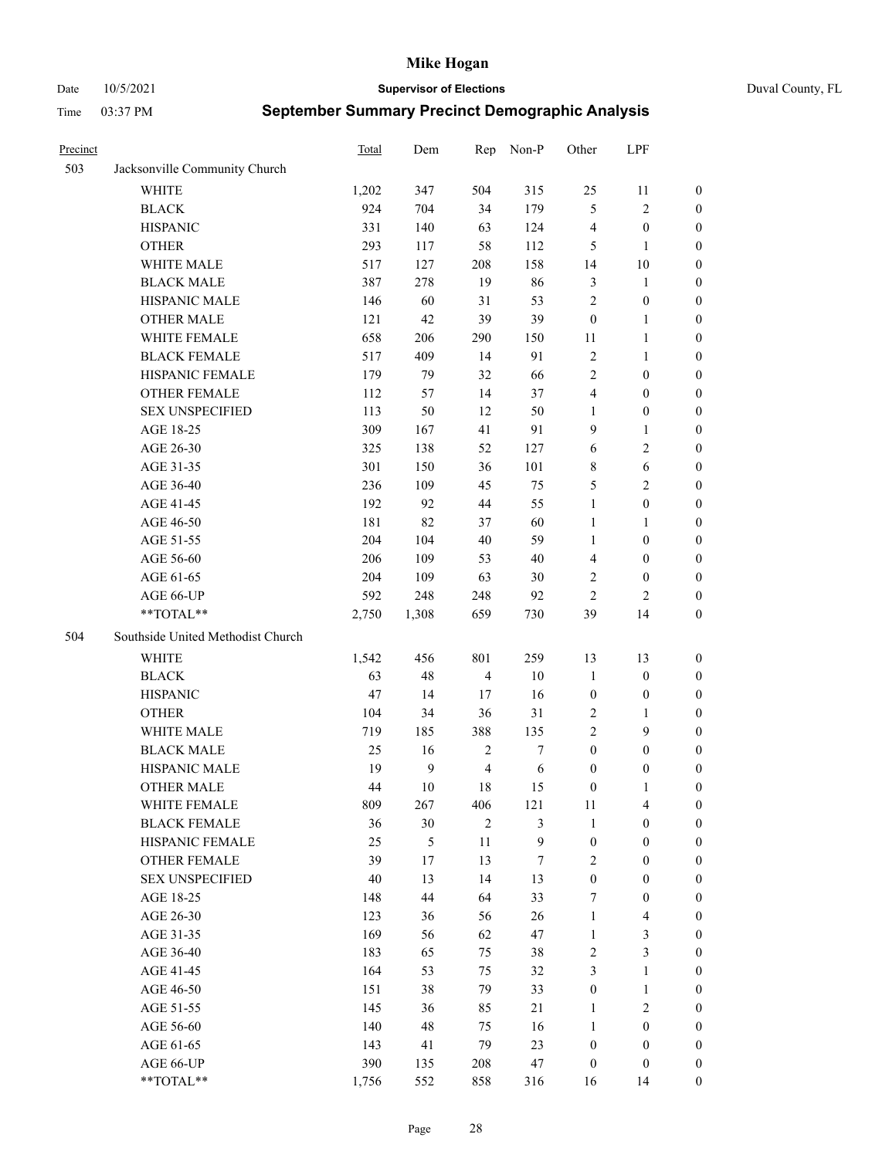Date 10/5/2021 **Supervisor of Elections** Duval County, FL

| Precinct |                                   | <b>Total</b> | Dem              | Rep            | Non-P            | Other                   | LPF                     |                  |
|----------|-----------------------------------|--------------|------------------|----------------|------------------|-------------------------|-------------------------|------------------|
| 503      | Jacksonville Community Church     |              |                  |                |                  |                         |                         |                  |
|          | <b>WHITE</b>                      | 1,202        | 347              | 504            | 315              | 25                      | 11                      | 0                |
|          | <b>BLACK</b>                      | 924          | 704              | 34             | 179              | 5                       | $\sqrt{2}$              | 0                |
|          | <b>HISPANIC</b>                   | 331          | 140              | 63             | 124              | 4                       | $\boldsymbol{0}$        | $\boldsymbol{0}$ |
|          | <b>OTHER</b>                      | 293          | 117              | 58             | 112              | 5                       | $\mathbf{1}$            | $\boldsymbol{0}$ |
|          | WHITE MALE                        | 517          | 127              | 208            | 158              | 14                      | $10\,$                  | $\boldsymbol{0}$ |
|          | <b>BLACK MALE</b>                 | 387          | 278              | 19             | 86               | 3                       | 1                       | $\boldsymbol{0}$ |
|          | HISPANIC MALE                     | 146          | 60               | 31             | 53               | $\mathfrak{2}$          | $\boldsymbol{0}$        | $\boldsymbol{0}$ |
|          | <b>OTHER MALE</b>                 | 121          | 42               | 39             | 39               | $\boldsymbol{0}$        | $\mathbf{1}$            | $\boldsymbol{0}$ |
|          | WHITE FEMALE                      | 658          | 206              | 290            | 150              | 11                      | $\mathbf{1}$            | $\boldsymbol{0}$ |
|          | <b>BLACK FEMALE</b>               | 517          | 409              | 14             | 91               | $\sqrt{2}$              | $\mathbf{1}$            | 0                |
|          | HISPANIC FEMALE                   | 179          | 79               | 32             | 66               | $\overline{c}$          | $\boldsymbol{0}$        | 0                |
|          | OTHER FEMALE                      | 112          | 57               | 14             | 37               | 4                       | $\boldsymbol{0}$        | $\boldsymbol{0}$ |
|          | <b>SEX UNSPECIFIED</b>            | 113          | 50               | 12             | 50               | $\mathbf{1}$            | $\boldsymbol{0}$        | $\boldsymbol{0}$ |
|          | AGE 18-25                         | 309          | 167              | 41             | 91               | 9                       | $\mathbf{1}$            | $\boldsymbol{0}$ |
|          | AGE 26-30                         | 325          | 138              | 52             | 127              | 6                       | $\sqrt{2}$              | $\boldsymbol{0}$ |
|          | AGE 31-35                         | 301          | 150              | 36             | 101              | 8                       | 6                       | $\boldsymbol{0}$ |
|          | AGE 36-40                         | 236          | 109              | 45             | 75               | 5                       | $\mathfrak{2}$          | $\boldsymbol{0}$ |
|          | AGE 41-45                         | 192          | 92               | 44             | 55               | $\mathbf{1}$            | $\boldsymbol{0}$        | $\boldsymbol{0}$ |
|          | AGE 46-50                         | 181          | 82               | 37             | 60               | $\mathbf{1}$            | 1                       | $\boldsymbol{0}$ |
|          | AGE 51-55                         | 204          | 104              | 40             | 59               | $\mathbf{1}$            | $\boldsymbol{0}$        |                  |
|          |                                   |              |                  |                |                  |                         |                         | 0                |
|          | AGE 56-60                         | 206          | 109              | 53             | 40               | $\overline{\mathbf{4}}$ | $\boldsymbol{0}$        | 0                |
|          | AGE 61-65                         | 204          | 109              | 63             | 30               | 2                       | $\boldsymbol{0}$        | 0                |
|          | AGE 66-UP<br>**TOTAL**            | 592          | 248              | 248            | 92               | $\mathfrak{2}$          | $\overline{2}$          | $\boldsymbol{0}$ |
|          |                                   | 2,750        | 1,308            | 659            | 730              | 39                      | 14                      | $\boldsymbol{0}$ |
| 504      | Southside United Methodist Church |              |                  |                |                  |                         |                         |                  |
|          | <b>WHITE</b>                      | 1,542        | 456              | 801            | 259              | 13                      | 13                      | $\boldsymbol{0}$ |
|          | <b>BLACK</b>                      | 63           | 48               | $\overline{4}$ | $10\,$           | $\mathbf{1}$            | $\boldsymbol{0}$        | $\boldsymbol{0}$ |
|          | <b>HISPANIC</b>                   | 47           | 14               | 17             | 16               | $\boldsymbol{0}$        | $\boldsymbol{0}$        | $\boldsymbol{0}$ |
|          | <b>OTHER</b>                      | 104          | 34               | 36             | 31               | 2                       | $\mathbf{1}$            | $\boldsymbol{0}$ |
|          | WHITE MALE                        | 719          | 185              | 388            | 135              | $\overline{c}$          | 9                       | $\overline{0}$   |
|          | <b>BLACK MALE</b>                 | 25           | 16               | $\sqrt{2}$     | $\boldsymbol{7}$ | $\boldsymbol{0}$        | $\boldsymbol{0}$        | $\boldsymbol{0}$ |
|          | HISPANIC MALE                     | 19           | $\boldsymbol{9}$ | $\overline{4}$ | 6                | $\boldsymbol{0}$        | $\boldsymbol{0}$        | 0                |
|          | OTHER MALE                        | 44           | 10               | 18             | 15               | $\boldsymbol{0}$        | $\mathbf{1}$            | $\boldsymbol{0}$ |
|          | WHITE FEMALE                      | 809          | 267              | 406            | 121              | 11                      | 4                       | 0                |
|          | <b>BLACK FEMALE</b>               | 36           | 30               | $\mathbf{2}$   | 3                | $\mathbf{1}$            | $\boldsymbol{0}$        | $\overline{0}$   |
|          | HISPANIC FEMALE                   | 25           | 5                | $11\,$         | $\boldsymbol{9}$ | $\boldsymbol{0}$        | $\boldsymbol{0}$        | $\overline{0}$   |
|          | OTHER FEMALE                      | 39           | 17               | 13             | $\tau$           | 2                       | $\boldsymbol{0}$        | $\overline{0}$   |
|          | <b>SEX UNSPECIFIED</b>            | 40           | 13               | 14             | 13               | $\boldsymbol{0}$        | $\boldsymbol{0}$        | 0                |
|          | AGE 18-25                         | 148          | 44               | 64             | 33               | 7                       | $\boldsymbol{0}$        | $\theta$         |
|          | AGE 26-30                         | 123          | 36               | 56             | 26               | $\mathbf{1}$            | $\overline{\mathbf{4}}$ | 0                |
|          | AGE 31-35                         | 169          | 56               | 62             | 47               | $\mathbf{1}$            | $\mathfrak{Z}$          | 0                |
|          | AGE 36-40                         | 183          | 65               | 75             | 38               | 2                       | $\mathfrak{Z}$          | 0                |
|          | AGE 41-45                         | 164          | 53               | 75             | 32               | 3                       | $\mathbf{1}$            | 0                |
|          | AGE 46-50                         | 151          | 38               | 79             | 33               | $\boldsymbol{0}$        | $\mathbf{1}$            | 0                |
|          | AGE 51-55                         | 145          | 36               | 85             | 21               | $\mathbf{1}$            | $\mathbf{2}$            | 0                |
|          | AGE 56-60                         | 140          | 48               | 75             | 16               | 1                       | $\boldsymbol{0}$        | $\overline{0}$   |
|          | AGE 61-65                         | 143          | 41               | 79             | 23               | $\boldsymbol{0}$        | $\boldsymbol{0}$        | $\overline{0}$   |
|          | AGE 66-UP                         | 390          | 135              | 208            | 47               | $\boldsymbol{0}$        | $\boldsymbol{0}$        | 0                |
|          | **TOTAL**                         | 1,756        | 552              | 858            | 316              | 16                      | 14                      | $\boldsymbol{0}$ |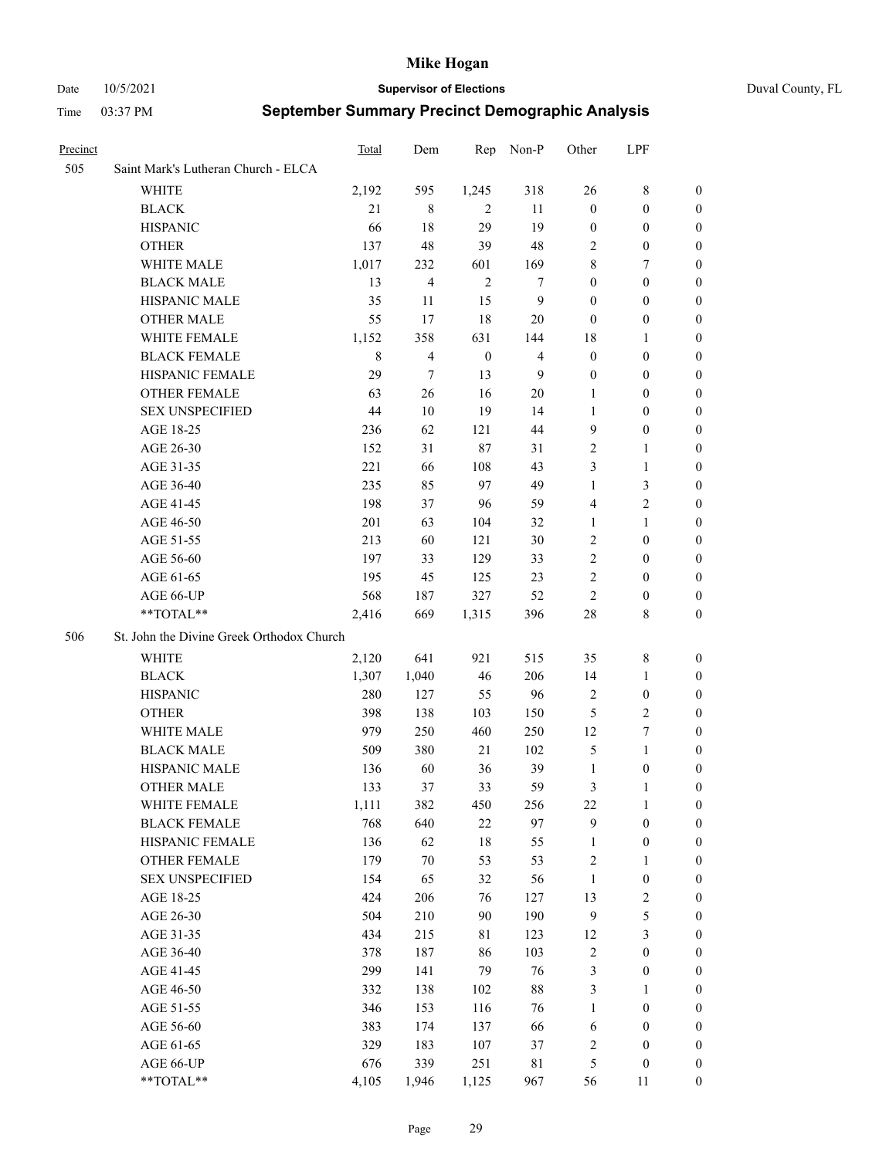Date 10/5/2021 **Supervisor of Elections** Duval County, FL

| Precinct |                                           | Total       | Dem                      | Rep              | Non-P          | Other            | LPF              |                  |
|----------|-------------------------------------------|-------------|--------------------------|------------------|----------------|------------------|------------------|------------------|
| 505      | Saint Mark's Lutheran Church - ELCA       |             |                          |                  |                |                  |                  |                  |
|          | <b>WHITE</b>                              | 2,192       | 595                      | 1,245            | 318            | 26               | 8                | 0                |
|          | <b>BLACK</b>                              | 21          | 8                        | $\overline{2}$   | 11             | $\boldsymbol{0}$ | $\boldsymbol{0}$ | $\boldsymbol{0}$ |
|          | <b>HISPANIC</b>                           | 66          | 18                       | 29               | 19             | $\boldsymbol{0}$ | $\boldsymbol{0}$ | 0                |
|          | <b>OTHER</b>                              | 137         | 48                       | 39               | 48             | 2                | $\boldsymbol{0}$ | $\boldsymbol{0}$ |
|          | WHITE MALE                                | 1,017       | 232                      | 601              | 169            | 8                | 7                | 0                |
|          | <b>BLACK MALE</b>                         | 13          | $\overline{4}$           | $\overline{2}$   | 7              | $\boldsymbol{0}$ | $\boldsymbol{0}$ | 0                |
|          | HISPANIC MALE                             | 35          | 11                       | 15               | $\mathbf{9}$   | $\boldsymbol{0}$ | $\boldsymbol{0}$ | $\boldsymbol{0}$ |
|          | <b>OTHER MALE</b>                         | 55          | 17                       | 18               | 20             | $\boldsymbol{0}$ | $\boldsymbol{0}$ | 0                |
|          | WHITE FEMALE                              | 1,152       | 358                      | 631              | 144            | 18               | $\mathbf{1}$     | 0                |
|          | <b>BLACK FEMALE</b>                       | $\,$ 8 $\,$ | $\overline{\mathcal{L}}$ | $\boldsymbol{0}$ | $\overline{4}$ | $\boldsymbol{0}$ | $\boldsymbol{0}$ | 0                |
|          | HISPANIC FEMALE                           | 29          | $\tau$                   | 13               | 9              | $\boldsymbol{0}$ | $\boldsymbol{0}$ | 0                |
|          | OTHER FEMALE                              | 63          | 26                       | 16               | 20             | 1                | $\boldsymbol{0}$ | 0                |
|          | <b>SEX UNSPECIFIED</b>                    | 44          | 10                       | 19               | 14             | 1                | $\boldsymbol{0}$ | $\boldsymbol{0}$ |
|          | AGE 18-25                                 | 236         | 62                       | 121              | 44             | 9                | $\boldsymbol{0}$ | $\boldsymbol{0}$ |
|          | AGE 26-30                                 | 152         | 31                       | $87\,$           | 31             | $\overline{c}$   | $\mathbf{1}$     | $\boldsymbol{0}$ |
|          | AGE 31-35                                 | 221         | 66                       | 108              | 43             | 3                | $\mathbf{1}$     | $\boldsymbol{0}$ |
|          | AGE 36-40                                 | 235         | 85                       | 97               | 49             | $\mathbf{1}$     | $\mathfrak{Z}$   | $\boldsymbol{0}$ |
|          | AGE 41-45                                 | 198         | 37                       | 96               | 59             | $\overline{4}$   | $\overline{c}$   | 0                |
|          | AGE 46-50                                 | 201         | 63                       | 104              | 32             | $\mathbf{1}$     | $\mathbf{1}$     | 0                |
|          | AGE 51-55                                 | 213         | 60                       | 121              | 30             | $\overline{2}$   | $\boldsymbol{0}$ | 0                |
|          | AGE 56-60                                 | 197         | 33                       | 129              | 33             | $\sqrt{2}$       | $\boldsymbol{0}$ | 0                |
|          | AGE 61-65                                 | 195         | 45                       | 125              | 23             | $\overline{c}$   | $\boldsymbol{0}$ | 0                |
|          | AGE 66-UP                                 | 568         | 187                      | 327              | 52             | $\overline{c}$   | $\boldsymbol{0}$ | 0                |
|          | **TOTAL**                                 | 2,416       | 669                      | 1,315            | 396            | 28               | 8                | $\boldsymbol{0}$ |
| 506      | St. John the Divine Greek Orthodox Church |             |                          |                  |                |                  |                  |                  |
|          | WHITE                                     | 2,120       | 641                      | 921              | 515            | 35               | $\,8\,$          | $\boldsymbol{0}$ |
|          | <b>BLACK</b>                              | 1,307       | 1,040                    | 46               | 206            | 14               | $\mathbf{1}$     | $\boldsymbol{0}$ |
|          | <b>HISPANIC</b>                           | 280         | 127                      | 55               | 96             | $\overline{c}$   | $\boldsymbol{0}$ | 0                |
|          | <b>OTHER</b>                              | 398         | 138                      | 103              | 150            | 5                | $\sqrt{2}$       | 0                |
|          | WHITE MALE                                | 979         | 250                      | 460              | 250            | 12               | $\boldsymbol{7}$ | 0                |
|          | <b>BLACK MALE</b>                         | 509         | 380                      | 21               | 102            | $\mathfrak{S}$   | $\mathbf{1}$     | 0                |
|          | HISPANIC MALE                             | 136         | 60                       | 36               | 39             | $\mathbf{1}$     | $\boldsymbol{0}$ | 0                |
|          | <b>OTHER MALE</b>                         | 133         | 37                       | 33               | 59             | 3                | 1                | 0                |
|          | WHITE FEMALE                              | 1,111       | 382                      | 450              | 256            | 22               | $\mathbf{1}$     | $\overline{0}$   |
|          | <b>BLACK FEMALE</b>                       | 768         | 640                      | $22\,$           | 97             | 9                | $\boldsymbol{0}$ | $\boldsymbol{0}$ |
|          | HISPANIC FEMALE                           | 136         | 62                       | $18\,$           | 55             | $\mathbf{1}$     | $\boldsymbol{0}$ | $\overline{0}$   |
|          | <b>OTHER FEMALE</b>                       | 179         | $70\,$                   | 53               | 53             | $\overline{c}$   | $\mathbf{1}$     | $\overline{0}$   |
|          | <b>SEX UNSPECIFIED</b>                    | 154         | 65                       | 32               | 56             | $\mathbf{1}$     | $\boldsymbol{0}$ | 0                |
|          | AGE 18-25                                 | 424         | 206                      | 76               | 127            | 13               | $\sqrt{2}$       | 0                |
|          | AGE 26-30                                 | 504         | 210                      | 90               | 190            | $\overline{9}$   | $\mathfrak s$    | 0                |
|          | AGE 31-35                                 | 434         | 215                      | 81               | 123            | 12               | $\mathfrak{Z}$   | 0                |
|          | AGE 36-40                                 | 378         | 187                      | 86               | 103            | $\sqrt{2}$       | $\boldsymbol{0}$ | 0                |
|          | AGE 41-45                                 | 299         | 141                      | 79               | 76             | 3                | $\boldsymbol{0}$ | 0                |
|          | AGE 46-50                                 | 332         | 138                      | 102              | $88\,$         | 3                | $\mathbf{1}$     | 0                |
|          | AGE 51-55                                 | 346         | 153                      | 116              | 76             | $\mathbf{1}$     | $\boldsymbol{0}$ | $\boldsymbol{0}$ |
|          | AGE 56-60                                 | 383         | 174                      | 137              | 66             | 6                | $\boldsymbol{0}$ | $\boldsymbol{0}$ |
|          | AGE 61-65                                 | 329         | 183                      | 107              | 37             | $\overline{c}$   | $\boldsymbol{0}$ | 0                |
|          | AGE 66-UP                                 | 676         | 339                      | 251              | 81             | 5                | $\boldsymbol{0}$ | 0                |
|          | **TOTAL**                                 | 4,105       | 1,946                    | 1,125            | 967            | 56               | 11               | $\boldsymbol{0}$ |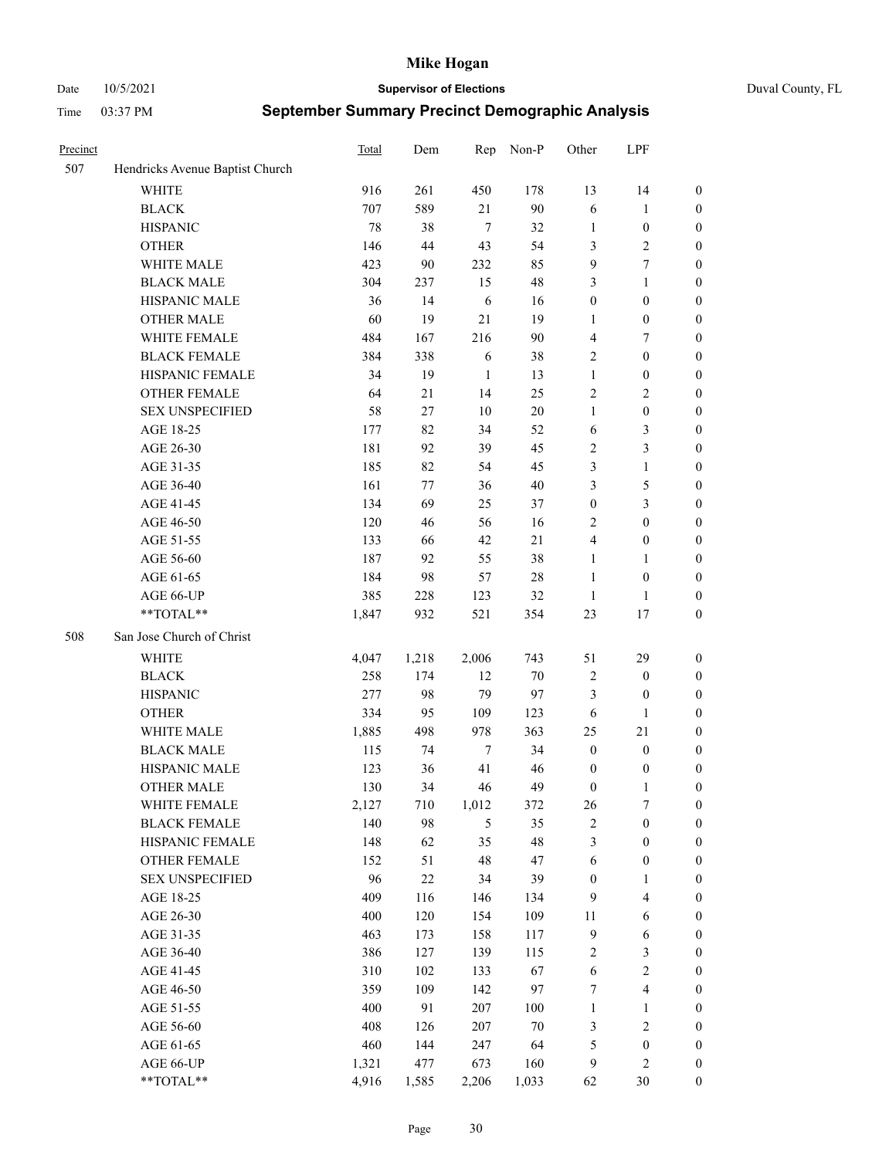Date 10/5/2021 **Supervisor of Elections** Duval County, FL

| Precinct |                                 | Total | Dem   | Rep        | Non-P   | Other            | LPF                     |                  |
|----------|---------------------------------|-------|-------|------------|---------|------------------|-------------------------|------------------|
| 507      | Hendricks Avenue Baptist Church |       |       |            |         |                  |                         |                  |
|          | <b>WHITE</b>                    | 916   | 261   | 450        | 178     | 13               | 14                      | 0                |
|          | <b>BLACK</b>                    | 707   | 589   | 21         | 90      | 6                | $\mathbf{1}$            | 0                |
|          | <b>HISPANIC</b>                 | 78    | 38    | $\tau$     | 32      | $\mathbf{1}$     | $\boldsymbol{0}$        | $\boldsymbol{0}$ |
|          | <b>OTHER</b>                    | 146   | 44    | 43         | 54      | 3                | $\sqrt{2}$              | $\boldsymbol{0}$ |
|          | WHITE MALE                      | 423   | 90    | 232        | 85      | 9                | $\tau$                  | $\boldsymbol{0}$ |
|          | <b>BLACK MALE</b>               | 304   | 237   | 15         | 48      | 3                | $\mathbf{1}$            | $\boldsymbol{0}$ |
|          | HISPANIC MALE                   | 36    | 14    | 6          | 16      | $\boldsymbol{0}$ | $\boldsymbol{0}$        | $\boldsymbol{0}$ |
|          | <b>OTHER MALE</b>               | 60    | 19    | 21         | 19      | $\mathbf{1}$     | $\boldsymbol{0}$        | $\boldsymbol{0}$ |
|          | WHITE FEMALE                    | 484   | 167   | 216        | 90      | 4                | $\tau$                  | $\boldsymbol{0}$ |
|          | <b>BLACK FEMALE</b>             | 384   | 338   | 6          | 38      | $\overline{c}$   | $\boldsymbol{0}$        | $\boldsymbol{0}$ |
|          | HISPANIC FEMALE                 | 34    | 19    | 1          | 13      | $\mathbf{1}$     | $\boldsymbol{0}$        | 0                |
|          | <b>OTHER FEMALE</b>             | 64    | 21    | 14         | 25      | $\mathbf{2}$     | $\sqrt{2}$              | $\boldsymbol{0}$ |
|          | <b>SEX UNSPECIFIED</b>          | 58    | 27    | 10         | 20      | $\mathbf{1}$     | $\boldsymbol{0}$        | $\boldsymbol{0}$ |
|          | AGE 18-25                       | 177   | 82    | 34         | 52      | 6                | $\mathfrak{Z}$          | $\boldsymbol{0}$ |
|          | AGE 26-30                       | 181   | 92    | 39         | 45      | $\overline{c}$   | $\mathfrak{Z}$          | $\boldsymbol{0}$ |
|          | AGE 31-35                       | 185   | 82    | 54         | 45      | 3                | $\mathbf{1}$            | $\boldsymbol{0}$ |
|          | AGE 36-40                       | 161   | 77    | 36         | $40\,$  | 3                | $\mathfrak s$           | $\boldsymbol{0}$ |
|          | AGE 41-45                       | 134   | 69    | 25         | 37      | $\boldsymbol{0}$ | 3                       | $\boldsymbol{0}$ |
|          | AGE 46-50                       | 120   | 46    | 56         | 16      | $\mathbf{2}$     | $\boldsymbol{0}$        | $\boldsymbol{0}$ |
|          | AGE 51-55                       | 133   | 66    | 42         | 21      | 4                | $\boldsymbol{0}$        | 0                |
|          | AGE 56-60                       | 187   | 92    | 55         | 38      | $\mathbf{1}$     | $\mathbf{1}$            | 0                |
|          | AGE 61-65                       | 184   | 98    | 57         | $28\,$  | $\mathbf{1}$     | $\boldsymbol{0}$        | 0                |
|          | AGE 66-UP                       | 385   | 228   | 123        | 32      | $\mathbf{1}$     | $\mathbf{1}$            | $\boldsymbol{0}$ |
|          | $**TOTAL**$                     | 1,847 | 932   | 521        | 354     | 23               | 17                      | $\boldsymbol{0}$ |
| 508      | San Jose Church of Christ       |       |       |            |         |                  |                         |                  |
|          | <b>WHITE</b>                    | 4,047 | 1,218 | 2,006      | 743     | 51               | 29                      | $\boldsymbol{0}$ |
|          | <b>BLACK</b>                    | 258   | 174   | 12         | $70\,$  | $\overline{c}$   | $\boldsymbol{0}$        | $\boldsymbol{0}$ |
|          | <b>HISPANIC</b>                 | 277   | 98    | 79         | 97      | 3                | $\boldsymbol{0}$        | $\boldsymbol{0}$ |
|          | <b>OTHER</b>                    | 334   | 95    | 109        | 123     | 6                | $\mathbf{1}$            | $\boldsymbol{0}$ |
|          | WHITE MALE                      | 1,885 | 498   | 978        | 363     | 25               | 21                      | $\boldsymbol{0}$ |
|          | <b>BLACK MALE</b>               | 115   | 74    | $\tau$     | 34      | $\boldsymbol{0}$ | $\boldsymbol{0}$        | $\boldsymbol{0}$ |
|          | HISPANIC MALE                   | 123   | 36    | 41         | 46      | $\boldsymbol{0}$ | $\boldsymbol{0}$        | 0                |
|          | <b>OTHER MALE</b>               | 130   | 34    | 46         | 49      | $\boldsymbol{0}$ | $\mathbf{1}$            | $\boldsymbol{0}$ |
|          | WHITE FEMALE                    | 2,127 | 710   | 1,012      | 372     | 26               | 7                       | 0                |
|          | <b>BLACK FEMALE</b>             | 140   | 98    | $\sqrt{5}$ | 35      | $\sqrt{2}$       | $\boldsymbol{0}$        | $\boldsymbol{0}$ |
|          | HISPANIC FEMALE                 | 148   | 62    | 35         | 48      | 3                | $\boldsymbol{0}$        | $\overline{0}$   |
|          | OTHER FEMALE                    | 152   | 51    | 48         | 47      | 6                | $\boldsymbol{0}$        | $\overline{0}$   |
|          | <b>SEX UNSPECIFIED</b>          | 96    | 22    | 34         | 39      | $\boldsymbol{0}$ | $\mathbf{1}$            | 0                |
|          | AGE 18-25                       | 409   | 116   | 146        | 134     | 9                | $\overline{\mathbf{4}}$ | 0                |
|          | AGE 26-30                       | 400   | 120   | 154        | 109     | 11               | $\sqrt{6}$              | 0                |
|          | AGE 31-35                       | 463   | 173   | 158        | 117     | $\overline{9}$   | 6                       | 0                |
|          | AGE 36-40                       | 386   | 127   | 139        | 115     | $\boldsymbol{2}$ | $\mathfrak{Z}$          | 0                |
|          | AGE 41-45                       | 310   | 102   | 133        | 67      | $\sqrt{6}$       | $\sqrt{2}$              | 0                |
|          | AGE 46-50                       | 359   | 109   | 142        | 97      | 7                | $\overline{\mathbf{4}}$ | 0                |
|          | AGE 51-55                       | 400   | 91    | 207        | $100\,$ | $\mathbf{1}$     | $\mathbf{1}$            | 0                |
|          | AGE 56-60                       | 408   | 126   | 207        | $70\,$  | 3                | $\sqrt{2}$              | 0                |
|          | AGE 61-65                       | 460   | 144   | 247        | 64      | 5                | $\boldsymbol{0}$        | $\boldsymbol{0}$ |
|          | AGE 66-UP                       | 1,321 | 477   | 673        | 160     | 9                | $\sqrt{2}$              | 0                |
|          | **TOTAL**                       | 4,916 | 1,585 | 2,206      | 1,033   | 62               | 30                      | $\boldsymbol{0}$ |
|          |                                 |       |       |            |         |                  |                         |                  |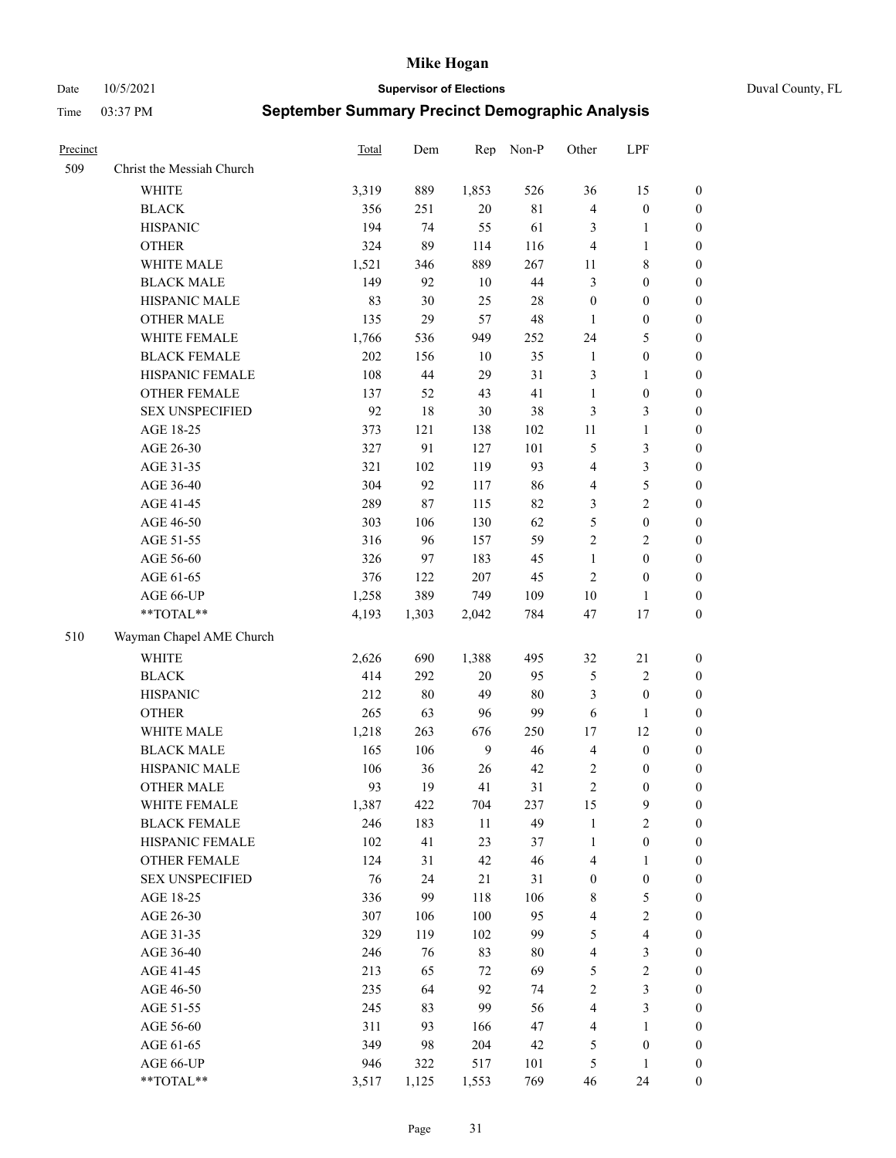Date 10/5/2021 **Supervisor of Elections** Duval County, FL

| Precinct |                                 | Total        | Dem        | Rep             | Non-P     | Other                | LPF                     |                  |
|----------|---------------------------------|--------------|------------|-----------------|-----------|----------------------|-------------------------|------------------|
| 509      | Christ the Messiah Church       |              |            |                 |           |                      |                         |                  |
|          | <b>WHITE</b>                    | 3,319        | 889        | 1,853           | 526       | 36                   | 15                      | 0                |
|          | <b>BLACK</b>                    | 356          | 251        | 20              | 81        | $\overline{4}$       | $\boldsymbol{0}$        | 0                |
|          | <b>HISPANIC</b>                 | 194          | 74         | 55              | 61        | 3                    | $\mathbf{1}$            | $\boldsymbol{0}$ |
|          | <b>OTHER</b>                    | 324          | 89         | 114             | 116       | $\overline{4}$       | $\mathbf{1}$            | $\boldsymbol{0}$ |
|          | WHITE MALE                      | 1,521        | 346        | 889             | 267       | 11                   | $\,$ 8 $\,$             | $\boldsymbol{0}$ |
|          | <b>BLACK MALE</b>               | 149          | 92         | 10              | $44\,$    | 3                    | $\boldsymbol{0}$        | $\boldsymbol{0}$ |
|          | HISPANIC MALE                   | 83           | 30         | 25              | 28        | $\boldsymbol{0}$     | $\boldsymbol{0}$        | $\boldsymbol{0}$ |
|          | <b>OTHER MALE</b>               | 135          | 29         | 57              | 48        | $\mathbf{1}$         | $\boldsymbol{0}$        | $\boldsymbol{0}$ |
|          | WHITE FEMALE                    | 1,766        | 536        | 949             | 252       | 24                   | $\mathfrak{S}$          | $\boldsymbol{0}$ |
|          | <b>BLACK FEMALE</b>             | $202\,$      | 156        | 10              | 35        | $\mathbf{1}$         | $\boldsymbol{0}$        | 0                |
|          | HISPANIC FEMALE                 | 108          | 44         | 29              | 31        | 3                    | $\mathbf{1}$            | 0                |
|          | OTHER FEMALE                    | 137          | 52         | 43              | 41        | $\mathbf{1}$         | $\boldsymbol{0}$        | $\boldsymbol{0}$ |
|          | <b>SEX UNSPECIFIED</b>          | 92           | 18         | $30\,$          | 38        | 3                    | $\mathfrak{Z}$          | $\boldsymbol{0}$ |
|          | AGE 18-25                       | 373          | 121        | 138             | 102       | 11                   | $\mathbf{1}$            | $\boldsymbol{0}$ |
|          | AGE 26-30                       | 327          | 91         | 127             | 101       | 5                    | $\mathfrak{Z}$          | $\boldsymbol{0}$ |
|          | AGE 31-35                       | 321          | 102        | 119             | 93        | 4                    | $\mathfrak{Z}$          | $\boldsymbol{0}$ |
|          | AGE 36-40                       | 304          | 92         | 117             | 86        | 4                    | $\mathfrak s$           | $\boldsymbol{0}$ |
|          | AGE 41-45                       | 289          | 87         | 115             | 82        | 3                    | $\overline{2}$          | $\boldsymbol{0}$ |
|          | AGE 46-50                       | 303          | 106        | 130             | 62        | 5                    | $\boldsymbol{0}$        | $\boldsymbol{0}$ |
|          | AGE 51-55                       | 316          | 96         | 157             | 59        | $\sqrt{2}$           | $\sqrt{2}$              | $\boldsymbol{0}$ |
|          | AGE 56-60                       | 326          | 97         | 183             | 45        | $\mathbf{1}$         | $\boldsymbol{0}$        | 0                |
|          | AGE 61-65                       | 376          | 122        | 207             | 45        | $\overline{2}$       | $\boldsymbol{0}$        | 0                |
|          | AGE 66-UP                       | 1,258        | 389        | 749             | 109       | $10\,$               | $\mathbf{1}$            | $\boldsymbol{0}$ |
|          | $**TOTAL**$                     | 4,193        | 1,303      | 2,042           | 784       | 47                   | 17                      | $\boldsymbol{0}$ |
| 510      | Wayman Chapel AME Church        |              |            |                 |           |                      |                         |                  |
|          | <b>WHITE</b>                    | 2,626        | 690        |                 | 495       | 32                   | 21                      |                  |
|          | <b>BLACK</b>                    | 414          | 292        | 1,388<br>$20\,$ | 95        |                      | $\sqrt{2}$              | $\boldsymbol{0}$ |
|          | <b>HISPANIC</b>                 | 212          | 80         | 49              | $80\,$    | 5<br>3               | $\boldsymbol{0}$        | $\boldsymbol{0}$ |
|          |                                 |              |            |                 |           |                      |                         | $\boldsymbol{0}$ |
|          | <b>OTHER</b>                    | 265          | 63         | 96              | 99        | 6                    | $\mathbf{1}$            | $\boldsymbol{0}$ |
|          | WHITE MALE<br><b>BLACK MALE</b> | 1,218<br>165 | 263<br>106 | 676<br>9        | 250<br>46 | 17<br>$\overline{4}$ | 12<br>$\boldsymbol{0}$  | $\boldsymbol{0}$ |
|          |                                 |              |            |                 |           |                      |                         | $\boldsymbol{0}$ |
|          | HISPANIC MALE                   | 106          | 36         | 26              | 42        | 2                    | $\boldsymbol{0}$        | 0                |
|          | <b>OTHER MALE</b>               | 93           | 19         | 41              | 31        | $\mathfrak{2}$       | $\boldsymbol{0}$        | $\boldsymbol{0}$ |
|          | WHITE FEMALE                    | 1,387        | 422        | 704             | 237       | 15                   | 9                       | 0                |
|          | <b>BLACK FEMALE</b>             | 246          | 183        | 11              | 49        | $\mathbf{1}$         | $\sqrt{2}$              | $\boldsymbol{0}$ |
|          | HISPANIC FEMALE                 | 102          | 41         | 23              | 37        | $\mathbf{1}$         | $\boldsymbol{0}$        | $\overline{0}$   |
|          | <b>OTHER FEMALE</b>             | 124          | 31         | 42              | 46        | 4                    | $\mathbf{1}$            | $\overline{0}$   |
|          | <b>SEX UNSPECIFIED</b>          | $76\,$       | 24         | 21              | 31        | $\boldsymbol{0}$     | $\boldsymbol{0}$        | 0                |
|          | AGE 18-25                       | 336          | 99         | 118             | 106       | $\,$ 8 $\,$          | $\mathfrak{S}$          | 0                |
|          | AGE 26-30                       | 307          | 106        | 100             | 95        | 4                    | $\sqrt{2}$              | 0                |
|          | AGE 31-35                       | 329          | 119        | 102             | 99        | 5                    | $\overline{\mathbf{4}}$ | 0                |
|          | AGE 36-40                       | 246          | 76         | 83              | $80\,$    | 4                    | $\mathfrak{Z}$          | 0                |
|          | AGE 41-45                       | 213          | 65         | 72              | 69        | 5                    | $\sqrt{2}$              | 0                |
|          | AGE 46-50                       | 235          | 64         | 92              | 74        | $\sqrt{2}$           | $\mathfrak{Z}$          | 0                |
|          | AGE 51-55                       | 245          | 83         | 99              | 56        | 4                    | $\mathfrak{Z}$          | $\boldsymbol{0}$ |
|          | AGE 56-60                       | 311          | 93         | 166             | 47        | 4                    | 1                       | $\boldsymbol{0}$ |
|          | AGE 61-65                       | 349          | 98         | 204             | 42        | 5                    | $\boldsymbol{0}$        | $\boldsymbol{0}$ |
|          | AGE 66-UP                       | 946          | 322        | 517             | 101       | 5                    | $\mathbf{1}$            | $\boldsymbol{0}$ |
|          | **TOTAL**                       | 3,517        | 1,125      | 1,553           | 769       | 46                   | 24                      | $\boldsymbol{0}$ |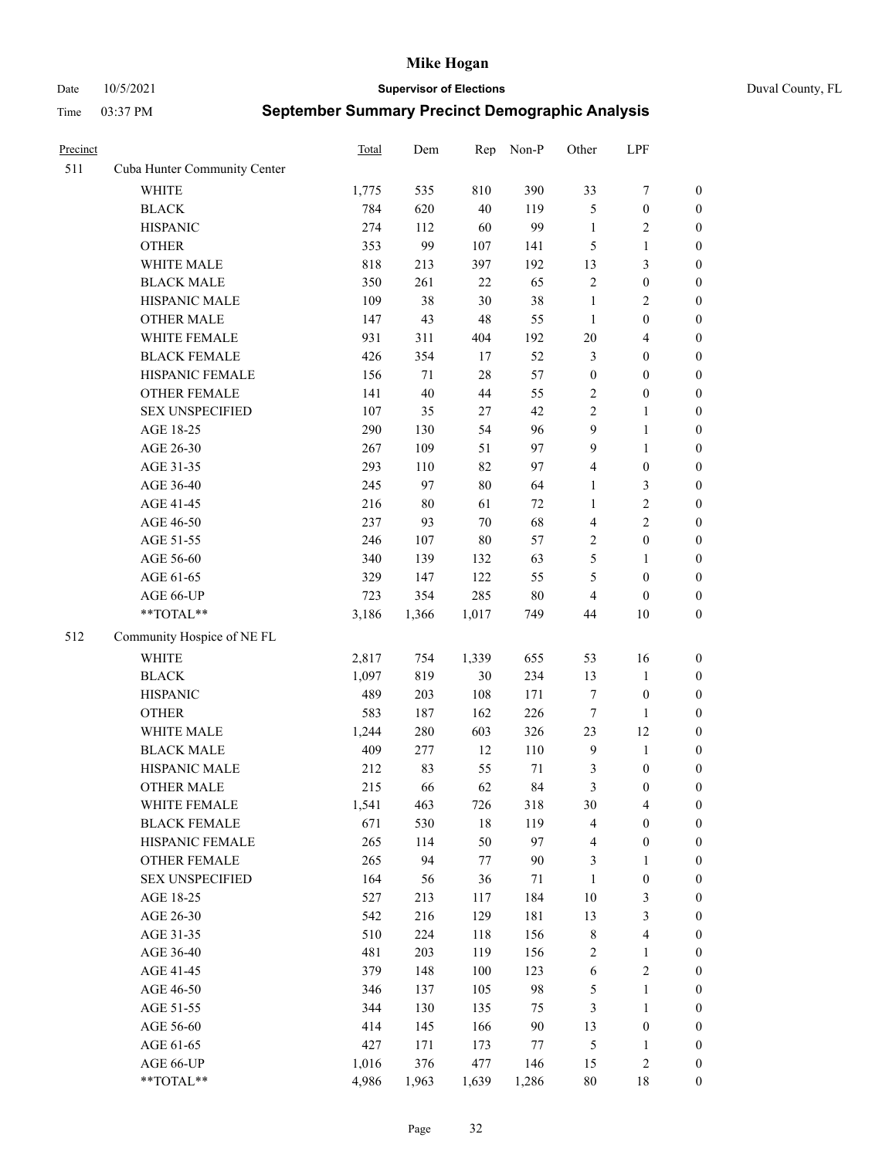Date 10/5/2021 **Supervisor of Elections** Duval County, FL

| Precinct |                              | <b>Total</b> | Dem    | Rep    | Non-P  | Other            | LPF                        |                  |
|----------|------------------------------|--------------|--------|--------|--------|------------------|----------------------------|------------------|
| 511      | Cuba Hunter Community Center |              |        |        |        |                  |                            |                  |
|          | <b>WHITE</b>                 | 1,775        | 535    | 810    | 390    | 33               | $\boldsymbol{7}$           | 0                |
|          | <b>BLACK</b>                 | 784          | 620    | 40     | 119    | 5                | $\boldsymbol{0}$           | $\boldsymbol{0}$ |
|          | <b>HISPANIC</b>              | 274          | 112    | 60     | 99     | $\mathbf{1}$     | $\overline{c}$             | $\boldsymbol{0}$ |
|          | <b>OTHER</b>                 | 353          | 99     | 107    | 141    | 5                | 1                          | $\boldsymbol{0}$ |
|          | WHITE MALE                   | 818          | 213    | 397    | 192    | 13               | $\mathfrak{Z}$             | $\boldsymbol{0}$ |
|          | <b>BLACK MALE</b>            | 350          | 261    | 22     | 65     | $\overline{c}$   | $\boldsymbol{0}$           | $\boldsymbol{0}$ |
|          | HISPANIC MALE                | 109          | 38     | 30     | 38     | $\mathbf{1}$     | $\sqrt{2}$                 | $\boldsymbol{0}$ |
|          | <b>OTHER MALE</b>            | 147          | 43     | 48     | 55     | $\mathbf{1}$     | $\boldsymbol{0}$           | $\boldsymbol{0}$ |
|          | WHITE FEMALE                 | 931          | 311    | 404    | 192    | $20\,$           | $\overline{4}$             | $\boldsymbol{0}$ |
|          | <b>BLACK FEMALE</b>          | 426          | 354    | 17     | 52     | 3                | $\boldsymbol{0}$           | $\boldsymbol{0}$ |
|          | HISPANIC FEMALE              | 156          | 71     | 28     | 57     | $\boldsymbol{0}$ | $\boldsymbol{0}$           | $\boldsymbol{0}$ |
|          | <b>OTHER FEMALE</b>          | 141          | $40\,$ | 44     | 55     | 2                | $\boldsymbol{0}$           | $\boldsymbol{0}$ |
|          | <b>SEX UNSPECIFIED</b>       | 107          | 35     | 27     | 42     | $\overline{c}$   | $\mathbf{1}$               | $\boldsymbol{0}$ |
|          | AGE 18-25                    | 290          | 130    | 54     | 96     | 9                | $\mathbf{1}$               | $\boldsymbol{0}$ |
|          | AGE 26-30                    | 267          | 109    | 51     | 97     | 9                | $\mathbf{1}$               | $\boldsymbol{0}$ |
|          | AGE 31-35                    | 293          | 110    | 82     | 97     | 4                | $\boldsymbol{0}$           | $\boldsymbol{0}$ |
|          | AGE 36-40                    | 245          | 97     | $80\,$ | 64     | $\mathbf{1}$     | $\mathfrak{Z}$             | $\boldsymbol{0}$ |
|          | AGE 41-45                    | 216          | $80\,$ | 61     | $72\,$ | $\mathbf{1}$     | $\sqrt{2}$                 | $\boldsymbol{0}$ |
|          | AGE 46-50                    | 237          | 93     | $70\,$ | 68     | 4                | $\overline{c}$             | $\boldsymbol{0}$ |
|          | AGE 51-55                    | 246          | 107    | $80\,$ | 57     | $\overline{c}$   | $\boldsymbol{0}$           | $\boldsymbol{0}$ |
|          | AGE 56-60                    | 340          | 139    | 132    | 63     | 5                | 1                          | 0                |
|          | AGE 61-65                    | 329          | 147    | 122    | 55     | 5                | $\boldsymbol{0}$           | $\boldsymbol{0}$ |
|          | AGE 66-UP                    | 723          | 354    | 285    | $80\,$ | $\overline{4}$   | $\boldsymbol{0}$           | $\boldsymbol{0}$ |
|          | **TOTAL**                    | 3,186        | 1,366  | 1,017  | 749    | 44               | 10                         | $\boldsymbol{0}$ |
| 512      | Community Hospice of NE FL   |              |        |        |        |                  |                            |                  |
|          | <b>WHITE</b>                 | 2,817        | 754    | 1,339  | 655    | 53               | 16                         | $\boldsymbol{0}$ |
|          | <b>BLACK</b>                 | 1,097        | 819    | $30\,$ | 234    | 13               | $\mathbf{1}$               | $\boldsymbol{0}$ |
|          | <b>HISPANIC</b>              | 489          | 203    | 108    | 171    | 7                | $\boldsymbol{0}$           | $\boldsymbol{0}$ |
|          | <b>OTHER</b>                 | 583          | 187    | 162    | 226    | 7                | $\mathbf{1}$               | $\boldsymbol{0}$ |
|          | WHITE MALE                   | 1,244        | 280    | 603    | 326    | 23               | 12                         | $\boldsymbol{0}$ |
|          | <b>BLACK MALE</b>            | 409          | 277    | 12     | 110    | $\mathbf{9}$     | $\mathbf{1}$               | $\boldsymbol{0}$ |
|          | HISPANIC MALE                | 212          | 83     | 55     | 71     | 3                | $\boldsymbol{0}$           | 0                |
|          | <b>OTHER MALE</b>            | 215          | 66     | 62     | 84     | 3                | $\boldsymbol{0}$           | $\boldsymbol{0}$ |
|          | WHITE FEMALE                 | 1,541        | 463    | 726    | 318    | 30               | 4                          | 0                |
|          | <b>BLACK FEMALE</b>          | 671          | 530    | 18     | 119    | 4                | $\boldsymbol{0}$           | $\boldsymbol{0}$ |
|          | HISPANIC FEMALE              | 265          | 114    | 50     | 97     | 4                | $\boldsymbol{0}$           | $\overline{0}$   |
|          | OTHER FEMALE                 | 265          | 94     | 77     | $90\,$ | 3                | $\mathbf{1}$               | $\overline{0}$   |
|          | <b>SEX UNSPECIFIED</b>       | 164          | 56     | 36     | 71     | $\mathbf{1}$     | $\boldsymbol{0}$           | 0                |
|          | AGE 18-25                    | 527          | 213    | 117    | 184    | 10               | $\mathfrak{Z}$             | 0                |
|          | AGE 26-30                    | 542          | 216    | 129    | 181    | 13               | 3                          | 0                |
|          | AGE 31-35                    | 510          | 224    | 118    | 156    | $\,$ $\,$        | $\overline{4}$             | 0                |
|          | AGE 36-40                    | 481          | 203    | 119    | 156    |                  |                            |                  |
|          | AGE 41-45                    | 379          | 148    | 100    | 123    | 2<br>6           | $\mathbf{1}$<br>$\sqrt{2}$ | 0<br>0           |
|          |                              |              |        |        |        |                  |                            |                  |
|          | AGE 46-50                    | 346          | 137    | 105    | 98     | 5                | $\mathbf{1}$               | 0                |
|          | AGE 51-55                    | 344          | 130    | 135    | 75     | 3                | $\mathbf{1}$               | 0                |
|          | AGE 56-60                    | 414          | 145    | 166    | $90\,$ | 13               | $\boldsymbol{0}$           | 0                |
|          | AGE 61-65                    | 427          | 171    | 173    | 77     | 5                | 1                          | 0                |
|          | AGE 66-UP                    | 1,016        | 376    | 477    | 146    | 15               | $\sqrt{2}$                 | 0                |
|          | **TOTAL**                    | 4,986        | 1,963  | 1,639  | 1,286  | 80               | 18                         | $\boldsymbol{0}$ |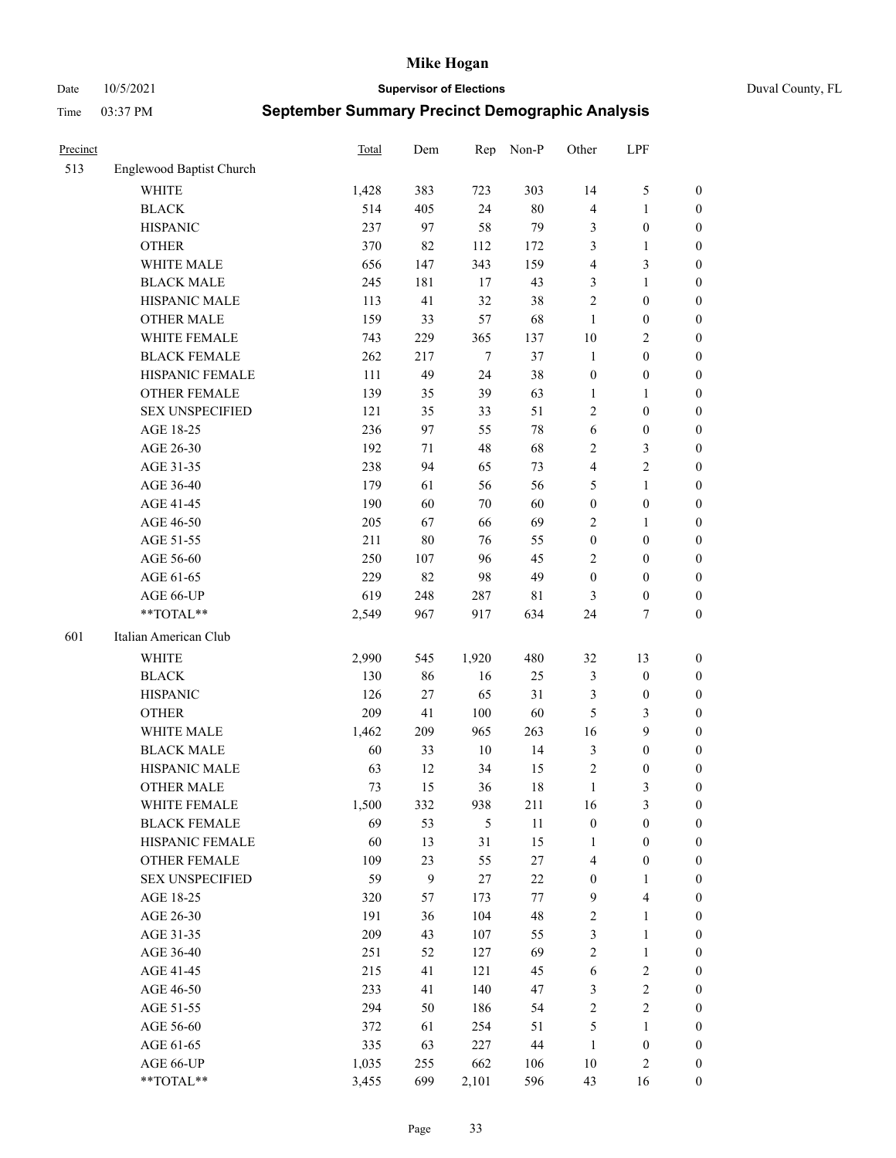Date 10/5/2021 **Supervisor of Elections** Duval County, FL

| Precinct |                          | <b>Total</b> | Dem    | Rep    | Non-P  | Other            | LPF                     |                  |
|----------|--------------------------|--------------|--------|--------|--------|------------------|-------------------------|------------------|
| 513      | Englewood Baptist Church |              |        |        |        |                  |                         |                  |
|          | <b>WHITE</b>             | 1,428        | 383    | 723    | 303    | 14               | $\mathfrak{S}$          | 0                |
|          | <b>BLACK</b>             | 514          | 405    | 24     | $80\,$ | 4                | $\mathbf{1}$            | 0                |
|          | <b>HISPANIC</b>          | 237          | 97     | 58     | 79     | 3                | $\boldsymbol{0}$        | $\boldsymbol{0}$ |
|          | <b>OTHER</b>             | 370          | 82     | 112    | 172    | 3                | $\mathbf{1}$            | $\boldsymbol{0}$ |
|          | WHITE MALE               | 656          | 147    | 343    | 159    | 4                | $\mathfrak{Z}$          | $\boldsymbol{0}$ |
|          | <b>BLACK MALE</b>        | 245          | 181    | 17     | 43     | 3                | $\mathbf{1}$            | $\boldsymbol{0}$ |
|          | HISPANIC MALE            | 113          | 41     | 32     | 38     | $\overline{c}$   | $\boldsymbol{0}$        | $\boldsymbol{0}$ |
|          | <b>OTHER MALE</b>        | 159          | 33     | 57     | 68     | $\mathbf{1}$     | $\boldsymbol{0}$        | $\boldsymbol{0}$ |
|          | WHITE FEMALE             | 743          | 229    | 365    | 137    | 10               | $\overline{2}$          | $\boldsymbol{0}$ |
|          | <b>BLACK FEMALE</b>      | 262          | 217    | $\tau$ | 37     | $\mathbf{1}$     | $\boldsymbol{0}$        | 0                |
|          | HISPANIC FEMALE          | 111          | 49     | 24     | 38     | $\boldsymbol{0}$ | $\boldsymbol{0}$        | 0                |
|          | <b>OTHER FEMALE</b>      | 139          | 35     | 39     | 63     | $\mathbf{1}$     | $\mathbf{1}$            | $\boldsymbol{0}$ |
|          | <b>SEX UNSPECIFIED</b>   | 121          | 35     | 33     | 51     | $\mathbf{2}$     | $\boldsymbol{0}$        | $\boldsymbol{0}$ |
|          | AGE 18-25                | 236          | 97     | 55     | $78\,$ | 6                | $\boldsymbol{0}$        | $\boldsymbol{0}$ |
|          | AGE 26-30                | 192          | 71     | 48     | 68     | $\overline{c}$   | $\mathfrak{Z}$          | $\boldsymbol{0}$ |
|          | AGE 31-35                | 238          | 94     | 65     | 73     | 4                | $\sqrt{2}$              | $\boldsymbol{0}$ |
|          | AGE 36-40                | 179          | 61     | 56     | 56     | 5                | $\mathbf{1}$            | $\boldsymbol{0}$ |
|          | AGE 41-45                | 190          | 60     | 70     | 60     | $\boldsymbol{0}$ | $\boldsymbol{0}$        | $\boldsymbol{0}$ |
|          | AGE 46-50                | 205          | 67     | 66     | 69     | $\mathbf{2}$     | $\mathbf{1}$            | $\boldsymbol{0}$ |
|          | AGE 51-55                | 211          | $80\,$ | 76     | 55     | $\boldsymbol{0}$ | $\boldsymbol{0}$        | $\boldsymbol{0}$ |
|          | AGE 56-60                | 250          | 107    | 96     | 45     | $\overline{c}$   | $\boldsymbol{0}$        | 0                |
|          | AGE 61-65                | 229          | 82     | 98     | 49     | $\boldsymbol{0}$ | $\boldsymbol{0}$        | 0                |
|          | AGE 66-UP                | 619          | 248    | 287    | 81     | 3                | $\boldsymbol{0}$        | $\boldsymbol{0}$ |
|          | **TOTAL**                | 2,549        | 967    | 917    | 634    | 24               | $\tau$                  | $\boldsymbol{0}$ |
| 601      | Italian American Club    |              |        |        |        |                  |                         |                  |
|          | <b>WHITE</b>             | 2,990        | 545    | 1,920  | 480    | 32               | 13                      | $\boldsymbol{0}$ |
|          | <b>BLACK</b>             | 130          | 86     | 16     | 25     | 3                | $\boldsymbol{0}$        | $\boldsymbol{0}$ |
|          | <b>HISPANIC</b>          | 126          | 27     | 65     | 31     | 3                | $\boldsymbol{0}$        | $\boldsymbol{0}$ |
|          | <b>OTHER</b>             | 209          | 41     | 100    | 60     | 5                | $\mathfrak{Z}$          | $\boldsymbol{0}$ |
|          | WHITE MALE               | 1,462        | 209    | 965    | 263    | 16               | 9                       | $\boldsymbol{0}$ |
|          | <b>BLACK MALE</b>        | 60           | 33     | $10\,$ | 14     | 3                | $\boldsymbol{0}$        | $\boldsymbol{0}$ |
|          | HISPANIC MALE            | 63           | 12     | 34     | 15     | 2                | $\boldsymbol{0}$        | 0                |
|          | <b>OTHER MALE</b>        | 73           | 15     | 36     | 18     | $\mathbf{1}$     | 3                       | $\boldsymbol{0}$ |
|          | WHITE FEMALE             | 1,500        | 332    | 938    | 211    | 16               | 3                       | 0                |
|          | <b>BLACK FEMALE</b>      | 69           | 53     | 5      | 11     | $\boldsymbol{0}$ | $\boldsymbol{0}$        | $\boldsymbol{0}$ |
|          | HISPANIC FEMALE          | 60           | 13     | 31     | 15     | 1                | $\boldsymbol{0}$        | $\overline{0}$   |
|          | OTHER FEMALE             | 109          | 23     | 55     | 27     | 4                | $\boldsymbol{0}$        | $\overline{0}$   |
|          | <b>SEX UNSPECIFIED</b>   | 59           | 9      | $27\,$ | 22     | $\boldsymbol{0}$ | $\mathbf{1}$            | 0                |
|          | AGE 18-25                | 320          | 57     | 173    | 77     | 9                | $\overline{\mathbf{4}}$ | 0                |
|          | AGE 26-30                | 191          | 36     | 104    | 48     | $\sqrt{2}$       | $\mathbf{1}$            | 0                |
|          | AGE 31-35                | 209          | 43     | 107    | 55     | 3                | $\mathbf{1}$            | 0                |
|          | AGE 36-40                | 251          | 52     | 127    | 69     | $\sqrt{2}$       | $\mathbf{1}$            | 0                |
|          | AGE 41-45                | 215          | 41     | 121    | 45     | 6                | $\sqrt{2}$              | 0                |
|          | AGE 46-50                | 233          | 41     | 140    | 47     | 3                | $\sqrt{2}$              | 0                |
|          | AGE 51-55                | 294          | 50     | 186    | 54     | $\sqrt{2}$       | $\sqrt{2}$              | $\boldsymbol{0}$ |
|          | AGE 56-60                | 372          | 61     | 254    | 51     | 5                | 1                       | $\boldsymbol{0}$ |
|          | AGE 61-65                | 335          | 63     | 227    | $44\,$ | $\mathbf{1}$     | $\boldsymbol{0}$        | $\boldsymbol{0}$ |
|          | AGE 66-UP                | 1,035        | 255    | 662    | 106    | 10               | $\mathfrak{2}$          | $\boldsymbol{0}$ |
|          | **TOTAL**                | 3,455        | 699    | 2,101  | 596    | 43               | 16                      | $\boldsymbol{0}$ |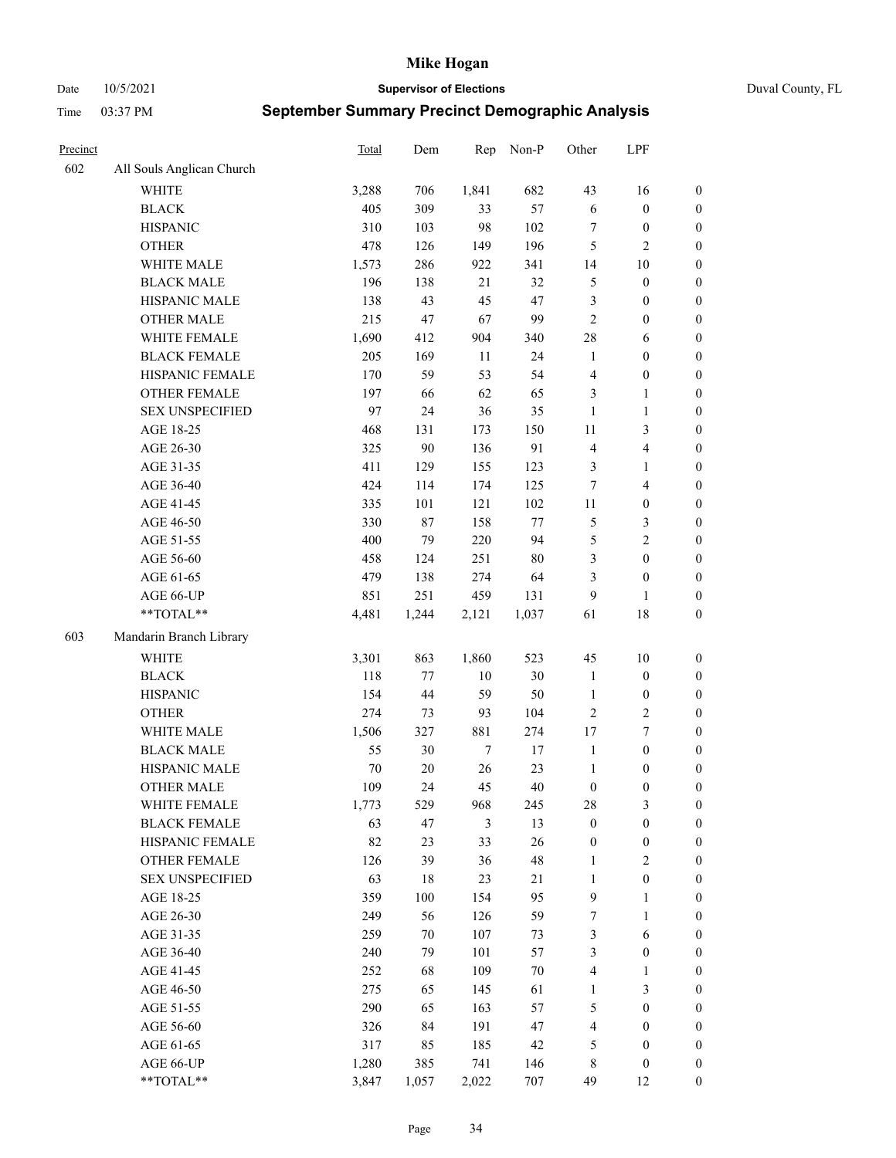Date 10/5/2021 **Supervisor of Elections** Duval County, FL

| Precinct |                           | Total | Dem    | Rep    | Non-P  | Other            | LPF                     |                  |
|----------|---------------------------|-------|--------|--------|--------|------------------|-------------------------|------------------|
| 602      | All Souls Anglican Church |       |        |        |        |                  |                         |                  |
|          | <b>WHITE</b>              | 3,288 | 706    | 1,841  | 682    | 43               | 16                      | 0                |
|          | <b>BLACK</b>              | 405   | 309    | 33     | 57     | $\sqrt{6}$       | $\boldsymbol{0}$        | $\boldsymbol{0}$ |
|          | <b>HISPANIC</b>           | 310   | 103    | 98     | 102    | 7                | $\boldsymbol{0}$        | $\boldsymbol{0}$ |
|          | <b>OTHER</b>              | 478   | 126    | 149    | 196    | 5                | $\mathfrak{2}$          | $\boldsymbol{0}$ |
|          | WHITE MALE                | 1,573 | 286    | 922    | 341    | 14               | $10\,$                  | $\boldsymbol{0}$ |
|          | <b>BLACK MALE</b>         | 196   | 138    | 21     | 32     | 5                | $\boldsymbol{0}$        | $\boldsymbol{0}$ |
|          | HISPANIC MALE             | 138   | 43     | 45     | 47     | 3                | $\boldsymbol{0}$        | $\boldsymbol{0}$ |
|          | <b>OTHER MALE</b>         | 215   | 47     | 67     | 99     | $\mathfrak{2}$   | $\boldsymbol{0}$        | $\boldsymbol{0}$ |
|          | WHITE FEMALE              | 1,690 | 412    | 904    | 340    | 28               | 6                       | $\boldsymbol{0}$ |
|          | <b>BLACK FEMALE</b>       | 205   | 169    | 11     | 24     | $\mathbf{1}$     | $\boldsymbol{0}$        | 0                |
|          | HISPANIC FEMALE           | 170   | 59     | 53     | 54     | $\overline{4}$   | $\boldsymbol{0}$        | 0                |
|          | <b>OTHER FEMALE</b>       | 197   | 66     | 62     | 65     | 3                | $\mathbf{1}$            | $\boldsymbol{0}$ |
|          | <b>SEX UNSPECIFIED</b>    | 97    | 24     | 36     | 35     | $\mathbf{1}$     | $\mathbf{1}$            | $\boldsymbol{0}$ |
|          | AGE 18-25                 | 468   | 131    | 173    | 150    | $11\,$           | $\mathfrak{Z}$          | $\boldsymbol{0}$ |
|          | AGE 26-30                 | 325   | $90\,$ | 136    | 91     | 4                | $\overline{\mathbf{4}}$ | $\boldsymbol{0}$ |
|          | AGE 31-35                 | 411   | 129    | 155    | 123    | 3                | $\mathbf{1}$            | $\boldsymbol{0}$ |
|          | AGE 36-40                 | 424   | 114    | 174    | 125    | 7                | $\overline{\mathbf{4}}$ | $\boldsymbol{0}$ |
|          | AGE 41-45                 | 335   | 101    | 121    | 102    | $11\,$           | $\boldsymbol{0}$        | $\boldsymbol{0}$ |
|          | AGE 46-50                 | 330   | 87     | 158    | $77\,$ | 5                | $\mathfrak{Z}$          | $\boldsymbol{0}$ |
|          | AGE 51-55                 | 400   | 79     | 220    | 94     | 5                | $\sqrt{2}$              | $\boldsymbol{0}$ |
|          | AGE 56-60                 | 458   | 124    | 251    | 80     | 3                | $\boldsymbol{0}$        | 0                |
|          | AGE 61-65                 | 479   | 138    | 274    | 64     | 3                | $\boldsymbol{0}$        | $\boldsymbol{0}$ |
|          | AGE 66-UP                 | 851   | 251    | 459    | 131    | 9                | $\mathbf{1}$            | $\boldsymbol{0}$ |
|          | $**TOTAL**$               | 4,481 | 1,244  | 2,121  | 1,037  | 61               | $18\,$                  | $\boldsymbol{0}$ |
| 603      | Mandarin Branch Library   |       |        |        |        |                  |                         |                  |
|          |                           |       |        |        |        |                  |                         |                  |
|          | WHITE                     | 3,301 | 863    | 1,860  | 523    | 45               | $10\,$                  | $\boldsymbol{0}$ |
|          | <b>BLACK</b>              | 118   | 77     | $10\,$ | 30     | $\mathbf{1}$     | $\boldsymbol{0}$        | $\boldsymbol{0}$ |
|          | <b>HISPANIC</b>           | 154   | 44     | 59     | 50     | $\mathbf{1}$     | $\boldsymbol{0}$        | $\boldsymbol{0}$ |
|          | <b>OTHER</b>              | 274   | 73     | 93     | 104    | $\mathfrak{2}$   | $\sqrt{2}$              | $\boldsymbol{0}$ |
|          | WHITE MALE                | 1,506 | 327    | 881    | 274    | 17               | $\boldsymbol{7}$        | $\boldsymbol{0}$ |
|          | <b>BLACK MALE</b>         | 55    | 30     | $\tau$ | $17\,$ | $\mathbf{1}$     | $\boldsymbol{0}$        | $\boldsymbol{0}$ |
|          | HISPANIC MALE             | 70    | $20\,$ | 26     | 23     | $\mathbf{1}$     | $\boldsymbol{0}$        | $\boldsymbol{0}$ |
|          | <b>OTHER MALE</b>         | 109   | 24     | 45     | 40     | $\boldsymbol{0}$ | $\boldsymbol{0}$        | $\boldsymbol{0}$ |
|          | WHITE FEMALE              | 1,773 | 529    | 968    | 245    | 28               | 3                       | 0                |
|          | <b>BLACK FEMALE</b>       | 63    | 47     | 3      | 13     | $\boldsymbol{0}$ | $\boldsymbol{0}$        | $\boldsymbol{0}$ |
|          | HISPANIC FEMALE           | 82    | 23     | 33     | 26     | $\boldsymbol{0}$ | $\boldsymbol{0}$        | $\overline{0}$   |
|          | <b>OTHER FEMALE</b>       | 126   | 39     | 36     | 48     | $\mathbf{1}$     | $\sqrt{2}$              | $\overline{0}$   |
|          | <b>SEX UNSPECIFIED</b>    | 63    | 18     | 23     | 21     | $\mathbf{1}$     | $\boldsymbol{0}$        | 0                |
|          | AGE 18-25                 | 359   | 100    | 154    | 95     | 9                | $\mathbf{1}$            | $\overline{0}$   |
|          | AGE 26-30                 | 249   | 56     | 126    | 59     | 7                | $\mathbf{1}$            | 0                |
|          | AGE 31-35                 | 259   | $70\,$ | 107    | 73     | 3                | 6                       | 0                |
|          | AGE 36-40                 | 240   | 79     | 101    | 57     | 3                | $\boldsymbol{0}$        | 0                |
|          | AGE 41-45                 | 252   | 68     | 109    | $70\,$ | $\overline{4}$   | $\mathbf{1}$            | 0                |
|          | AGE 46-50                 | 275   | 65     | 145    | 61     | $\mathbf{1}$     | $\mathfrak{Z}$          | 0                |
|          | AGE 51-55                 | 290   | 65     | 163    | 57     | 5                | $\boldsymbol{0}$        | 0                |
|          | AGE 56-60                 | 326   | 84     | 191    | 47     | 4                | $\boldsymbol{0}$        | $\boldsymbol{0}$ |
|          | AGE 61-65                 | 317   | 85     | 185    | 42     | 5                | $\boldsymbol{0}$        | $\overline{0}$   |
|          | AGE 66-UP                 | 1,280 | 385    | 741    | 146    | 8                | $\boldsymbol{0}$        | 0                |
|          | **TOTAL**                 | 3,847 | 1,057  | 2,022  | 707    | 49               | 12                      | $\boldsymbol{0}$ |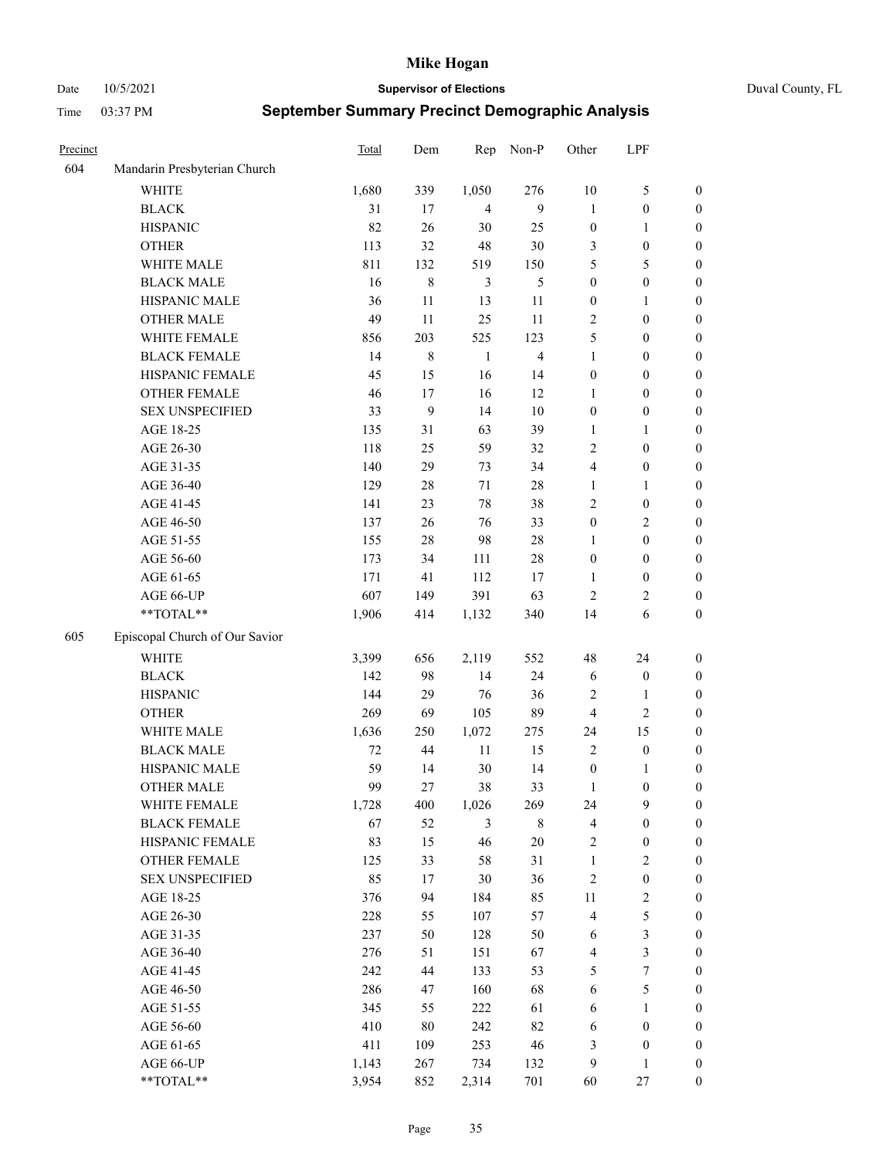Date 10/5/2021 **Supervisor of Elections** Duval County, FL

| Precinct |                                | Total  | Dem       | Rep            | Non-P                   | Other            | LPF              |                  |
|----------|--------------------------------|--------|-----------|----------------|-------------------------|------------------|------------------|------------------|
| 604      | Mandarin Presbyterian Church   |        |           |                |                         |                  |                  |                  |
|          | WHITE                          | 1,680  | 339       | 1,050          | 276                     | 10               | $\mathfrak{S}$   | 0                |
|          | <b>BLACK</b>                   | 31     | 17        | $\overline{4}$ | 9                       | 1                | $\boldsymbol{0}$ | 0                |
|          | <b>HISPANIC</b>                | 82     | 26        | 30             | 25                      | $\boldsymbol{0}$ | $\mathbf{1}$     | $\boldsymbol{0}$ |
|          | <b>OTHER</b>                   | 113    | 32        | $48\,$         | $30\,$                  | 3                | $\boldsymbol{0}$ | $\boldsymbol{0}$ |
|          | WHITE MALE                     | 811    | 132       | 519            | 150                     | 5                | 5                | $\boldsymbol{0}$ |
|          | <b>BLACK MALE</b>              | 16     | $\,$ $\,$ | 3              | 5                       | $\boldsymbol{0}$ | $\boldsymbol{0}$ | $\boldsymbol{0}$ |
|          | HISPANIC MALE                  | 36     | 11        | 13             | 11                      | $\boldsymbol{0}$ | $\mathbf{1}$     | $\boldsymbol{0}$ |
|          | <b>OTHER MALE</b>              | 49     | 11        | 25             | 11                      | $\mathfrak{2}$   | $\boldsymbol{0}$ | $\boldsymbol{0}$ |
|          | WHITE FEMALE                   | 856    | 203       | 525            | 123                     | 5                | $\boldsymbol{0}$ | $\boldsymbol{0}$ |
|          | <b>BLACK FEMALE</b>            | 14     | 8         | $\mathbf{1}$   | $\overline{\mathbf{4}}$ | $\mathbf{1}$     | $\boldsymbol{0}$ | 0                |
|          | HISPANIC FEMALE                | 45     | 15        | 16             | 14                      | $\boldsymbol{0}$ | $\boldsymbol{0}$ | 0                |
|          | <b>OTHER FEMALE</b>            | 46     | 17        | 16             | 12                      | 1                | $\boldsymbol{0}$ | 0                |
|          | <b>SEX UNSPECIFIED</b>         | 33     | 9         | 14             | $10\,$                  | $\boldsymbol{0}$ | $\boldsymbol{0}$ | $\boldsymbol{0}$ |
|          | AGE 18-25                      | 135    | 31        | 63             | 39                      | 1                | $\mathbf{1}$     | $\boldsymbol{0}$ |
|          | AGE 26-30                      | 118    | 25        | 59             | 32                      | $\overline{c}$   | $\boldsymbol{0}$ | $\boldsymbol{0}$ |
|          | AGE 31-35                      | 140    | 29        | 73             | 34                      | 4                | $\boldsymbol{0}$ | $\boldsymbol{0}$ |
|          | AGE 36-40                      | 129    | 28        | 71             | $28\,$                  | $\mathbf{1}$     | $\mathbf{1}$     | $\boldsymbol{0}$ |
|          | AGE 41-45                      | 141    | 23        | 78             | 38                      | $\mathfrak{2}$   | $\boldsymbol{0}$ | $\boldsymbol{0}$ |
|          | AGE 46-50                      | 137    | 26        | 76             | 33                      | $\boldsymbol{0}$ | $\mathfrak{2}$   | $\boldsymbol{0}$ |
|          | AGE 51-55                      | 155    | 28        | 98             | $28\,$                  | 1                | $\boldsymbol{0}$ | $\boldsymbol{0}$ |
|          | AGE 56-60                      | 173    | 34        | 111            | $28\,$                  | $\boldsymbol{0}$ | $\boldsymbol{0}$ | 0                |
|          | AGE 61-65                      | 171    | 41        | 112            | 17                      | 1                | $\boldsymbol{0}$ | 0                |
|          | AGE 66-UP                      | 607    | 149       | 391            | 63                      | $\overline{2}$   | $\overline{c}$   | 0                |
|          | **TOTAL**                      | 1,906  | 414       | 1,132          | 340                     | 14               | 6                | $\boldsymbol{0}$ |
| 605      | Episcopal Church of Our Savior |        |           |                |                         |                  |                  |                  |
|          | <b>WHITE</b>                   | 3,399  | 656       | 2,119          | 552                     | 48               | 24               | $\boldsymbol{0}$ |
|          | <b>BLACK</b>                   | 142    | 98        | 14             | 24                      | 6                | $\boldsymbol{0}$ | $\boldsymbol{0}$ |
|          | <b>HISPANIC</b>                | 144    | 29        | 76             | 36                      | $\overline{c}$   | $\mathbf{1}$     | $\boldsymbol{0}$ |
|          | <b>OTHER</b>                   | 269    | 69        | 105            | 89                      | 4                | $\sqrt{2}$       | $\boldsymbol{0}$ |
|          | WHITE MALE                     | 1,636  | 250       | 1,072          | 275                     | 24               | 15               | $\boldsymbol{0}$ |
|          | <b>BLACK MALE</b>              | $72\,$ | 44        | $11\,$         | 15                      | $\mathbf{2}$     | $\boldsymbol{0}$ | $\boldsymbol{0}$ |
|          | HISPANIC MALE                  | 59     | 14        | $30\,$         | 14                      | $\boldsymbol{0}$ | 1                | 0                |
|          | <b>OTHER MALE</b>              | 99     | 27        | 38             | 33                      | $\mathbf{1}$     | $\boldsymbol{0}$ | $\boldsymbol{0}$ |
|          | WHITE FEMALE                   | 1,728  | 400       | 1,026          | 269                     | 24               | 9                | 0                |
|          | <b>BLACK FEMALE</b>            | 67     | 52        | 3              | $\,$ 8 $\,$             | 4                | $\boldsymbol{0}$ | $\boldsymbol{0}$ |
|          | HISPANIC FEMALE                | 83     | 15        | 46             | $20\,$                  | $\sqrt{2}$       | $\boldsymbol{0}$ | $\overline{0}$   |
|          | <b>OTHER FEMALE</b>            | 125    | 33        | 58             | 31                      | $\mathbf{1}$     | $\sqrt{2}$       | $\overline{0}$   |
|          | <b>SEX UNSPECIFIED</b>         | 85     | 17        | $30\,$         | 36                      | $\sqrt{2}$       | $\boldsymbol{0}$ | 0                |
|          | AGE 18-25                      | 376    | 94        | 184            | 85                      | $11\,$           | $\sqrt{2}$       | $\overline{0}$   |
|          | AGE 26-30                      | 228    | 55        | 107            | 57                      | 4                | $\mathfrak s$    | 0                |
|          | AGE 31-35                      | 237    | 50        | 128            | 50                      | 6                | $\mathfrak{Z}$   | 0                |
|          | AGE 36-40                      | 276    | 51        | 151            | 67                      | $\overline{4}$   | $\mathfrak{Z}$   | 0                |
|          | AGE 41-45                      | 242    | 44        | 133            | 53                      | 5                | $\boldsymbol{7}$ | 0                |
|          | AGE 46-50                      | 286    | 47        | 160            | 68                      | 6                | $\mathfrak s$    | 0                |
|          | AGE 51-55                      | 345    | 55        | 222            | 61                      | 6                | $\mathbf{1}$     | $\boldsymbol{0}$ |
|          | AGE 56-60                      | 410    | 80        | 242            | 82                      | 6                | $\boldsymbol{0}$ | $\boldsymbol{0}$ |
|          | AGE 61-65                      | 411    | 109       | 253            | 46                      | 3                | $\boldsymbol{0}$ | $\boldsymbol{0}$ |
|          | AGE 66-UP                      | 1,143  | 267       | 734            | 132                     | 9                | $\mathbf{1}$     | $\boldsymbol{0}$ |
|          | **TOTAL**                      | 3,954  | 852       | 2,314          | 701                     | 60               | 27               | $\boldsymbol{0}$ |
|          |                                |        |           |                |                         |                  |                  |                  |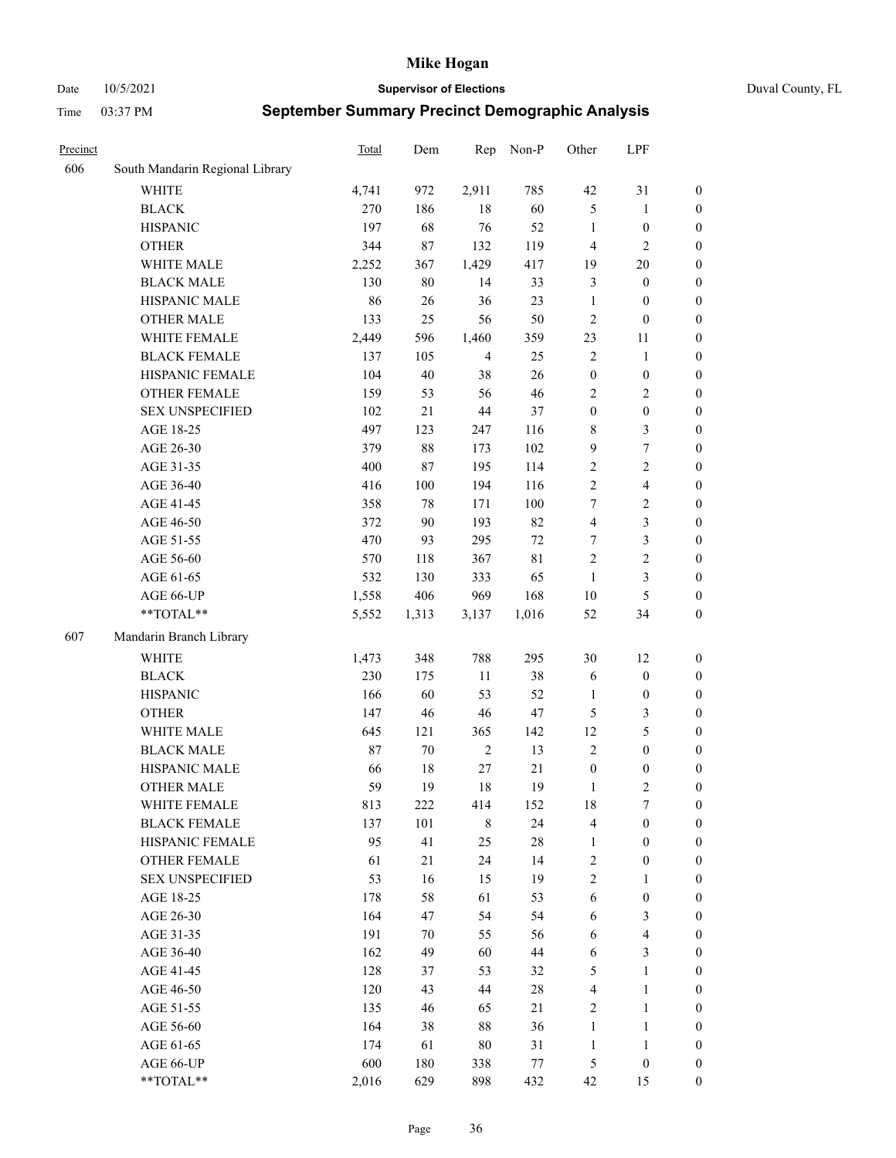Date 10/5/2021 **Supervisor of Elections** Duval County, FL

| Precinct |                                 | Total | Dem   | Rep            | Non-P  | Other            | LPF                     |                  |
|----------|---------------------------------|-------|-------|----------------|--------|------------------|-------------------------|------------------|
| 606      | South Mandarin Regional Library |       |       |                |        |                  |                         |                  |
|          | <b>WHITE</b>                    | 4,741 | 972   | 2,911          | 785    | 42               | 31                      | 0                |
|          | <b>BLACK</b>                    | 270   | 186   | 18             | 60     | 5                | $\mathbf{1}$            | $\boldsymbol{0}$ |
|          | <b>HISPANIC</b>                 | 197   | 68    | 76             | 52     | $\mathbf{1}$     | $\boldsymbol{0}$        | $\boldsymbol{0}$ |
|          | <b>OTHER</b>                    | 344   | 87    | 132            | 119    | 4                | $\mathbf{2}$            | $\boldsymbol{0}$ |
|          | WHITE MALE                      | 2,252 | 367   | 1,429          | 417    | 19               | $20\,$                  | $\boldsymbol{0}$ |
|          | <b>BLACK MALE</b>               | 130   | 80    | 14             | 33     | 3                | $\boldsymbol{0}$        | $\boldsymbol{0}$ |
|          | HISPANIC MALE                   | 86    | 26    | 36             | 23     | $\mathbf{1}$     | $\boldsymbol{0}$        | $\boldsymbol{0}$ |
|          | <b>OTHER MALE</b>               | 133   | 25    | 56             | 50     | $\overline{c}$   | $\boldsymbol{0}$        | $\boldsymbol{0}$ |
|          | WHITE FEMALE                    | 2,449 | 596   | 1,460          | 359    | 23               | 11                      | $\boldsymbol{0}$ |
|          | <b>BLACK FEMALE</b>             | 137   | 105   | $\overline{4}$ | 25     | $\sqrt{2}$       | $\mathbf{1}$            | $\boldsymbol{0}$ |
|          | HISPANIC FEMALE                 | 104   | 40    | 38             | 26     | $\boldsymbol{0}$ | $\boldsymbol{0}$        | 0                |
|          | <b>OTHER FEMALE</b>             | 159   | 53    | 56             | 46     | $\mathbf{2}$     | $\sqrt{2}$              | $\boldsymbol{0}$ |
|          | <b>SEX UNSPECIFIED</b>          | 102   | 21    | 44             | 37     | $\boldsymbol{0}$ | $\boldsymbol{0}$        | $\boldsymbol{0}$ |
|          | AGE 18-25                       | 497   | 123   | 247            | 116    | 8                | $\mathfrak{Z}$          | $\boldsymbol{0}$ |
|          | AGE 26-30                       | 379   | 88    | 173            | 102    | 9                | $\boldsymbol{7}$        | $\boldsymbol{0}$ |
|          | AGE 31-35                       | 400   | 87    | 195            | 114    | $\sqrt{2}$       | $\sqrt{2}$              | $\boldsymbol{0}$ |
|          | AGE 36-40                       | 416   | 100   | 194            | 116    | $\overline{c}$   | $\overline{\mathbf{4}}$ | $\boldsymbol{0}$ |
|          | AGE 41-45                       | 358   | 78    | 171            | 100    | 7                | $\sqrt{2}$              | $\boldsymbol{0}$ |
|          | AGE 46-50                       | 372   | 90    | 193            | 82     | $\overline{4}$   | $\mathfrak{Z}$          | $\boldsymbol{0}$ |
|          | AGE 51-55                       | 470   | 93    | 295            | 72     | 7                | $\mathfrak{Z}$          | $\boldsymbol{0}$ |
|          | AGE 56-60                       | 570   | 118   | 367            | 81     | $\overline{c}$   | $\sqrt{2}$              | 0                |
|          | AGE 61-65                       | 532   | 130   | 333            | 65     | $\mathbf{1}$     | $\mathfrak{Z}$          | $\boldsymbol{0}$ |
|          | AGE 66-UP                       | 1,558 | 406   | 969            | 168    | 10               | $\mathfrak{S}$          | $\boldsymbol{0}$ |
|          | $**TOTAL**$                     | 5,552 | 1,313 | 3,137          | 1,016  | 52               | 34                      | $\boldsymbol{0}$ |
| 607      | Mandarin Branch Library         |       |       |                |        |                  |                         |                  |
|          | WHITE                           | 1,473 | 348   | 788            | 295    | 30               | 12                      | $\boldsymbol{0}$ |
|          | <b>BLACK</b>                    | 230   | 175   | $11\,$         | 38     | 6                | $\boldsymbol{0}$        | $\boldsymbol{0}$ |
|          | <b>HISPANIC</b>                 | 166   | 60    | 53             | 52     | $\mathbf{1}$     | $\boldsymbol{0}$        | $\boldsymbol{0}$ |
|          | <b>OTHER</b>                    | 147   | 46    | $46\,$         | 47     | 5                | $\mathfrak{Z}$          | $\boldsymbol{0}$ |
|          | WHITE MALE                      | 645   | 121   | 365            | 142    | 12               | $\mathfrak{S}$          | $\boldsymbol{0}$ |
|          | <b>BLACK MALE</b>               | 87    | 70    | $\sqrt{2}$     | 13     | $\mathbf{2}$     | $\boldsymbol{0}$        | $\boldsymbol{0}$ |
|          | HISPANIC MALE                   | 66    | 18    | $27\,$         | 21     | $\boldsymbol{0}$ | $\boldsymbol{0}$        | $\boldsymbol{0}$ |
|          | <b>OTHER MALE</b>               | 59    | 19    | 18             | 19     | $\mathbf{1}$     | $\mathbf{2}$            | $\boldsymbol{0}$ |
|          | WHITE FEMALE                    | 813   | 222   | 414            | 152    | 18               | 7                       | 0                |
|          | <b>BLACK FEMALE</b>             | 137   | 101   | $\,$ 8 $\,$    | 24     | 4                | $\boldsymbol{0}$        | $\boldsymbol{0}$ |
|          | HISPANIC FEMALE                 | 95    | 41    | 25             | $28\,$ | $\mathbf{1}$     | $\boldsymbol{0}$        | $\overline{0}$   |
|          | OTHER FEMALE                    | 61    | 21    | 24             | 14     | $\overline{c}$   | $\boldsymbol{0}$        | $\overline{0}$   |
|          | <b>SEX UNSPECIFIED</b>          | 53    | 16    | 15             | 19     | 2                | $\mathbf{1}$            | 0                |
|          | AGE 18-25                       | 178   | 58    | 61             | 53     | 6                | $\boldsymbol{0}$        | 0                |
|          | AGE 26-30                       | 164   | 47    | 54             | 54     | 6                | $\mathfrak{Z}$          | 0                |
|          | AGE 31-35                       | 191   | 70    | 55             | 56     | 6                | $\overline{\mathbf{4}}$ | 0                |
|          | AGE 36-40                       | 162   | 49    | 60             | 44     | 6                | $\mathfrak{Z}$          | 0                |
|          | AGE 41-45                       | 128   | 37    | 53             | 32     | 5                | $\mathbf{1}$            | 0                |
|          | AGE 46-50                       | 120   | 43    | 44             | $28\,$ | 4                | $\mathbf{1}$            | 0                |
|          | AGE 51-55                       | 135   | 46    | 65             | 21     | $\overline{c}$   | $\mathbf{1}$            | 0                |
|          | AGE 56-60                       | 164   | 38    | $88\,$         | 36     | $\mathbf{1}$     | $\mathbf{1}$            | 0                |
|          | AGE 61-65                       | 174   | 61    | 80             | 31     | $\mathbf{1}$     | $\mathbf{1}$            | 0                |
|          | AGE 66-UP                       | 600   | 180   | 338            | 77     | 5                | $\boldsymbol{0}$        | 0                |
|          | **TOTAL**                       | 2,016 | 629   | 898            | 432    | 42               | 15                      | $\boldsymbol{0}$ |
|          |                                 |       |       |                |        |                  |                         |                  |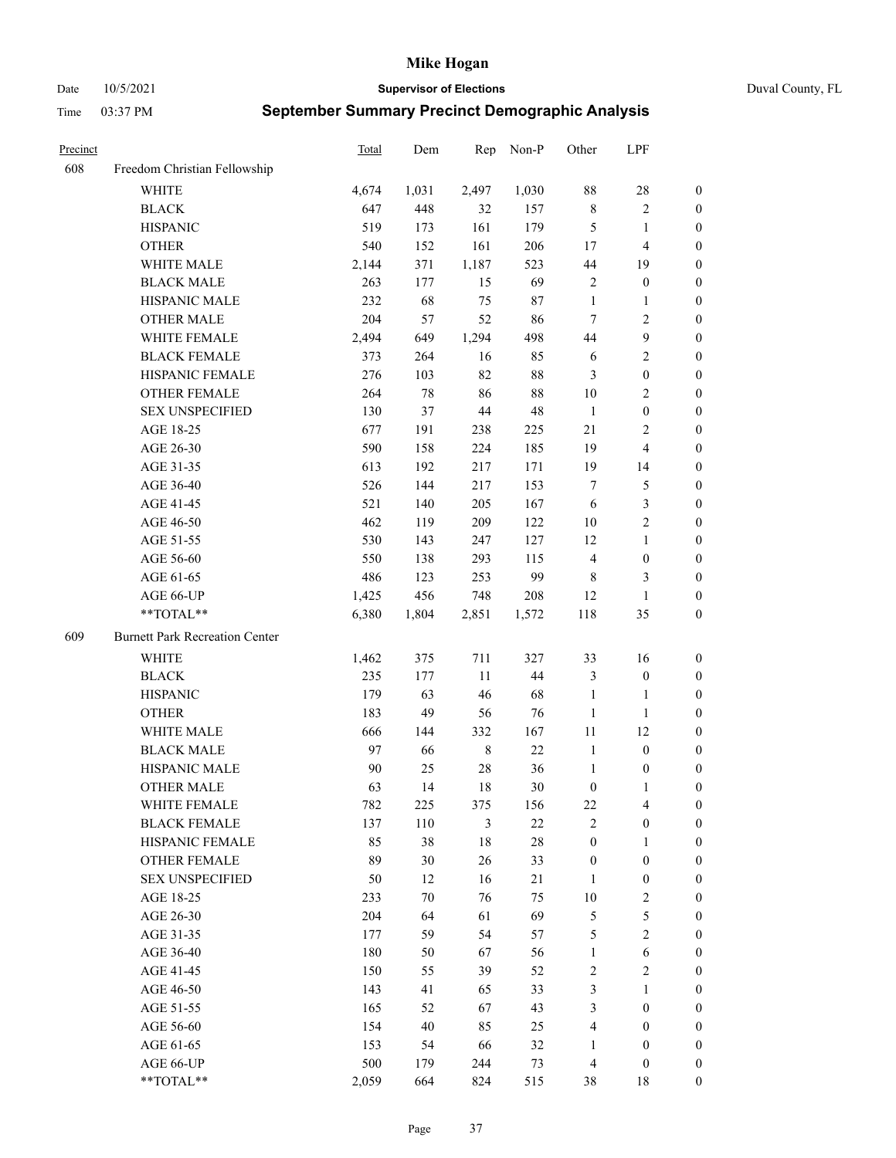Date 10/5/2021 **Supervisor of Elections** Duval County, FL

| Precinct |                                       | <b>Total</b> | Dem   | Rep         | Non-P  | Other            | LPF                     |                  |
|----------|---------------------------------------|--------------|-------|-------------|--------|------------------|-------------------------|------------------|
| 608      | Freedom Christian Fellowship          |              |       |             |        |                  |                         |                  |
|          | <b>WHITE</b>                          | 4,674        | 1,031 | 2,497       | 1,030  | 88               | $28\,$                  | 0                |
|          | <b>BLACK</b>                          | 647          | 448   | 32          | 157    | $\,$ 8 $\,$      | $\sqrt{2}$              | 0                |
|          | <b>HISPANIC</b>                       | 519          | 173   | 161         | 179    | $\mathfrak{S}$   | $\mathbf{1}$            | $\boldsymbol{0}$ |
|          | <b>OTHER</b>                          | 540          | 152   | 161         | 206    | 17               | $\overline{\mathbf{4}}$ | $\boldsymbol{0}$ |
|          | WHITE MALE                            | 2,144        | 371   | 1,187       | 523    | 44               | 19                      | $\boldsymbol{0}$ |
|          | <b>BLACK MALE</b>                     | 263          | 177   | 15          | 69     | $\overline{c}$   | $\boldsymbol{0}$        | $\boldsymbol{0}$ |
|          | HISPANIC MALE                         | 232          | 68    | 75          | 87     | $\mathbf{1}$     | $\mathbf{1}$            | $\boldsymbol{0}$ |
|          | <b>OTHER MALE</b>                     | 204          | 57    | 52          | 86     | $\tau$           | $\overline{2}$          | $\boldsymbol{0}$ |
|          | WHITE FEMALE                          | 2,494        | 649   | 1,294       | 498    | 44               | $\boldsymbol{9}$        | $\boldsymbol{0}$ |
|          | <b>BLACK FEMALE</b>                   | 373          | 264   | 16          | 85     | 6                | $\sqrt{2}$              | 0                |
|          | HISPANIC FEMALE                       | 276          | 103   | 82          | $88\,$ | 3                | $\boldsymbol{0}$        | 0                |
|          | OTHER FEMALE                          | 264          | 78    | 86          | $88\,$ | 10               | $\sqrt{2}$              | 0                |
|          | <b>SEX UNSPECIFIED</b>                | 130          | 37    | $44\,$      | 48     | $\mathbf{1}$     | $\boldsymbol{0}$        | $\boldsymbol{0}$ |
|          | AGE 18-25                             | 677          | 191   | 238         | 225    | $21\,$           | $\sqrt{2}$              | $\boldsymbol{0}$ |
|          | AGE 26-30                             | 590          | 158   | 224         | 185    | 19               | $\overline{\mathbf{4}}$ | $\boldsymbol{0}$ |
|          | AGE 31-35                             | 613          | 192   | 217         | 171    | 19               | 14                      | $\boldsymbol{0}$ |
|          | AGE 36-40                             | 526          | 144   | 217         | 153    | $\boldsymbol{7}$ | $\mathfrak{S}$          | $\boldsymbol{0}$ |
|          | AGE 41-45                             | 521          | 140   | 205         | 167    | 6                | $\mathfrak{Z}$          | $\boldsymbol{0}$ |
|          | AGE 46-50                             | 462          | 119   | 209         | 122    | $10\,$           | $\overline{2}$          | $\boldsymbol{0}$ |
|          | AGE 51-55                             | 530          | 143   | 247         | 127    | 12               | $\mathbf{1}$            | 0                |
|          | AGE 56-60                             | 550          | 138   | 293         | 115    | $\overline{4}$   | $\boldsymbol{0}$        | 0                |
|          | AGE 61-65                             | 486          | 123   | 253         | 99     | 8                | 3                       | 0                |
|          | AGE 66-UP                             | 1,425        | 456   | 748         | 208    | 12               | $\mathbf{1}$            | $\boldsymbol{0}$ |
|          | **TOTAL**                             | 6,380        | 1,804 | 2,851       | 1,572  | 118              | 35                      | $\boldsymbol{0}$ |
| 609      | <b>Burnett Park Recreation Center</b> |              |       |             |        |                  |                         |                  |
|          | <b>WHITE</b>                          | 1,462        | 375   | 711         | 327    | 33               | 16                      | $\boldsymbol{0}$ |
|          | <b>BLACK</b>                          | 235          | 177   | 11          | 44     | 3                | $\boldsymbol{0}$        | $\boldsymbol{0}$ |
|          | <b>HISPANIC</b>                       | 179          | 63    | 46          | 68     | $\mathbf{1}$     | $\mathbf{1}$            | $\boldsymbol{0}$ |
|          | <b>OTHER</b>                          | 183          | 49    | 56          | 76     | $\mathbf{1}$     | $\mathbf{1}$            | $\boldsymbol{0}$ |
|          | WHITE MALE                            | 666          | 144   | 332         | 167    | $11\,$           | 12                      | $\boldsymbol{0}$ |
|          | <b>BLACK MALE</b>                     | 97           | 66    | $\,$ 8 $\,$ | 22     | $\mathbf{1}$     | $\boldsymbol{0}$        | $\boldsymbol{0}$ |
|          | HISPANIC MALE                         | 90           | 25    | $28\,$      | 36     | $\mathbf{1}$     | $\boldsymbol{0}$        | 0                |
|          | <b>OTHER MALE</b>                     | 63           | 14    | 18          | 30     | $\boldsymbol{0}$ | $\mathbf{1}$            | 0                |
|          | WHITE FEMALE                          | 782          | 225   | 375         | 156    | 22               | 4                       | 0                |
|          | <b>BLACK FEMALE</b>                   | 137          | 110   | 3           | 22     | $\mathbf{2}$     | $\boldsymbol{0}$        | $\boldsymbol{0}$ |
|          | HISPANIC FEMALE                       | 85           | 38    | $18\,$      | $28\,$ | $\boldsymbol{0}$ | $\mathbf{1}$            | $\overline{0}$   |
|          | OTHER FEMALE                          | 89           | 30    | 26          | 33     | $\boldsymbol{0}$ | $\boldsymbol{0}$        | $\overline{0}$   |
|          | <b>SEX UNSPECIFIED</b>                | 50           | 12    | 16          | 21     | $\mathbf{1}$     | $\boldsymbol{0}$        | 0                |
|          | AGE 18-25                             | 233          | 70    | 76          | 75     | 10               | $\sqrt{2}$              | 0                |
|          | AGE 26-30                             | 204          | 64    | 61          | 69     | 5                | $\mathfrak{S}$          | 0                |
|          | AGE 31-35                             | 177          | 59    | 54          | 57     | 5                | $\overline{2}$          | 0                |
|          | AGE 36-40                             | 180          | 50    | 67          | 56     | $\mathbf{1}$     | $\sqrt{6}$              | 0                |
|          | AGE 41-45                             | 150          | 55    | 39          | 52     | $\sqrt{2}$       | $\mathfrak{2}$          | 0                |
|          | AGE 46-50                             | 143          | 41    | 65          | 33     | 3                | $\mathbf{1}$            | 0                |
|          | AGE 51-55                             | 165          | 52    | 67          | 43     | 3                | $\boldsymbol{0}$        | 0                |
|          | AGE 56-60                             | 154          | 40    | 85          | 25     | 4                | $\boldsymbol{0}$        | 0                |
|          | AGE 61-65                             | 153          | 54    | 66          | 32     | 1                | $\boldsymbol{0}$        | $\overline{0}$   |
|          | AGE 66-UP                             | 500          | 179   | 244         | 73     | $\overline{4}$   | $\boldsymbol{0}$        | 0                |
|          | **TOTAL**                             | 2,059        | 664   | 824         | 515    | 38               | 18                      | $\boldsymbol{0}$ |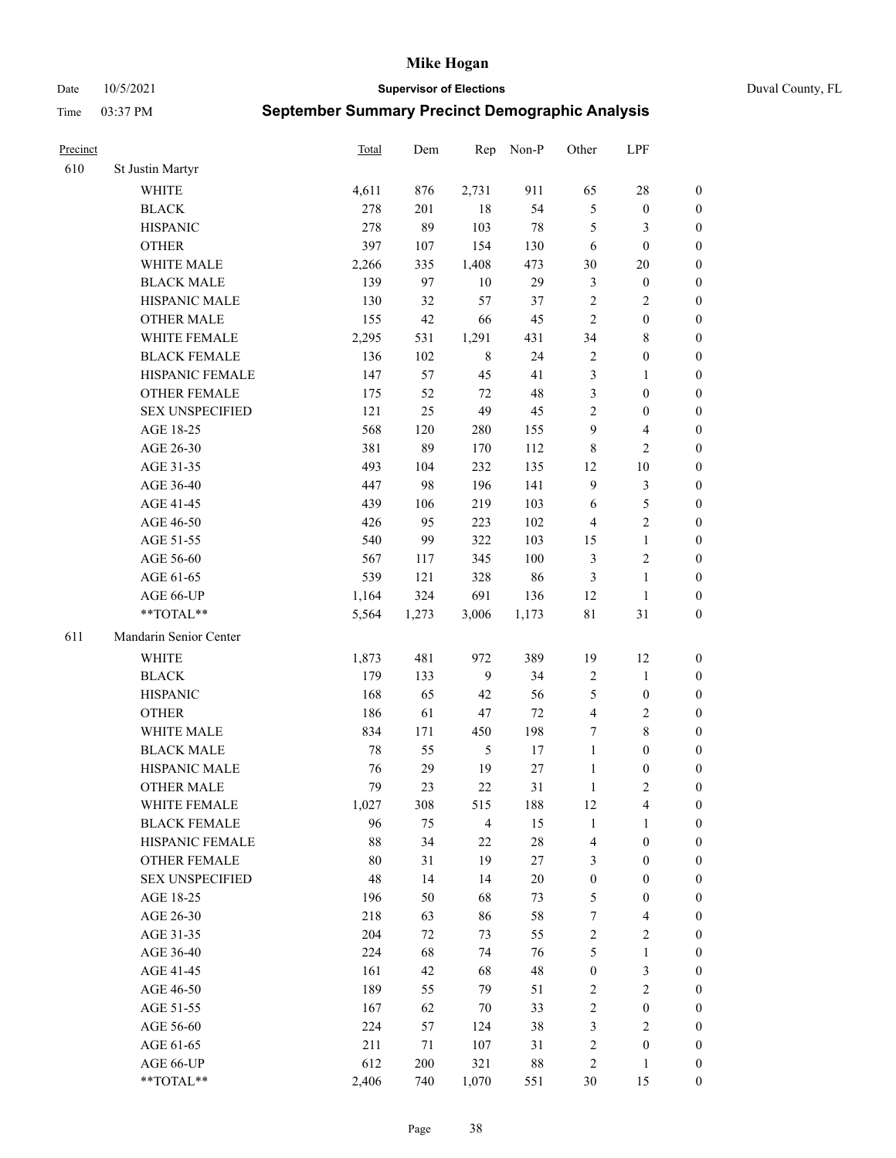Date 10/5/2021 **Supervisor of Elections** Duval County, FL

| Precinct |                        | <b>Total</b> | Dem   | Rep            | Non-P  | Other            | LPF                     |                  |
|----------|------------------------|--------------|-------|----------------|--------|------------------|-------------------------|------------------|
| 610      | St Justin Martyr       |              |       |                |        |                  |                         |                  |
|          | <b>WHITE</b>           | 4,611        | 876   | 2,731          | 911    | 65               | $28\,$                  | 0                |
|          | <b>BLACK</b>           | 278          | 201   | $18\,$         | 54     | $\mathfrak s$    | $\boldsymbol{0}$        | $\boldsymbol{0}$ |
|          | <b>HISPANIC</b>        | 278          | 89    | 103            | 78     | 5                | 3                       | $\boldsymbol{0}$ |
|          | <b>OTHER</b>           | 397          | 107   | 154            | 130    | 6                | $\boldsymbol{0}$        | $\boldsymbol{0}$ |
|          | WHITE MALE             | 2,266        | 335   | 1,408          | 473    | 30               | $20\,$                  | $\boldsymbol{0}$ |
|          | <b>BLACK MALE</b>      | 139          | 97    | 10             | 29     | 3                | $\boldsymbol{0}$        | $\boldsymbol{0}$ |
|          | HISPANIC MALE          | 130          | 32    | 57             | 37     | 2                | $\sqrt{2}$              | $\boldsymbol{0}$ |
|          | <b>OTHER MALE</b>      | 155          | 42    | 66             | 45     | $\overline{2}$   | $\boldsymbol{0}$        | $\boldsymbol{0}$ |
|          | WHITE FEMALE           | 2,295        | 531   | 1,291          | 431    | 34               | $\,$ 8 $\,$             | $\boldsymbol{0}$ |
|          | <b>BLACK FEMALE</b>    | 136          | 102   | $\,$ 8 $\,$    | 24     | 2                | $\boldsymbol{0}$        | 0                |
|          | HISPANIC FEMALE        | 147          | 57    | 45             | 41     | 3                | $\mathbf{1}$            | 0                |
|          | <b>OTHER FEMALE</b>    | 175          | 52    | 72             | 48     | 3                | $\boldsymbol{0}$        | $\boldsymbol{0}$ |
|          | <b>SEX UNSPECIFIED</b> | 121          | 25    | 49             | 45     | $\mathfrak{2}$   | $\boldsymbol{0}$        | $\boldsymbol{0}$ |
|          | AGE 18-25              | 568          | 120   | 280            | 155    | 9                | $\overline{\mathbf{4}}$ | $\boldsymbol{0}$ |
|          | AGE 26-30              | 381          | 89    | 170            | 112    | 8                | $\sqrt{2}$              | $\boldsymbol{0}$ |
|          | AGE 31-35              | 493          | 104   | 232            | 135    | 12               | $10\,$                  | $\boldsymbol{0}$ |
|          | AGE 36-40              | 447          | 98    | 196            | 141    | $\mathbf{9}$     | $\mathfrak{Z}$          | $\boldsymbol{0}$ |
|          | AGE 41-45              | 439          | 106   | 219            | 103    | 6                | $\mathfrak s$           | $\boldsymbol{0}$ |
|          | AGE 46-50              | 426          | 95    | 223            | 102    | $\overline{4}$   | $\overline{2}$          | $\boldsymbol{0}$ |
|          | AGE 51-55              | 540          | 99    | 322            | 103    | 15               | $\mathbf{1}$            | 0                |
|          | AGE 56-60              | 567          | 117   | 345            | 100    | 3                | $\sqrt{2}$              | 0                |
|          | AGE 61-65              | 539          | 121   | 328            | 86     | $\mathfrak{Z}$   | $\mathbf{1}$            | 0                |
|          | AGE 66-UP              | 1,164        | 324   | 691            | 136    | 12               | $\mathbf{1}$            | $\boldsymbol{0}$ |
|          | **TOTAL**              | 5,564        | 1,273 | 3,006          | 1,173  | $8\sqrt{1}$      | $31\,$                  | $\boldsymbol{0}$ |
| 611      | Mandarin Senior Center |              |       |                |        |                  |                         |                  |
|          | <b>WHITE</b>           | 1,873        | 481   | 972            | 389    | 19               | 12                      | $\boldsymbol{0}$ |
|          | <b>BLACK</b>           | 179          | 133   | 9              | 34     | $\boldsymbol{2}$ | $\mathbf{1}$            | $\boldsymbol{0}$ |
|          | <b>HISPANIC</b>        | 168          | 65    | 42             | 56     | 5                | $\boldsymbol{0}$        | $\boldsymbol{0}$ |
|          | <b>OTHER</b>           | 186          | 61    | 47             | $72\,$ | 4                | $\sqrt{2}$              | $\boldsymbol{0}$ |
|          | WHITE MALE             | 834          | 171   | 450            | 198    | 7                | $8\,$                   | $\boldsymbol{0}$ |
|          | <b>BLACK MALE</b>      | 78           | 55    | $\mathfrak s$  | $17\,$ | $\mathbf{1}$     | $\boldsymbol{0}$        | $\boldsymbol{0}$ |
|          | HISPANIC MALE          | 76           | 29    | 19             | $27\,$ | $\mathbf{1}$     | $\boldsymbol{0}$        | 0                |
|          | <b>OTHER MALE</b>      | 79           | 23    | 22             | 31     | $\mathbf{1}$     | $\mathbf{2}$            | $\boldsymbol{0}$ |
|          | WHITE FEMALE           | 1,027        | 308   | 515            | 188    | 12               | 4                       | 0                |
|          | <b>BLACK FEMALE</b>    | 96           | 75    | $\overline{4}$ | 15     | $\mathbf{1}$     | $\mathbf{1}$            | $\boldsymbol{0}$ |
|          | HISPANIC FEMALE        | 88           | 34    | $22\,$         | $28\,$ | 4                | $\boldsymbol{0}$        | $\overline{0}$   |
|          | OTHER FEMALE           | 80           | 31    | 19             | 27     | 3                | $\boldsymbol{0}$        | $\overline{0}$   |
|          | <b>SEX UNSPECIFIED</b> | 48           | 14    | 14             | $20\,$ | $\boldsymbol{0}$ | $\boldsymbol{0}$        | 0                |
|          | AGE 18-25              | 196          | 50    | 68             | 73     | 5                | $\boldsymbol{0}$        | 0                |
|          | AGE 26-30              | 218          | 63    | 86             | 58     | 7                | $\overline{\mathbf{4}}$ | 0                |
|          | AGE 31-35              | 204          | 72    | 73             | 55     | $\sqrt{2}$       | $\sqrt{2}$              | 0                |
|          | AGE 36-40              | 224          | 68    | 74             | 76     | 5                | $\mathbf{1}$            | 0                |
|          | AGE 41-45              | 161          | 42    | 68             | 48     | $\boldsymbol{0}$ | $\mathfrak{Z}$          | 0                |
|          | AGE 46-50              | 189          | 55    | 79             | 51     | $\overline{c}$   | $\sqrt{2}$              | 0                |
|          | AGE 51-55              | 167          | 62    | $70\,$         | 33     | $\sqrt{2}$       | $\boldsymbol{0}$        | 0                |
|          | AGE 56-60              | 224          | 57    | 124            | 38     | 3                | $\mathbf{2}$            | $\overline{0}$   |
|          | AGE 61-65              | 211          | 71    | 107            | 31     | 2                | $\boldsymbol{0}$        | $\boldsymbol{0}$ |
|          | AGE 66-UP              | 612          | 200   | 321            | $88\,$ | 2                | $\mathbf{1}$            | $\boldsymbol{0}$ |
|          | **TOTAL**              | 2,406        | 740   | 1,070          | 551    | 30               | 15                      | $\boldsymbol{0}$ |
|          |                        |              |       |                |        |                  |                         |                  |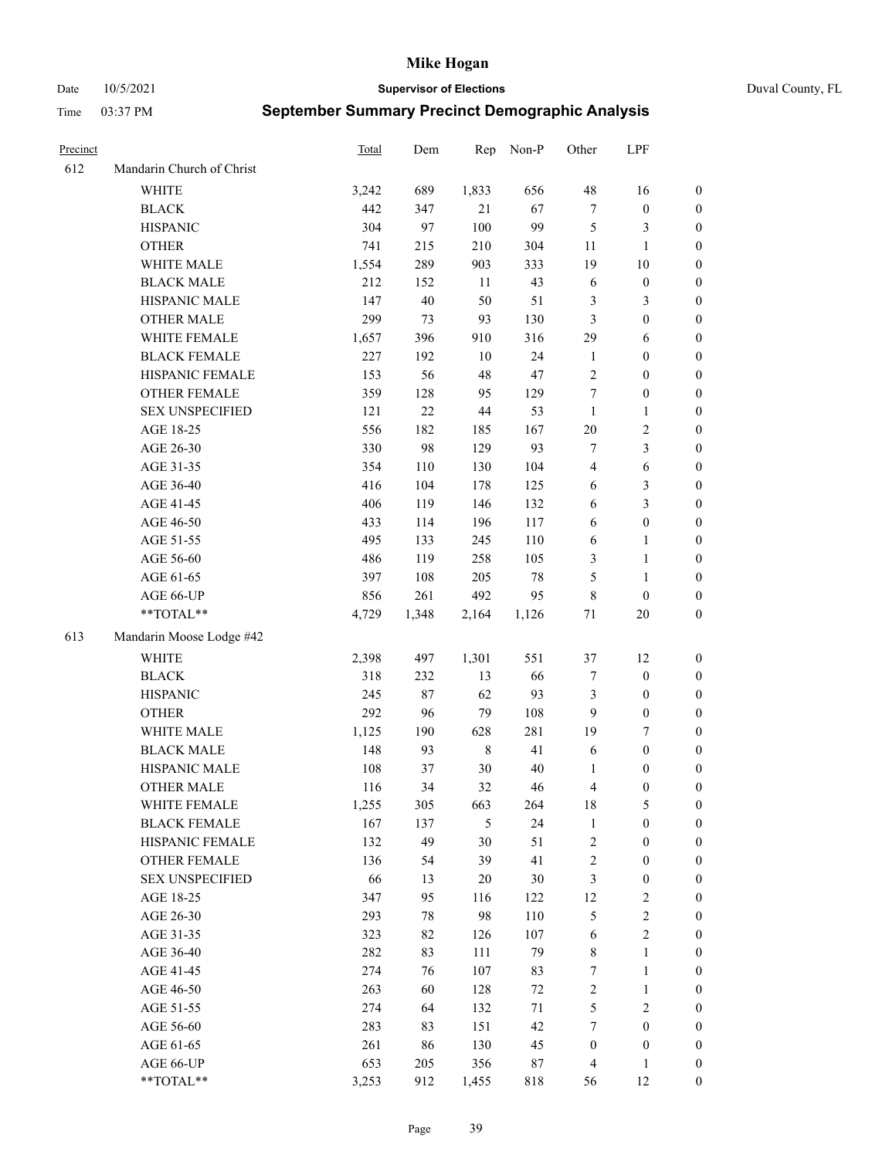Date 10/5/2021 **Supervisor of Elections** Duval County, FL

| Precinct |                           | Total | Dem   | Rep         | Non-P  | Other            | LPF              |                  |
|----------|---------------------------|-------|-------|-------------|--------|------------------|------------------|------------------|
| 612      | Mandarin Church of Christ |       |       |             |        |                  |                  |                  |
|          | <b>WHITE</b>              | 3,242 | 689   | 1,833       | 656    | 48               | 16               | 0                |
|          | <b>BLACK</b>              | 442   | 347   | 21          | 67     | $\tau$           | $\boldsymbol{0}$ | 0                |
|          | <b>HISPANIC</b>           | 304   | 97    | 100         | 99     | $\mathfrak{S}$   | 3                | $\boldsymbol{0}$ |
|          | <b>OTHER</b>              | 741   | 215   | 210         | 304    | 11               | $\mathbf{1}$     | $\boldsymbol{0}$ |
|          | WHITE MALE                | 1,554 | 289   | 903         | 333    | 19               | $10\,$           | $\boldsymbol{0}$ |
|          | <b>BLACK MALE</b>         | 212   | 152   | 11          | 43     | 6                | $\boldsymbol{0}$ | $\boldsymbol{0}$ |
|          | HISPANIC MALE             | 147   | 40    | 50          | 51     | $\mathfrak{Z}$   | $\mathfrak{Z}$   | $\boldsymbol{0}$ |
|          | <b>OTHER MALE</b>         | 299   | 73    | 93          | 130    | 3                | $\boldsymbol{0}$ | $\boldsymbol{0}$ |
|          | WHITE FEMALE              | 1,657 | 396   | 910         | 316    | 29               | 6                | $\boldsymbol{0}$ |
|          | <b>BLACK FEMALE</b>       | 227   | 192   | $10\,$      | 24     | $\mathbf{1}$     | $\boldsymbol{0}$ | 0                |
|          | HISPANIC FEMALE           | 153   | 56    | $48\,$      | 47     | $\sqrt{2}$       | $\boldsymbol{0}$ | 0                |
|          | OTHER FEMALE              | 359   | 128   | 95          | 129    | $\boldsymbol{7}$ | $\boldsymbol{0}$ | $\boldsymbol{0}$ |
|          | <b>SEX UNSPECIFIED</b>    | 121   | 22    | $44\,$      | 53     | $\mathbf{1}$     | $\mathbf{1}$     | $\boldsymbol{0}$ |
|          | AGE 18-25                 | 556   | 182   | 185         | 167    | $20\,$           | $\sqrt{2}$       | $\boldsymbol{0}$ |
|          | AGE 26-30                 | 330   | 98    | 129         | 93     | 7                | $\mathfrak{Z}$   | $\boldsymbol{0}$ |
|          | AGE 31-35                 | 354   | 110   | 130         | 104    | 4                | 6                | $\boldsymbol{0}$ |
|          | AGE 36-40                 | 416   | 104   | 178         | 125    | 6                | $\mathfrak{Z}$   | $\boldsymbol{0}$ |
|          | AGE 41-45                 | 406   | 119   | 146         | 132    | 6                | $\mathfrak{Z}$   | $\boldsymbol{0}$ |
|          | AGE 46-50                 | 433   | 114   | 196         | 117    | 6                | $\boldsymbol{0}$ | $\boldsymbol{0}$ |
|          | AGE 51-55                 | 495   | 133   | 245         | 110    | 6                | $\mathbf{1}$     | 0                |
|          | AGE 56-60                 | 486   | 119   | 258         | 105    | 3                | $\mathbf{1}$     | 0                |
|          | AGE 61-65                 | 397   | 108   | 205         | $78\,$ | 5                | $\mathbf{1}$     | 0                |
|          | AGE 66-UP                 | 856   | 261   | 492         | 95     | 8                | $\boldsymbol{0}$ | $\boldsymbol{0}$ |
|          | $**TOTAL**$               | 4,729 | 1,348 | 2,164       | 1,126  | 71               | $20\,$           | $\boldsymbol{0}$ |
| 613      | Mandarin Moose Lodge #42  |       |       |             |        |                  |                  |                  |
|          | <b>WHITE</b>              | 2,398 | 497   | 1,301       | 551    | 37               | 12               | $\boldsymbol{0}$ |
|          | <b>BLACK</b>              | 318   | 232   | 13          | 66     | 7                | $\boldsymbol{0}$ | $\boldsymbol{0}$ |
|          | <b>HISPANIC</b>           | 245   | 87    | 62          | 93     | 3                | $\boldsymbol{0}$ | $\boldsymbol{0}$ |
|          | <b>OTHER</b>              | 292   | 96    | 79          | 108    | 9                | $\boldsymbol{0}$ | $\boldsymbol{0}$ |
|          | WHITE MALE                | 1,125 | 190   | 628         | 281    | 19               | $\tau$           | $\boldsymbol{0}$ |
|          | <b>BLACK MALE</b>         | 148   | 93    | $\,$ 8 $\,$ | 41     | 6                | $\boldsymbol{0}$ | $\boldsymbol{0}$ |
|          | HISPANIC MALE             | 108   | 37    | $30\,$      | 40     | 1                | $\boldsymbol{0}$ | $\boldsymbol{0}$ |
|          | <b>OTHER MALE</b>         | 116   | 34    | 32          | 46     | 4                | $\boldsymbol{0}$ | $\boldsymbol{0}$ |
|          | WHITE FEMALE              | 1,255 | 305   | 663         | 264    | 18               | 5                | 0                |
|          | <b>BLACK FEMALE</b>       | 167   | 137   | 5           | 24     | $\mathbf{1}$     | $\boldsymbol{0}$ | $\boldsymbol{0}$ |
|          | HISPANIC FEMALE           | 132   | 49    | 30          | 51     | $\sqrt{2}$       | $\boldsymbol{0}$ | $\overline{0}$   |
|          | <b>OTHER FEMALE</b>       | 136   | 54    | 39          | 41     | $\overline{c}$   | $\boldsymbol{0}$ | $\overline{0}$   |
|          | <b>SEX UNSPECIFIED</b>    | 66    | 13    | 20          | 30     | 3                | $\boldsymbol{0}$ | 0                |
|          | AGE 18-25                 | 347   | 95    | 116         | 122    | 12               | $\sqrt{2}$       | 0                |
|          | AGE 26-30                 | 293   | 78    | 98          | 110    | 5                | $\sqrt{2}$       | 0                |
|          | AGE 31-35                 | 323   | 82    | 126         | 107    | 6                | $\overline{2}$   | 0                |
|          | AGE 36-40                 | 282   | 83    | 111         | 79     | 8                | $\mathbf{1}$     | 0                |
|          | AGE 41-45                 | 274   | 76    | 107         | 83     | 7                | $\mathbf{1}$     | 0                |
|          | AGE 46-50                 | 263   | 60    | 128         | $72\,$ | $\sqrt{2}$       | $\mathbf{1}$     | 0                |
|          | AGE 51-55                 | 274   | 64    | 132         | 71     | $\mathfrak{S}$   | $\mathfrak{2}$   | 0                |
|          | AGE 56-60                 | 283   | 83    | 151         | 42     | 7                | $\boldsymbol{0}$ | $\overline{0}$   |
|          | AGE 61-65                 | 261   | 86    | 130         | 45     | $\boldsymbol{0}$ | $\boldsymbol{0}$ | $\overline{0}$   |
|          | AGE 66-UP                 | 653   | 205   | 356         | 87     | $\overline{4}$   | $\mathbf{1}$     | $\boldsymbol{0}$ |
|          | **TOTAL**                 | 3,253 | 912   | 1,455       | 818    | 56               | 12               | $\boldsymbol{0}$ |
|          |                           |       |       |             |        |                  |                  |                  |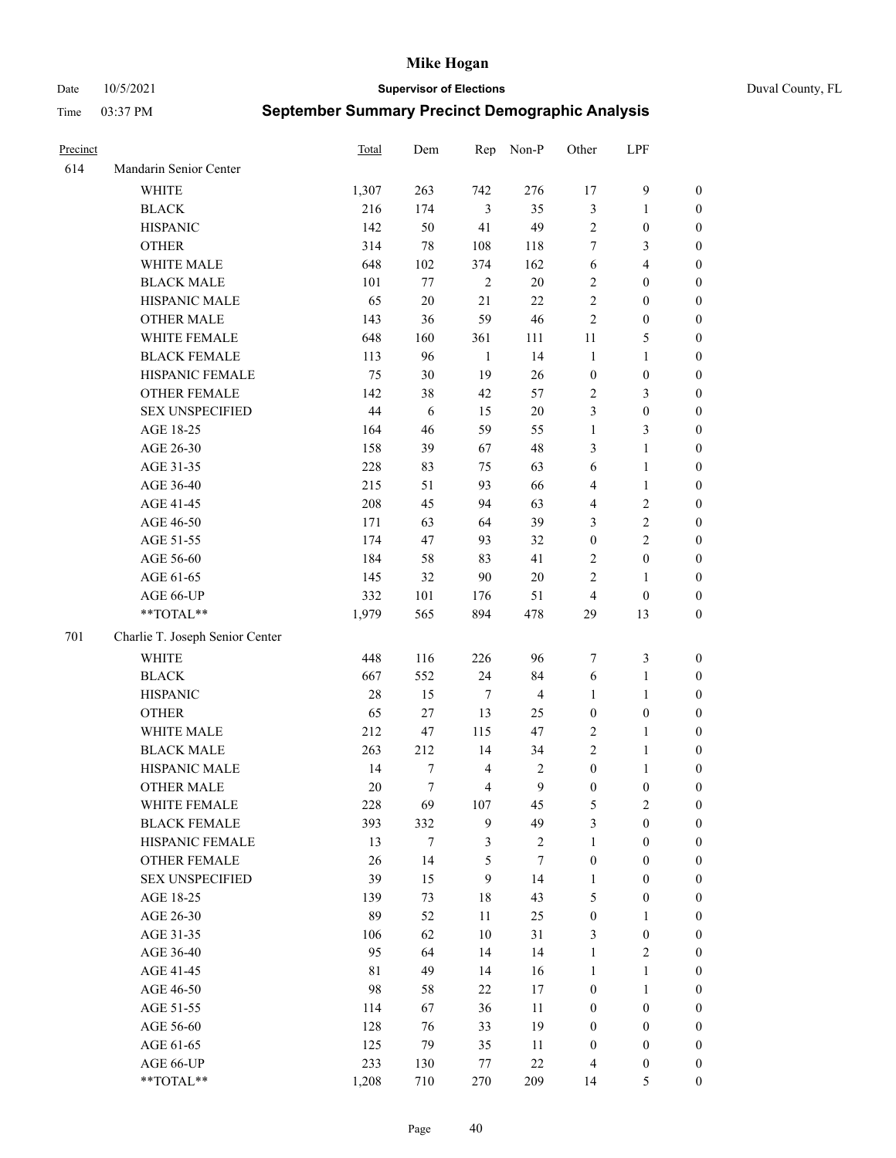Date 10/5/2021 **Supervisor of Elections** Duval County, FL

| Precinct |                                 | Total | Dem    | Rep            | Non-P                   | Other            | LPF              |                  |
|----------|---------------------------------|-------|--------|----------------|-------------------------|------------------|------------------|------------------|
| 614      | Mandarin Senior Center          |       |        |                |                         |                  |                  |                  |
|          | <b>WHITE</b>                    | 1,307 | 263    | 742            | 276                     | 17               | $\mathbf{9}$     | $\boldsymbol{0}$ |
|          | <b>BLACK</b>                    | 216   | 174    | 3              | 35                      | $\mathfrak{Z}$   | $\mathbf{1}$     | $\boldsymbol{0}$ |
|          | <b>HISPANIC</b>                 | 142   | 50     | 41             | 49                      | $\sqrt{2}$       | $\boldsymbol{0}$ | $\boldsymbol{0}$ |
|          | <b>OTHER</b>                    | 314   | 78     | 108            | 118                     | 7                | 3                | $\boldsymbol{0}$ |
|          | WHITE MALE                      | 648   | 102    | 374            | 162                     | 6                | $\overline{4}$   | $\boldsymbol{0}$ |
|          | <b>BLACK MALE</b>               | 101   | 77     | $\overline{2}$ | $20\,$                  | $\overline{c}$   | $\boldsymbol{0}$ | $\boldsymbol{0}$ |
|          | HISPANIC MALE                   | 65    | $20\,$ | 21             | 22                      | $\mathfrak{2}$   | $\boldsymbol{0}$ | $\boldsymbol{0}$ |
|          | OTHER MALE                      | 143   | 36     | 59             | 46                      | $\mathbf{2}$     | $\boldsymbol{0}$ | $\boldsymbol{0}$ |
|          | WHITE FEMALE                    | 648   | 160    | 361            | 111                     | 11               | $\mathfrak{S}$   | $\boldsymbol{0}$ |
|          | <b>BLACK FEMALE</b>             | 113   | 96     | $\mathbf{1}$   | 14                      | $\mathbf{1}$     | $\mathbf{1}$     | $\boldsymbol{0}$ |
|          | HISPANIC FEMALE                 | 75    | 30     | 19             | 26                      | $\boldsymbol{0}$ | $\boldsymbol{0}$ | 0                |
|          | <b>OTHER FEMALE</b>             | 142   | 38     | $42\,$         | 57                      | $\overline{c}$   | 3                | 0                |
|          | <b>SEX UNSPECIFIED</b>          | 44    | 6      | 15             | $20\,$                  | 3                | $\boldsymbol{0}$ | $\boldsymbol{0}$ |
|          | AGE 18-25                       | 164   | 46     | 59             | 55                      | $\mathbf{1}$     | $\mathfrak{Z}$   | $\boldsymbol{0}$ |
|          | AGE 26-30                       | 158   | 39     | 67             | 48                      | 3                | $\mathbf{1}$     | $\boldsymbol{0}$ |
|          | AGE 31-35                       | 228   | 83     | 75             | 63                      | 6                | $\mathbf{1}$     | $\boldsymbol{0}$ |
|          | AGE 36-40                       | 215   | 51     | 93             | 66                      | 4                | $\mathbf{1}$     | $\boldsymbol{0}$ |
|          | AGE 41-45                       | 208   | 45     | 94             | 63                      | 4                | $\overline{2}$   | $\boldsymbol{0}$ |
|          | AGE 46-50                       | 171   | 63     | 64             | 39                      | 3                | $\sqrt{2}$       | $\boldsymbol{0}$ |
|          | AGE 51-55                       | 174   | 47     | 93             | 32                      | $\boldsymbol{0}$ | $\sqrt{2}$       | $\boldsymbol{0}$ |
|          | AGE 56-60                       | 184   | 58     | 83             | 41                      | $\overline{c}$   | $\boldsymbol{0}$ | 0                |
|          | AGE 61-65                       | 145   | 32     | 90             | $20\,$                  | $\mathbf{2}$     | $\mathbf{1}$     | 0                |
|          | AGE 66-UP                       | 332   | 101    | 176            | 51                      | $\overline{4}$   | $\boldsymbol{0}$ | $\boldsymbol{0}$ |
|          | $**TOTAL**$                     | 1,979 | 565    | 894            | 478                     | 29               | 13               | $\boldsymbol{0}$ |
| 701      | Charlie T. Joseph Senior Center |       |        |                |                         |                  |                  |                  |
|          | <b>WHITE</b>                    | 448   | 116    | 226            | 96                      | 7                | $\mathfrak{Z}$   | $\boldsymbol{0}$ |
|          | <b>BLACK</b>                    | 667   | 552    | 24             | 84                      | 6                | $\mathbf{1}$     | $\boldsymbol{0}$ |
|          | <b>HISPANIC</b>                 | 28    | 15     | $\tau$         | $\overline{\mathbf{4}}$ | $\mathbf{1}$     | $\mathbf{1}$     | $\boldsymbol{0}$ |
|          | <b>OTHER</b>                    | 65    | 27     | 13             | 25                      | $\boldsymbol{0}$ | $\boldsymbol{0}$ | $\boldsymbol{0}$ |
|          | WHITE MALE                      | 212   | 47     | 115            | 47                      | $\sqrt{2}$       | $\mathbf{1}$     | $\boldsymbol{0}$ |
|          | <b>BLACK MALE</b>               | 263   | 212    | 14             | 34                      | $\mathbf{2}$     | $\mathbf{1}$     | $\boldsymbol{0}$ |
|          | HISPANIC MALE                   | 14    | 7      | $\overline{4}$ | $\overline{c}$          | $\boldsymbol{0}$ | 1                | 0                |
|          | <b>OTHER MALE</b>               | 20    | $\tau$ | $\overline{4}$ | 9                       | $\boldsymbol{0}$ | $\boldsymbol{0}$ | 0                |
|          | WHITE FEMALE                    | 228   | 69     | 107            | 45                      | 5                | 2                | 0                |
|          | <b>BLACK FEMALE</b>             | 393   | 332    | 9              | 49                      | 3                | $\boldsymbol{0}$ | $\boldsymbol{0}$ |
|          | HISPANIC FEMALE                 | 13    | 7      | $\mathfrak{Z}$ | $\sqrt{2}$              | 1                | $\boldsymbol{0}$ | $\overline{0}$   |
|          | OTHER FEMALE                    | 26    | 14     | 5              | 7                       | $\boldsymbol{0}$ | $\boldsymbol{0}$ | $\overline{0}$   |
|          | <b>SEX UNSPECIFIED</b>          | 39    | 15     | 9              | 14                      | $\mathbf{1}$     | $\boldsymbol{0}$ | 0                |
|          | AGE 18-25                       | 139   | 73     | $18\,$         | 43                      | 5                | $\boldsymbol{0}$ | $\theta$         |
|          | AGE 26-30                       | 89    | 52     | 11             | 25                      | $\boldsymbol{0}$ | $\mathbf{1}$     | 0                |
|          | AGE 31-35                       | 106   | 62     | $10\,$         | 31                      | 3                | $\boldsymbol{0}$ | 0                |
|          | AGE 36-40                       | 95    | 64     | 14             | 14                      | $\mathbf{1}$     | $\sqrt{2}$       | 0                |
|          | AGE 41-45                       | 81    | 49     | 14             | 16                      | $\mathbf{1}$     | $\mathbf{1}$     | 0                |
|          | AGE 46-50                       | 98    | 58     | 22             | 17                      | $\boldsymbol{0}$ | $\mathbf{1}$     | 0                |
|          | AGE 51-55                       | 114   | 67     | 36             | 11                      | $\boldsymbol{0}$ | $\boldsymbol{0}$ | 0                |
|          | AGE 56-60                       | 128   | 76     | 33             | 19                      | $\boldsymbol{0}$ | $\boldsymbol{0}$ | $\overline{0}$   |
|          | AGE 61-65                       | 125   | 79     | 35             | 11                      | $\boldsymbol{0}$ | $\boldsymbol{0}$ | $\overline{0}$   |
|          | AGE 66-UP                       | 233   | 130    | 77             | $22\,$                  | $\overline{4}$   | $\boldsymbol{0}$ | 0                |
|          | **TOTAL**                       | 1,208 | 710    | 270            | 209                     | 14               | 5                | $\boldsymbol{0}$ |
|          |                                 |       |        |                |                         |                  |                  |                  |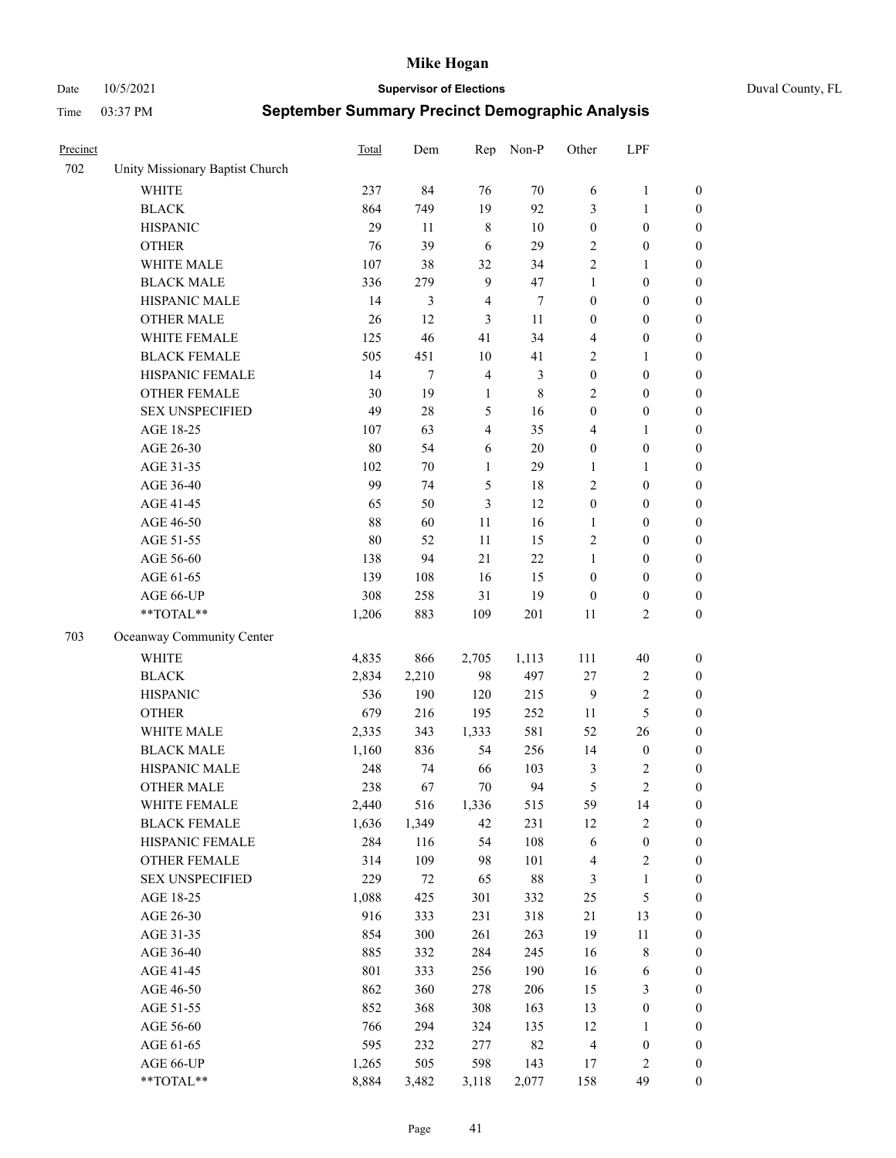Date 10/5/2021 **Supervisor of Elections** Duval County, FL

| Precinct |                                 | <b>Total</b> | Dem    | Rep            | Non-P       | Other            | LPF              |                  |
|----------|---------------------------------|--------------|--------|----------------|-------------|------------------|------------------|------------------|
| 702      | Unity Missionary Baptist Church |              |        |                |             |                  |                  |                  |
|          | <b>WHITE</b>                    | 237          | 84     | 76             | 70          | 6                | $\mathbf{1}$     | 0                |
|          | <b>BLACK</b>                    | 864          | 749    | 19             | 92          | 3                | $\mathbf{1}$     | $\boldsymbol{0}$ |
|          | <b>HISPANIC</b>                 | 29           | 11     | $\,$ 8 $\,$    | 10          | $\boldsymbol{0}$ | $\boldsymbol{0}$ | $\boldsymbol{0}$ |
|          | <b>OTHER</b>                    | 76           | 39     | 6              | 29          | 2                | $\boldsymbol{0}$ | $\boldsymbol{0}$ |
|          | WHITE MALE                      | 107          | 38     | 32             | 34          | 2                | $\mathbf{1}$     | $\boldsymbol{0}$ |
|          | <b>BLACK MALE</b>               | 336          | 279    | $\mathbf{9}$   | 47          | 1                | $\boldsymbol{0}$ | $\boldsymbol{0}$ |
|          | HISPANIC MALE                   | 14           | 3      | $\overline{4}$ | $\tau$      | $\boldsymbol{0}$ | $\boldsymbol{0}$ | $\boldsymbol{0}$ |
|          | <b>OTHER MALE</b>               | 26           | 12     | 3              | 11          | $\boldsymbol{0}$ | $\boldsymbol{0}$ | $\boldsymbol{0}$ |
|          | WHITE FEMALE                    | 125          | 46     | 41             | 34          | 4                | $\boldsymbol{0}$ | $\boldsymbol{0}$ |
|          | <b>BLACK FEMALE</b>             | 505          | 451    | $10\,$         | 41          | $\sqrt{2}$       | $\mathbf{1}$     | $\boldsymbol{0}$ |
|          | HISPANIC FEMALE                 | 14           | $\tau$ | $\overline{4}$ | 3           | $\boldsymbol{0}$ | $\boldsymbol{0}$ | $\boldsymbol{0}$ |
|          | <b>OTHER FEMALE</b>             | 30           | 19     | $\mathbf{1}$   | $\,$ 8 $\,$ | $\mathbf{2}$     | $\boldsymbol{0}$ | $\boldsymbol{0}$ |
|          | <b>SEX UNSPECIFIED</b>          | 49           | 28     | $\mathfrak{S}$ | 16          | $\boldsymbol{0}$ | $\boldsymbol{0}$ | $\boldsymbol{0}$ |
|          | AGE 18-25                       | 107          | 63     | $\overline{4}$ | 35          | 4                | $\mathbf{1}$     | $\boldsymbol{0}$ |
|          | AGE 26-30                       | 80           | 54     | 6              | 20          | $\boldsymbol{0}$ | $\boldsymbol{0}$ | $\boldsymbol{0}$ |
|          | AGE 31-35                       | 102          | 70     | $\mathbf{1}$   | 29          | $\mathbf{1}$     | $\mathbf{1}$     | $\boldsymbol{0}$ |
|          | AGE 36-40                       | 99           | 74     | 5              | 18          | $\overline{c}$   | $\boldsymbol{0}$ | $\boldsymbol{0}$ |
|          | AGE 41-45                       | 65           | 50     | 3              | 12          | $\boldsymbol{0}$ | $\boldsymbol{0}$ | $\boldsymbol{0}$ |
|          | AGE 46-50                       | 88           | 60     | 11             | 16          | $\mathbf{1}$     | $\boldsymbol{0}$ | $\boldsymbol{0}$ |
|          | AGE 51-55                       | 80           | 52     | 11             | 15          | 2                | $\boldsymbol{0}$ | $\boldsymbol{0}$ |
|          | AGE 56-60                       | 138          | 94     | 21             | 22          | 1                | $\boldsymbol{0}$ | 0                |
|          | AGE 61-65                       | 139          | 108    | 16             | 15          | $\boldsymbol{0}$ | $\boldsymbol{0}$ | 0                |
|          | AGE 66-UP                       | 308          | 258    | 31             | 19          | $\boldsymbol{0}$ | $\boldsymbol{0}$ | $\boldsymbol{0}$ |
|          | **TOTAL**                       | 1,206        | 883    | 109            | 201         | 11               | $\sqrt{2}$       | $\boldsymbol{0}$ |
| 703      | Oceanway Community Center       |              |        |                |             |                  |                  |                  |
|          | <b>WHITE</b>                    | 4,835        | 866    | 2,705          | 1,113       | 111              | $40\,$           | $\boldsymbol{0}$ |
|          | <b>BLACK</b>                    | 2,834        | 2,210  | 98             | 497         | 27               | $\sqrt{2}$       | $\boldsymbol{0}$ |
|          | <b>HISPANIC</b>                 | 536          | 190    | 120            | 215         | $\overline{9}$   | $\mathbf{2}$     | $\boldsymbol{0}$ |
|          | <b>OTHER</b>                    | 679          | 216    | 195            | 252         | 11               | $\mathfrak s$    | $\boldsymbol{0}$ |
|          | WHITE MALE                      | 2,335        | 343    | 1,333          | 581         | 52               | 26               | $\boldsymbol{0}$ |
|          | <b>BLACK MALE</b>               | 1,160        | 836    | 54             | 256         | 14               | $\boldsymbol{0}$ | $\boldsymbol{0}$ |
|          | HISPANIC MALE                   | 248          | 74     | 66             | 103         | 3                | $\overline{c}$   | $\boldsymbol{0}$ |
|          | <b>OTHER MALE</b>               | 238          | 67     | 70             | 94          | 5                | $\overline{c}$   | $\boldsymbol{0}$ |
|          | WHITE FEMALE                    | 2,440        | 516    | 1,336          | 515         | 59               | 14               | 0                |
|          | <b>BLACK FEMALE</b>             | 1,636        | 1,349  | 42             | 231         | 12               | $\sqrt{2}$       | $\boldsymbol{0}$ |
|          | HISPANIC FEMALE                 | 284          | 116    | 54             | 108         | 6                | $\boldsymbol{0}$ | $\boldsymbol{0}$ |
|          | OTHER FEMALE                    | 314          | 109    | 98             | 101         | $\overline{4}$   | $\sqrt{2}$       | $\overline{0}$   |
|          | <b>SEX UNSPECIFIED</b>          | 229          | 72     | 65             | $88\,$      | 3                | $\mathbf{1}$     | 0                |
|          | AGE 18-25                       | 1,088        | 425    | 301            | 332         | $25\,$           | $\mathfrak s$    | $\overline{0}$   |
|          | AGE 26-30                       | 916          | 333    | 231            | 318         | 21               | 13               | 0                |
|          | AGE 31-35                       | 854          | 300    | 261            | 263         | 19               | $11\,$           | 0                |
|          | AGE 36-40                       | 885          | 332    | 284            | 245         | 16               | $\,$ 8 $\,$      | 0                |
|          | AGE 41-45                       | 801          | 333    | 256            | 190         | 16               | 6                | 0                |
|          | AGE 46-50                       | 862          | 360    | 278            | 206         | 15               | 3                | 0                |
|          | AGE 51-55                       | 852          | 368    | 308            | 163         | 13               | $\boldsymbol{0}$ | 0                |
|          | AGE 56-60                       | 766          | 294    | 324            | 135         | 12               | $\mathbf{1}$     | 0                |
|          | AGE 61-65                       | 595          | 232    | 277            | 82          | 4                | $\boldsymbol{0}$ | $\boldsymbol{0}$ |
|          | AGE 66-UP                       | 1,265        | 505    | 598            | 143         | 17               | $\sqrt{2}$       | 0                |
|          | **TOTAL**                       | 8,884        | 3,482  | 3,118          | 2,077       | 158              | 49               | $\boldsymbol{0}$ |
|          |                                 |              |        |                |             |                  |                  |                  |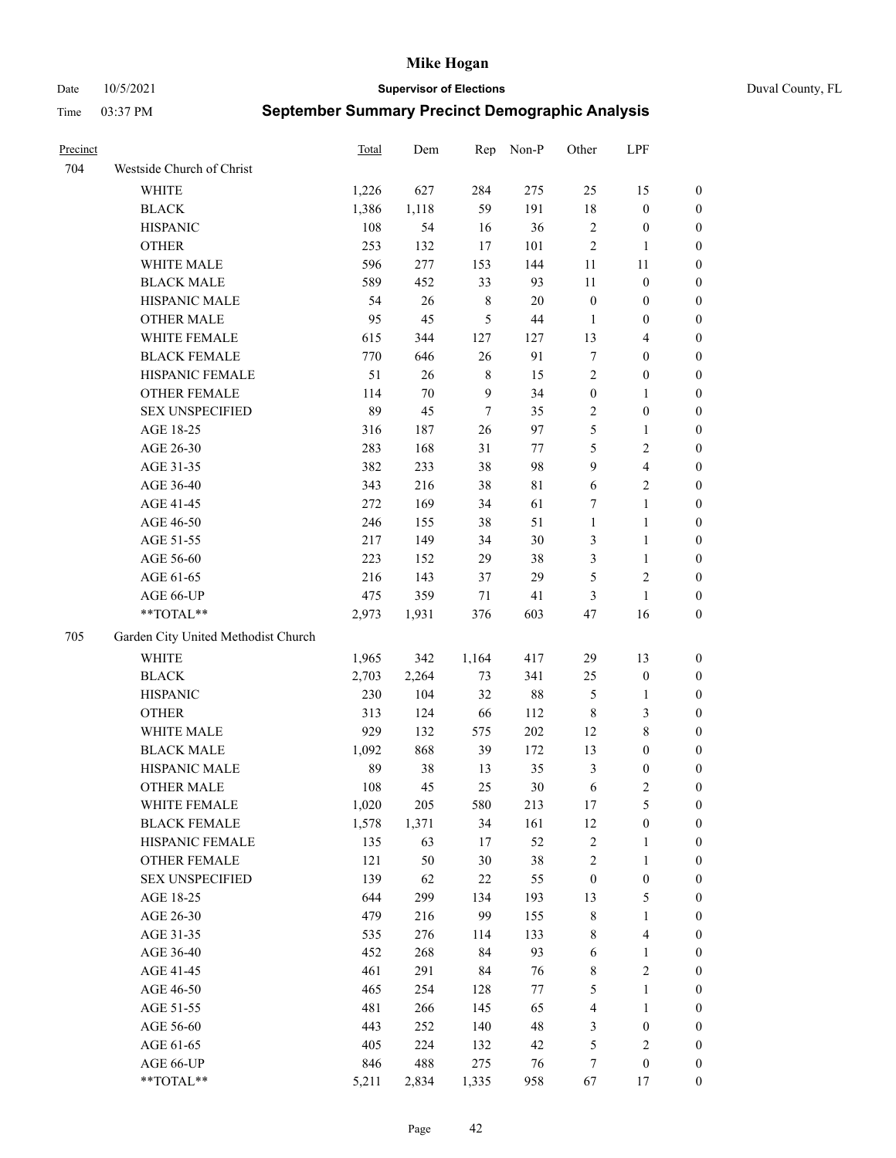Date 10/5/2021 **Supervisor of Elections** Duval County, FL

| Precinct |                                     | Total | Dem   | Rep            | Non-P       | Other            | LPF                     |                  |
|----------|-------------------------------------|-------|-------|----------------|-------------|------------------|-------------------------|------------------|
| 704      | Westside Church of Christ           |       |       |                |             |                  |                         |                  |
|          | <b>WHITE</b>                        | 1,226 | 627   | 284            | 275         | 25               | 15                      | 0                |
|          | <b>BLACK</b>                        | 1,386 | 1,118 | 59             | 191         | $18\,$           | $\boldsymbol{0}$        | 0                |
|          | <b>HISPANIC</b>                     | 108   | 54    | 16             | 36          | $\sqrt{2}$       | $\boldsymbol{0}$        | $\boldsymbol{0}$ |
|          | <b>OTHER</b>                        | 253   | 132   | 17             | 101         | $\sqrt{2}$       | $\mathbf{1}$            | $\boldsymbol{0}$ |
|          | WHITE MALE                          | 596   | 277   | 153            | 144         | 11               | 11                      | $\boldsymbol{0}$ |
|          | <b>BLACK MALE</b>                   | 589   | 452   | 33             | 93          | 11               | $\boldsymbol{0}$        | $\boldsymbol{0}$ |
|          | HISPANIC MALE                       | 54    | 26    | $\,$ 8 $\,$    | $20\,$      | $\boldsymbol{0}$ | $\boldsymbol{0}$        | $\boldsymbol{0}$ |
|          | <b>OTHER MALE</b>                   | 95    | 45    | $\mathfrak{S}$ | $44\,$      | $\mathbf{1}$     | $\boldsymbol{0}$        | $\boldsymbol{0}$ |
|          | WHITE FEMALE                        | 615   | 344   | 127            | 127         | 13               | $\overline{\mathbf{4}}$ | $\boldsymbol{0}$ |
|          | <b>BLACK FEMALE</b>                 | 770   | 646   | 26             | 91          | 7                | $\boldsymbol{0}$        | 0                |
|          | HISPANIC FEMALE                     | 51    | 26    | 8              | 15          | $\sqrt{2}$       | $\boldsymbol{0}$        | 0                |
|          | OTHER FEMALE                        | 114   | 70    | 9              | 34          | $\boldsymbol{0}$ | $\mathbf{1}$            | 0                |
|          | <b>SEX UNSPECIFIED</b>              | 89    | 45    | $\tau$         | 35          | $\overline{c}$   | $\boldsymbol{0}$        | $\boldsymbol{0}$ |
|          | AGE 18-25                           | 316   | 187   | 26             | 97          | 5                | $\mathbf{1}$            | $\boldsymbol{0}$ |
|          | AGE 26-30                           | 283   | 168   | 31             | 77          | 5                | $\sqrt{2}$              | $\boldsymbol{0}$ |
|          | AGE 31-35                           | 382   | 233   | 38             | 98          | 9                | $\overline{\mathbf{4}}$ | $\boldsymbol{0}$ |
|          | AGE 36-40                           | 343   | 216   | 38             | $8\sqrt{1}$ | $\sqrt{6}$       | $\sqrt{2}$              | $\boldsymbol{0}$ |
|          | AGE 41-45                           | 272   | 169   | 34             | 61          | 7                | $\mathbf{1}$            | $\boldsymbol{0}$ |
|          | AGE 46-50                           | 246   | 155   | 38             | 51          | $\mathbf{1}$     | $\mathbf{1}$            | $\boldsymbol{0}$ |
|          | AGE 51-55                           | 217   | 149   | 34             | 30          | 3                | $\mathbf{1}$            | 0                |
|          | AGE 56-60                           | 223   | 152   | 29             | 38          | 3                | $\mathbf{1}$            | 0                |
|          | AGE 61-65                           | 216   | 143   | 37             | 29          | 5                | $\sqrt{2}$              | 0                |
|          | AGE 66-UP                           | 475   | 359   | 71             | 41          | 3                | $\mathbf{1}$            | 0                |
|          | $**TOTAL**$                         | 2,973 | 1,931 | 376            | 603         | 47               | 16                      | $\boldsymbol{0}$ |
| 705      | Garden City United Methodist Church |       |       |                |             |                  |                         |                  |
|          | <b>WHITE</b>                        | 1,965 | 342   | 1,164          | 417         | 29               | 13                      | $\boldsymbol{0}$ |
|          | <b>BLACK</b>                        | 2,703 | 2,264 | 73             | 341         | $25\,$           | $\boldsymbol{0}$        | $\boldsymbol{0}$ |
|          | <b>HISPANIC</b>                     | 230   | 104   | 32             | $88\,$      | 5                | $\mathbf{1}$            | $\boldsymbol{0}$ |
|          | <b>OTHER</b>                        | 313   | 124   | 66             | 112         | $\,$ 8 $\,$      | $\mathfrak{Z}$          | $\boldsymbol{0}$ |
|          | WHITE MALE                          | 929   | 132   | 575            | $202\,$     | 12               | $\,$ 8 $\,$             | $\boldsymbol{0}$ |
|          | <b>BLACK MALE</b>                   | 1,092 | 868   | 39             | 172         | 13               | $\boldsymbol{0}$        | $\boldsymbol{0}$ |
|          | HISPANIC MALE                       | 89    | 38    | 13             | 35          | $\mathfrak z$    | $\boldsymbol{0}$        | 0                |
|          | <b>OTHER MALE</b>                   | 108   | 45    | 25             | 30          | 6                | $\mathbf{2}$            | 0                |
|          | WHITE FEMALE                        | 1,020 | 205   | 580            | 213         | 17               | 5                       | 0                |
|          | <b>BLACK FEMALE</b>                 | 1,578 | 1,371 | 34             | 161         | 12               | $\boldsymbol{0}$        | $\boldsymbol{0}$ |
|          | HISPANIC FEMALE                     | 135   | 63    | $17\,$         | 52          | $\sqrt{2}$       | $\mathbf{1}$            | $\boldsymbol{0}$ |
|          | <b>OTHER FEMALE</b>                 | 121   | 50    | $30\,$         | 38          | 2                | $\mathbf{1}$            | $\overline{0}$   |
|          | <b>SEX UNSPECIFIED</b>              | 139   | 62    | $22\,$         | 55          | $\boldsymbol{0}$ | $\boldsymbol{0}$        | 0                |
|          | AGE 18-25                           | 644   | 299   | 134            | 193         | 13               | $\mathfrak{S}$          | 0                |
|          | AGE 26-30                           | 479   | 216   | 99             | 155         | $\,$ 8 $\,$      | $\mathbf{1}$            | 0                |
|          | AGE 31-35                           | 535   | 276   | 114            | 133         | 8                | $\overline{\mathbf{4}}$ | 0                |
|          | AGE 36-40                           | 452   | 268   | 84             | 93          | 6                | $\mathbf{1}$            | 0                |
|          | AGE 41-45                           | 461   | 291   | 84             | 76          | 8                | $\sqrt{2}$              | 0                |
|          | AGE 46-50                           | 465   | 254   | 128            | $77\,$      | 5                | $\mathbf{1}$            | 0                |
|          | AGE 51-55                           | 481   | 266   | 145            | 65          | 4                | $\mathbf{1}$            | 0                |
|          | AGE 56-60                           | 443   | 252   | 140            | 48          | 3                | $\boldsymbol{0}$        | $\boldsymbol{0}$ |
|          | AGE 61-65                           | 405   | 224   | 132            | 42          | 5                | $\sqrt{2}$              | $\overline{0}$   |
|          | AGE 66-UP                           | 846   | 488   | 275            | 76          | 7                | $\boldsymbol{0}$        | $\boldsymbol{0}$ |
|          | **TOTAL**                           | 5,211 | 2,834 | 1,335          | 958         | 67               | 17                      | $\boldsymbol{0}$ |
|          |                                     |       |       |                |             |                  |                         |                  |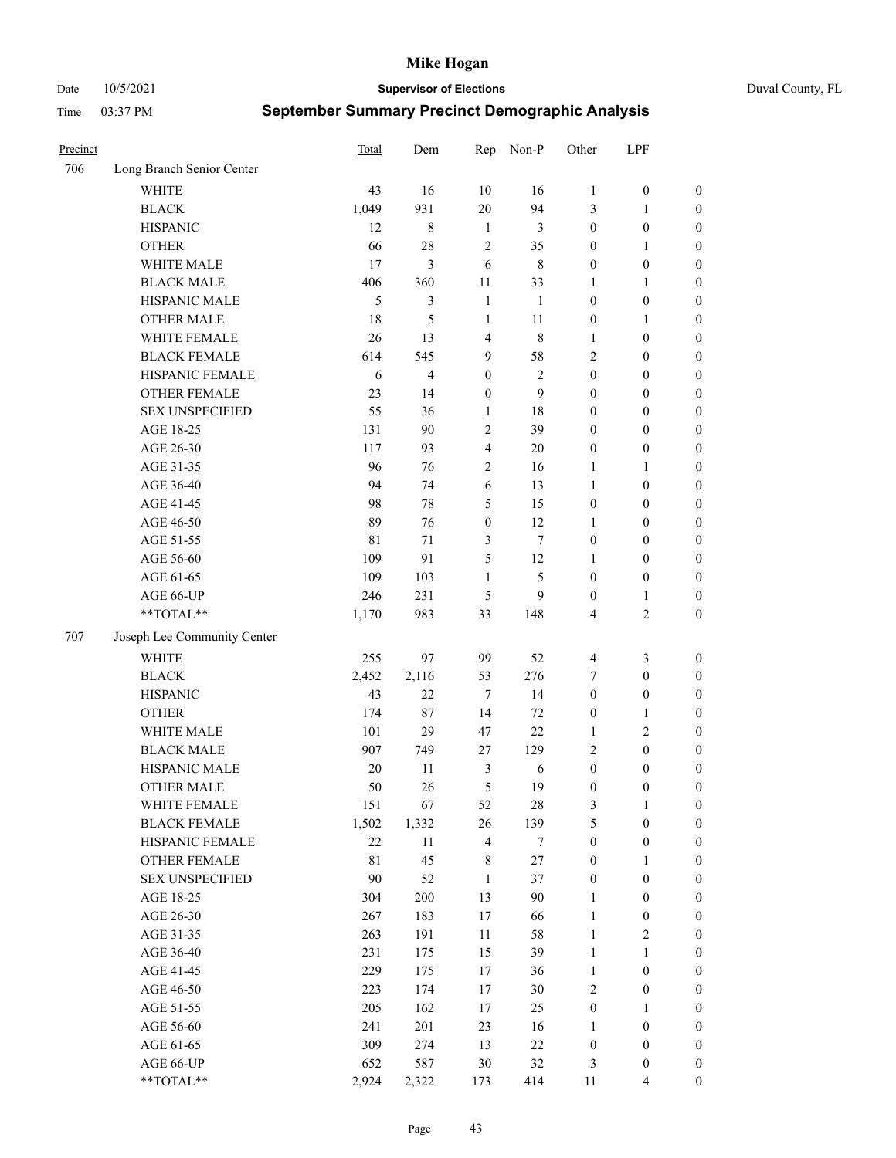Date 10/5/2021 **Supervisor of Elections** Duval County, FL

| Precinct |                             | <b>Total</b> | Dem   | Rep                     | Non-P          | Other            | LPF              |                  |
|----------|-----------------------------|--------------|-------|-------------------------|----------------|------------------|------------------|------------------|
| 706      | Long Branch Senior Center   |              |       |                         |                |                  |                  |                  |
|          | <b>WHITE</b>                | 43           | 16    | 10                      | 16             | $\mathbf{1}$     | $\boldsymbol{0}$ | $\boldsymbol{0}$ |
|          | <b>BLACK</b>                | 1,049        | 931   | 20                      | 94             | 3                | $\mathbf{1}$     | $\boldsymbol{0}$ |
|          | <b>HISPANIC</b>             | 12           | 8     | $\mathbf{1}$            | 3              | $\boldsymbol{0}$ | $\boldsymbol{0}$ | $\boldsymbol{0}$ |
|          | <b>OTHER</b>                | 66           | 28    | $\overline{2}$          | 35             | $\boldsymbol{0}$ | $\mathbf{1}$     | $\boldsymbol{0}$ |
|          | WHITE MALE                  | 17           | 3     | 6                       | $\,$ 8 $\,$    | $\boldsymbol{0}$ | $\boldsymbol{0}$ | $\boldsymbol{0}$ |
|          | <b>BLACK MALE</b>           | 406          | 360   | 11                      | 33             | 1                | $\mathbf{1}$     | $\boldsymbol{0}$ |
|          | HISPANIC MALE               | 5            | 3     | $\mathbf{1}$            | 1              | $\boldsymbol{0}$ | $\boldsymbol{0}$ | $\boldsymbol{0}$ |
|          | <b>OTHER MALE</b>           | 18           | 5     | $\mathbf{1}$            | 11             | $\boldsymbol{0}$ | $\mathbf{1}$     | $\boldsymbol{0}$ |
|          | WHITE FEMALE                | 26           | 13    | $\overline{4}$          | $\,$ 8 $\,$    | 1                | $\boldsymbol{0}$ | $\boldsymbol{0}$ |
|          | <b>BLACK FEMALE</b>         | 614          | 545   | 9                       | 58             | $\overline{c}$   | $\boldsymbol{0}$ | $\boldsymbol{0}$ |
|          | HISPANIC FEMALE             | 6            | 4     | $\boldsymbol{0}$        | $\mathfrak{2}$ | $\boldsymbol{0}$ | $\boldsymbol{0}$ | $\boldsymbol{0}$ |
|          | <b>OTHER FEMALE</b>         | 23           | 14    | $\boldsymbol{0}$        | 9              | $\boldsymbol{0}$ | $\boldsymbol{0}$ | $\boldsymbol{0}$ |
|          | <b>SEX UNSPECIFIED</b>      | 55           | 36    | $\mathbf{1}$            | 18             | $\boldsymbol{0}$ | $\boldsymbol{0}$ | $\boldsymbol{0}$ |
|          | AGE 18-25                   | 131          | 90    | $\sqrt{2}$              | 39             | $\boldsymbol{0}$ | $\boldsymbol{0}$ | $\boldsymbol{0}$ |
|          | AGE 26-30                   | 117          | 93    | $\overline{\mathbf{4}}$ | 20             | $\boldsymbol{0}$ | $\boldsymbol{0}$ | $\boldsymbol{0}$ |
|          | AGE 31-35                   | 96           | 76    | $\sqrt{2}$              | 16             | $\mathbf{1}$     | $\mathbf{1}$     | $\boldsymbol{0}$ |
|          | AGE 36-40                   | 94           | 74    | 6                       | 13             | $\mathbf{1}$     | $\boldsymbol{0}$ | $\boldsymbol{0}$ |
|          | AGE 41-45                   | 98           | 78    | 5                       | 15             | $\boldsymbol{0}$ | $\boldsymbol{0}$ | $\boldsymbol{0}$ |
|          | AGE 46-50                   | 89           | 76    | $\boldsymbol{0}$        | 12             | 1                | $\boldsymbol{0}$ | $\boldsymbol{0}$ |
|          | AGE 51-55                   | 81           | 71    | $\mathfrak{Z}$          | $\tau$         | $\boldsymbol{0}$ | $\boldsymbol{0}$ | $\boldsymbol{0}$ |
|          | AGE 56-60                   | 109          | 91    | 5                       | 12             | 1                | $\boldsymbol{0}$ | 0                |
|          | AGE 61-65                   | 109          | 103   | 1                       | 5              | $\boldsymbol{0}$ | $\boldsymbol{0}$ | 0                |
|          | AGE 66-UP                   | 246          | 231   | 5                       | 9              | $\boldsymbol{0}$ | $\mathbf{1}$     | $\boldsymbol{0}$ |
|          | $**TOTAL**$                 | 1,170        | 983   | 33                      | 148            | 4                | $\sqrt{2}$       | $\boldsymbol{0}$ |
| 707      | Joseph Lee Community Center |              |       |                         |                |                  |                  |                  |
|          | <b>WHITE</b>                | 255          | 97    | 99                      | 52             | $\overline{4}$   | $\mathfrak{Z}$   | $\boldsymbol{0}$ |
|          | <b>BLACK</b>                | 2,452        | 2,116 | 53                      | 276            | 7                | $\boldsymbol{0}$ | $\boldsymbol{0}$ |
|          | <b>HISPANIC</b>             | 43           | 22    | $\tau$                  | 14             | $\boldsymbol{0}$ | $\boldsymbol{0}$ | $\boldsymbol{0}$ |
|          | <b>OTHER</b>                | 174          | 87    | 14                      | 72             | $\boldsymbol{0}$ | $\mathbf{1}$     | $\boldsymbol{0}$ |
|          | WHITE MALE                  | 101          | 29    | 47                      | 22             | $\mathbf{1}$     | $\mathbf{2}$     | $\boldsymbol{0}$ |
|          | <b>BLACK MALE</b>           | 907          | 749   | 27                      | 129            | $\overline{c}$   | $\boldsymbol{0}$ | $\boldsymbol{0}$ |
|          | HISPANIC MALE               | 20           | 11    | 3                       | 6              | $\boldsymbol{0}$ | $\boldsymbol{0}$ | $\boldsymbol{0}$ |
|          | <b>OTHER MALE</b>           | 50           | 26    | 5                       | 19             | $\boldsymbol{0}$ | $\boldsymbol{0}$ | $\boldsymbol{0}$ |
|          | WHITE FEMALE                | 151          | 67    | 52                      | 28             | 3                | 1                | 0                |
|          | <b>BLACK FEMALE</b>         | 1,502        | 1,332 | 26                      | 139            | 5                | $\boldsymbol{0}$ | $\boldsymbol{0}$ |
|          | HISPANIC FEMALE             | 22           | 11    | $\overline{4}$          | $\tau$         | $\boldsymbol{0}$ | $\boldsymbol{0}$ | $\overline{0}$   |
|          | <b>OTHER FEMALE</b>         | 81           | 45    | $8\,$                   | 27             | $\boldsymbol{0}$ | $\mathbf{1}$     | $\overline{0}$   |
|          | <b>SEX UNSPECIFIED</b>      | 90           | 52    | $\mathbf{1}$            | 37             | $\boldsymbol{0}$ | $\boldsymbol{0}$ | 0                |
|          | AGE 18-25                   | 304          | 200   | 13                      | $90\,$         | $\mathbf{1}$     | $\boldsymbol{0}$ | $\overline{0}$   |
|          | AGE 26-30                   | 267          | 183   | $17\,$                  | 66             | $\mathbf{1}$     | $\boldsymbol{0}$ | 0                |
|          | AGE 31-35                   | 263          | 191   | $11\,$                  | 58             | $\mathbf{1}$     | $\sqrt{2}$       | 0                |
|          | AGE 36-40                   | 231          | 175   | 15                      | 39             | $\mathbf{1}$     | $\mathbf{1}$     | 0                |
|          | AGE 41-45                   | 229          | 175   | 17                      | 36             | $\mathbf{1}$     | $\boldsymbol{0}$ | 0                |
|          | AGE 46-50                   | 223          | 174   | 17                      | 30             | $\mathbf{2}$     | $\boldsymbol{0}$ | 0                |
|          | AGE 51-55                   | 205          | 162   | 17                      | 25             | $\boldsymbol{0}$ | $\mathbf{1}$     | $\boldsymbol{0}$ |
|          | AGE 56-60                   | 241          | 201   | 23                      | 16             | 1                | $\boldsymbol{0}$ | $\boldsymbol{0}$ |
|          | AGE 61-65                   | 309          | 274   | 13                      | 22             | $\boldsymbol{0}$ | $\boldsymbol{0}$ | $\boldsymbol{0}$ |
|          | AGE 66-UP                   | 652          | 587   | 30                      | 32             | 3                | $\boldsymbol{0}$ | $\boldsymbol{0}$ |
|          | **TOTAL**                   | 2,924        | 2,322 | 173                     | 414            | 11               | $\overline{4}$   | $\boldsymbol{0}$ |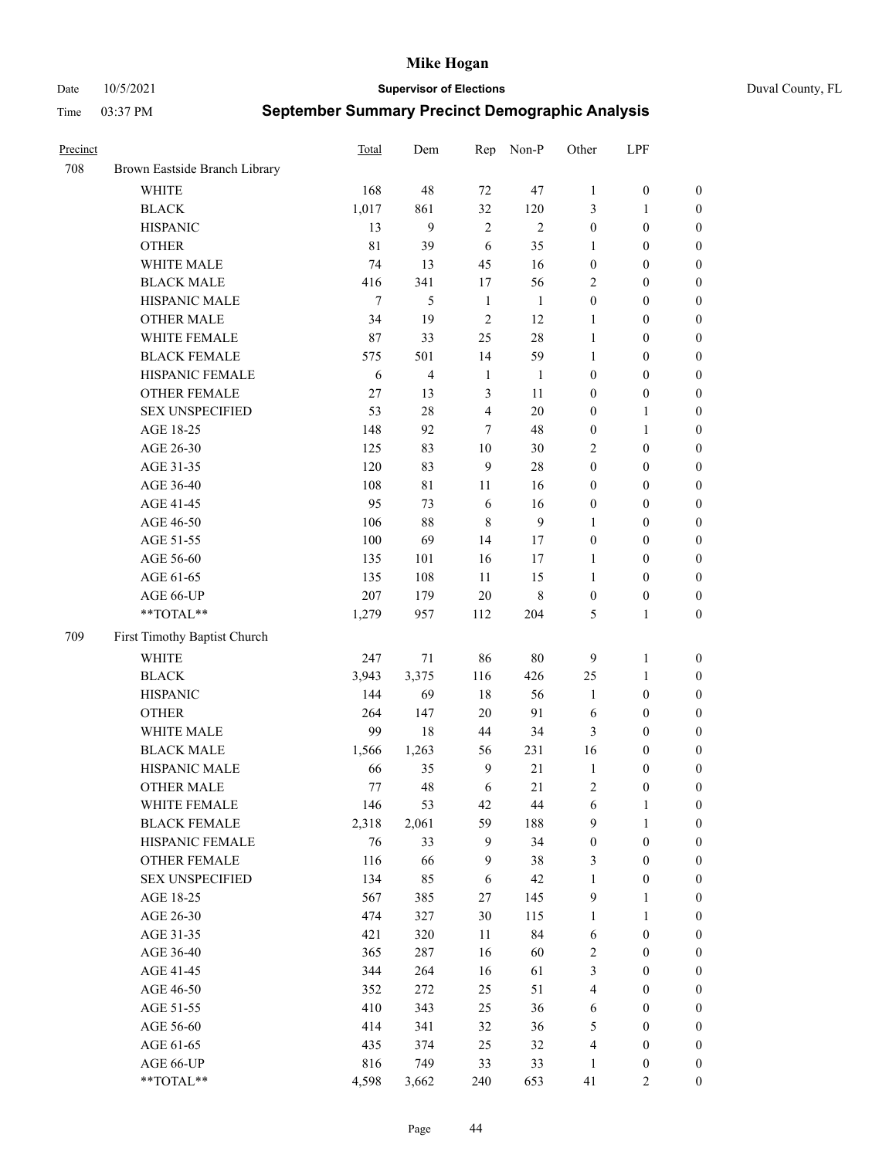Date 10/5/2021 **Supervisor of Elections** Duval County, FL

| Precinct |                                     | Total       | Dem            | Rep                  | Non-P          | Other                          | LPF                                  |                                      |
|----------|-------------------------------------|-------------|----------------|----------------------|----------------|--------------------------------|--------------------------------------|--------------------------------------|
| 708      | Brown Eastside Branch Library       |             |                |                      |                |                                |                                      |                                      |
|          | <b>WHITE</b>                        | 168         | 48             | 72                   | 47             | $\mathbf{1}$                   | $\boldsymbol{0}$                     | 0                                    |
|          | <b>BLACK</b>                        | 1,017       | 861            | 32                   | 120            | 3                              | $\mathbf{1}$                         | $\boldsymbol{0}$                     |
|          | <b>HISPANIC</b>                     | 13          | 9              | $\mathbf{2}$         | $\overline{2}$ | $\boldsymbol{0}$               | $\boldsymbol{0}$                     | $\boldsymbol{0}$                     |
|          | <b>OTHER</b>                        | 81          | 39             | 6                    | 35             | 1                              | $\boldsymbol{0}$                     | $\boldsymbol{0}$                     |
|          | WHITE MALE                          | 74          | 13             | 45                   | 16             | $\boldsymbol{0}$               | $\boldsymbol{0}$                     | $\boldsymbol{0}$                     |
|          | <b>BLACK MALE</b>                   | 416         | 341            | 17                   | 56             | $\overline{c}$                 | $\boldsymbol{0}$                     | $\boldsymbol{0}$                     |
|          | HISPANIC MALE                       | $\tau$      | 5              | $\mathbf{1}$         | $\mathbf{1}$   | $\boldsymbol{0}$               | $\boldsymbol{0}$                     | $\boldsymbol{0}$                     |
|          | <b>OTHER MALE</b>                   | 34          | 19             | $\mathfrak{2}$       | 12             | $\mathbf{1}$                   | $\boldsymbol{0}$                     | $\boldsymbol{0}$                     |
|          | WHITE FEMALE                        | 87          | 33             | 25                   | $28\,$         | $\mathbf{1}$                   | $\boldsymbol{0}$                     | $\boldsymbol{0}$                     |
|          | <b>BLACK FEMALE</b>                 | 575         | 501            | 14                   | 59             | $\mathbf{1}$                   | $\boldsymbol{0}$                     | $\boldsymbol{0}$                     |
|          | HISPANIC FEMALE                     | 6           | $\overline{4}$ | $\mathbf{1}$         | $\mathbf{1}$   | $\boldsymbol{0}$               | $\boldsymbol{0}$                     | 0                                    |
|          | OTHER FEMALE                        | 27          | 13             | 3                    | 11             | $\boldsymbol{0}$               | $\boldsymbol{0}$                     | $\boldsymbol{0}$                     |
|          | <b>SEX UNSPECIFIED</b>              | 53          | 28             | $\overline{4}$       | 20             | $\boldsymbol{0}$               | $\mathbf{1}$                         | $\boldsymbol{0}$                     |
|          | AGE 18-25                           | 148         | 92             | 7                    | 48             | $\boldsymbol{0}$               | $\mathbf{1}$                         | $\boldsymbol{0}$                     |
|          | AGE 26-30                           | 125         | 83             | 10                   | 30             | 2                              | $\boldsymbol{0}$                     | $\boldsymbol{0}$                     |
|          | AGE 31-35                           | 120         | 83             | 9                    | 28             | $\boldsymbol{0}$               | $\boldsymbol{0}$                     | $\boldsymbol{0}$                     |
|          | AGE 36-40                           | 108         | 81             | 11                   | 16             | $\boldsymbol{0}$               | $\boldsymbol{0}$                     | $\boldsymbol{0}$                     |
|          | AGE 41-45                           | 95          | 73             | 6                    | 16             | $\boldsymbol{0}$               | $\boldsymbol{0}$                     | $\boldsymbol{0}$                     |
|          | AGE 46-50                           | 106         | $88\,$         | 8                    | $\overline{9}$ | 1                              | $\boldsymbol{0}$                     | $\boldsymbol{0}$                     |
|          | AGE 51-55                           | 100         | 69             | 14                   | 17             | $\boldsymbol{0}$               | $\boldsymbol{0}$                     | $\boldsymbol{0}$                     |
|          | AGE 56-60                           | 135         | 101            | 16                   | 17             | 1                              | $\boldsymbol{0}$                     | 0                                    |
|          | AGE 61-65                           | 135         | 108            | 11                   | 15             | $\mathbf{1}$                   | $\boldsymbol{0}$                     | 0                                    |
|          | AGE 66-UP                           | 207         | 179            | 20                   | $\,$ 8 $\,$    | $\boldsymbol{0}$               | $\boldsymbol{0}$                     | $\boldsymbol{0}$                     |
|          | **TOTAL**                           | 1,279       | 957            | 112                  | 204            | 5                              | $\mathbf{1}$                         | $\boldsymbol{0}$                     |
| 709      | First Timothy Baptist Church        |             |                |                      |                |                                |                                      |                                      |
|          | WHITE                               | 247         | $71\,$         | 86                   | $80\,$         |                                | $\mathbf{1}$                         |                                      |
|          | <b>BLACK</b>                        | 3,943       | 3,375          | 116                  | 426            | 9                              |                                      | $\boldsymbol{0}$                     |
|          | <b>HISPANIC</b>                     | 144         | 69             | 18                   | 56             | 25                             | $\mathbf{1}$<br>$\boldsymbol{0}$     | $\boldsymbol{0}$                     |
|          |                                     |             |                |                      |                | $\mathbf{1}$                   |                                      | $\boldsymbol{0}$                     |
|          | <b>OTHER</b><br>WHITE MALE          | 264<br>99   | 147            | 20                   | 91             | 6                              | $\boldsymbol{0}$                     | $\boldsymbol{0}$                     |
|          | <b>BLACK MALE</b>                   |             | 18             | 44                   | 34<br>231      | 3<br>16                        | $\boldsymbol{0}$                     | $\boldsymbol{0}$                     |
|          | HISPANIC MALE                       | 1,566<br>66 | 1,263<br>35    | 56<br>$\overline{9}$ | $21\,$         |                                | $\boldsymbol{0}$                     | $\boldsymbol{0}$                     |
|          | <b>OTHER MALE</b>                   | 77          | 48             | 6                    | 21             | $\mathbf{1}$<br>$\overline{c}$ | $\boldsymbol{0}$<br>$\boldsymbol{0}$ | $\boldsymbol{0}$<br>$\boldsymbol{0}$ |
|          |                                     |             |                |                      |                |                                |                                      | 0                                    |
|          | WHITE FEMALE<br><b>BLACK FEMALE</b> | 146         | 53             | 42<br>59             | 44<br>188      | 6<br>9                         | 1                                    |                                      |
|          | HISPANIC FEMALE                     | 2,318<br>76 | 2,061<br>33    | $\boldsymbol{9}$     | 34             | $\boldsymbol{0}$               | $\mathbf{1}$<br>$\boldsymbol{0}$     | $\boldsymbol{0}$<br>$\overline{0}$   |
|          | OTHER FEMALE                        | 116         | 66             | $\boldsymbol{9}$     | 38             |                                | $\boldsymbol{0}$                     | $\overline{0}$                       |
|          | <b>SEX UNSPECIFIED</b>              | 134         | 85             | 6                    | 42             | 3<br>$\mathbf{1}$              | $\boldsymbol{0}$                     | 0                                    |
|          | AGE 18-25                           | 567         | 385            | 27                   | 145            | 9                              | $\mathbf{1}$                         | $\overline{0}$                       |
|          | AGE 26-30                           | 474         | 327            | 30                   | 115            | $\mathbf{1}$                   | $\mathbf{1}$                         | $\overline{0}$                       |
|          | AGE 31-35                           | 421         | 320            | 11                   | 84             | 6                              | $\boldsymbol{0}$                     | 0                                    |
|          | AGE 36-40                           | 365         | 287            | 16                   | 60             | 2                              | $\boldsymbol{0}$                     | 0                                    |
|          | AGE 41-45                           | 344         | 264            | 16                   | 61             | 3                              | $\boldsymbol{0}$                     | 0                                    |
|          | AGE 46-50                           | 352         | 272            | 25                   | 51             | 4                              | $\boldsymbol{0}$                     | 0                                    |
|          | AGE 51-55                           | 410         | 343            |                      |                |                                |                                      | $\boldsymbol{0}$                     |
|          | AGE 56-60                           | 414         | 341            | 25<br>32             | 36<br>36       | 6<br>5                         | $\boldsymbol{0}$<br>$\boldsymbol{0}$ | $\boldsymbol{0}$                     |
|          | AGE 61-65                           | 435         | 374            | 25                   | 32             | 4                              | $\boldsymbol{0}$                     | $\boldsymbol{0}$                     |
|          | AGE 66-UP                           | 816         | 749            | 33                   | 33             | $\mathbf{1}$                   | $\boldsymbol{0}$                     | 0                                    |
|          | **TOTAL**                           | 4,598       | 3,662          | 240                  | 653            | 41                             | $\mathbf{2}$                         | $\boldsymbol{0}$                     |
|          |                                     |             |                |                      |                |                                |                                      |                                      |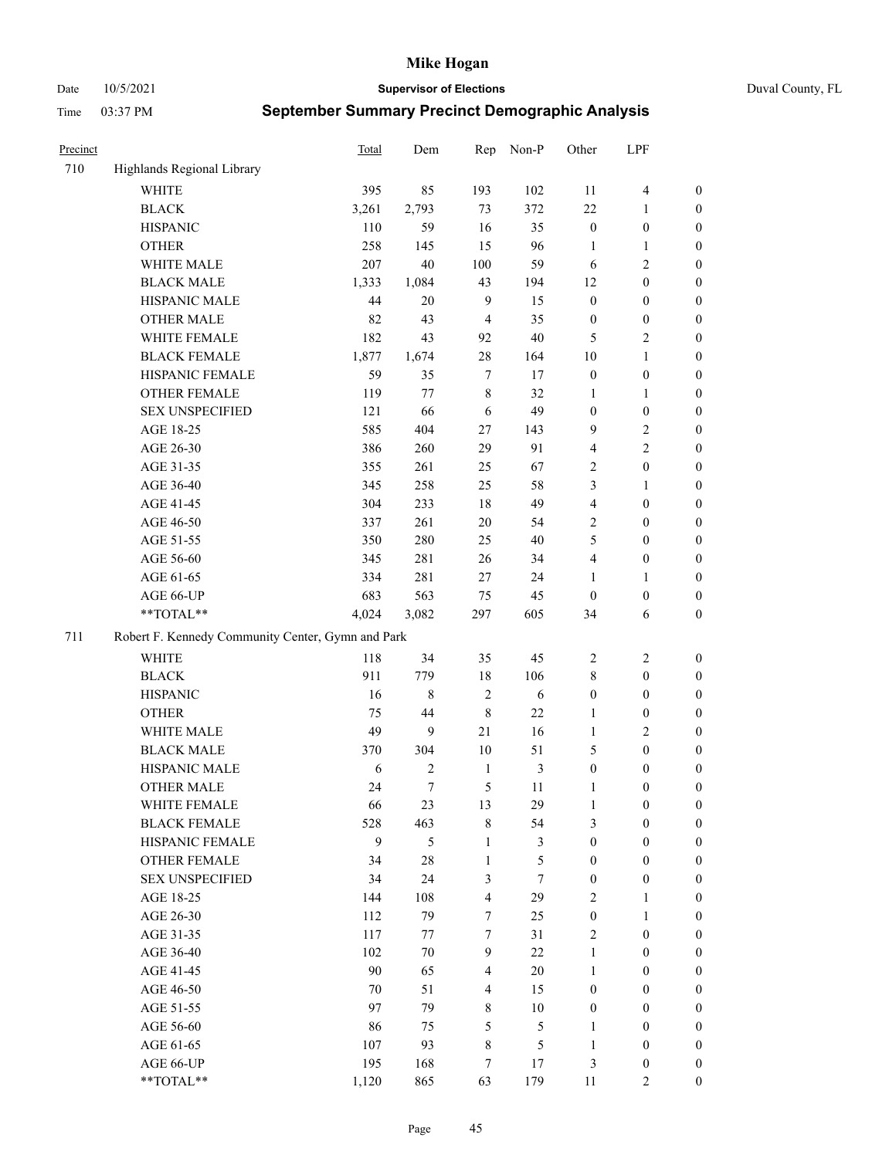Date 10/5/2021 **Supervisor of Elections** Duval County, FL

| Precinct |                                                   | <b>Total</b> | Dem    | Rep                     | Non-P          | Other            | LPF                     |                  |
|----------|---------------------------------------------------|--------------|--------|-------------------------|----------------|------------------|-------------------------|------------------|
| 710      | Highlands Regional Library                        |              |        |                         |                |                  |                         |                  |
|          | <b>WHITE</b>                                      | 395          | 85     | 193                     | 102            | 11               | $\overline{\mathbf{4}}$ | 0                |
|          | <b>BLACK</b>                                      | 3,261        | 2,793  | 73                      | 372            | 22               | $\mathbf{1}$            | 0                |
|          | <b>HISPANIC</b>                                   | 110          | 59     | 16                      | 35             | $\boldsymbol{0}$ | $\boldsymbol{0}$        | $\boldsymbol{0}$ |
|          | <b>OTHER</b>                                      | 258          | 145    | 15                      | 96             | 1                | $\mathbf{1}$            | $\boldsymbol{0}$ |
|          | WHITE MALE                                        | 207          | 40     | 100                     | 59             | 6                | $\sqrt{2}$              | $\boldsymbol{0}$ |
|          | <b>BLACK MALE</b>                                 | 1,333        | 1,084  | 43                      | 194            | 12               | $\boldsymbol{0}$        | $\boldsymbol{0}$ |
|          | HISPANIC MALE                                     | 44           | 20     | $\overline{9}$          | 15             | $\boldsymbol{0}$ | $\boldsymbol{0}$        | $\boldsymbol{0}$ |
|          | <b>OTHER MALE</b>                                 | 82           | 43     | $\overline{4}$          | 35             | $\boldsymbol{0}$ | $\boldsymbol{0}$        | $\boldsymbol{0}$ |
|          | WHITE FEMALE                                      | 182          | 43     | 92                      | $40\,$         | 5                | $\mathbf{2}$            | $\boldsymbol{0}$ |
|          | <b>BLACK FEMALE</b>                               | 1,877        | 1,674  | 28                      | 164            | 10               | $\mathbf{1}$            | $\boldsymbol{0}$ |
|          | HISPANIC FEMALE                                   | 59           | 35     | $\tau$                  | 17             | $\boldsymbol{0}$ | $\boldsymbol{0}$        | 0                |
|          | <b>OTHER FEMALE</b>                               | 119          | 77     | $\,$ 8 $\,$             | 32             | 1                | $\mathbf{1}$            | 0                |
|          | <b>SEX UNSPECIFIED</b>                            | 121          | 66     | 6                       | 49             | $\boldsymbol{0}$ | $\boldsymbol{0}$        | $\boldsymbol{0}$ |
|          | AGE 18-25                                         | 585          | 404    | 27                      | 143            | 9                | $\sqrt{2}$              | $\boldsymbol{0}$ |
|          | AGE 26-30                                         | 386          | 260    | 29                      | 91             | 4                | $\sqrt{2}$              | $\boldsymbol{0}$ |
|          | AGE 31-35                                         | 355          | 261    | 25                      | 67             | 2                | $\boldsymbol{0}$        | $\boldsymbol{0}$ |
|          | AGE 36-40                                         | 345          | 258    | 25                      | 58             | 3                | $\mathbf{1}$            | $\boldsymbol{0}$ |
|          | AGE 41-45                                         | 304          | 233    | 18                      | 49             | 4                | $\boldsymbol{0}$        | $\boldsymbol{0}$ |
|          | AGE 46-50                                         | 337          | 261    | $20\,$                  | 54             | $\mathbf{2}$     | $\boldsymbol{0}$        | $\boldsymbol{0}$ |
|          | AGE 51-55                                         | 350          | 280    | 25                      | 40             | 5                | $\boldsymbol{0}$        | $\boldsymbol{0}$ |
|          | AGE 56-60                                         | 345          | 281    | 26                      | 34             | $\overline{4}$   | $\boldsymbol{0}$        | 0                |
|          | AGE 61-65                                         | 334          | 281    | 27                      | 24             | $\mathbf{1}$     | 1                       | 0                |
|          | AGE 66-UP                                         | 683          | 563    | 75                      | 45             | $\mathbf{0}$     | $\boldsymbol{0}$        | $\boldsymbol{0}$ |
|          | $**TOTAL**$                                       | 4,024        | 3,082  | 297                     | 605            | 34               | 6                       | $\boldsymbol{0}$ |
| 711      | Robert F. Kennedy Community Center, Gymn and Park |              |        |                         |                |                  |                         |                  |
|          | WHITE                                             | 118          | 34     | 35                      | 45             | $\overline{c}$   | $\sqrt{2}$              | $\boldsymbol{0}$ |
|          | <b>BLACK</b>                                      | 911          | 779    | $18\,$                  | 106            | 8                | $\boldsymbol{0}$        | $\boldsymbol{0}$ |
|          | <b>HISPANIC</b>                                   | 16           | 8      | $\overline{2}$          | 6              | $\boldsymbol{0}$ | $\boldsymbol{0}$        | $\boldsymbol{0}$ |
|          | <b>OTHER</b>                                      | 75           | 44     | $\,$ 8 $\,$             | 22             | $\mathbf{1}$     | $\boldsymbol{0}$        | $\boldsymbol{0}$ |
|          | WHITE MALE                                        | 49           | 9      | 21                      | 16             | $\mathbf{1}$     | $\overline{2}$          | $\boldsymbol{0}$ |
|          | <b>BLACK MALE</b>                                 | 370          | 304    | $10\,$                  | 51             | 5                | $\boldsymbol{0}$        | $\boldsymbol{0}$ |
|          | HISPANIC MALE                                     | 6            | 2      | $\mathbf{1}$            | $\mathfrak{Z}$ | $\boldsymbol{0}$ | $\boldsymbol{0}$        | $\boldsymbol{0}$ |
|          | <b>OTHER MALE</b>                                 | 24           | $\tau$ | 5                       | 11             | $\mathbf{1}$     | $\boldsymbol{0}$        | $\boldsymbol{0}$ |
|          | WHITE FEMALE                                      | 66           | 23     | 13                      | 29             | 1                | $\boldsymbol{0}$        | 0                |
|          | <b>BLACK FEMALE</b>                               | 528          | 463    | $\,$ 8 $\,$             | 54             | 3                | $\boldsymbol{0}$        | $\overline{0}$   |
|          | HISPANIC FEMALE                                   | 9            | 5      | $\mathbf{1}$            | 3              | $\boldsymbol{0}$ | $\boldsymbol{0}$        | $\overline{0}$   |
|          | <b>OTHER FEMALE</b>                               | 34           | 28     | $\mathbf{1}$            | 5              | $\boldsymbol{0}$ | $\boldsymbol{0}$        | $\overline{0}$   |
|          | <b>SEX UNSPECIFIED</b>                            | 34           | 24     | 3                       | $\tau$         | $\boldsymbol{0}$ | $\boldsymbol{0}$        | $\overline{0}$   |
|          | AGE 18-25                                         | 144          | 108    | $\overline{\mathbf{4}}$ | 29             | $\overline{c}$   | $\mathbf{1}$            | $\overline{0}$   |
|          | AGE 26-30                                         | 112          | 79     | $\tau$                  | 25             | $\boldsymbol{0}$ | $\mathbf{1}$            | $\overline{0}$   |
|          | AGE 31-35                                         | 117          | 77     | $\tau$                  | 31             | $\mathbf{2}$     | $\boldsymbol{0}$        | 0                |
|          | AGE 36-40                                         | 102          | 70     | 9                       | 22             | $\mathbf{1}$     | $\boldsymbol{0}$        | 0                |
|          | AGE 41-45                                         | 90           | 65     | $\overline{4}$          | 20             | $\mathbf{1}$     | $\boldsymbol{0}$        | 0                |
|          | AGE 46-50                                         | 70           | 51     | $\overline{4}$          | 15             | $\boldsymbol{0}$ | $\boldsymbol{0}$        | $\boldsymbol{0}$ |
|          | AGE 51-55                                         | 97           | 79     | $8\,$                   | $10\,$         | $\boldsymbol{0}$ | $\boldsymbol{0}$        | $\boldsymbol{0}$ |
|          | AGE 56-60                                         | 86           | 75     | 5                       | 5              | 1                | $\boldsymbol{0}$        | $\boldsymbol{0}$ |
|          | AGE 61-65                                         | 107          | 93     | 8                       | 5              | $\mathbf{1}$     | $\boldsymbol{0}$        | $\boldsymbol{0}$ |
|          | AGE 66-UP                                         | 195          | 168    | 7                       | 17             | 3                | $\boldsymbol{0}$        | $\boldsymbol{0}$ |
|          | **TOTAL**                                         | 1,120        | 865    | 63                      | 179            | 11               | $\mathbf{2}$            | $\overline{0}$   |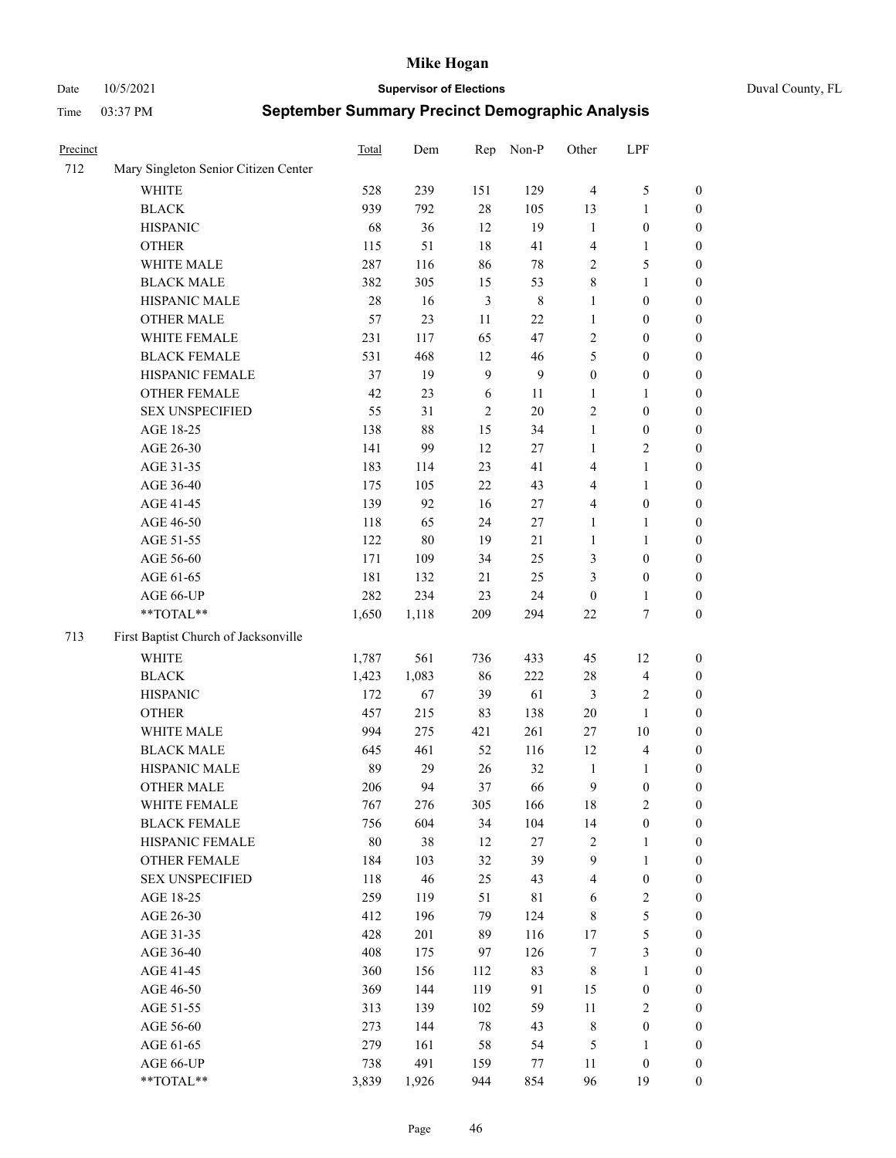Date 10/5/2021 **Supervisor of Elections** Duval County, FL

| Precinct |                                      | Total  | Dem    | Rep              | Non-P          | Other            | LPF                     |                  |
|----------|--------------------------------------|--------|--------|------------------|----------------|------------------|-------------------------|------------------|
| 712      | Mary Singleton Senior Citizen Center |        |        |                  |                |                  |                         |                  |
|          | WHITE                                | 528    | 239    | 151              | 129            | $\overline{4}$   | $\mathfrak{S}$          | 0                |
|          | <b>BLACK</b>                         | 939    | 792    | 28               | 105            | 13               | $\mathbf{1}$            | 0                |
|          | <b>HISPANIC</b>                      | 68     | 36     | 12               | 19             | $\mathbf{1}$     | $\boldsymbol{0}$        | $\boldsymbol{0}$ |
|          | <b>OTHER</b>                         | 115    | 51     | 18               | 41             | 4                | 1                       | $\boldsymbol{0}$ |
|          | WHITE MALE                           | 287    | 116    | 86               | $78\,$         | 2                | 5                       | $\boldsymbol{0}$ |
|          | <b>BLACK MALE</b>                    | 382    | 305    | 15               | 53             | $\,$ $\,$        | $\mathbf{1}$            | $\boldsymbol{0}$ |
|          | HISPANIC MALE                        | 28     | 16     | $\mathfrak{Z}$   | $\,$ 8 $\,$    | $\mathbf{1}$     | $\boldsymbol{0}$        | $\boldsymbol{0}$ |
|          | <b>OTHER MALE</b>                    | 57     | 23     | $11\,$           | 22             | $\mathbf{1}$     | $\boldsymbol{0}$        | $\boldsymbol{0}$ |
|          | WHITE FEMALE                         | 231    | 117    | 65               | 47             | 2                | $\boldsymbol{0}$        | $\boldsymbol{0}$ |
|          | <b>BLACK FEMALE</b>                  | 531    | 468    | 12               | 46             | 5                | $\boldsymbol{0}$        | 0                |
|          | HISPANIC FEMALE                      | 37     | 19     | $\boldsymbol{9}$ | $\overline{9}$ | $\boldsymbol{0}$ | $\boldsymbol{0}$        | 0                |
|          | OTHER FEMALE                         | 42     | 23     | 6                | 11             | $\mathbf{1}$     | $\mathbf{1}$            | 0                |
|          | <b>SEX UNSPECIFIED</b>               | 55     | 31     | $\sqrt{2}$       | $20\,$         | $\sqrt{2}$       | $\boldsymbol{0}$        | $\boldsymbol{0}$ |
|          | AGE 18-25                            | 138    | $88\,$ | 15               | 34             | 1                | $\boldsymbol{0}$        | $\boldsymbol{0}$ |
|          | AGE 26-30                            | 141    | 99     | 12               | 27             | $\mathbf{1}$     | $\sqrt{2}$              | $\boldsymbol{0}$ |
|          | AGE 31-35                            | 183    | 114    | 23               | 41             | 4                | $\mathbf{1}$            | $\boldsymbol{0}$ |
|          | AGE 36-40                            | 175    | 105    | 22               | 43             | 4                | $\mathbf{1}$            | $\boldsymbol{0}$ |
|          | AGE 41-45                            | 139    | 92     | 16               | 27             | $\overline{4}$   | $\boldsymbol{0}$        | $\boldsymbol{0}$ |
|          | AGE 46-50                            | 118    | 65     | 24               | 27             | 1                | $\mathbf{1}$            | $\boldsymbol{0}$ |
|          | AGE 51-55                            | 122    | $80\,$ | 19               | 21             | 1                | $\mathbf{1}$            | 0                |
|          | AGE 56-60                            | 171    | 109    | 34               | 25             | 3                | $\boldsymbol{0}$        | 0                |
|          | AGE 61-65                            | 181    | 132    | 21               | 25             | 3                | $\boldsymbol{0}$        | 0                |
|          | AGE 66-UP                            | 282    | 234    | 23               | 24             | $\boldsymbol{0}$ | $\mathbf{1}$            | 0                |
|          | **TOTAL**                            | 1,650  | 1,118  | 209              | 294            | $22\,$           | $\boldsymbol{7}$        | $\boldsymbol{0}$ |
| 713      | First Baptist Church of Jacksonville |        |        |                  |                |                  |                         |                  |
|          | <b>WHITE</b>                         | 1,787  | 561    | 736              | 433            | 45               | 12                      | $\boldsymbol{0}$ |
|          | <b>BLACK</b>                         | 1,423  | 1,083  | 86               | 222            | 28               | $\overline{\mathbf{4}}$ | $\boldsymbol{0}$ |
|          | <b>HISPANIC</b>                      | 172    | 67     | 39               | 61             | 3                | $\sqrt{2}$              | $\boldsymbol{0}$ |
|          | <b>OTHER</b>                         | 457    | 215    | 83               | 138            | 20               | $\mathbf{1}$            | $\boldsymbol{0}$ |
|          | WHITE MALE                           | 994    | 275    | 421              | 261            | 27               | $10\,$                  | $\boldsymbol{0}$ |
|          | <b>BLACK MALE</b>                    | 645    | 461    | 52               | 116            | 12               | $\overline{\mathbf{4}}$ | $\boldsymbol{0}$ |
|          | HISPANIC MALE                        | 89     | 29     | 26               | 32             | $\mathbf{1}$     | 1                       | $\boldsymbol{0}$ |
|          | <b>OTHER MALE</b>                    | 206    | 94     | 37               | 66             | 9                | $\boldsymbol{0}$        | 0                |
|          | WHITE FEMALE                         | 767    | 276    | 305              | 166            | 18               | 2                       | 0                |
|          | <b>BLACK FEMALE</b>                  | 756    | 604    | 34               | 104            | 14               | $\boldsymbol{0}$        | $\boldsymbol{0}$ |
|          | HISPANIC FEMALE                      | $80\,$ | 38     | 12               | 27             | 2                | $\mathbf{1}$            | $\overline{0}$   |
|          | OTHER FEMALE                         | 184    | 103    | 32               | 39             | 9                | $\mathbf{1}$            | $\overline{0}$   |
|          | <b>SEX UNSPECIFIED</b>               | 118    | 46     | 25               | 43             | 4                | $\boldsymbol{0}$        | 0                |
|          | AGE 18-25                            | 259    | 119    | 51               | 81             | 6                | $\sqrt{2}$              | 0                |
|          | AGE 26-30                            | 412    | 196    | 79               | 124            | 8                | $\mathfrak s$           | 0                |
|          | AGE 31-35                            | 428    | 201    | 89               | 116            | $17\,$           | $\mathfrak s$           | 0                |
|          | AGE 36-40                            | 408    | 175    | 97               | 126            | 7                | $\mathfrak{Z}$          | 0                |
|          | AGE 41-45                            | 360    | 156    | 112              | 83             | 8                | $\mathbf{1}$            | 0                |
|          | AGE 46-50                            | 369    | 144    | 119              | 91             | 15               | $\boldsymbol{0}$        | 0                |
|          | AGE 51-55                            | 313    | 139    | 102              | 59             | 11               | $\sqrt{2}$              | 0                |
|          | AGE 56-60                            | 273    | 144    | 78               | 43             | 8                | $\boldsymbol{0}$        | $\overline{0}$   |
|          | AGE 61-65                            | 279    | 161    | 58               | 54             | 5                | 1                       | $\boldsymbol{0}$ |
|          | AGE 66-UP                            | 738    | 491    | 159              | 77             | 11               | $\boldsymbol{0}$        | $\boldsymbol{0}$ |
|          | **TOTAL**                            | 3,839  | 1,926  | 944              | 854            | 96               | 19                      | $\boldsymbol{0}$ |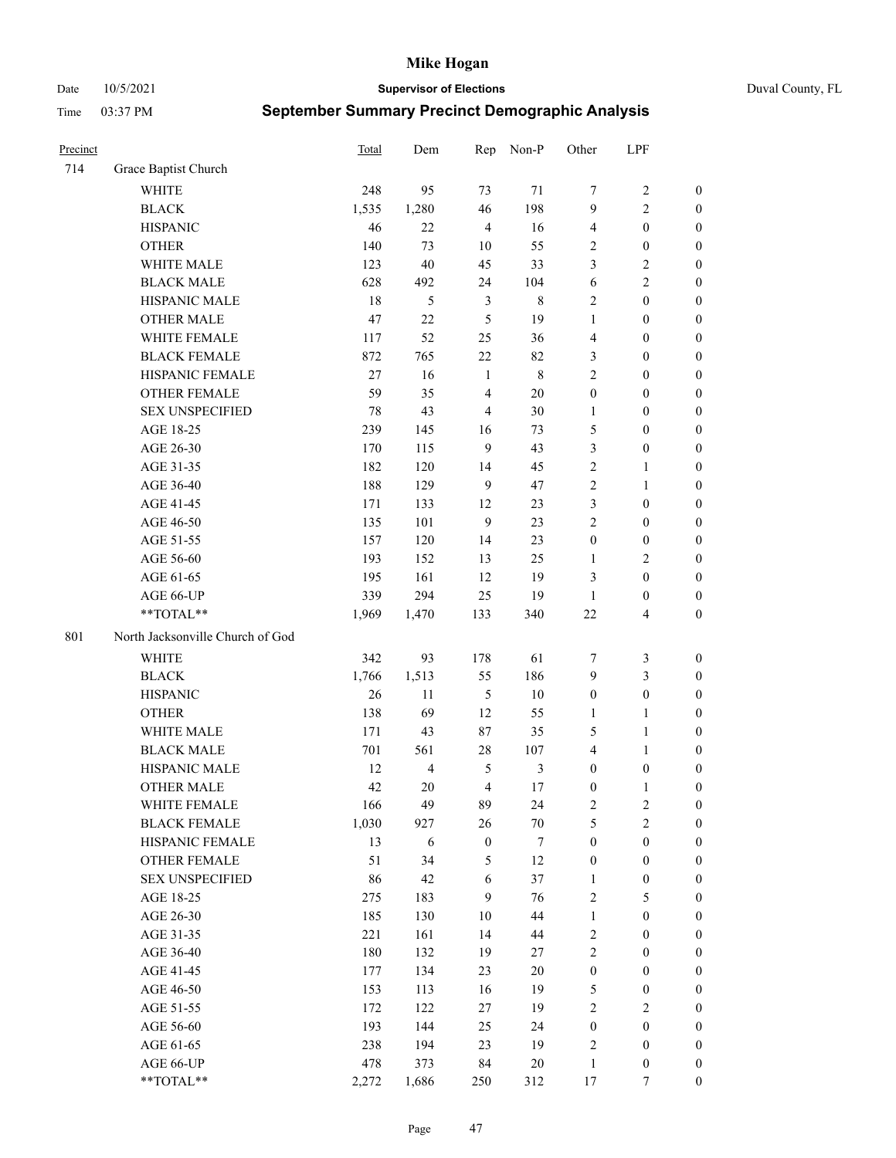Date 10/5/2021 **Supervisor of Elections** Duval County, FL

| Precinct |                                  | Total  | Dem            | Rep              | Non-P          | Other            | LPF                     |                  |
|----------|----------------------------------|--------|----------------|------------------|----------------|------------------|-------------------------|------------------|
| 714      | Grace Baptist Church             |        |                |                  |                |                  |                         |                  |
|          | <b>WHITE</b>                     | 248    | 95             | 73               | 71             | 7                | $\sqrt{2}$              | $\boldsymbol{0}$ |
|          | <b>BLACK</b>                     | 1,535  | 1,280          | 46               | 198            | 9                | $\mathbf{2}$            | $\boldsymbol{0}$ |
|          | <b>HISPANIC</b>                  | 46     | 22             | $\overline{4}$   | 16             | $\overline{4}$   | $\boldsymbol{0}$        | $\boldsymbol{0}$ |
|          | <b>OTHER</b>                     | 140    | 73             | 10               | 55             | $\overline{2}$   | $\boldsymbol{0}$        | $\boldsymbol{0}$ |
|          | WHITE MALE                       | 123    | 40             | 45               | 33             | 3                | $\sqrt{2}$              | $\boldsymbol{0}$ |
|          | <b>BLACK MALE</b>                | 628    | 492            | 24               | 104            | 6                | $\sqrt{2}$              | $\boldsymbol{0}$ |
|          | HISPANIC MALE                    | 18     | 5              | $\mathfrak{Z}$   | $\,$ 8 $\,$    | $\overline{c}$   | $\boldsymbol{0}$        | $\boldsymbol{0}$ |
|          | <b>OTHER MALE</b>                | 47     | 22             | 5                | 19             | $\mathbf{1}$     | $\boldsymbol{0}$        | $\boldsymbol{0}$ |
|          | WHITE FEMALE                     | 117    | 52             | 25               | 36             | 4                | $\boldsymbol{0}$        | $\boldsymbol{0}$ |
|          | <b>BLACK FEMALE</b>              | 872    | 765            | $22\,$           | 82             | 3                | $\boldsymbol{0}$        | $\boldsymbol{0}$ |
|          | HISPANIC FEMALE                  | $27\,$ | 16             | $\mathbf{1}$     | $\,8\,$        | $\overline{c}$   | $\boldsymbol{0}$        | 0                |
|          | OTHER FEMALE                     | 59     | 35             | $\overline{4}$   | $20\,$         | $\boldsymbol{0}$ | $\boldsymbol{0}$        | $\boldsymbol{0}$ |
|          | <b>SEX UNSPECIFIED</b>           | $78\,$ | 43             | $\overline{4}$   | 30             | $\mathbf{1}$     | $\boldsymbol{0}$        | $\boldsymbol{0}$ |
|          | AGE 18-25                        | 239    | 145            | 16               | 73             | 5                | $\boldsymbol{0}$        | $\boldsymbol{0}$ |
|          | AGE 26-30                        | 170    | 115            | 9                | 43             | 3                | $\boldsymbol{0}$        | $\boldsymbol{0}$ |
|          | AGE 31-35                        | 182    | 120            | 14               | 45             | $\sqrt{2}$       | $\mathbf{1}$            | $\boldsymbol{0}$ |
|          | AGE 36-40                        | 188    | 129            | 9                | 47             | $\overline{c}$   | $\mathbf{1}$            | $\boldsymbol{0}$ |
|          | AGE 41-45                        | 171    | 133            | 12               | 23             | 3                | $\boldsymbol{0}$        | $\boldsymbol{0}$ |
|          | AGE 46-50                        | 135    | 101            | 9                | 23             | $\overline{c}$   | $\boldsymbol{0}$        | $\boldsymbol{0}$ |
|          | AGE 51-55                        | 157    | 120            | 14               | 23             | $\boldsymbol{0}$ | $\boldsymbol{0}$        | $\boldsymbol{0}$ |
|          | AGE 56-60                        | 193    | 152            | 13               | 25             | $\mathbf{1}$     | $\sqrt{2}$              | 0                |
|          | AGE 61-65                        | 195    | 161            | 12               | 19             | 3                | $\boldsymbol{0}$        | 0                |
|          | AGE 66-UP                        | 339    | 294            | 25               | 19             | $\mathbf{1}$     | $\boldsymbol{0}$        | $\boldsymbol{0}$ |
|          | **TOTAL**                        | 1,969  | 1,470          | 133              | 340            | $22\,$           | $\overline{\mathbf{4}}$ | $\boldsymbol{0}$ |
|          |                                  |        |                |                  |                |                  |                         |                  |
| 801      | North Jacksonville Church of God |        |                |                  |                |                  |                         |                  |
|          | <b>WHITE</b>                     | 342    | 93             | 178              | 61             | 7                | $\mathfrak{Z}$          | $\boldsymbol{0}$ |
|          | <b>BLACK</b>                     | 1,766  | 1,513          | 55               | 186            | 9                | $\mathfrak{Z}$          | $\boldsymbol{0}$ |
|          | <b>HISPANIC</b>                  | 26     | 11             | $\mathfrak s$    | $10\,$         | $\boldsymbol{0}$ | $\boldsymbol{0}$        | $\boldsymbol{0}$ |
|          | <b>OTHER</b>                     | 138    | 69             | 12               | 55             | $\mathbf{1}$     | $\mathbf{1}$            | $\boldsymbol{0}$ |
|          | WHITE MALE                       | 171    | 43             | 87               | 35             | 5                | $\mathbf{1}$            | $\boldsymbol{0}$ |
|          | <b>BLACK MALE</b>                | 701    | 561            | 28               | 107            | $\overline{4}$   | $\mathbf{1}$            | $\boldsymbol{0}$ |
|          | HISPANIC MALE                    | 12     | $\overline{4}$ | 5                | $\mathfrak{Z}$ | $\boldsymbol{0}$ | $\boldsymbol{0}$        | 0                |
|          | <b>OTHER MALE</b>                | 42     | 20             | $\overline{4}$   | $17\,$         | $\boldsymbol{0}$ | $\mathbf{1}$            | 0                |
|          | WHITE FEMALE                     | 166    | 49             | 89               | 24             | 2                | 2                       | 0                |
|          | <b>BLACK FEMALE</b>              | 1,030  | 927            | 26               | $70\,$         | 5                | $\sqrt{2}$              | $\boldsymbol{0}$ |
|          | HISPANIC FEMALE                  | 13     | 6              | $\boldsymbol{0}$ | $\tau$         | $\boldsymbol{0}$ | $\boldsymbol{0}$        | $\overline{0}$   |
|          | OTHER FEMALE                     | 51     | 34             | 5                | 12             | $\boldsymbol{0}$ | $\boldsymbol{0}$        | $\overline{0}$   |
|          | <b>SEX UNSPECIFIED</b>           | 86     | 42             | 6                | 37             | $\mathbf{1}$     | $\boldsymbol{0}$        | 0                |
|          | AGE 18-25                        | 275    | 183            | 9                | 76             | 2                | $\mathfrak{S}$          | $\theta$         |
|          | AGE 26-30                        | 185    | 130            | 10               | 44             | $\mathbf{1}$     | $\boldsymbol{0}$        | 0                |
|          | AGE 31-35                        | 221    | 161            | 14               | 44             | 2                | $\boldsymbol{0}$        | 0                |
|          | AGE 36-40                        | 180    | 132            | 19               | 27             | $\sqrt{2}$       | $\boldsymbol{0}$        | 0                |
|          | AGE 41-45                        | 177    | 134            | 23               | $20\,$         | $\boldsymbol{0}$ | $\boldsymbol{0}$        | 0                |
|          | AGE 46-50                        | 153    | 113            | 16               | 19             | 5                | $\boldsymbol{0}$        | 0                |
|          | AGE 51-55                        | 172    | 122            | 27               | 19             | 2                | $\overline{2}$          | 0                |
|          | AGE 56-60                        | 193    | 144            | 25               | 24             | $\boldsymbol{0}$ | $\boldsymbol{0}$        | $\overline{0}$   |
|          | AGE 61-65                        | 238    | 194            | 23               | 19             | 2                | $\boldsymbol{0}$        | $\overline{0}$   |
|          | AGE 66-UP                        | 478    | 373            | 84               | $20\,$         | $\mathbf{1}$     | $\boldsymbol{0}$        | 0                |
|          | **TOTAL**                        | 2,272  | 1,686          | 250              | 312            | 17               | $\tau$                  | $\boldsymbol{0}$ |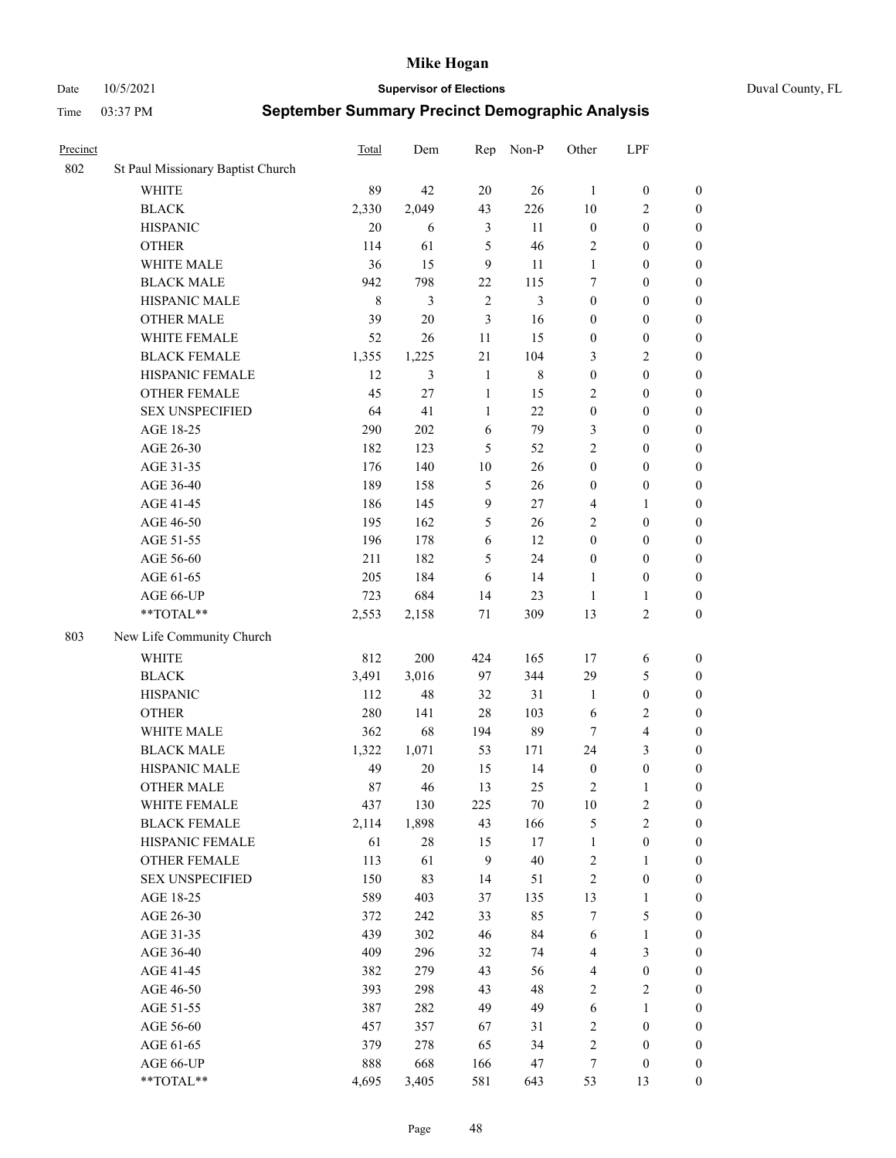Date 10/5/2021 **Supervisor of Elections** Duval County, FL

| Precinct |                                   | <b>Total</b> | Dem    | Rep            | Non-P       | Other                   | LPF              |                  |
|----------|-----------------------------------|--------------|--------|----------------|-------------|-------------------------|------------------|------------------|
| 802      | St Paul Missionary Baptist Church |              |        |                |             |                         |                  |                  |
|          | <b>WHITE</b>                      | 89           | 42     | 20             | 26          | 1                       | $\boldsymbol{0}$ | $\boldsymbol{0}$ |
|          | <b>BLACK</b>                      | 2,330        | 2,049  | 43             | 226         | 10                      | $\overline{c}$   | $\boldsymbol{0}$ |
|          | <b>HISPANIC</b>                   | 20           | 6      | 3              | 11          | $\boldsymbol{0}$        | $\boldsymbol{0}$ | $\boldsymbol{0}$ |
|          | <b>OTHER</b>                      | 114          | 61     | 5              | 46          | 2                       | $\boldsymbol{0}$ | $\boldsymbol{0}$ |
|          | WHITE MALE                        | 36           | 15     | 9              | 11          | $\mathbf{1}$            | $\boldsymbol{0}$ | $\boldsymbol{0}$ |
|          | <b>BLACK MALE</b>                 | 942          | 798    | 22             | 115         | 7                       | $\boldsymbol{0}$ | $\boldsymbol{0}$ |
|          | HISPANIC MALE                     | $\,$ 8 $\,$  | 3      | $\overline{2}$ | 3           | $\boldsymbol{0}$        | $\boldsymbol{0}$ | $\boldsymbol{0}$ |
|          | <b>OTHER MALE</b>                 | 39           | 20     | 3              | 16          | $\boldsymbol{0}$        | $\boldsymbol{0}$ | $\boldsymbol{0}$ |
|          | WHITE FEMALE                      | 52           | 26     | 11             | 15          | $\boldsymbol{0}$        | $\boldsymbol{0}$ | $\boldsymbol{0}$ |
|          | <b>BLACK FEMALE</b>               | 1,355        | 1,225  | $21\,$         | 104         | 3                       | $\sqrt{2}$       | $\boldsymbol{0}$ |
|          | HISPANIC FEMALE                   | 12           | 3      | $\mathbf{1}$   | $\,$ 8 $\,$ | $\boldsymbol{0}$        | $\boldsymbol{0}$ | $\boldsymbol{0}$ |
|          | <b>OTHER FEMALE</b>               | 45           | 27     | $\mathbf{1}$   | 15          | 2                       | $\boldsymbol{0}$ | $\boldsymbol{0}$ |
|          | <b>SEX UNSPECIFIED</b>            | 64           | 41     | $\mathbf{1}$   | 22          | $\boldsymbol{0}$        | $\boldsymbol{0}$ | $\boldsymbol{0}$ |
|          | AGE 18-25                         | 290          | 202    | 6              | 79          | 3                       | $\boldsymbol{0}$ | $\boldsymbol{0}$ |
|          | AGE 26-30                         | 182          | 123    | 5              | 52          | $\overline{c}$          | $\boldsymbol{0}$ | $\boldsymbol{0}$ |
|          | AGE 31-35                         | 176          | 140    | 10             | 26          | $\boldsymbol{0}$        | $\boldsymbol{0}$ | $\boldsymbol{0}$ |
|          | AGE 36-40                         | 189          | 158    | $\mathfrak{S}$ | 26          | $\boldsymbol{0}$        | $\boldsymbol{0}$ | $\boldsymbol{0}$ |
|          | AGE 41-45                         | 186          | 145    | $\mathbf{9}$   | 27          | 4                       | $\mathbf{1}$     | $\boldsymbol{0}$ |
|          | AGE 46-50                         | 195          | 162    | 5              | 26          | $\mathbf{2}$            | $\boldsymbol{0}$ | $\boldsymbol{0}$ |
|          | AGE 51-55                         | 196          | 178    | 6              | 12          | $\boldsymbol{0}$        | $\boldsymbol{0}$ | $\boldsymbol{0}$ |
|          | AGE 56-60                         | 211          | 182    | 5              | 24          | $\boldsymbol{0}$        | $\boldsymbol{0}$ | 0                |
|          | AGE 61-65                         | 205          | 184    | 6              | 14          | $\mathbf{1}$            | $\boldsymbol{0}$ | 0                |
|          | AGE 66-UP                         | 723          | 684    | 14             | 23          | $\mathbf{1}$            | $\mathbf{1}$     | $\boldsymbol{0}$ |
|          | **TOTAL**                         | 2,553        | 2,158  | $71\,$         | 309         | 13                      | $\sqrt{2}$       | $\boldsymbol{0}$ |
| 803      | New Life Community Church         |              |        |                |             |                         |                  |                  |
|          | <b>WHITE</b>                      | 812          | 200    | 424            | 165         | 17                      | 6                | $\boldsymbol{0}$ |
|          | <b>BLACK</b>                      | 3,491        | 3,016  | 97             | 344         | 29                      | $\mathfrak{S}$   | $\boldsymbol{0}$ |
|          | <b>HISPANIC</b>                   | 112          | 48     | 32             | 31          | $\mathbf{1}$            | $\boldsymbol{0}$ | $\boldsymbol{0}$ |
|          | <b>OTHER</b>                      | 280          | 141    | 28             | 103         | 6                       | $\sqrt{2}$       | $\boldsymbol{0}$ |
|          | WHITE MALE                        | 362          | 68     | 194            | 89          | $\tau$                  | $\overline{4}$   | $\boldsymbol{0}$ |
|          | <b>BLACK MALE</b>                 | 1,322        | 1,071  | 53             | 171         | 24                      | 3                | $\boldsymbol{0}$ |
|          | HISPANIC MALE                     | 49           | 20     | 15             | 14          | $\boldsymbol{0}$        | $\boldsymbol{0}$ | $\boldsymbol{0}$ |
|          | <b>OTHER MALE</b>                 | 87           | 46     | 13             | 25          | 2                       | $\mathbf{1}$     | $\boldsymbol{0}$ |
|          | WHITE FEMALE                      | 437          | 130    | 225            | 70          | 10                      | 2                | 0                |
|          | <b>BLACK FEMALE</b>               | 2,114        | 1,898  | 43             | 166         | 5                       | $\sqrt{2}$       | $\boldsymbol{0}$ |
|          | HISPANIC FEMALE                   | 61           | $28\,$ | 15             | 17          | $\mathbf{1}$            | $\boldsymbol{0}$ | $\overline{0}$   |
|          | <b>OTHER FEMALE</b>               | 113          | 61     | 9              | 40          | $\boldsymbol{2}$        | $\mathbf{1}$     | $\overline{0}$   |
|          | <b>SEX UNSPECIFIED</b>            | 150          | 83     | 14             | 51          | $\sqrt{2}$              | $\boldsymbol{0}$ | 0                |
|          | AGE 18-25                         | 589          | 403    | 37             | 135         | 13                      | $\mathbf{1}$     | 0                |
|          | AGE 26-30                         | 372          | 242    | 33             | 85          | 7                       | $\mathfrak{S}$   | 0                |
|          | AGE 31-35                         | 439          | 302    | 46             | 84          | 6                       | $\mathbf{1}$     | 0                |
|          | AGE 36-40                         | 409          | 296    | 32             | 74          | 4                       | $\mathfrak{Z}$   | 0                |
|          | AGE 41-45                         | 382          | 279    | 43             | 56          | $\overline{\mathbf{4}}$ | $\boldsymbol{0}$ | 0                |
|          | AGE 46-50                         | 393          | 298    | 43             | 48          | 2                       | $\sqrt{2}$       | 0                |
|          | AGE 51-55                         | 387          | 282    | 49             | 49          | 6                       | $\mathbf{1}$     | $\boldsymbol{0}$ |
|          | AGE 56-60                         | 457          | 357    | 67             | 31          | $\sqrt{2}$              | $\boldsymbol{0}$ | $\boldsymbol{0}$ |
|          | AGE 61-65                         | 379          | 278    | 65             | 34          | 2                       | $\boldsymbol{0}$ | $\boldsymbol{0}$ |
|          | AGE 66-UP                         | 888          | 668    | 166            | 47          | 7                       | $\boldsymbol{0}$ | $\boldsymbol{0}$ |
|          | **TOTAL**                         | 4,695        | 3,405  | 581            | 643         | 53                      | 13               | $\boldsymbol{0}$ |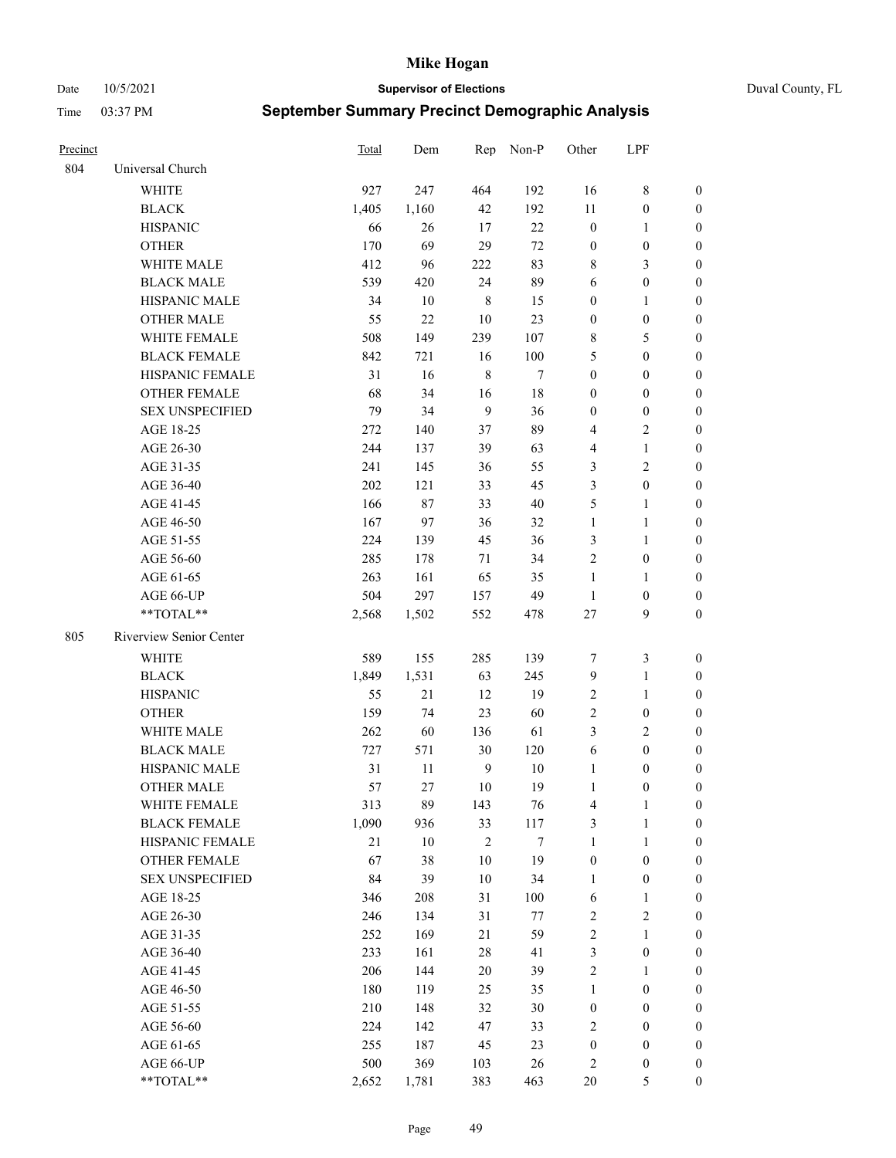Date 10/5/2021 **Supervisor of Elections** Duval County, FL

| Precinct |                         | Total | Dem    |                | Rep Non-P | Other                   | LPF              |                  |
|----------|-------------------------|-------|--------|----------------|-----------|-------------------------|------------------|------------------|
| 804      | Universal Church        |       |        |                |           |                         |                  |                  |
|          | <b>WHITE</b>            | 927   | 247    | 464            | 192       | 16                      | $\,$ 8 $\,$      | $\boldsymbol{0}$ |
|          | <b>BLACK</b>            | 1,405 | 1,160  | 42             | 192       | $11\,$                  | $\boldsymbol{0}$ | $\boldsymbol{0}$ |
|          | <b>HISPANIC</b>         | 66    | 26     | 17             | $22\,$    | $\boldsymbol{0}$        | $\mathbf{1}$     | $\boldsymbol{0}$ |
|          | <b>OTHER</b>            | 170   | 69     | 29             | $72\,$    | $\boldsymbol{0}$        | $\boldsymbol{0}$ | $\boldsymbol{0}$ |
|          | WHITE MALE              | 412   | 96     | 222            | 83        | 8                       | $\mathfrak{Z}$   | $\boldsymbol{0}$ |
|          | <b>BLACK MALE</b>       | 539   | 420    | 24             | 89        | 6                       | $\boldsymbol{0}$ | $\boldsymbol{0}$ |
|          | HISPANIC MALE           | 34    | 10     | $\,$ 8 $\,$    | 15        | $\boldsymbol{0}$        | $\mathbf{1}$     | $\boldsymbol{0}$ |
|          | <b>OTHER MALE</b>       | 55    | $22\,$ | 10             | 23        | $\boldsymbol{0}$        | $\boldsymbol{0}$ | 0                |
|          | WHITE FEMALE            | 508   | 149    | 239            | 107       | 8                       | $\mathfrak{S}$   | 0                |
|          | <b>BLACK FEMALE</b>     | 842   | 721    | 16             | 100       | 5                       | $\boldsymbol{0}$ | 0                |
|          | HISPANIC FEMALE         | 31    | 16     | $\,$ 8 $\,$    | $\tau$    | $\boldsymbol{0}$        | $\boldsymbol{0}$ | $\boldsymbol{0}$ |
|          | OTHER FEMALE            | 68    | 34     | 16             | $18\,$    | $\boldsymbol{0}$        | $\boldsymbol{0}$ | $\boldsymbol{0}$ |
|          | <b>SEX UNSPECIFIED</b>  | 79    | 34     | 9              | 36        | $\boldsymbol{0}$        | $\boldsymbol{0}$ | $\boldsymbol{0}$ |
|          | AGE 18-25               | 272   | 140    | 37             | 89        | 4                       | $\mathfrak{2}$   | $\boldsymbol{0}$ |
|          | AGE 26-30               | 244   | 137    | 39             | 63        | 4                       | $\mathbf{1}$     | $\boldsymbol{0}$ |
|          | AGE 31-35               | 241   | 145    | 36             | 55        | 3                       | $\overline{2}$   | $\boldsymbol{0}$ |
|          | AGE 36-40               | 202   | 121    | 33             | 45        | 3                       | $\boldsymbol{0}$ | $\boldsymbol{0}$ |
|          | AGE 41-45               | 166   | 87     | 33             | 40        | 5                       | $\mathbf{1}$     | 0                |
|          | AGE 46-50               | 167   | 97     | 36             | 32        | $\mathbf{1}$            | $\mathbf{1}$     | 0                |
|          | AGE 51-55               | 224   | 139    | 45             | 36        | 3                       | $\mathbf{1}$     | 0                |
|          | AGE 56-60               | 285   | 178    | 71             | 34        | $\sqrt{2}$              | $\boldsymbol{0}$ | $\boldsymbol{0}$ |
|          | AGE 61-65               | 263   | 161    | 65             | 35        | 1                       | $\mathbf{1}$     | $\boldsymbol{0}$ |
|          | AGE 66-UP               | 504   | 297    | 157            | 49        | $\mathbf{1}$            | $\boldsymbol{0}$ | $\boldsymbol{0}$ |
|          | **TOTAL**               | 2,568 | 1,502  | 552            | 478       | 27                      | 9                | $\boldsymbol{0}$ |
| 805      | Riverview Senior Center |       |        |                |           |                         |                  |                  |
|          | WHITE                   | 589   | 155    | 285            | 139       | $\tau$                  | $\mathfrak{Z}$   | $\boldsymbol{0}$ |
|          | <b>BLACK</b>            | 1,849 | 1,531  | 63             | 245       | 9                       | $\mathbf{1}$     | $\boldsymbol{0}$ |
|          | <b>HISPANIC</b>         | 55    | 21     | 12             | 19        | $\sqrt{2}$              | $\mathbf{1}$     | $\boldsymbol{0}$ |
|          | <b>OTHER</b>            | 159   | 74     | 23             | 60        | $\overline{c}$          | $\boldsymbol{0}$ | $\boldsymbol{0}$ |
|          | WHITE MALE              | 262   | 60     | 136            | 61        | 3                       | $\sqrt{2}$       | 0                |
|          | <b>BLACK MALE</b>       | 727   | 571    | 30             | 120       | 6                       | $\boldsymbol{0}$ | 0                |
|          | HISPANIC MALE           | 31    | 11     | 9              | 10        | $\mathbf{1}$            | $\boldsymbol{0}$ | 0                |
|          | <b>OTHER MALE</b>       | 57    | 27     | 10             | 19        | $\mathbf{1}$            | $\boldsymbol{0}$ | $\boldsymbol{0}$ |
|          | WHITE FEMALE            | 313   | 89     | 143            | 76        | $\overline{\mathbf{4}}$ | 1                | $\boldsymbol{0}$ |
|          | <b>BLACK FEMALE</b>     | 1,090 | 936    | 33             | 117       | 3                       | $\mathbf{1}$     | $\boldsymbol{0}$ |
|          | HISPANIC FEMALE         | 21    | $10\,$ | $\mathfrak{2}$ | $\tau$    | $\mathbf{1}$            | $\mathbf{1}$     | $\overline{0}$   |
|          | <b>OTHER FEMALE</b>     | 67    | 38     | 10             | 19        | $\boldsymbol{0}$        | $\boldsymbol{0}$ | $\theta$         |
|          | <b>SEX UNSPECIFIED</b>  | 84    | 39     | 10             | 34        | $\mathbf{1}$            | $\boldsymbol{0}$ | $\theta$         |
|          | AGE 18-25               | 346   | 208    | 31             | 100       | 6                       | $\mathbf{1}$     | $\overline{0}$   |
|          | AGE 26-30               | 246   | 134    | 31             | 77        | $\sqrt{2}$              | $\sqrt{2}$       | 0                |
|          | AGE 31-35               | 252   | 169    | 21             | 59        | 2                       | $\mathbf{1}$     | 0                |
|          | AGE 36-40               | 233   | 161    | 28             | 41        | $\mathfrak{Z}$          | $\boldsymbol{0}$ | 0                |
|          | AGE 41-45               | 206   | 144    | 20             | 39        | $\sqrt{2}$              | $\mathbf{1}$     | $\overline{0}$   |
|          | AGE 46-50               | 180   | 119    | 25             | 35        | $\mathbf{1}$            | $\boldsymbol{0}$ | $\boldsymbol{0}$ |
|          | AGE 51-55               | 210   | 148    | 32             | 30        | $\boldsymbol{0}$        | $\boldsymbol{0}$ | $\boldsymbol{0}$ |
|          | AGE 56-60               | 224   | 142    | 47             | 33        | 2                       | $\boldsymbol{0}$ | $\overline{0}$   |
|          | AGE 61-65               | 255   | 187    | 45             | 23        | $\boldsymbol{0}$        | $\boldsymbol{0}$ | $\overline{0}$   |
|          | AGE 66-UP               | 500   | 369    | 103            | 26        | $\sqrt{2}$              | $\boldsymbol{0}$ | $\overline{0}$   |
|          | **TOTAL**               | 2,652 | 1,781  | 383            | 463       | $20\,$                  | $\mathfrak{S}$   | $\boldsymbol{0}$ |
|          |                         |       |        |                |           |                         |                  |                  |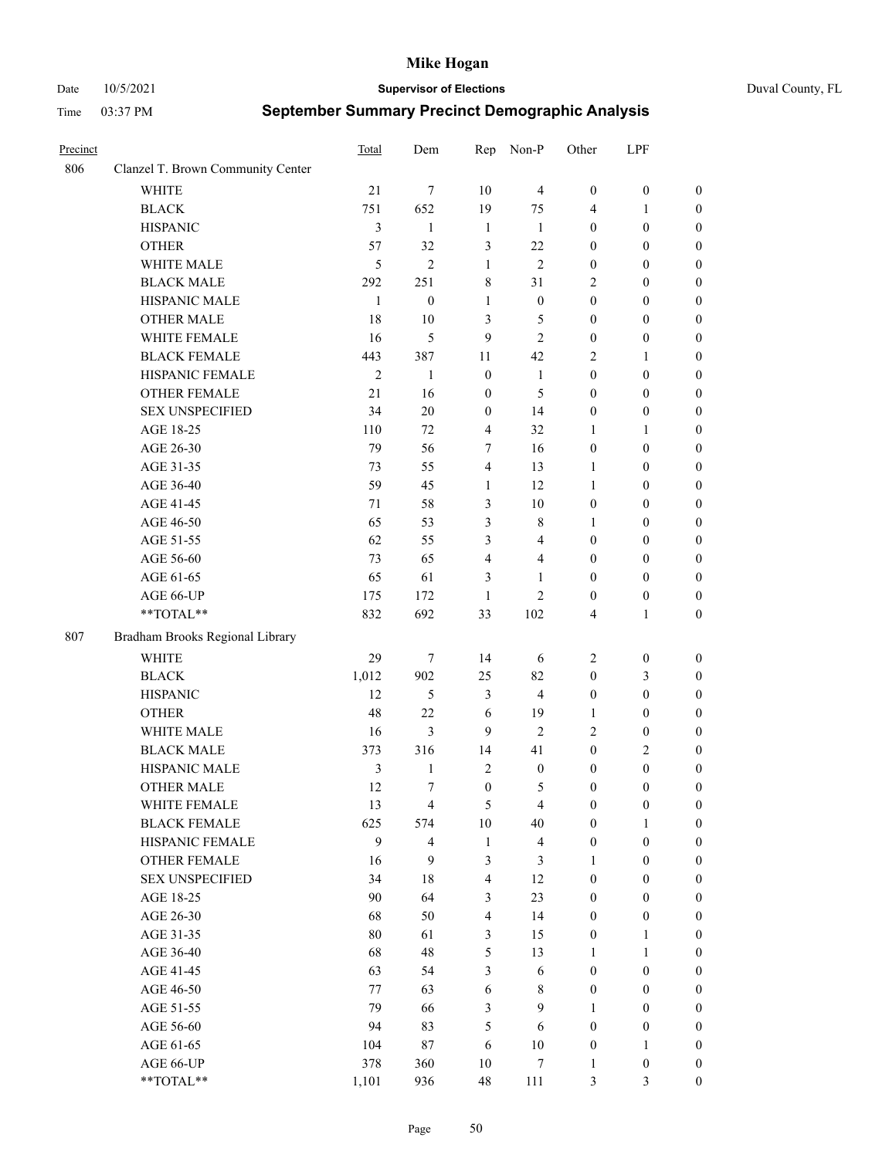Date 10/5/2021 **Supervisor of Elections** Duval County, FL

| Precinct |                                   | Total          | Dem                     | Rep              | Non-P                    | Other            | LPF              |                  |
|----------|-----------------------------------|----------------|-------------------------|------------------|--------------------------|------------------|------------------|------------------|
| 806      | Clanzel T. Brown Community Center |                |                         |                  |                          |                  |                  |                  |
|          | <b>WHITE</b>                      | 21             | 7                       | 10               | $\overline{4}$           | $\boldsymbol{0}$ | $\boldsymbol{0}$ | $\boldsymbol{0}$ |
|          | <b>BLACK</b>                      | 751            | 652                     | 19               | 75                       | 4                | $\mathbf{1}$     | $\boldsymbol{0}$ |
|          | <b>HISPANIC</b>                   | 3              | 1                       | $\mathbf{1}$     | 1                        | $\boldsymbol{0}$ | $\boldsymbol{0}$ | $\boldsymbol{0}$ |
|          | <b>OTHER</b>                      | 57             | 32                      | 3                | 22                       | $\boldsymbol{0}$ | $\boldsymbol{0}$ | $\boldsymbol{0}$ |
|          | WHITE MALE                        | 5              | $\mathfrak{2}$          | 1                | $\overline{2}$           | $\boldsymbol{0}$ | $\boldsymbol{0}$ | $\boldsymbol{0}$ |
|          | <b>BLACK MALE</b>                 | 292            | 251                     | 8                | 31                       | $\overline{c}$   | $\boldsymbol{0}$ | $\boldsymbol{0}$ |
|          | HISPANIC MALE                     | 1              | $\boldsymbol{0}$        | $\mathbf{1}$     | $\boldsymbol{0}$         | $\boldsymbol{0}$ | $\boldsymbol{0}$ | $\boldsymbol{0}$ |
|          | <b>OTHER MALE</b>                 | 18             | $10\,$                  | 3                | 5                        | $\boldsymbol{0}$ | $\boldsymbol{0}$ | $\boldsymbol{0}$ |
|          | WHITE FEMALE                      | 16             | 5                       | 9                | $\mathbf{2}$             | $\boldsymbol{0}$ | $\boldsymbol{0}$ | $\boldsymbol{0}$ |
|          | <b>BLACK FEMALE</b>               | 443            | 387                     | 11               | 42                       | $\overline{c}$   | $\mathbf{1}$     | 0                |
|          | HISPANIC FEMALE                   | $\mathfrak{2}$ | $\mathbf{1}$            | $\boldsymbol{0}$ | $\mathbf{1}$             | $\boldsymbol{0}$ | $\boldsymbol{0}$ | $\boldsymbol{0}$ |
|          | <b>OTHER FEMALE</b>               | 21             | 16                      | $\boldsymbol{0}$ | 5                        | $\boldsymbol{0}$ | $\boldsymbol{0}$ | $\boldsymbol{0}$ |
|          | <b>SEX UNSPECIFIED</b>            | 34             | 20                      | $\boldsymbol{0}$ | 14                       | $\boldsymbol{0}$ | $\boldsymbol{0}$ | $\boldsymbol{0}$ |
|          | AGE 18-25                         | 110            | 72                      | $\overline{4}$   | 32                       | $\mathbf{1}$     | $\mathbf{1}$     | $\boldsymbol{0}$ |
|          | AGE 26-30                         | 79             | 56                      | $\tau$           | 16                       | $\boldsymbol{0}$ | $\boldsymbol{0}$ | $\boldsymbol{0}$ |
|          | AGE 31-35                         | 73             | 55                      | $\overline{4}$   | 13                       | $\mathbf{1}$     | $\boldsymbol{0}$ | $\boldsymbol{0}$ |
|          | AGE 36-40                         | 59             | 45                      | $\mathbf{1}$     | 12                       | $\mathbf{1}$     | $\boldsymbol{0}$ | $\boldsymbol{0}$ |
|          | AGE 41-45                         | 71             | 58                      | $\mathfrak{Z}$   | $10\,$                   | $\boldsymbol{0}$ | $\boldsymbol{0}$ | $\boldsymbol{0}$ |
|          | AGE 46-50                         | 65             | 53                      | 3                | $\,$ 8 $\,$              | 1                | $\boldsymbol{0}$ |                  |
|          | AGE 51-55                         | 62             | 55                      | 3                | $\overline{4}$           | $\boldsymbol{0}$ | $\boldsymbol{0}$ | $\boldsymbol{0}$ |
|          | AGE 56-60                         |                |                         |                  |                          |                  |                  | 0                |
|          |                                   | 73             | 65                      | $\overline{4}$   | $\overline{\mathcal{L}}$ | $\boldsymbol{0}$ | $\boldsymbol{0}$ | $\boldsymbol{0}$ |
|          | AGE 61-65                         | 65             | 61                      | 3                | 1                        | $\boldsymbol{0}$ | $\boldsymbol{0}$ | $\boldsymbol{0}$ |
|          | AGE 66-UP<br>**TOTAL**            | 175            | 172<br>692              | 1                | $\overline{c}$           | $\boldsymbol{0}$ | $\boldsymbol{0}$ | $\boldsymbol{0}$ |
|          |                                   | 832            |                         | 33               | 102                      | 4                | $\mathbf{1}$     | $\boldsymbol{0}$ |
| 807      | Bradham Brooks Regional Library   |                |                         |                  |                          |                  |                  |                  |
|          | <b>WHITE</b>                      | 29             | $\tau$                  | 14               | 6                        | $\overline{c}$   | $\boldsymbol{0}$ | $\boldsymbol{0}$ |
|          | <b>BLACK</b>                      | 1,012          | 902                     | 25               | 82                       | $\boldsymbol{0}$ | $\mathfrak{Z}$   | $\boldsymbol{0}$ |
|          | <b>HISPANIC</b>                   | 12             | 5                       | $\mathfrak{Z}$   | $\overline{4}$           | $\boldsymbol{0}$ | $\boldsymbol{0}$ | $\boldsymbol{0}$ |
|          | <b>OTHER</b>                      | 48             | 22                      | 6                | 19                       | $\mathbf{1}$     | $\boldsymbol{0}$ | $\boldsymbol{0}$ |
|          | WHITE MALE                        | 16             | 3                       | 9                | $\mathfrak{2}$           | $\mathfrak{2}$   | $\boldsymbol{0}$ | $\boldsymbol{0}$ |
|          | <b>BLACK MALE</b>                 | 373            | 316                     | 14               | 41                       | $\boldsymbol{0}$ | $\sqrt{2}$       | $\boldsymbol{0}$ |
|          | HISPANIC MALE                     | $\mathfrak{Z}$ | 1                       | $\sqrt{2}$       | $\boldsymbol{0}$         | $\boldsymbol{0}$ | $\boldsymbol{0}$ | 0                |
|          | <b>OTHER MALE</b>                 | 12             | 7                       | $\boldsymbol{0}$ | 5                        | $\boldsymbol{0}$ | $\boldsymbol{0}$ | $\boldsymbol{0}$ |
|          | WHITE FEMALE                      | 13             | 4                       | $\mathfrak{S}$   | $\overline{\mathbf{4}}$  | $\boldsymbol{0}$ | $\boldsymbol{0}$ | $\boldsymbol{0}$ |
|          | <b>BLACK FEMALE</b>               | 625            | 574                     | $10\,$           | 40                       | $\boldsymbol{0}$ | $\mathbf{1}$     | $\overline{0}$   |
|          | HISPANIC FEMALE                   | 9              | $\overline{\mathbf{4}}$ | $\mathbf{1}$     | $\overline{\mathbf{4}}$  | $\boldsymbol{0}$ | $\boldsymbol{0}$ | $\overline{0}$   |
|          | <b>OTHER FEMALE</b>               | 16             | 9                       | $\mathfrak{Z}$   | 3                        | $\mathbf{1}$     | $\boldsymbol{0}$ | $\overline{0}$   |
|          | <b>SEX UNSPECIFIED</b>            | 34             | 18                      | $\overline{4}$   | 12                       | $\boldsymbol{0}$ | $\boldsymbol{0}$ | $\overline{0}$   |
|          | AGE 18-25                         | 90             | 64                      | $\mathfrak{Z}$   | 23                       | $\boldsymbol{0}$ | $\boldsymbol{0}$ | $\overline{0}$   |
|          | AGE 26-30                         | 68             | 50                      | $\overline{4}$   | 14                       | $\boldsymbol{0}$ | $\boldsymbol{0}$ | $\overline{0}$   |
|          | AGE 31-35                         | 80             | 61                      | $\mathfrak{Z}$   | 15                       | $\boldsymbol{0}$ | $\mathbf{1}$     | 0                |
|          | AGE 36-40                         | 68             | 48                      | $\mathfrak{S}$   | 13                       | $\mathbf{1}$     | $\mathbf{1}$     | 0                |
|          | AGE 41-45                         | 63             | 54                      | $\mathfrak{Z}$   | $\sqrt{6}$               | $\boldsymbol{0}$ | $\boldsymbol{0}$ | $\boldsymbol{0}$ |
|          | AGE 46-50                         | 77             | 63                      | $\sqrt{6}$       | $\,$ 8 $\,$              | $\boldsymbol{0}$ | $\boldsymbol{0}$ | $\boldsymbol{0}$ |
|          | AGE 51-55                         | 79             | 66                      | $\mathfrak{Z}$   | 9                        | $\mathbf{1}$     | $\boldsymbol{0}$ | $\boldsymbol{0}$ |
|          | AGE 56-60                         | 94             | 83                      | 5                | 6                        | $\boldsymbol{0}$ | $\boldsymbol{0}$ | $\boldsymbol{0}$ |
|          | AGE 61-65                         | 104            | 87                      | 6                | $10\,$                   | $\boldsymbol{0}$ | $\mathbf{1}$     | $\boldsymbol{0}$ |
|          | AGE 66-UP                         | 378            | 360                     | 10               | $\boldsymbol{7}$         | $\mathbf{1}$     | $\boldsymbol{0}$ | $\boldsymbol{0}$ |
|          | **TOTAL**                         | 1,101          | 936                     | 48               | 111                      | 3                | 3                | $\boldsymbol{0}$ |
|          |                                   |                |                         |                  |                          |                  |                  |                  |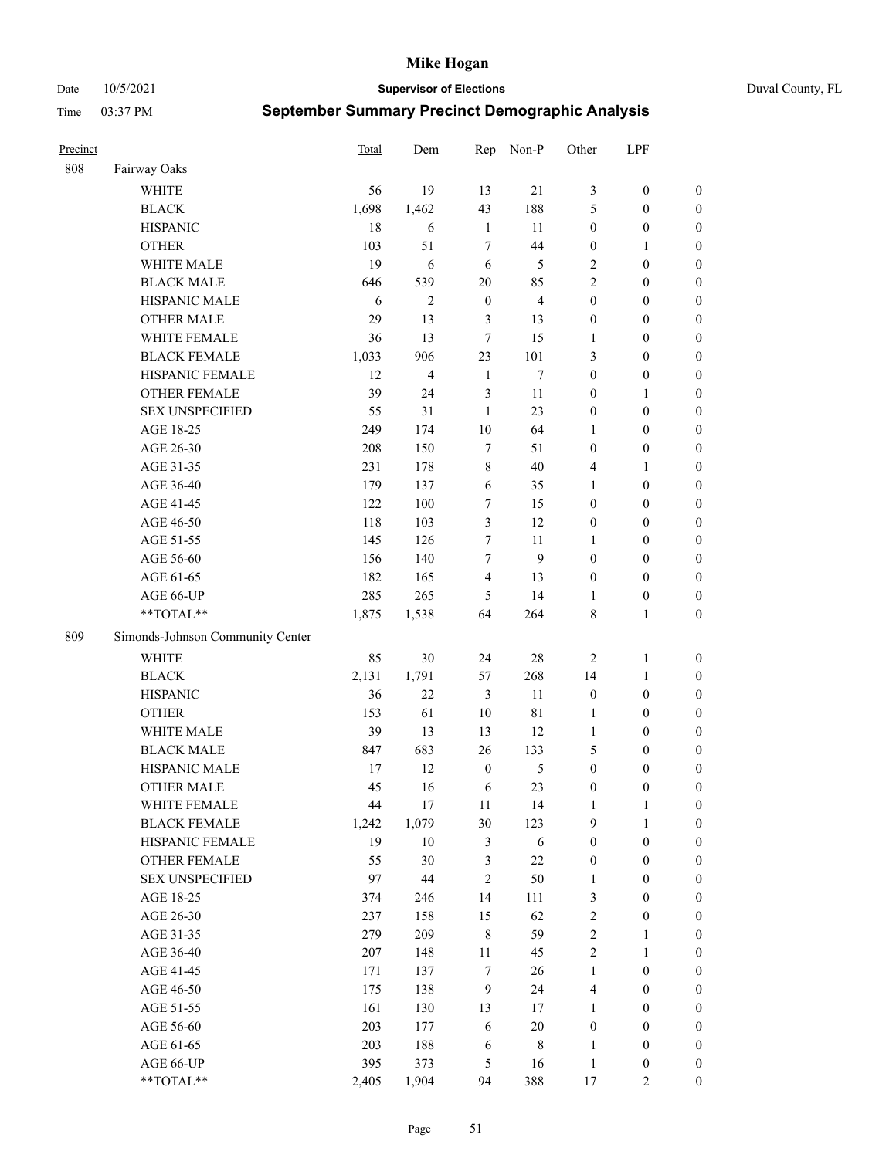Date 10/5/2021 **Supervisor of Elections** Duval County, FL

| Precinct |                                               | Total      | Dem            | Rep              | Non-P          | Other                      | LPF                                  |                  |
|----------|-----------------------------------------------|------------|----------------|------------------|----------------|----------------------------|--------------------------------------|------------------|
| 808      | Fairway Oaks                                  |            |                |                  |                |                            |                                      |                  |
|          | <b>WHITE</b>                                  | 56         | 19             | 13               | 21             | 3                          | $\boldsymbol{0}$                     | 0                |
|          | <b>BLACK</b>                                  | 1,698      | 1,462          | 43               | 188            | 5                          | $\boldsymbol{0}$                     | $\boldsymbol{0}$ |
|          | <b>HISPANIC</b>                               | 18         | 6              | $\mathbf{1}$     | 11             | $\boldsymbol{0}$           | $\boldsymbol{0}$                     | $\boldsymbol{0}$ |
|          | <b>OTHER</b>                                  | 103        | 51             | $\overline{7}$   | 44             | $\boldsymbol{0}$           | $\mathbf{1}$                         | $\boldsymbol{0}$ |
|          | WHITE MALE                                    | 19         | 6              | 6                | 5              | 2                          | $\boldsymbol{0}$                     | $\boldsymbol{0}$ |
|          | <b>BLACK MALE</b>                             | 646        | 539            | 20               | 85             | $\mathfrak{2}$             | $\boldsymbol{0}$                     | $\boldsymbol{0}$ |
|          | HISPANIC MALE                                 | 6          | $\overline{c}$ | $\boldsymbol{0}$ | $\overline{4}$ | $\boldsymbol{0}$           | $\boldsymbol{0}$                     | $\boldsymbol{0}$ |
|          | <b>OTHER MALE</b>                             | 29         | 13             | 3                | 13             | $\boldsymbol{0}$           | $\boldsymbol{0}$                     | $\boldsymbol{0}$ |
|          | WHITE FEMALE                                  | 36         | 13             | $\tau$           | 15             | 1                          | $\boldsymbol{0}$                     | $\boldsymbol{0}$ |
|          | <b>BLACK FEMALE</b>                           | 1,033      | 906            | 23               | 101            | 3                          | $\boldsymbol{0}$                     | $\boldsymbol{0}$ |
|          | HISPANIC FEMALE                               | 12         | 4              | $\mathbf{1}$     | $\tau$         | $\boldsymbol{0}$           | $\boldsymbol{0}$                     | 0                |
|          | <b>OTHER FEMALE</b>                           | 39         | 24             | $\mathfrak{Z}$   | 11             | $\boldsymbol{0}$           | $\mathbf{1}$                         | $\boldsymbol{0}$ |
|          | <b>SEX UNSPECIFIED</b>                        | 55         | 31             | $\mathbf{1}$     | 23             | $\boldsymbol{0}$           | $\boldsymbol{0}$                     | $\boldsymbol{0}$ |
|          | AGE 18-25                                     | 249        | 174            | $10\,$           | 64             | 1                          | $\boldsymbol{0}$                     | $\boldsymbol{0}$ |
|          | AGE 26-30                                     | 208        | 150            | $\tau$           | 51             | $\boldsymbol{0}$           | $\boldsymbol{0}$                     | $\boldsymbol{0}$ |
|          | AGE 31-35                                     | 231        | 178            | $\,8\,$          | 40             | 4                          | $\mathbf{1}$                         | $\boldsymbol{0}$ |
|          | AGE 36-40                                     | 179        | 137            | 6                | 35             | $\mathbf{1}$               | $\boldsymbol{0}$                     | $\boldsymbol{0}$ |
|          | AGE 41-45                                     | 122        | 100            | $\tau$           | 15             | $\boldsymbol{0}$           | $\boldsymbol{0}$                     | $\boldsymbol{0}$ |
|          | AGE 46-50                                     | 118        | 103            | $\mathfrak{Z}$   | 12             | $\boldsymbol{0}$           | $\boldsymbol{0}$                     | $\boldsymbol{0}$ |
|          | AGE 51-55                                     | 145        | 126            | 7                | 11             | 1                          | $\boldsymbol{0}$                     | $\boldsymbol{0}$ |
|          | AGE 56-60                                     | 156        | 140            | $\tau$           | 9              | $\boldsymbol{0}$           | $\boldsymbol{0}$                     | 0                |
|          | AGE 61-65                                     | 182        | 165            | $\overline{4}$   | 13             | $\boldsymbol{0}$           | $\boldsymbol{0}$                     | $\boldsymbol{0}$ |
|          | AGE 66-UP                                     | 285        | 265            | 5                | 14             | 1                          | $\boldsymbol{0}$                     | $\boldsymbol{0}$ |
|          | **TOTAL**                                     | 1,875      | 1,538          | 64               | 264            | 8                          | $\mathbf{1}$                         | $\boldsymbol{0}$ |
| 809      | Simonds-Johnson Community Center              |            |                |                  |                |                            |                                      |                  |
|          |                                               |            |                |                  |                |                            |                                      |                  |
|          | <b>WHITE</b>                                  | 85         | 30             | 24               | 28             | $\overline{2}$             | $\mathbf{1}$                         | $\boldsymbol{0}$ |
|          | <b>BLACK</b>                                  | 2,131      | 1,791          | 57               | 268            | 14                         | $\mathbf{1}$                         | $\boldsymbol{0}$ |
|          | <b>HISPANIC</b>                               | 36         | 22             | 3                | 11             | $\boldsymbol{0}$           | $\boldsymbol{0}$                     | $\boldsymbol{0}$ |
|          | <b>OTHER</b>                                  | 153        | 61             | 10               | 81             | $\mathbf{1}$               | $\boldsymbol{0}$                     | $\boldsymbol{0}$ |
|          | WHITE MALE                                    | 39         | 13             | 13               | 12             | $\mathbf{1}$               | $\boldsymbol{0}$                     | $\boldsymbol{0}$ |
|          | <b>BLACK MALE</b>                             | 847        | 683            | 26               | 133            | 5                          | $\boldsymbol{0}$                     | $\boldsymbol{0}$ |
|          | HISPANIC MALE                                 | 17         | 12             | $\boldsymbol{0}$ | 5              | $\boldsymbol{0}$           | $\boldsymbol{0}$                     | $\boldsymbol{0}$ |
|          | <b>OTHER MALE</b>                             | 45         | 16             | 6                | 23             | $\boldsymbol{0}$           | $\boldsymbol{0}$                     | $\boldsymbol{0}$ |
|          | WHITE FEMALE                                  | 44         | 17             | 11               | 14             | 1                          | 1                                    | 0                |
|          | <b>BLACK FEMALE</b>                           | 1,242      | 1,079          | 30               | 123            | 9                          | $\mathbf{1}$                         | $\boldsymbol{0}$ |
|          | HISPANIC FEMALE                               | 19         | $10\,$         | $\mathfrak{Z}$   | 6              | $\boldsymbol{0}$           | $\boldsymbol{0}$                     | $\overline{0}$   |
|          | <b>OTHER FEMALE</b><br><b>SEX UNSPECIFIED</b> | 55         | 30             | $\mathfrak{Z}$   | $22\,$         | $\boldsymbol{0}$           | $\boldsymbol{0}$                     | $\overline{0}$   |
|          |                                               | 97         | 44             | $\mathbf{2}$     | 50             | $\mathbf{1}$               | $\boldsymbol{0}$                     | $\overline{0}$   |
|          | AGE 18-25                                     | 374        | 246            | 14               | 111            | 3                          | $\boldsymbol{0}$                     | $\overline{0}$   |
|          | AGE 26-30<br>AGE 31-35                        | 237<br>279 | 158<br>209     | 15<br>$\,8\,$    | 62<br>59       | $\sqrt{2}$<br>$\sqrt{2}$   | $\boldsymbol{0}$                     | 0                |
|          |                                               |            |                |                  |                |                            | $\mathbf{1}$                         | 0                |
|          | AGE 36-40                                     | 207<br>171 | 148<br>137     | 11<br>$\tau$     | 45<br>26       | $\sqrt{2}$<br>$\mathbf{1}$ | $\mathbf{1}$<br>$\boldsymbol{0}$     | 0                |
|          | AGE 41-45                                     |            |                |                  |                |                            |                                      | 0                |
|          | AGE 46-50                                     | 175        | 138            | 9                | 24             | $\overline{4}$             | $\boldsymbol{0}$                     | 0                |
|          | AGE 51-55                                     | 161<br>203 | 130            | 13               | 17<br>$20\,$   | $\mathbf{1}$               | $\boldsymbol{0}$<br>$\boldsymbol{0}$ | $\boldsymbol{0}$ |
|          | AGE 56-60                                     |            | 177            | 6                |                | $\boldsymbol{0}$           |                                      | $\boldsymbol{0}$ |
|          | AGE 61-65<br>AGE 66-UP                        | 203        | 188            | 6<br>5           | $\,$ 8 $\,$    | 1<br>$\mathbf{1}$          | $\boldsymbol{0}$                     | $\boldsymbol{0}$ |
|          |                                               | 395        | 373            |                  | 16             |                            | $\boldsymbol{0}$                     | $\boldsymbol{0}$ |
|          | **TOTAL**                                     | 2,405      | 1,904          | 94               | 388            | 17                         | $\mathbf{2}$                         | $\boldsymbol{0}$ |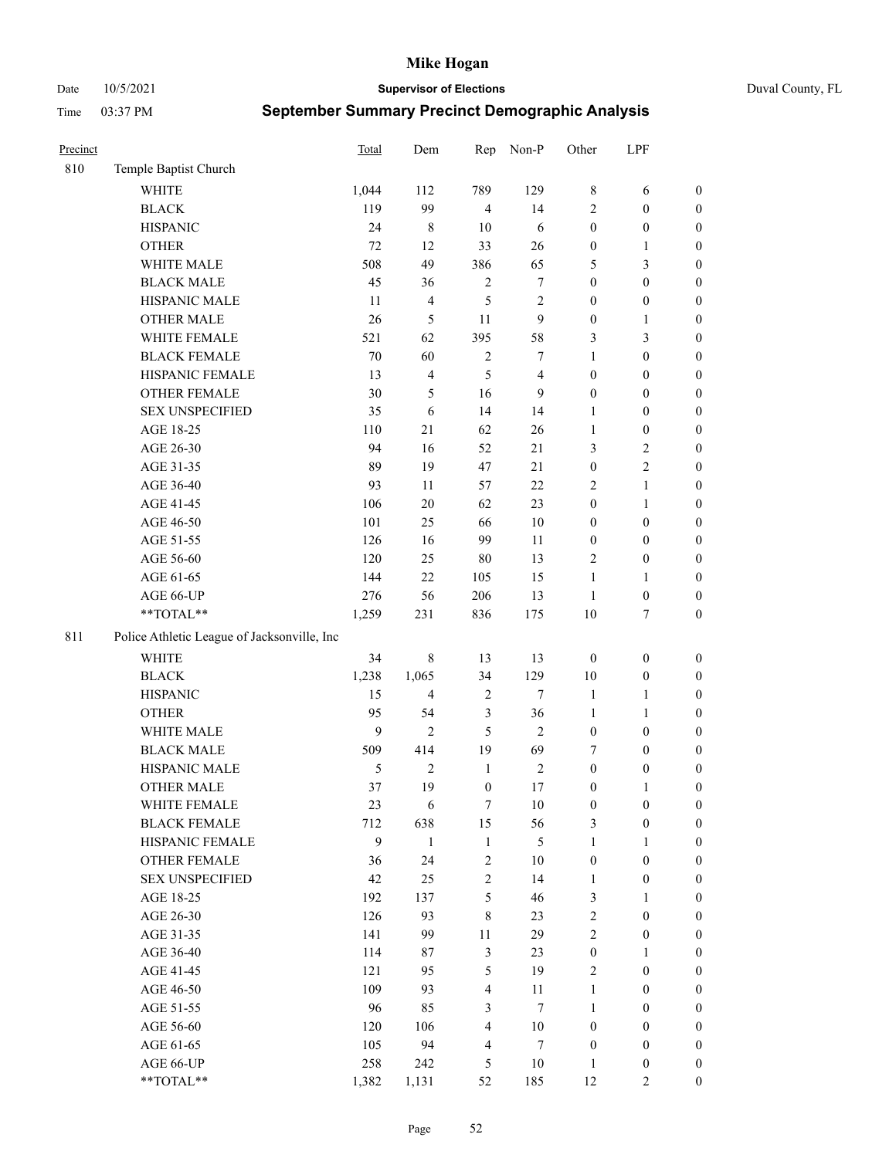Date 10/5/2021 **Supervisor of Elections** Duval County, FL

| Precinct |                                             | Total          | Dem                     | Rep              | Non-P            | Other            | LPF              |                  |
|----------|---------------------------------------------|----------------|-------------------------|------------------|------------------|------------------|------------------|------------------|
| 810      | Temple Baptist Church                       |                |                         |                  |                  |                  |                  |                  |
|          | <b>WHITE</b>                                | 1,044          | 112                     | 789              | 129              | 8                | 6                | 0                |
|          | <b>BLACK</b>                                | 119            | 99                      | $\overline{4}$   | 14               | 2                | $\boldsymbol{0}$ | $\boldsymbol{0}$ |
|          | <b>HISPANIC</b>                             | 24             | 8                       | 10               | 6                | $\boldsymbol{0}$ | $\boldsymbol{0}$ | $\boldsymbol{0}$ |
|          | <b>OTHER</b>                                | 72             | 12                      | 33               | 26               | $\boldsymbol{0}$ | $\mathbf{1}$     | $\boldsymbol{0}$ |
|          | WHITE MALE                                  | 508            | 49                      | 386              | 65               | 5                | $\mathfrak{Z}$   | $\boldsymbol{0}$ |
|          | <b>BLACK MALE</b>                           | 45             | 36                      | $\sqrt{2}$       | $\boldsymbol{7}$ | $\boldsymbol{0}$ | $\boldsymbol{0}$ | $\boldsymbol{0}$ |
|          | HISPANIC MALE                               | 11             | $\overline{\mathbf{4}}$ | 5                | $\sqrt{2}$       | $\boldsymbol{0}$ | $\boldsymbol{0}$ | $\boldsymbol{0}$ |
|          | <b>OTHER MALE</b>                           | 26             | $\mathfrak{S}$          | 11               | 9                | $\boldsymbol{0}$ | $\mathbf{1}$     | $\boldsymbol{0}$ |
|          | WHITE FEMALE                                | 521            | 62                      | 395              | 58               | 3                | $\mathfrak{Z}$   | $\boldsymbol{0}$ |
|          | <b>BLACK FEMALE</b>                         | $70\,$         | 60                      | $\sqrt{2}$       | 7                | $\mathbf{1}$     | $\boldsymbol{0}$ | $\boldsymbol{0}$ |
|          | HISPANIC FEMALE                             | 13             | $\overline{\mathbf{4}}$ | 5                | $\overline{4}$   | $\boldsymbol{0}$ | $\boldsymbol{0}$ | 0                |
|          | OTHER FEMALE                                | 30             | 5                       | 16               | 9                | $\boldsymbol{0}$ | $\boldsymbol{0}$ | $\boldsymbol{0}$ |
|          | <b>SEX UNSPECIFIED</b>                      | 35             | $\sqrt{6}$              | 14               | 14               | $\mathbf{1}$     | $\boldsymbol{0}$ | $\boldsymbol{0}$ |
|          | AGE 18-25                                   | 110            | 21                      | 62               | 26               | $\mathbf{1}$     | $\boldsymbol{0}$ | $\boldsymbol{0}$ |
|          | AGE 26-30                                   | 94             | 16                      | 52               | $21\,$           | 3                | $\sqrt{2}$       | $\boldsymbol{0}$ |
|          | AGE 31-35                                   | 89             | 19                      | 47               | 21               | $\boldsymbol{0}$ | $\sqrt{2}$       | $\boldsymbol{0}$ |
|          | AGE 36-40                                   | 93             | 11                      | 57               | 22               | 2                | $\mathbf{1}$     | $\boldsymbol{0}$ |
|          | AGE 41-45                                   | 106            | $20\,$                  | 62               | 23               | $\boldsymbol{0}$ | $\mathbf{1}$     | $\boldsymbol{0}$ |
|          | AGE 46-50                                   | $101\,$        | 25                      | 66               | $10\,$           | $\boldsymbol{0}$ | $\boldsymbol{0}$ | $\boldsymbol{0}$ |
|          | AGE 51-55                                   | 126            | 16                      | 99               | 11               | $\boldsymbol{0}$ | $\boldsymbol{0}$ | $\boldsymbol{0}$ |
|          | AGE 56-60                                   | 120            | 25                      | 80               | 13               | $\mathbf{2}$     | $\boldsymbol{0}$ | 0                |
|          | AGE 61-65                                   | 144            | 22                      | 105              | 15               | $\mathbf{1}$     | $\mathbf{1}$     | 0                |
|          | AGE 66-UP                                   | 276            | 56                      | 206              | 13               | $\mathbf{1}$     | $\boldsymbol{0}$ | $\boldsymbol{0}$ |
|          | **TOTAL**                                   | 1,259          | 231                     | 836              | 175              | 10               | $\boldsymbol{7}$ | $\boldsymbol{0}$ |
| 811      | Police Athletic League of Jacksonville, Inc |                |                         |                  |                  |                  |                  |                  |
|          | WHITE                                       | 34             | $\,$ 8 $\,$             | 13               | 13               | $\boldsymbol{0}$ | $\boldsymbol{0}$ | $\boldsymbol{0}$ |
|          | <b>BLACK</b>                                | 1,238          | 1,065                   | 34               | 129              | 10               | $\boldsymbol{0}$ | $\boldsymbol{0}$ |
|          | <b>HISPANIC</b>                             | 15             | $\overline{\mathbf{4}}$ | $\sqrt{2}$       | $\tau$           | $\mathbf{1}$     | $\mathbf{1}$     | $\boldsymbol{0}$ |
|          | <b>OTHER</b>                                | 95             | 54                      | $\mathfrak{Z}$   | 36               | $\mathbf{1}$     | $\mathbf{1}$     | $\boldsymbol{0}$ |
|          | WHITE MALE                                  | $\mathbf{9}$   | $\overline{2}$          | 5                | $\overline{2}$   | $\boldsymbol{0}$ | $\boldsymbol{0}$ | $\boldsymbol{0}$ |
|          | <b>BLACK MALE</b>                           | 509            | 414                     | 19               | 69               | 7                | $\boldsymbol{0}$ | $\boldsymbol{0}$ |
|          | HISPANIC MALE                               | $\mathfrak{S}$ | $\mathbf{2}$            | $\mathbf{1}$     | $\sqrt{2}$       | $\boldsymbol{0}$ | $\boldsymbol{0}$ | $\boldsymbol{0}$ |
|          | <b>OTHER MALE</b>                           | 37             | 19                      | $\boldsymbol{0}$ | $17\,$           | $\boldsymbol{0}$ | $\mathbf{1}$     | $\boldsymbol{0}$ |
|          | WHITE FEMALE                                | 23             | 6                       | 7                | 10               | $\boldsymbol{0}$ | $\boldsymbol{0}$ | 0                |
|          | <b>BLACK FEMALE</b>                         | 712            | 638                     | 15               | 56               | 3                | $\boldsymbol{0}$ | $\boldsymbol{0}$ |
|          | HISPANIC FEMALE                             | 9              | $\mathbf{1}$            | $\mathbf{1}$     | 5                | $\mathbf{1}$     | $\mathbf{1}$     | $\overline{0}$   |
|          | OTHER FEMALE                                | 36             | 24                      | $\sqrt{2}$       | $10\,$           | $\boldsymbol{0}$ | $\boldsymbol{0}$ | $\overline{0}$   |
|          | <b>SEX UNSPECIFIED</b>                      | 42             | 25                      | $\overline{c}$   | 14               | $\mathbf{1}$     | $\boldsymbol{0}$ | $\overline{0}$   |
|          | AGE 18-25                                   | 192            | 137                     | 5                | 46               | 3                | $\mathbf{1}$     | $\overline{0}$   |
|          | AGE 26-30                                   | 126            | 93                      | $\,$ 8 $\,$      | 23               | 2                | $\boldsymbol{0}$ | $\overline{0}$   |
|          | AGE 31-35                                   | 141            | 99                      | $11\,$           | 29               | $\overline{c}$   | $\boldsymbol{0}$ | 0                |
|          | AGE 36-40                                   | 114            | 87                      | $\mathfrak{Z}$   | 23               | $\boldsymbol{0}$ | $\mathbf{1}$     | 0                |
|          | AGE 41-45                                   | 121            | 95                      | 5                | 19               | 2                | $\boldsymbol{0}$ | 0                |
|          | AGE 46-50                                   | 109            | 93                      | $\overline{4}$   | 11               | $\mathbf{1}$     | $\boldsymbol{0}$ | 0                |
|          | AGE 51-55                                   | 96             | 85                      | 3                | $\tau$           | $\mathbf{1}$     | $\boldsymbol{0}$ | $\boldsymbol{0}$ |
|          | AGE 56-60                                   | 120            | 106                     | $\overline{4}$   | $10\,$           | $\boldsymbol{0}$ | $\boldsymbol{0}$ | $\boldsymbol{0}$ |
|          | AGE 61-65                                   | 105            | 94                      | $\overline{4}$   | 7                | $\boldsymbol{0}$ | $\boldsymbol{0}$ | $\boldsymbol{0}$ |
|          | AGE 66-UP                                   | 258            | 242                     | 5                | $10\,$           | $\mathbf{1}$     | $\boldsymbol{0}$ | $\boldsymbol{0}$ |
|          | **TOTAL**                                   | 1,382          | 1,131                   | 52               | 185              | 12               | $\mathfrak{2}$   | $\overline{0}$   |
|          |                                             |                |                         |                  |                  |                  |                  |                  |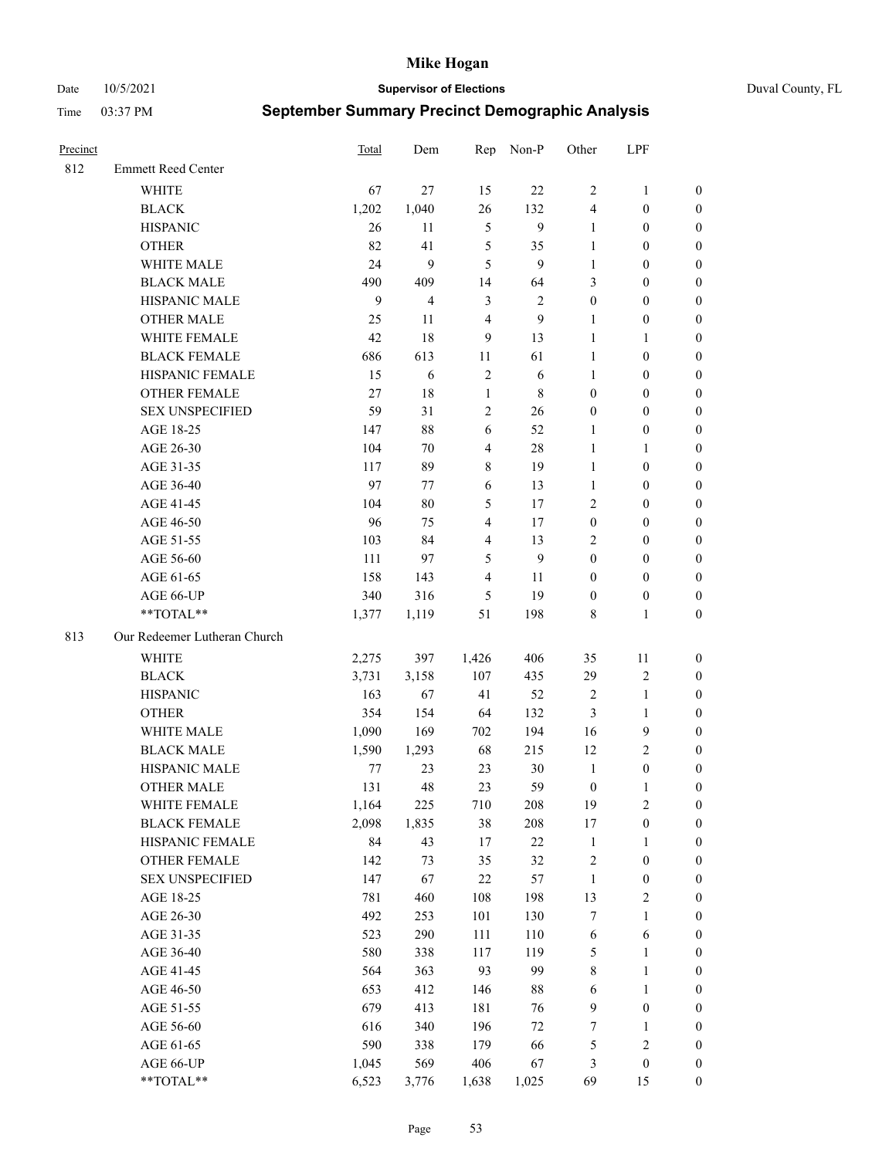Date 10/5/2021 **Supervisor of Elections** Duval County, FL

| Precinct |                                        | Total      | Dem            | Rep              | Non-P          | Other            | LPF                          |                  |
|----------|----------------------------------------|------------|----------------|------------------|----------------|------------------|------------------------------|------------------|
| 812      | <b>Emmett Reed Center</b>              |            |                |                  |                |                  |                              |                  |
|          | <b>WHITE</b>                           | 67         | 27             | 15               | 22             | $\overline{2}$   | $\mathbf{1}$                 | 0                |
|          | <b>BLACK</b>                           | 1,202      | 1,040          | 26               | 132            | 4                | $\boldsymbol{0}$             | 0                |
|          | <b>HISPANIC</b>                        | 26         | 11             | $\mathfrak{S}$   | 9              | $\mathbf{1}$     | $\boldsymbol{0}$             | $\boldsymbol{0}$ |
|          | <b>OTHER</b>                           | 82         | 41             | 5                | 35             | 1                | $\boldsymbol{0}$             | $\boldsymbol{0}$ |
|          | WHITE MALE                             | 24         | 9              | 5                | 9              | $\mathbf{1}$     | $\boldsymbol{0}$             | $\boldsymbol{0}$ |
|          | <b>BLACK MALE</b>                      | 490        | 409            | 14               | 64             | 3                | $\boldsymbol{0}$             | $\boldsymbol{0}$ |
|          | HISPANIC MALE                          | 9          | $\overline{4}$ | $\mathfrak{Z}$   | $\sqrt{2}$     | $\boldsymbol{0}$ | $\boldsymbol{0}$             | $\boldsymbol{0}$ |
|          | <b>OTHER MALE</b>                      | 25         | 11             | $\overline{4}$   | 9              | $\mathbf{1}$     | $\boldsymbol{0}$             | $\boldsymbol{0}$ |
|          | WHITE FEMALE                           | 42         | 18             | $\boldsymbol{9}$ | 13             | $\mathbf{1}$     | $\mathbf{1}$                 | $\boldsymbol{0}$ |
|          | <b>BLACK FEMALE</b>                    | 686        | 613            | 11               | 61             | $\mathbf{1}$     | $\boldsymbol{0}$             | 0                |
|          | HISPANIC FEMALE                        | 15         | 6              | $\sqrt{2}$       | 6              | $\mathbf{1}$     | $\boldsymbol{0}$             | 0                |
|          | <b>OTHER FEMALE</b>                    | 27         | 18             | $\mathbf{1}$     | 8              | $\boldsymbol{0}$ | $\boldsymbol{0}$             | 0                |
|          | <b>SEX UNSPECIFIED</b>                 | 59         | 31             | $\sqrt{2}$       | 26             | $\boldsymbol{0}$ | $\boldsymbol{0}$             | $\boldsymbol{0}$ |
|          | AGE 18-25                              | 147        | $88\,$         | 6                | 52             | 1                | $\boldsymbol{0}$             | $\boldsymbol{0}$ |
|          | AGE 26-30                              | 104        | 70             | $\overline{4}$   | $28\,$         | $\mathbf{1}$     | $\mathbf{1}$                 | $\boldsymbol{0}$ |
|          | AGE 31-35                              | 117        | 89             | $\,$ $\,$        | 19             | $\mathbf{1}$     | $\boldsymbol{0}$             | $\boldsymbol{0}$ |
|          | AGE 36-40                              | 97         | 77             | 6                | 13             | $\mathbf{1}$     | $\boldsymbol{0}$             | $\boldsymbol{0}$ |
|          | AGE 41-45                              | 104        | $80\,$         | 5                | 17             | $\mathbf{2}$     | $\boldsymbol{0}$             | $\boldsymbol{0}$ |
|          | AGE 46-50                              | 96         | 75             | $\overline{4}$   | 17             | $\boldsymbol{0}$ | $\boldsymbol{0}$             | $\boldsymbol{0}$ |
|          | AGE 51-55                              | 103        | 84             | $\overline{4}$   | 13             | $\mathbf{2}$     | $\boldsymbol{0}$             | $\boldsymbol{0}$ |
|          | AGE 56-60                              | 111        | 97             | 5                | $\overline{9}$ | $\boldsymbol{0}$ | $\boldsymbol{0}$             | 0                |
|          | AGE 61-65                              | 158        | 143            | $\overline{4}$   | 11             | $\boldsymbol{0}$ | $\boldsymbol{0}$             | 0                |
|          | AGE 66-UP                              | 340        | 316            | 5                | 19             | $\boldsymbol{0}$ | $\boldsymbol{0}$             | $\boldsymbol{0}$ |
|          | **TOTAL**                              | 1,377      | 1,119          | 51               | 198            | 8                | $\mathbf{1}$                 | $\boldsymbol{0}$ |
| 813      | Our Redeemer Lutheran Church           |            |                |                  |                |                  |                              |                  |
|          |                                        |            |                |                  |                |                  |                              |                  |
|          | <b>WHITE</b>                           | 2,275      | 397            | 1,426            | 406            | 35               | 11                           | $\boldsymbol{0}$ |
|          | <b>BLACK</b>                           | 3,731      | 3,158          | 107              | 435            | 29               | $\sqrt{2}$                   | $\boldsymbol{0}$ |
|          | <b>HISPANIC</b>                        | 163        | 67             | 41               | 52             | 2                | $\mathbf{1}$                 | $\boldsymbol{0}$ |
|          | <b>OTHER</b>                           | 354        | 154            | 64               | 132            | 3                | $\mathbf{1}$                 | $\boldsymbol{0}$ |
|          | WHITE MALE                             | 1,090      | 169            | 702              | 194            | 16               | $\mathbf{9}$                 | $\overline{0}$   |
|          | <b>BLACK MALE</b>                      | 1,590      | 1,293          | 68               | 215            | 12               | $\overline{2}$               | $\boldsymbol{0}$ |
|          | HISPANIC MALE                          | 77         | 23             | 23               | 30             | $\mathbf{1}$     | $\boldsymbol{0}$             | 0                |
|          | <b>OTHER MALE</b>                      | 131        | 48             | 23               | 59             | $\boldsymbol{0}$ | $\mathbf{1}$                 | 0                |
|          | WHITE FEMALE                           | 1,164      | 225            | 710              | 208            | 19               | 2                            | 0                |
|          | <b>BLACK FEMALE</b><br>HISPANIC FEMALE | 2,098      | 1,835          | 38               | 208            | 17               | $\boldsymbol{0}$             | $\boldsymbol{0}$ |
|          |                                        | 84         | 43             | 17               | 22             | $\mathbf{1}$     | $\mathbf{1}$                 | $\boldsymbol{0}$ |
|          | OTHER FEMALE                           | 142        | 73             | 35               | 32             | $\boldsymbol{2}$ | $\boldsymbol{0}$             | $\overline{0}$   |
|          | <b>SEX UNSPECIFIED</b>                 | 147        | 67             | $22\,$           | 57             | $\mathbf{1}$     | $\boldsymbol{0}$             | 0                |
|          | AGE 18-25                              | 781        | 460            | 108              | 198            | 13               | $\sqrt{2}$                   | 0                |
|          | AGE 26-30                              | 492<br>523 | 253            | 101              | 130<br>110     | 7                | $\mathbf{1}$                 | 0                |
|          | AGE 31-35                              |            | 290            | 111              |                | 6                | 6                            | 0                |
|          | AGE 36-40                              | 580<br>564 | 338            | 117<br>93        | 119<br>99      | 5                | $\mathbf{1}$<br>$\mathbf{1}$ | 0                |
|          | AGE 41-45                              |            | 363            |                  |                | 8                |                              | 0                |
|          | AGE 46-50                              | 653        | 412            | 146              | $88\,$         | 6                | $\mathbf{1}$                 | 0                |
|          | AGE 51-55                              | 679        | 413            | 181              | 76             | 9                | $\boldsymbol{0}$             | 0                |
|          | AGE 56-60                              | 616        | 340            | 196              | $72\,$         | 7                | $\mathbf{1}$                 | 0                |
|          | AGE 61-65                              | 590        | 338            | 179              | 66             | 5                | $\sqrt{2}$                   | 0                |
|          | AGE 66-UP                              | 1,045      | 569            | 406              | 67             | 3                | $\boldsymbol{0}$             | $\boldsymbol{0}$ |
|          | **TOTAL**                              | 6,523      | 3,776          | 1,638            | 1,025          | 69               | 15                           | $\boldsymbol{0}$ |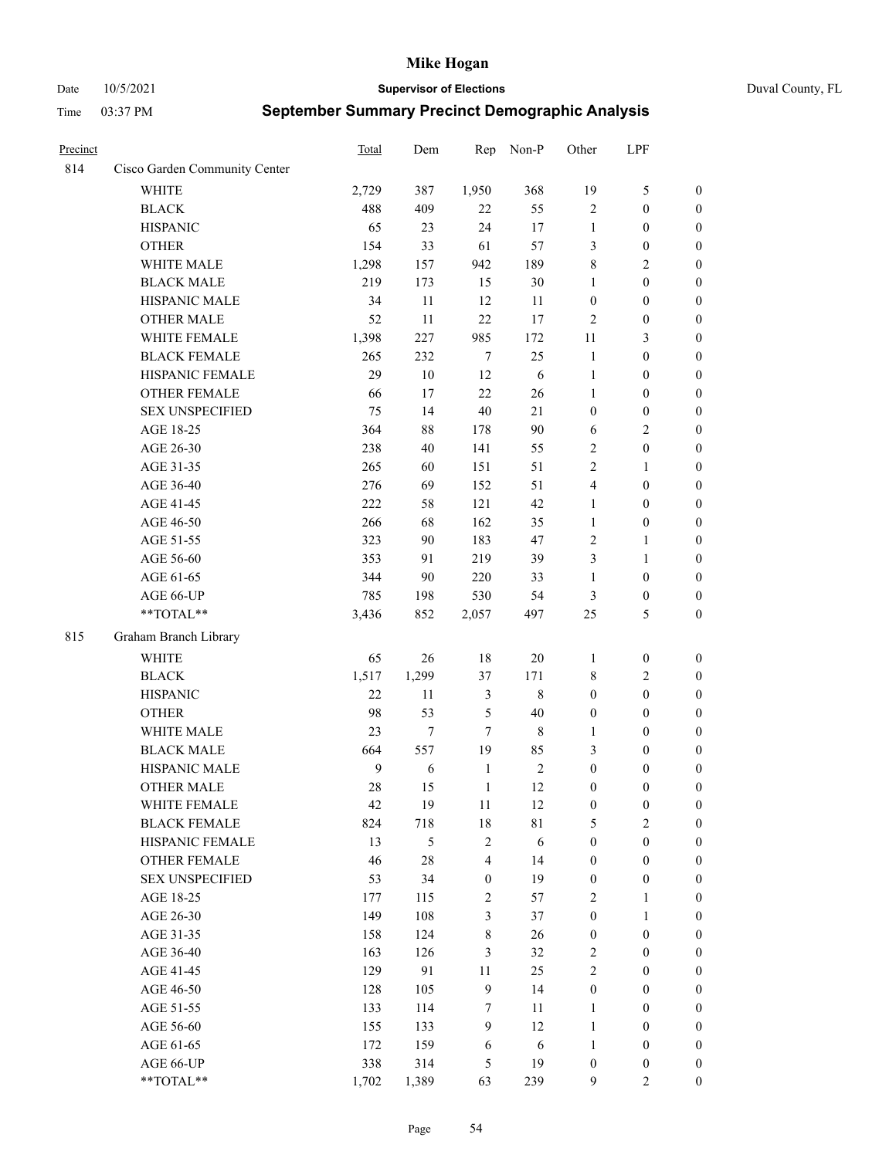Date 10/5/2021 **Supervisor of Elections** Duval County, FL

| Precinct |                                     | Total            | Dem           | Rep                     | Non-P             | Other                                | LPF                                  |                                      |
|----------|-------------------------------------|------------------|---------------|-------------------------|-------------------|--------------------------------------|--------------------------------------|--------------------------------------|
| 814      | Cisco Garden Community Center       |                  |               |                         |                   |                                      |                                      |                                      |
|          | <b>WHITE</b>                        | 2,729            | 387           | 1,950                   | 368               | 19                                   | $\mathfrak{S}$                       | $\boldsymbol{0}$                     |
|          | <b>BLACK</b>                        | 488              | 409           | 22                      | 55                | $\mathbf{2}$                         | $\boldsymbol{0}$                     | $\boldsymbol{0}$                     |
|          | <b>HISPANIC</b>                     | 65               | 23            | 24                      | 17                | $\mathbf{1}$                         | $\boldsymbol{0}$                     | $\boldsymbol{0}$                     |
|          | <b>OTHER</b>                        | 154              | 33            | 61                      | 57                | 3                                    | $\boldsymbol{0}$                     | $\boldsymbol{0}$                     |
|          | WHITE MALE                          | 1,298            | 157           | 942                     | 189               | 8                                    | $\sqrt{2}$                           | $\boldsymbol{0}$                     |
|          | <b>BLACK MALE</b>                   | 219              | 173           | 15                      | 30                | $\mathbf{1}$                         | $\boldsymbol{0}$                     | $\boldsymbol{0}$                     |
|          | HISPANIC MALE                       | 34               | 11            | 12                      | 11                | $\boldsymbol{0}$                     | $\boldsymbol{0}$                     | $\boldsymbol{0}$                     |
|          | <b>OTHER MALE</b>                   | 52               | 11            | 22                      | 17                | $\overline{c}$                       | $\boldsymbol{0}$                     | $\boldsymbol{0}$                     |
|          | WHITE FEMALE                        | 1,398            | 227           | 985                     | 172               | $11\,$                               | $\mathfrak{Z}$                       | $\boldsymbol{0}$                     |
|          | <b>BLACK FEMALE</b>                 | 265              | 232           | $\tau$                  | 25                | $\mathbf{1}$                         | $\boldsymbol{0}$                     | $\boldsymbol{0}$                     |
|          | HISPANIC FEMALE                     | 29               | 10            | 12                      | 6                 | $\mathbf{1}$                         | $\boldsymbol{0}$                     | 0                                    |
|          | <b>OTHER FEMALE</b>                 | 66               | 17            | 22                      | 26                | $\mathbf{1}$                         | $\boldsymbol{0}$                     | 0                                    |
|          | <b>SEX UNSPECIFIED</b>              | 75               | 14            | 40                      | 21                | $\boldsymbol{0}$                     | $\boldsymbol{0}$                     | $\boldsymbol{0}$                     |
|          | AGE 18-25                           | 364              | 88            | 178                     | 90                | 6                                    | $\sqrt{2}$                           | $\boldsymbol{0}$                     |
|          | AGE 26-30                           | 238              | 40            | 141                     | 55                | 2                                    | $\boldsymbol{0}$                     | $\boldsymbol{0}$                     |
|          | AGE 31-35                           | 265              | 60            | 151                     | 51                | $\sqrt{2}$                           | $\mathbf{1}$                         | $\boldsymbol{0}$                     |
|          | AGE 36-40                           | 276              | 69            | 152                     | 51                | 4                                    | $\boldsymbol{0}$                     | $\boldsymbol{0}$                     |
|          | AGE 41-45                           | 222              | 58            | 121                     | 42                | $\mathbf{1}$                         | $\boldsymbol{0}$                     | $\boldsymbol{0}$                     |
|          | AGE 46-50                           | 266              | 68            | 162                     | 35                | $\mathbf{1}$                         | $\boldsymbol{0}$                     | $\boldsymbol{0}$                     |
|          | AGE 51-55                           | 323              | 90            | 183                     | 47                | 2                                    | $\mathbf{1}$                         | $\boldsymbol{0}$                     |
|          | AGE 56-60                           | 353              | 91            | 219                     | 39                | 3                                    | $\mathbf{1}$                         | 0                                    |
|          | AGE 61-65                           | 344              | 90            | 220                     | 33                | 1                                    | $\boldsymbol{0}$                     | 0                                    |
|          | AGE 66-UP                           | 785              | 198           | 530                     | 54                | 3                                    | $\boldsymbol{0}$                     | $\boldsymbol{0}$                     |
|          | $**TOTAL**$                         | 3,436            | 852           | 2,057                   | 497               | 25                                   | $\mathfrak{S}$                       | $\boldsymbol{0}$                     |
| 815      | Graham Branch Library               |                  |               |                         |                   |                                      |                                      |                                      |
|          | WHITE                               |                  | 26            | $18\,$                  | $20\,$            |                                      |                                      |                                      |
|          | <b>BLACK</b>                        | 65<br>1,517      |               | 37                      | 171               | 1                                    | $\boldsymbol{0}$<br>$\sqrt{2}$       | $\boldsymbol{0}$                     |
|          | <b>HISPANIC</b>                     | 22               | 1,299<br>11   | $\mathfrak{Z}$          | $\,$ 8 $\,$       | 8<br>$\boldsymbol{0}$                | $\boldsymbol{0}$                     | $\boldsymbol{0}$                     |
|          |                                     |                  |               |                         |                   |                                      |                                      | $\boldsymbol{0}$                     |
|          | <b>OTHER</b><br>WHITE MALE          | 98               | 53            | $\mathfrak{S}$          | 40                | $\boldsymbol{0}$                     | $\boldsymbol{0}$                     | $\boldsymbol{0}$                     |
|          | <b>BLACK MALE</b>                   | 23<br>664        | $\tau$<br>557 | $\tau$<br>19            | $\,$ 8 $\,$<br>85 | $\mathbf{1}$<br>3                    | $\boldsymbol{0}$<br>$\boldsymbol{0}$ | $\boldsymbol{0}$                     |
|          | HISPANIC MALE                       | $\boldsymbol{9}$ | 6             | $\mathbf{1}$            | $\sqrt{2}$        | $\boldsymbol{0}$                     |                                      | $\boldsymbol{0}$                     |
|          | <b>OTHER MALE</b>                   | 28               | 15            | $\mathbf{1}$            | 12                | $\boldsymbol{0}$                     | $\boldsymbol{0}$<br>$\boldsymbol{0}$ | $\boldsymbol{0}$<br>$\boldsymbol{0}$ |
|          |                                     |                  |               |                         |                   |                                      |                                      |                                      |
|          | WHITE FEMALE<br><b>BLACK FEMALE</b> | 42<br>824        | 19            | 11<br>$18\,$            | 12                | $\boldsymbol{0}$                     | $\boldsymbol{0}$<br>$\overline{2}$   | 0<br>$\overline{0}$                  |
|          | HISPANIC FEMALE                     | 13               | 718<br>5      | $\sqrt{2}$              | 81<br>6           | 5<br>$\boldsymbol{0}$                | $\boldsymbol{0}$                     | $\overline{0}$                       |
|          | <b>OTHER FEMALE</b>                 | 46               | 28            | $\overline{\mathbf{4}}$ | 14                |                                      | $\boldsymbol{0}$                     | $\overline{0}$                       |
|          | <b>SEX UNSPECIFIED</b>              | 53               | 34            | $\boldsymbol{0}$        | 19                | $\boldsymbol{0}$<br>$\boldsymbol{0}$ | $\boldsymbol{0}$                     | $\overline{0}$                       |
|          | AGE 18-25                           | 177              | 115           | $\sqrt{2}$              | 57                | $\mathfrak{2}$                       | $\mathbf{1}$                         | $\overline{0}$                       |
|          | AGE 26-30                           | 149              | 108           | $\mathfrak{Z}$          | 37                | $\boldsymbol{0}$                     | $\mathbf{1}$                         | $\overline{0}$                       |
|          | AGE 31-35                           | 158              | 124           | $\,8\,$                 | 26                | $\boldsymbol{0}$                     | $\boldsymbol{0}$                     | 0                                    |
|          | AGE 36-40                           | 163              | 126           | 3                       | 32                | $\sqrt{2}$                           | $\boldsymbol{0}$                     | 0                                    |
|          | AGE 41-45                           | 129              | 91            | 11                      | 25                | $\mathfrak{2}$                       | $\boldsymbol{0}$                     | 0                                    |
|          | AGE 46-50                           | 128              | 105           | 9                       | 14                | $\boldsymbol{0}$                     | $\boldsymbol{0}$                     | $\boldsymbol{0}$                     |
|          | AGE 51-55                           | 133              | 114           | 7                       | 11                | $\mathbf{1}$                         | $\boldsymbol{0}$                     | $\boldsymbol{0}$                     |
|          | AGE 56-60                           | 155              | 133           | 9                       | 12                | $\mathbf{1}$                         | $\boldsymbol{0}$                     | $\boldsymbol{0}$                     |
|          | AGE 61-65                           | 172              | 159           | 6                       | 6                 | $\mathbf{1}$                         | $\boldsymbol{0}$                     | $\boldsymbol{0}$                     |
|          | AGE 66-UP                           | 338              | 314           | 5                       | 19                | $\boldsymbol{0}$                     | $\boldsymbol{0}$                     | $\boldsymbol{0}$                     |
|          | **TOTAL**                           | 1,702            | 1,389         | 63                      | 239               | 9                                    | $\mathbf{2}$                         | $\boldsymbol{0}$                     |
|          |                                     |                  |               |                         |                   |                                      |                                      |                                      |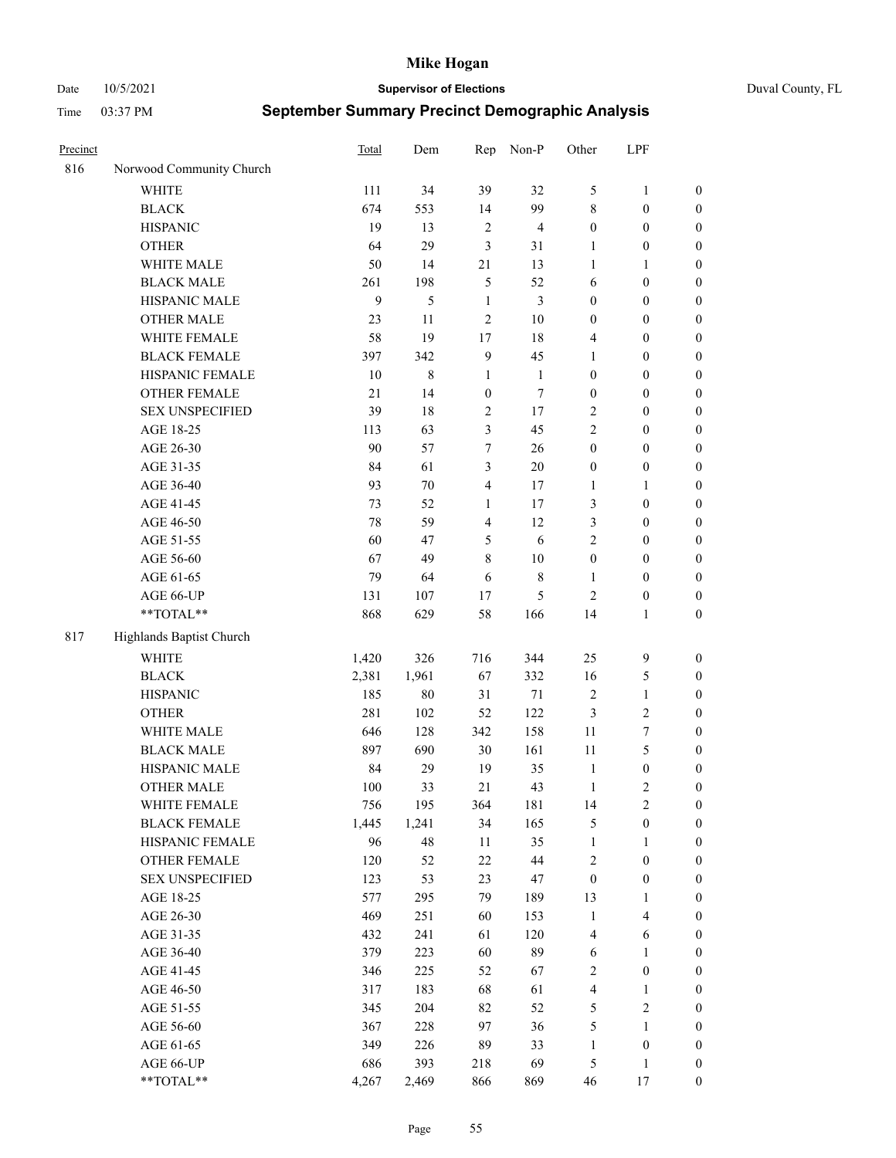Date 10/5/2021 **Supervisor of Elections** Duval County, FL

| Precinct |                                     | Total       | Dem         | Rep                     | Non-P          | Other                        | LPF                              |                                    |
|----------|-------------------------------------|-------------|-------------|-------------------------|----------------|------------------------------|----------------------------------|------------------------------------|
| 816      | Norwood Community Church            |             |             |                         |                |                              |                                  |                                    |
|          | <b>WHITE</b>                        | 111         | 34          | 39                      | 32             | 5                            | $\mathbf{1}$                     | 0                                  |
|          | <b>BLACK</b>                        | 674         | 553         | 14                      | 99             | 8                            | $\boldsymbol{0}$                 | $\boldsymbol{0}$                   |
|          | <b>HISPANIC</b>                     | 19          | 13          | $\sqrt{2}$              | $\overline{4}$ | $\boldsymbol{0}$             | $\boldsymbol{0}$                 | $\boldsymbol{0}$                   |
|          | <b>OTHER</b>                        | 64          | 29          | 3                       | 31             | 1                            | $\boldsymbol{0}$                 | $\boldsymbol{0}$                   |
|          | WHITE MALE                          | 50          | 14          | $21\,$                  | 13             | $\mathbf{1}$                 | 1                                | $\boldsymbol{0}$                   |
|          | <b>BLACK MALE</b>                   | 261         | 198         | 5                       | 52             | 6                            | $\boldsymbol{0}$                 | $\boldsymbol{0}$                   |
|          | HISPANIC MALE                       | 9           | 5           | $\mathbf{1}$            | 3              | $\boldsymbol{0}$             | $\boldsymbol{0}$                 | $\boldsymbol{0}$                   |
|          | <b>OTHER MALE</b>                   | 23          | 11          | $\mathfrak{2}$          | $10\,$         | $\boldsymbol{0}$             | $\boldsymbol{0}$                 | $\boldsymbol{0}$                   |
|          | WHITE FEMALE                        | 58          | 19          | 17                      | $18\,$         | 4                            | $\boldsymbol{0}$                 | $\boldsymbol{0}$                   |
|          | <b>BLACK FEMALE</b>                 | 397         | 342         | $\overline{9}$          | 45             | 1                            | $\boldsymbol{0}$                 | $\boldsymbol{0}$                   |
|          | HISPANIC FEMALE                     | 10          | 8           | $\mathbf{1}$            | $\mathbf{1}$   | $\boldsymbol{0}$             | $\boldsymbol{0}$                 | $\boldsymbol{0}$                   |
|          | OTHER FEMALE                        | 21          | 14          | $\boldsymbol{0}$        | $\tau$         | $\boldsymbol{0}$             | $\boldsymbol{0}$                 | $\boldsymbol{0}$                   |
|          | <b>SEX UNSPECIFIED</b>              | 39          | 18          | $\sqrt{2}$              | 17             | $\overline{2}$               | $\boldsymbol{0}$                 | $\boldsymbol{0}$                   |
|          | AGE 18-25                           | 113         | 63          | $\mathfrak{Z}$          | 45             | $\mathbf{2}$                 | $\boldsymbol{0}$                 | $\boldsymbol{0}$                   |
|          | AGE 26-30                           | 90          | 57          | 7                       | 26             | $\boldsymbol{0}$             | $\boldsymbol{0}$                 | $\boldsymbol{0}$                   |
|          | AGE 31-35                           | 84          | 61          | 3                       | 20             | $\boldsymbol{0}$             | $\boldsymbol{0}$                 | $\boldsymbol{0}$                   |
|          | AGE 36-40                           | 93          | $70\,$      | $\overline{4}$          | 17             | $\mathbf{1}$                 | $\mathbf{1}$                     | $\boldsymbol{0}$                   |
|          | AGE 41-45                           | 73          | 52          | $\mathbf{1}$            | 17             | 3                            | $\boldsymbol{0}$                 | $\boldsymbol{0}$                   |
|          | AGE 46-50                           | $78\,$      | 59          | $\overline{\mathbf{4}}$ | 12             | 3                            | $\boldsymbol{0}$                 | $\boldsymbol{0}$                   |
|          | AGE 51-55                           | 60          | 47          | 5                       | 6              | $\mathbf{2}$                 | $\boldsymbol{0}$                 | $\boldsymbol{0}$                   |
|          | AGE 56-60                           | 67          | 49          | $\,8\,$                 | 10             | $\boldsymbol{0}$             | $\boldsymbol{0}$                 | 0                                  |
|          | AGE 61-65                           | 79          | 64          | 6                       | $8\,$          | $\mathbf{1}$                 | $\boldsymbol{0}$                 | 0                                  |
|          | AGE 66-UP                           | 131         | 107         | 17                      | 5              | $\mathbf{2}$                 | $\boldsymbol{0}$                 | $\boldsymbol{0}$                   |
|          | **TOTAL**                           | 868         | 629         | 58                      | 166            | 14                           | $\mathbf{1}$                     | $\boldsymbol{0}$                   |
| 817      | Highlands Baptist Church            |             |             |                         |                |                              |                                  |                                    |
|          | <b>WHITE</b>                        |             | 326         | 716                     | 344            | 25                           | $\mathbf{9}$                     |                                    |
|          |                                     | 1,420       |             |                         |                |                              |                                  | $\boldsymbol{0}$                   |
|          | <b>BLACK</b>                        | 2,381       | 1,961       | 67                      | 332            | 16                           | $\mathfrak{S}$                   | $\boldsymbol{0}$                   |
|          | <b>HISPANIC</b>                     | 185         | $80\,$      | 31                      | $71\,$<br>122  | 2                            | $\mathbf{1}$                     | $\boldsymbol{0}$                   |
|          | <b>OTHER</b><br>WHITE MALE          | 281         | 102         | 52                      |                | 3                            | $\sqrt{2}$                       | $\boldsymbol{0}$                   |
|          |                                     | 646         | 128         | 342                     | 158            | $11\,$                       | $\boldsymbol{7}$<br>5            | $\boldsymbol{0}$                   |
|          | <b>BLACK MALE</b><br>HISPANIC MALE  | 897         | 690         | 30                      | 161            | 11                           |                                  | $\overline{0}$                     |
|          | <b>OTHER MALE</b>                   | 84<br>100   | 29<br>33    | 19<br>21                | 35<br>43       | $\mathbf{1}$<br>$\mathbf{1}$ | $\boldsymbol{0}$<br>$\mathbf{2}$ | $\boldsymbol{0}$                   |
|          |                                     |             |             |                         |                |                              |                                  | $\boldsymbol{0}$                   |
|          | WHITE FEMALE<br><b>BLACK FEMALE</b> | 756         | 195         | 364                     | 181            | 14                           | 2                                | 0                                  |
|          | HISPANIC FEMALE                     | 1,445<br>96 | 1,241<br>48 | 34<br>$11\,$            | 165<br>35      | 5<br>$\mathbf{1}$            | $\boldsymbol{0}$                 | $\boldsymbol{0}$<br>$\overline{0}$ |
|          | OTHER FEMALE                        | 120         | 52          | 22                      | 44             |                              | $\mathbf{1}$<br>$\boldsymbol{0}$ | $\overline{0}$                     |
|          | <b>SEX UNSPECIFIED</b>              | 123         | 53          | 23                      | 47             | 2<br>$\boldsymbol{0}$        | $\boldsymbol{0}$                 | 0                                  |
|          | AGE 18-25                           | 577         | 295         | 79                      | 189            | 13                           | $\mathbf{1}$                     | $\theta$                           |
|          | AGE 26-30                           | 469         | 251         | 60                      | 153            | $\mathbf{1}$                 | $\overline{\mathbf{4}}$          | 0                                  |
|          | AGE 31-35                           | 432         | 241         | 61                      | 120            | 4                            | 6                                | 0                                  |
|          | AGE 36-40                           | 379         | 223         | 60                      | 89             | 6                            | $\mathbf{1}$                     | 0                                  |
|          | AGE 41-45                           | 346         | 225         | 52                      | 67             | 2                            | $\boldsymbol{0}$                 | 0                                  |
|          |                                     |             | 183         | 68                      | 61             |                              |                                  |                                    |
|          | AGE 46-50<br>AGE 51-55              | 317<br>345  | 204         | 82                      | 52             | 4                            | $\mathbf{1}$<br>$\sqrt{2}$       | 0<br>0                             |
|          | AGE 56-60                           | 367         | 228         | 97                      | 36             | 5<br>5                       | 1                                | $\overline{0}$                     |
|          | AGE 61-65                           | 349         | 226         | 89                      | 33             | $\mathbf{1}$                 | $\boldsymbol{0}$                 | $\boldsymbol{0}$                   |
|          | AGE 66-UP                           | 686         | 393         | 218                     | 69             | 5                            | $\mathbf{1}$                     | $\boldsymbol{0}$                   |
|          | **TOTAL**                           | 4,267       | 2,469       | 866                     | 869            | 46                           | 17                               | $\boldsymbol{0}$                   |
|          |                                     |             |             |                         |                |                              |                                  |                                    |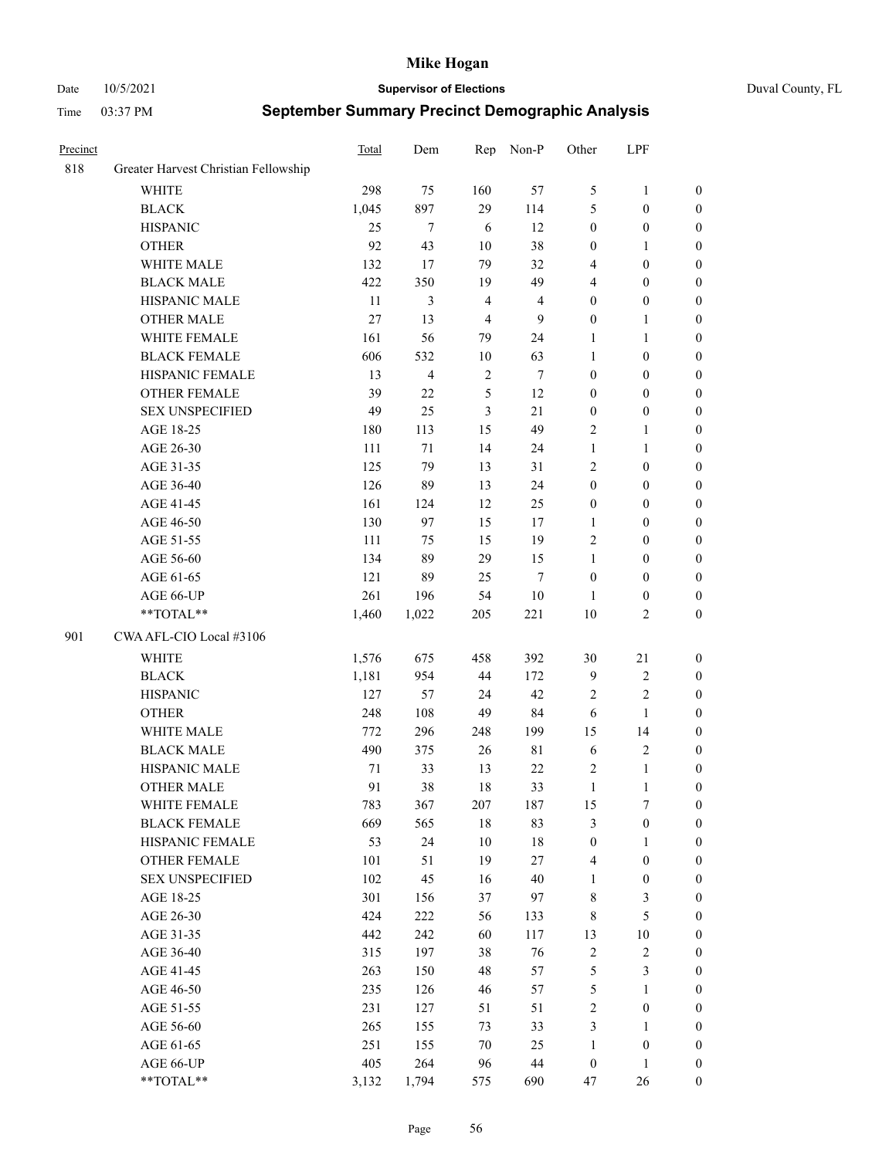Date 10/5/2021 **Supervisor of Elections** Duval County, FL

| Precinct |                                      | Total | Dem            | Rep            | Non-P            | Other            | LPF              |                  |
|----------|--------------------------------------|-------|----------------|----------------|------------------|------------------|------------------|------------------|
| 818      | Greater Harvest Christian Fellowship |       |                |                |                  |                  |                  |                  |
|          | <b>WHITE</b>                         | 298   | 75             | 160            | 57               | 5                | $\mathbf{1}$     | 0                |
|          | <b>BLACK</b>                         | 1,045 | 897            | 29             | 114              | 5                | $\boldsymbol{0}$ | 0                |
|          | <b>HISPANIC</b>                      | 25    | $\tau$         | 6              | 12               | $\boldsymbol{0}$ | $\boldsymbol{0}$ | $\boldsymbol{0}$ |
|          | <b>OTHER</b>                         | 92    | 43             | 10             | 38               | $\boldsymbol{0}$ | 1                | $\boldsymbol{0}$ |
|          | WHITE MALE                           | 132   | 17             | 79             | 32               | 4                | $\boldsymbol{0}$ | $\boldsymbol{0}$ |
|          | <b>BLACK MALE</b>                    | 422   | 350            | 19             | 49               | 4                | $\boldsymbol{0}$ | $\boldsymbol{0}$ |
|          | HISPANIC MALE                        | 11    | 3              | $\overline{4}$ | $\overline{4}$   | $\boldsymbol{0}$ | $\boldsymbol{0}$ | $\boldsymbol{0}$ |
|          | <b>OTHER MALE</b>                    | 27    | 13             | $\overline{4}$ | $\overline{9}$   | $\boldsymbol{0}$ | $\mathbf{1}$     | $\boldsymbol{0}$ |
|          | WHITE FEMALE                         | 161   | 56             | 79             | 24               | 1                | $\mathbf{1}$     | $\boldsymbol{0}$ |
|          | <b>BLACK FEMALE</b>                  | 606   | 532            | 10             | 63               | $\mathbf{1}$     | $\boldsymbol{0}$ | 0                |
|          | HISPANIC FEMALE                      | 13    | $\overline{4}$ | $\sqrt{2}$     | $\boldsymbol{7}$ | $\boldsymbol{0}$ | $\boldsymbol{0}$ | 0                |
|          | OTHER FEMALE                         | 39    | 22             | 5              | 12               | $\boldsymbol{0}$ | $\boldsymbol{0}$ | $\boldsymbol{0}$ |
|          | <b>SEX UNSPECIFIED</b>               | 49    | 25             | $\mathfrak{Z}$ | 21               | $\boldsymbol{0}$ | $\boldsymbol{0}$ | $\boldsymbol{0}$ |
|          | AGE 18-25                            | 180   | 113            | 15             | 49               | $\sqrt{2}$       | $\mathbf{1}$     | $\boldsymbol{0}$ |
|          | AGE 26-30                            | 111   | 71             | 14             | 24               | $\mathbf{1}$     | $\mathbf{1}$     | $\boldsymbol{0}$ |
|          | AGE 31-35                            | 125   | 79             | 13             | 31               | $\sqrt{2}$       | $\boldsymbol{0}$ | $\boldsymbol{0}$ |
|          | AGE 36-40                            | 126   | 89             | 13             | 24               | $\boldsymbol{0}$ | $\boldsymbol{0}$ | $\boldsymbol{0}$ |
|          | AGE 41-45                            | 161   | 124            | 12             | 25               | $\boldsymbol{0}$ | $\boldsymbol{0}$ | $\boldsymbol{0}$ |
|          | AGE 46-50                            | 130   | 97             | 15             | $17\,$           | 1                | $\boldsymbol{0}$ | $\boldsymbol{0}$ |
|          | AGE 51-55                            | 111   | 75             | 15             | 19               | $\sqrt{2}$       | $\boldsymbol{0}$ | $\boldsymbol{0}$ |
|          | AGE 56-60                            | 134   | 89             | 29             | 15               | $\mathbf{1}$     | $\boldsymbol{0}$ | 0                |
|          | AGE 61-65                            | 121   | 89             | 25             | $\tau$           | $\boldsymbol{0}$ | $\boldsymbol{0}$ | 0                |
|          | AGE 66-UP                            | 261   | 196            | 54             | $10\,$           | $\mathbf{1}$     | $\boldsymbol{0}$ | $\boldsymbol{0}$ |
|          | **TOTAL**                            | 1,460 | 1,022          | 205            | 221              | 10               | $\sqrt{2}$       | $\boldsymbol{0}$ |
| 901      | CWA AFL-CIO Local #3106              |       |                |                |                  |                  |                  |                  |
|          | <b>WHITE</b>                         | 1,576 | 675            | 458            | 392              | 30               | 21               | $\boldsymbol{0}$ |
|          | <b>BLACK</b>                         | 1,181 | 954            | 44             | 172              | $\overline{9}$   | $\sqrt{2}$       | $\boldsymbol{0}$ |
|          | <b>HISPANIC</b>                      | 127   | 57             | 24             | 42               | $\overline{c}$   | $\mathbf{2}$     | $\boldsymbol{0}$ |
|          | <b>OTHER</b>                         | 248   | 108            | 49             | 84               | 6                | $\mathbf{1}$     | $\boldsymbol{0}$ |
|          | WHITE MALE                           | 772   | 296            | 248            | 199              | 15               | 14               | $\boldsymbol{0}$ |
|          | <b>BLACK MALE</b>                    | 490   | 375            | 26             | $8\sqrt{1}$      | 6                | $\sqrt{2}$       | $\boldsymbol{0}$ |
|          | HISPANIC MALE                        | 71    | 33             | 13             | $22\,$           | $\overline{c}$   | $\mathbf{1}$     | 0                |
|          | <b>OTHER MALE</b>                    | 91    | 38             | 18             | 33               | $\mathbf{1}$     | $\mathbf{1}$     | $\boldsymbol{0}$ |
|          | WHITE FEMALE                         | 783   | 367            | 207            | 187              | 15               | 7                | 0                |
|          | <b>BLACK FEMALE</b>                  | 669   | 565            | 18             | 83               | 3                | $\boldsymbol{0}$ | $\boldsymbol{0}$ |
|          | HISPANIC FEMALE                      | 53    | 24             | 10             | $18\,$           | $\boldsymbol{0}$ | $\mathbf{1}$     | $\overline{0}$   |
|          | OTHER FEMALE                         | 101   | 51             | 19             | 27               | 4                | $\boldsymbol{0}$ | $\overline{0}$   |
|          | <b>SEX UNSPECIFIED</b>               | 102   | 45             | 16             | 40               | $\mathbf{1}$     | $\boldsymbol{0}$ | 0                |
|          | AGE 18-25                            | 301   | 156            | 37             | 97               | $\,$ 8 $\,$      | $\mathfrak{Z}$   | 0                |
|          | AGE 26-30                            | 424   | 222            | 56             | 133              | 8                | $\mathfrak{S}$   | 0                |
|          | AGE 31-35                            | 442   | 242            | 60             | 117              | 13               | $10\,$           | 0                |
|          | AGE 36-40                            | 315   | 197            | 38             | 76               | $\sqrt{2}$       | $\sqrt{2}$       | 0                |
|          | AGE 41-45                            | 263   | 150            | 48             | 57               | 5                | $\mathfrak{Z}$   | 0                |
|          | AGE 46-50                            | 235   | 126            | 46             | 57               | 5                | $\mathbf{1}$     | 0                |
|          | AGE 51-55                            | 231   | 127            | 51             | 51               | $\sqrt{2}$       | $\boldsymbol{0}$ | 0                |
|          | AGE 56-60                            | 265   | 155            | 73             | 33               | 3                | $\mathbf{1}$     | 0                |
|          | AGE 61-65                            | 251   | 155            | 70             | 25               | $\mathbf{1}$     | $\boldsymbol{0}$ | $\boldsymbol{0}$ |
|          | AGE 66-UP                            | 405   | 264            | 96             | 44               | $\boldsymbol{0}$ | $\mathbf{1}$     | $\boldsymbol{0}$ |
|          | **TOTAL**                            | 3,132 | 1,794          | 575            | 690              | 47               | 26               | $\boldsymbol{0}$ |
|          |                                      |       |                |                |                  |                  |                  |                  |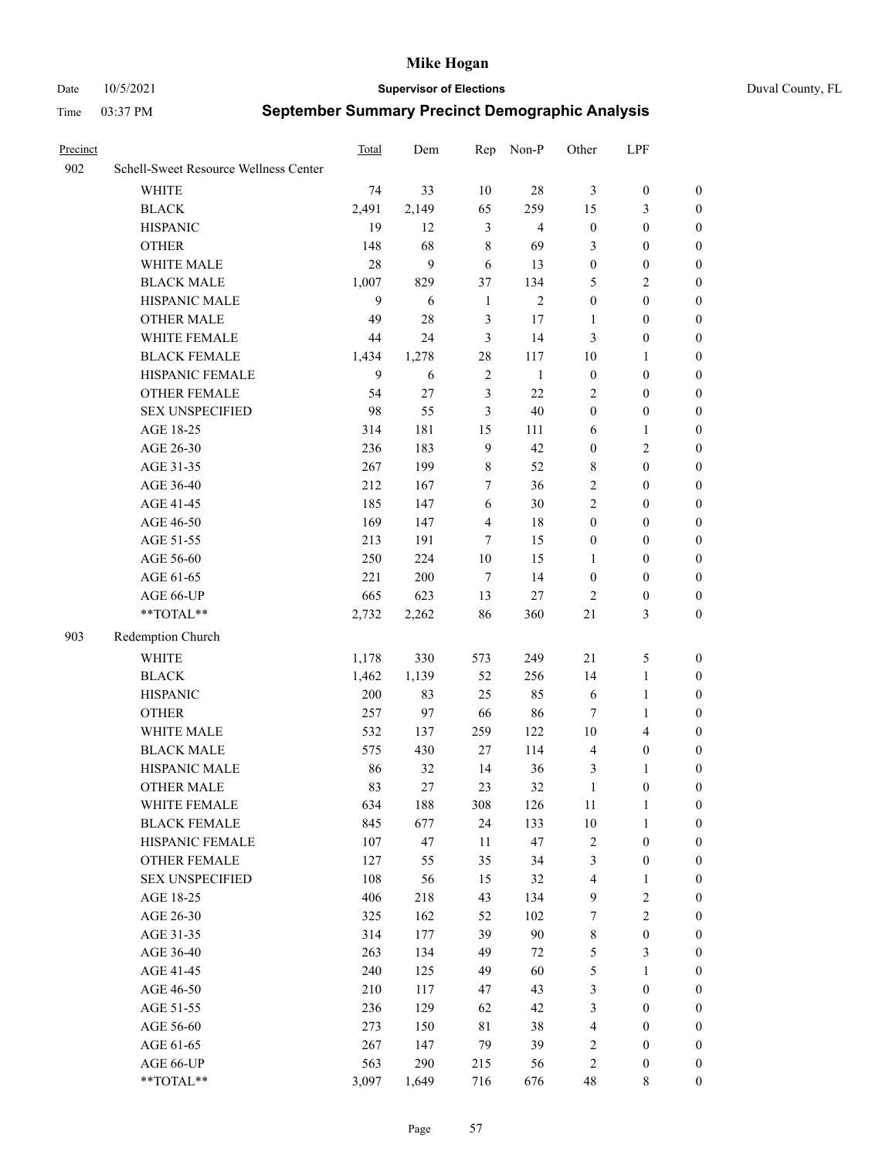Date 10/5/2021 **Supervisor of Elections** Duval County, FL

| Precinct |                                       | Total | Dem        | Rep             | Non-P          | Other               | LPF                                  |                                    |
|----------|---------------------------------------|-------|------------|-----------------|----------------|---------------------|--------------------------------------|------------------------------------|
| 902      | Schell-Sweet Resource Wellness Center |       |            |                 |                |                     |                                      |                                    |
|          | <b>WHITE</b>                          | 74    | 33         | 10              | $28\,$         | 3                   | $\boldsymbol{0}$                     | $\boldsymbol{0}$                   |
|          | <b>BLACK</b>                          | 2,491 | 2,149      | 65              | 259            | 15                  | $\mathfrak{Z}$                       | $\boldsymbol{0}$                   |
|          | <b>HISPANIC</b>                       | 19    | 12         | 3               | $\overline{4}$ | $\boldsymbol{0}$    | $\boldsymbol{0}$                     | $\boldsymbol{0}$                   |
|          | <b>OTHER</b>                          | 148   | 68         | $\,8\,$         | 69             | 3                   | $\boldsymbol{0}$                     | $\boldsymbol{0}$                   |
|          | WHITE MALE                            | 28    | 9          | 6               | 13             | $\boldsymbol{0}$    | $\boldsymbol{0}$                     | $\boldsymbol{0}$                   |
|          | <b>BLACK MALE</b>                     | 1,007 | 829        | 37              | 134            | 5                   | $\mathbf{2}$                         | $\boldsymbol{0}$                   |
|          | HISPANIC MALE                         | 9     | 6          | $\mathbf{1}$    | $\mathbf{2}$   | $\boldsymbol{0}$    | $\boldsymbol{0}$                     | $\boldsymbol{0}$                   |
|          | <b>OTHER MALE</b>                     | 49    | 28         | 3               | 17             | 1                   | $\boldsymbol{0}$                     | 0                                  |
|          | WHITE FEMALE                          | 44    | 24         | 3               | 14             | 3                   | $\boldsymbol{0}$                     | 0                                  |
|          | <b>BLACK FEMALE</b>                   | 1,434 | 1,278      | $28\,$          | 117            | 10                  | $\mathbf{1}$                         | $\boldsymbol{0}$                   |
|          | HISPANIC FEMALE                       | 9     | 6          | $\sqrt{2}$      | $\mathbf{1}$   | $\boldsymbol{0}$    | $\boldsymbol{0}$                     | $\boldsymbol{0}$                   |
|          | OTHER FEMALE                          | 54    | 27         | 3               | 22             | $\overline{c}$      | $\boldsymbol{0}$                     | $\boldsymbol{0}$                   |
|          | <b>SEX UNSPECIFIED</b>                | 98    | 55         | 3               | 40             | $\boldsymbol{0}$    | $\boldsymbol{0}$                     | $\boldsymbol{0}$                   |
|          | AGE 18-25                             | 314   | 181        | 15              | 111            | 6                   | $\mathbf{1}$                         | $\boldsymbol{0}$                   |
|          | AGE 26-30                             | 236   | 183        | 9               | 42             | $\boldsymbol{0}$    | $\sqrt{2}$                           | $\boldsymbol{0}$                   |
|          | AGE 31-35                             | 267   | 199        | $\,$ 8 $\,$     | 52             | 8                   | $\boldsymbol{0}$                     | $\boldsymbol{0}$                   |
|          | AGE 36-40                             | 212   | 167        | 7               | 36             | $\mathbf{2}$        | $\boldsymbol{0}$                     | $\boldsymbol{0}$                   |
|          | AGE 41-45                             | 185   | 147        | 6               | 30             | $\mathbf{2}$        | $\boldsymbol{0}$                     | 0                                  |
|          | AGE 46-50                             | 169   | 147        | $\overline{4}$  | 18             | $\boldsymbol{0}$    | $\boldsymbol{0}$                     | 0                                  |
|          | AGE 51-55                             | 213   | 191        | 7               | 15             | $\boldsymbol{0}$    | $\boldsymbol{0}$                     | $\boldsymbol{0}$                   |
|          | AGE 56-60                             | 250   | 224        | $10\,$          | 15             | 1                   | $\boldsymbol{0}$                     | $\boldsymbol{0}$                   |
|          | AGE 61-65                             | 221   | 200        | $7\phantom{.0}$ | 14             | $\boldsymbol{0}$    | $\boldsymbol{0}$                     | $\boldsymbol{0}$                   |
|          | AGE 66-UP                             | 665   | 623        | 13              | $27\,$         | $\overline{c}$      | $\boldsymbol{0}$                     | $\boldsymbol{0}$                   |
|          | $**TOTAL**$                           | 2,732 | 2,262      | 86              | 360            | $21\,$              | $\mathfrak{Z}$                       | $\boldsymbol{0}$                   |
| 903      | Redemption Church                     |       |            |                 |                |                     |                                      |                                    |
|          | <b>WHITE</b>                          | 1,178 | 330        | 573             | 249            | 21                  | $\mathfrak{S}$                       | $\boldsymbol{0}$                   |
|          | <b>BLACK</b>                          | 1,462 | 1,139      | 52              | 256            | 14                  | $\mathbf{1}$                         | $\boldsymbol{0}$                   |
|          | <b>HISPANIC</b>                       | 200   | 83         | 25              | 85             | 6                   | $\mathbf{1}$                         | $\boldsymbol{0}$                   |
|          | <b>OTHER</b>                          | 257   | 97         | 66              | 86             | $\tau$              | $\mathbf{1}$                         | $\boldsymbol{0}$                   |
|          | WHITE MALE                            | 532   |            | 259             | 122            | $10\,$              | $\overline{4}$                       |                                    |
|          | <b>BLACK MALE</b>                     | 575   | 137<br>430 | 27              | 114            | $\overline{4}$      | $\boldsymbol{0}$                     | 0<br>0                             |
|          | HISPANIC MALE                         | 86    | 32         | 14              | 36             | 3                   | 1                                    | 0                                  |
|          | <b>OTHER MALE</b>                     | 83    | 27         | 23              | 32             | $\mathbf{1}$        | $\boldsymbol{0}$                     | $\boldsymbol{0}$                   |
|          | WHITE FEMALE                          | 634   | 188        | 308             | 126            | 11                  | $\mathbf{1}$                         | $\boldsymbol{0}$                   |
|          | <b>BLACK FEMALE</b>                   | 845   | 677        | 24              | 133            | 10                  | $\mathbf{1}$                         | $\boldsymbol{0}$                   |
|          | HISPANIC FEMALE                       | 107   | 47         | 11              | 47             | $\sqrt{2}$          | $\boldsymbol{0}$                     | $\overline{0}$                     |
|          | <b>OTHER FEMALE</b>                   | 127   | 55         | 35              | 34             | 3                   | $\boldsymbol{0}$                     | $\theta$                           |
|          | <b>SEX UNSPECIFIED</b>                | 108   | 56         | 15              | 32             | $\overline{4}$      | $\mathbf{1}$                         | $\overline{0}$                     |
|          | AGE 18-25                             | 406   | 218        | 43              | 134            | $\mathbf{9}$        | $\sqrt{2}$                           | 0                                  |
|          | AGE 26-30                             | 325   | 162        | 52              | 102            | $\boldsymbol{7}$    | $\sqrt{2}$                           | 0                                  |
|          | AGE 31-35                             | 314   | 177        | 39              | 90             | $\,$ 8 $\,$         | $\boldsymbol{0}$                     | 0                                  |
|          | AGE 36-40                             | 263   | 134        | 49              | 72             | 5                   | $\mathfrak{Z}$                       | $\overline{0}$                     |
|          | AGE 41-45                             | 240   | 125        | 49              | 60             | 5                   | $\mathbf{1}$                         | $\overline{0}$                     |
|          |                                       | 210   |            | 47              | 43             |                     |                                      |                                    |
|          | AGE 46-50                             | 236   | 117<br>129 | 62              | 42             | 3                   | $\boldsymbol{0}$<br>$\boldsymbol{0}$ | $\boldsymbol{0}$<br>$\overline{0}$ |
|          | AGE 51-55<br>AGE 56-60                | 273   | 150        | 81              | 38             | 3<br>$\overline{4}$ | $\boldsymbol{0}$                     | $\overline{0}$                     |
|          | AGE 61-65                             | 267   | 147        | 79              | 39             | $\sqrt{2}$          | $\boldsymbol{0}$                     | $\overline{0}$                     |
|          | AGE 66-UP                             | 563   | 290        | 215             | 56             | $\sqrt{2}$          | $\boldsymbol{0}$                     | $\overline{0}$                     |
|          | **TOTAL**                             | 3,097 | 1,649      | 716             | 676            | 48                  | 8                                    | $\boldsymbol{0}$                   |
|          |                                       |       |            |                 |                |                     |                                      |                                    |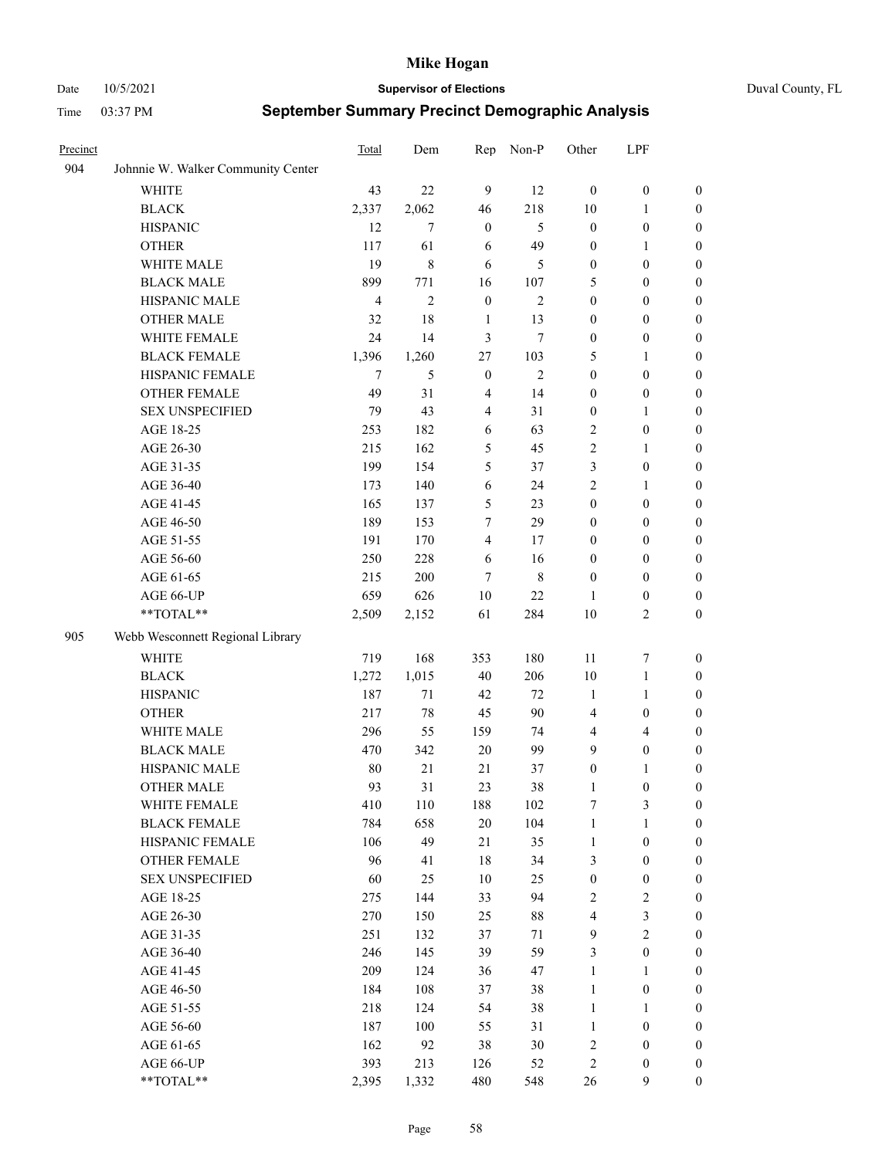Date 10/5/2021 **Supervisor of Elections** Duval County, FL

| Precinct |                                    | Total          | Dem            | Rep              | Non-P          | Other                   | LPF              |                  |
|----------|------------------------------------|----------------|----------------|------------------|----------------|-------------------------|------------------|------------------|
| 904      | Johnnie W. Walker Community Center |                |                |                  |                |                         |                  |                  |
|          | <b>WHITE</b>                       | 43             | 22             | 9                | 12             | $\mathbf{0}$            | $\boldsymbol{0}$ | 0                |
|          | <b>BLACK</b>                       | 2,337          | 2,062          | 46               | 218            | 10                      | $\mathbf{1}$     | $\boldsymbol{0}$ |
|          | <b>HISPANIC</b>                    | 12             | 7              | $\boldsymbol{0}$ | 5              | $\boldsymbol{0}$        | $\boldsymbol{0}$ | $\boldsymbol{0}$ |
|          | <b>OTHER</b>                       | 117            | 61             | 6                | 49             | $\boldsymbol{0}$        | $\mathbf{1}$     | $\boldsymbol{0}$ |
|          | WHITE MALE                         | 19             | 8              | 6                | 5              | $\boldsymbol{0}$        | $\boldsymbol{0}$ | $\boldsymbol{0}$ |
|          | <b>BLACK MALE</b>                  | 899            | 771            | 16               | 107            | 5                       | $\boldsymbol{0}$ | $\boldsymbol{0}$ |
|          | HISPANIC MALE                      | $\overline{4}$ | $\overline{2}$ | $\boldsymbol{0}$ | $\overline{c}$ | $\boldsymbol{0}$        | $\boldsymbol{0}$ | $\boldsymbol{0}$ |
|          | <b>OTHER MALE</b>                  | 32             | 18             | $\mathbf{1}$     | 13             | $\boldsymbol{0}$        | $\boldsymbol{0}$ | $\boldsymbol{0}$ |
|          | WHITE FEMALE                       | 24             | 14             | 3                | $\tau$         | $\boldsymbol{0}$        | $\boldsymbol{0}$ | $\boldsymbol{0}$ |
|          | <b>BLACK FEMALE</b>                | 1,396          | 1,260          | $27\,$           | 103            | 5                       | $\mathbf{1}$     | $\boldsymbol{0}$ |
|          | HISPANIC FEMALE                    | 7              | 5              | $\boldsymbol{0}$ | $\mathfrak{2}$ | $\boldsymbol{0}$        | $\boldsymbol{0}$ | 0                |
|          | <b>OTHER FEMALE</b>                | 49             | 31             | $\overline{4}$   | 14             | $\boldsymbol{0}$        | $\boldsymbol{0}$ | 0                |
|          | <b>SEX UNSPECIFIED</b>             | 79             | 43             | $\overline{4}$   | 31             | $\boldsymbol{0}$        | $\mathbf{1}$     | $\boldsymbol{0}$ |
|          | AGE 18-25                          | 253            | 182            | 6                | 63             | $\overline{c}$          | $\boldsymbol{0}$ | $\boldsymbol{0}$ |
|          | AGE 26-30                          | 215            | 162            | 5                | 45             | 2                       | $\mathbf{1}$     | $\boldsymbol{0}$ |
|          | AGE 31-35                          | 199            | 154            | 5                | 37             | 3                       | $\boldsymbol{0}$ | $\boldsymbol{0}$ |
|          | AGE 36-40                          | 173            | 140            | 6                | 24             | $\overline{c}$          | $\mathbf{1}$     | $\boldsymbol{0}$ |
|          | AGE 41-45                          | 165            | 137            | 5                | 23             | $\boldsymbol{0}$        | $\boldsymbol{0}$ | $\boldsymbol{0}$ |
|          | AGE 46-50                          | 189            | 153            | 7                | 29             | $\boldsymbol{0}$        | $\boldsymbol{0}$ | $\boldsymbol{0}$ |
|          | AGE 51-55                          | 191            | 170            | $\overline{4}$   | 17             | $\boldsymbol{0}$        | $\boldsymbol{0}$ | $\boldsymbol{0}$ |
|          | AGE 56-60                          | 250            | 228            | 6                | 16             | $\boldsymbol{0}$        | $\boldsymbol{0}$ | 0                |
|          | AGE 61-65                          | 215            | 200            | 7                | 8              | $\boldsymbol{0}$        | $\boldsymbol{0}$ | 0                |
|          | AGE 66-UP                          | 659            | 626            | 10               | 22             | 1                       | $\boldsymbol{0}$ | 0                |
|          | **TOTAL**                          | 2,509          | 2,152          | 61               | 284            | 10                      | $\sqrt{2}$       | $\boldsymbol{0}$ |
| 905      | Webb Wesconnett Regional Library   |                |                |                  |                |                         |                  |                  |
|          | <b>WHITE</b>                       | 719            | 168            | 353              | 180            | 11                      | $\boldsymbol{7}$ | $\boldsymbol{0}$ |
|          | <b>BLACK</b>                       | 1,272          | 1,015          | 40               | 206            | 10                      | $\mathbf{1}$     | $\boldsymbol{0}$ |
|          | <b>HISPANIC</b>                    | 187            | 71             | 42               | 72             | $\mathbf{1}$            | $\mathbf{1}$     | $\boldsymbol{0}$ |
|          | <b>OTHER</b>                       | 217            | 78             | 45               | 90             | 4                       | $\boldsymbol{0}$ | $\boldsymbol{0}$ |
|          | WHITE MALE                         | 296            | 55             | 159              | 74             | 4                       | $\overline{4}$   | $\boldsymbol{0}$ |
|          | <b>BLACK MALE</b>                  | 470            | 342            | $20\,$           | 99             | 9                       | $\boldsymbol{0}$ | $\boldsymbol{0}$ |
|          | HISPANIC MALE                      | 80             | 21             | 21               | 37             | $\boldsymbol{0}$        | 1                | $\boldsymbol{0}$ |
|          | <b>OTHER MALE</b>                  | 93             | 31             | 23               | 38             | 1                       | $\boldsymbol{0}$ | $\boldsymbol{0}$ |
|          | WHITE FEMALE                       | 410            | 110            | 188              | 102            | 7                       | 3                | 0                |
|          | <b>BLACK FEMALE</b>                | 784            | 658            | $20\,$           | 104            | $\mathbf{1}$            | $\mathbf{1}$     | $\boldsymbol{0}$ |
|          | HISPANIC FEMALE                    | 106            | 49             | 21               | 35             | $\mathbf{1}$            | $\boldsymbol{0}$ | $\overline{0}$   |
|          | OTHER FEMALE                       | 96             | 41             | $18\,$           | 34             | 3                       | $\boldsymbol{0}$ | $\overline{0}$   |
|          | <b>SEX UNSPECIFIED</b>             | 60             | 25             | 10               | 25             | $\boldsymbol{0}$        | $\boldsymbol{0}$ | 0                |
|          | AGE 18-25                          | 275            | 144            | 33               | 94             | 2                       | $\sqrt{2}$       | $\theta$         |
|          | AGE 26-30                          | 270            | 150            | 25               | $88\,$         | $\overline{\mathbf{4}}$ | $\mathfrak{Z}$   | 0                |
|          | AGE 31-35                          | 251            | 132            | 37               | $71\,$         | 9                       | $\overline{2}$   | 0                |
|          | AGE 36-40                          | 246            | 145            | 39               | 59             | 3                       | $\boldsymbol{0}$ | 0                |
|          | AGE 41-45                          | 209            | 124            | 36               | 47             | $\mathbf{1}$            | $\mathbf{1}$     | 0                |
|          | AGE 46-50                          | 184            | 108            | 37               | 38             | $\mathbf{1}$            | $\boldsymbol{0}$ | 0                |
|          | AGE 51-55                          | 218            | 124            | 54               | 38             | $\mathbf{1}$            | $\mathbf{1}$     | 0                |
|          | AGE 56-60                          | 187            | 100            | 55               | 31             | $\mathbf{1}$            | $\boldsymbol{0}$ | $\overline{0}$   |
|          | AGE 61-65                          | 162            | 92             | 38               | 30             | 2                       | $\boldsymbol{0}$ | $\overline{0}$   |
|          | AGE 66-UP                          | 393            | 213            | 126              | 52             | 2                       | $\boldsymbol{0}$ | $\boldsymbol{0}$ |
|          | **TOTAL**                          | 2,395          | 1,332          | 480              | 548            | 26                      | $\mathbf{9}$     | $\boldsymbol{0}$ |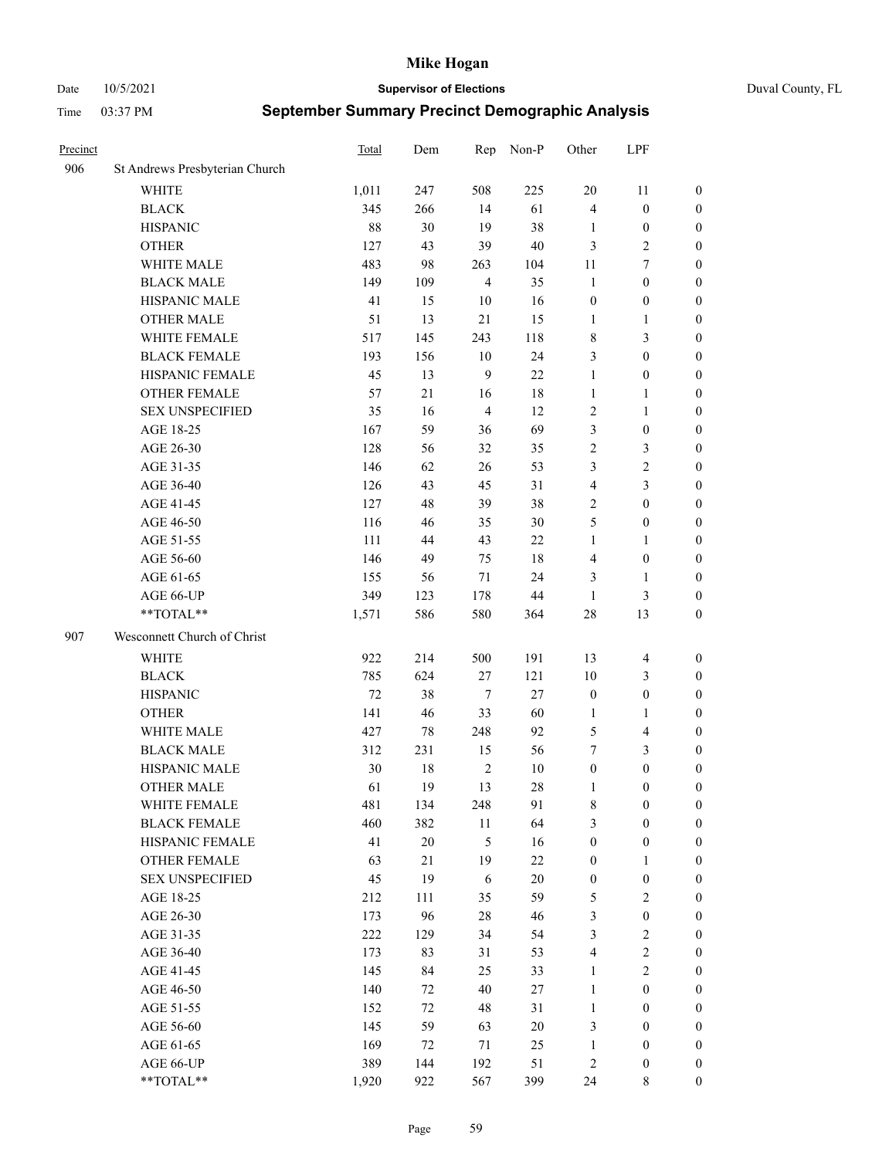#### Date 10/5/2021 **Supervisor of Elections** Duval County, FL

| Precinct |                                | Total | Dem    | Rep            | Non-P  | Other            | LPF                     |                  |
|----------|--------------------------------|-------|--------|----------------|--------|------------------|-------------------------|------------------|
| 906      | St Andrews Presbyterian Church |       |        |                |        |                  |                         |                  |
|          | <b>WHITE</b>                   | 1,011 | 247    | 508            | 225    | 20               | 11                      | 0                |
|          | <b>BLACK</b>                   | 345   | 266    | 14             | 61     | $\overline{4}$   | $\boldsymbol{0}$        | 0                |
|          | <b>HISPANIC</b>                | 88    | 30     | 19             | 38     | 1                | $\boldsymbol{0}$        | $\boldsymbol{0}$ |
|          | <b>OTHER</b>                   | 127   | 43     | 39             | 40     | 3                | $\sqrt{2}$              | $\boldsymbol{0}$ |
|          | WHITE MALE                     | 483   | 98     | 263            | 104    | 11               | $\tau$                  | $\boldsymbol{0}$ |
|          | <b>BLACK MALE</b>              | 149   | 109    | $\overline{4}$ | 35     | $\mathbf{1}$     | $\boldsymbol{0}$        | $\boldsymbol{0}$ |
|          | HISPANIC MALE                  | 41    | 15     | 10             | 16     | $\boldsymbol{0}$ | $\boldsymbol{0}$        | $\boldsymbol{0}$ |
|          | <b>OTHER MALE</b>              | 51    | 13     | 21             | 15     | $\mathbf{1}$     | $\mathbf{1}$            | $\boldsymbol{0}$ |
|          | WHITE FEMALE                   | 517   | 145    | 243            | 118    | 8                | $\mathfrak{Z}$          | $\boldsymbol{0}$ |
|          | <b>BLACK FEMALE</b>            | 193   | 156    | $10\,$         | 24     | 3                | $\boldsymbol{0}$        | 0                |
|          | HISPANIC FEMALE                | 45    | 13     | 9              | 22     | $\mathbf{1}$     | $\boldsymbol{0}$        | 0                |
|          | OTHER FEMALE                   | 57    | 21     | 16             | $18\,$ | $\mathbf{1}$     | $\mathbf{1}$            | 0                |
|          | <b>SEX UNSPECIFIED</b>         | 35    | 16     | $\overline{4}$ | 12     | $\sqrt{2}$       | $\mathbf{1}$            | $\boldsymbol{0}$ |
|          | AGE 18-25                      | 167   | 59     | 36             | 69     | 3                | $\boldsymbol{0}$        | $\boldsymbol{0}$ |
|          | AGE 26-30                      | 128   | 56     | 32             | 35     | 2                | $\mathfrak{Z}$          | $\boldsymbol{0}$ |
|          | AGE 31-35                      | 146   | 62     | 26             | 53     | 3                | $\sqrt{2}$              | $\boldsymbol{0}$ |
|          | AGE 36-40                      | 126   | 43     | 45             | 31     | 4                | $\mathfrak{Z}$          | $\boldsymbol{0}$ |
|          | AGE 41-45                      | 127   | 48     | 39             | 38     | $\mathbf{2}$     | $\boldsymbol{0}$        | $\boldsymbol{0}$ |
|          | AGE 46-50                      | 116   | 46     | 35             | 30     | 5                | $\boldsymbol{0}$        | $\boldsymbol{0}$ |
|          | AGE 51-55                      | 111   | 44     | 43             | $22\,$ | $\mathbf{1}$     | $\mathbf{1}$            | $\boldsymbol{0}$ |
|          | AGE 56-60                      | 146   | 49     | 75             | 18     | $\overline{4}$   | $\boldsymbol{0}$        | 0                |
|          | AGE 61-65                      | 155   | 56     | $71\,$         | 24     | 3                | $\mathbf{1}$            | 0                |
|          | AGE 66-UP                      | 349   | 123    | 178            | $44\,$ | $\mathbf{1}$     | $\mathfrak{Z}$          | $\boldsymbol{0}$ |
|          | $**TOTAL**$                    | 1,571 | 586    | 580            | 364    | 28               | 13                      | $\boldsymbol{0}$ |
| 907      | Wesconnett Church of Christ    |       |        |                |        |                  |                         |                  |
|          | <b>WHITE</b>                   | 922   | 214    | 500            | 191    | 13               | $\overline{\mathbf{4}}$ | $\boldsymbol{0}$ |
|          | <b>BLACK</b>                   | 785   | 624    | $27\,$         | 121    | 10               | $\mathfrak{Z}$          | $\boldsymbol{0}$ |
|          | <b>HISPANIC</b>                | 72    | 38     | $\tau$         | 27     | $\boldsymbol{0}$ | $\boldsymbol{0}$        | $\boldsymbol{0}$ |
|          | <b>OTHER</b>                   | 141   | 46     | 33             | 60     | $\mathbf{1}$     | $\mathbf{1}$            | $\boldsymbol{0}$ |
|          | WHITE MALE                     | 427   | 78     | 248            | 92     | 5                | $\overline{\mathbf{4}}$ | $\boldsymbol{0}$ |
|          | <b>BLACK MALE</b>              | 312   | 231    | 15             | 56     | 7                | 3                       | $\boldsymbol{0}$ |
|          | HISPANIC MALE                  | 30    | 18     | $\sqrt{2}$     | 10     | $\boldsymbol{0}$ | $\boldsymbol{0}$        | $\boldsymbol{0}$ |
|          | <b>OTHER MALE</b>              | 61    | 19     | 13             | 28     | 1                | $\boldsymbol{0}$        | $\boldsymbol{0}$ |
|          | WHITE FEMALE                   | 481   | 134    | 248            | 91     | 8                | $\boldsymbol{0}$        | 0                |
|          | <b>BLACK FEMALE</b>            | 460   | 382    | 11             | 64     | 3                | $\boldsymbol{0}$        | $\boldsymbol{0}$ |
|          | HISPANIC FEMALE                | 41    | $20\,$ | 5              | 16     | $\boldsymbol{0}$ | $\boldsymbol{0}$        | $\overline{0}$   |
|          | <b>OTHER FEMALE</b>            | 63    | 21     | 19             | $22\,$ | $\boldsymbol{0}$ | $\mathbf{1}$            | $\overline{0}$   |
|          | <b>SEX UNSPECIFIED</b>         | 45    | 19     | 6              | 20     | $\boldsymbol{0}$ | $\boldsymbol{0}$        | 0                |
|          | AGE 18-25                      | 212   | 111    | 35             | 59     | 5                | $\sqrt{2}$              | $\theta$         |
|          | AGE 26-30                      | 173   | 96     | $28\,$         | 46     | 3                | $\boldsymbol{0}$        | 0                |
|          | AGE 31-35                      | 222   | 129    | 34             | 54     | 3                | $\sqrt{2}$              | 0                |
|          | AGE 36-40                      | 173   | 83     | 31             | 53     | 4                | $\sqrt{2}$              | 0                |
|          | AGE 41-45                      | 145   | 84     | 25             | 33     | $\mathbf{1}$     | $\overline{2}$          | 0                |
|          | AGE 46-50                      | 140   | 72     | 40             | 27     | $\mathbf{1}$     | $\boldsymbol{0}$        | 0                |
|          | AGE 51-55                      | 152   | 72     | 48             | 31     | $\mathbf{1}$     | $\boldsymbol{0}$        | $\overline{0}$   |
|          | AGE 56-60                      | 145   | 59     | 63             | $20\,$ | 3                | $\boldsymbol{0}$        | $\overline{0}$   |
|          | AGE 61-65                      | 169   | 72     | 71             | 25     | $\mathbf{1}$     | $\boldsymbol{0}$        | $\overline{0}$   |
|          | AGE 66-UP                      | 389   | 144    | 192            | 51     | $\overline{c}$   | $\boldsymbol{0}$        | $\boldsymbol{0}$ |
|          | **TOTAL**                      | 1,920 | 922    | 567            | 399    | 24               | 8                       | $\boldsymbol{0}$ |
|          |                                |       |        |                |        |                  |                         |                  |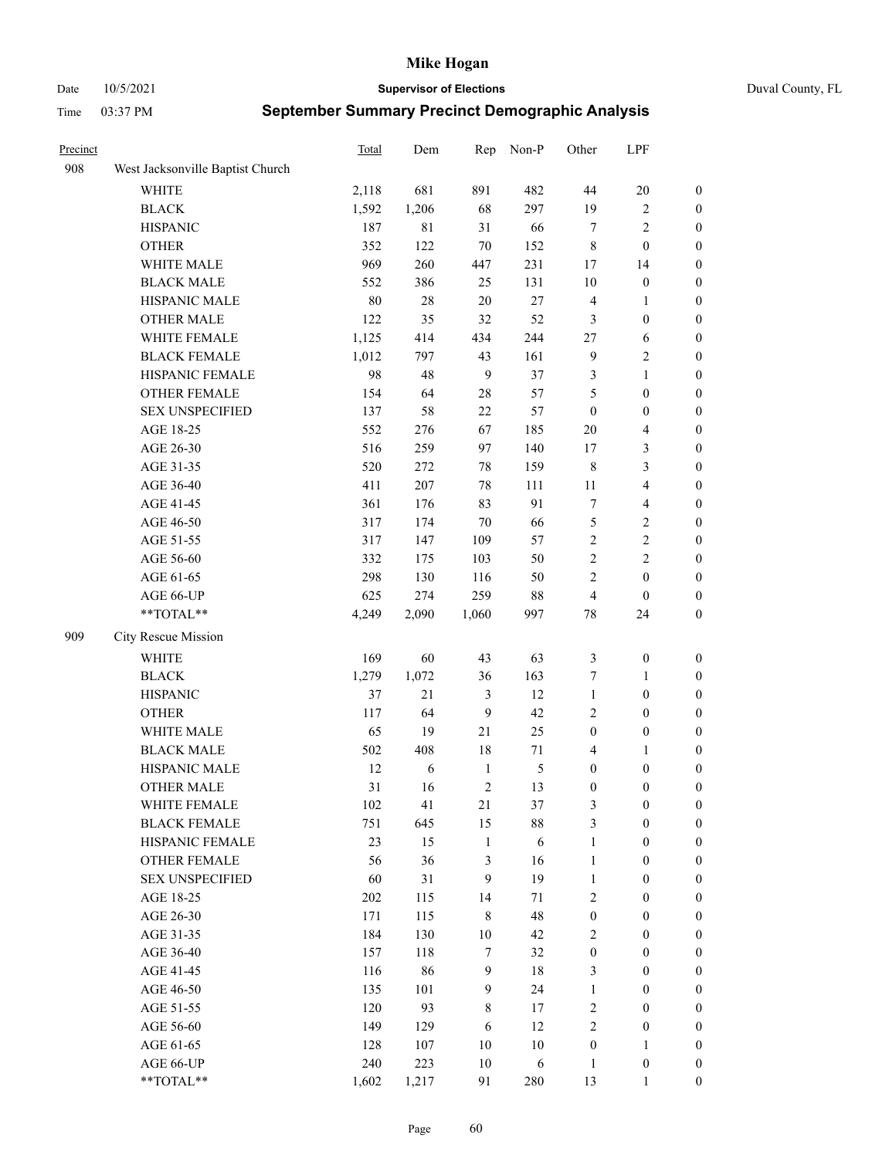Date 10/5/2021 **Supervisor of Elections** Duval County, FL

| Precinct |                                  | Total | Dem   | Rep            | Non-P         | Other            | LPF                     |                  |
|----------|----------------------------------|-------|-------|----------------|---------------|------------------|-------------------------|------------------|
| 908      | West Jacksonville Baptist Church |       |       |                |               |                  |                         |                  |
|          | <b>WHITE</b>                     | 2,118 | 681   | 891            | 482           | 44               | $20\,$                  | $\boldsymbol{0}$ |
|          | <b>BLACK</b>                     | 1,592 | 1,206 | 68             | 297           | 19               | $\sqrt{2}$              | $\boldsymbol{0}$ |
|          | <b>HISPANIC</b>                  | 187   | 81    | 31             | 66            | $\tau$           | $\sqrt{2}$              | $\boldsymbol{0}$ |
|          | <b>OTHER</b>                     | 352   | 122   | $70\,$         | 152           | $\,$ 8 $\,$      | $\boldsymbol{0}$        | $\boldsymbol{0}$ |
|          | WHITE MALE                       | 969   | 260   | 447            | 231           | 17               | 14                      | $\boldsymbol{0}$ |
|          | <b>BLACK MALE</b>                | 552   | 386   | 25             | 131           | 10               | $\boldsymbol{0}$        | $\boldsymbol{0}$ |
|          | HISPANIC MALE                    | 80    | 28    | $20\,$         | 27            | $\overline{4}$   | $\mathbf{1}$            | $\boldsymbol{0}$ |
|          | <b>OTHER MALE</b>                | 122   | 35    | 32             | 52            | 3                | $\boldsymbol{0}$        | $\boldsymbol{0}$ |
|          | WHITE FEMALE                     | 1,125 | 414   | 434            | 244           | 27               | 6                       | $\boldsymbol{0}$ |
|          | <b>BLACK FEMALE</b>              | 1,012 | 797   | 43             | 161           | $\overline{9}$   | $\sqrt{2}$              | 0                |
|          | HISPANIC FEMALE                  | 98    | 48    | 9              | 37            | 3                | $\mathbf{1}$            | 0                |
|          | <b>OTHER FEMALE</b>              | 154   | 64    | $28\,$         | 57            | 5                | $\boldsymbol{0}$        | $\boldsymbol{0}$ |
|          | <b>SEX UNSPECIFIED</b>           | 137   | 58    | 22             | 57            | $\boldsymbol{0}$ | $\boldsymbol{0}$        | $\boldsymbol{0}$ |
|          | AGE 18-25                        | 552   | 276   | 67             | 185           | $20\,$           | $\overline{4}$          | $\boldsymbol{0}$ |
|          | AGE 26-30                        | 516   | 259   | 97             | 140           | $17$             | $\mathfrak{Z}$          | $\boldsymbol{0}$ |
|          | AGE 31-35                        | 520   | 272   | 78             | 159           | $\,$ 8 $\,$      | $\mathfrak{Z}$          | $\boldsymbol{0}$ |
|          | AGE 36-40                        | 411   | 207   | 78             | 111           | $11\,$           | $\overline{4}$          | $\boldsymbol{0}$ |
|          | AGE 41-45                        | 361   | 176   | 83             | 91            | $\tau$           | $\overline{\mathbf{4}}$ | $\boldsymbol{0}$ |
|          | AGE 46-50                        | 317   | 174   | $70\,$         | 66            | 5                | $\sqrt{2}$              | $\boldsymbol{0}$ |
|          | AGE 51-55                        | 317   | 147   | 109            | 57            | $\sqrt{2}$       | $\sqrt{2}$              | $\boldsymbol{0}$ |
|          | AGE 56-60                        | 332   | 175   | 103            | 50            | $\sqrt{2}$       | $\sqrt{2}$              | 0                |
|          | AGE 61-65                        | 298   | 130   | 116            | 50            | $\overline{c}$   | $\boldsymbol{0}$        | 0                |
|          | AGE 66-UP                        | 625   | 274   | 259            | $88\,$        | $\overline{4}$   | $\boldsymbol{0}$        | $\boldsymbol{0}$ |
|          | $**TOTAL**$                      | 4,249 | 2,090 | 1,060          | 997           | 78               | 24                      | $\boldsymbol{0}$ |
| 909      | City Rescue Mission              |       |       |                |               |                  |                         |                  |
|          | <b>WHITE</b>                     | 169   | 60    | 43             | 63            | 3                | $\boldsymbol{0}$        | $\boldsymbol{0}$ |
|          | <b>BLACK</b>                     | 1,279 | 1,072 | 36             | 163           | 7                | $\mathbf{1}$            | $\boldsymbol{0}$ |
|          | <b>HISPANIC</b>                  | 37    | 21    | $\mathfrak{Z}$ | 12            | $\mathbf{1}$     | $\boldsymbol{0}$        | $\boldsymbol{0}$ |
|          | <b>OTHER</b>                     | 117   | 64    | 9              | 42            | $\overline{c}$   | $\boldsymbol{0}$        | $\boldsymbol{0}$ |
|          | WHITE MALE                       | 65    | 19    | $21\,$         | 25            | $\boldsymbol{0}$ | $\boldsymbol{0}$        | $\boldsymbol{0}$ |
|          | <b>BLACK MALE</b>                | 502   | 408   | 18             | 71            | 4                | $\mathbf{1}$            | $\boldsymbol{0}$ |
|          | HISPANIC MALE                    | 12    | 6     | $\mathbf{1}$   | $\mathfrak s$ | $\boldsymbol{0}$ | $\boldsymbol{0}$        | 0                |
|          | <b>OTHER MALE</b>                | 31    | 16    | $\overline{2}$ | 13            | $\boldsymbol{0}$ | $\boldsymbol{0}$        | $\boldsymbol{0}$ |
|          | WHITE FEMALE                     | 102   | 41    | 21             | 37            | 3                | $\boldsymbol{0}$        | 0                |
|          | <b>BLACK FEMALE</b>              | 751   | 645   | 15             | 88            | 3                | $\boldsymbol{0}$        | $\boldsymbol{0}$ |
|          | HISPANIC FEMALE                  | 23    | 15    | $\mathbf{1}$   | 6             | $\mathbf{1}$     | $\boldsymbol{0}$        | $\overline{0}$   |
|          | OTHER FEMALE                     | 56    | 36    | $\mathfrak{Z}$ | 16            | $\mathbf{1}$     | $\boldsymbol{0}$        | $\overline{0}$   |
|          | <b>SEX UNSPECIFIED</b>           | 60    | 31    | 9              | 19            | $\mathbf{1}$     | $\boldsymbol{0}$        | $\overline{0}$   |
|          | AGE 18-25                        | 202   | 115   | 14             | 71            | $\overline{c}$   | $\boldsymbol{0}$        | $\overline{0}$   |
|          | AGE 26-30                        | 171   | 115   | $\,$ 8 $\,$    | 48            | $\boldsymbol{0}$ | $\boldsymbol{0}$        | 0                |
|          | AGE 31-35                        | 184   | 130   | $10\,$         | 42            | $\mathbf{2}$     | $\boldsymbol{0}$        | 0                |
|          | AGE 36-40                        | 157   | 118   | $\tau$         | 32            | $\boldsymbol{0}$ | $\boldsymbol{0}$        | 0                |
|          | AGE 41-45                        | 116   | 86    | $\overline{9}$ | 18            | 3                | $\boldsymbol{0}$        | 0                |
|          | AGE 46-50                        | 135   | 101   | 9              | 24            | $\mathbf{1}$     | $\boldsymbol{0}$        | 0                |
|          | AGE 51-55                        | 120   | 93    | $\,$ 8 $\,$    | 17            | $\sqrt{2}$       | $\boldsymbol{0}$        | $\boldsymbol{0}$ |
|          | AGE 56-60                        | 149   | 129   | 6              | 12            | $\mathfrak{2}$   | $\boldsymbol{0}$        | $\boldsymbol{0}$ |
|          | AGE 61-65                        | 128   | 107   | 10             | 10            | $\boldsymbol{0}$ | $\mathbf{1}$            | $\overline{0}$   |
|          | AGE 66-UP                        | 240   | 223   | $10\,$         | 6             | $\mathbf{1}$     | $\boldsymbol{0}$        | $\boldsymbol{0}$ |
|          | **TOTAL**                        | 1,602 | 1,217 | 91             | 280           | 13               | $\mathbf{1}$            | $\boldsymbol{0}$ |
|          |                                  |       |       |                |               |                  |                         |                  |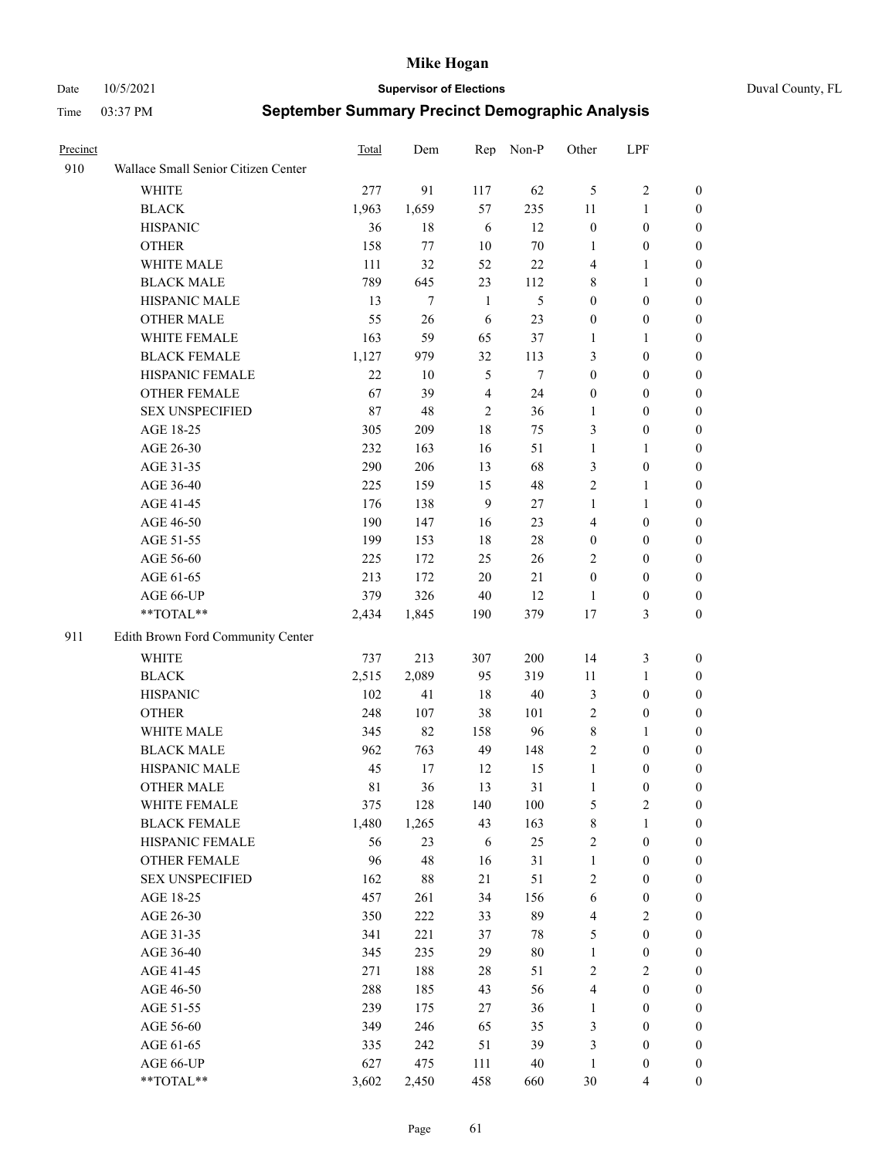Date 10/5/2021 **Supervisor of Elections** Duval County, FL

| Precinct |                                     | <b>Total</b> | Dem    | Rep            | Non-P  | Other            | LPF              |                  |
|----------|-------------------------------------|--------------|--------|----------------|--------|------------------|------------------|------------------|
| 910      | Wallace Small Senior Citizen Center |              |        |                |        |                  |                  |                  |
|          | <b>WHITE</b>                        | 277          | 91     | 117            | 62     | 5                | $\sqrt{2}$       | 0                |
|          | <b>BLACK</b>                        | 1,963        | 1,659  | 57             | 235    | 11               | $\mathbf{1}$     | 0                |
|          | <b>HISPANIC</b>                     | 36           | 18     | 6              | 12     | $\boldsymbol{0}$ | $\boldsymbol{0}$ | 0                |
|          | <b>OTHER</b>                        | 158          | 77     | 10             | $70\,$ | 1                | $\boldsymbol{0}$ | $\boldsymbol{0}$ |
|          | WHITE MALE                          | 111          | 32     | 52             | $22\,$ | 4                | $\mathbf{1}$     | $\boldsymbol{0}$ |
|          | <b>BLACK MALE</b>                   | 789          | 645    | 23             | 112    | 8                | $\mathbf{1}$     | $\boldsymbol{0}$ |
|          | HISPANIC MALE                       | 13           | $\tau$ | $\mathbf{1}$   | 5      | $\boldsymbol{0}$ | $\boldsymbol{0}$ | $\boldsymbol{0}$ |
|          | <b>OTHER MALE</b>                   | 55           | 26     | 6              | 23     | $\boldsymbol{0}$ | $\boldsymbol{0}$ | $\boldsymbol{0}$ |
|          | WHITE FEMALE                        | 163          | 59     | 65             | 37     | 1                | $\mathbf{1}$     | $\boldsymbol{0}$ |
|          | <b>BLACK FEMALE</b>                 | 1,127        | 979    | 32             | 113    | 3                | $\boldsymbol{0}$ | 0                |
|          | HISPANIC FEMALE                     | 22           | 10     | $\mathfrak{H}$ | $\tau$ | $\boldsymbol{0}$ | $\boldsymbol{0}$ | 0                |
|          | <b>OTHER FEMALE</b>                 | 67           | 39     | $\overline{4}$ | 24     | $\boldsymbol{0}$ | $\boldsymbol{0}$ | 0                |
|          | <b>SEX UNSPECIFIED</b>              | 87           | 48     | $\mathbf{2}$   | 36     | $\mathbf{1}$     | $\boldsymbol{0}$ | $\boldsymbol{0}$ |
|          | AGE 18-25                           | 305          | 209    | $18\,$         | 75     | 3                | $\boldsymbol{0}$ | $\boldsymbol{0}$ |
|          | AGE 26-30                           | 232          | 163    | 16             | 51     | $\mathbf{1}$     | $\mathbf{1}$     | $\boldsymbol{0}$ |
|          | AGE 31-35                           | 290          | 206    | 13             | 68     | 3                | $\boldsymbol{0}$ | $\boldsymbol{0}$ |
|          | AGE 36-40                           | 225          | 159    | 15             | 48     | $\mathfrak{2}$   | $\mathbf{1}$     | $\boldsymbol{0}$ |
|          | AGE 41-45                           | 176          | 138    | 9              | 27     | $\mathbf{1}$     | $\mathbf{1}$     | $\boldsymbol{0}$ |
|          | AGE 46-50                           | 190          | 147    | 16             | 23     | 4                | $\boldsymbol{0}$ | $\boldsymbol{0}$ |
|          | AGE 51-55                           | 199          | 153    | $18\,$         | $28\,$ | $\boldsymbol{0}$ | $\boldsymbol{0}$ | $\boldsymbol{0}$ |
|          | AGE 56-60                           | 225          | 172    | 25             | 26     | $\overline{2}$   | $\boldsymbol{0}$ | 0                |
|          | AGE 61-65                           | 213          | 172    | 20             | 21     | $\boldsymbol{0}$ | $\boldsymbol{0}$ | 0                |
|          | AGE 66-UP                           | 379          | 326    | 40             | 12     | $\mathbf{1}$     | $\boldsymbol{0}$ | 0                |
|          | $**TOTAL**$                         | 2,434        | 1,845  | 190            | 379    | 17               | $\mathfrak{Z}$   | $\boldsymbol{0}$ |
| 911      | Edith Brown Ford Community Center   |              |        |                |        |                  |                  |                  |
|          | <b>WHITE</b>                        | 737          | 213    | 307            | 200    | 14               | $\mathfrak{Z}$   | $\boldsymbol{0}$ |
|          | <b>BLACK</b>                        | 2,515        | 2,089  | 95             | 319    | $11\,$           | $\mathbf{1}$     | $\boldsymbol{0}$ |
|          | <b>HISPANIC</b>                     | 102          | 41     | 18             | 40     | 3                | $\boldsymbol{0}$ | $\boldsymbol{0}$ |
|          | <b>OTHER</b>                        | 248          | 107    | 38             | 101    | $\overline{c}$   | $\boldsymbol{0}$ | $\boldsymbol{0}$ |
|          | WHITE MALE                          | 345          | 82     | 158            | 96     | 8                | $\mathbf{1}$     | $\boldsymbol{0}$ |
|          | <b>BLACK MALE</b>                   | 962          | 763    | 49             | 148    | $\overline{c}$   | $\boldsymbol{0}$ | $\boldsymbol{0}$ |
|          | HISPANIC MALE                       | 45           | 17     | 12             | 15     | $\mathbf{1}$     | $\boldsymbol{0}$ | 0                |
|          | <b>OTHER MALE</b>                   | 81           | 36     | 13             | 31     | $\mathbf{1}$     | $\boldsymbol{0}$ | 0                |
|          | WHITE FEMALE                        | 375          | 128    | 140            | 100    | 5                | 2                | 0                |
|          | <b>BLACK FEMALE</b>                 | 1,480        | 1,265  | 43             | 163    | $\,$ 8 $\,$      | $\mathbf{1}$     | $\boldsymbol{0}$ |
|          | HISPANIC FEMALE                     | 56           | 23     | 6              | 25     | $\sqrt{2}$       | $\boldsymbol{0}$ | $\overline{0}$   |
|          | <b>OTHER FEMALE</b>                 | 96           | 48     | 16             | 31     | $\mathbf{1}$     | $\boldsymbol{0}$ | $\overline{0}$   |
|          | <b>SEX UNSPECIFIED</b>              | 162          | 88     | 21             | 51     | 2                | $\boldsymbol{0}$ | $\overline{0}$   |
|          | AGE 18-25                           | 457          | 261    | 34             | 156    | 6                | $\boldsymbol{0}$ | $\overline{0}$   |
|          | AGE 26-30                           | 350          | 222    | 33             | 89     | 4                | $\overline{2}$   | 0                |
|          | AGE 31-35                           | 341          | 221    | 37             | 78     | 5                | $\boldsymbol{0}$ | 0                |
|          | AGE 36-40                           | 345          | 235    | 29             | $80\,$ | $\mathbf{1}$     | $\boldsymbol{0}$ | 0                |
|          | AGE 41-45                           | 271          | 188    | 28             | 51     | $\mathbf{2}$     | $\mathbf{2}$     | 0                |
|          | AGE 46-50                           | 288          | 185    | 43             | 56     | 4                | $\boldsymbol{0}$ | 0                |
|          | AGE 51-55                           | 239          | 175    | 27             | 36     | $\mathbf{1}$     | $\boldsymbol{0}$ | $\boldsymbol{0}$ |
|          | AGE 56-60                           | 349          | 246    | 65             | 35     | 3                | $\boldsymbol{0}$ | $\boldsymbol{0}$ |
|          | AGE 61-65                           | 335          | 242    | 51             | 39     | 3                | $\boldsymbol{0}$ | $\overline{0}$   |
|          | AGE 66-UP                           | 627          | 475    | 111            | 40     | $\mathbf{1}$     | $\boldsymbol{0}$ | 0                |
|          | **TOTAL**                           | 3,602        | 2,450  | 458            | 660    | 30               | $\overline{4}$   | $\boldsymbol{0}$ |
|          |                                     |              |        |                |        |                  |                  |                  |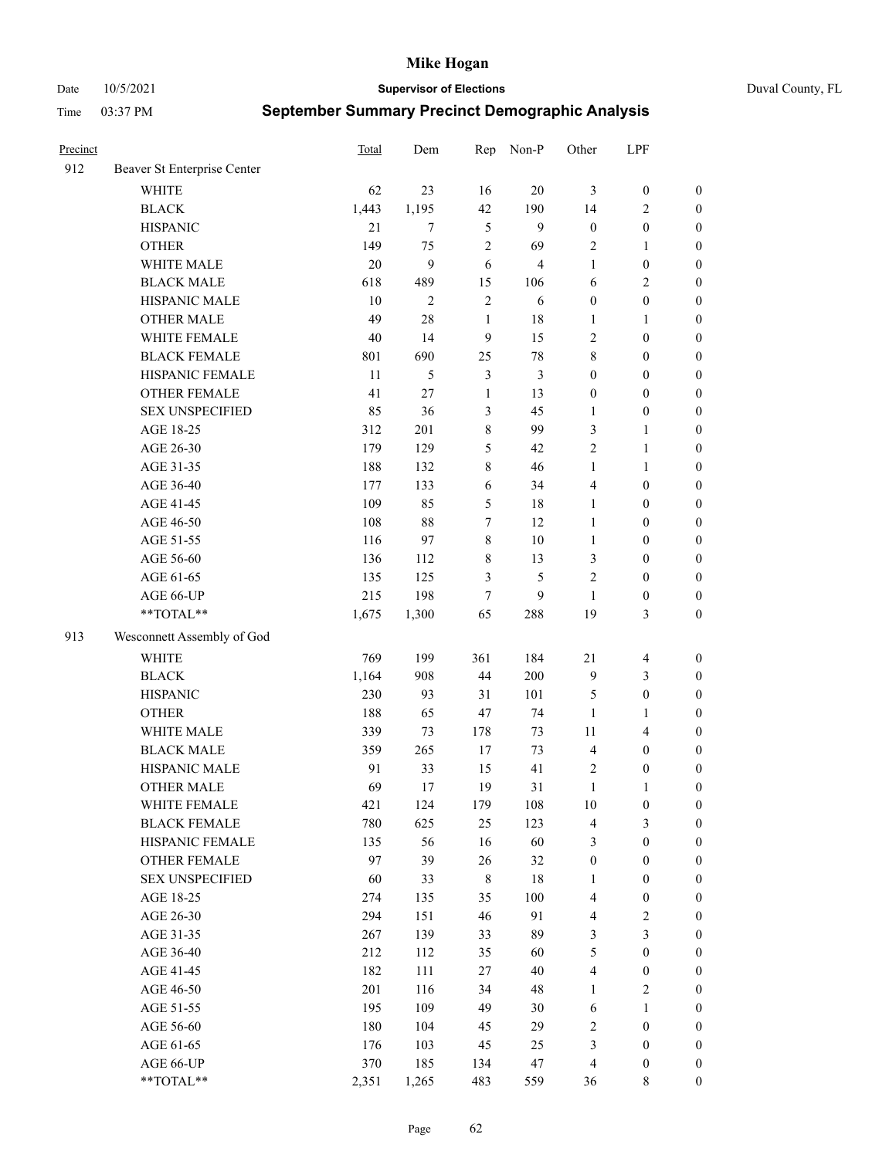Date 10/5/2021 **Supervisor of Elections** Duval County, FL

| Precinct |                             | Total | Dem          | Rep              | Non-P          | Other            | LPF                     |                  |
|----------|-----------------------------|-------|--------------|------------------|----------------|------------------|-------------------------|------------------|
| 912      | Beaver St Enterprise Center |       |              |                  |                |                  |                         |                  |
|          | <b>WHITE</b>                | 62    | 23           | 16               | 20             | 3                | $\boldsymbol{0}$        | $\boldsymbol{0}$ |
|          | <b>BLACK</b>                | 1,443 | 1,195        | 42               | 190            | 14               | $\sqrt{2}$              | $\boldsymbol{0}$ |
|          | <b>HISPANIC</b>             | 21    | $\tau$       | 5                | 9              | $\boldsymbol{0}$ | $\boldsymbol{0}$        | $\boldsymbol{0}$ |
|          | <b>OTHER</b>                | 149   | 75           | $\overline{2}$   | 69             | 2                | $\mathbf{1}$            | $\boldsymbol{0}$ |
|          | WHITE MALE                  | 20    | 9            | 6                | $\overline{4}$ | $\mathbf{1}$     | $\boldsymbol{0}$        | $\boldsymbol{0}$ |
|          | <b>BLACK MALE</b>           | 618   | 489          | 15               | 106            | 6                | $\sqrt{2}$              | $\boldsymbol{0}$ |
|          | HISPANIC MALE               | 10    | $\mathbf{2}$ | $\sqrt{2}$       | 6              | $\boldsymbol{0}$ | $\boldsymbol{0}$        | $\boldsymbol{0}$ |
|          | OTHER MALE                  | 49    | 28           | $\mathbf{1}$     | 18             | 1                | 1                       | $\boldsymbol{0}$ |
|          | WHITE FEMALE                | 40    | 14           | $\boldsymbol{9}$ | 15             | 2                | $\boldsymbol{0}$        | $\boldsymbol{0}$ |
|          | <b>BLACK FEMALE</b>         | 801   | 690          | 25               | $78\,$         | 8                | $\boldsymbol{0}$        | 0                |
|          | HISPANIC FEMALE             | 11    | 5            | $\mathfrak{Z}$   | $\mathfrak{Z}$ | $\boldsymbol{0}$ | $\boldsymbol{0}$        | $\boldsymbol{0}$ |
|          | OTHER FEMALE                | 41    | 27           | $\mathbf{1}$     | 13             | $\boldsymbol{0}$ | $\boldsymbol{0}$        | $\boldsymbol{0}$ |
|          | <b>SEX UNSPECIFIED</b>      | 85    | 36           | $\mathfrak{Z}$   | 45             | 1                | $\boldsymbol{0}$        | $\boldsymbol{0}$ |
|          | AGE 18-25                   | 312   | 201          | $\,$ $\,$        | 99             | 3                | $\mathbf{1}$            | $\boldsymbol{0}$ |
|          | AGE 26-30                   | 179   | 129          | 5                | 42             | 2                | $\mathbf{1}$            | $\boldsymbol{0}$ |
|          | AGE 31-35                   | 188   | 132          | $\,$ $\,$        | 46             | $\mathbf{1}$     | $\mathbf{1}$            | $\boldsymbol{0}$ |
|          | AGE 36-40                   | 177   | 133          | 6                | 34             | 4                | $\boldsymbol{0}$        | $\boldsymbol{0}$ |
|          | AGE 41-45                   | 109   | 85           | 5                | 18             | $\mathbf{1}$     | $\boldsymbol{0}$        | $\boldsymbol{0}$ |
|          | AGE 46-50                   | 108   | $88\,$       | $\tau$           | 12             | $\mathbf{1}$     | $\boldsymbol{0}$        | $\boldsymbol{0}$ |
|          | AGE 51-55                   | 116   | 97           | $8\,$            | 10             | $\mathbf{1}$     | $\boldsymbol{0}$        | $\boldsymbol{0}$ |
|          | AGE 56-60                   | 136   | 112          | $\,$ 8 $\,$      | 13             | 3                | $\boldsymbol{0}$        | $\boldsymbol{0}$ |
|          | AGE 61-65                   | 135   | 125          | 3                | 5              | $\mathbf{2}$     | $\boldsymbol{0}$        | $\boldsymbol{0}$ |
|          | AGE 66-UP                   | 215   | 198          | 7                | 9              | $\mathbf{1}$     | $\boldsymbol{0}$        | $\boldsymbol{0}$ |
|          | **TOTAL**                   | 1,675 | 1,300        | 65               | 288            | 19               | $\mathfrak{Z}$          | $\boldsymbol{0}$ |
| 913      | Wesconnett Assembly of God  |       |              |                  |                |                  |                         |                  |
|          | <b>WHITE</b>                | 769   | 199          | 361              | 184            | $21\,$           | $\overline{\mathbf{4}}$ | $\boldsymbol{0}$ |
|          | <b>BLACK</b>                | 1,164 | 908          | 44               | 200            | 9                | 3                       | $\boldsymbol{0}$ |
|          | <b>HISPANIC</b>             | 230   | 93           | 31               | 101            | 5                | $\boldsymbol{0}$        | $\boldsymbol{0}$ |
|          | <b>OTHER</b>                | 188   | 65           | 47               | 74             | $\mathbf{1}$     | $\mathbf{1}$            | $\boldsymbol{0}$ |
|          | WHITE MALE                  | 339   | 73           | 178              | 73             | 11               | $\overline{\mathbf{4}}$ | $\boldsymbol{0}$ |
|          | <b>BLACK MALE</b>           | 359   | 265          | $17\,$           | 73             | $\overline{4}$   | $\boldsymbol{0}$        | $\boldsymbol{0}$ |
|          | HISPANIC MALE               | 91    | 33           | 15               | 41             | 2                | $\boldsymbol{0}$        | 0                |
|          | <b>OTHER MALE</b>           | 69    | 17           | 19               | 31             | $\mathbf{1}$     | 1                       | $\boldsymbol{0}$ |
|          | WHITE FEMALE                | 421   | 124          | 179              | 108            | 10               | $\boldsymbol{0}$        | $\boldsymbol{0}$ |
|          | <b>BLACK FEMALE</b>         | 780   | 625          | 25               | 123            | 4                | $\mathfrak{Z}$          | $\boldsymbol{0}$ |
|          | HISPANIC FEMALE             | 135   | 56           | 16               | 60             | 3                | $\boldsymbol{0}$        | $\overline{0}$   |
|          | OTHER FEMALE                | 97    | 39           | 26               | 32             | $\boldsymbol{0}$ | $\boldsymbol{0}$        | $\overline{0}$   |
|          | <b>SEX UNSPECIFIED</b>      | 60    | 33           | $\,$ 8 $\,$      | 18             | $\mathbf{1}$     | $\boldsymbol{0}$        | 0                |
|          | AGE 18-25                   | 274   | 135          | 35               | 100            | 4                | $\boldsymbol{0}$        | $\theta$         |
|          | AGE 26-30                   | 294   | 151          | 46               | 91             | 4                | $\sqrt{2}$              | 0                |
|          | AGE 31-35                   | 267   | 139          | 33               | 89             | 3                | $\mathfrak{Z}$          | 0                |
|          | AGE 36-40                   | 212   | 112          | 35               | 60             | 5                | $\boldsymbol{0}$        | 0                |
|          | AGE 41-45                   | 182   | 111          | 27               | 40             | 4                | $\boldsymbol{0}$        | 0                |
|          | AGE 46-50                   | 201   | 116          | 34               | 48             | 1                | $\sqrt{2}$              | 0                |
|          | AGE 51-55                   | 195   | 109          | 49               | $30\,$         | 6                | 1                       | $\boldsymbol{0}$ |
|          | AGE 56-60                   | 180   | 104          | 45               | 29             | 2                | $\boldsymbol{0}$        | $\boldsymbol{0}$ |
|          | AGE 61-65                   | 176   | 103          | 45               | 25             | 3                | $\boldsymbol{0}$        | $\boldsymbol{0}$ |
|          | AGE 66-UP                   | 370   | 185          | 134              | 47             | 4                | $\boldsymbol{0}$        | 0                |
|          | **TOTAL**                   | 2,351 | 1,265        | 483              | 559            | 36               | 8                       | $\overline{0}$   |
|          |                             |       |              |                  |                |                  |                         |                  |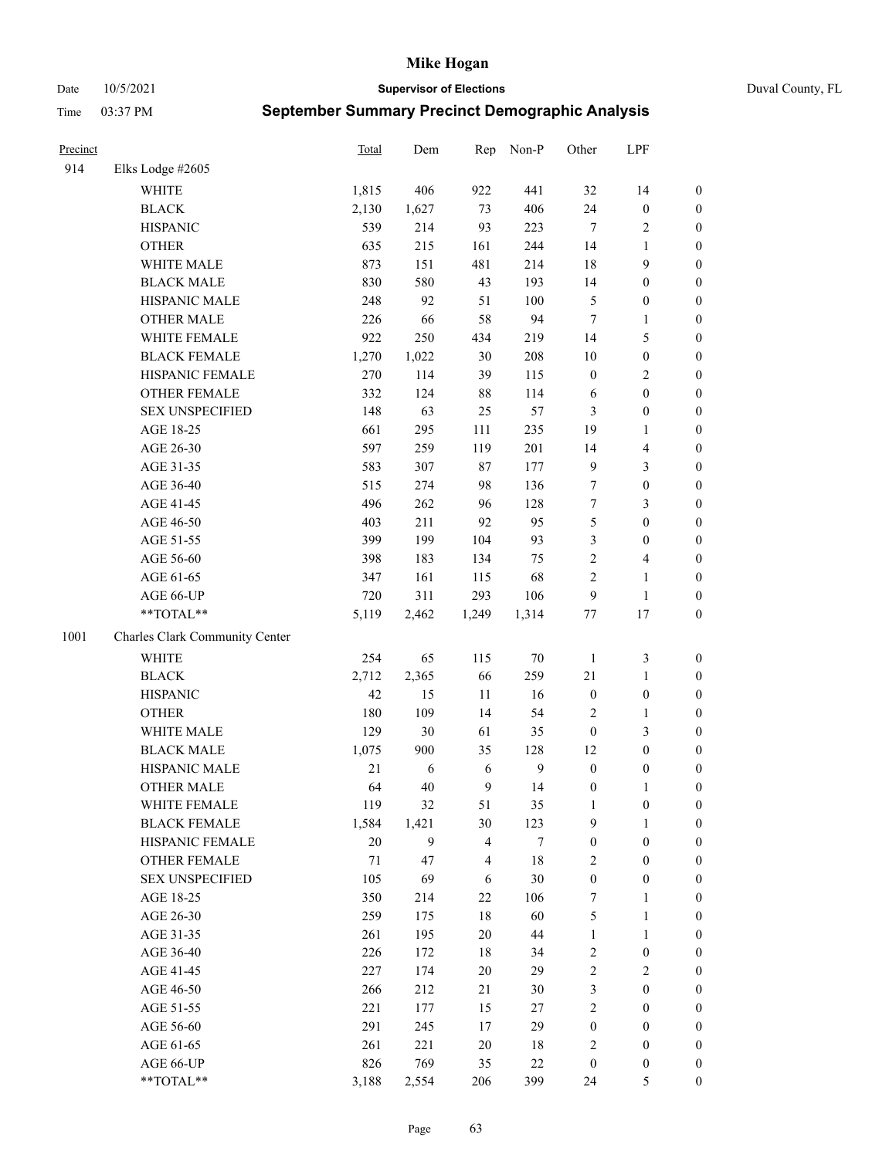#### Date 10/5/2021 **Supervisor of Elections** Duval County, FL

| Precinct |                                | <b>Total</b> | Dem   | Rep                     | Non-P        | Other            | LPF              |                  |
|----------|--------------------------------|--------------|-------|-------------------------|--------------|------------------|------------------|------------------|
| 914      | Elks Lodge #2605               |              |       |                         |              |                  |                  |                  |
|          | <b>WHITE</b>                   | 1,815        | 406   | 922                     | 441          | 32               | 14               | 0                |
|          | <b>BLACK</b>                   | 2,130        | 1,627 | 73                      | 406          | 24               | $\boldsymbol{0}$ | 0                |
|          | <b>HISPANIC</b>                | 539          | 214   | 93                      | 223          | $\tau$           | $\overline{c}$   | $\boldsymbol{0}$ |
|          | <b>OTHER</b>                   | 635          | 215   | 161                     | 244          | 14               | 1                | $\boldsymbol{0}$ |
|          | WHITE MALE                     | 873          | 151   | 481                     | 214          | 18               | 9                | $\boldsymbol{0}$ |
|          | <b>BLACK MALE</b>              | 830          | 580   | 43                      | 193          | 14               | $\boldsymbol{0}$ | $\boldsymbol{0}$ |
|          | HISPANIC MALE                  | 248          | 92    | 51                      | 100          | 5                | $\boldsymbol{0}$ | $\boldsymbol{0}$ |
|          | <b>OTHER MALE</b>              | 226          | 66    | 58                      | 94           | $\tau$           | $\mathbf{1}$     | $\boldsymbol{0}$ |
|          | WHITE FEMALE                   | 922          | 250   | 434                     | 219          | 14               | $\mathfrak s$    | $\boldsymbol{0}$ |
|          | <b>BLACK FEMALE</b>            | 1,270        | 1,022 | 30                      | 208          | $10\,$           | $\boldsymbol{0}$ | 0                |
|          | HISPANIC FEMALE                | 270          | 114   | 39                      | 115          | $\boldsymbol{0}$ | $\sqrt{2}$       | 0                |
|          | <b>OTHER FEMALE</b>            | 332          | 124   | 88                      | 114          | 6                | $\boldsymbol{0}$ | $\boldsymbol{0}$ |
|          | <b>SEX UNSPECIFIED</b>         | 148          | 63    | 25                      | 57           | 3                | $\boldsymbol{0}$ | $\boldsymbol{0}$ |
|          | AGE 18-25                      | 661          | 295   | 111                     | 235          | 19               | 1                | $\boldsymbol{0}$ |
|          | AGE 26-30                      | 597          | 259   | 119                     | 201          | 14               | $\overline{4}$   | $\boldsymbol{0}$ |
|          | AGE 31-35                      | 583          | 307   | 87                      | 177          | 9                | $\mathfrak{Z}$   | $\boldsymbol{0}$ |
|          | AGE 36-40                      | 515          | 274   | 98                      | 136          | $\boldsymbol{7}$ | $\boldsymbol{0}$ | $\boldsymbol{0}$ |
|          | AGE 41-45                      | 496          | 262   | 96                      | 128          | $\tau$           | 3                | $\boldsymbol{0}$ |
|          | AGE 46-50                      | 403          | 211   | 92                      | 95           | 5                | $\boldsymbol{0}$ | $\boldsymbol{0}$ |
|          | AGE 51-55                      | 399          | 199   | 104                     | 93           | 3                | $\boldsymbol{0}$ | $\boldsymbol{0}$ |
|          | AGE 56-60                      | 398          | 183   | 134                     | 75           | $\overline{c}$   | $\overline{4}$   | 0                |
|          | AGE 61-65                      | 347          | 161   | 115                     | 68           | $\overline{c}$   | $\mathbf{1}$     | $\boldsymbol{0}$ |
|          | AGE 66-UP                      | 720          | 311   | 293                     | 106          | 9                | $\mathbf{1}$     | $\boldsymbol{0}$ |
|          | **TOTAL**                      | 5,119        | 2,462 | 1,249                   | 1,314        | $77 \,$          | 17               | $\boldsymbol{0}$ |
| 1001     | Charles Clark Community Center |              |       |                         |              |                  |                  |                  |
|          | <b>WHITE</b>                   | 254          | 65    | 115                     | $70\,$       | $\mathbf{1}$     | $\mathfrak z$    | $\boldsymbol{0}$ |
|          | <b>BLACK</b>                   | 2,712        | 2,365 | 66                      | 259          | $21\,$           | $\mathbf{1}$     | $\boldsymbol{0}$ |
|          | <b>HISPANIC</b>                | 42           | 15    | 11                      | 16           | $\boldsymbol{0}$ | $\boldsymbol{0}$ | $\boldsymbol{0}$ |
|          | <b>OTHER</b>                   | 180          | 109   | 14                      | 54           | 2                | $\mathbf{1}$     | $\boldsymbol{0}$ |
|          | WHITE MALE                     | 129          | 30    | 61                      | 35           | $\boldsymbol{0}$ | 3                | $\boldsymbol{0}$ |
|          | <b>BLACK MALE</b>              | 1,075        | 900   | 35                      | 128          | 12               | $\boldsymbol{0}$ | $\boldsymbol{0}$ |
|          | HISPANIC MALE                  | 21           | 6     | 6                       | $\mathbf{9}$ | $\boldsymbol{0}$ | $\boldsymbol{0}$ | 0                |
|          | <b>OTHER MALE</b>              | 64           | 40    | 9                       | 14           | $\boldsymbol{0}$ | $\mathbf{1}$     | $\boldsymbol{0}$ |
|          | WHITE FEMALE                   | 119          | 32    | 51                      | 35           | $\mathbf{1}$     | 0                | 0                |
|          | <b>BLACK FEMALE</b>            | 1,584        | 1,421 | 30                      | 123          | 9                | $\mathbf{1}$     | $\boldsymbol{0}$ |
|          | HISPANIC FEMALE                | $20\,$       | 9     | $\overline{\mathbf{4}}$ | 7            | $\boldsymbol{0}$ | $\boldsymbol{0}$ | $\overline{0}$   |
|          | OTHER FEMALE                   | 71           | 47    | 4                       | 18           | 2                | $\boldsymbol{0}$ | $\overline{0}$   |
|          | <b>SEX UNSPECIFIED</b>         | 105          | 69    | 6                       | $30\,$       | $\boldsymbol{0}$ | $\boldsymbol{0}$ | 0                |
|          | AGE 18-25                      | 350          | 214   | $22\,$                  | 106          | 7                | $\mathbf{1}$     | 0                |
|          | AGE 26-30                      | 259          | 175   | $18\,$                  | 60           | 5                | $\mathbf{1}$     | 0                |
|          | AGE 31-35                      | 261          | 195   | $20\,$                  | $44\,$       | $\mathbf{1}$     | $\mathbf{1}$     | 0                |
|          | AGE 36-40                      | 226          | 172   | 18                      | 34           | 2                | $\boldsymbol{0}$ | 0                |
|          | AGE 41-45                      | 227          | 174   | 20                      | 29           | $\overline{c}$   | $\mathfrak{2}$   | 0                |
|          | AGE 46-50                      | 266          | 212   | 21                      | $30\,$       | 3                | $\boldsymbol{0}$ | 0                |
|          | AGE 51-55                      | 221          | 177   | 15                      | $27\,$       | 2                | $\boldsymbol{0}$ | 0                |
|          | AGE 56-60                      | 291          | 245   | 17                      | 29           | $\boldsymbol{0}$ | $\boldsymbol{0}$ | $\boldsymbol{0}$ |
|          | AGE 61-65                      | 261          | 221   | 20                      | 18           | 2                | $\boldsymbol{0}$ | $\boldsymbol{0}$ |
|          | AGE 66-UP                      | 826          | 769   | 35                      | $22\,$       | $\boldsymbol{0}$ | $\boldsymbol{0}$ | 0                |
|          | **TOTAL**                      | 3,188        | 2,554 | 206                     | 399          | 24               | $\mathfrak s$    | $\boldsymbol{0}$ |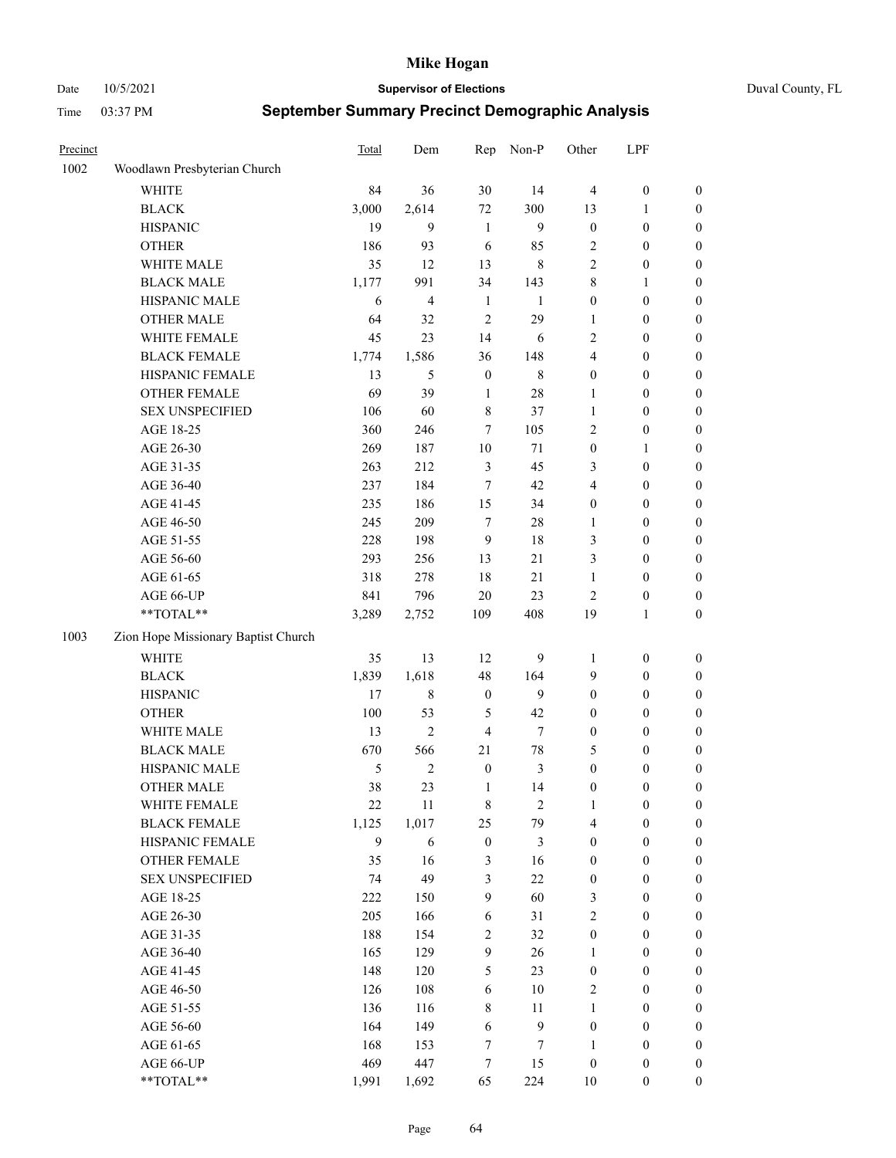Date 10/5/2021 **Supervisor of Elections** Duval County, FL

| Precinct |                                     | <b>Total</b> | Dem            | Rep              | Non-P            | Other            | LPF              |                  |
|----------|-------------------------------------|--------------|----------------|------------------|------------------|------------------|------------------|------------------|
| 1002     | Woodlawn Presbyterian Church        |              |                |                  |                  |                  |                  |                  |
|          | <b>WHITE</b>                        | 84           | 36             | 30               | 14               | $\overline{4}$   | $\boldsymbol{0}$ | $\boldsymbol{0}$ |
|          | <b>BLACK</b>                        | 3,000        | 2,614          | 72               | 300              | 13               | 1                | $\boldsymbol{0}$ |
|          | <b>HISPANIC</b>                     | 19           | 9              | $\mathbf{1}$     | 9                | $\boldsymbol{0}$ | $\boldsymbol{0}$ | $\boldsymbol{0}$ |
|          | <b>OTHER</b>                        | 186          | 93             | 6                | 85               | 2                | $\boldsymbol{0}$ | $\boldsymbol{0}$ |
|          | WHITE MALE                          | 35           | 12             | 13               | $\,8\,$          | 2                | $\boldsymbol{0}$ | $\boldsymbol{0}$ |
|          | <b>BLACK MALE</b>                   | 1,177        | 991            | 34               | 143              | 8                | 1                | $\boldsymbol{0}$ |
|          | HISPANIC MALE                       | 6            | $\overline{4}$ | $\mathbf{1}$     | $\mathbf{1}$     | $\boldsymbol{0}$ | $\boldsymbol{0}$ | $\boldsymbol{0}$ |
|          | <b>OTHER MALE</b>                   | 64           | 32             | $\overline{2}$   | 29               | 1                | $\boldsymbol{0}$ | $\boldsymbol{0}$ |
|          | WHITE FEMALE                        | 45           | 23             | 14               | 6                | 2                | $\boldsymbol{0}$ | $\boldsymbol{0}$ |
|          | <b>BLACK FEMALE</b>                 | 1,774        | 1,586          | 36               | 148              | $\overline{4}$   | $\boldsymbol{0}$ | 0                |
|          | HISPANIC FEMALE                     | 13           | 5              | $\boldsymbol{0}$ | $8\,$            | $\boldsymbol{0}$ | $\boldsymbol{0}$ | $\boldsymbol{0}$ |
|          | OTHER FEMALE                        | 69           | 39             | $\mathbf{1}$     | $28\,$           | 1                | $\boldsymbol{0}$ | $\boldsymbol{0}$ |
|          | <b>SEX UNSPECIFIED</b>              | 106          | 60             | $\,$ 8 $\,$      | 37               | 1                | $\boldsymbol{0}$ | $\boldsymbol{0}$ |
|          | AGE 18-25                           | 360          | 246            | $\tau$           | 105              | 2                | $\boldsymbol{0}$ | $\boldsymbol{0}$ |
|          | AGE 26-30                           | 269          | 187            | 10               | 71               | $\boldsymbol{0}$ | $\mathbf{1}$     | $\boldsymbol{0}$ |
|          | AGE 31-35                           | 263          | 212            | $\mathfrak{Z}$   | 45               | 3                | $\boldsymbol{0}$ | $\boldsymbol{0}$ |
|          | AGE 36-40                           | 237          | 184            | 7                | 42               | 4                | $\boldsymbol{0}$ | $\boldsymbol{0}$ |
|          | AGE 41-45                           | 235          | 186            | 15               | 34               | $\boldsymbol{0}$ | $\boldsymbol{0}$ | $\boldsymbol{0}$ |
|          | AGE 46-50                           | 245          | 209            | $\tau$           | $28\,$           | 1                | $\boldsymbol{0}$ | $\boldsymbol{0}$ |
|          | AGE 51-55                           | 228          | 198            | 9                | 18               | 3                | $\boldsymbol{0}$ | 0                |
|          | AGE 56-60                           | 293          | 256            | 13               | 21               | 3                | $\boldsymbol{0}$ | $\boldsymbol{0}$ |
|          | AGE 61-65                           | 318          | 278            | 18               | 21               | $\mathbf{1}$     | $\boldsymbol{0}$ | $\boldsymbol{0}$ |
|          | AGE 66-UP                           | 841          | 796            | $20\,$           | 23               | $\overline{2}$   | $\boldsymbol{0}$ | $\boldsymbol{0}$ |
|          | **TOTAL**                           | 3,289        | 2,752          | 109              | 408              | 19               | $\mathbf{1}$     | $\boldsymbol{0}$ |
| 1003     |                                     |              |                |                  |                  |                  |                  |                  |
|          | Zion Hope Missionary Baptist Church |              |                |                  |                  |                  |                  |                  |
|          | <b>WHITE</b>                        | 35           | 13             | 12               | 9                | $\mathbf{1}$     | $\boldsymbol{0}$ | $\boldsymbol{0}$ |
|          | <b>BLACK</b>                        | 1,839        | 1,618          | 48               | 164              | 9                | $\boldsymbol{0}$ | $\boldsymbol{0}$ |
|          | <b>HISPANIC</b>                     | 17           | $\,8\,$        | $\boldsymbol{0}$ | 9                | $\boldsymbol{0}$ | $\boldsymbol{0}$ | $\boldsymbol{0}$ |
|          | <b>OTHER</b>                        | 100          | 53             | 5                | 42               | $\boldsymbol{0}$ | $\boldsymbol{0}$ | $\boldsymbol{0}$ |
|          | WHITE MALE                          | 13           | $\overline{2}$ | $\overline{4}$   | $\tau$           | $\boldsymbol{0}$ | $\boldsymbol{0}$ | $\boldsymbol{0}$ |
|          | <b>BLACK MALE</b>                   | 670          | 566            | 21               | $78\,$           | 5                | $\boldsymbol{0}$ | $\boldsymbol{0}$ |
|          | HISPANIC MALE                       | 5            | $\mathfrak{2}$ | $\boldsymbol{0}$ | $\mathfrak{Z}$   | $\boldsymbol{0}$ | $\boldsymbol{0}$ | 0                |
|          | <b>OTHER MALE</b>                   | 38           | 23             | $\mathbf{1}$     | 14               | $\boldsymbol{0}$ | $\boldsymbol{0}$ | $\boldsymbol{0}$ |
|          | WHITE FEMALE                        | 22           | 11             | 8                | $\overline{c}$   | 1                | $\boldsymbol{0}$ | $\boldsymbol{0}$ |
|          | <b>BLACK FEMALE</b>                 | 1,125        | 1,017          | 25               | 79               | 4                | $\boldsymbol{0}$ | $\boldsymbol{0}$ |
|          | HISPANIC FEMALE                     | 9            | 6              | $\boldsymbol{0}$ | 3                | $\boldsymbol{0}$ | $\boldsymbol{0}$ | $\boldsymbol{0}$ |
|          | OTHER FEMALE                        | 35           | 16             | 3                | 16               | $\boldsymbol{0}$ | $\boldsymbol{0}$ | $\overline{0}$   |
|          | <b>SEX UNSPECIFIED</b>              | 74           | 49             | 3                | $22\,$           | $\boldsymbol{0}$ | $\boldsymbol{0}$ | $\overline{0}$   |
|          | AGE 18-25                           | 222          | 150            | $\overline{9}$   | 60               | 3                | $\boldsymbol{0}$ | $\overline{0}$   |
|          | AGE 26-30                           | 205          | 166            | $\sqrt{6}$       | 31               | $\overline{c}$   | $\boldsymbol{0}$ | 0                |
|          | AGE 31-35                           | 188          | 154            | $\sqrt{2}$       | 32               | $\boldsymbol{0}$ | $\boldsymbol{0}$ | 0                |
|          | AGE 36-40                           | 165          | 129            | 9                | 26               | $\mathbf{1}$     | $\boldsymbol{0}$ | 0                |
|          | AGE 41-45                           | 148          | 120            | 5                | 23               | $\boldsymbol{0}$ | $\boldsymbol{0}$ | 0                |
|          | AGE 46-50                           | 126          | 108            | 6                | $10\,$           | 2                | $\boldsymbol{0}$ | $\boldsymbol{0}$ |
|          | AGE 51-55                           | 136          | 116            | $\,$ 8 $\,$      | 11               | 1                | $\boldsymbol{0}$ | $\boldsymbol{0}$ |
|          | AGE 56-60                           | 164          | 149            | 6                | $\boldsymbol{9}$ | $\boldsymbol{0}$ | $\boldsymbol{0}$ | $\boldsymbol{0}$ |
|          | AGE 61-65                           | 168          | 153            | 7                | 7                | $\mathbf{1}$     | $\boldsymbol{0}$ | $\boldsymbol{0}$ |
|          | AGE 66-UP                           | 469          | 447            | 7                | 15               | $\boldsymbol{0}$ | $\boldsymbol{0}$ | 0                |
|          | **TOTAL**                           | 1,991        | 1,692          | 65               | 224              | 10               | $\boldsymbol{0}$ | $\boldsymbol{0}$ |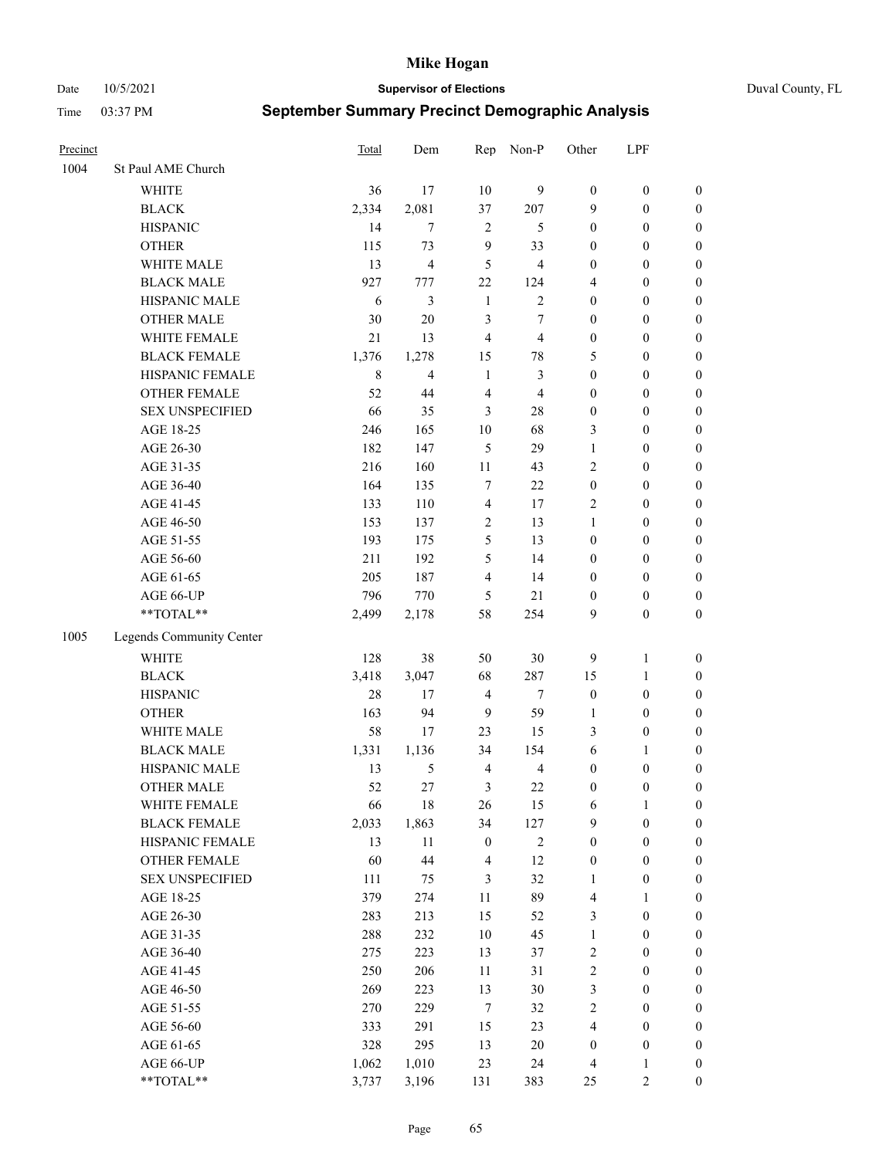Date 10/5/2021 **Supervisor of Elections** Duval County, FL

| Precinct |                          | Total       | Dem                     | Rep              | Non-P                   | Other            | LPF              |                  |
|----------|--------------------------|-------------|-------------------------|------------------|-------------------------|------------------|------------------|------------------|
| 1004     | St Paul AME Church       |             |                         |                  |                         |                  |                  |                  |
|          | <b>WHITE</b>             | 36          | 17                      | 10               | 9                       | $\boldsymbol{0}$ | $\boldsymbol{0}$ | $\boldsymbol{0}$ |
|          | <b>BLACK</b>             | 2,334       | 2,081                   | 37               | 207                     | 9                | $\boldsymbol{0}$ | $\boldsymbol{0}$ |
|          | <b>HISPANIC</b>          | 14          | 7                       | $\overline{2}$   | 5                       | $\boldsymbol{0}$ | $\boldsymbol{0}$ | $\boldsymbol{0}$ |
|          | <b>OTHER</b>             | 115         | 73                      | 9                | 33                      | $\boldsymbol{0}$ | $\boldsymbol{0}$ | $\boldsymbol{0}$ |
|          | WHITE MALE               | 13          | $\overline{\mathbf{4}}$ | 5                | $\overline{\mathbf{4}}$ | $\boldsymbol{0}$ | $\boldsymbol{0}$ | $\boldsymbol{0}$ |
|          | <b>BLACK MALE</b>        | 927         | 777                     | 22               | 124                     | 4                | $\boldsymbol{0}$ | $\boldsymbol{0}$ |
|          | HISPANIC MALE            | 6           | 3                       | $\mathbf{1}$     | $\overline{c}$          | $\boldsymbol{0}$ | $\boldsymbol{0}$ | $\boldsymbol{0}$ |
|          | <b>OTHER MALE</b>        | 30          | $20\,$                  | 3                | $\tau$                  | $\boldsymbol{0}$ | $\boldsymbol{0}$ | $\boldsymbol{0}$ |
|          | WHITE FEMALE             | 21          | 13                      | $\overline{4}$   | $\overline{\mathbf{4}}$ | $\boldsymbol{0}$ | $\boldsymbol{0}$ | $\boldsymbol{0}$ |
|          | <b>BLACK FEMALE</b>      | 1,376       | 1,278                   | 15               | $78\,$                  | 5                | $\boldsymbol{0}$ | $\boldsymbol{0}$ |
|          | HISPANIC FEMALE          | $\,$ 8 $\,$ | $\overline{4}$          | $\mathbf{1}$     | $\mathfrak{Z}$          | $\boldsymbol{0}$ | $\boldsymbol{0}$ | 0                |
|          | <b>OTHER FEMALE</b>      | 52          | 44                      | $\overline{4}$   | $\overline{4}$          | $\boldsymbol{0}$ | $\boldsymbol{0}$ | $\boldsymbol{0}$ |
|          | <b>SEX UNSPECIFIED</b>   | 66          | 35                      | 3                | $28\,$                  | $\boldsymbol{0}$ | $\boldsymbol{0}$ | $\boldsymbol{0}$ |
|          | AGE 18-25                | 246         | 165                     | $10\,$           | 68                      | 3                | $\boldsymbol{0}$ | $\boldsymbol{0}$ |
|          | AGE 26-30                | 182         | 147                     | 5                | 29                      | $\mathbf{1}$     | $\boldsymbol{0}$ | $\boldsymbol{0}$ |
|          | AGE 31-35                | 216         | 160                     | 11               | 43                      | $\overline{c}$   | $\boldsymbol{0}$ | $\boldsymbol{0}$ |
|          | AGE 36-40                | 164         | 135                     | 7                | 22                      | $\boldsymbol{0}$ | $\boldsymbol{0}$ | $\boldsymbol{0}$ |
|          | AGE 41-45                | 133         | 110                     | $\overline{4}$   | 17                      | 2                | $\boldsymbol{0}$ | $\boldsymbol{0}$ |
|          | AGE 46-50                | 153         | 137                     | $\sqrt{2}$       | 13                      | $\mathbf{1}$     | $\boldsymbol{0}$ | $\boldsymbol{0}$ |
|          | AGE 51-55                | 193         | 175                     | 5                | 13                      | $\boldsymbol{0}$ | $\boldsymbol{0}$ | $\boldsymbol{0}$ |
|          | AGE 56-60                | 211         | 192                     | 5                | 14                      | $\boldsymbol{0}$ | $\boldsymbol{0}$ | 0                |
|          | AGE 61-65                | 205         | 187                     | $\overline{4}$   | 14                      | $\boldsymbol{0}$ | $\boldsymbol{0}$ | 0                |
|          | AGE 66-UP                | 796         | 770                     | 5                | 21                      | $\boldsymbol{0}$ | $\boldsymbol{0}$ | $\boldsymbol{0}$ |
|          | **TOTAL**                | 2,499       | 2,178                   | 58               | 254                     | 9                | $\boldsymbol{0}$ | $\boldsymbol{0}$ |
| 1005     | Legends Community Center |             |                         |                  |                         |                  |                  |                  |
|          | WHITE                    | 128         | 38                      | 50               | $30\,$                  | 9                | $\mathbf{1}$     | $\boldsymbol{0}$ |
|          | <b>BLACK</b>             | 3,418       | 3,047                   | 68               | 287                     | 15               | $\mathbf{1}$     | $\boldsymbol{0}$ |
|          | <b>HISPANIC</b>          | 28          | 17                      | $\overline{4}$   | $\tau$                  | $\boldsymbol{0}$ | $\boldsymbol{0}$ | $\boldsymbol{0}$ |
|          | <b>OTHER</b>             | 163         | 94                      | 9                | 59                      | 1                | $\boldsymbol{0}$ | $\boldsymbol{0}$ |
|          | WHITE MALE               | 58          | 17                      | 23               | 15                      | 3                | $\boldsymbol{0}$ | $\boldsymbol{0}$ |
|          | <b>BLACK MALE</b>        | 1,331       | 1,136                   | 34               | 154                     | 6                | 1                | $\boldsymbol{0}$ |
|          | HISPANIC MALE            | 13          | 5                       | $\overline{4}$   | $\overline{4}$          | $\boldsymbol{0}$ | $\boldsymbol{0}$ | $\boldsymbol{0}$ |
|          | OTHER MALE               | 52          | 27                      | 3                | 22                      | $\boldsymbol{0}$ | $\boldsymbol{0}$ | $\boldsymbol{0}$ |
|          | WHITE FEMALE             | 66          | 18                      | 26               | 15                      | 6                | 1                | 0                |
|          | <b>BLACK FEMALE</b>      | 2,033       | 1,863                   | 34               | 127                     | 9                | $\boldsymbol{0}$ | $\boldsymbol{0}$ |
|          | HISPANIC FEMALE          | 13          | $11\,$                  | $\boldsymbol{0}$ | $\sqrt{2}$              | $\boldsymbol{0}$ | $\boldsymbol{0}$ | $\overline{0}$   |
|          | OTHER FEMALE             | 60          | 44                      | 4                | 12                      | $\boldsymbol{0}$ | $\boldsymbol{0}$ | $\overline{0}$   |
|          | <b>SEX UNSPECIFIED</b>   | 111         | 75                      | 3                | 32                      | $\mathbf{1}$     | $\boldsymbol{0}$ | 0                |
|          | AGE 18-25                | 379         | 274                     | 11               | 89                      | 4                | $\mathbf{1}$     | $\overline{0}$   |
|          | AGE 26-30                | 283         | 213                     | 15               | 52                      | 3                | $\boldsymbol{0}$ | 0                |
|          | AGE 31-35                | 288         | 232                     | 10               | 45                      | $\mathbf{1}$     | $\boldsymbol{0}$ | 0                |
|          | AGE 36-40                | 275         | 223                     | 13               | 37                      | 2                | $\boldsymbol{0}$ | 0                |
|          | AGE 41-45                | 250         | 206                     | 11               | 31                      | $\overline{c}$   | $\boldsymbol{0}$ | 0                |
|          | AGE 46-50                | 269         | 223                     | 13               | $30\,$                  | 3                | $\boldsymbol{0}$ | 0                |
|          | AGE 51-55                | 270         | 229                     | $\tau$           | 32                      | 2                | $\boldsymbol{0}$ | $\boldsymbol{0}$ |
|          | AGE 56-60                | 333         | 291                     | 15               | 23                      | 4                | $\boldsymbol{0}$ | $\boldsymbol{0}$ |
|          | AGE 61-65                | 328         | 295                     | 13               | $20\,$                  | $\boldsymbol{0}$ | $\boldsymbol{0}$ | $\boldsymbol{0}$ |
|          | AGE 66-UP                | 1,062       | 1,010                   | 23               | 24                      | 4                | $\mathbf{1}$     | 0                |
|          | **TOTAL**                | 3,737       | 3,196                   | 131              | 383                     | 25               | $\sqrt{2}$       | $\boldsymbol{0}$ |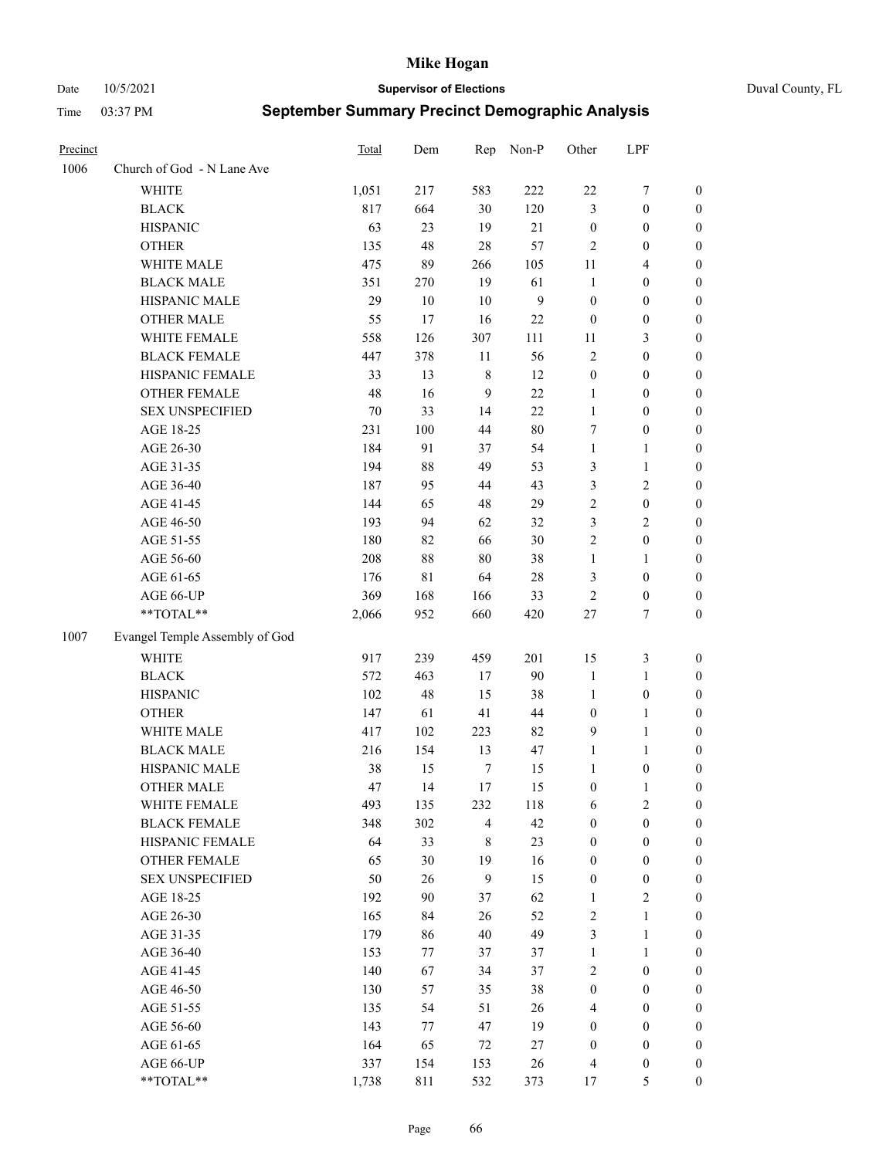Date 10/5/2021 **Supervisor of Elections** Duval County, FL

| Precinct |                                | Total  | Dem    | Rep            | Non-P          | Other            | LPF              |                  |
|----------|--------------------------------|--------|--------|----------------|----------------|------------------|------------------|------------------|
| 1006     | Church of God - N Lane Ave     |        |        |                |                |                  |                  |                  |
|          | <b>WHITE</b>                   | 1,051  | 217    | 583            | 222            | $22\,$           | $\boldsymbol{7}$ | 0                |
|          | <b>BLACK</b>                   | 817    | 664    | 30             | 120            | 3                | $\boldsymbol{0}$ | $\boldsymbol{0}$ |
|          | <b>HISPANIC</b>                | 63     | 23     | 19             | 21             | $\boldsymbol{0}$ | $\boldsymbol{0}$ | $\boldsymbol{0}$ |
|          | <b>OTHER</b>                   | 135    | 48     | 28             | 57             | $\overline{2}$   | $\boldsymbol{0}$ | $\boldsymbol{0}$ |
|          | WHITE MALE                     | 475    | 89     | 266            | 105            | 11               | $\overline{4}$   | $\boldsymbol{0}$ |
|          | <b>BLACK MALE</b>              | 351    | 270    | 19             | 61             | $\mathbf{1}$     | $\boldsymbol{0}$ | $\boldsymbol{0}$ |
|          | HISPANIC MALE                  | 29     | $10\,$ | 10             | $\overline{9}$ | $\boldsymbol{0}$ | $\boldsymbol{0}$ | $\boldsymbol{0}$ |
|          | <b>OTHER MALE</b>              | 55     | 17     | 16             | 22             | $\boldsymbol{0}$ | $\boldsymbol{0}$ | $\boldsymbol{0}$ |
|          | WHITE FEMALE                   | 558    | 126    | 307            | 111            | 11               | $\mathfrak{Z}$   | $\boldsymbol{0}$ |
|          | <b>BLACK FEMALE</b>            | 447    | 378    | 11             | 56             | $\sqrt{2}$       | $\boldsymbol{0}$ | 0                |
|          | HISPANIC FEMALE                | 33     | 13     | $\,$ 8 $\,$    | 12             | $\boldsymbol{0}$ | $\boldsymbol{0}$ | 0                |
|          | OTHER FEMALE                   | 48     | 16     | 9              | 22             | $\mathbf{1}$     | $\boldsymbol{0}$ | 0                |
|          | <b>SEX UNSPECIFIED</b>         | $70\,$ | 33     | 14             | 22             | $\mathbf{1}$     | $\boldsymbol{0}$ | $\boldsymbol{0}$ |
|          | AGE 18-25                      | 231    | 100    | 44             | $80\,$         | 7                | $\boldsymbol{0}$ | $\boldsymbol{0}$ |
|          | AGE 26-30                      | 184    | 91     | 37             | 54             | $\mathbf{1}$     | $\mathbf{1}$     | $\boldsymbol{0}$ |
|          | AGE 31-35                      | 194    | 88     | 49             | 53             | 3                | $\mathbf{1}$     | $\boldsymbol{0}$ |
|          | AGE 36-40                      | 187    | 95     | 44             | 43             | 3                | $\sqrt{2}$       | $\boldsymbol{0}$ |
|          | AGE 41-45                      | 144    | 65     | 48             | 29             | $\overline{c}$   | $\boldsymbol{0}$ | $\boldsymbol{0}$ |
|          | AGE 46-50                      | 193    | 94     | 62             | 32             | 3                | $\overline{2}$   | $\boldsymbol{0}$ |
|          | AGE 51-55                      | 180    | 82     | 66             | 30             | $\sqrt{2}$       | $\boldsymbol{0}$ | $\boldsymbol{0}$ |
|          | AGE 56-60                      | 208    | $88\,$ | 80             | 38             | $\mathbf{1}$     | $\mathbf{1}$     | 0                |
|          | AGE 61-65                      | 176    | 81     | 64             | $28\,$         | 3                | $\boldsymbol{0}$ | 0                |
|          | AGE 66-UP                      | 369    | 168    | 166            | 33             | $\sqrt{2}$       | $\boldsymbol{0}$ | 0                |
|          | **TOTAL**                      | 2,066  | 952    | 660            | 420            | $27\,$           | $\tau$           | $\boldsymbol{0}$ |
| 1007     | Evangel Temple Assembly of God |        |        |                |                |                  |                  |                  |
|          | <b>WHITE</b>                   | 917    | 239    | 459            | 201            | 15               | $\mathfrak{Z}$   | $\boldsymbol{0}$ |
|          | <b>BLACK</b>                   | 572    | 463    | 17             | 90             | $\mathbf{1}$     | $\mathbf{1}$     | $\boldsymbol{0}$ |
|          | <b>HISPANIC</b>                | 102    | 48     | 15             | 38             | $\mathbf{1}$     | $\boldsymbol{0}$ | $\boldsymbol{0}$ |
|          | <b>OTHER</b>                   | 147    | 61     | 41             | $44\,$         | $\boldsymbol{0}$ | $\mathbf{1}$     | $\boldsymbol{0}$ |
|          | WHITE MALE                     | 417    | 102    | 223            | 82             | 9                | $\mathbf{1}$     | $\boldsymbol{0}$ |
|          | <b>BLACK MALE</b>              | 216    | 154    | 13             | 47             | $\mathbf{1}$     | $\mathbf{1}$     | $\boldsymbol{0}$ |
|          | HISPANIC MALE                  | 38     | 15     | $\tau$         | 15             | 1                | $\boldsymbol{0}$ | 0                |
|          | <b>OTHER MALE</b>              | 47     | 14     | $17$           | 15             | $\boldsymbol{0}$ | $\mathbf{1}$     | 0                |
|          | WHITE FEMALE                   | 493    | 135    | 232            | 118            | 6                | 2                | 0                |
|          | <b>BLACK FEMALE</b>            | 348    | 302    | $\overline{4}$ | 42             | $\boldsymbol{0}$ | $\boldsymbol{0}$ | $\boldsymbol{0}$ |
|          | HISPANIC FEMALE                | 64     | 33     | $\,$ 8 $\,$    | 23             | $\boldsymbol{0}$ | $\boldsymbol{0}$ | $\overline{0}$   |
|          | OTHER FEMALE                   | 65     | 30     | 19             | 16             | $\boldsymbol{0}$ | $\boldsymbol{0}$ | $\overline{0}$   |
|          | <b>SEX UNSPECIFIED</b>         | 50     | 26     | 9              | 15             | $\boldsymbol{0}$ | $\boldsymbol{0}$ | 0                |
|          | AGE 18-25                      | 192    | 90     | 37             | 62             | $\mathbf{1}$     | $\sqrt{2}$       | 0                |
|          | AGE 26-30                      | 165    | 84     | 26             | 52             | $\sqrt{2}$       | $\mathbf{1}$     | 0                |
|          | AGE 31-35                      | 179    | 86     | 40             | 49             | 3                | $\mathbf{1}$     | 0                |
|          | AGE 36-40                      | 153    | 77     | 37             | 37             | $\mathbf{1}$     | $\mathbf{1}$     | 0                |
|          | AGE 41-45                      | 140    | 67     | 34             | 37             | 2                | $\boldsymbol{0}$ | 0                |
|          | AGE 46-50                      | 130    | 57     | 35             | 38             | $\boldsymbol{0}$ | $\boldsymbol{0}$ | 0                |
|          | AGE 51-55                      | 135    | 54     | 51             | 26             | $\overline{4}$   | $\boldsymbol{0}$ | 0                |
|          | AGE 56-60                      | 143    | 77     | 47             | 19             | $\boldsymbol{0}$ | $\boldsymbol{0}$ | $\overline{0}$   |
|          | AGE 61-65                      | 164    | 65     | 72             | 27             | $\boldsymbol{0}$ | $\boldsymbol{0}$ | $\overline{0}$   |
|          | AGE 66-UP                      | 337    | 154    | 153            | 26             | 4                | $\boldsymbol{0}$ | 0                |
|          | **TOTAL**                      | 1,738  | 811    | 532            | 373            | 17               | $\mathfrak{S}$   | $\boldsymbol{0}$ |
|          |                                |        |        |                |                |                  |                  |                  |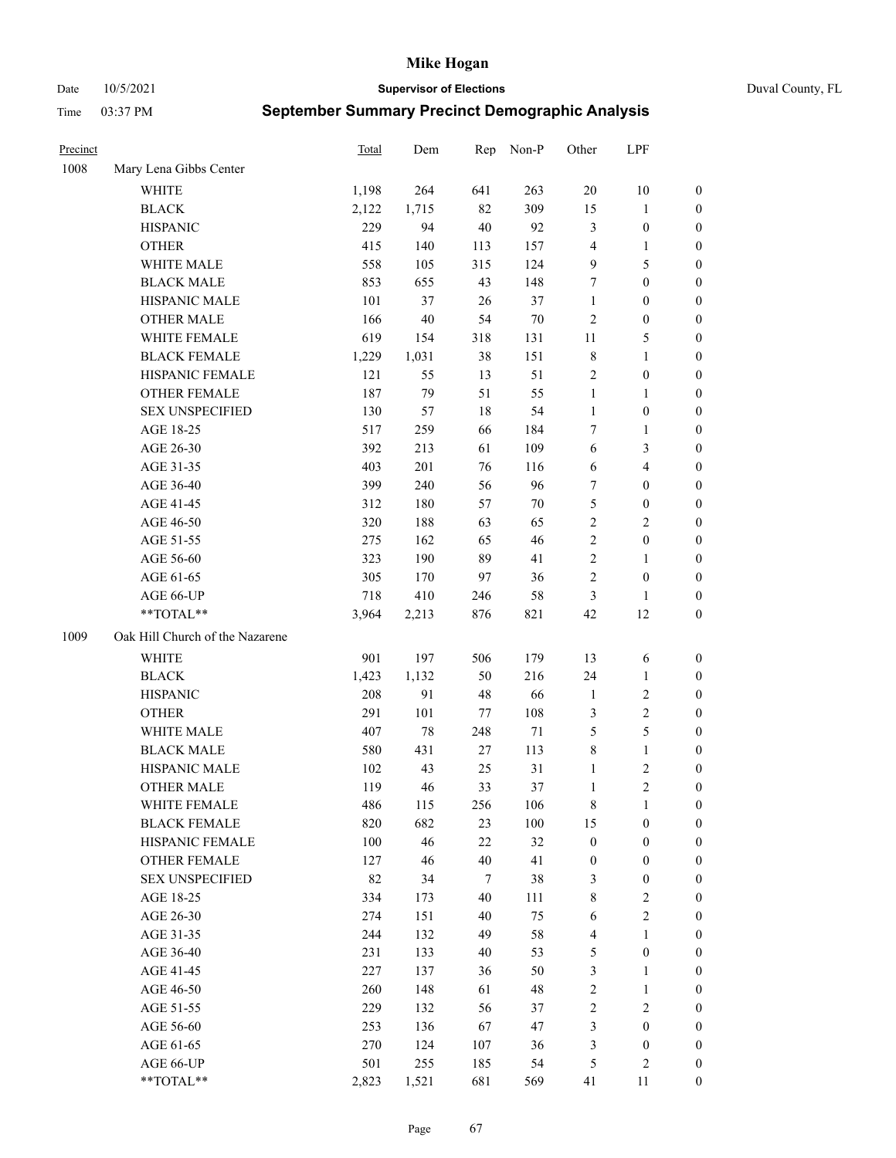Date 10/5/2021 **Supervisor of Elections** Duval County, FL

| Precinct |                                 | Total | Dem   | Rep | Non-P  | Other            | LPF              |                  |
|----------|---------------------------------|-------|-------|-----|--------|------------------|------------------|------------------|
| 1008     | Mary Lena Gibbs Center          |       |       |     |        |                  |                  |                  |
|          | <b>WHITE</b>                    | 1,198 | 264   | 641 | 263    | 20               | 10               | 0                |
|          | <b>BLACK</b>                    | 2,122 | 1,715 | 82  | 309    | 15               | $\mathbf{1}$     | 0                |
|          | <b>HISPANIC</b>                 | 229   | 94    | 40  | 92     | 3                | $\boldsymbol{0}$ | $\boldsymbol{0}$ |
|          | <b>OTHER</b>                    | 415   | 140   | 113 | 157    | 4                | 1                | $\boldsymbol{0}$ |
|          | WHITE MALE                      | 558   | 105   | 315 | 124    | 9                | 5                | $\boldsymbol{0}$ |
|          | <b>BLACK MALE</b>               | 853   | 655   | 43  | 148    | 7                | $\boldsymbol{0}$ | $\boldsymbol{0}$ |
|          | HISPANIC MALE                   | 101   | 37    | 26  | 37     | $\mathbf{1}$     | $\boldsymbol{0}$ | $\boldsymbol{0}$ |
|          | <b>OTHER MALE</b>               | 166   | 40    | 54  | 70     | 2                | $\boldsymbol{0}$ | $\boldsymbol{0}$ |
|          | WHITE FEMALE                    | 619   | 154   | 318 | 131    | $11\,$           | $\mathfrak s$    | $\boldsymbol{0}$ |
|          | <b>BLACK FEMALE</b>             | 1,229 | 1,031 | 38  | 151    | 8                | $\mathbf{1}$     | 0                |
|          | HISPANIC FEMALE                 | 121   | 55    | 13  | 51     | 2                | $\boldsymbol{0}$ | 0                |
|          | OTHER FEMALE                    | 187   | 79    | 51  | 55     | $\mathbf{1}$     | 1                | 0                |
|          | <b>SEX UNSPECIFIED</b>          | 130   | 57    | 18  | 54     | $\mathbf{1}$     | $\boldsymbol{0}$ | $\boldsymbol{0}$ |
|          | AGE 18-25                       | 517   | 259   | 66  | 184    | 7                | $\mathbf{1}$     | $\boldsymbol{0}$ |
|          | AGE 26-30                       | 392   | 213   | 61  | 109    | 6                | 3                | $\boldsymbol{0}$ |
|          | AGE 31-35                       | 403   | 201   | 76  | 116    | 6                | $\overline{4}$   | $\boldsymbol{0}$ |
|          | AGE 36-40                       | 399   | 240   | 56  | 96     | 7                | $\boldsymbol{0}$ | $\boldsymbol{0}$ |
|          | AGE 41-45                       | 312   | 180   | 57  | $70\,$ | 5                | $\boldsymbol{0}$ | $\boldsymbol{0}$ |
|          | AGE 46-50                       | 320   | 188   | 63  | 65     | $\overline{c}$   | $\mathbf{2}$     | $\boldsymbol{0}$ |
|          | AGE 51-55                       | 275   | 162   | 65  | 46     | $\overline{c}$   | $\boldsymbol{0}$ | 0                |
|          | AGE 56-60                       | 323   | 190   | 89  | 41     | $\overline{c}$   | 1                | 0                |
|          | AGE 61-65                       | 305   | 170   | 97  | 36     | $\overline{c}$   | $\boldsymbol{0}$ | 0                |
|          | AGE 66-UP                       | 718   | 410   | 246 | 58     | 3                | 1                | $\boldsymbol{0}$ |
|          | $**TOTAL**$                     | 3,964 | 2,213 | 876 | 821    | 42               | 12               | $\boldsymbol{0}$ |
| 1009     | Oak Hill Church of the Nazarene |       |       |     |        |                  |                  |                  |
|          | <b>WHITE</b>                    | 901   | 197   | 506 | 179    | 13               | 6                | $\boldsymbol{0}$ |
|          | <b>BLACK</b>                    | 1,423 | 1,132 | 50  | 216    | 24               | $\mathbf{1}$     | $\boldsymbol{0}$ |
|          | <b>HISPANIC</b>                 | 208   | 91    | 48  | 66     | $\mathbf{1}$     | $\sqrt{2}$       | $\boldsymbol{0}$ |
|          | <b>OTHER</b>                    | 291   | 101   | 77  | 108    | 3                | $\sqrt{2}$       | $\boldsymbol{0}$ |
|          | WHITE MALE                      | 407   | 78    | 248 | 71     | 5                | 5                | $\boldsymbol{0}$ |
|          | <b>BLACK MALE</b>               | 580   | 431   | 27  | 113    | 8                | $\mathbf{1}$     | $\boldsymbol{0}$ |
|          | HISPANIC MALE                   | 102   | 43    | 25  | 31     | 1                | $\sqrt{2}$       | 0                |
|          | <b>OTHER MALE</b>               | 119   | 46    | 33  | 37     | 1                | $\overline{2}$   | 0                |
|          | WHITE FEMALE                    | 486   | 115   | 256 | 106    | 8                | 1                | 0                |
|          | <b>BLACK FEMALE</b>             | 820   | 682   | 23  | 100    | 15               | $\boldsymbol{0}$ | $\overline{0}$   |
|          | HISPANIC FEMALE                 | 100   | 46    | 22  | 32     | $\boldsymbol{0}$ | $\boldsymbol{0}$ | $\overline{0}$   |
|          | OTHER FEMALE                    | 127   | 46    | 40  | 41     | $\boldsymbol{0}$ | $\boldsymbol{0}$ | $\overline{0}$   |
|          | <b>SEX UNSPECIFIED</b>          | 82    | 34    | 7   | 38     | 3                | $\boldsymbol{0}$ | 0                |
|          | AGE 18-25                       | 334   | 173   | 40  | 111    | 8                | $\sqrt{2}$       | 0                |
|          | AGE 26-30                       | 274   | 151   | 40  | 75     | 6                | $\mathbf{2}$     | 0                |
|          | AGE 31-35                       | 244   | 132   | 49  | 58     | 4                | $\mathbf{1}$     | 0                |
|          | AGE 36-40                       | 231   | 133   | 40  | 53     | 5                | $\boldsymbol{0}$ | 0                |
|          | AGE 41-45                       | 227   | 137   | 36  | 50     | 3                | $\mathbf{1}$     | 0                |
|          | AGE 46-50                       | 260   | 148   | 61  | 48     | 2                | $\mathbf{1}$     | 0                |
|          | AGE 51-55                       | 229   | 132   | 56  | 37     | 2                | $\sqrt{2}$       | 0                |
|          | AGE 56-60                       | 253   | 136   | 67  | 47     | 3                | $\boldsymbol{0}$ | $\overline{0}$   |
|          | AGE 61-65                       | 270   | 124   | 107 | 36     | 3                | $\boldsymbol{0}$ | $\overline{0}$   |
|          | AGE 66-UP                       | 501   | 255   | 185 | 54     | 5                | $\mathfrak{2}$   | 0                |
|          | **TOTAL**                       | 2,823 | 1,521 | 681 | 569    | 41               | 11               | $\boldsymbol{0}$ |
|          |                                 |       |       |     |        |                  |                  |                  |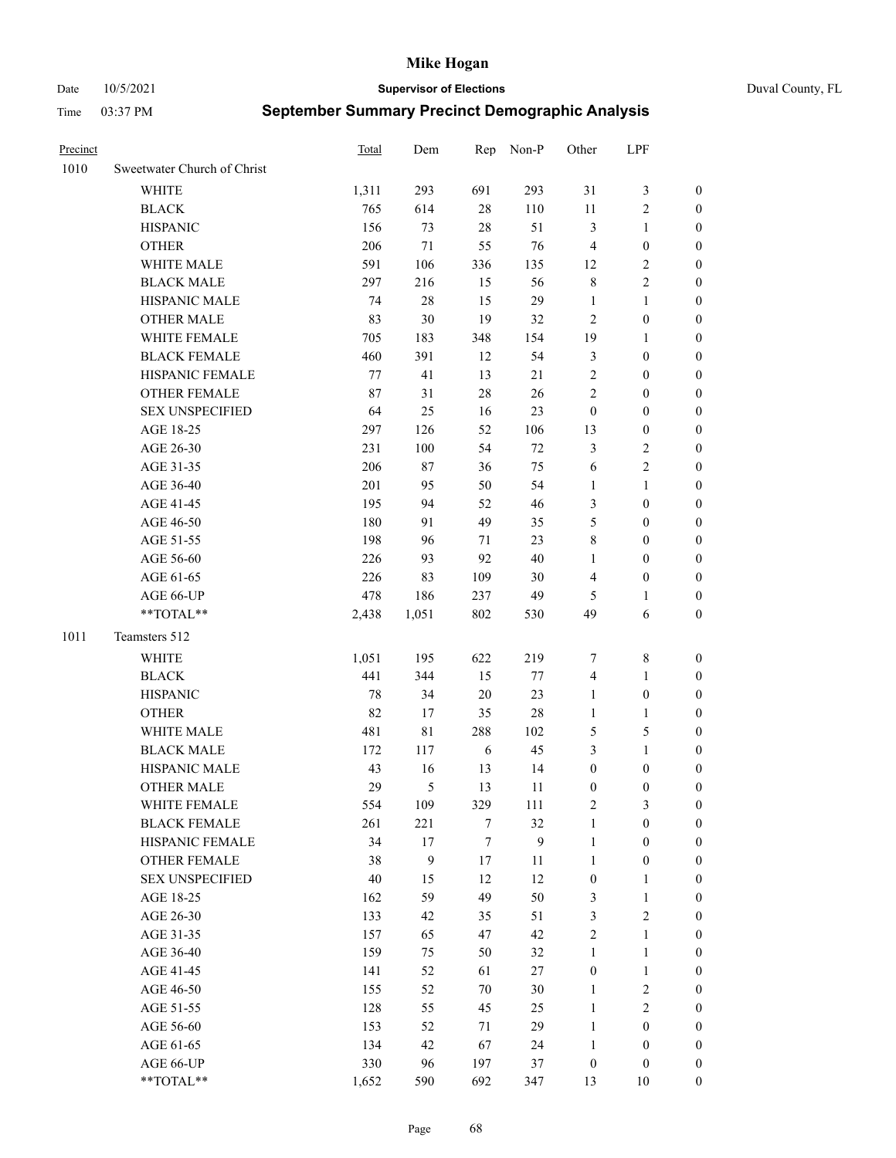Date 10/5/2021 **Supervisor of Elections** Duval County, FL

| Precinct |                             | Total  | Dem    | Rep              | Non-P            | Other            | LPF              |                  |
|----------|-----------------------------|--------|--------|------------------|------------------|------------------|------------------|------------------|
| 1010     | Sweetwater Church of Christ |        |        |                  |                  |                  |                  |                  |
|          | WHITE                       | 1,311  | 293    | 691              | 293              | 31               | $\mathfrak{Z}$   | 0                |
|          | <b>BLACK</b>                | 765    | 614    | $28\,$           | 110              | 11               | $\sqrt{2}$       | 0                |
|          | <b>HISPANIC</b>             | 156    | 73     | 28               | 51               | 3                | $\mathbf{1}$     | 0                |
|          | <b>OTHER</b>                | 206    | 71     | 55               | 76               | 4                | $\boldsymbol{0}$ | $\boldsymbol{0}$ |
|          | WHITE MALE                  | 591    | 106    | 336              | 135              | 12               | $\sqrt{2}$       | $\boldsymbol{0}$ |
|          | <b>BLACK MALE</b>           | 297    | 216    | 15               | 56               | $\,$ $\,$        | $\sqrt{2}$       | $\boldsymbol{0}$ |
|          | HISPANIC MALE               | 74     | $28\,$ | 15               | 29               | $\mathbf{1}$     | $\mathbf{1}$     | $\boldsymbol{0}$ |
|          | <b>OTHER MALE</b>           | 83     | 30     | 19               | 32               | $\mathbf{2}$     | $\boldsymbol{0}$ | $\boldsymbol{0}$ |
|          | WHITE FEMALE                | 705    | 183    | 348              | 154              | 19               | $\mathbf{1}$     | $\boldsymbol{0}$ |
|          | <b>BLACK FEMALE</b>         | 460    | 391    | 12               | 54               | 3                | $\boldsymbol{0}$ | 0                |
|          | HISPANIC FEMALE             | 77     | 41     | 13               | 21               | $\sqrt{2}$       | $\boldsymbol{0}$ | 0                |
|          | OTHER FEMALE                | 87     | 31     | 28               | 26               | $\mathfrak{2}$   | $\boldsymbol{0}$ | 0                |
|          | <b>SEX UNSPECIFIED</b>      | 64     | 25     | 16               | 23               | $\boldsymbol{0}$ | $\boldsymbol{0}$ | $\boldsymbol{0}$ |
|          | AGE 18-25                   | 297    | 126    | 52               | 106              | 13               | $\boldsymbol{0}$ | $\boldsymbol{0}$ |
|          | AGE 26-30                   | 231    | 100    | 54               | $72\,$           | 3                | $\sqrt{2}$       | $\boldsymbol{0}$ |
|          | AGE 31-35                   | 206    | $87\,$ | 36               | 75               | 6                | $\sqrt{2}$       | $\boldsymbol{0}$ |
|          | AGE 36-40                   | 201    | 95     | 50               | 54               | $\mathbf{1}$     | $\mathbf{1}$     | $\boldsymbol{0}$ |
|          | AGE 41-45                   | 195    | 94     | 52               | 46               | 3                | $\boldsymbol{0}$ | $\boldsymbol{0}$ |
|          | AGE 46-50                   | 180    | 91     | 49               | 35               | 5                | $\boldsymbol{0}$ | $\boldsymbol{0}$ |
|          | AGE 51-55                   | 198    | 96     | 71               | 23               | 8                | $\boldsymbol{0}$ | $\boldsymbol{0}$ |
|          | AGE 56-60                   | 226    | 93     | 92               | 40               | $\mathbf{1}$     | $\boldsymbol{0}$ | 0                |
|          | AGE 61-65                   | 226    | 83     | 109              | 30               | 4                | $\boldsymbol{0}$ | 0                |
|          | AGE 66-UP                   | 478    | 186    | 237              | 49               | 5                | $\mathbf{1}$     | 0                |
|          | **TOTAL**                   | 2,438  | 1,051  | 802              | 530              | 49               | 6                | $\boldsymbol{0}$ |
| 1011     | Teamsters 512               |        |        |                  |                  |                  |                  |                  |
|          | <b>WHITE</b>                | 1,051  | 195    | 622              | 219              | 7                | $\,$ 8 $\,$      | $\boldsymbol{0}$ |
|          | <b>BLACK</b>                | 441    | 344    | 15               | 77               | 4                | $\mathbf{1}$     | $\boldsymbol{0}$ |
|          | <b>HISPANIC</b>             | 78     | 34     | 20               | 23               | $\mathbf{1}$     | $\boldsymbol{0}$ | $\boldsymbol{0}$ |
|          | <b>OTHER</b>                | 82     | 17     | 35               | $28\,$           | $\mathbf{1}$     | $\mathbf{1}$     | $\boldsymbol{0}$ |
|          | WHITE MALE                  | 481    | 81     | 288              | 102              | 5                | $\mathfrak{S}$   | $\boldsymbol{0}$ |
|          | <b>BLACK MALE</b>           | 172    | 117    | 6                | 45               | 3                | $\mathbf{1}$     | $\boldsymbol{0}$ |
|          | HISPANIC MALE               | 43     | 16     | 13               | 14               | $\boldsymbol{0}$ | $\boldsymbol{0}$ | 0                |
|          | <b>OTHER MALE</b>           | 29     | 5      | 13               | 11               | $\boldsymbol{0}$ | $\boldsymbol{0}$ | 0                |
|          | WHITE FEMALE                | 554    | 109    | 329              | 111              | 2                | 3                | 0                |
|          | <b>BLACK FEMALE</b>         | 261    | 221    | 7                | 32               | $\mathbf{1}$     | $\boldsymbol{0}$ | $\overline{0}$   |
|          | HISPANIC FEMALE             | 34     | $17\,$ | $\boldsymbol{7}$ | $\boldsymbol{9}$ | $\mathbf{1}$     | $\boldsymbol{0}$ | $\overline{0}$   |
|          | OTHER FEMALE                | 38     | 9      | 17               | 11               | $\mathbf{1}$     | $\boldsymbol{0}$ | $\overline{0}$   |
|          | <b>SEX UNSPECIFIED</b>      | $40\,$ | 15     | 12               | 12               | $\boldsymbol{0}$ | $\mathbf{1}$     | 0                |
|          | AGE 18-25                   | 162    | 59     | 49               | 50               | 3                | $\mathbf{1}$     | 0                |
|          | AGE 26-30                   | 133    | 42     | 35               | 51               | 3                | $\overline{2}$   | 0                |
|          | AGE 31-35                   | 157    | 65     | 47               | 42               | $\sqrt{2}$       | $\mathbf{1}$     | 0                |
|          | AGE 36-40                   | 159    | 75     | 50               | 32               | $\mathbf{1}$     | $\mathbf{1}$     | 0                |
|          | AGE 41-45                   | 141    | 52     | 61               | 27               | $\boldsymbol{0}$ | $\mathbf{1}$     | 0                |
|          | AGE 46-50                   | 155    | 52     | $70\,$           | 30               | $\mathbf{1}$     | $\sqrt{2}$       | 0                |
|          | AGE 51-55                   | 128    | 55     | 45               | 25               | $\mathbf{1}$     | $\overline{2}$   | 0                |
|          | AGE 56-60                   | 153    | 52     | 71               | 29               | $\mathbf{1}$     | $\boldsymbol{0}$ | $\boldsymbol{0}$ |
|          | AGE 61-65                   | 134    | 42     | 67               | 24               | $\mathbf{1}$     | $\boldsymbol{0}$ | $\boldsymbol{0}$ |
|          | AGE 66-UP                   | 330    | 96     | 197              | 37               | $\boldsymbol{0}$ | $\boldsymbol{0}$ | 0                |
|          | **TOTAL**                   | 1,652  | 590    | 692              | 347              | 13               | 10               | $\boldsymbol{0}$ |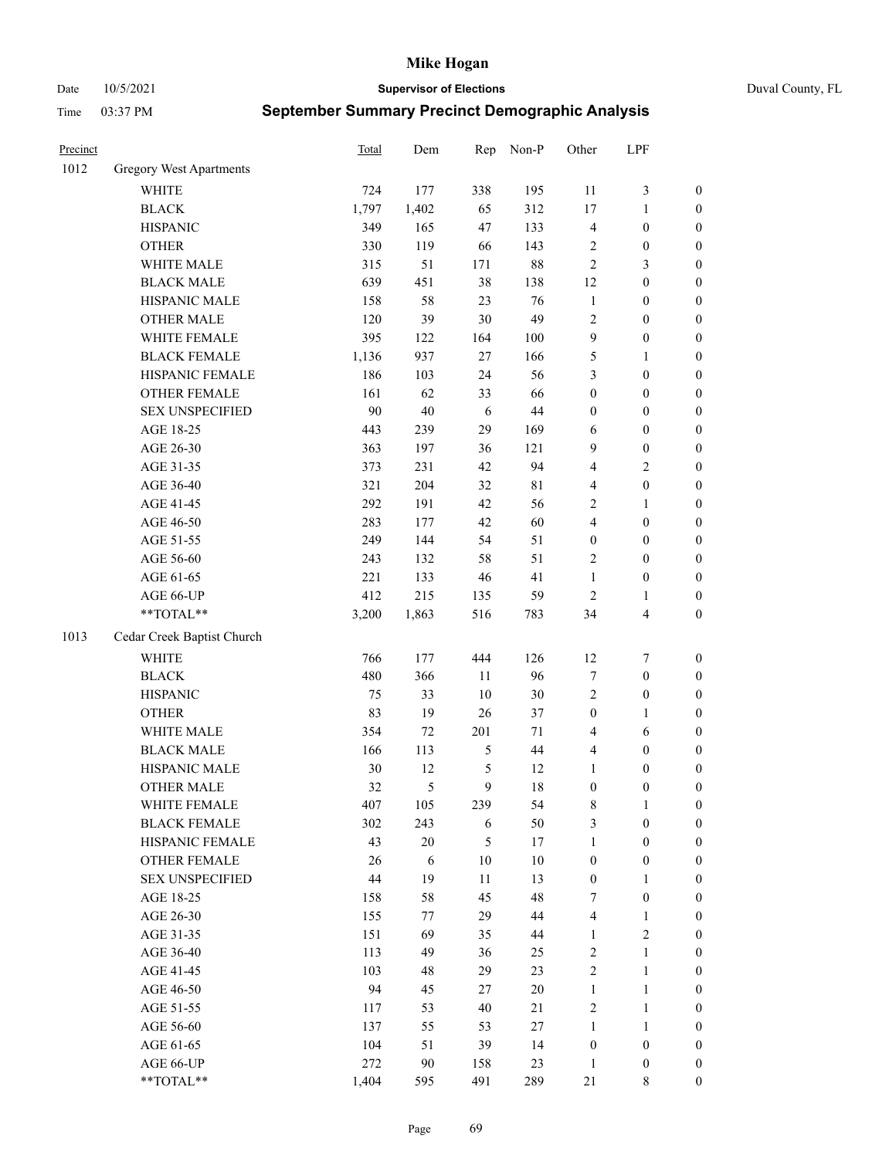Date 10/5/2021 **Supervisor of Elections** Duval County, FL

| Precinct |                                | <b>Total</b> | Dem    | Rep            | Non-P       | Other            | LPF                     |                  |
|----------|--------------------------------|--------------|--------|----------------|-------------|------------------|-------------------------|------------------|
| 1012     | <b>Gregory West Apartments</b> |              |        |                |             |                  |                         |                  |
|          | <b>WHITE</b>                   | 724          | 177    | 338            | 195         | 11               | $\mathfrak{Z}$          | 0                |
|          | <b>BLACK</b>                   | 1,797        | 1,402  | 65             | 312         | 17               | $\mathbf{1}$            | $\boldsymbol{0}$ |
|          | <b>HISPANIC</b>                | 349          | 165    | 47             | 133         | 4                | $\boldsymbol{0}$        | $\boldsymbol{0}$ |
|          | <b>OTHER</b>                   | 330          | 119    | 66             | 143         | $\overline{c}$   | $\boldsymbol{0}$        | $\boldsymbol{0}$ |
|          | WHITE MALE                     | 315          | 51     | 171            | $88\,$      | $\mathfrak{2}$   | $\mathfrak{Z}$          | $\boldsymbol{0}$ |
|          | <b>BLACK MALE</b>              | 639          | 451    | 38             | 138         | 12               | $\boldsymbol{0}$        | $\boldsymbol{0}$ |
|          | HISPANIC MALE                  | 158          | 58     | 23             | 76          | $\mathbf{1}$     | $\boldsymbol{0}$        | $\boldsymbol{0}$ |
|          | <b>OTHER MALE</b>              | 120          | 39     | 30             | 49          | $\mathfrak{2}$   | $\boldsymbol{0}$        | $\boldsymbol{0}$ |
|          | WHITE FEMALE                   | 395          | 122    | 164            | $100\,$     | $\boldsymbol{9}$ | $\boldsymbol{0}$        | $\boldsymbol{0}$ |
|          | <b>BLACK FEMALE</b>            | 1,136        | 937    | 27             | 166         | 5                | $\mathbf{1}$            | $\boldsymbol{0}$ |
|          | HISPANIC FEMALE                | 186          | 103    | 24             | 56          | 3                | $\boldsymbol{0}$        | $\boldsymbol{0}$ |
|          | <b>OTHER FEMALE</b>            | 161          | 62     | 33             | 66          | $\boldsymbol{0}$ | $\boldsymbol{0}$        | $\boldsymbol{0}$ |
|          | <b>SEX UNSPECIFIED</b>         | 90           | 40     | 6              | 44          | $\boldsymbol{0}$ | $\boldsymbol{0}$        | $\boldsymbol{0}$ |
|          | AGE 18-25                      | 443          | 239    | 29             | 169         | 6                | $\boldsymbol{0}$        | $\boldsymbol{0}$ |
|          | AGE 26-30                      | 363          | 197    | 36             | 121         | 9                | $\boldsymbol{0}$        | $\boldsymbol{0}$ |
|          | AGE 31-35                      | 373          | 231    | 42             | 94          | 4                | $\sqrt{2}$              | $\boldsymbol{0}$ |
|          | AGE 36-40                      | 321          | 204    | 32             | $8\sqrt{1}$ | 4                | $\boldsymbol{0}$        | $\boldsymbol{0}$ |
|          | AGE 41-45                      | 292          | 191    | 42             | 56          | 2                | $\mathbf{1}$            | $\boldsymbol{0}$ |
|          | AGE 46-50                      | 283          | 177    | 42             | 60          | $\overline{4}$   | $\boldsymbol{0}$        | $\boldsymbol{0}$ |
|          | AGE 51-55                      | 249          | 144    | 54             | 51          | $\boldsymbol{0}$ | $\boldsymbol{0}$        | $\boldsymbol{0}$ |
|          | AGE 56-60                      | 243          | 132    | 58             | 51          | $\mathbf{2}$     | $\boldsymbol{0}$        | $\boldsymbol{0}$ |
|          | AGE 61-65                      | 221          | 133    | 46             | 41          | $\mathbf{1}$     | $\boldsymbol{0}$        | $\boldsymbol{0}$ |
|          | AGE 66-UP                      | 412          | 215    | 135            | 59          | $\mathbf{2}$     | 1                       | $\boldsymbol{0}$ |
|          | **TOTAL**                      | 3,200        | 1,863  | 516            | 783         | 34               | $\overline{\mathbf{4}}$ | $\boldsymbol{0}$ |
| 1013     | Cedar Creek Baptist Church     |              |        |                |             |                  |                         |                  |
|          | <b>WHITE</b>                   | 766          | 177    | 444            | 126         | 12               | $\boldsymbol{7}$        | $\boldsymbol{0}$ |
|          | <b>BLACK</b>                   | 480          | 366    | $11\,$         | 96          | 7                | $\boldsymbol{0}$        | $\boldsymbol{0}$ |
|          | <b>HISPANIC</b>                | 75           | 33     | 10             | 30          | 2                | $\boldsymbol{0}$        | $\boldsymbol{0}$ |
|          | <b>OTHER</b>                   | 83           | 19     | 26             | 37          | $\boldsymbol{0}$ | $\mathbf{1}$            | $\boldsymbol{0}$ |
|          | WHITE MALE                     | 354          | 72     | 201            | $71\,$      | 4                | 6                       | $\boldsymbol{0}$ |
|          | <b>BLACK MALE</b>              | 166          | 113    | $\mathfrak{S}$ | $44\,$      | 4                | $\boldsymbol{0}$        | $\boldsymbol{0}$ |
|          | HISPANIC MALE                  | 30           | 12     | 5              | 12          | $\mathbf{1}$     | $\boldsymbol{0}$        | $\boldsymbol{0}$ |
|          | OTHER MALE                     | 32           | 5      | 9              | 18          | $\boldsymbol{0}$ | $\boldsymbol{0}$        | $\boldsymbol{0}$ |
|          | WHITE FEMALE                   | 407          | 105    | 239            | 54          | 8                | 1                       | 0                |
|          | <b>BLACK FEMALE</b>            | 302          | 243    | 6              | 50          | 3                | $\boldsymbol{0}$        | $\overline{0}$   |
|          | HISPANIC FEMALE                | 43           | $20\,$ | 5              | 17          | $\mathbf{1}$     | $\boldsymbol{0}$        | $\overline{0}$   |
|          | OTHER FEMALE                   | 26           | 6      | 10             | $10\,$      | $\boldsymbol{0}$ | $\boldsymbol{0}$        | $\overline{0}$   |
|          | <b>SEX UNSPECIFIED</b>         | 44           | 19     | 11             | 13          | $\boldsymbol{0}$ | $\mathbf{1}$            | 0                |
|          | AGE 18-25                      | 158          | 58     | 45             | 48          | 7                | $\boldsymbol{0}$        | 0                |
|          | AGE 26-30                      | 155          | 77     | 29             | $44\,$      | 4                | $\mathbf{1}$            | 0                |
|          | AGE 31-35                      | 151          | 69     | 35             | $44\,$      | $\mathbf{1}$     | $\overline{c}$          | 0                |
|          | AGE 36-40                      | 113          | 49     | 36             | 25          | 2                | $\mathbf{1}$            | 0                |
|          | AGE 41-45                      | 103          | 48     | 29             | 23          | $\overline{c}$   | $\mathbf{1}$            | 0                |
|          | AGE 46-50                      | 94           | 45     | 27             | $20\,$      | $\mathbf{1}$     | $\mathbf{1}$            | 0                |
|          | AGE 51-55                      | 117          | 53     | 40             | 21          | 2                | $\mathbf{1}$            | 0                |
|          | AGE 56-60                      | 137          | 55     | 53             | $27\,$      | $\mathbf{1}$     | $\mathbf{1}$            | 0                |
|          | AGE 61-65                      | 104          | 51     | 39             | 14          | $\boldsymbol{0}$ | $\boldsymbol{0}$        | 0                |
|          | AGE 66-UP                      | 272          | 90     | 158            | 23          | $\mathbf{1}$     | $\boldsymbol{0}$        | 0                |
|          | **TOTAL**                      | 1,404        | 595    | 491            | 289         | 21               | 8                       | $\boldsymbol{0}$ |
|          |                                |              |        |                |             |                  |                         |                  |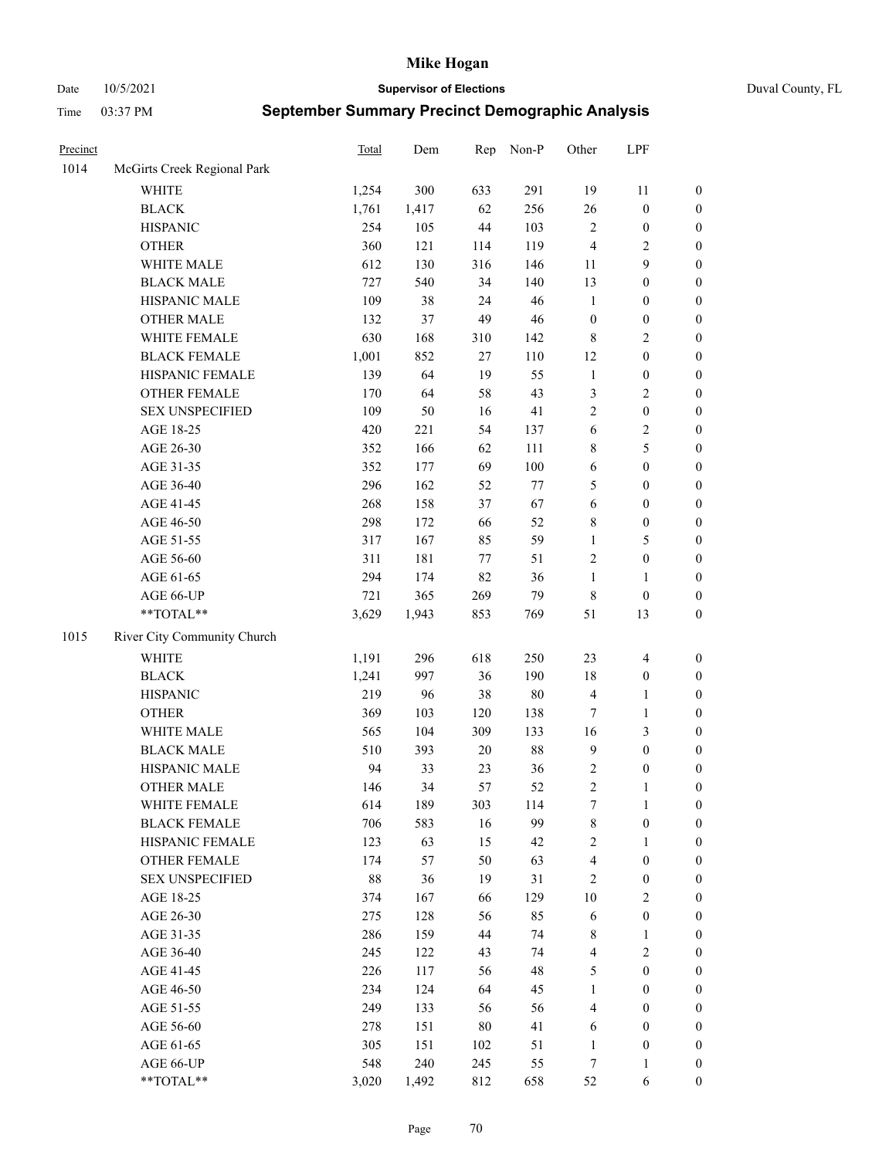Date 10/5/2021 **Supervisor of Elections** Duval County, FL

| Precinct |                             | Total | Dem   | Rep     | Non-P  | Other                   | LPF              |                  |
|----------|-----------------------------|-------|-------|---------|--------|-------------------------|------------------|------------------|
| 1014     | McGirts Creek Regional Park |       |       |         |        |                         |                  |                  |
|          | <b>WHITE</b>                | 1,254 | 300   | 633     | 291    | 19                      | 11               | 0                |
|          | <b>BLACK</b>                | 1,761 | 1,417 | 62      | 256    | 26                      | $\boldsymbol{0}$ | $\boldsymbol{0}$ |
|          | <b>HISPANIC</b>             | 254   | 105   | 44      | 103    | $\sqrt{2}$              | $\boldsymbol{0}$ | $\boldsymbol{0}$ |
|          | <b>OTHER</b>                | 360   | 121   | 114     | 119    | 4                       | $\sqrt{2}$       | $\boldsymbol{0}$ |
|          | WHITE MALE                  | 612   | 130   | 316     | 146    | 11                      | 9                | $\boldsymbol{0}$ |
|          | <b>BLACK MALE</b>           | 727   | 540   | 34      | 140    | 13                      | $\boldsymbol{0}$ | $\boldsymbol{0}$ |
|          | HISPANIC MALE               | 109   | 38    | 24      | 46     | $\mathbf{1}$            | $\boldsymbol{0}$ | $\boldsymbol{0}$ |
|          | <b>OTHER MALE</b>           | 132   | 37    | 49      | 46     | $\boldsymbol{0}$        | $\boldsymbol{0}$ | $\boldsymbol{0}$ |
|          | WHITE FEMALE                | 630   | 168   | 310     | 142    | 8                       | $\sqrt{2}$       | $\boldsymbol{0}$ |
|          | <b>BLACK FEMALE</b>         | 1,001 | 852   | 27      | 110    | 12                      | $\boldsymbol{0}$ | $\boldsymbol{0}$ |
|          | HISPANIC FEMALE             | 139   | 64    | 19      | 55     | $\mathbf{1}$            | $\boldsymbol{0}$ | $\boldsymbol{0}$ |
|          | OTHER FEMALE                | 170   | 64    | 58      | 43     | 3                       | $\sqrt{2}$       | $\boldsymbol{0}$ |
|          | <b>SEX UNSPECIFIED</b>      | 109   | 50    | 16      | 41     | $\mathbf{2}$            | $\boldsymbol{0}$ | $\boldsymbol{0}$ |
|          | AGE 18-25                   | 420   | 221   | 54      | 137    | 6                       | $\sqrt{2}$       | $\boldsymbol{0}$ |
|          | AGE 26-30                   | 352   | 166   | 62      | 111    | 8                       | 5                | $\boldsymbol{0}$ |
|          | AGE 31-35                   | 352   | 177   | 69      | 100    | 6                       | $\boldsymbol{0}$ | $\boldsymbol{0}$ |
|          | AGE 36-40                   | 296   | 162   | 52      | 77     | 5                       | $\boldsymbol{0}$ | $\boldsymbol{0}$ |
|          | AGE 41-45                   | 268   | 158   | 37      | 67     | 6                       | $\boldsymbol{0}$ | $\boldsymbol{0}$ |
|          | AGE 46-50                   | 298   | 172   | 66      | 52     | 8                       | $\boldsymbol{0}$ | $\boldsymbol{0}$ |
|          | AGE 51-55                   | 317   | 167   | 85      | 59     | $\mathbf{1}$            | $\mathfrak{S}$   | $\boldsymbol{0}$ |
|          | AGE 56-60                   | 311   | 181   | $77 \,$ | 51     | $\mathbf{2}$            | $\boldsymbol{0}$ | $\boldsymbol{0}$ |
|          | AGE 61-65                   | 294   | 174   | 82      | 36     | $\mathbf{1}$            | 1                | $\boldsymbol{0}$ |
|          | AGE 66-UP                   | 721   | 365   | 269     | 79     | 8                       | $\boldsymbol{0}$ | $\boldsymbol{0}$ |
|          | $**TOTAL**$                 | 3,629 | 1,943 | 853     | 769    | 51                      | 13               | $\boldsymbol{0}$ |
| 1015     | River City Community Church |       |       |         |        |                         |                  |                  |
|          | <b>WHITE</b>                | 1,191 | 296   | 618     | 250    | 23                      | $\overline{4}$   | $\boldsymbol{0}$ |
|          | <b>BLACK</b>                | 1,241 | 997   | 36      | 190    | 18                      | $\boldsymbol{0}$ | $\boldsymbol{0}$ |
|          | <b>HISPANIC</b>             | 219   | 96    | 38      | 80     | 4                       | $\mathbf{1}$     | $\boldsymbol{0}$ |
|          | <b>OTHER</b>                | 369   | 103   | 120     | 138    | $\tau$                  | $\mathbf{1}$     | $\boldsymbol{0}$ |
|          | WHITE MALE                  | 565   | 104   | 309     | 133    | 16                      | 3                | $\boldsymbol{0}$ |
|          | <b>BLACK MALE</b>           | 510   | 393   | $20\,$  | $88\,$ | $\boldsymbol{9}$        | $\boldsymbol{0}$ | $\boldsymbol{0}$ |
|          | HISPANIC MALE               | 94    | 33    | 23      | 36     | $\overline{\mathbf{c}}$ | $\boldsymbol{0}$ | $\boldsymbol{0}$ |
|          | <b>OTHER MALE</b>           | 146   | 34    | 57      | 52     | $\overline{c}$          | $\mathbf{1}$     | $\boldsymbol{0}$ |
|          | WHITE FEMALE                | 614   | 189   | 303     | 114    | 7                       | 1                | 0                |
|          | <b>BLACK FEMALE</b>         | 706   | 583   | 16      | 99     | 8                       | $\boldsymbol{0}$ | $\overline{0}$   |
|          | HISPANIC FEMALE             | 123   | 63    | 15      | 42     | $\overline{c}$          | 1                | $\overline{0}$   |
|          | OTHER FEMALE                | 174   | 57    | 50      | 63     | 4                       | $\boldsymbol{0}$ | $\overline{0}$   |
|          | <b>SEX UNSPECIFIED</b>      | 88    | 36    | 19      | 31     | 2                       | $\boldsymbol{0}$ | 0                |
|          | AGE 18-25                   | 374   | 167   | 66      | 129    | 10                      | $\sqrt{2}$       | 0                |
|          | AGE 26-30                   | 275   | 128   | 56      | 85     | 6                       | $\boldsymbol{0}$ | 0                |
|          | AGE 31-35                   | 286   | 159   | 44      | 74     | 8                       | $\mathbf{1}$     | 0                |
|          | AGE 36-40                   | 245   | 122   | 43      | 74     | 4                       | $\sqrt{2}$       | 0                |
|          | AGE 41-45                   | 226   | 117   | 56      | 48     | 5                       | $\boldsymbol{0}$ | 0                |
|          | AGE 46-50                   | 234   | 124   | 64      | 45     | 1                       | $\boldsymbol{0}$ | 0                |
|          | AGE 51-55                   | 249   | 133   | 56      | 56     | 4                       | $\boldsymbol{0}$ | $\overline{0}$   |
|          | AGE 56-60                   | 278   | 151   | 80      | 41     | 6                       | $\boldsymbol{0}$ | $\overline{0}$   |
|          | AGE 61-65                   | 305   | 151   | 102     | 51     | $\mathbf{1}$            | $\boldsymbol{0}$ | $\overline{0}$   |
|          | AGE 66-UP                   | 548   | 240   | 245     | 55     | 7                       | $\mathbf{1}$     | 0                |
|          | **TOTAL**                   | 3,020 | 1,492 | 812     | 658    | 52                      | 6                | $\boldsymbol{0}$ |
|          |                             |       |       |         |        |                         |                  |                  |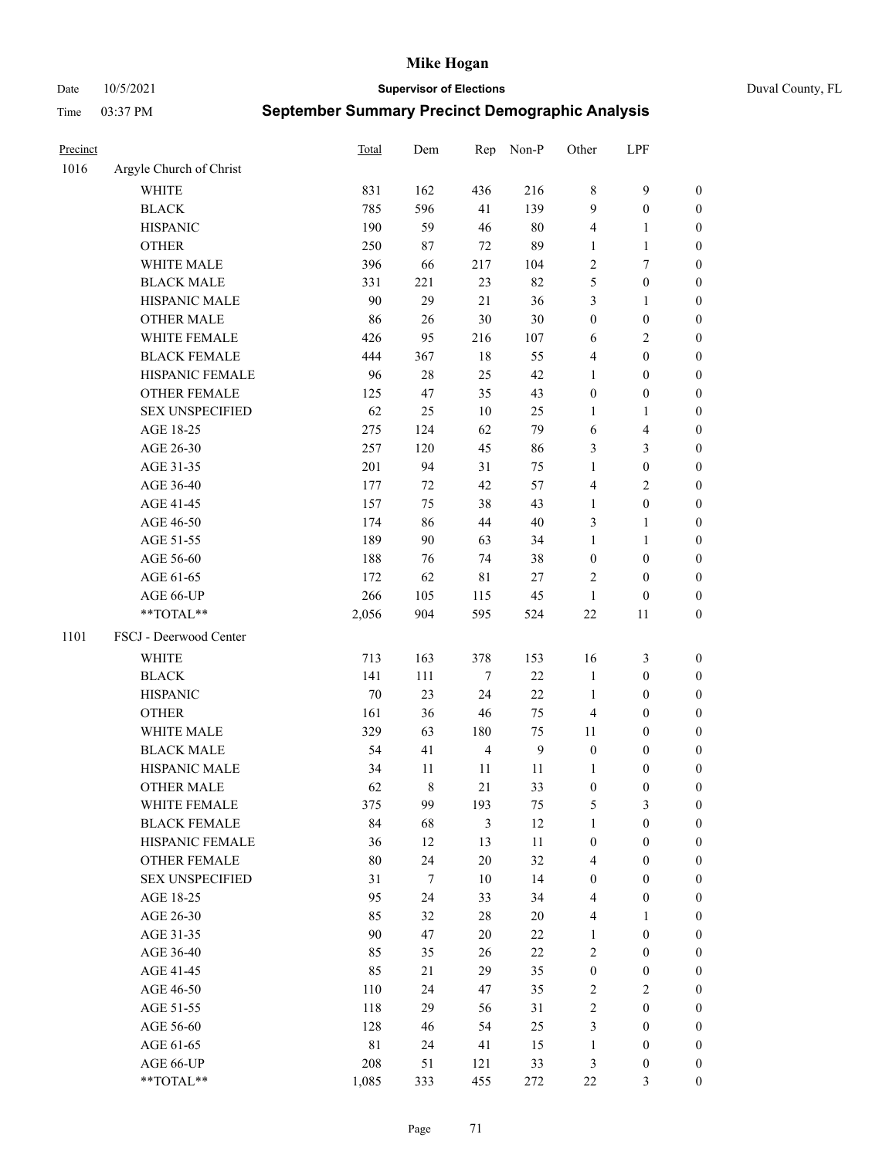Date 10/5/2021 **Supervisor of Elections** Duval County, FL

| Precinct |                         | <b>Total</b> | Dem    | Rep              | Non-P        | Other            | LPF                     |                  |
|----------|-------------------------|--------------|--------|------------------|--------------|------------------|-------------------------|------------------|
| 1016     | Argyle Church of Christ |              |        |                  |              |                  |                         |                  |
|          | <b>WHITE</b>            | 831          | 162    | 436              | 216          | $\,$ 8 $\,$      | $\mathbf{9}$            | $\boldsymbol{0}$ |
|          | <b>BLACK</b>            | 785          | 596    | 41               | 139          | 9                | $\boldsymbol{0}$        | 0                |
|          | <b>HISPANIC</b>         | 190          | 59     | 46               | 80           | 4                | $\mathbf{1}$            | $\boldsymbol{0}$ |
|          | <b>OTHER</b>            | 250          | 87     | 72               | 89           | 1                | $\mathbf{1}$            | $\boldsymbol{0}$ |
|          | WHITE MALE              | 396          | 66     | 217              | 104          | $\overline{c}$   | 7                       | $\boldsymbol{0}$ |
|          | <b>BLACK MALE</b>       | 331          | 221    | 23               | 82           | 5                | $\boldsymbol{0}$        | $\boldsymbol{0}$ |
|          | HISPANIC MALE           | 90           | 29     | $21\,$           | 36           | 3                | $\mathbf{1}$            | $\boldsymbol{0}$ |
|          | <b>OTHER MALE</b>       | 86           | 26     | $30\,$           | 30           | $\boldsymbol{0}$ | $\boldsymbol{0}$        | $\boldsymbol{0}$ |
|          | WHITE FEMALE            | 426          | 95     | 216              | 107          | 6                | $\overline{2}$          | $\boldsymbol{0}$ |
|          | <b>BLACK FEMALE</b>     | 444          | 367    | 18               | 55           | 4                | $\boldsymbol{0}$        | $\boldsymbol{0}$ |
|          | HISPANIC FEMALE         | 96           | 28     | 25               | 42           | $\mathbf{1}$     | $\boldsymbol{0}$        | 0                |
|          | OTHER FEMALE            | 125          | 47     | 35               | 43           | $\boldsymbol{0}$ | $\boldsymbol{0}$        | 0                |
|          | <b>SEX UNSPECIFIED</b>  | 62           | 25     | 10               | 25           | $\mathbf{1}$     | $\mathbf{1}$            | $\boldsymbol{0}$ |
|          | AGE 18-25               | 275          | 124    | 62               | 79           | 6                | $\overline{\mathbf{4}}$ | $\boldsymbol{0}$ |
|          | AGE 26-30               | 257          | 120    | 45               | 86           | 3                | $\mathfrak{Z}$          | $\boldsymbol{0}$ |
|          | AGE 31-35               | 201          | 94     | 31               | 75           | $\mathbf{1}$     | $\boldsymbol{0}$        | $\boldsymbol{0}$ |
|          | AGE 36-40               | 177          | 72     | 42               | 57           | 4                | $\mathbf{2}$            | $\boldsymbol{0}$ |
|          | AGE 41-45               | 157          | 75     | 38               | 43           | $\mathbf{1}$     | $\boldsymbol{0}$        | $\boldsymbol{0}$ |
|          | AGE 46-50               | 174          | 86     | 44               | $40\,$       | 3                | $\mathbf{1}$            | $\boldsymbol{0}$ |
|          | AGE 51-55               | 189          | 90     | 63               | 34           | $\mathbf{1}$     | $\mathbf{1}$            | $\boldsymbol{0}$ |
|          | AGE 56-60               | 188          | 76     | 74               | 38           | $\boldsymbol{0}$ | $\boldsymbol{0}$        | 0                |
|          | AGE 61-65               | 172          | 62     | $8\sqrt{1}$      | 27           | 2                | $\boldsymbol{0}$        | 0                |
|          | AGE 66-UP               | 266          | 105    | 115              | 45           | $\mathbf{1}$     | $\boldsymbol{0}$        | $\boldsymbol{0}$ |
|          | $**TOTAL**$             | 2,056        | 904    | 595              | 524          | $22\,$           | 11                      | $\boldsymbol{0}$ |
| 1101     | FSCJ - Deerwood Center  |              |        |                  |              |                  |                         |                  |
|          | <b>WHITE</b>            | 713          | 163    | 378              | 153          | 16               | $\mathfrak{Z}$          | $\boldsymbol{0}$ |
|          | <b>BLACK</b>            | 141          | 111    | $\boldsymbol{7}$ | $22\,$       | $\mathbf{1}$     | $\boldsymbol{0}$        | $\boldsymbol{0}$ |
|          | <b>HISPANIC</b>         | 70           | 23     | 24               | 22           | $\mathbf{1}$     | $\boldsymbol{0}$        | $\boldsymbol{0}$ |
|          | <b>OTHER</b>            | 161          | 36     | $46\,$           | 75           | 4                | $\boldsymbol{0}$        | $\boldsymbol{0}$ |
|          | WHITE MALE              | 329          | 63     | 180              | 75           | 11               | $\boldsymbol{0}$        | $\boldsymbol{0}$ |
|          | <b>BLACK MALE</b>       | 54           | 41     | $\overline{4}$   | $\mathbf{9}$ | $\boldsymbol{0}$ | $\boldsymbol{0}$        | $\boldsymbol{0}$ |
|          | HISPANIC MALE           | 34           | 11     | 11               | 11           | 1                | $\boldsymbol{0}$        | 0                |
|          | <b>OTHER MALE</b>       | 62           | 8      | 21               | 33           | $\boldsymbol{0}$ | $\boldsymbol{0}$        | 0                |
|          | WHITE FEMALE            | 375          | 99     | 193              | 75           | 5                | 3                       | 0                |
|          | <b>BLACK FEMALE</b>     | 84           | 68     | 3                | 12           | $\mathbf{1}$     | $\boldsymbol{0}$        | $\boldsymbol{0}$ |
|          | HISPANIC FEMALE         | 36           | 12     | 13               | $11\,$       | $\boldsymbol{0}$ | $\boldsymbol{0}$        | $\overline{0}$   |
|          | OTHER FEMALE            | 80           | 24     | $20\,$           | 32           | 4                | $\boldsymbol{0}$        | $\overline{0}$   |
|          | <b>SEX UNSPECIFIED</b>  | 31           | $\tau$ | 10               | 14           | $\boldsymbol{0}$ | $\boldsymbol{0}$        | 0                |
|          | AGE 18-25               | 95           | 24     | 33               | 34           | 4                | $\boldsymbol{0}$        | $\theta$         |
|          | AGE 26-30               | 85           | 32     | $28\,$           | $20\,$       | 4                | $\mathbf{1}$            | 0                |
|          | AGE 31-35               | 90           | 47     | $20\,$           | $22\,$       | $\mathbf{1}$     | $\boldsymbol{0}$        | 0                |
|          | AGE 36-40               | 85           | 35     | 26               | $22\,$       | $\sqrt{2}$       | $\boldsymbol{0}$        | 0                |
|          | AGE 41-45               | 85           | 21     | 29               | 35           | $\boldsymbol{0}$ | $\boldsymbol{0}$        | 0                |
|          | AGE 46-50               | 110          | 24     | 47               | 35           | $\overline{c}$   | $\sqrt{2}$              | 0                |
|          | AGE 51-55               | 118          | 29     | 56               | 31           | $\sqrt{2}$       | $\boldsymbol{0}$        | $\overline{0}$   |
|          | AGE 56-60               | 128          | 46     | 54               | 25           | 3                | $\boldsymbol{0}$        | $\overline{0}$   |
|          | AGE 61-65               | $8\sqrt{1}$  | 24     | 41               | 15           | $\mathbf{1}$     | $\boldsymbol{0}$        | $\overline{0}$   |
|          | AGE 66-UP               | 208          | 51     | 121              | 33           | 3                | $\boldsymbol{0}$        | 0                |
|          | **TOTAL**               | 1,085        | 333    | 455              | 272          | $22\,$           | $\mathfrak{Z}$          | $\boldsymbol{0}$ |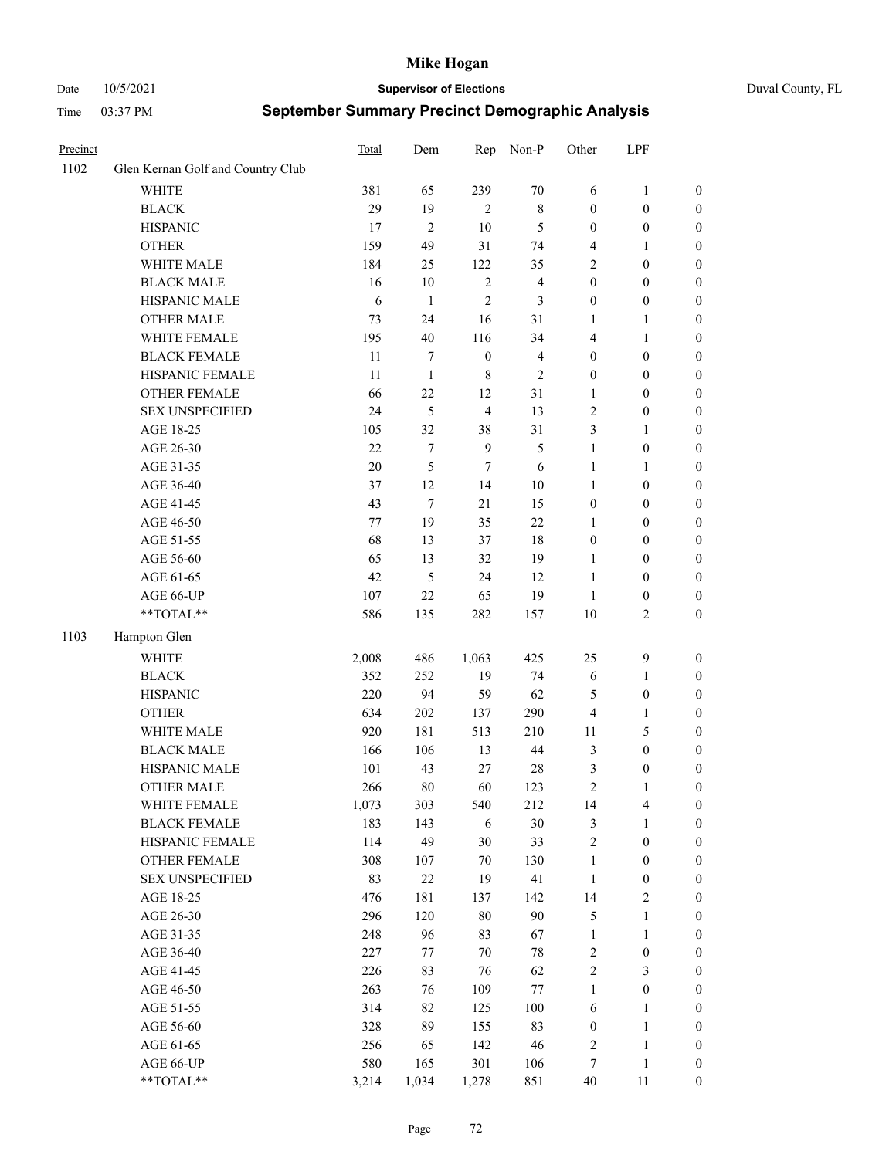Date 10/5/2021 **Supervisor of Elections** Duval County, FL

| Precinct |                                     | Total        | Dem            | Rep              | Non-P                   | Other               | LPF                              |                                      |
|----------|-------------------------------------|--------------|----------------|------------------|-------------------------|---------------------|----------------------------------|--------------------------------------|
| 1102     | Glen Kernan Golf and Country Club   |              |                |                  |                         |                     |                                  |                                      |
|          | <b>WHITE</b>                        | 381          | 65             | 239              | $70\,$                  | 6                   | $\mathbf{1}$                     | 0                                    |
|          | <b>BLACK</b>                        | 29           | 19             | 2                | $\,$ 8 $\,$             | $\boldsymbol{0}$    | $\boldsymbol{0}$                 | $\boldsymbol{0}$                     |
|          | <b>HISPANIC</b>                     | 17           | $\overline{c}$ | 10               | 5                       | $\boldsymbol{0}$    | $\boldsymbol{0}$                 | $\boldsymbol{0}$                     |
|          | <b>OTHER</b>                        | 159          | 49             | 31               | 74                      | 4                   | 1                                | $\boldsymbol{0}$                     |
|          | WHITE MALE                          | 184          | 25             | 122              | 35                      | 2                   | $\boldsymbol{0}$                 | $\boldsymbol{0}$                     |
|          | <b>BLACK MALE</b>                   | 16           | 10             | $\sqrt{2}$       | $\overline{\mathbf{4}}$ | $\boldsymbol{0}$    | $\boldsymbol{0}$                 | $\boldsymbol{0}$                     |
|          | HISPANIC MALE                       | 6            | $\mathbf{1}$   | $\mathfrak{2}$   | 3                       | $\boldsymbol{0}$    | $\boldsymbol{0}$                 | $\boldsymbol{0}$                     |
|          | <b>OTHER MALE</b>                   | 73           | 24             | 16               | 31                      | $\mathbf{1}$        | $\mathbf{1}$                     | $\boldsymbol{0}$                     |
|          | WHITE FEMALE                        | 195          | 40             | 116              | 34                      | 4                   | 1                                | $\boldsymbol{0}$                     |
|          | <b>BLACK FEMALE</b>                 | 11           | 7              | $\boldsymbol{0}$ | $\overline{4}$          | $\boldsymbol{0}$    | $\boldsymbol{0}$                 | 0                                    |
|          | HISPANIC FEMALE                     | 11           | $\mathbf{1}$   | $\,8\,$          | $\mathfrak{2}$          | $\boldsymbol{0}$    | $\boldsymbol{0}$                 | 0                                    |
|          | OTHER FEMALE                        | 66           | 22             | 12               | 31                      | $\mathbf{1}$        | $\boldsymbol{0}$                 | $\boldsymbol{0}$                     |
|          | <b>SEX UNSPECIFIED</b>              | 24           | 5              | $\overline{4}$   | 13                      | $\sqrt{2}$          | $\boldsymbol{0}$                 | $\boldsymbol{0}$                     |
|          | AGE 18-25                           | 105          | 32             | 38               | 31                      | 3                   | 1                                | $\boldsymbol{0}$                     |
|          | AGE 26-30                           | $22\,$       | 7              | 9                | $\mathfrak{S}$          | $\mathbf{1}$        | $\boldsymbol{0}$                 | $\boldsymbol{0}$                     |
|          | AGE 31-35                           | 20           | 5              | $\tau$           | 6                       | $\mathbf{1}$        | $\mathbf{1}$                     | $\boldsymbol{0}$                     |
|          | AGE 36-40                           | 37           | 12             | 14               | $10\,$                  | $\mathbf{1}$        | $\boldsymbol{0}$                 | $\boldsymbol{0}$                     |
|          | AGE 41-45                           | 43           | $\tau$         | 21               | 15                      | $\boldsymbol{0}$    | $\boldsymbol{0}$                 | $\boldsymbol{0}$                     |
|          | AGE 46-50                           | 77           | 19             | 35               | 22                      | 1                   | $\boldsymbol{0}$                 | $\boldsymbol{0}$                     |
|          | AGE 51-55                           | 68           | 13             | 37               | 18                      | $\boldsymbol{0}$    | $\boldsymbol{0}$                 | $\boldsymbol{0}$                     |
|          | AGE 56-60                           | 65           | 13             | 32               | 19                      | 1                   | $\boldsymbol{0}$                 | 0                                    |
|          | AGE 61-65                           | 42           | 5              | 24               | 12                      | $\mathbf{1}$        | $\boldsymbol{0}$                 | 0                                    |
|          | AGE 66-UP                           | 107          | 22             | 65               | 19                      | $\mathbf{1}$        | $\boldsymbol{0}$                 | $\boldsymbol{0}$                     |
|          | **TOTAL**                           | 586          | 135            | 282              | 157                     | 10                  | $\sqrt{2}$                       | $\boldsymbol{0}$                     |
| 1103     | Hampton Glen                        |              |                |                  |                         |                     |                                  |                                      |
|          | <b>WHITE</b>                        | 2,008        | 486            | 1,063            | 425                     | 25                  | $\mathbf{9}$                     | $\boldsymbol{0}$                     |
|          | <b>BLACK</b>                        | 352          | 252            | 19               | 74                      | 6                   | $\mathbf{1}$                     |                                      |
|          | <b>HISPANIC</b>                     | 220          | 94             | 59               | 62                      | 5                   | $\boldsymbol{0}$                 | $\boldsymbol{0}$<br>$\boldsymbol{0}$ |
|          | <b>OTHER</b>                        | 634          | 202            | 137              | 290                     | 4                   | $\mathbf{1}$                     | $\boldsymbol{0}$                     |
|          | WHITE MALE                          | 920          | 181            | 513              | 210                     |                     | $\mathfrak{S}$                   |                                      |
|          | <b>BLACK MALE</b>                   | 166          | 106            | 13               | 44                      | 11<br>3             | $\boldsymbol{0}$                 | $\boldsymbol{0}$<br>$\boldsymbol{0}$ |
|          | HISPANIC MALE                       |              | 43             |                  |                         |                     |                                  |                                      |
|          | OTHER MALE                          | 101<br>266   | 80             | 27<br>60         | $28\,$<br>123           | 3<br>$\overline{c}$ | $\boldsymbol{0}$<br>$\mathbf{1}$ | $\boldsymbol{0}$<br>$\boldsymbol{0}$ |
|          |                                     |              |                |                  |                         |                     |                                  | 0                                    |
|          | WHITE FEMALE<br><b>BLACK FEMALE</b> | 1,073<br>183 | 303            | 540              | 212<br>$30\,$           | 14                  | 4                                |                                      |
|          | HISPANIC FEMALE                     | 114          | 143<br>49      | 6<br>30          | 33                      | 3<br>$\sqrt{2}$     | $\mathbf{1}$<br>$\boldsymbol{0}$ | $\boldsymbol{0}$<br>$\overline{0}$   |
|          | OTHER FEMALE                        | 308          |                | $70\,$           | 130                     | $\mathbf{1}$        | $\boldsymbol{0}$                 | $\overline{0}$                       |
|          | <b>SEX UNSPECIFIED</b>              | 83           | 107<br>$22\,$  | 19               | 41                      | $\mathbf{1}$        | $\boldsymbol{0}$                 | 0                                    |
|          | AGE 18-25                           | 476          | 181            | 137              | 142                     | 14                  | $\sqrt{2}$                       | 0                                    |
|          | AGE 26-30                           | 296          | 120            | $80\,$           | 90                      | 5                   | $\mathbf{1}$                     | 0                                    |
|          | AGE 31-35                           | 248          | 96             | 83               | 67                      | $\mathbf{1}$        | $\mathbf{1}$                     | 0                                    |
|          | AGE 36-40                           | 227          |                | $70\,$           | $78\,$                  |                     |                                  |                                      |
|          | AGE 41-45                           | 226          | 77<br>83       | 76               | 62                      | 2<br>$\overline{c}$ | $\boldsymbol{0}$<br>3            | 0<br>0                               |
|          |                                     |              |                |                  |                         |                     |                                  |                                      |
|          | AGE 46-50                           | 263          | 76             | 109              | $77\,$                  | $\mathbf{1}$        | $\boldsymbol{0}$                 | 0                                    |
|          | AGE 51-55                           | 314          | 82             | 125              | 100                     | 6                   | $\mathbf{1}$                     | 0                                    |
|          | AGE 56-60                           | 328          | 89             | 155              | 83                      | $\boldsymbol{0}$    | $\mathbf{1}$                     | $\boldsymbol{0}$                     |
|          | AGE 61-65                           | 256          | 65             | 142              | 46                      | 2                   | $\mathbf{1}$                     | $\boldsymbol{0}$                     |
|          | AGE 66-UP                           | 580          | 165            | 301              | 106                     | 7                   | $\mathbf{1}$                     | $\boldsymbol{0}$                     |
|          | **TOTAL**                           | 3,214        | 1,034          | 1,278            | 851                     | $40\,$              | 11                               | $\boldsymbol{0}$                     |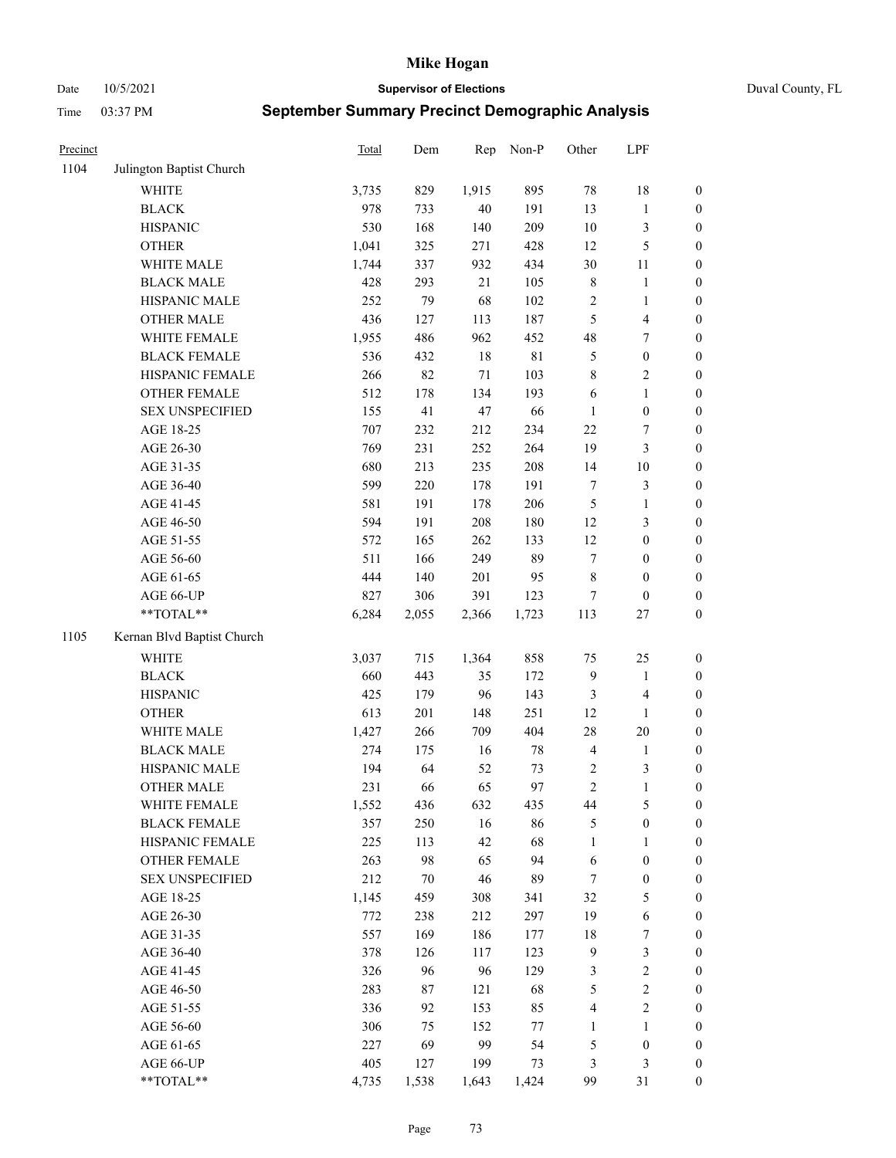Date 10/5/2021 **Supervisor of Elections** Duval County, FL

| Precinct |                            | <b>Total</b> | Dem    | Rep    | Non-P       | Other            | LPF              |                  |
|----------|----------------------------|--------------|--------|--------|-------------|------------------|------------------|------------------|
| 1104     | Julington Baptist Church   |              |        |        |             |                  |                  |                  |
|          | <b>WHITE</b>               | 3,735        | 829    | 1,915  | 895         | 78               | 18               | 0                |
|          | <b>BLACK</b>               | 978          | 733    | $40\,$ | 191         | 13               | $\mathbf{1}$     | $\boldsymbol{0}$ |
|          | <b>HISPANIC</b>            | 530          | 168    | 140    | 209         | $10\,$           | $\mathfrak{Z}$   | $\boldsymbol{0}$ |
|          | <b>OTHER</b>               | 1,041        | 325    | 271    | 428         | 12               | $\mathfrak{S}$   | $\boldsymbol{0}$ |
|          | WHITE MALE                 | 1,744        | 337    | 932    | 434         | 30               | 11               | $\boldsymbol{0}$ |
|          | <b>BLACK MALE</b>          | 428          | 293    | 21     | 105         | 8                | $\mathbf{1}$     | $\boldsymbol{0}$ |
|          | HISPANIC MALE              | 252          | 79     | 68     | 102         | $\sqrt{2}$       | $\mathbf{1}$     | $\boldsymbol{0}$ |
|          | <b>OTHER MALE</b>          | 436          | 127    | 113    | 187         | 5                | $\overline{4}$   | $\boldsymbol{0}$ |
|          | WHITE FEMALE               | 1,955        | 486    | 962    | 452         | 48               | $\boldsymbol{7}$ | $\boldsymbol{0}$ |
|          | <b>BLACK FEMALE</b>        | 536          | 432    | $18\,$ | $8\sqrt{1}$ | $\mathfrak{S}$   | $\boldsymbol{0}$ | $\boldsymbol{0}$ |
|          | HISPANIC FEMALE            | 266          | 82     | 71     | 103         | $\,$ $\,$        | $\sqrt{2}$       | $\boldsymbol{0}$ |
|          | OTHER FEMALE               | 512          | 178    | 134    | 193         | 6                | $\mathbf{1}$     | $\boldsymbol{0}$ |
|          | <b>SEX UNSPECIFIED</b>     | 155          | 41     | 47     | 66          | $\mathbf{1}$     | $\boldsymbol{0}$ | $\boldsymbol{0}$ |
|          | AGE 18-25                  | 707          | 232    | 212    | 234         | $22\,$           | $\boldsymbol{7}$ | $\boldsymbol{0}$ |
|          | AGE 26-30                  | 769          | 231    | 252    | 264         | 19               | $\mathfrak{Z}$   | $\boldsymbol{0}$ |
|          | AGE 31-35                  | 680          | 213    | 235    | 208         | 14               | $10\,$           | $\boldsymbol{0}$ |
|          | AGE 36-40                  | 599          | 220    | 178    | 191         | $\boldsymbol{7}$ | $\mathfrak{Z}$   | $\boldsymbol{0}$ |
|          | AGE 41-45                  | 581          | 191    | 178    | 206         | $\mathfrak s$    | $\mathbf{1}$     | $\boldsymbol{0}$ |
|          | AGE 46-50                  | 594          | 191    | 208    | 180         | 12               | $\mathfrak{Z}$   | $\boldsymbol{0}$ |
|          | AGE 51-55                  | 572          | 165    | 262    | 133         | 12               | $\boldsymbol{0}$ | $\boldsymbol{0}$ |
|          | AGE 56-60                  | 511          | 166    | 249    | 89          | $\tau$           | $\boldsymbol{0}$ | 0                |
|          | AGE 61-65                  | 444          | 140    | 201    | 95          | 8                | $\boldsymbol{0}$ | $\boldsymbol{0}$ |
|          | AGE 66-UP                  | 827          | 306    | 391    | 123         | 7                | $\boldsymbol{0}$ | $\boldsymbol{0}$ |
|          | **TOTAL**                  | 6,284        | 2,055  | 2,366  | 1,723       | 113              | $27\,$           | $\boldsymbol{0}$ |
| 1105     | Kernan Blvd Baptist Church |              |        |        |             |                  |                  |                  |
|          | <b>WHITE</b>               | 3,037        | 715    | 1,364  | 858         | 75               | 25               | $\boldsymbol{0}$ |
|          | <b>BLACK</b>               | 660          | 443    | 35     | 172         | 9                | $\mathbf{1}$     | $\boldsymbol{0}$ |
|          | <b>HISPANIC</b>            | 425          | 179    | 96     | 143         | 3                | $\overline{4}$   | $\boldsymbol{0}$ |
|          | <b>OTHER</b>               | 613          | 201    | 148    | 251         | 12               | $\mathbf{1}$     | $\boldsymbol{0}$ |
|          | WHITE MALE                 | 1,427        | 266    | 709    | 404         | $28\,$           | $20\,$           | $\boldsymbol{0}$ |
|          | <b>BLACK MALE</b>          | 274          | 175    | 16     | $78\,$      | $\overline{4}$   | $\mathbf{1}$     | $\boldsymbol{0}$ |
|          | HISPANIC MALE              | 194          | 64     | 52     | 73          | $\overline{c}$   | 3                | $\boldsymbol{0}$ |
|          | <b>OTHER MALE</b>          | 231          | 66     | 65     | 97          | $\overline{c}$   | $\mathbf{1}$     | $\boldsymbol{0}$ |
|          | WHITE FEMALE               | 1,552        | 436    | 632    | 435         | 44               | 5                | 0                |
|          | <b>BLACK FEMALE</b>        | 357          | 250    | 16     | 86          | 5                | $\boldsymbol{0}$ | $\boldsymbol{0}$ |
|          | HISPANIC FEMALE            | 225          | 113    | 42     | 68          | $\mathbf{1}$     | 1                | $\overline{0}$   |
|          | <b>OTHER FEMALE</b>        | 263          | 98     | 65     | 94          | 6                | $\boldsymbol{0}$ | $\overline{0}$   |
|          | <b>SEX UNSPECIFIED</b>     | 212          | $70\,$ | 46     | 89          | 7                | $\boldsymbol{0}$ | 0                |
|          | AGE 18-25                  | 1,145        | 459    | 308    | 341         | 32               | $\mathfrak{S}$   | 0                |
|          | AGE 26-30                  | 772          | 238    | 212    | 297         | 19               | $\sqrt{6}$       | 0                |
|          | AGE 31-35                  | 557          | 169    | 186    | 177         | 18               | $\boldsymbol{7}$ | 0                |
|          | AGE 36-40                  | 378          | 126    | 117    | 123         | $\overline{9}$   | $\mathfrak{Z}$   | 0                |
|          | AGE 41-45                  | 326          | 96     | 96     | 129         | 3                | $\sqrt{2}$       | 0                |
|          | AGE 46-50                  | 283          | 87     | 121    | 68          | 5                | $\sqrt{2}$       | 0                |
|          | AGE 51-55                  | 336          | 92     | 153    | 85          | 4                | $\overline{2}$   | 0                |
|          | AGE 56-60                  | 306          | 75     | 152    | $77\,$      | 1                | 1                | $\boldsymbol{0}$ |
|          | AGE 61-65                  | 227          | 69     | 99     | 54          | 5                | $\boldsymbol{0}$ | $\overline{0}$   |
|          | AGE 66-UP                  | 405          | 127    | 199    | 73          | 3                | $\mathfrak{Z}$   | 0                |
|          | **TOTAL**                  | 4,735        | 1,538  | 1,643  | 1,424       | 99               | 31               | $\boldsymbol{0}$ |
|          |                            |              |        |        |             |                  |                  |                  |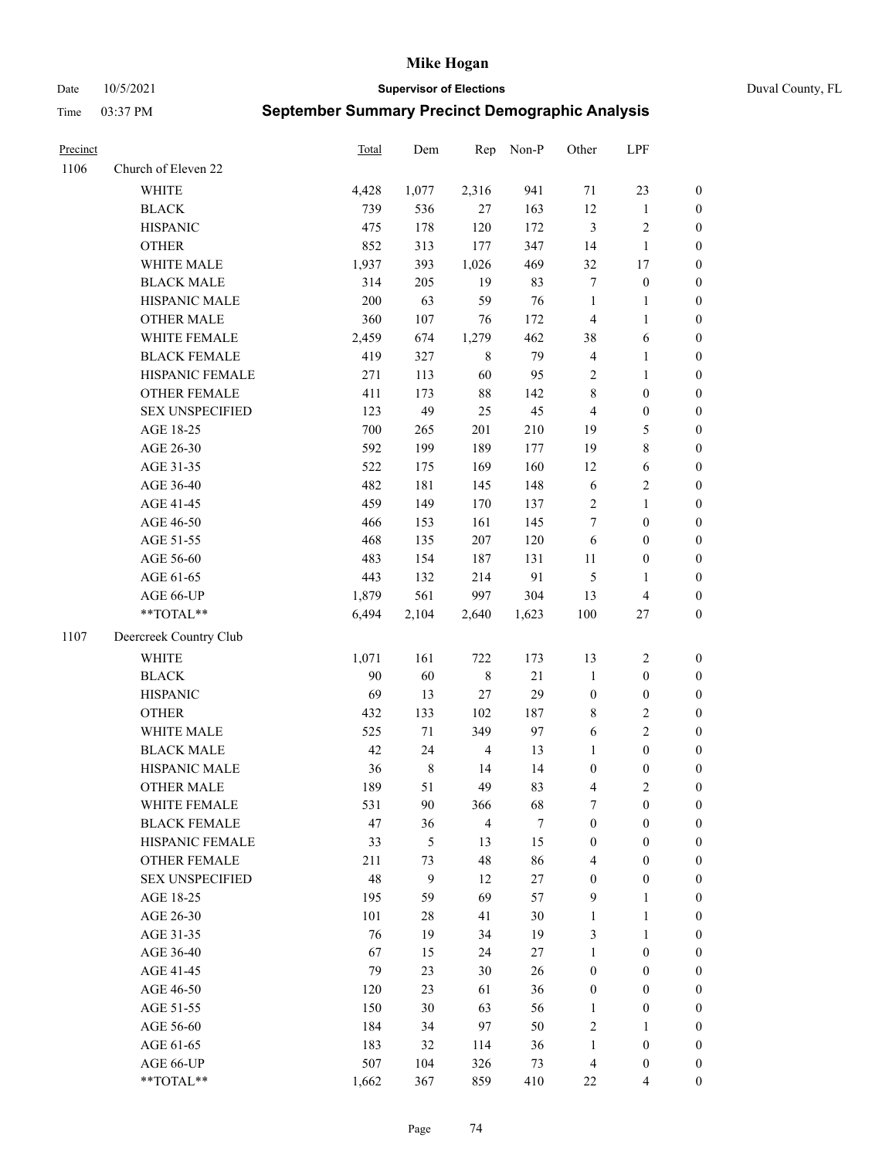Date 10/5/2021 **Supervisor of Elections** Duval County, FL

| Precinct |                        | <b>Total</b> | Dem       | Rep            | Non-P  | Other                   | LPF                     |                  |
|----------|------------------------|--------------|-----------|----------------|--------|-------------------------|-------------------------|------------------|
| 1106     | Church of Eleven 22    |              |           |                |        |                         |                         |                  |
|          | <b>WHITE</b>           | 4,428        | 1,077     | 2,316          | 941    | 71                      | 23                      | 0                |
|          | <b>BLACK</b>           | 739          | 536       | 27             | 163    | 12                      | $\mathbf{1}$            | $\boldsymbol{0}$ |
|          | <b>HISPANIC</b>        | 475          | 178       | 120            | 172    | 3                       | $\sqrt{2}$              | $\boldsymbol{0}$ |
|          | <b>OTHER</b>           | 852          | 313       | 177            | 347    | 14                      | $\mathbf{1}$            | $\boldsymbol{0}$ |
|          | WHITE MALE             | 1,937        | 393       | 1,026          | 469    | 32                      | 17                      | $\boldsymbol{0}$ |
|          | <b>BLACK MALE</b>      | 314          | 205       | 19             | 83     | 7                       | $\boldsymbol{0}$        | $\boldsymbol{0}$ |
|          | HISPANIC MALE          | 200          | 63        | 59             | 76     | $\mathbf{1}$            | $\mathbf{1}$            | $\boldsymbol{0}$ |
|          | <b>OTHER MALE</b>      | 360          | 107       | 76             | 172    | $\overline{4}$          | $\mathbf{1}$            | $\boldsymbol{0}$ |
|          | WHITE FEMALE           | 2,459        | 674       | 1,279          | 462    | 38                      | 6                       | $\boldsymbol{0}$ |
|          | <b>BLACK FEMALE</b>    | 419          | 327       | $\,$ 8 $\,$    | 79     | $\overline{\mathbf{4}}$ | $\mathbf{1}$            | $\boldsymbol{0}$ |
|          | HISPANIC FEMALE        | 271          | 113       | 60             | 95     | $\sqrt{2}$              | $\mathbf{1}$            | 0                |
|          | OTHER FEMALE           | 411          | 173       | $88\,$         | 142    | 8                       | $\boldsymbol{0}$        | $\boldsymbol{0}$ |
|          | <b>SEX UNSPECIFIED</b> | 123          | 49        | 25             | 45     | $\overline{4}$          | $\boldsymbol{0}$        | $\boldsymbol{0}$ |
|          | AGE 18-25              | 700          | 265       | 201            | 210    | 19                      | $\mathfrak{S}$          | $\boldsymbol{0}$ |
|          | AGE 26-30              | 592          | 199       | 189            | 177    | 19                      | $\,$ 8 $\,$             | $\boldsymbol{0}$ |
|          | AGE 31-35              | 522          | 175       | 169            | 160    | 12                      | 6                       | $\boldsymbol{0}$ |
|          | AGE 36-40              | 482          | 181       | 145            | 148    | $\sqrt{6}$              | $\sqrt{2}$              | $\boldsymbol{0}$ |
|          | AGE 41-45              | 459          | 149       | 170            | 137    | $\overline{2}$          | $\mathbf{1}$            | $\boldsymbol{0}$ |
|          | AGE 46-50              | 466          | 153       | 161            | 145    | 7                       | $\boldsymbol{0}$        | $\boldsymbol{0}$ |
|          | AGE 51-55              | 468          | 135       | 207            | 120    | 6                       | $\boldsymbol{0}$        | $\boldsymbol{0}$ |
|          | AGE 56-60              | 483          | 154       | 187            | 131    | 11                      | $\boldsymbol{0}$        | 0                |
|          | AGE 61-65              | 443          | 132       | 214            | 91     | 5                       | $\mathbf{1}$            | 0                |
|          | AGE 66-UP              | 1,879        | 561       | 997            | 304    | 13                      | $\overline{\mathbf{4}}$ | $\boldsymbol{0}$ |
|          | **TOTAL**              | 6,494        | 2,104     | 2,640          | 1,623  | $100\,$                 | $27\,$                  | $\boldsymbol{0}$ |
| 1107     | Deercreek Country Club |              |           |                |        |                         |                         |                  |
|          | <b>WHITE</b>           | 1,071        | 161       | 722            | 173    | 13                      | $\sqrt{2}$              | $\boldsymbol{0}$ |
|          | <b>BLACK</b>           | 90           | 60        | $\,8\,$        | $21\,$ | $\mathbf{1}$            | $\boldsymbol{0}$        | $\boldsymbol{0}$ |
|          | <b>HISPANIC</b>        | 69           | 13        | 27             | 29     | $\boldsymbol{0}$        | $\boldsymbol{0}$        | $\boldsymbol{0}$ |
|          | <b>OTHER</b>           | 432          | 133       | 102            | 187    | 8                       | $\sqrt{2}$              | $\boldsymbol{0}$ |
|          | WHITE MALE             | 525          | 71        | 349            | 97     | 6                       | $\overline{2}$          | $\boldsymbol{0}$ |
|          | <b>BLACK MALE</b>      | 42           | 24        | $\overline{4}$ | 13     | $\mathbf{1}$            | $\boldsymbol{0}$        | $\boldsymbol{0}$ |
|          | HISPANIC MALE          | 36           | $\,$ $\,$ | 14             | 14     | $\boldsymbol{0}$        | $\boldsymbol{0}$        | $\boldsymbol{0}$ |
|          | OTHER MALE             | 189          | 51        | 49             | 83     | 4                       | $\mathbf{2}$            | $\boldsymbol{0}$ |
|          | WHITE FEMALE           | 531          | 90        | 366            | 68     | 7                       | $\boldsymbol{0}$        | 0                |
|          | <b>BLACK FEMALE</b>    | 47           | 36        | $\overline{4}$ | $\tau$ | $\boldsymbol{0}$        | $\boldsymbol{0}$        | $\overline{0}$   |
|          | HISPANIC FEMALE        | 33           | 5         | 13             | 15     | $\boldsymbol{0}$        | $\boldsymbol{0}$        | $\overline{0}$   |
|          | <b>OTHER FEMALE</b>    | 211          | 73        | 48             | 86     | 4                       | $\boldsymbol{0}$        | $\overline{0}$   |
|          | <b>SEX UNSPECIFIED</b> | 48           | 9         | 12             | $27\,$ | $\boldsymbol{0}$        | $\boldsymbol{0}$        | 0                |
|          | AGE 18-25              | 195          | 59        | 69             | 57     | 9                       | $\mathbf{1}$            | 0                |
|          | AGE 26-30              | 101          | $28\,$    | 41             | $30\,$ | $\mathbf{1}$            | $\mathbf{1}$            | 0                |
|          | AGE 31-35              | 76           | 19        | 34             | 19     | 3                       | $\mathbf{1}$            | 0                |
|          | AGE 36-40              | 67           | 15        | 24             | 27     | $\mathbf{1}$            | $\boldsymbol{0}$        | 0                |
|          | AGE 41-45              | 79           | 23        | 30             | 26     | $\boldsymbol{0}$        | $\boldsymbol{0}$        | 0                |
|          | AGE 46-50              | 120          | 23        | 61             | 36     | $\boldsymbol{0}$        | $\boldsymbol{0}$        | 0                |
|          | AGE 51-55              | 150          | 30        | 63             | 56     | $\mathbf{1}$            | $\boldsymbol{0}$        | 0                |
|          | AGE 56-60              | 184          | 34        | 97             | 50     | 2                       | 1                       | 0                |
|          | AGE 61-65              | 183          | 32        | 114            | 36     | $\mathbf{1}$            | $\boldsymbol{0}$        | 0                |
|          | AGE 66-UP              | 507          | 104       | 326            | 73     | 4                       | $\boldsymbol{0}$        | 0                |
|          | **TOTAL**              | 1,662        | 367       | 859            | 410    | $22\,$                  | $\overline{4}$          | $\boldsymbol{0}$ |
|          |                        |              |           |                |        |                         |                         |                  |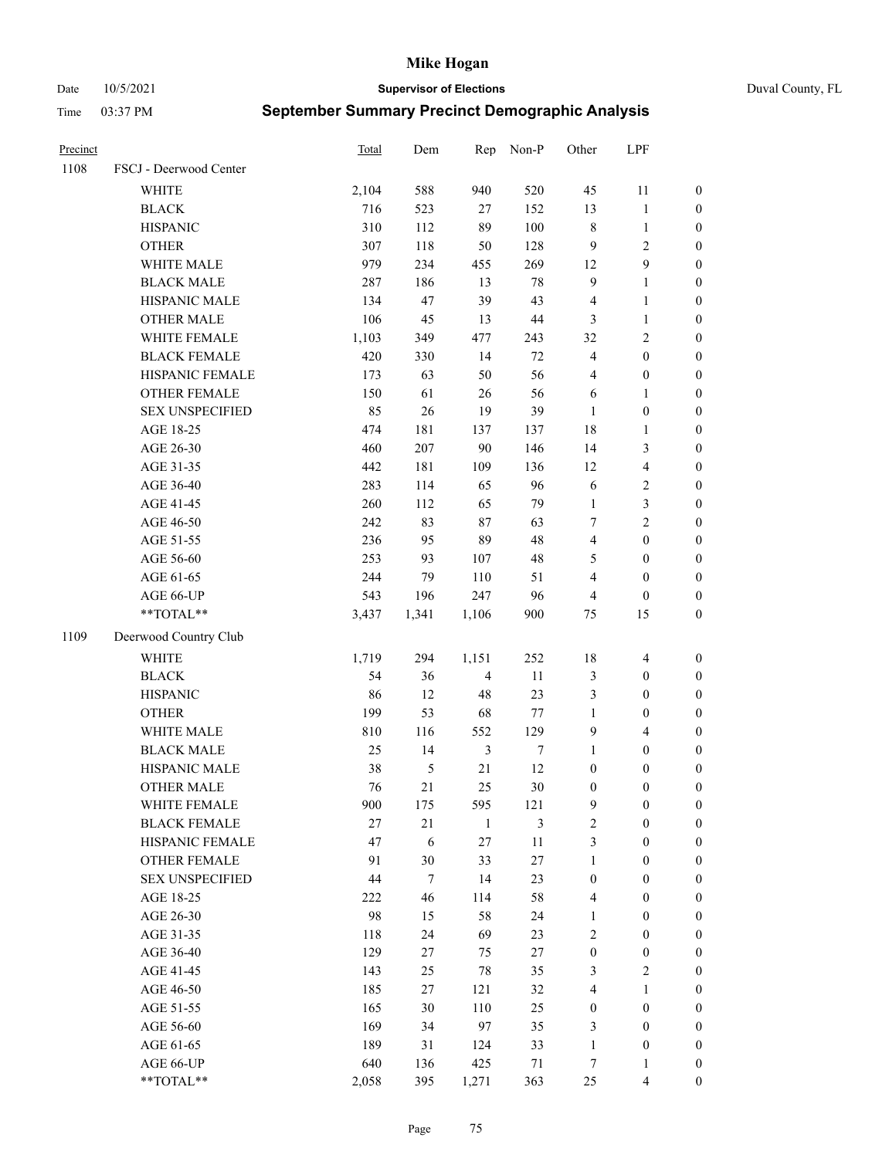Date 10/5/2021 **Supervisor of Elections** Duval County, FL

| Precinct |                        | Total | Dem            | Rep            | Non-P            | Other            | LPF              |                  |
|----------|------------------------|-------|----------------|----------------|------------------|------------------|------------------|------------------|
| 1108     | FSCJ - Deerwood Center |       |                |                |                  |                  |                  |                  |
|          | <b>WHITE</b>           | 2,104 | 588            | 940            | 520              | 45               | 11               | 0                |
|          | <b>BLACK</b>           | 716   | 523            | 27             | 152              | 13               | $\mathbf{1}$     | $\boldsymbol{0}$ |
|          | <b>HISPANIC</b>        | 310   | 112            | 89             | 100              | 8                | $\mathbf{1}$     | $\boldsymbol{0}$ |
|          | <b>OTHER</b>           | 307   | 118            | 50             | 128              | 9                | $\sqrt{2}$       | $\boldsymbol{0}$ |
|          | WHITE MALE             | 979   | 234            | 455            | 269              | 12               | 9                | $\boldsymbol{0}$ |
|          | <b>BLACK MALE</b>      | 287   | 186            | 13             | $78\,$           | 9                | $\mathbf{1}$     | $\boldsymbol{0}$ |
|          | HISPANIC MALE          | 134   | 47             | 39             | 43               | 4                | $\mathbf{1}$     | $\boldsymbol{0}$ |
|          | <b>OTHER MALE</b>      | 106   | 45             | 13             | $44\,$           | 3                | $\mathbf{1}$     | $\boldsymbol{0}$ |
|          | WHITE FEMALE           | 1,103 | 349            | 477            | 243              | 32               | $\sqrt{2}$       | $\boldsymbol{0}$ |
|          | <b>BLACK FEMALE</b>    | 420   | 330            | 14             | $72\,$           | 4                | $\boldsymbol{0}$ | $\boldsymbol{0}$ |
|          | HISPANIC FEMALE        | 173   | 63             | 50             | 56               | 4                | $\boldsymbol{0}$ | 0                |
|          | <b>OTHER FEMALE</b>    | 150   | 61             | 26             | 56               | 6                | $\mathbf{1}$     | $\boldsymbol{0}$ |
|          | <b>SEX UNSPECIFIED</b> | 85    | 26             | 19             | 39               | $\mathbf{1}$     | $\boldsymbol{0}$ | $\boldsymbol{0}$ |
|          | AGE 18-25              | 474   | 181            | 137            | 137              | 18               | $\mathbf{1}$     | $\boldsymbol{0}$ |
|          | AGE 26-30              | 460   | 207            | 90             | 146              | 14               | $\mathfrak{Z}$   | $\boldsymbol{0}$ |
|          | AGE 31-35              | 442   | 181            | 109            | 136              | 12               | $\overline{4}$   | $\boldsymbol{0}$ |
|          | AGE 36-40              | 283   | 114            | 65             | 96               | 6                | $\sqrt{2}$       | $\boldsymbol{0}$ |
|          | AGE 41-45              | 260   | 112            | 65             | 79               | $\mathbf{1}$     | 3                | $\boldsymbol{0}$ |
|          | AGE 46-50              | 242   | 83             | 87             | 63               | 7                | $\overline{c}$   | $\boldsymbol{0}$ |
|          | AGE 51-55              | 236   | 95             | 89             | 48               | 4                | $\boldsymbol{0}$ | $\boldsymbol{0}$ |
|          | AGE 56-60              | 253   | 93             | 107            | 48               | 5                | $\boldsymbol{0}$ | 0                |
|          | AGE 61-65              | 244   | 79             | 110            | 51               | 4                | $\boldsymbol{0}$ | $\boldsymbol{0}$ |
|          | AGE 66-UP              | 543   | 196            | 247            | 96               | 4                | $\boldsymbol{0}$ | $\boldsymbol{0}$ |
|          | $**TOTAL**$            | 3,437 | 1,341          | 1,106          | 900              | 75               | 15               | $\boldsymbol{0}$ |
| 1109     | Deerwood Country Club  |       |                |                |                  |                  |                  |                  |
|          | <b>WHITE</b>           | 1,719 | 294            | 1,151          | 252              | 18               | $\overline{4}$   | $\boldsymbol{0}$ |
|          | <b>BLACK</b>           | 54    | 36             | $\overline{4}$ | 11               | 3                | $\boldsymbol{0}$ | $\boldsymbol{0}$ |
|          | <b>HISPANIC</b>        | 86    | 12             | 48             | 23               | 3                | $\boldsymbol{0}$ | $\boldsymbol{0}$ |
|          | <b>OTHER</b>           | 199   | 53             | 68             | 77               | $\mathbf{1}$     | $\boldsymbol{0}$ | $\boldsymbol{0}$ |
|          | WHITE MALE             | 810   | 116            | 552            | 129              | 9                | $\overline{4}$   | $\boldsymbol{0}$ |
|          | <b>BLACK MALE</b>      | 25    | 14             | $\mathfrak{Z}$ | $\boldsymbol{7}$ | $\mathbf{1}$     | $\boldsymbol{0}$ | $\boldsymbol{0}$ |
|          | HISPANIC MALE          | 38    | $\mathfrak{S}$ | 21             | 12               | $\boldsymbol{0}$ | $\boldsymbol{0}$ | $\boldsymbol{0}$ |
|          | <b>OTHER MALE</b>      | 76    | 21             | 25             | $30\,$           | $\boldsymbol{0}$ | $\boldsymbol{0}$ | $\boldsymbol{0}$ |
|          | WHITE FEMALE           | 900   | 175            | 595            | 121              | 9                | 0                | 0                |
|          | <b>BLACK FEMALE</b>    | 27    | $21\,$         | $\mathbf{1}$   | 3                | $\overline{c}$   | $\boldsymbol{0}$ | $\overline{0}$   |
|          | HISPANIC FEMALE        | 47    | 6              | 27             | $11\,$           | 3                | $\boldsymbol{0}$ | $\overline{0}$   |
|          | <b>OTHER FEMALE</b>    | 91    | $30\,$         | 33             | $27\,$           | $\mathbf{1}$     | $\boldsymbol{0}$ | $\overline{0}$   |
|          | <b>SEX UNSPECIFIED</b> | 44    | $\tau$         | 14             | 23               | $\boldsymbol{0}$ | $\boldsymbol{0}$ | 0                |
|          | AGE 18-25              | 222   | 46             | 114            | 58               | 4                | $\boldsymbol{0}$ | $\theta$         |
|          | AGE 26-30              | 98    | 15             | 58             | 24               | $\mathbf{1}$     | $\boldsymbol{0}$ | 0                |
|          | AGE 31-35              | 118   | 24             | 69             | 23               | 2                | $\boldsymbol{0}$ | 0                |
|          | AGE 36-40              | 129   | 27             | 75             | $27\,$           | $\boldsymbol{0}$ | $\boldsymbol{0}$ | 0                |
|          | AGE 41-45              | 143   | 25             | 78             | 35               | 3                | $\mathfrak{2}$   | 0                |
|          | AGE 46-50              | 185   | 27             | 121            | 32               | 4                | $\mathbf{1}$     | 0                |
|          | AGE 51-55              | 165   | $30\,$         | 110            | 25               | $\boldsymbol{0}$ | $\boldsymbol{0}$ | 0                |
|          | AGE 56-60              | 169   | 34             | 97             | 35               | 3                | $\boldsymbol{0}$ | $\overline{0}$   |
|          | AGE 61-65              | 189   | 31             | 124            | 33               | $\mathbf{1}$     | $\boldsymbol{0}$ | 0                |
|          | AGE 66-UP              | 640   | 136            | 425            | 71               | 7                | $\mathbf{1}$     | 0                |
|          | **TOTAL**              | 2,058 | 395            | 1,271          | 363              | 25               | $\overline{4}$   | $\boldsymbol{0}$ |
|          |                        |       |                |                |                  |                  |                  |                  |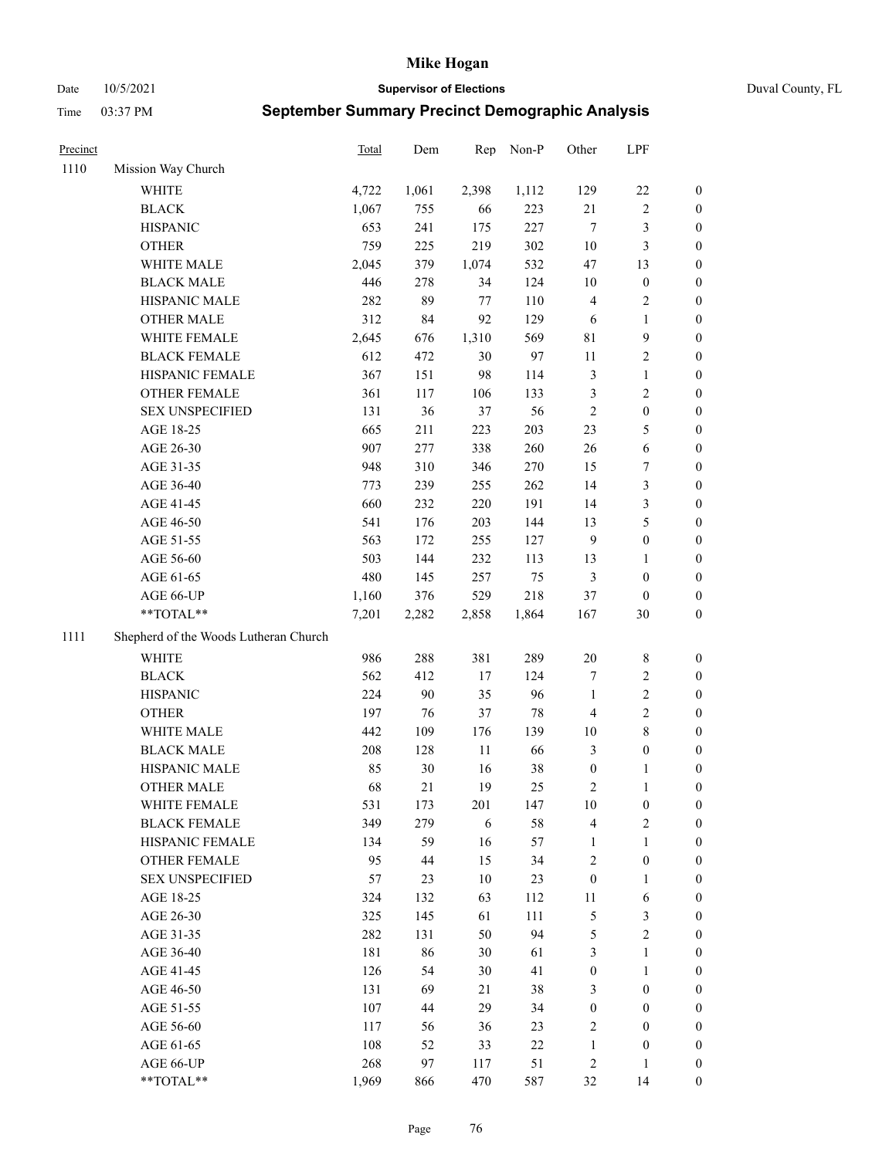Date 10/5/2021 **Supervisor of Elections** Duval County, FL

| Precinct |                                       | Total | Dem   | Rep    | Non-P | Other            | LPF              |                  |
|----------|---------------------------------------|-------|-------|--------|-------|------------------|------------------|------------------|
| 1110     | Mission Way Church                    |       |       |        |       |                  |                  |                  |
|          | WHITE                                 | 4,722 | 1,061 | 2,398  | 1,112 | 129              | $22\,$           | 0                |
|          | <b>BLACK</b>                          | 1,067 | 755   | 66     | 223   | 21               | $\sqrt{2}$       | 0                |
|          | <b>HISPANIC</b>                       | 653   | 241   | 175    | 227   | $\tau$           | $\mathfrak{Z}$   | 0                |
|          | <b>OTHER</b>                          | 759   | 225   | 219    | 302   | $10\,$           | $\mathfrak{Z}$   | $\boldsymbol{0}$ |
|          | WHITE MALE                            | 2,045 | 379   | 1,074  | 532   | 47               | 13               | $\boldsymbol{0}$ |
|          | <b>BLACK MALE</b>                     | 446   | 278   | 34     | 124   | 10               | $\boldsymbol{0}$ | $\boldsymbol{0}$ |
|          | HISPANIC MALE                         | 282   | 89    | 77     | 110   | 4                | $\sqrt{2}$       | $\boldsymbol{0}$ |
|          | <b>OTHER MALE</b>                     | 312   | 84    | 92     | 129   | 6                | $\mathbf{1}$     | $\boldsymbol{0}$ |
|          | WHITE FEMALE                          | 2,645 | 676   | 1,310  | 569   | 81               | $\mathbf{9}$     | $\boldsymbol{0}$ |
|          | <b>BLACK FEMALE</b>                   | 612   | 472   | 30     | 97    | $11\,$           | $\sqrt{2}$       | 0                |
|          | HISPANIC FEMALE                       | 367   | 151   | 98     | 114   | 3                | $\mathbf{1}$     | 0                |
|          | OTHER FEMALE                          | 361   | 117   | 106    | 133   | 3                | $\sqrt{2}$       | 0                |
|          | <b>SEX UNSPECIFIED</b>                | 131   | 36    | 37     | 56    | $\sqrt{2}$       | $\boldsymbol{0}$ | $\boldsymbol{0}$ |
|          | AGE 18-25                             | 665   | 211   | 223    | 203   | 23               | $\mathfrak{S}$   | $\boldsymbol{0}$ |
|          | AGE 26-30                             | 907   | 277   | 338    | 260   | 26               | 6                | $\boldsymbol{0}$ |
|          | AGE 31-35                             | 948   | 310   | 346    | 270   | 15               | $\boldsymbol{7}$ | $\boldsymbol{0}$ |
|          | AGE 36-40                             | 773   | 239   | 255    | 262   | 14               | $\mathfrak{Z}$   | $\boldsymbol{0}$ |
|          | AGE 41-45                             | 660   | 232   | 220    | 191   | 14               | $\mathfrak{Z}$   | $\boldsymbol{0}$ |
|          | AGE 46-50                             | 541   | 176   | 203    | 144   | 13               | $\mathfrak s$    | $\boldsymbol{0}$ |
|          | AGE 51-55                             | 563   | 172   | 255    | 127   | $\overline{9}$   | $\boldsymbol{0}$ | 0                |
|          | AGE 56-60                             | 503   | 144   | 232    | 113   | 13               | $\mathbf{1}$     | 0                |
|          | AGE 61-65                             | 480   | 145   | 257    | 75    | 3                | $\boldsymbol{0}$ | 0                |
|          | AGE 66-UP                             | 1,160 | 376   | 529    | 218   | 37               | $\boldsymbol{0}$ | $\boldsymbol{0}$ |
|          | **TOTAL**                             | 7,201 | 2,282 | 2,858  | 1,864 | 167              | $30\,$           | $\boldsymbol{0}$ |
| 1111     | Shepherd of the Woods Lutheran Church |       |       |        |       |                  |                  |                  |
|          | <b>WHITE</b>                          | 986   | 288   | 381    | 289   | $20\,$           | $\,$ 8 $\,$      | $\boldsymbol{0}$ |
|          | <b>BLACK</b>                          | 562   | 412   | 17     | 124   | 7                | $\sqrt{2}$       | $\boldsymbol{0}$ |
|          | <b>HISPANIC</b>                       | 224   | 90    | 35     | 96    | $\mathbf{1}$     | $\sqrt{2}$       | $\boldsymbol{0}$ |
|          | <b>OTHER</b>                          | 197   | 76    | 37     | 78    | 4                | $\sqrt{2}$       | $\boldsymbol{0}$ |
|          | WHITE MALE                            | 442   | 109   | 176    | 139   | $10\,$           | $\,$ 8 $\,$      | $\boldsymbol{0}$ |
|          | <b>BLACK MALE</b>                     | 208   | 128   | $11\,$ | 66    | 3                | $\boldsymbol{0}$ | 0                |
|          | HISPANIC MALE                         | 85    | 30    | 16     | 38    | $\boldsymbol{0}$ | 1                | 0                |
|          | <b>OTHER MALE</b>                     | 68    | 21    | 19     | 25    | $\sqrt{2}$       | $\mathbf{1}$     | 0                |
|          | WHITE FEMALE                          | 531   | 173   | 201    | 147   | 10               | $\boldsymbol{0}$ | 0                |
|          | <b>BLACK FEMALE</b>                   | 349   | 279   | 6      | 58    | 4                | $\sqrt{2}$       | $\overline{0}$   |
|          | HISPANIC FEMALE                       | 134   | 59    | 16     | 57    | $\mathbf{1}$     | $\mathbf{1}$     | $\overline{0}$   |
|          | OTHER FEMALE                          | 95    | 44    | 15     | 34    | 2                | $\boldsymbol{0}$ | $\overline{0}$   |
|          | <b>SEX UNSPECIFIED</b>                | 57    | 23    | 10     | 23    | $\boldsymbol{0}$ | $\mathbf{1}$     | 0                |
|          | AGE 18-25                             | 324   | 132   | 63     | 112   | 11               | 6                | 0                |
|          | AGE 26-30                             | 325   | 145   | 61     | 111   | 5                | $\mathfrak{Z}$   | 0                |
|          | AGE 31-35                             | 282   | 131   | 50     | 94    | 5                | $\sqrt{2}$       | 0                |
|          | AGE 36-40                             | 181   | 86    | 30     | 61    | 3                | $\mathbf{1}$     | 0                |
|          | AGE 41-45                             | 126   | 54    | 30     | 41    | $\boldsymbol{0}$ | $\mathbf{1}$     | 0                |
|          | AGE 46-50                             | 131   | 69    | 21     | 38    | 3                | $\boldsymbol{0}$ | 0                |
|          | AGE 51-55                             | 107   | 44    | 29     | 34    | $\boldsymbol{0}$ | $\boldsymbol{0}$ | 0                |
|          | AGE 56-60                             | 117   | 56    | 36     | 23    | $\overline{c}$   | $\boldsymbol{0}$ | 0                |
|          | AGE 61-65                             | 108   | 52    | 33     | 22    | $\mathbf{1}$     | $\boldsymbol{0}$ | 0                |
|          | AGE 66-UP                             | 268   | 97    | 117    | 51    | 2                | $\mathbf{1}$     | 0                |
|          | **TOTAL**                             | 1,969 | 866   | 470    | 587   | 32               | 14               | $\boldsymbol{0}$ |
|          |                                       |       |       |        |       |                  |                  |                  |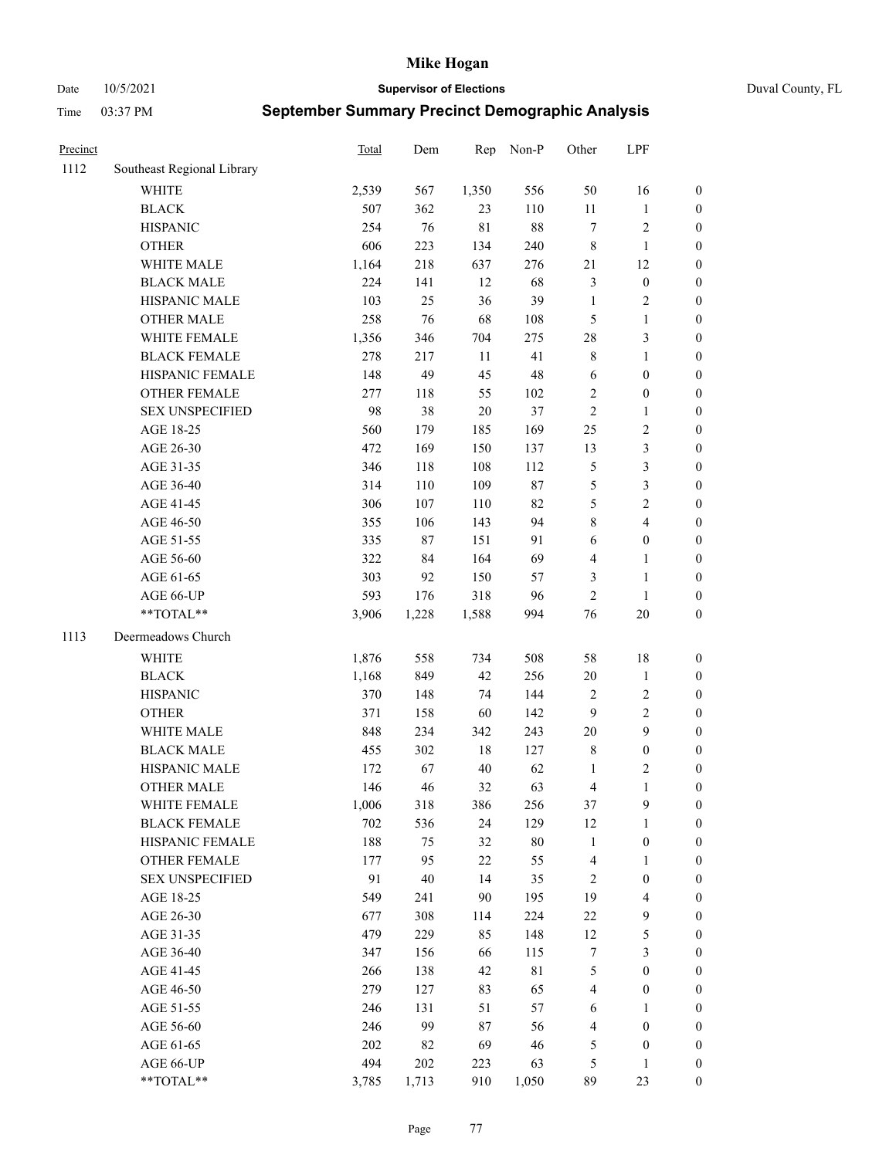Date 10/5/2021 **Supervisor of Elections** Duval County, FL

| Precinct |                            | <b>Total</b> | Dem   | Rep         | Non-P       | Other        | LPF                     |                  |
|----------|----------------------------|--------------|-------|-------------|-------------|--------------|-------------------------|------------------|
| 1112     | Southeast Regional Library |              |       |             |             |              |                         |                  |
|          | <b>WHITE</b>               | 2,539        | 567   | 1,350       | 556         | 50           | 16                      | 0                |
|          | <b>BLACK</b>               | 507          | 362   | 23          | 110         | $11\,$       | $\mathbf{1}$            | 0                |
|          | <b>HISPANIC</b>            | 254          | 76    | $8\sqrt{1}$ | $88\,$      | $\tau$       | $\sqrt{2}$              | $\boldsymbol{0}$ |
|          | <b>OTHER</b>               | 606          | 223   | 134         | 240         | 8            | $\mathbf{1}$            | $\boldsymbol{0}$ |
|          | WHITE MALE                 | 1,164        | 218   | 637         | 276         | 21           | 12                      | $\boldsymbol{0}$ |
|          | <b>BLACK MALE</b>          | 224          | 141   | 12          | 68          | 3            | $\boldsymbol{0}$        | $\boldsymbol{0}$ |
|          | HISPANIC MALE              | 103          | 25    | 36          | 39          | $\mathbf{1}$ | $\sqrt{2}$              | $\boldsymbol{0}$ |
|          | <b>OTHER MALE</b>          | 258          | 76    | 68          | 108         | 5            | $\mathbf{1}$            | $\boldsymbol{0}$ |
|          | WHITE FEMALE               | 1,356        | 346   | 704         | 275         | 28           | $\mathfrak{Z}$          | $\boldsymbol{0}$ |
|          | <b>BLACK FEMALE</b>        | 278          | 217   | $11\,$      | 41          | 8            | $\mathbf{1}$            | 0                |
|          | HISPANIC FEMALE            | 148          | 49    | 45          | $48\,$      | 6            | $\boldsymbol{0}$        | 0                |
|          | OTHER FEMALE               | 277          | 118   | 55          | 102         | $\mathbf{2}$ | $\boldsymbol{0}$        | $\boldsymbol{0}$ |
|          | <b>SEX UNSPECIFIED</b>     | 98           | 38    | 20          | 37          | $\sqrt{2}$   | $\mathbf{1}$            | $\boldsymbol{0}$ |
|          | AGE 18-25                  | 560          | 179   | 185         | 169         | $25\,$       | $\sqrt{2}$              | $\boldsymbol{0}$ |
|          | AGE 26-30                  | 472          | 169   | 150         | 137         | 13           | $\mathfrak{Z}$          | $\boldsymbol{0}$ |
|          | AGE 31-35                  | 346          | 118   | 108         | 112         | 5            | $\mathfrak{Z}$          | $\boldsymbol{0}$ |
|          | AGE 36-40                  | 314          | 110   | 109         | $87\,$      | 5            | $\mathfrak{Z}$          | $\boldsymbol{0}$ |
|          | AGE 41-45                  | 306          | 107   | 110         | 82          | 5            | $\overline{2}$          | $\boldsymbol{0}$ |
|          | AGE 46-50                  | 355          | 106   | 143         | 94          | $\,$ $\,$    | $\overline{4}$          | $\boldsymbol{0}$ |
|          | AGE 51-55                  | 335          | 87    | 151         | 91          | 6            | $\boldsymbol{0}$        | $\boldsymbol{0}$ |
|          | AGE 56-60                  | 322          | 84    | 164         | 69          | 4            | $\mathbf{1}$            | 0                |
|          | AGE 61-65                  | 303          | 92    | 150         | 57          | 3            | $\mathbf{1}$            | $\boldsymbol{0}$ |
|          | AGE 66-UP                  | 593          | 176   | 318         | 96          | $\sqrt{2}$   | $\mathbf{1}$            | $\boldsymbol{0}$ |
|          | **TOTAL**                  | 3,906        | 1,228 | 1,588       | 994         | 76           | $20\,$                  | $\boldsymbol{0}$ |
| 1113     | Deermeadows Church         |              |       |             |             |              |                         |                  |
|          | <b>WHITE</b>               | 1,876        | 558   | 734         | 508         | 58           | $18\,$                  | $\boldsymbol{0}$ |
|          | <b>BLACK</b>               | 1,168        | 849   | 42          | 256         | $20\,$       | $\mathbf{1}$            | $\boldsymbol{0}$ |
|          | <b>HISPANIC</b>            | 370          | 148   | 74          | 144         | 2            | $\sqrt{2}$              | $\boldsymbol{0}$ |
|          | <b>OTHER</b>               | 371          | 158   | 60          | 142         | 9            | $\sqrt{2}$              | $\boldsymbol{0}$ |
|          | WHITE MALE                 | 848          | 234   | 342         | 243         | $20\,$       | 9                       | $\boldsymbol{0}$ |
|          | <b>BLACK MALE</b>          | 455          | 302   | $18\,$      | 127         | 8            | $\boldsymbol{0}$        | $\boldsymbol{0}$ |
|          | HISPANIC MALE              | 172          | 67    | $40\,$      | 62          | 1            | $\sqrt{2}$              | $\boldsymbol{0}$ |
|          | OTHER MALE                 | 146          | 46    | 32          | 63          | 4            | $\mathbf{1}$            | $\boldsymbol{0}$ |
|          | WHITE FEMALE               | 1,006        | 318   | 386         | 256         | 37           | 9                       | 0                |
|          | <b>BLACK FEMALE</b>        | 702          | 536   | 24          | 129         | 12           | $\mathbf{1}$            | $\boldsymbol{0}$ |
|          | HISPANIC FEMALE            | 188          | 75    | 32          | $80\,$      | $\mathbf{1}$ | $\boldsymbol{0}$        | $\overline{0}$   |
|          | <b>OTHER FEMALE</b>        | 177          | 95    | 22          | 55          | 4            | $\mathbf{1}$            | $\overline{0}$   |
|          | <b>SEX UNSPECIFIED</b>     | 91           | 40    | 14          | 35          | 2            | $\boldsymbol{0}$        | 0                |
|          | AGE 18-25                  | 549          | 241   | 90          | 195         | 19           | $\overline{\mathbf{4}}$ | 0                |
|          | AGE 26-30                  | 677          | 308   | 114         | 224         | $22\,$       | $\mathbf{9}$            | 0                |
|          | AGE 31-35                  | 479          | 229   | 85          | 148         | 12           | $\mathfrak s$           | 0                |
|          | AGE 36-40                  | 347          | 156   | 66          | 115         | 7            | $\mathfrak{Z}$          | 0                |
|          | AGE 41-45                  | 266          | 138   | 42          | $8\sqrt{1}$ | 5            | $\boldsymbol{0}$        | 0                |
|          | AGE 46-50                  | 279          | 127   | 83          | 65          | 4            | $\boldsymbol{0}$        | 0                |
|          | AGE 51-55                  | 246          | 131   | 51          | 57          | 6            | 1                       | 0                |
|          | AGE 56-60                  | 246          | 99    | 87          | 56          | 4            | $\boldsymbol{0}$        | 0                |
|          | AGE 61-65                  | 202          | 82    | 69          | 46          | 5            | $\boldsymbol{0}$        | $\boldsymbol{0}$ |
|          | AGE 66-UP                  | 494          | 202   | 223         | 63          | 5            | $\mathbf{1}$            | 0                |
|          | **TOTAL**                  | 3,785        | 1,713 | 910         | 1,050       | 89           | 23                      | $\boldsymbol{0}$ |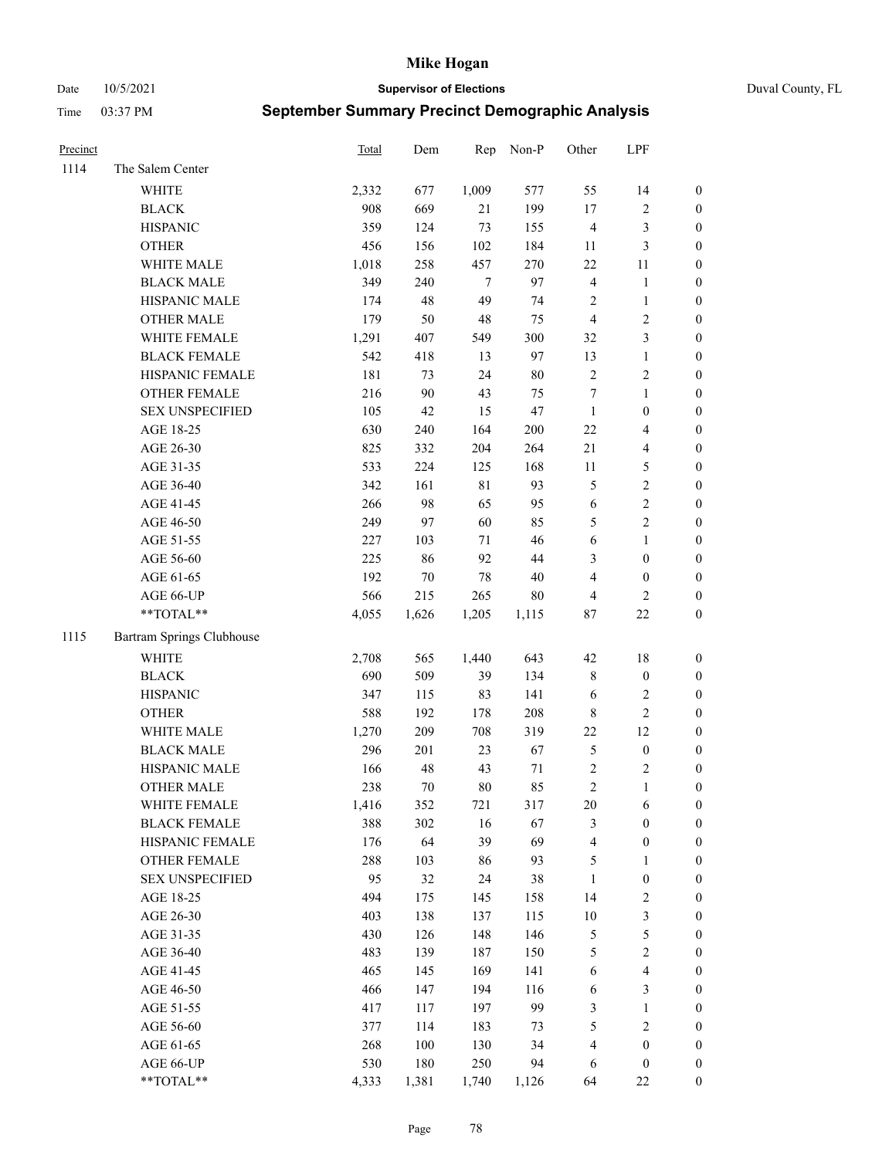Date 10/5/2021 **Supervisor of Elections** Duval County, FL

| Precinct |                           | Total | Dem    | Rep         | Non-P  | Other            | LPF              |                  |
|----------|---------------------------|-------|--------|-------------|--------|------------------|------------------|------------------|
| 1114     | The Salem Center          |       |        |             |        |                  |                  |                  |
|          | <b>WHITE</b>              | 2,332 | 677    | 1,009       | 577    | 55               | 14               | 0                |
|          | <b>BLACK</b>              | 908   | 669    | 21          | 199    | $17\,$           | $\sqrt{2}$       | $\boldsymbol{0}$ |
|          | <b>HISPANIC</b>           | 359   | 124    | 73          | 155    | 4                | $\mathfrak{Z}$   | $\boldsymbol{0}$ |
|          | <b>OTHER</b>              | 456   | 156    | 102         | 184    | 11               | $\mathfrak{Z}$   | $\boldsymbol{0}$ |
|          | WHITE MALE                | 1,018 | 258    | 457         | 270    | 22               | 11               | $\boldsymbol{0}$ |
|          | <b>BLACK MALE</b>         | 349   | 240    | 7           | 97     | $\overline{4}$   | $\mathbf{1}$     | $\boldsymbol{0}$ |
|          | HISPANIC MALE             | 174   | 48     | 49          | 74     | 2                | $\mathbf{1}$     | $\boldsymbol{0}$ |
|          | <b>OTHER MALE</b>         | 179   | 50     | 48          | 75     | $\overline{4}$   | $\sqrt{2}$       | $\boldsymbol{0}$ |
|          | WHITE FEMALE              | 1,291 | 407    | 549         | 300    | 32               | 3                | $\boldsymbol{0}$ |
|          | <b>BLACK FEMALE</b>       | 542   | 418    | 13          | 97     | 13               | $\mathbf{1}$     | 0                |
|          | HISPANIC FEMALE           | 181   | 73     | 24          | 80     | $\overline{c}$   | $\sqrt{2}$       | 0                |
|          | OTHER FEMALE              | 216   | 90     | 43          | 75     | $\boldsymbol{7}$ | $\mathbf{1}$     | $\boldsymbol{0}$ |
|          | <b>SEX UNSPECIFIED</b>    | 105   | 42     | 15          | 47     | $\mathbf{1}$     | $\boldsymbol{0}$ | $\boldsymbol{0}$ |
|          | AGE 18-25                 | 630   | 240    | 164         | 200    | $22\,$           | $\overline{4}$   | $\boldsymbol{0}$ |
|          | AGE 26-30                 | 825   | 332    | 204         | 264    | 21               | $\overline{4}$   | $\boldsymbol{0}$ |
|          | AGE 31-35                 | 533   | 224    | 125         | 168    | $11\,$           | $\mathfrak{S}$   | $\boldsymbol{0}$ |
|          | AGE 36-40                 | 342   | 161    | $8\sqrt{1}$ | 93     | 5                | $\sqrt{2}$       | $\boldsymbol{0}$ |
|          | AGE 41-45                 | 266   | 98     | 65          | 95     | 6                | $\sqrt{2}$       | $\boldsymbol{0}$ |
|          | AGE 46-50                 | 249   | 97     | 60          | 85     | 5                | $\overline{c}$   | $\boldsymbol{0}$ |
|          | AGE 51-55                 | 227   | 103    | 71          | 46     | 6                | $\mathbf{1}$     | $\boldsymbol{0}$ |
|          | AGE 56-60                 | 225   | 86     | 92          | 44     | 3                | $\boldsymbol{0}$ | 0                |
|          | AGE 61-65                 | 192   | 70     | 78          | $40\,$ | 4                | $\boldsymbol{0}$ | 0                |
|          | AGE 66-UP                 | 566   | 215    | 265         | $80\,$ | 4                | $\mathbf{2}$     | $\boldsymbol{0}$ |
|          | $**TOTAL**$               | 4,055 | 1,626  | 1,205       | 1,115  | $87\,$           | $22\,$           | $\boldsymbol{0}$ |
| 1115     | Bartram Springs Clubhouse |       |        |             |        |                  |                  |                  |
|          | <b>WHITE</b>              | 2,708 | 565    | 1,440       | 643    | 42               | 18               | $\boldsymbol{0}$ |
|          | <b>BLACK</b>              | 690   | 509    | 39          | 134    | 8                | $\boldsymbol{0}$ | $\boldsymbol{0}$ |
|          | <b>HISPANIC</b>           | 347   | 115    | 83          | 141    | 6                | $\sqrt{2}$       | $\boldsymbol{0}$ |
|          | <b>OTHER</b>              | 588   | 192    | 178         | 208    | 8                | $\sqrt{2}$       | $\boldsymbol{0}$ |
|          | WHITE MALE                | 1,270 | 209    | 708         | 319    | 22               | 12               | $\boldsymbol{0}$ |
|          | <b>BLACK MALE</b>         | 296   | 201    | 23          | 67     | 5                | $\boldsymbol{0}$ | $\boldsymbol{0}$ |
|          | HISPANIC MALE             | 166   | 48     | 43          | 71     | 2                | $\sqrt{2}$       | 0                |
|          | <b>OTHER MALE</b>         | 238   | $70\,$ | 80          | 85     | $\overline{c}$   | $\mathbf{1}$     | $\boldsymbol{0}$ |
|          | WHITE FEMALE              | 1,416 | 352    | 721         | 317    | 20               | 6                | 0                |
|          | <b>BLACK FEMALE</b>       | 388   | 302    | 16          | 67     | 3                | $\boldsymbol{0}$ | $\boldsymbol{0}$ |
|          | HISPANIC FEMALE           | 176   | 64     | 39          | 69     | 4                | $\boldsymbol{0}$ | $\overline{0}$   |
|          | OTHER FEMALE              | 288   | 103    | 86          | 93     | 5                | $\mathbf{1}$     | $\overline{0}$   |
|          | <b>SEX UNSPECIFIED</b>    | 95    | 32     | 24          | 38     | $\mathbf{1}$     | $\boldsymbol{0}$ | 0                |
|          | AGE 18-25                 | 494   | 175    | 145         | 158    | 14               | $\sqrt{2}$       | 0                |
|          | AGE 26-30                 | 403   | 138    | 137         | 115    | $10\,$           | 3                | 0                |
|          | AGE 31-35                 | 430   | 126    | 148         | 146    | 5                | 5                | 0                |
|          | AGE 36-40                 | 483   | 139    | 187         | 150    | 5                | $\sqrt{2}$       | 0                |
|          | AGE 41-45                 | 465   | 145    | 169         | 141    | 6                | $\overline{4}$   | 0                |
|          | AGE 46-50                 | 466   | 147    | 194         | 116    | 6                | $\mathfrak{Z}$   | 0                |
|          | AGE 51-55                 | 417   | 117    | 197         | 99     | 3                | $\mathbf{1}$     | $\boldsymbol{0}$ |
|          | AGE 56-60                 | 377   | 114    | 183         | 73     | 5                | $\sqrt{2}$       | $\boldsymbol{0}$ |
|          | AGE 61-65                 | 268   | 100    | 130         | 34     | 4                | $\boldsymbol{0}$ | $\boldsymbol{0}$ |
|          | AGE 66-UP                 | 530   | 180    | 250         | 94     | 6                | $\boldsymbol{0}$ | $\boldsymbol{0}$ |
|          | **TOTAL**                 | 4,333 | 1,381  | 1,740       | 1,126  | 64               | 22               | $\boldsymbol{0}$ |
|          |                           |       |        |             |        |                  |                  |                  |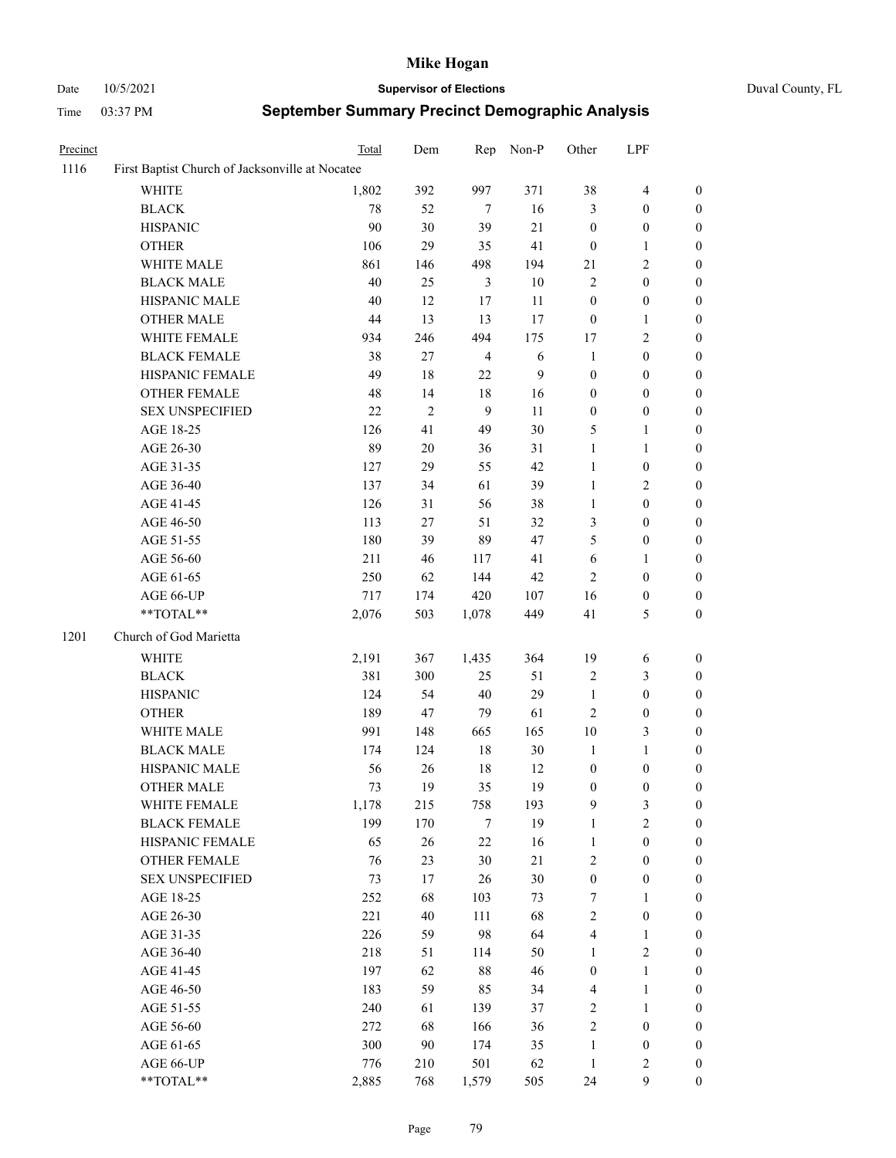# Date 10/5/2021 **Supervisor of Elections** Duval County, FL

| Precinct |                                                            | Total | Dem        | Rep              | Non-P  | Other            | LPF              |                  |
|----------|------------------------------------------------------------|-------|------------|------------------|--------|------------------|------------------|------------------|
| 1116     | First Baptist Church of Jacksonville at Nocatee            |       |            |                  |        |                  |                  |                  |
|          | <b>WHITE</b>                                               | 1,802 | 392        | 997              | 371    | 38               | $\overline{4}$   | $\boldsymbol{0}$ |
|          | <b>BLACK</b>                                               | 78    | 52         | 7                | 16     | 3                | $\boldsymbol{0}$ | $\boldsymbol{0}$ |
|          | <b>HISPANIC</b>                                            | 90    | 30         | 39               | 21     | $\boldsymbol{0}$ | $\boldsymbol{0}$ | $\boldsymbol{0}$ |
|          | <b>OTHER</b>                                               | 106   | 29         | 35               | 41     | $\boldsymbol{0}$ | $\mathbf{1}$     | $\boldsymbol{0}$ |
|          | WHITE MALE                                                 | 861   | 146        | 498              | 194    | 21               | $\sqrt{2}$       | $\boldsymbol{0}$ |
|          | <b>BLACK MALE</b>                                          | 40    | 25         | $\mathfrak{Z}$   | 10     | $\overline{c}$   | $\boldsymbol{0}$ | $\boldsymbol{0}$ |
|          | HISPANIC MALE                                              | 40    | 12         | 17               | 11     | $\boldsymbol{0}$ | $\boldsymbol{0}$ | $\boldsymbol{0}$ |
|          | <b>OTHER MALE</b>                                          | 44    | 13         | 13               | 17     | $\boldsymbol{0}$ | 1                | 0                |
|          | WHITE FEMALE                                               | 934   | 246        | 494              | 175    | 17               | $\sqrt{2}$       | 0                |
|          | <b>BLACK FEMALE</b>                                        | 38    | $27\,$     | $\overline{4}$   | 6      | $\mathbf{1}$     | $\boldsymbol{0}$ | $\boldsymbol{0}$ |
|          | HISPANIC FEMALE                                            | 49    | 18         | $22\,$           | 9      | $\boldsymbol{0}$ | $\boldsymbol{0}$ | $\boldsymbol{0}$ |
|          | OTHER FEMALE                                               | 48    | 14         | 18               | 16     | 0                | $\boldsymbol{0}$ | $\boldsymbol{0}$ |
|          | <b>SEX UNSPECIFIED</b>                                     | 22    | $\sqrt{2}$ | $\boldsymbol{9}$ | 11     | $\boldsymbol{0}$ | $\boldsymbol{0}$ | $\boldsymbol{0}$ |
|          | AGE 18-25                                                  | 126   | 41         | 49               | 30     | 5                | $\mathbf{1}$     | $\boldsymbol{0}$ |
|          | AGE 26-30                                                  | 89    | 20         | 36               | $31\,$ | 1                | $\mathbf{1}$     | $\boldsymbol{0}$ |
|          | AGE 31-35                                                  | 127   | 29         | 55               | 42     | $\mathbf{1}$     | $\boldsymbol{0}$ | $\boldsymbol{0}$ |
|          | AGE 36-40                                                  | 137   | 34         | 61               | 39     | $\mathbf{1}$     | $\sqrt{2}$       | $\boldsymbol{0}$ |
|          | AGE 41-45                                                  | 126   | 31         | 56               | 38     | $\mathbf{1}$     | $\boldsymbol{0}$ | 0                |
|          | AGE 46-50                                                  | 113   | $27\,$     | 51               | 32     | 3                | $\boldsymbol{0}$ | 0                |
|          | AGE 51-55                                                  | 180   | 39         | 89               | 47     | 5                | $\boldsymbol{0}$ | $\boldsymbol{0}$ |
|          | AGE 56-60                                                  | 211   | 46         | 117              | 41     | 6                | 1                | $\boldsymbol{0}$ |
|          | AGE 61-65                                                  | 250   | 62         | 144              | 42     | 2                | $\boldsymbol{0}$ | $\boldsymbol{0}$ |
|          | AGE 66-UP                                                  | 717   | 174        | 420              | 107    | 16               | $\boldsymbol{0}$ | 0                |
|          | $\mathrm{*}\mathrm{*} \mathrm{TOTAL} \mathrm{*}\mathrm{*}$ | 2,076 | 503        | 1,078            | 449    | 41               | 5                | $\boldsymbol{0}$ |
| 1201     | Church of God Marietta                                     |       |            |                  |        |                  |                  |                  |
|          | WHITE                                                      | 2,191 | 367        | 1,435            | 364    | 19               | 6                | $\boldsymbol{0}$ |
|          | <b>BLACK</b>                                               | 381   | 300        | 25               | 51     | 2                | 3                | $\boldsymbol{0}$ |
|          | <b>HISPANIC</b>                                            | 124   | 54         | $40\,$           | 29     | $\mathbf{1}$     | $\boldsymbol{0}$ | $\boldsymbol{0}$ |
|          | <b>OTHER</b>                                               | 189   | 47         | 79               | 61     | $\overline{c}$   | $\boldsymbol{0}$ | $\boldsymbol{0}$ |
|          | WHITE MALE                                                 | 991   | 148        | 665              | 165    | 10               | 3                | 0                |
|          | <b>BLACK MALE</b>                                          | 174   | 124        | $18\,$           | $30\,$ | $\mathbf{1}$     | $\mathbf{1}$     | 0                |
|          | HISPANIC MALE                                              | 56    | 26         | 18               | 12     | $\boldsymbol{0}$ | $\boldsymbol{0}$ | 0                |
|          | <b>OTHER MALE</b>                                          | 73    | 19         | 35               | 19     | 0                | $\boldsymbol{0}$ | $\boldsymbol{0}$ |
|          | WHITE FEMALE                                               | 1,178 | 215        | 758              | 193    | 9                | $\mathfrak{Z}$   | $\boldsymbol{0}$ |
|          | <b>BLACK FEMALE</b>                                        | 199   | 170        | $\tau$           | 19     | $\mathbf{1}$     | $\sqrt{2}$       | $\overline{0}$   |
|          | HISPANIC FEMALE                                            | 65    | 26         | 22               | 16     | $\mathbf{1}$     | $\boldsymbol{0}$ | $\overline{0}$   |
|          | OTHER FEMALE                                               | 76    | 23         | 30               | $21\,$ | $\mathbf{2}$     | $\boldsymbol{0}$ | $\theta$         |
|          | <b>SEX UNSPECIFIED</b>                                     | 73    | 17         | 26               | 30     | $\boldsymbol{0}$ | $\boldsymbol{0}$ | 0                |
|          | AGE 18-25                                                  | 252   | 68         | 103              | 73     | 7                | $\mathbf{1}$     | 0                |
|          | AGE 26-30                                                  | 221   | 40         | 111              | 68     | 2                | $\boldsymbol{0}$ | 0                |
|          | AGE 31-35                                                  | 226   | 59         | 98               | 64     | 4                | 1                | 0                |
|          | AGE 36-40                                                  | 218   | 51         | 114              | 50     | 1                | $\sqrt{2}$       | 0                |
|          | AGE 41-45                                                  | 197   | 62         | 88               | 46     | $\boldsymbol{0}$ | $\mathbf{1}$     | $\overline{0}$   |
|          | AGE 46-50                                                  | 183   | 59         | 85               | 34     | 4                | $\mathbf{1}$     | $\boldsymbol{0}$ |
|          | AGE 51-55                                                  | 240   | 61         | 139              | 37     | 2                | $\mathbf{1}$     | $\overline{0}$   |
|          | AGE 56-60                                                  | 272   | 68         | 166              | 36     | $\overline{c}$   | $\boldsymbol{0}$ | 0                |
|          | AGE 61-65                                                  | 300   | 90         | 174              | 35     | $\mathbf{1}$     | $\boldsymbol{0}$ | $\overline{0}$   |
|          | AGE 66-UP                                                  | 776   | 210        | 501              | 62     | $\mathbf{1}$     | $\mathbf{2}$     | $\boldsymbol{0}$ |
|          | **TOTAL**                                                  | 2,885 | 768        | 1,579            | 505    | 24               | $\mathbf{9}$     | $\boldsymbol{0}$ |
|          |                                                            |       |            |                  |        |                  |                  |                  |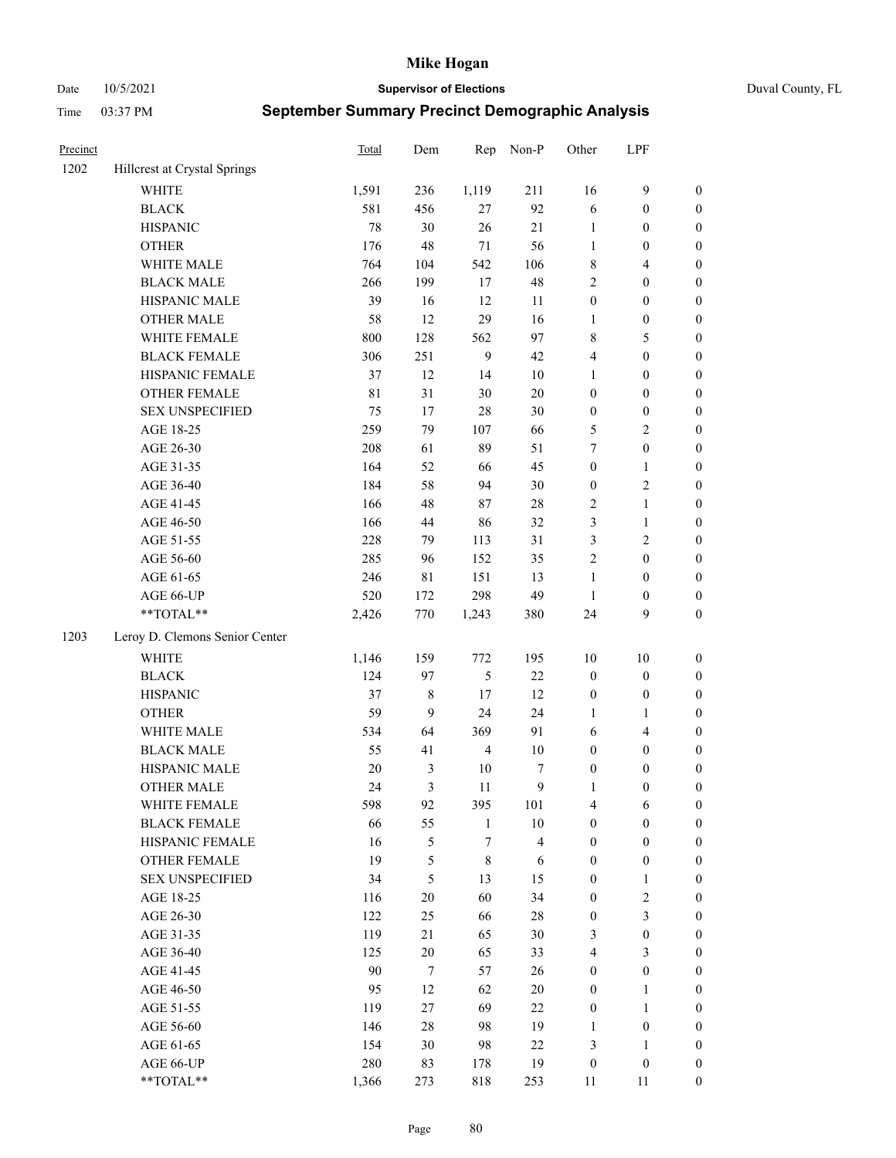Date 10/5/2021 **Supervisor of Elections** Duval County, FL

| Precinct |                                | Total       | Dem          | Rep              | Non-P                   | Other                 | LPF                              |                  |
|----------|--------------------------------|-------------|--------------|------------------|-------------------------|-----------------------|----------------------------------|------------------|
| 1202     | Hillcrest at Crystal Springs   |             |              |                  |                         |                       |                                  |                  |
|          | <b>WHITE</b>                   | 1,591       | 236          | 1,119            | 211                     | 16                    | $\mathbf{9}$                     | 0                |
|          | <b>BLACK</b>                   | 581         | 456          | $27\,$           | 92                      | 6                     | $\boldsymbol{0}$                 | $\boldsymbol{0}$ |
|          | <b>HISPANIC</b>                | 78          | 30           | 26               | 21                      | $\mathbf{1}$          | $\boldsymbol{0}$                 | $\boldsymbol{0}$ |
|          | <b>OTHER</b>                   | 176         | 48           | $71\,$           | 56                      | 1                     | $\boldsymbol{0}$                 | $\boldsymbol{0}$ |
|          | WHITE MALE                     | 764         | 104          | 542              | 106                     | 8                     | $\overline{4}$                   | $\boldsymbol{0}$ |
|          | <b>BLACK MALE</b>              | 266         | 199          | 17               | 48                      | $\overline{c}$        | $\boldsymbol{0}$                 | $\boldsymbol{0}$ |
|          | HISPANIC MALE                  | 39          | 16           | 12               | 11                      | $\boldsymbol{0}$      | $\boldsymbol{0}$                 | $\boldsymbol{0}$ |
|          | <b>OTHER MALE</b>              | 58          | 12           | 29               | 16                      | $\mathbf{1}$          | $\boldsymbol{0}$                 | $\boldsymbol{0}$ |
|          | WHITE FEMALE                   | $800\,$     | 128          | 562              | 97                      | 8                     | $\mathfrak{S}$                   | $\boldsymbol{0}$ |
|          | <b>BLACK FEMALE</b>            | 306         | 251          | $\overline{9}$   | 42                      | 4                     | $\boldsymbol{0}$                 | $\boldsymbol{0}$ |
|          | HISPANIC FEMALE                | 37          | 12           | 14               | $10\,$                  | $\mathbf{1}$          | $\boldsymbol{0}$                 | 0                |
|          | OTHER FEMALE                   | $8\sqrt{1}$ | 31           | 30               | $20\,$                  | $\boldsymbol{0}$      | $\boldsymbol{0}$                 | 0                |
|          | <b>SEX UNSPECIFIED</b>         | 75          | 17           | 28               | 30                      | $\boldsymbol{0}$      | $\boldsymbol{0}$                 | $\boldsymbol{0}$ |
|          | AGE 18-25                      | 259         | 79           | 107              | 66                      | 5                     | $\sqrt{2}$                       | $\boldsymbol{0}$ |
|          | AGE 26-30                      | 208         | 61           | 89               | 51                      | 7                     | $\boldsymbol{0}$                 | $\boldsymbol{0}$ |
|          | AGE 31-35                      | 164         | 52           | 66               | 45                      | $\boldsymbol{0}$      | $\mathbf{1}$                     | $\boldsymbol{0}$ |
|          | AGE 36-40                      | 184         | 58           | 94               | 30                      | $\boldsymbol{0}$      | $\sqrt{2}$                       | $\boldsymbol{0}$ |
|          | AGE 41-45                      | 166         | 48           | 87               | $28\,$                  | $\sqrt{2}$            | $\mathbf{1}$                     | $\boldsymbol{0}$ |
|          | AGE 46-50                      | 166         | 44           | 86               | 32                      | 3                     | $\mathbf{1}$                     | $\boldsymbol{0}$ |
|          | AGE 51-55                      | 228         | 79           | 113              | 31                      | 3                     | $\sqrt{2}$                       | $\boldsymbol{0}$ |
|          | AGE 56-60                      | 285         | 96           | 152              | 35                      | $\sqrt{2}$            | $\boldsymbol{0}$                 | 0                |
|          | AGE 61-65                      | 246         | 81           | 151              | 13                      | $\mathbf{1}$          | $\boldsymbol{0}$                 | 0                |
|          | AGE 66-UP                      | 520         | 172          | 298              | 49                      | $\mathbf{1}$          | $\boldsymbol{0}$                 | $\boldsymbol{0}$ |
|          | **TOTAL**                      | 2,426       | 770          | 1,243            | 380                     | 24                    | 9                                | $\boldsymbol{0}$ |
| 1203     | Leroy D. Clemons Senior Center |             |              |                  |                         |                       |                                  |                  |
|          | <b>WHITE</b>                   | 1,146       | 159          | 772              | 195                     | $10\,$                | $10\,$                           | $\boldsymbol{0}$ |
|          | <b>BLACK</b>                   | 124         | 97           | 5                | $22\,$                  | $\boldsymbol{0}$      | $\boldsymbol{0}$                 | $\boldsymbol{0}$ |
|          | <b>HISPANIC</b>                | 37          | 8            | 17               | 12                      | $\boldsymbol{0}$      | $\boldsymbol{0}$                 | $\boldsymbol{0}$ |
|          | <b>OTHER</b>                   | 59          | 9            | 24               | 24                      | 1                     | $\mathbf{1}$                     | $\boldsymbol{0}$ |
|          | WHITE MALE                     | 534         | 64           | 369              | 91                      | 6                     | $\overline{4}$                   | $\boldsymbol{0}$ |
|          | <b>BLACK MALE</b>              | 55          | 41           | $\overline{4}$   | $10\,$                  | $\boldsymbol{0}$      | $\boldsymbol{0}$                 | $\boldsymbol{0}$ |
|          | HISPANIC MALE                  | $20\,$      | 3            | 10               | 7                       | $\boldsymbol{0}$      | $\boldsymbol{0}$                 | $\boldsymbol{0}$ |
|          | <b>OTHER MALE</b>              | 24          | 3            | 11               | 9                       | $\mathbf{1}$          | $\boldsymbol{0}$                 | $\boldsymbol{0}$ |
|          | WHITE FEMALE                   | 598         | 92           | 395              | 101                     | 4                     | 6                                | 0                |
|          | <b>BLACK FEMALE</b>            | 66          | 55           | $\mathbf{1}$     | $10\,$                  | $\boldsymbol{0}$      | $\boldsymbol{0}$                 | $\overline{0}$   |
|          | HISPANIC FEMALE                | 16          | 5            | $\boldsymbol{7}$ | $\overline{\mathbf{4}}$ | $\boldsymbol{0}$      | $\boldsymbol{0}$                 | $\overline{0}$   |
|          | OTHER FEMALE                   | 19          | 5            | $\,$ 8 $\,$      | 6                       | $\boldsymbol{0}$      | $\boldsymbol{0}$                 | $\overline{0}$   |
|          | <b>SEX UNSPECIFIED</b>         | 34          | 5            | 13               | 15                      | $\boldsymbol{0}$      | $\mathbf{1}$                     | 0                |
|          | AGE 18-25                      | 116         | 20           | 60               | 34                      | $\boldsymbol{0}$      | $\sqrt{2}$                       | 0                |
|          | AGE 26-30                      | 122         | 25           | 66               | $28\,$                  | $\boldsymbol{0}$      | $\mathfrak{Z}$                   | 0                |
|          | AGE 31-35                      | 119         | 21           | 65               | 30                      | 3                     | $\boldsymbol{0}$                 | 0                |
|          | AGE 36-40                      | 125         | $20\,$       |                  | 33                      | $\overline{4}$        | $\mathfrak{Z}$                   |                  |
|          | AGE 41-45                      | 90          | $\tau$       | 65<br>57         | 26                      | $\boldsymbol{0}$      | $\boldsymbol{0}$                 | 0<br>0           |
|          |                                |             |              |                  |                         |                       |                                  |                  |
|          | AGE 46-50                      | 95          | 12           | 62               | 20                      | $\boldsymbol{0}$      | $\mathbf{1}$                     | 0                |
|          | AGE 51-55                      | 119<br>146  | 27<br>$28\,$ | 69<br>98         | 22<br>19                | $\boldsymbol{0}$      | $\mathbf{1}$                     | 0<br>0           |
|          | AGE 56-60<br>AGE 61-65         |             | 30           | 98               | $22\,$                  | 1                     | $\boldsymbol{0}$                 | $\overline{0}$   |
|          | AGE 66-UP                      | 154<br>280  | 83           | 178              | 19                      | 3<br>$\boldsymbol{0}$ | $\mathbf{1}$<br>$\boldsymbol{0}$ | 0                |
|          | **TOTAL**                      |             |              |                  |                         |                       |                                  | $\boldsymbol{0}$ |
|          |                                | 1,366       | 273          | 818              | 253                     | 11                    | 11                               |                  |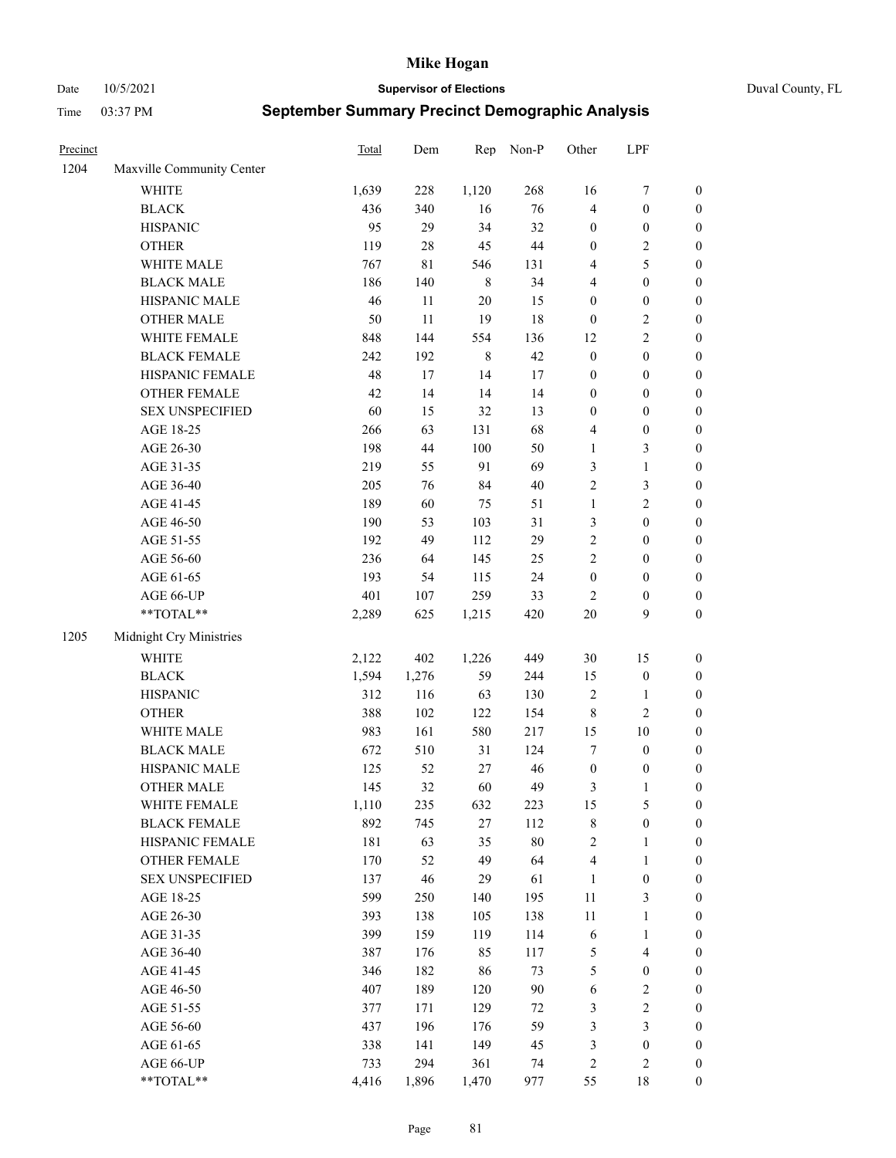Date 10/5/2021 **Supervisor of Elections** Duval County, FL

| Precinct |                                                           | Total | Dem    | Rep         | Non-P  | Other            | LPF                     |                  |
|----------|-----------------------------------------------------------|-------|--------|-------------|--------|------------------|-------------------------|------------------|
| 1204     | Maxville Community Center                                 |       |        |             |        |                  |                         |                  |
|          | <b>WHITE</b>                                              | 1,639 | 228    | 1,120       | 268    | 16               | $\boldsymbol{7}$        | 0                |
|          | <b>BLACK</b>                                              | 436   | 340    | 16          | 76     | 4                | $\boldsymbol{0}$        | $\boldsymbol{0}$ |
|          | <b>HISPANIC</b>                                           | 95    | 29     | 34          | 32     | $\boldsymbol{0}$ | $\boldsymbol{0}$        | $\boldsymbol{0}$ |
|          | <b>OTHER</b>                                              | 119   | 28     | 45          | $44\,$ | $\boldsymbol{0}$ | $\sqrt{2}$              | $\boldsymbol{0}$ |
|          | WHITE MALE                                                | 767   | 81     | 546         | 131    | 4                | $\mathfrak{S}$          | $\boldsymbol{0}$ |
|          | <b>BLACK MALE</b>                                         | 186   | 140    | $\,8\,$     | 34     | 4                | $\boldsymbol{0}$        | $\boldsymbol{0}$ |
|          | HISPANIC MALE                                             | 46    | 11     | 20          | 15     | $\boldsymbol{0}$ | $\boldsymbol{0}$        | $\boldsymbol{0}$ |
|          | <b>OTHER MALE</b>                                         | 50    | 11     | 19          | 18     | $\boldsymbol{0}$ | $\sqrt{2}$              | $\boldsymbol{0}$ |
|          | WHITE FEMALE                                              | 848   | 144    | 554         | 136    | 12               | $\overline{2}$          | $\boldsymbol{0}$ |
|          | <b>BLACK FEMALE</b>                                       | 242   | 192    | $\,$ 8 $\,$ | 42     | $\boldsymbol{0}$ | $\boldsymbol{0}$        | 0                |
|          | HISPANIC FEMALE                                           | 48    | $17\,$ | 14          | 17     | $\boldsymbol{0}$ | $\boldsymbol{0}$        | 0                |
|          | OTHER FEMALE                                              | 42    | 14     | 14          | 14     | $\boldsymbol{0}$ | $\boldsymbol{0}$        | $\boldsymbol{0}$ |
|          | <b>SEX UNSPECIFIED</b>                                    | 60    | 15     | 32          | 13     | $\boldsymbol{0}$ | $\boldsymbol{0}$        | $\boldsymbol{0}$ |
|          | AGE 18-25                                                 | 266   | 63     | 131         | 68     | 4                | $\boldsymbol{0}$        | $\boldsymbol{0}$ |
|          | AGE 26-30                                                 | 198   | 44     | 100         | 50     | $\mathbf{1}$     | $\mathfrak{Z}$          | $\boldsymbol{0}$ |
|          | AGE 31-35                                                 | 219   | 55     | 91          | 69     | 3                | $\mathbf{1}$            | $\boldsymbol{0}$ |
|          | AGE 36-40                                                 | 205   | 76     | 84          | $40\,$ | $\mathfrak{2}$   | $\mathfrak{Z}$          | $\boldsymbol{0}$ |
|          | AGE 41-45                                                 | 189   | 60     | 75          | 51     | $\mathbf{1}$     | $\sqrt{2}$              | $\boldsymbol{0}$ |
|          | AGE 46-50                                                 | 190   | 53     | 103         | 31     | 3                | $\boldsymbol{0}$        | $\boldsymbol{0}$ |
|          | AGE 51-55                                                 | 192   | 49     | 112         | 29     | $\sqrt{2}$       | $\boldsymbol{0}$        | $\boldsymbol{0}$ |
|          | AGE 56-60                                                 | 236   | 64     | 145         | 25     | $\overline{c}$   | $\boldsymbol{0}$        | 0                |
|          | AGE 61-65                                                 | 193   | 54     | 115         | 24     | $\boldsymbol{0}$ | $\boldsymbol{0}$        | 0                |
|          | AGE 66-UP                                                 | 401   | 107    | 259         | 33     | $\overline{c}$   | $\boldsymbol{0}$        | $\boldsymbol{0}$ |
|          | $\mathrm{*}\mathrm{*}\mathrm{TOTAL} \mathrm{*}\mathrm{*}$ | 2,289 | 625    | 1,215       | 420    | $20\,$           | 9                       | $\boldsymbol{0}$ |
| 1205     | Midnight Cry Ministries                                   |       |        |             |        |                  |                         |                  |
|          | <b>WHITE</b>                                              | 2,122 | 402    | 1,226       | 449    | 30               | 15                      | $\boldsymbol{0}$ |
|          | <b>BLACK</b>                                              | 1,594 | 1,276  | 59          | 244    | 15               | $\boldsymbol{0}$        | $\boldsymbol{0}$ |
|          | <b>HISPANIC</b>                                           | 312   | 116    | 63          | 130    | 2                | $\mathbf{1}$            | $\boldsymbol{0}$ |
|          | <b>OTHER</b>                                              | 388   | 102    | 122         | 154    | $\,$ 8 $\,$      | $\sqrt{2}$              | $\boldsymbol{0}$ |
|          | WHITE MALE                                                | 983   | 161    | 580         | 217    | 15               | $10\,$                  | $\boldsymbol{0}$ |
|          | <b>BLACK MALE</b>                                         | 672   | 510    | 31          | 124    | 7                | $\boldsymbol{0}$        | $\boldsymbol{0}$ |
|          | HISPANIC MALE                                             | 125   | 52     | $27\,$      | 46     | $\boldsymbol{0}$ | $\boldsymbol{0}$        | 0                |
|          | <b>OTHER MALE</b>                                         | 145   | 32     | 60          | 49     | 3                | $\mathbf{1}$            | $\boldsymbol{0}$ |
|          | WHITE FEMALE                                              | 1,110 | 235    | 632         | 223    | 15               | 5                       | 0                |
|          | <b>BLACK FEMALE</b>                                       | 892   | 745    | $27\,$      | 112    | 8                | $\boldsymbol{0}$        | $\boldsymbol{0}$ |
|          | HISPANIC FEMALE                                           | 181   | 63     | 35          | $80\,$ | $\sqrt{2}$       | $\mathbf{1}$            | $\overline{0}$   |
|          | OTHER FEMALE                                              | 170   | 52     | 49          | 64     | 4                | $\mathbf{1}$            | $\overline{0}$   |
|          | <b>SEX UNSPECIFIED</b>                                    | 137   | 46     | 29          | 61     | $\mathbf{1}$     | $\boldsymbol{0}$        | 0                |
|          | AGE 18-25                                                 | 599   | 250    | 140         | 195    | $11\,$           | $\mathfrak{Z}$          | 0                |
|          | AGE 26-30                                                 | 393   | 138    | 105         | 138    | $11\,$           | $\mathbf{1}$            | 0                |
|          | AGE 31-35                                                 | 399   | 159    | 119         | 114    | 6                | $\mathbf{1}$            | 0                |
|          | AGE 36-40                                                 | 387   | 176    | 85          | 117    | 5                | $\overline{\mathbf{4}}$ | 0                |
|          | AGE 41-45                                                 | 346   | 182    | 86          | 73     | 5                | $\boldsymbol{0}$        | 0                |
|          | AGE 46-50                                                 | 407   | 189    | 120         | $90\,$ | 6                | $\sqrt{2}$              | 0                |
|          | AGE 51-55                                                 | 377   | 171    | 129         | 72     | 3                | $\sqrt{2}$              | $\overline{0}$   |
|          | AGE 56-60                                                 | 437   | 196    | 176         | 59     | 3                | $\mathfrak{Z}$          | $\boldsymbol{0}$ |
|          | AGE 61-65                                                 | 338   | 141    | 149         | 45     | 3                | $\boldsymbol{0}$        | $\boldsymbol{0}$ |
|          | AGE 66-UP                                                 | 733   | 294    | 361         | 74     | 2                | $\sqrt{2}$              | $\boldsymbol{0}$ |
|          | **TOTAL**                                                 | 4,416 | 1,896  | 1,470       | 977    | 55               | 18                      | $\boldsymbol{0}$ |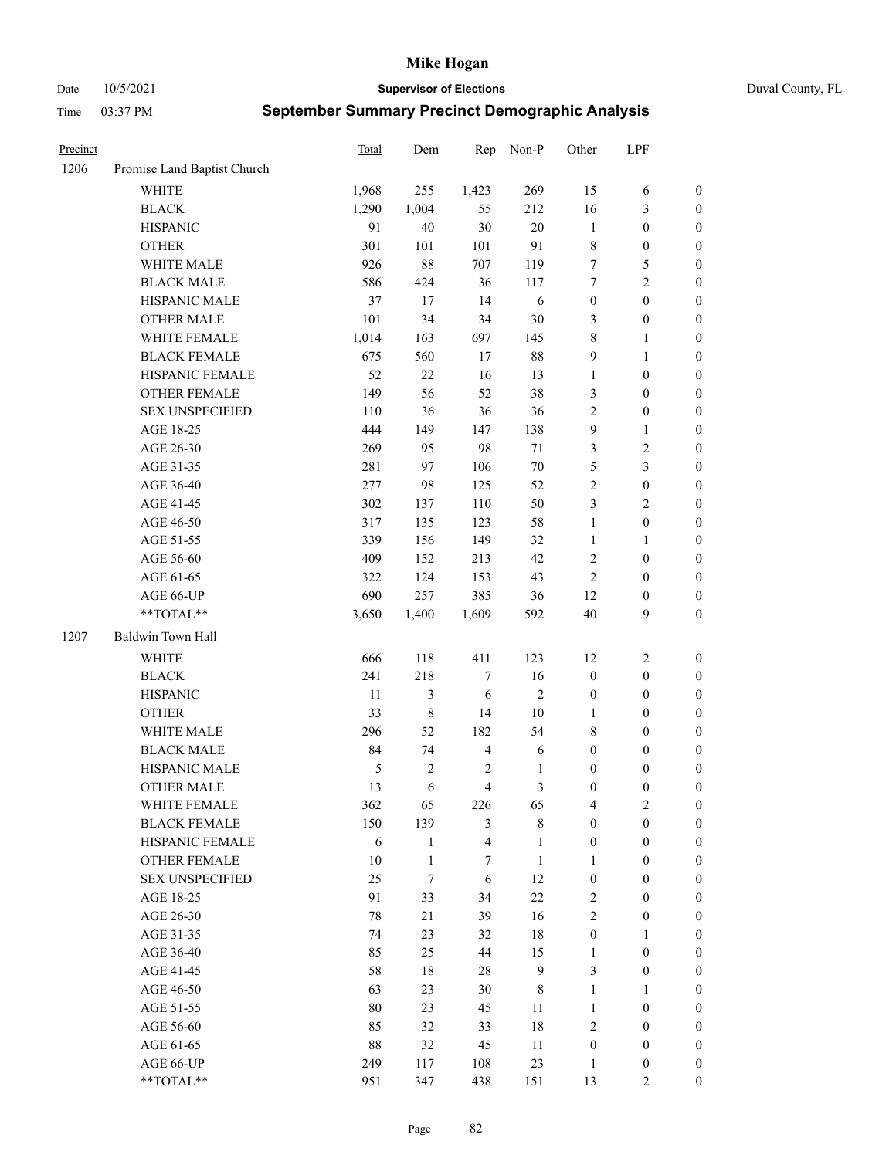Date 10/5/2021 **Supervisor of Elections** Duval County, FL

| Precinct |                             | <b>Total</b>  | Dem          | Rep                     | Non-P          | Other            | LPF              |                  |
|----------|-----------------------------|---------------|--------------|-------------------------|----------------|------------------|------------------|------------------|
| 1206     | Promise Land Baptist Church |               |              |                         |                |                  |                  |                  |
|          | <b>WHITE</b>                | 1,968         | 255          | 1,423                   | 269            | 15               | 6                | 0                |
|          | <b>BLACK</b>                | 1,290         | 1,004        | 55                      | 212            | 16               | $\mathfrak{Z}$   | $\boldsymbol{0}$ |
|          | <b>HISPANIC</b>             | 91            | 40           | 30                      | 20             | $\mathbf{1}$     | $\boldsymbol{0}$ | $\boldsymbol{0}$ |
|          | <b>OTHER</b>                | 301           | 101          | 101                     | 91             | 8                | $\boldsymbol{0}$ | $\boldsymbol{0}$ |
|          | WHITE MALE                  | 926           | 88           | 707                     | 119            | 7                | 5                | $\boldsymbol{0}$ |
|          | <b>BLACK MALE</b>           | 586           | 424          | 36                      | 117            | 7                | $\sqrt{2}$       | $\boldsymbol{0}$ |
|          | HISPANIC MALE               | 37            | 17           | 14                      | 6              | $\boldsymbol{0}$ | $\boldsymbol{0}$ | $\boldsymbol{0}$ |
|          | <b>OTHER MALE</b>           | 101           | 34           | 34                      | $30\,$         | 3                | $\boldsymbol{0}$ | $\boldsymbol{0}$ |
|          | WHITE FEMALE                | 1,014         | 163          | 697                     | 145            | $\,$ $\,$        | $\mathbf{1}$     | $\boldsymbol{0}$ |
|          | <b>BLACK FEMALE</b>         | 675           | 560          | 17                      | $88\,$         | 9                | $\mathbf{1}$     | 0                |
|          | HISPANIC FEMALE             | 52            | 22           | 16                      | 13             | $\mathbf{1}$     | $\boldsymbol{0}$ | 0                |
|          | OTHER FEMALE                | 149           | 56           | 52                      | 38             | 3                | $\boldsymbol{0}$ | $\boldsymbol{0}$ |
|          | <b>SEX UNSPECIFIED</b>      | 110           | 36           | 36                      | 36             | 2                | $\boldsymbol{0}$ | $\boldsymbol{0}$ |
|          | AGE 18-25                   | 444           | 149          | 147                     | 138            | 9                | $\mathbf{1}$     | $\boldsymbol{0}$ |
|          | AGE 26-30                   | 269           | 95           | 98                      | $71\,$         | 3                | $\sqrt{2}$       | $\boldsymbol{0}$ |
|          | AGE 31-35                   | 281           | 97           | 106                     | $70\,$         | 5                | $\mathfrak{Z}$   | $\boldsymbol{0}$ |
|          | AGE 36-40                   | 277           | 98           | 125                     | 52             | $\overline{c}$   | $\boldsymbol{0}$ | $\boldsymbol{0}$ |
|          | AGE 41-45                   | 302           | 137          | 110                     | 50             | 3                | $\overline{2}$   | $\boldsymbol{0}$ |
|          | AGE 46-50                   | 317           | 135          | 123                     | 58             | $\mathbf{1}$     | $\boldsymbol{0}$ | $\boldsymbol{0}$ |
|          | AGE 51-55                   | 339           | 156          | 149                     | 32             | $\mathbf{1}$     | 1                | $\boldsymbol{0}$ |
|          | AGE 56-60                   | 409           | 152          | 213                     | 42             | 2                | $\boldsymbol{0}$ | 0                |
|          | AGE 61-65                   | 322           | 124          | 153                     | 43             | $\mathbf{2}$     | $\boldsymbol{0}$ | 0                |
|          | AGE 66-UP                   | 690           | 257          | 385                     | 36             | 12               | $\boldsymbol{0}$ | $\boldsymbol{0}$ |
|          | **TOTAL**                   | 3,650         | 1,400        | 1,609                   | 592            | $40\,$           | $\boldsymbol{9}$ | $\boldsymbol{0}$ |
| 1207     | Baldwin Town Hall           |               |              |                         |                |                  |                  |                  |
|          | <b>WHITE</b>                | 666           | 118          | 411                     | 123            | 12               | $\sqrt{2}$       | $\boldsymbol{0}$ |
|          | <b>BLACK</b>                | 241           | 218          | 7                       | 16             | $\boldsymbol{0}$ | $\boldsymbol{0}$ | $\boldsymbol{0}$ |
|          | <b>HISPANIC</b>             | 11            | 3            | 6                       | $\sqrt{2}$     | $\boldsymbol{0}$ | $\boldsymbol{0}$ | $\boldsymbol{0}$ |
|          | <b>OTHER</b>                | 33            | $\,$ $\,$    | 14                      | $10\,$         | $\mathbf{1}$     | $\boldsymbol{0}$ | $\boldsymbol{0}$ |
|          | WHITE MALE                  | 296           | 52           | 182                     | 54             | 8                | $\boldsymbol{0}$ | $\boldsymbol{0}$ |
|          | <b>BLACK MALE</b>           | 84            | 74           | $\overline{4}$          | 6              | $\boldsymbol{0}$ | $\boldsymbol{0}$ | $\boldsymbol{0}$ |
|          | HISPANIC MALE               | $\mathfrak s$ | 2            | $\overline{c}$          | 1              | $\boldsymbol{0}$ | $\boldsymbol{0}$ | $\boldsymbol{0}$ |
|          | OTHER MALE                  | 13            | 6            | $\overline{4}$          | $\mathfrak{Z}$ | $\boldsymbol{0}$ | $\boldsymbol{0}$ | $\boldsymbol{0}$ |
|          | WHITE FEMALE                | 362           | 65           | 226                     | 65             | 4                | 2                | 0                |
|          | <b>BLACK FEMALE</b>         | 150           | 139          | 3                       | $8\,$          | $\boldsymbol{0}$ | $\boldsymbol{0}$ | $\overline{0}$   |
|          | HISPANIC FEMALE             | 6             | $\mathbf{1}$ | $\overline{\mathbf{4}}$ | $\mathbf{1}$   | $\boldsymbol{0}$ | $\boldsymbol{0}$ | $\overline{0}$   |
|          | OTHER FEMALE                | 10            | 1            | 7                       | $\mathbf{1}$   | $\mathbf{1}$     | $\boldsymbol{0}$ | $\overline{0}$   |
|          | <b>SEX UNSPECIFIED</b>      | 25            | $\tau$       | 6                       | 12             | $\boldsymbol{0}$ | $\boldsymbol{0}$ | $\overline{0}$   |
|          | AGE 18-25                   | 91            | 33           | 34                      | 22             | 2                | $\boldsymbol{0}$ | $\theta$         |
|          | AGE 26-30                   | 78            | 21           | 39                      | 16             | $\overline{c}$   | $\boldsymbol{0}$ | $\overline{0}$   |
|          | AGE 31-35                   | 74            | 23           | 32                      | 18             | $\boldsymbol{0}$ | 1                | 0                |
|          | AGE 36-40                   | 85            | 25           | 44                      | 15             | $\mathbf{1}$     | $\boldsymbol{0}$ | 0                |
|          | AGE 41-45                   | 58            | 18           | 28                      | $\mathbf{9}$   | 3                | $\boldsymbol{0}$ | 0                |
|          | AGE 46-50                   | 63            | 23           | 30                      | 8              | $\mathbf{1}$     | $\mathbf{1}$     | 0                |
|          | AGE 51-55                   | 80            | 23           | 45                      | 11             | $\mathbf{1}$     | $\boldsymbol{0}$ | $\overline{0}$   |
|          | AGE 56-60                   | 85            | 32           | 33                      | 18             | 2                | $\boldsymbol{0}$ | $\overline{0}$   |
|          | AGE 61-65                   | 88            | 32           | 45                      | 11             | $\boldsymbol{0}$ | $\boldsymbol{0}$ | $\overline{0}$   |
|          | AGE 66-UP                   | 249           | 117          | 108                     | 23             | $\mathbf{1}$     | $\boldsymbol{0}$ | 0                |
|          | **TOTAL**                   | 951           | 347          | 438                     | 151            | 13               | $\mathbf{2}$     | $\overline{0}$   |
|          |                             |               |              |                         |                |                  |                  |                  |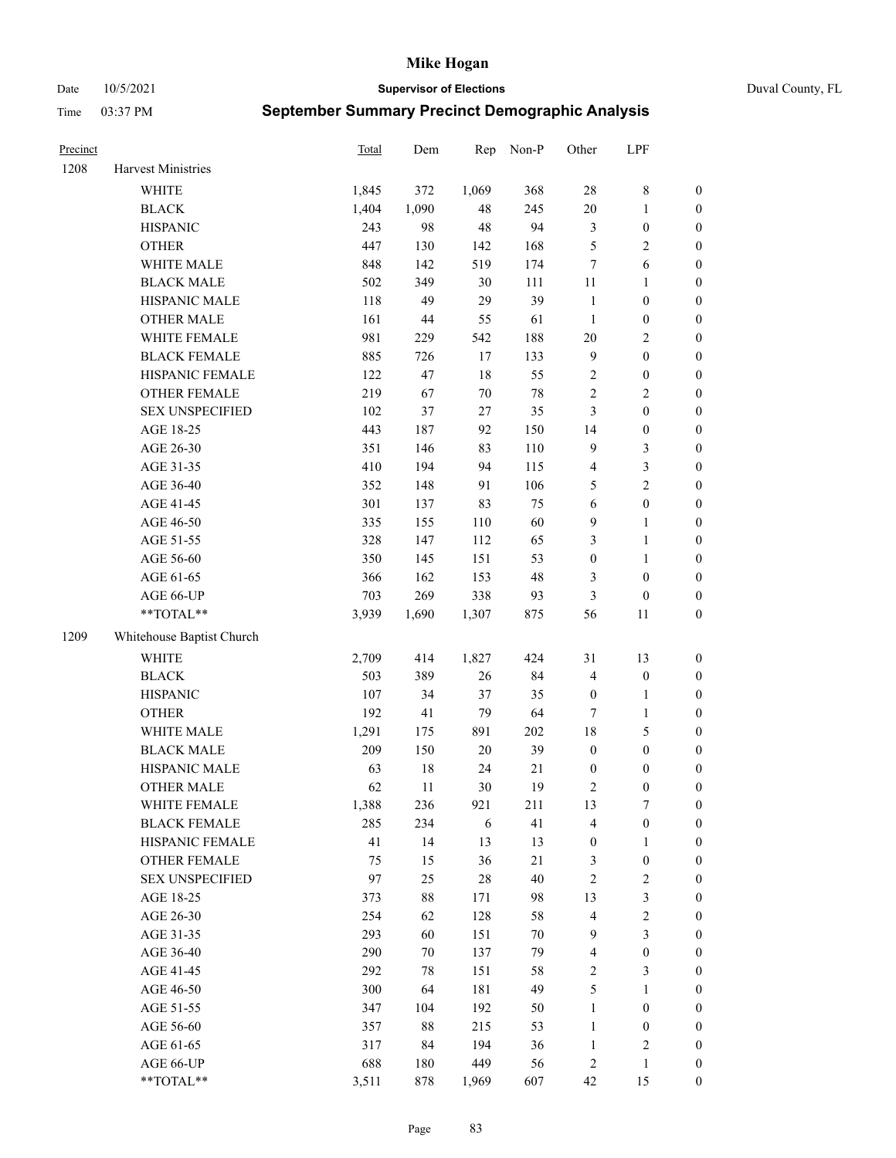Date 10/5/2021 **Supervisor of Elections** Duval County, FL

| Precinct |                           | Total | Dem    | Rep    | Non-P  | Other            | LPF              |                  |
|----------|---------------------------|-------|--------|--------|--------|------------------|------------------|------------------|
| 1208     | Harvest Ministries        |       |        |        |        |                  |                  |                  |
|          | WHITE                     | 1,845 | 372    | 1,069  | 368    | $28\,$           | $8\,$            | 0                |
|          | <b>BLACK</b>              | 1,404 | 1,090  | 48     | 245    | $20\,$           | $\mathbf{1}$     | $\boldsymbol{0}$ |
|          | <b>HISPANIC</b>           | 243   | 98     | 48     | 94     | 3                | $\boldsymbol{0}$ | $\boldsymbol{0}$ |
|          | <b>OTHER</b>              | 447   | 130    | 142    | 168    | 5                | $\sqrt{2}$       | $\boldsymbol{0}$ |
|          | WHITE MALE                | 848   | 142    | 519    | 174    | 7                | 6                | $\boldsymbol{0}$ |
|          | <b>BLACK MALE</b>         | 502   | 349    | 30     | 111    | 11               | 1                | $\boldsymbol{0}$ |
|          | HISPANIC MALE             | 118   | 49     | 29     | 39     | $\mathbf{1}$     | $\boldsymbol{0}$ | $\boldsymbol{0}$ |
|          | <b>OTHER MALE</b>         | 161   | 44     | 55     | 61     | $\mathbf{1}$     | $\boldsymbol{0}$ | $\boldsymbol{0}$ |
|          | WHITE FEMALE              | 981   | 229    | 542    | 188    | $20\,$           | $\sqrt{2}$       | $\boldsymbol{0}$ |
|          | <b>BLACK FEMALE</b>       | 885   | 726    | 17     | 133    | $\overline{9}$   | $\boldsymbol{0}$ | $\boldsymbol{0}$ |
|          | HISPANIC FEMALE           | 122   | 47     | 18     | 55     | $\sqrt{2}$       | $\boldsymbol{0}$ | 0                |
|          | OTHER FEMALE              | 219   | 67     | $70\,$ | $78\,$ | $\sqrt{2}$       | $\sqrt{2}$       | $\boldsymbol{0}$ |
|          | <b>SEX UNSPECIFIED</b>    | 102   | 37     | 27     | 35     | 3                | $\boldsymbol{0}$ | $\boldsymbol{0}$ |
|          | AGE 18-25                 | 443   | 187    | 92     | 150    | 14               | $\boldsymbol{0}$ | $\boldsymbol{0}$ |
|          | AGE 26-30                 | 351   | 146    | 83     | 110    | 9                | $\mathfrak{Z}$   | $\boldsymbol{0}$ |
|          | AGE 31-35                 | 410   | 194    | 94     | 115    | 4                | $\mathfrak{Z}$   | $\boldsymbol{0}$ |
|          | AGE 36-40                 | 352   | 148    | 91     | 106    | 5                | $\sqrt{2}$       | $\boldsymbol{0}$ |
|          | AGE 41-45                 | 301   | 137    | 83     | 75     | $\sqrt{6}$       | $\boldsymbol{0}$ | $\boldsymbol{0}$ |
|          | AGE 46-50                 | 335   | 155    | 110    | 60     | 9                | $\mathbf{1}$     | $\boldsymbol{0}$ |
|          | AGE 51-55                 | 328   | 147    | 112    | 65     | 3                | $\mathbf{1}$     | 0                |
|          | AGE 56-60                 | 350   | 145    | 151    | 53     | $\boldsymbol{0}$ | $\mathbf{1}$     | 0                |
|          | AGE 61-65                 | 366   | 162    | 153    | 48     | 3                | $\boldsymbol{0}$ | 0                |
|          | AGE 66-UP                 | 703   | 269    | 338    | 93     | 3                | $\boldsymbol{0}$ | $\boldsymbol{0}$ |
|          | **TOTAL**                 | 3,939 | 1,690  | 1,307  | 875    | 56               | 11               | $\boldsymbol{0}$ |
| 1209     | Whitehouse Baptist Church |       |        |        |        |                  |                  |                  |
|          | <b>WHITE</b>              | 2,709 | 414    | 1,827  | 424    | 31               | 13               | $\boldsymbol{0}$ |
|          | <b>BLACK</b>              | 503   | 389    | 26     | 84     | 4                | $\boldsymbol{0}$ | $\boldsymbol{0}$ |
|          | <b>HISPANIC</b>           | 107   | 34     | 37     | 35     | $\boldsymbol{0}$ | $\mathbf{1}$     | $\boldsymbol{0}$ |
|          | <b>OTHER</b>              | 192   | 41     | 79     | 64     | $\tau$           | $\mathbf{1}$     | $\boldsymbol{0}$ |
|          | WHITE MALE                | 1,291 | 175    | 891    | 202    | 18               | $\mathfrak{S}$   | $\boldsymbol{0}$ |
|          | <b>BLACK MALE</b>         | 209   | 150    | $20\,$ | 39     | $\boldsymbol{0}$ | $\boldsymbol{0}$ | $\boldsymbol{0}$ |
|          | HISPANIC MALE             | 63    | $18\,$ | 24     | 21     | $\boldsymbol{0}$ | $\boldsymbol{0}$ | $\boldsymbol{0}$ |
|          | <b>OTHER MALE</b>         | 62    | 11     | 30     | 19     | 2                | $\boldsymbol{0}$ | $\boldsymbol{0}$ |
|          | WHITE FEMALE              | 1,388 | 236    | 921    | 211    | 13               | 7                | 0                |
|          | <b>BLACK FEMALE</b>       | 285   | 234    | 6      | 41     | 4                | $\boldsymbol{0}$ | $\boldsymbol{0}$ |
|          | HISPANIC FEMALE           | 41    | 14     | 13     | 13     | $\boldsymbol{0}$ | $\mathbf{1}$     | $\overline{0}$   |
|          | OTHER FEMALE              | 75    | 15     | 36     | 21     | 3                | $\boldsymbol{0}$ | 0                |
|          | <b>SEX UNSPECIFIED</b>    | 97    | 25     | 28     | 40     | 2                | $\sqrt{2}$       | 0                |
|          | AGE 18-25                 | 373   | $88\,$ | 171    | 98     | 13               | $\mathfrak{Z}$   | 0                |
|          | AGE 26-30                 | 254   | 62     | 128    | 58     | 4                | $\sqrt{2}$       | 0                |
|          | AGE 31-35                 | 293   | 60     | 151    | $70\,$ | 9                | $\mathfrak{Z}$   | 0                |
|          | AGE 36-40                 | 290   | 70     | 137    | 79     | 4                | $\boldsymbol{0}$ | 0                |
|          | AGE 41-45                 | 292   | 78     | 151    | 58     | 2                | $\mathfrak{Z}$   | 0                |
|          | AGE 46-50                 | 300   | 64     | 181    | 49     | 5                | $\mathbf{1}$     | 0                |
|          | AGE 51-55                 | 347   | 104    | 192    | 50     | $\mathbf{1}$     | $\boldsymbol{0}$ | 0                |
|          | AGE 56-60                 | 357   | $88\,$ | 215    | 53     | $\mathbf{1}$     | $\boldsymbol{0}$ | 0                |
|          | AGE 61-65                 | 317   | 84     | 194    | 36     | $\mathbf{1}$     | $\sqrt{2}$       | 0                |
|          | AGE 66-UP                 | 688   | 180    | 449    | 56     | 2                | $\mathbf{1}$     | $\boldsymbol{0}$ |
|          | **TOTAL**                 | 3,511 | 878    | 1,969  | 607    | 42               | 15               | $\boldsymbol{0}$ |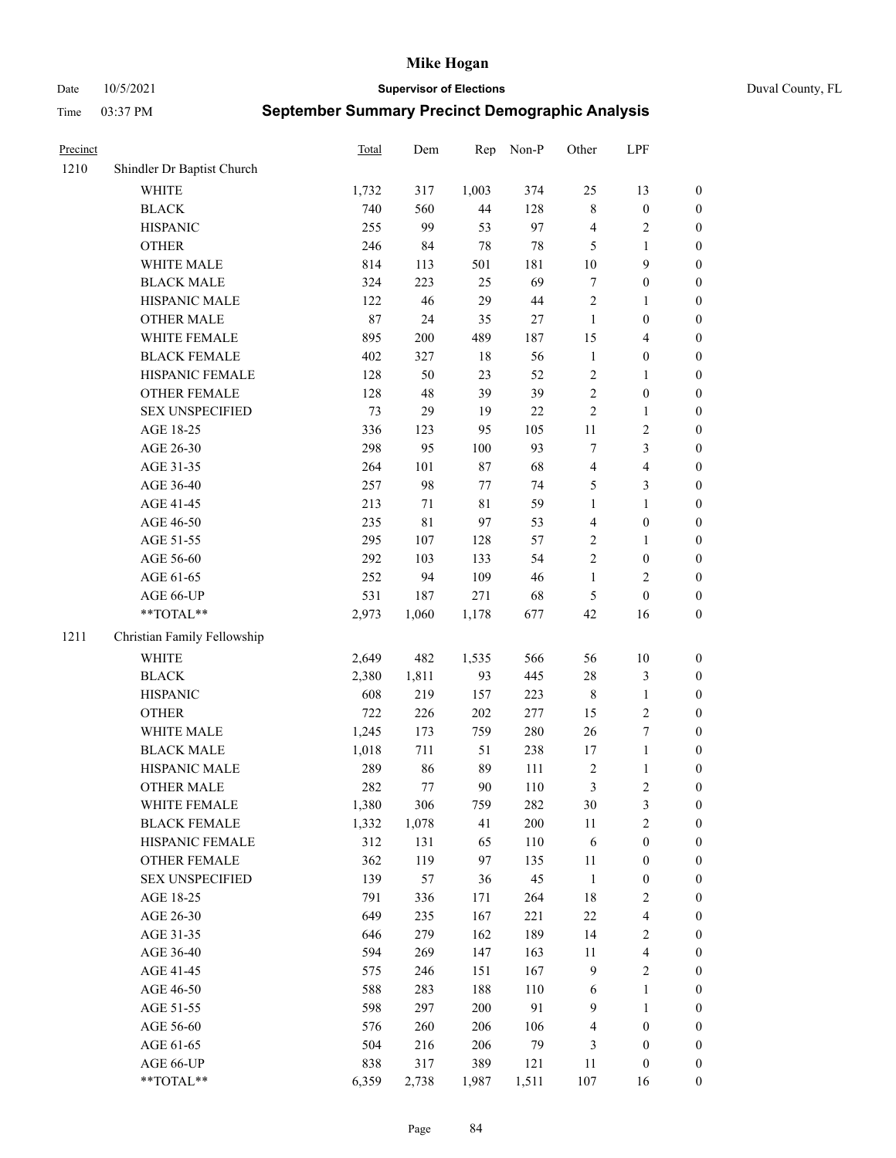Date 10/5/2021 **Supervisor of Elections** Duval County, FL

| Precinct |                             | Total  | Dem         | Rep         | Non-P  | Other          | LPF                     |                  |
|----------|-----------------------------|--------|-------------|-------------|--------|----------------|-------------------------|------------------|
| 1210     | Shindler Dr Baptist Church  |        |             |             |        |                |                         |                  |
|          | WHITE                       | 1,732  | 317         | 1,003       | 374    | 25             | 13                      | 0                |
|          | <b>BLACK</b>                | 740    | 560         | 44          | 128    | $\,$ 8 $\,$    | $\boldsymbol{0}$        | $\boldsymbol{0}$ |
|          | <b>HISPANIC</b>             | 255    | 99          | 53          | 97     | 4              | $\sqrt{2}$              | $\boldsymbol{0}$ |
|          | <b>OTHER</b>                | 246    | 84          | 78          | $78\,$ | 5              | 1                       | $\boldsymbol{0}$ |
|          | WHITE MALE                  | 814    | 113         | 501         | 181    | 10             | 9                       | $\boldsymbol{0}$ |
|          | <b>BLACK MALE</b>           | 324    | 223         | 25          | 69     | 7              | $\boldsymbol{0}$        | $\boldsymbol{0}$ |
|          | HISPANIC MALE               | 122    | 46          | 29          | $44\,$ | $\overline{c}$ | $\mathbf{1}$            | $\boldsymbol{0}$ |
|          | <b>OTHER MALE</b>           | $87\,$ | 24          | 35          | 27     | $\mathbf{1}$   | $\boldsymbol{0}$        | $\boldsymbol{0}$ |
|          | WHITE FEMALE                | 895    | 200         | 489         | 187    | 15             | $\overline{\mathbf{4}}$ | $\boldsymbol{0}$ |
|          | <b>BLACK FEMALE</b>         | 402    | 327         | 18          | 56     | $\mathbf{1}$   | $\boldsymbol{0}$        | $\boldsymbol{0}$ |
|          | HISPANIC FEMALE             | 128    | 50          | 23          | 52     | $\sqrt{2}$     | $\mathbf{1}$            | 0                |
|          | OTHER FEMALE                | 128    | 48          | 39          | 39     | $\overline{c}$ | $\boldsymbol{0}$        | $\boldsymbol{0}$ |
|          | <b>SEX UNSPECIFIED</b>      | 73     | 29          | 19          | $22\,$ | $\sqrt{2}$     | $\mathbf{1}$            | $\boldsymbol{0}$ |
|          | AGE 18-25                   | 336    | 123         | 95          | 105    | $11\,$         | $\sqrt{2}$              | $\boldsymbol{0}$ |
|          | AGE 26-30                   | 298    | 95          | 100         | 93     | 7              | $\mathfrak{Z}$          | $\boldsymbol{0}$ |
|          | AGE 31-35                   | 264    | 101         | 87          | 68     | 4              | $\overline{\mathbf{4}}$ | $\boldsymbol{0}$ |
|          | AGE 36-40                   | 257    | 98          | 77          | 74     | 5              | $\mathfrak{Z}$          | $\boldsymbol{0}$ |
|          | AGE 41-45                   | 213    | 71          | $8\sqrt{1}$ | 59     | $\mathbf{1}$   | $\mathbf{1}$            | $\boldsymbol{0}$ |
|          | AGE 46-50                   | 235    | $8\sqrt{1}$ | 97          | 53     | 4              | $\boldsymbol{0}$        | $\boldsymbol{0}$ |
|          | AGE 51-55                   | 295    | 107         | 128         | 57     | $\sqrt{2}$     | $\mathbf{1}$            | $\boldsymbol{0}$ |
|          | AGE 56-60                   | 292    | 103         | 133         | 54     | $\sqrt{2}$     | $\boldsymbol{0}$        | 0                |
|          | AGE 61-65                   | 252    | 94          | 109         | 46     | $\mathbf{1}$   | $\overline{2}$          | 0                |
|          | AGE 66-UP                   | 531    | 187         | 271         | 68     | 5              | $\boldsymbol{0}$        | $\boldsymbol{0}$ |
|          | **TOTAL**                   | 2,973  | 1,060       | 1,178       | 677    | 42             | 16                      | $\boldsymbol{0}$ |
| 1211     | Christian Family Fellowship |        |             |             |        |                |                         |                  |
|          | WHITE                       | 2,649  | 482         | 1,535       | 566    | 56             | $10\,$                  | $\boldsymbol{0}$ |
|          | <b>BLACK</b>                | 2,380  | 1,811       | 93          | 445    | 28             | $\mathfrak{Z}$          | $\boldsymbol{0}$ |
|          | <b>HISPANIC</b>             | 608    | 219         | 157         | 223    | 8              | $\mathbf{1}$            | $\boldsymbol{0}$ |
|          | <b>OTHER</b>                | 722    | 226         | 202         | 277    | 15             | $\sqrt{2}$              | $\boldsymbol{0}$ |
|          | WHITE MALE                  | 1,245  | 173         | 759         | 280    | 26             | $\boldsymbol{7}$        | $\boldsymbol{0}$ |
|          | <b>BLACK MALE</b>           | 1,018  | 711         | 51          | 238    | 17             | $\mathbf{1}$            | $\boldsymbol{0}$ |
|          | HISPANIC MALE               | 289    | 86          | 89          | 111    | $\sqrt{2}$     | $\mathbf{1}$            | $\boldsymbol{0}$ |
|          | <b>OTHER MALE</b>           | 282    | 77          | 90          | 110    | 3              | $\overline{c}$          | $\boldsymbol{0}$ |
|          | WHITE FEMALE                | 1,380  | 306         | 759         | 282    | 30             | 3                       | 0                |
|          | <b>BLACK FEMALE</b>         | 1,332  | 1,078       | 41          | 200    | 11             | $\sqrt{2}$              | $\boldsymbol{0}$ |
|          | HISPANIC FEMALE             | 312    | 131         | 65          | 110    | 6              | $\boldsymbol{0}$        | $\overline{0}$   |
|          | OTHER FEMALE                | 362    | 119         | 97          | 135    | $11\,$         | $\boldsymbol{0}$        | $\overline{0}$   |
|          | <b>SEX UNSPECIFIED</b>      | 139    | 57          | 36          | 45     | $\mathbf{1}$   | $\boldsymbol{0}$        | 0                |
|          | AGE 18-25                   | 791    | 336         | 171         | 264    | 18             | $\sqrt{2}$              | 0                |
|          | AGE 26-30                   | 649    | 235         | 167         | 221    | $22\,$         | $\overline{\mathbf{4}}$ | 0                |
|          | AGE 31-35                   | 646    | 279         | 162         | 189    | 14             | $\sqrt{2}$              | 0                |
|          | AGE 36-40                   | 594    | 269         | 147         | 163    | 11             | $\overline{\mathbf{4}}$ | 0                |
|          | AGE 41-45                   | 575    | 246         | 151         | 167    | $\overline{9}$ | $\sqrt{2}$              | 0                |
|          | AGE 46-50                   | 588    | 283         | 188         | 110    | 6              | $\mathbf{1}$            | 0                |
|          | AGE 51-55                   | 598    | 297         | 200         | 91     | 9              | $\mathbf{1}$            | 0                |
|          | AGE 56-60                   | 576    | 260         | 206         | 106    | 4              | $\boldsymbol{0}$        | 0                |
|          | AGE 61-65                   | 504    | 216         | 206         | 79     | 3              | $\boldsymbol{0}$        | $\overline{0}$   |
|          | AGE 66-UP                   | 838    | 317         | 389         | 121    | 11             | $\boldsymbol{0}$        | 0                |
|          | **TOTAL**                   | 6,359  | 2,738       | 1,987       | 1,511  | 107            | 16                      | $\boldsymbol{0}$ |
|          |                             |        |             |             |        |                |                         |                  |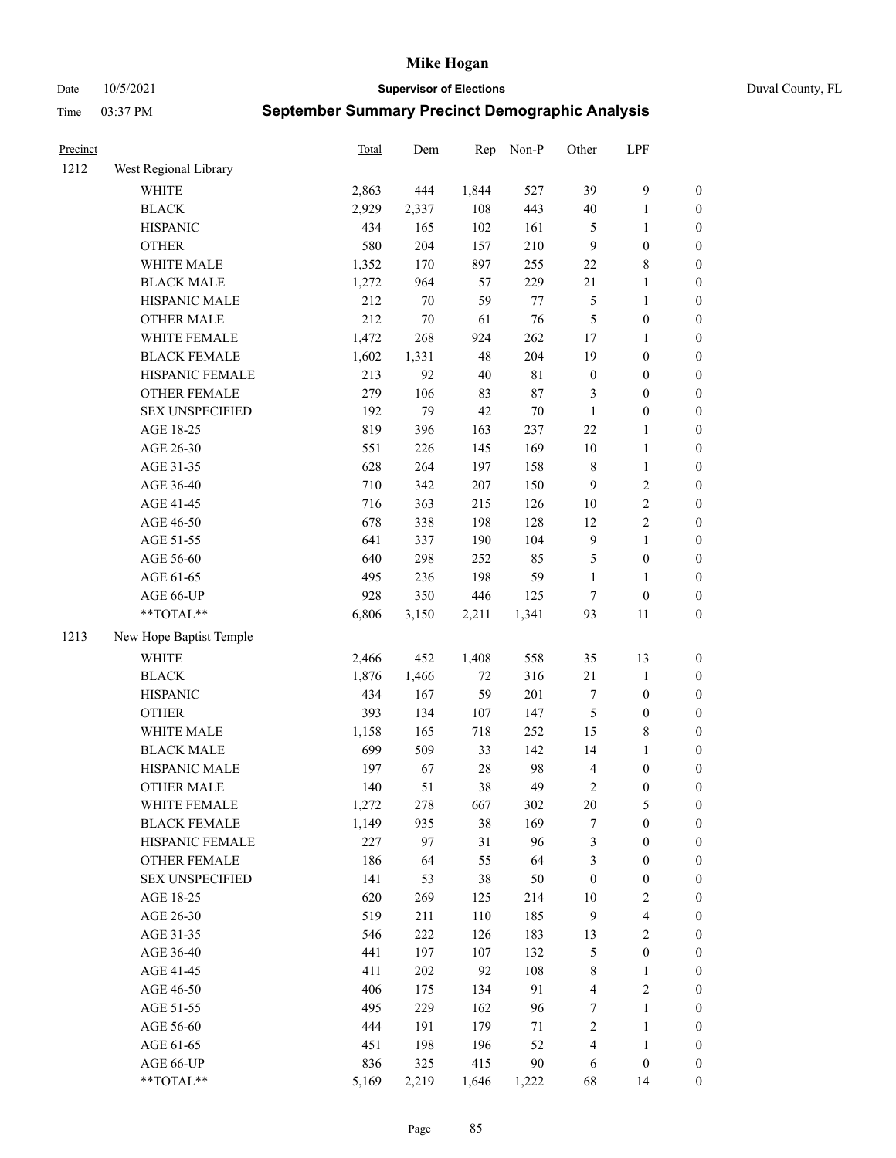Date 10/5/2021 **Supervisor of Elections** Duval County, FL

| Precinct |                                               | <b>Total</b> | Dem        | Rep       | Non-P       | Other            | LPF                                  |                  |
|----------|-----------------------------------------------|--------------|------------|-----------|-------------|------------------|--------------------------------------|------------------|
| 1212     | West Regional Library                         |              |            |           |             |                  |                                      |                  |
|          | <b>WHITE</b>                                  | 2,863        | 444        | 1,844     | 527         | 39               | $\mathbf{9}$                         | 0                |
|          | <b>BLACK</b>                                  | 2,929        | 2,337      | 108       | 443         | $40\,$           | $\mathbf{1}$                         | $\boldsymbol{0}$ |
|          | <b>HISPANIC</b>                               | 434          | 165        | 102       | 161         | 5                | $\mathbf{1}$                         | $\boldsymbol{0}$ |
|          | <b>OTHER</b>                                  | 580          | 204        | 157       | 210         | 9                | $\boldsymbol{0}$                     | $\boldsymbol{0}$ |
|          | WHITE MALE                                    | 1,352        | 170        | 897       | 255         | 22               | $8\,$                                | $\boldsymbol{0}$ |
|          | <b>BLACK MALE</b>                             | 1,272        | 964        | 57        | 229         | 21               | $\mathbf{1}$                         | $\boldsymbol{0}$ |
|          | HISPANIC MALE                                 | 212          | $70\,$     | 59        | 77          | 5                | $\mathbf{1}$                         | $\boldsymbol{0}$ |
|          | <b>OTHER MALE</b>                             | 212          | $70\,$     | 61        | 76          | 5                | $\boldsymbol{0}$                     | $\boldsymbol{0}$ |
|          | WHITE FEMALE                                  | 1,472        | 268        | 924       | 262         | 17               | $\mathbf{1}$                         | $\boldsymbol{0}$ |
|          | <b>BLACK FEMALE</b>                           | 1,602        | 1,331      | 48        | 204         | 19               | $\boldsymbol{0}$                     | $\boldsymbol{0}$ |
|          | HISPANIC FEMALE                               | 213          | 92         | 40        | $8\sqrt{1}$ | $\boldsymbol{0}$ | $\boldsymbol{0}$                     | 0                |
|          | OTHER FEMALE                                  | 279          | 106        | 83        | $87\,$      | 3                | $\boldsymbol{0}$                     | $\boldsymbol{0}$ |
|          | <b>SEX UNSPECIFIED</b>                        | 192          | 79         | 42        | $70\,$      | $\mathbf{1}$     | $\boldsymbol{0}$                     | $\boldsymbol{0}$ |
|          | AGE 18-25                                     | 819          | 396        | 163       | 237         | $22\,$           | 1                                    | $\boldsymbol{0}$ |
|          | AGE 26-30                                     | 551          | 226        | 145       | 169         | 10               | $\mathbf{1}$                         | $\boldsymbol{0}$ |
|          | AGE 31-35                                     | 628          | 264        | 197       | 158         | $\,$ $\,$        | $\mathbf{1}$                         | $\boldsymbol{0}$ |
|          | AGE 36-40                                     | 710          | 342        | 207       | 150         | 9                | $\sqrt{2}$                           | $\boldsymbol{0}$ |
|          | AGE 41-45                                     | 716          | 363        | 215       | 126         | $10\,$           | $\sqrt{2}$                           | $\boldsymbol{0}$ |
|          | AGE 46-50                                     | 678          | 338        | 198       | 128         | 12               | $\sqrt{2}$                           | $\boldsymbol{0}$ |
|          | AGE 51-55                                     | 641          | 337        | 190       | 104         | $\overline{9}$   | $\mathbf{1}$                         | $\boldsymbol{0}$ |
|          | AGE 56-60                                     | 640          | 298        | 252       | 85          | 5                | $\boldsymbol{0}$                     | 0                |
|          | AGE 61-65                                     | 495          | 236        | 198       | 59          | $\mathbf{1}$     | $\mathbf{1}$                         | 0                |
|          | AGE 66-UP                                     | 928          | 350        | 446       | 125         | 7                | $\boldsymbol{0}$                     | $\boldsymbol{0}$ |
|          | **TOTAL**                                     | 6,806        | 3,150      | 2,211     | 1,341       | 93               | 11                                   | $\boldsymbol{0}$ |
| 1213     | New Hope Baptist Temple                       |              |            |           |             |                  |                                      |                  |
|          | <b>WHITE</b>                                  | 2,466        | 452        | 1,408     | 558         | 35               | 13                                   | $\boldsymbol{0}$ |
|          | <b>BLACK</b>                                  | 1,876        | 1,466      | 72        | 316         | $21\,$           | $\mathbf{1}$                         | $\boldsymbol{0}$ |
|          | <b>HISPANIC</b>                               | 434          | 167        | 59        | 201         | 7                | $\boldsymbol{0}$                     | $\boldsymbol{0}$ |
|          | <b>OTHER</b>                                  | 393          | 134        | 107       | 147         | 5                | $\boldsymbol{0}$                     | $\boldsymbol{0}$ |
|          | WHITE MALE                                    | 1,158        | 165        | 718       | 252         | 15               | $\,$ 8 $\,$                          | $\boldsymbol{0}$ |
|          | <b>BLACK MALE</b>                             | 699          | 509        | 33        | 142         | 14               | $\mathbf{1}$                         | $\boldsymbol{0}$ |
|          | HISPANIC MALE                                 | 197          | 67         | 28        | 98          | 4                | $\boldsymbol{0}$                     | $\boldsymbol{0}$ |
|          | <b>OTHER MALE</b>                             | 140          | 51         | 38        | 49          | 2                | $\boldsymbol{0}$                     | $\boldsymbol{0}$ |
|          | WHITE FEMALE                                  |              |            |           |             |                  | 5                                    | 0                |
|          | <b>BLACK FEMALE</b>                           | 1,272        | 278        | 667<br>38 | 302<br>169  | 20<br>7          |                                      | $\boldsymbol{0}$ |
|          | HISPANIC FEMALE                               | 1,149<br>227 | 935<br>97  | 31        | 96          | 3                | $\boldsymbol{0}$<br>$\boldsymbol{0}$ | $\overline{0}$   |
|          |                                               | 186          |            | 55        | 64          | 3                | $\boldsymbol{0}$                     | $\overline{0}$   |
|          | <b>OTHER FEMALE</b><br><b>SEX UNSPECIFIED</b> | 141          | 64<br>53   | 38        | 50          | $\boldsymbol{0}$ | $\boldsymbol{0}$                     | 0                |
|          | AGE 18-25                                     | 620          | 269        | 125       | 214         | 10               | $\sqrt{2}$                           | 0                |
|          | AGE 26-30                                     | 519          | 211        |           |             |                  | $\overline{\mathbf{4}}$              | 0                |
|          |                                               | 546          | 222        | 110       | 185<br>183  | 9                | $\sqrt{2}$                           | 0                |
|          | AGE 31-35                                     |              |            | 126       |             | 13               |                                      |                  |
|          | AGE 36-40                                     | 441<br>411   | 197<br>202 | 107<br>92 | 132<br>108  | 5                | $\boldsymbol{0}$                     | 0                |
|          | AGE 41-45                                     |              |            |           |             | 8                | $\mathbf{1}$                         | 0                |
|          | AGE 46-50                                     | 406          | 175        | 134       | 91          | 4                | $\sqrt{2}$                           | 0                |
|          | AGE 51-55                                     | 495          | 229        | 162       | 96          | 7                | $\mathbf{1}$                         | 0                |
|          | AGE 56-60                                     | 444          | 191        | 179       | 71          | 2                | $\mathbf{1}$                         | 0                |
|          | AGE 61-65                                     | 451          | 198        | 196       | 52          | 4                | $\mathbf{1}$                         | $\overline{0}$   |
|          | AGE 66-UP                                     | 836          | 325        | 415       | 90          | 6                | $\boldsymbol{0}$                     | 0                |
|          | **TOTAL**                                     | 5,169        | 2,219      | 1,646     | 1,222       | 68               | 14                                   | $\boldsymbol{0}$ |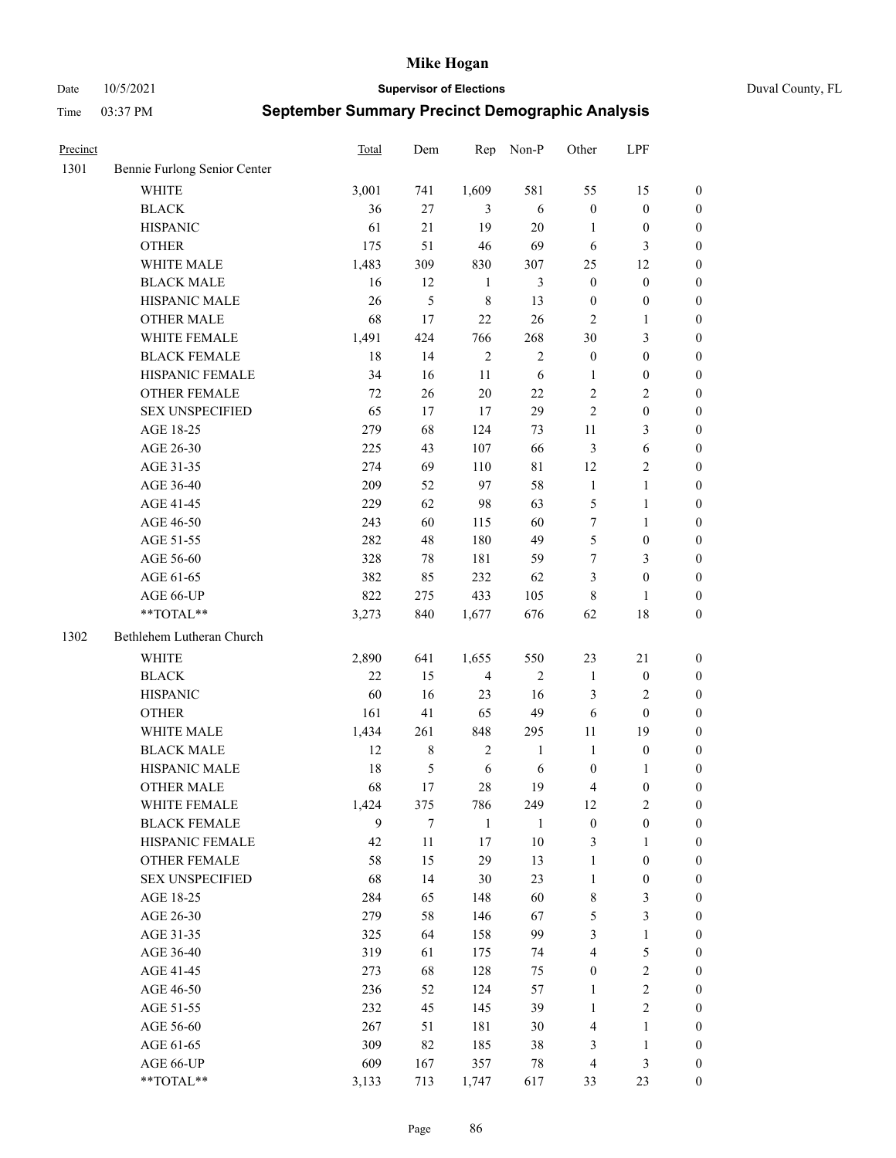Date 10/5/2021 **Supervisor of Elections** Duval County, FL

| Precinct |                              | <b>Total</b> | Dem            | Rep            | Non-P          | Other            | LPF              |                  |
|----------|------------------------------|--------------|----------------|----------------|----------------|------------------|------------------|------------------|
| 1301     | Bennie Furlong Senior Center |              |                |                |                |                  |                  |                  |
|          | <b>WHITE</b>                 | 3,001        | 741            | 1,609          | 581            | 55               | 15               | 0                |
|          | <b>BLACK</b>                 | 36           | $27\,$         | 3              | 6              | $\boldsymbol{0}$ | $\boldsymbol{0}$ | 0                |
|          | <b>HISPANIC</b>              | 61           | 21             | 19             | $20\,$         | $\mathbf{1}$     | $\boldsymbol{0}$ | $\boldsymbol{0}$ |
|          | <b>OTHER</b>                 | 175          | 51             | 46             | 69             | 6                | 3                | $\boldsymbol{0}$ |
|          | WHITE MALE                   | 1,483        | 309            | 830            | 307            | 25               | 12               | $\boldsymbol{0}$ |
|          | <b>BLACK MALE</b>            | 16           | 12             | $\mathbf{1}$   | $\mathfrak{Z}$ | $\boldsymbol{0}$ | $\boldsymbol{0}$ | $\boldsymbol{0}$ |
|          | HISPANIC MALE                | 26           | $\mathfrak s$  | $\,$ 8 $\,$    | 13             | $\boldsymbol{0}$ | $\boldsymbol{0}$ | $\boldsymbol{0}$ |
|          | <b>OTHER MALE</b>            | 68           | 17             | 22             | 26             | $\mathbf{2}$     | $\mathbf{1}$     | $\boldsymbol{0}$ |
|          | WHITE FEMALE                 | 1,491        | 424            | 766            | 268            | 30               | $\mathfrak{Z}$   | $\boldsymbol{0}$ |
|          | <b>BLACK FEMALE</b>          | 18           | 14             | $\sqrt{2}$     | $\sqrt{2}$     | $\boldsymbol{0}$ | $\boldsymbol{0}$ | 0                |
|          | HISPANIC FEMALE              | 34           | 16             | 11             | 6              | 1                | $\boldsymbol{0}$ | 0                |
|          | <b>OTHER FEMALE</b>          | 72           | 26             | $20\,$         | 22             | 2                | $\sqrt{2}$       | $\boldsymbol{0}$ |
|          | <b>SEX UNSPECIFIED</b>       | 65           | 17             | 17             | 29             | $\overline{c}$   | $\boldsymbol{0}$ | $\boldsymbol{0}$ |
|          | AGE 18-25                    | 279          | 68             | 124            | 73             | $11\,$           | $\mathfrak{Z}$   | $\boldsymbol{0}$ |
|          | AGE 26-30                    | 225          | 43             | 107            | 66             | 3                | 6                | $\boldsymbol{0}$ |
|          | AGE 31-35                    | 274          | 69             | 110            | $8\sqrt{1}$    | 12               | $\sqrt{2}$       | $\boldsymbol{0}$ |
|          | AGE 36-40                    | 209          | 52             | 97             | 58             | $\mathbf{1}$     | $\mathbf{1}$     | $\boldsymbol{0}$ |
|          | AGE 41-45                    | 229          | 62             | 98             | 63             | 5                | $\mathbf{1}$     | $\boldsymbol{0}$ |
|          | AGE 46-50                    | 243          | 60             | 115            | 60             | 7                | $\mathbf{1}$     | $\boldsymbol{0}$ |
|          | AGE 51-55                    | 282          | 48             | 180            | 49             | 5                | $\boldsymbol{0}$ | 0                |
|          | AGE 56-60                    | 328          | 78             | 181            | 59             | 7                | $\mathfrak{Z}$   | 0                |
|          | AGE 61-65                    | 382          | 85             | 232            | 62             | 3                | $\boldsymbol{0}$ | $\boldsymbol{0}$ |
|          | AGE 66-UP                    | 822          | 275            | 433            | 105            | 8                | $\mathbf{1}$     | $\boldsymbol{0}$ |
|          | **TOTAL**                    | 3,273        | 840            | 1,677          | 676            | 62               | 18               | $\boldsymbol{0}$ |
| 1302     | Bethlehem Lutheran Church    |              |                |                |                |                  |                  |                  |
|          | <b>WHITE</b>                 | 2,890        | 641            | 1,655          | 550            | 23               | $21\,$           | $\boldsymbol{0}$ |
|          | <b>BLACK</b>                 | 22           | 15             | $\overline{4}$ | $\sqrt{2}$     | $\mathbf{1}$     | $\boldsymbol{0}$ | $\boldsymbol{0}$ |
|          | <b>HISPANIC</b>              | 60           | 16             | 23             | 16             | 3                | $\mathfrak{2}$   | $\boldsymbol{0}$ |
|          | <b>OTHER</b>                 | 161          | 41             | 65             | 49             | 6                | $\boldsymbol{0}$ | $\boldsymbol{0}$ |
|          | WHITE MALE                   | 1,434        | 261            | 848            | 295            | $11\,$           | 19               | $\boldsymbol{0}$ |
|          | <b>BLACK MALE</b>            | 12           | $\,$ 8 $\,$    | $\sqrt{2}$     | $\mathbf{1}$   | $\mathbf{1}$     | $\boldsymbol{0}$ | $\boldsymbol{0}$ |
|          | HISPANIC MALE                | 18           | $\mathfrak{S}$ | $\sqrt{6}$     | 6              | $\boldsymbol{0}$ | 1                | 0                |
|          | <b>OTHER MALE</b>            | 68           | 17             | 28             | 19             | 4                | $\boldsymbol{0}$ | $\boldsymbol{0}$ |
|          | WHITE FEMALE                 | 1,424        | 375            | 786            | 249            | 12               | $\overline{c}$   | 0                |
|          | <b>BLACK FEMALE</b>          | 9            | 7              | $\mathbf{1}$   | 1              | $\boldsymbol{0}$ | $\boldsymbol{0}$ | $\overline{0}$   |
|          | HISPANIC FEMALE              | 42           | $11\,$         | 17             | $10\,$         | 3                | 1                | $\overline{0}$   |
|          | <b>OTHER FEMALE</b>          | 58           | 15             | 29             | 13             | 1                | $\boldsymbol{0}$ | 0                |
|          | <b>SEX UNSPECIFIED</b>       | 68           | 14             | 30             | 23             | $\mathbf{1}$     | $\boldsymbol{0}$ | 0                |
|          | AGE 18-25                    | 284          | 65             | 148            | 60             | 8                | $\mathfrak{Z}$   | 0                |
|          | AGE 26-30                    | 279          | 58             | 146            | 67             | 5                | 3                | 0                |
|          | AGE 31-35                    | 325          | 64             | 158            | 99             | 3                | $\mathbf{1}$     | 0                |
|          | AGE 36-40                    | 319          | 61             | 175            | 74             | 4                | $\mathfrak s$    | 0                |
|          | AGE 41-45                    | 273          | 68             | 128            | 75             | $\boldsymbol{0}$ | $\sqrt{2}$       | 0                |
|          | AGE 46-50                    | 236          | 52             | 124            | 57             | $\mathbf{1}$     | $\sqrt{2}$       | 0                |
|          | AGE 51-55                    | 232          | 45             | 145            | 39             | $\mathbf{1}$     | $\mathfrak{2}$   | 0                |
|          | AGE 56-60                    | 267          | 51             | 181            | 30             | 4                | 1                | $\overline{0}$   |
|          | AGE 61-65                    | 309          | 82             | 185            | 38             | 3                | $\mathbf{1}$     | $\overline{0}$   |
|          | AGE 66-UP                    | 609          | 167            | 357            | 78             | 4                | $\mathfrak{Z}$   | 0                |
|          | **TOTAL**                    | 3,133        | 713            | 1,747          | 617            | 33               | 23               | $\boldsymbol{0}$ |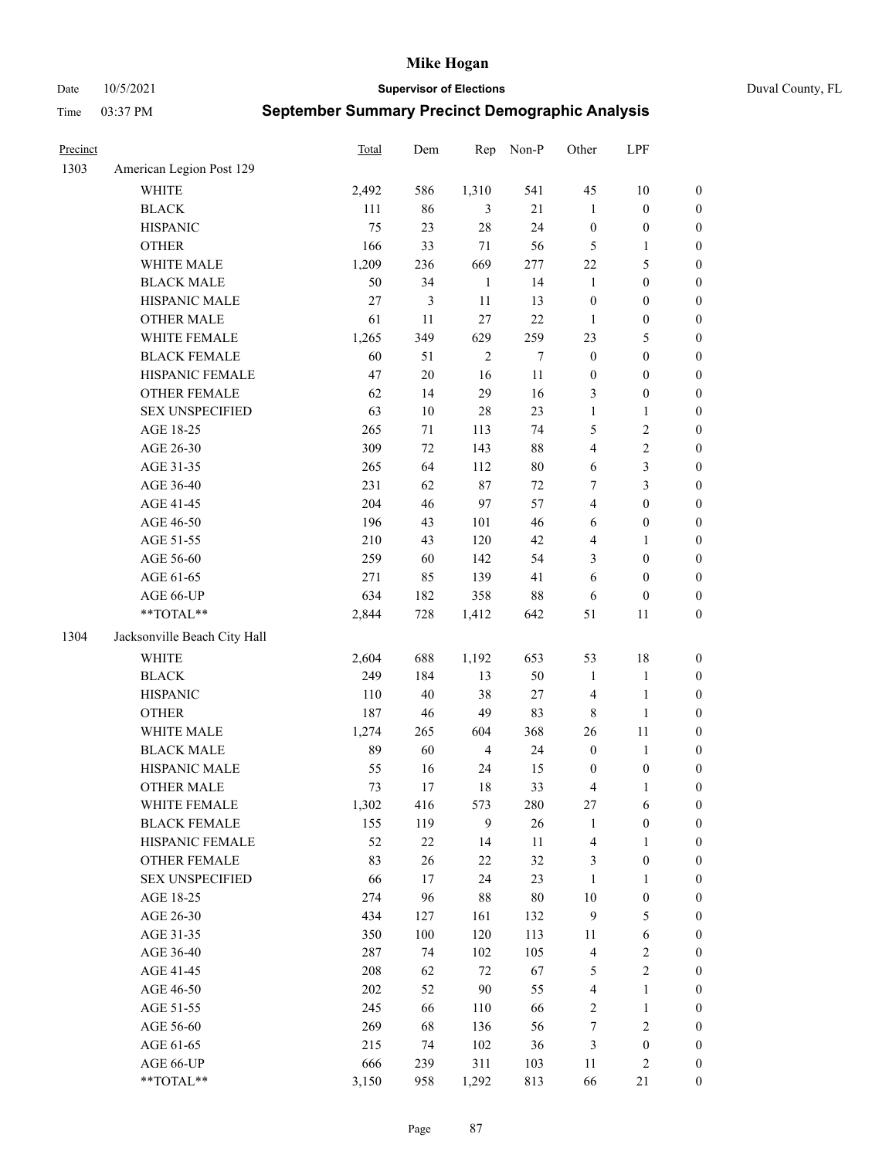Date 10/5/2021 **Supervisor of Elections** Duval County, FL

| Precinct |                              | <b>Total</b> | Dem            | Rep            | Non-P  | Other            | LPF              |                  |
|----------|------------------------------|--------------|----------------|----------------|--------|------------------|------------------|------------------|
| 1303     | American Legion Post 129     |              |                |                |        |                  |                  |                  |
|          | <b>WHITE</b>                 | 2,492        | 586            | 1,310          | 541    | 45               | 10               | 0                |
|          | <b>BLACK</b>                 | 111          | 86             | 3              | 21     | $\mathbf{1}$     | $\boldsymbol{0}$ | 0                |
|          | <b>HISPANIC</b>              | 75           | 23             | 28             | 24     | $\boldsymbol{0}$ | $\boldsymbol{0}$ | $\boldsymbol{0}$ |
|          | <b>OTHER</b>                 | 166          | 33             | 71             | 56     | 5                | 1                | $\boldsymbol{0}$ |
|          | WHITE MALE                   | 1,209        | 236            | 669            | 277    | $22\,$           | $\mathfrak s$    | $\boldsymbol{0}$ |
|          | <b>BLACK MALE</b>            | 50           | 34             | $\mathbf{1}$   | 14     | $\mathbf{1}$     | $\boldsymbol{0}$ | $\boldsymbol{0}$ |
|          | HISPANIC MALE                | 27           | $\mathfrak{Z}$ | 11             | 13     | $\boldsymbol{0}$ | $\boldsymbol{0}$ | $\boldsymbol{0}$ |
|          | <b>OTHER MALE</b>            | 61           | 11             | 27             | 22     | $\mathbf{1}$     | $\boldsymbol{0}$ | $\boldsymbol{0}$ |
|          | WHITE FEMALE                 | 1,265        | 349            | 629            | 259    | 23               | $\mathfrak s$    | $\boldsymbol{0}$ |
|          | <b>BLACK FEMALE</b>          | 60           | 51             | $\sqrt{2}$     | $\tau$ | $\boldsymbol{0}$ | $\boldsymbol{0}$ | $\boldsymbol{0}$ |
|          | HISPANIC FEMALE              | 47           | $20\,$         | 16             | 11     | $\boldsymbol{0}$ | $\boldsymbol{0}$ | 0                |
|          | <b>OTHER FEMALE</b>          | 62           | 14             | 29             | 16     | 3                | $\boldsymbol{0}$ | $\boldsymbol{0}$ |
|          | <b>SEX UNSPECIFIED</b>       | 63           | $10\,$         | 28             | 23     | $\mathbf{1}$     | $\mathbf{1}$     | $\boldsymbol{0}$ |
|          | AGE 18-25                    | 265          | $71\,$         | 113            | 74     | 5                | $\sqrt{2}$       | $\boldsymbol{0}$ |
|          | AGE 26-30                    | 309          | $72\,$         | 143            | $88\,$ | 4                | $\sqrt{2}$       | $\boldsymbol{0}$ |
|          | AGE 31-35                    | 265          | 64             | 112            | $80\,$ | 6                | 3                | $\boldsymbol{0}$ |
|          | AGE 36-40                    | 231          | 62             | $87\,$         | 72     | $\boldsymbol{7}$ | 3                | $\boldsymbol{0}$ |
|          | AGE 41-45                    | 204          | 46             | 97             | 57     | 4                | $\boldsymbol{0}$ | $\boldsymbol{0}$ |
|          | AGE 46-50                    | 196          | 43             | 101            | 46     | 6                | $\boldsymbol{0}$ | $\boldsymbol{0}$ |
|          | AGE 51-55                    | 210          | 43             | 120            | 42     | 4                | 1                | $\boldsymbol{0}$ |
|          | AGE 56-60                    | 259          | 60             | 142            | 54     | 3                | $\boldsymbol{0}$ | 0                |
|          | AGE 61-65                    | 271          | 85             | 139            | 41     | 6                | $\boldsymbol{0}$ | 0                |
|          | AGE 66-UP                    | 634          | 182            | 358            | $88\,$ | 6                | $\boldsymbol{0}$ | $\boldsymbol{0}$ |
|          | $**TOTAL**$                  | 2,844        | 728            | 1,412          | 642    | 51               | 11               | $\boldsymbol{0}$ |
| 1304     | Jacksonville Beach City Hall |              |                |                |        |                  |                  |                  |
|          | <b>WHITE</b>                 | 2,604        | 688            | 1,192          | 653    | 53               | 18               | $\boldsymbol{0}$ |
|          | <b>BLACK</b>                 | 249          | 184            | 13             | 50     | $\mathbf{1}$     | $\mathbf{1}$     | $\boldsymbol{0}$ |
|          | <b>HISPANIC</b>              | 110          | $40\,$         | 38             | $27\,$ | 4                | $\mathbf{1}$     | $\boldsymbol{0}$ |
|          | <b>OTHER</b>                 | 187          | 46             | 49             | 83     | $\,$ 8 $\,$      | $\mathbf{1}$     | $\boldsymbol{0}$ |
|          | WHITE MALE                   | 1,274        | 265            | 604            | 368    | 26               | 11               | $\boldsymbol{0}$ |
|          | <b>BLACK MALE</b>            | 89           | 60             | $\overline{4}$ | 24     | $\boldsymbol{0}$ | $\mathbf{1}$     | $\boldsymbol{0}$ |
|          | HISPANIC MALE                | 55           | 16             | 24             | 15     | 0                | $\boldsymbol{0}$ | 0                |
|          | <b>OTHER MALE</b>            | 73           | 17             | 18             | 33     | 4                | $\mathbf{1}$     | $\boldsymbol{0}$ |
|          | WHITE FEMALE                 | 1,302        | 416            | 573            | 280    | 27               | 6                | 0                |
|          | <b>BLACK FEMALE</b>          | 155          | 119            | 9              | 26     | $\mathbf{1}$     | $\boldsymbol{0}$ | $\overline{0}$   |
|          | HISPANIC FEMALE              | 52           | $22\,$         | 14             | $11\,$ | 4                | $\mathbf{1}$     | $\overline{0}$   |
|          | OTHER FEMALE                 | 83           | 26             | $22\,$         | 32     | 3                | $\boldsymbol{0}$ | $\overline{0}$   |
|          | <b>SEX UNSPECIFIED</b>       | 66           | 17             | 24             | 23     | $\mathbf{1}$     | $\mathbf{1}$     | 0                |
|          | AGE 18-25                    | 274          | 96             | 88             | $80\,$ | $10\,$           | $\boldsymbol{0}$ | 0                |
|          | AGE 26-30                    | 434          | 127            | 161            | 132    | 9                | $\mathfrak s$    | 0                |
|          | AGE 31-35                    | 350          | $100\,$        | 120            | 113    | 11               | 6                | 0                |
|          | AGE 36-40                    | 287          | 74             | 102            | 105    | 4                | $\sqrt{2}$       | 0                |
|          | AGE 41-45                    | 208          | 62             | 72             | 67     | 5                | $\sqrt{2}$       | 0                |
|          | AGE 46-50                    | 202          | 52             | $90\,$         | 55     | 4                | $\mathbf{1}$     | 0                |
|          | AGE 51-55                    | 245          | 66             | 110            | 66     | 2                | $\mathbf{1}$     | 0                |
|          | AGE 56-60                    | 269          | 68             | 136            | 56     | 7                | $\sqrt{2}$       | 0                |
|          | AGE 61-65                    | 215          | 74             | 102            | 36     | 3                | $\boldsymbol{0}$ | $\overline{0}$   |
|          | AGE 66-UP                    | 666          | 239            | 311            | 103    | 11               | $\mathfrak{2}$   | 0                |
|          | **TOTAL**                    | 3,150        | 958            | 1,292          | 813    | 66               | 21               | $\boldsymbol{0}$ |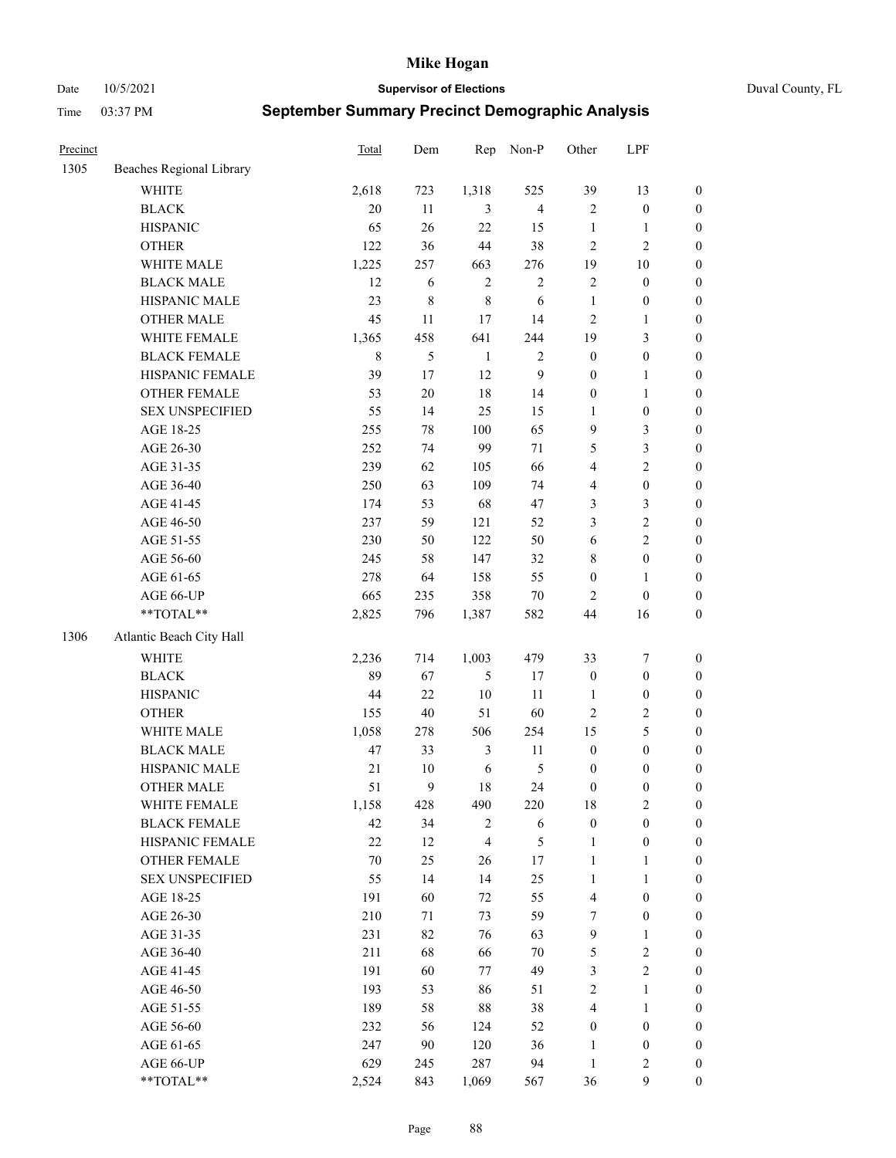Date 10/5/2021 **Supervisor of Elections** Duval County, FL

| Precinct |                          | Total       | Dem    | Rep            | Non-P          | Other                   | LPF              |                  |
|----------|--------------------------|-------------|--------|----------------|----------------|-------------------------|------------------|------------------|
| 1305     | Beaches Regional Library |             |        |                |                |                         |                  |                  |
|          | <b>WHITE</b>             | 2,618       | 723    | 1,318          | 525            | 39                      | 13               | 0                |
|          | <b>BLACK</b>             | 20          | 11     | 3              | $\overline{4}$ | $\mathfrak{2}$          | $\boldsymbol{0}$ | $\boldsymbol{0}$ |
|          | <b>HISPANIC</b>          | 65          | 26     | 22             | 15             | $\mathbf{1}$            | $\mathbf{1}$     | $\boldsymbol{0}$ |
|          | <b>OTHER</b>             | 122         | 36     | 44             | 38             | $\mathfrak{2}$          | $\mathfrak{2}$   | $\boldsymbol{0}$ |
|          | WHITE MALE               | 1,225       | 257    | 663            | 276            | 19                      | $10\,$           | $\boldsymbol{0}$ |
|          | <b>BLACK MALE</b>        | 12          | 6      | $\sqrt{2}$     | $\sqrt{2}$     | 2                       | $\boldsymbol{0}$ | $\boldsymbol{0}$ |
|          | HISPANIC MALE            | 23          | 8      | $\,8\,$        | 6              | $\mathbf{1}$            | $\boldsymbol{0}$ | $\boldsymbol{0}$ |
|          | OTHER MALE               | 45          | 11     | 17             | 14             | $\mathfrak{2}$          | $\mathbf{1}$     | $\boldsymbol{0}$ |
|          | WHITE FEMALE             | 1,365       | 458    | 641            | 244            | 19                      | $\mathfrak{Z}$   | $\boldsymbol{0}$ |
|          | <b>BLACK FEMALE</b>      | $\,$ 8 $\,$ | 5      | $\mathbf{1}$   | $\sqrt{2}$     | $\boldsymbol{0}$        | $\boldsymbol{0}$ | 0                |
|          | HISPANIC FEMALE          | 39          | 17     | 12             | $\mathbf{9}$   | $\boldsymbol{0}$        | $\mathbf{1}$     | 0                |
|          | <b>OTHER FEMALE</b>      | 53          | $20\,$ | 18             | 14             | $\boldsymbol{0}$        | $\mathbf{1}$     | $\boldsymbol{0}$ |
|          | <b>SEX UNSPECIFIED</b>   | 55          | 14     | 25             | 15             | $\mathbf{1}$            | $\boldsymbol{0}$ | $\boldsymbol{0}$ |
|          | AGE 18-25                | 255         | $78\,$ | 100            | 65             | 9                       | $\mathfrak{Z}$   | $\boldsymbol{0}$ |
|          | AGE 26-30                | 252         | 74     | 99             | 71             | 5                       | $\mathfrak{Z}$   | $\boldsymbol{0}$ |
|          | AGE 31-35                | 239         | 62     | 105            | 66             | 4                       | $\sqrt{2}$       | $\boldsymbol{0}$ |
|          | AGE 36-40                | 250         | 63     | 109            | 74             | 4                       | $\boldsymbol{0}$ | $\boldsymbol{0}$ |
|          | AGE 41-45                | 174         | 53     | 68             | 47             | 3                       | $\mathfrak{Z}$   | $\boldsymbol{0}$ |
|          | AGE 46-50                | 237         | 59     | 121            | 52             | 3                       | $\sqrt{2}$       | $\boldsymbol{0}$ |
|          | AGE 51-55                | 230         | 50     | 122            | 50             | 6                       | $\sqrt{2}$       | $\boldsymbol{0}$ |
|          | AGE 56-60                | 245         | 58     | 147            | 32             | 8                       | $\boldsymbol{0}$ | 0                |
|          | AGE 61-65                | 278         | 64     | 158            | 55             | $\boldsymbol{0}$        | $\mathbf{1}$     | 0                |
|          | AGE 66-UP                | 665         | 235    | 358            | 70             | $\overline{2}$          | $\boldsymbol{0}$ | $\boldsymbol{0}$ |
|          | **TOTAL**                | 2,825       | 796    | 1,387          | 582            | 44                      | 16               | $\boldsymbol{0}$ |
| 1306     | Atlantic Beach City Hall |             |        |                |                |                         |                  |                  |
|          | WHITE                    | 2,236       | 714    | 1,003          | 479            | 33                      | $\boldsymbol{7}$ | $\boldsymbol{0}$ |
|          | <b>BLACK</b>             | 89          | 67     | 5              | 17             | $\boldsymbol{0}$        | $\boldsymbol{0}$ | $\boldsymbol{0}$ |
|          | <b>HISPANIC</b>          | 44          | 22     | 10             | 11             | $\mathbf{1}$            | $\boldsymbol{0}$ | $\boldsymbol{0}$ |
|          | <b>OTHER</b>             | 155         | 40     | 51             | 60             | $\mathbf{2}$            | $\sqrt{2}$       | $\boldsymbol{0}$ |
|          | WHITE MALE               | 1,058       | 278    | 506            | 254            | 15                      | $\mathfrak{S}$   | $\boldsymbol{0}$ |
|          | <b>BLACK MALE</b>        | 47          | 33     | $\mathfrak{Z}$ | 11             | $\boldsymbol{0}$        | $\boldsymbol{0}$ | $\boldsymbol{0}$ |
|          | HISPANIC MALE            | $21\,$      | $10\,$ | 6              | $\mathfrak{S}$ | $\boldsymbol{0}$        | $\boldsymbol{0}$ | $\boldsymbol{0}$ |
|          | OTHER MALE               | 51          | 9      | 18             | 24             | $\boldsymbol{0}$        | $\boldsymbol{0}$ | $\boldsymbol{0}$ |
|          | WHITE FEMALE             | 1,158       | 428    | 490            | 220            | 18                      | 2                | 0                |
|          | <b>BLACK FEMALE</b>      | 42          | 34     | $\overline{c}$ | 6              | $\boldsymbol{0}$        | $\boldsymbol{0}$ | $\boldsymbol{0}$ |
|          | HISPANIC FEMALE          | 22          | 12     | $\overline{4}$ | $\mathfrak s$  | $\mathbf{1}$            | $\boldsymbol{0}$ | $\overline{0}$   |
|          | <b>OTHER FEMALE</b>      | 70          | 25     | 26             | 17             | $\mathbf{1}$            | $\mathbf{1}$     | $\overline{0}$   |
|          | <b>SEX UNSPECIFIED</b>   | 55          | 14     | 14             | 25             | $\mathbf{1}$            | $\mathbf{1}$     | 0                |
|          | AGE 18-25                | 191         | 60     | 72             | 55             | 4                       | $\boldsymbol{0}$ | 0                |
|          | AGE 26-30                | 210         | 71     | 73             | 59             | $\tau$                  | $\boldsymbol{0}$ | 0                |
|          | AGE 31-35                | 231         | 82     | 76             | 63             | $\mathbf{9}$            | $\mathbf{1}$     | 0                |
|          | AGE 36-40                | 211         | 68     | 66             | $70\,$         | 5                       | $\sqrt{2}$       | 0                |
|          | AGE 41-45                | 191         | 60     | 77             | 49             | 3                       | $\overline{2}$   | 0                |
|          | AGE 46-50                | 193         | 53     | 86             | 51             | 2                       | $\mathbf{1}$     | 0                |
|          | AGE 51-55                | 189         | 58     | 88             | 38             | $\overline{\mathbf{4}}$ | $\mathbf{1}$     | 0                |
|          | AGE 56-60                | 232         | 56     | 124            | 52             | $\boldsymbol{0}$        | $\boldsymbol{0}$ | $\overline{0}$   |
|          | AGE 61-65                | 247         | 90     | 120            | 36             | 1                       | $\boldsymbol{0}$ | $\overline{0}$   |
|          | AGE 66-UP                | 629         | 245    | 287            | 94             | $\mathbf{1}$            | $\mathfrak{2}$   | 0                |
|          | **TOTAL**                | 2,524       | 843    | 1,069          | 567            | 36                      | $\mathbf{9}$     | $\boldsymbol{0}$ |
|          |                          |             |        |                |                |                         |                  |                  |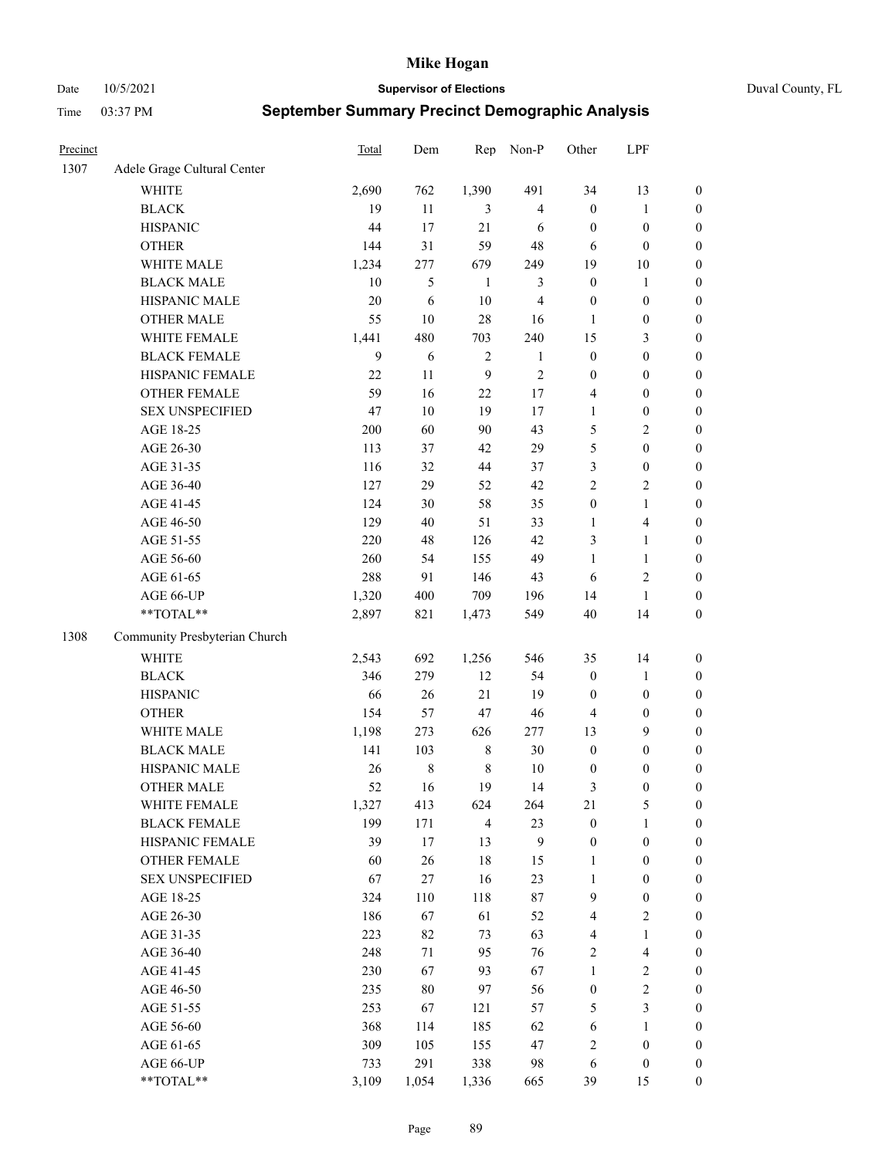Date 10/5/2021 **Supervisor of Elections** Duval County, FL

| Precinct |                               | <b>Total</b> | Dem     | Rep            | Non-P                   | Other            | LPF              |                  |
|----------|-------------------------------|--------------|---------|----------------|-------------------------|------------------|------------------|------------------|
| 1307     | Adele Grage Cultural Center   |              |         |                |                         |                  |                  |                  |
|          | <b>WHITE</b>                  | 2,690        | 762     | 1,390          | 491                     | 34               | 13               | 0                |
|          | <b>BLACK</b>                  | 19           | 11      | 3              | $\overline{\mathbf{4}}$ | $\boldsymbol{0}$ | $\mathbf{1}$     | 0                |
|          | <b>HISPANIC</b>               | 44           | 17      | 21             | 6                       | $\boldsymbol{0}$ | $\boldsymbol{0}$ | $\boldsymbol{0}$ |
|          | <b>OTHER</b>                  | 144          | 31      | 59             | 48                      | 6                | $\boldsymbol{0}$ | $\boldsymbol{0}$ |
|          | WHITE MALE                    | 1,234        | 277     | 679            | 249                     | 19               | 10               | $\boldsymbol{0}$ |
|          | <b>BLACK MALE</b>             | 10           | 5       | $\mathbf{1}$   | 3                       | $\boldsymbol{0}$ | 1                | $\boldsymbol{0}$ |
|          | HISPANIC MALE                 | 20           | 6       | 10             | $\overline{4}$          | $\boldsymbol{0}$ | $\boldsymbol{0}$ | $\boldsymbol{0}$ |
|          | <b>OTHER MALE</b>             | 55           | 10      | 28             | 16                      | $\mathbf{1}$     | $\boldsymbol{0}$ | $\boldsymbol{0}$ |
|          | WHITE FEMALE                  | 1,441        | 480     | 703            | 240                     | 15               | $\mathfrak{Z}$   | $\boldsymbol{0}$ |
|          | <b>BLACK FEMALE</b>           | 9            | 6       | $\sqrt{2}$     | $\mathbf{1}$            | $\boldsymbol{0}$ | $\boldsymbol{0}$ | $\boldsymbol{0}$ |
|          | HISPANIC FEMALE               | 22           | 11      | 9              | $\sqrt{2}$              | $\boldsymbol{0}$ | $\boldsymbol{0}$ | $\boldsymbol{0}$ |
|          | <b>OTHER FEMALE</b>           | 59           | 16      | 22             | 17                      | 4                | $\boldsymbol{0}$ | $\boldsymbol{0}$ |
|          | <b>SEX UNSPECIFIED</b>        | 47           | 10      | 19             | 17                      | $\mathbf{1}$     | $\boldsymbol{0}$ | $\boldsymbol{0}$ |
|          | AGE 18-25                     | 200          | 60      | 90             | 43                      | 5                | $\sqrt{2}$       | $\boldsymbol{0}$ |
|          | AGE 26-30                     | 113          | 37      | 42             | 29                      | 5                | $\boldsymbol{0}$ | $\boldsymbol{0}$ |
|          | AGE 31-35                     | 116          | 32      | 44             | 37                      | 3                | $\boldsymbol{0}$ | $\boldsymbol{0}$ |
|          | AGE 36-40                     | 127          | 29      | 52             | 42                      | $\overline{c}$   | $\sqrt{2}$       | $\boldsymbol{0}$ |
|          | AGE 41-45                     | 124          | 30      | 58             | 35                      | $\boldsymbol{0}$ | $\mathbf{1}$     | $\boldsymbol{0}$ |
|          | AGE 46-50                     | 129          | $40\,$  | 51             | 33                      | $\mathbf{1}$     | $\overline{4}$   | $\boldsymbol{0}$ |
|          | AGE 51-55                     | 220          | 48      | 126            | 42                      | 3                | $\mathbf{1}$     | $\boldsymbol{0}$ |
|          | AGE 56-60                     | 260          | 54      | 155            | 49                      | $\mathbf{1}$     | $\mathbf{1}$     | 0                |
|          | AGE 61-65                     | 288          | 91      | 146            | 43                      | 6                | $\sqrt{2}$       | 0                |
|          | AGE 66-UP                     | 1,320        | 400     | 709            | 196                     | 14               | $\mathbf{1}$     | $\boldsymbol{0}$ |
|          | **TOTAL**                     | 2,897        | 821     | 1,473          | 549                     | $40\,$           | 14               | $\boldsymbol{0}$ |
| 1308     | Community Presbyterian Church |              |         |                |                         |                  |                  |                  |
|          | <b>WHITE</b>                  | 2,543        | 692     | 1,256          | 546                     | 35               | 14               | $\boldsymbol{0}$ |
|          | <b>BLACK</b>                  | 346          | 279     | 12             | 54                      | $\boldsymbol{0}$ | $\mathbf{1}$     | $\boldsymbol{0}$ |
|          | <b>HISPANIC</b>               | 66           | 26      | 21             | 19                      | $\boldsymbol{0}$ | $\boldsymbol{0}$ | $\boldsymbol{0}$ |
|          | <b>OTHER</b>                  | 154          | 57      | 47             | 46                      | 4                | $\boldsymbol{0}$ | $\boldsymbol{0}$ |
|          | WHITE MALE                    | 1,198        | 273     | 626            | 277                     | 13               | 9                | $\boldsymbol{0}$ |
|          | <b>BLACK MALE</b>             | 141          | 103     | $\,$ 8 $\,$    | 30                      | $\boldsymbol{0}$ | $\boldsymbol{0}$ | $\boldsymbol{0}$ |
|          | HISPANIC MALE                 | 26           | $\,8\,$ | $\,$ 8 $\,$    | $10\,$                  | $\boldsymbol{0}$ | $\boldsymbol{0}$ | $\boldsymbol{0}$ |
|          | <b>OTHER MALE</b>             | 52           | 16      | 19             | 14                      | 3                | $\boldsymbol{0}$ | $\boldsymbol{0}$ |
|          | WHITE FEMALE                  | 1,327        | 413     | 624            | 264                     | 21               | 5                | 0                |
|          | <b>BLACK FEMALE</b>           | 199          | 171     | $\overline{4}$ | 23                      | $\boldsymbol{0}$ | $\mathbf{1}$     | $\overline{0}$   |
|          | HISPANIC FEMALE               | 39           | $17\,$  | 13             | 9                       | $\boldsymbol{0}$ | $\boldsymbol{0}$ | $\overline{0}$   |
|          | <b>OTHER FEMALE</b>           | 60           | 26      | 18             | 15                      | 1                | $\boldsymbol{0}$ | $\overline{0}$   |
|          | <b>SEX UNSPECIFIED</b>        | 67           | 27      | 16             | 23                      | $\mathbf{1}$     | $\boldsymbol{0}$ | 0                |
|          | AGE 18-25                     | 324          | 110     | 118            | 87                      | 9                | $\boldsymbol{0}$ | 0                |
|          | AGE 26-30                     | 186          | 67      | 61             | 52                      | 4                | $\mathbf{2}$     | 0                |
|          | AGE 31-35                     | 223          | 82      | 73             | 63                      | 4                | $\mathbf{1}$     | 0                |
|          | AGE 36-40                     | 248          | 71      | 95             | 76                      | 2                | $\overline{4}$   | 0                |
|          | AGE 41-45                     | 230          | 67      | 93             | 67                      | $\mathbf{1}$     | $\sqrt{2}$       | 0                |
|          | AGE 46-50                     | 235          | 80      | 97             | 56                      | $\boldsymbol{0}$ | $\sqrt{2}$       | 0                |
|          | AGE 51-55                     | 253          | 67      | 121            | 57                      | 5                | 3                | $\overline{0}$   |
|          | AGE 56-60                     | 368          | 114     | 185            | 62                      | 6                | 1                | $\boldsymbol{0}$ |
|          | AGE 61-65                     | 309          | 105     | 155            | 47                      | 2                | $\boldsymbol{0}$ | $\boldsymbol{0}$ |
|          | AGE 66-UP                     | 733          | 291     | 338            | 98                      | 6                | $\boldsymbol{0}$ | 0                |
|          | **TOTAL**                     | 3,109        | 1,054   | 1,336          | 665                     | 39               | 15               | $\boldsymbol{0}$ |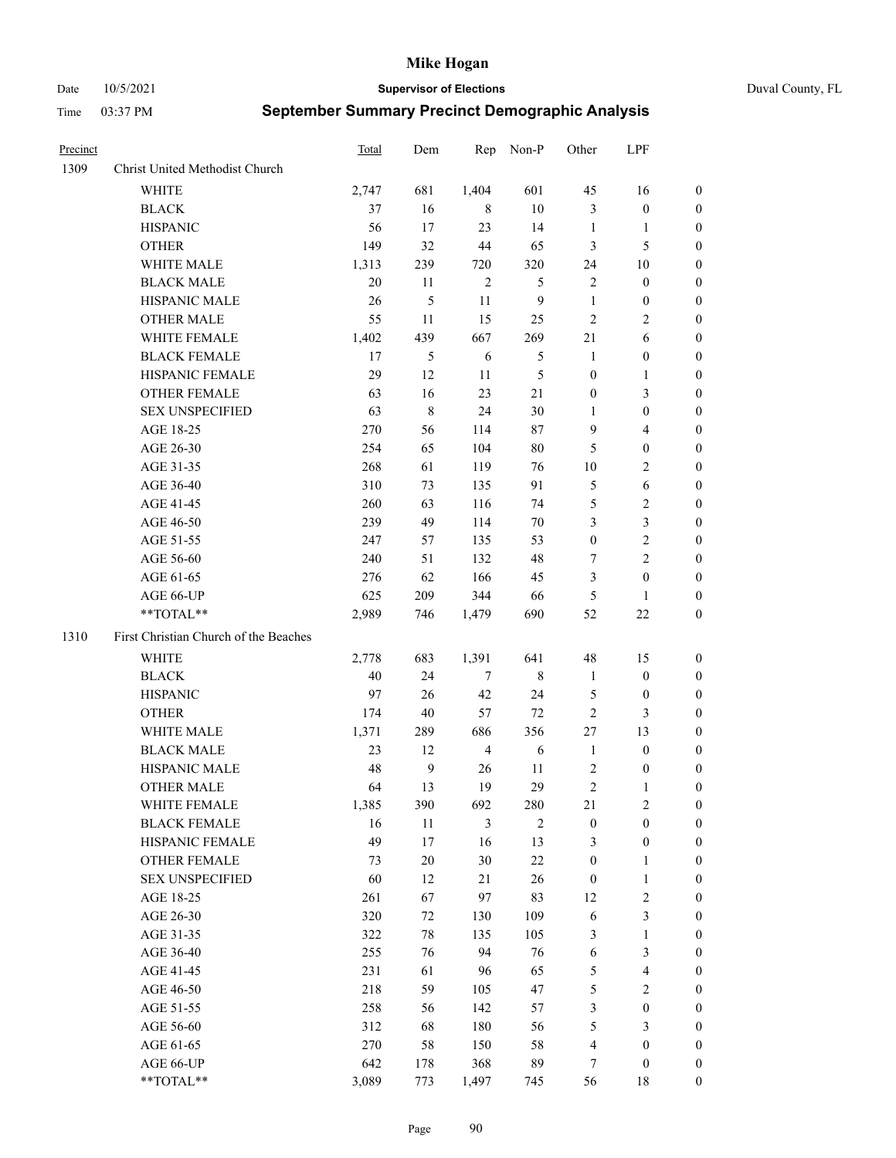Date 10/5/2021 **Supervisor of Elections** Duval County, FL

| Precinct |                                       | Total | Dem           | Rep            | Non-P          | Other            | LPF                     |                  |
|----------|---------------------------------------|-------|---------------|----------------|----------------|------------------|-------------------------|------------------|
| 1309     | Christ United Methodist Church        |       |               |                |                |                  |                         |                  |
|          | <b>WHITE</b>                          | 2,747 | 681           | 1,404          | 601            | 45               | 16                      | 0                |
|          | <b>BLACK</b>                          | 37    | 16            | 8              | 10             | 3                | $\boldsymbol{0}$        | 0                |
|          | <b>HISPANIC</b>                       | 56    | 17            | 23             | 14             | $\mathbf{1}$     | $\mathbf{1}$            | 0                |
|          | <b>OTHER</b>                          | 149   | 32            | 44             | 65             | 3                | 5                       | $\boldsymbol{0}$ |
|          | WHITE MALE                            | 1,313 | 239           | 720            | 320            | 24               | 10                      | $\boldsymbol{0}$ |
|          | <b>BLACK MALE</b>                     | 20    | 11            | $\sqrt{2}$     | 5              | $\mathbf{2}$     | $\boldsymbol{0}$        | 0                |
|          | HISPANIC MALE                         | 26    | 5             | 11             | $\overline{9}$ | $\mathbf{1}$     | $\boldsymbol{0}$        | $\boldsymbol{0}$ |
|          | <b>OTHER MALE</b>                     | 55    | 11            | 15             | 25             | $\mathfrak{2}$   | $\overline{2}$          | $\boldsymbol{0}$ |
|          | WHITE FEMALE                          | 1,402 | 439           | 667            | 269            | 21               | 6                       | 0                |
|          | <b>BLACK FEMALE</b>                   | 17    | $\mathfrak s$ | 6              | 5              | $\mathbf{1}$     | $\boldsymbol{0}$        | 0                |
|          | HISPANIC FEMALE                       | 29    | 12            | 11             | 5              | $\boldsymbol{0}$ | $\mathbf{1}$            | 0                |
|          | OTHER FEMALE                          | 63    | 16            | 23             | 21             | $\boldsymbol{0}$ | $\mathfrak{Z}$          | 0                |
|          | <b>SEX UNSPECIFIED</b>                | 63    | $\,$ 8 $\,$   | 24             | $30\,$         | $\mathbf{1}$     | $\boldsymbol{0}$        | $\boldsymbol{0}$ |
|          | AGE 18-25                             | 270   | 56            | 114            | $87\,$         | 9                | $\overline{\mathbf{4}}$ | $\boldsymbol{0}$ |
|          | AGE 26-30                             | 254   | 65            | 104            | $80\,$         | 5                | $\boldsymbol{0}$        | $\boldsymbol{0}$ |
|          | AGE 31-35                             | 268   | 61            | 119            | 76             | 10               | $\sqrt{2}$              | $\boldsymbol{0}$ |
|          | AGE 36-40                             | 310   | 73            | 135            | 91             | 5                | $\sqrt{6}$              | $\boldsymbol{0}$ |
|          | AGE 41-45                             | 260   | 63            | 116            | 74             | 5                | $\sqrt{2}$              | $\boldsymbol{0}$ |
|          | AGE 46-50                             | 239   | 49            | 114            | 70             | 3                | $\mathfrak{Z}$          | $\boldsymbol{0}$ |
|          | AGE 51-55                             | 247   | 57            | 135            | 53             | $\boldsymbol{0}$ | $\sqrt{2}$              | 0                |
|          | AGE 56-60                             | 240   | 51            | 132            | 48             | 7                | $\overline{2}$          | 0                |
|          | AGE 61-65                             | 276   | 62            | 166            | 45             | 3                | $\boldsymbol{0}$        | 0                |
|          | AGE 66-UP                             | 625   | 209           | 344            | 66             | 5                | $\mathbf{1}$            | 0                |
|          | **TOTAL**                             | 2,989 | 746           | 1,479          | 690            | 52               | $22\,$                  | $\boldsymbol{0}$ |
| 1310     | First Christian Church of the Beaches |       |               |                |                |                  |                         |                  |
|          | <b>WHITE</b>                          | 2,778 | 683           | 1,391          | 641            | 48               | 15                      | $\boldsymbol{0}$ |
|          | <b>BLACK</b>                          | 40    | 24            | $\tau$         | $\,$ 8 $\,$    | $\mathbf{1}$     | $\boldsymbol{0}$        | $\boldsymbol{0}$ |
|          | <b>HISPANIC</b>                       | 97    | 26            | 42             | 24             | 5                | $\boldsymbol{0}$        | 0                |
|          | <b>OTHER</b>                          | 174   | 40            | 57             | 72             | $\mathfrak{2}$   | $\mathfrak{Z}$          | $\boldsymbol{0}$ |
|          | WHITE MALE                            | 1,371 | 289           | 686            | 356            | 27               | 13                      | $\boldsymbol{0}$ |
|          | <b>BLACK MALE</b>                     | 23    | 12            | $\overline{4}$ | 6              | $\mathbf{1}$     | $\boldsymbol{0}$        | 0                |
|          | HISPANIC MALE                         | 48    | $\mathbf{9}$  | 26             | 11             | $\overline{c}$   | $\boldsymbol{0}$        | 0                |
|          | <b>OTHER MALE</b>                     | 64    | 13            | 19             | 29             | $\overline{c}$   | 1                       | 0                |
|          | WHITE FEMALE                          | 1,385 | 390           | 692            | 280            | 21               | 2                       | 0                |
|          | <b>BLACK FEMALE</b>                   | 16    | 11            | 3              | $\overline{2}$ | $\boldsymbol{0}$ | $\boldsymbol{0}$        | $\overline{0}$   |
|          | HISPANIC FEMALE                       | 49    | 17            | 16             | 13             | 3                | $\boldsymbol{0}$        | $\overline{0}$   |
|          | <b>OTHER FEMALE</b>                   | 73    | $20\,$        | 30             | $22\,$         | $\boldsymbol{0}$ | $\mathbf{1}$            | $\overline{0}$   |
|          | <b>SEX UNSPECIFIED</b>                | 60    | 12            | 21             | 26             | $\boldsymbol{0}$ | $\mathbf{1}$            | 0                |
|          | AGE 18-25                             | 261   | 67            | 97             | 83             | 12               | $\sqrt{2}$              | 0                |
|          | AGE 26-30                             | 320   | 72            | 130            | 109            | 6                | $\mathfrak{Z}$          | 0                |
|          | AGE 31-35                             | 322   | $78\,$        | 135            | 105            | 3                | $\mathbf{1}$            | 0                |
|          | AGE 36-40                             | 255   | 76            | 94             | 76             | 6                | $\mathfrak{Z}$          | 0                |
|          | AGE 41-45                             | 231   | 61            | 96             | 65             | 5                | $\overline{\mathbf{4}}$ | 0                |
|          | AGE 46-50                             | 218   | 59            | 105            | 47             | 5                | $\sqrt{2}$              | 0                |
|          | AGE 51-55                             | 258   | 56            | 142            | 57             | 3                | $\boldsymbol{0}$        | $\overline{0}$   |
|          | AGE 56-60                             | 312   | 68            | 180            | 56             | 5                | 3                       | $\overline{0}$   |
|          | AGE 61-65                             | 270   | 58            | 150            | 58             | 4                | $\boldsymbol{0}$        | $\overline{0}$   |
|          | AGE 66-UP                             | 642   | 178           | 368            | 89             | 7                | $\boldsymbol{0}$        | 0                |
|          | **TOTAL**                             | 3,089 | 773           | 1,497          | 745            | 56               | 18                      | $\boldsymbol{0}$ |
|          |                                       |       |               |                |                |                  |                         |                  |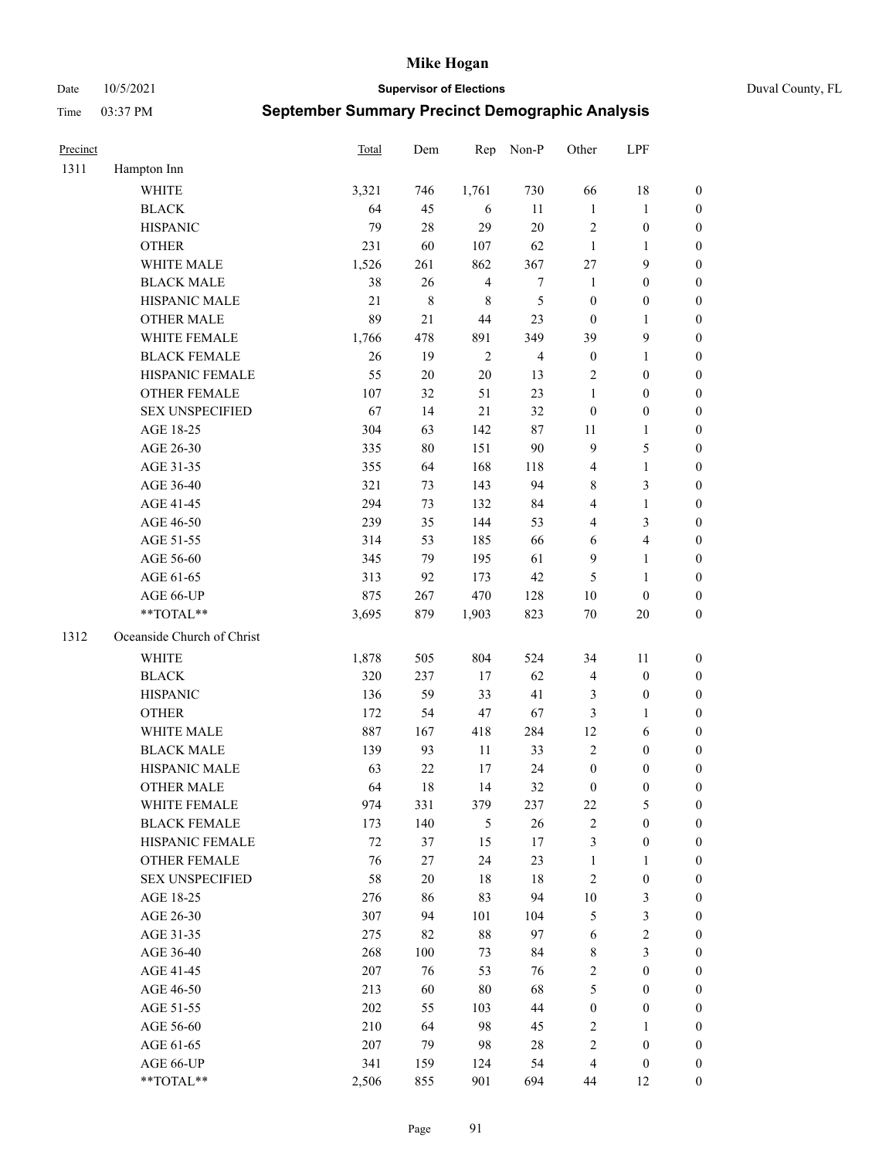Date 10/5/2021 **Supervisor of Elections** Duval County, FL

| Precinct |                            | <b>Total</b> | Dem       | Rep            | Non-P            | Other            | LPF              |                  |
|----------|----------------------------|--------------|-----------|----------------|------------------|------------------|------------------|------------------|
| 1311     | Hampton Inn                |              |           |                |                  |                  |                  |                  |
|          | <b>WHITE</b>               | 3,321        | 746       | 1,761          | 730              | 66               | 18               | 0                |
|          | <b>BLACK</b>               | 64           | 45        | 6              | 11               | $\mathbf{1}$     | $\mathbf{1}$     | 0                |
|          | <b>HISPANIC</b>            | 79           | 28        | 29             | 20               | $\mathbf{2}$     | $\boldsymbol{0}$ | $\boldsymbol{0}$ |
|          | <b>OTHER</b>               | 231          | 60        | 107            | 62               | $\mathbf{1}$     | 1                | $\boldsymbol{0}$ |
|          | WHITE MALE                 | 1,526        | 261       | 862            | 367              | $27\,$           | 9                | $\boldsymbol{0}$ |
|          | <b>BLACK MALE</b>          | 38           | 26        | $\overline{4}$ | $\boldsymbol{7}$ | $\mathbf{1}$     | $\boldsymbol{0}$ | $\boldsymbol{0}$ |
|          | HISPANIC MALE              | 21           | $\,$ $\,$ | $\,$ 8 $\,$    | 5                | $\boldsymbol{0}$ | $\boldsymbol{0}$ | $\boldsymbol{0}$ |
|          | <b>OTHER MALE</b>          | 89           | 21        | 44             | 23               | $\boldsymbol{0}$ | $\mathbf{1}$     | $\boldsymbol{0}$ |
|          | WHITE FEMALE               | 1,766        | 478       | 891            | 349              | 39               | $\mathbf{9}$     | $\boldsymbol{0}$ |
|          | <b>BLACK FEMALE</b>        | 26           | 19        | $\sqrt{2}$     | $\overline{4}$   | $\boldsymbol{0}$ | $\mathbf{1}$     | 0                |
|          | HISPANIC FEMALE            | 55           | $20\,$    | 20             | 13               | $\mathbf{2}$     | $\boldsymbol{0}$ | 0                |
|          | <b>OTHER FEMALE</b>        | 107          | 32        | 51             | 23               | 1                | $\boldsymbol{0}$ | $\boldsymbol{0}$ |
|          | <b>SEX UNSPECIFIED</b>     | 67           | 14        | 21             | 32               | $\boldsymbol{0}$ | $\boldsymbol{0}$ | $\boldsymbol{0}$ |
|          | AGE 18-25                  | 304          | 63        | 142            | $87\,$           | 11               | $\mathbf{1}$     | $\boldsymbol{0}$ |
|          | AGE 26-30                  | 335          | 80        | 151            | 90               | 9                | $\mathfrak{S}$   | $\boldsymbol{0}$ |
|          | AGE 31-35                  | 355          | 64        | 168            | 118              | 4                | $\mathbf{1}$     | $\boldsymbol{0}$ |
|          | AGE 36-40                  | 321          | 73        | 143            | 94               | 8                | 3                | $\boldsymbol{0}$ |
|          | AGE 41-45                  | 294          | 73        | 132            | 84               | 4                | $\mathbf{1}$     | $\boldsymbol{0}$ |
|          | AGE 46-50                  | 239          | 35        | 144            | 53               | 4                | $\mathfrak{Z}$   | $\boldsymbol{0}$ |
|          | AGE 51-55                  | 314          | 53        | 185            | 66               | 6                | $\overline{4}$   | 0                |
|          | AGE 56-60                  | 345          | 79        | 195            | 61               | 9                | $\mathbf{1}$     | 0                |
|          | AGE 61-65                  | 313          | 92        | 173            | $42\,$           | 5                | $\mathbf{1}$     | 0                |
|          | AGE 66-UP                  | 875          | 267       | 470            | 128              | 10               | $\boldsymbol{0}$ | $\boldsymbol{0}$ |
|          | **TOTAL**                  | 3,695        | 879       | 1,903          | 823              | $70\,$           | $20\,$           | $\boldsymbol{0}$ |
| 1312     | Oceanside Church of Christ |              |           |                |                  |                  |                  |                  |
|          | <b>WHITE</b>               | 1,878        | 505       | 804            | 524              | 34               | 11               | $\boldsymbol{0}$ |
|          | <b>BLACK</b>               | 320          | 237       | 17             | 62               | 4                | $\boldsymbol{0}$ | $\boldsymbol{0}$ |
|          | <b>HISPANIC</b>            | 136          | 59        | 33             | 41               | 3                | $\boldsymbol{0}$ | $\boldsymbol{0}$ |
|          | <b>OTHER</b>               | 172          | 54        | 47             | 67               | 3                | $\mathbf{1}$     | $\boldsymbol{0}$ |
|          | WHITE MALE                 | 887          | 167       | 418            | 284              | 12               | 6                | $\boldsymbol{0}$ |
|          | <b>BLACK MALE</b>          | 139          | 93        | 11             | 33               | $\overline{2}$   | $\boldsymbol{0}$ | $\boldsymbol{0}$ |
|          | HISPANIC MALE              | 63           | 22        | 17             | 24               | $\boldsymbol{0}$ | $\boldsymbol{0}$ | $\boldsymbol{0}$ |
|          | <b>OTHER MALE</b>          | 64           | 18        | 14             | 32               | $\boldsymbol{0}$ | $\boldsymbol{0}$ | $\boldsymbol{0}$ |
|          | WHITE FEMALE               | 974          | 331       | 379            | 237              | 22               | 5                | 0                |
|          | <b>BLACK FEMALE</b>        | 173          | 140       | 5              | 26               | $\sqrt{2}$       | $\boldsymbol{0}$ | $\overline{0}$   |
|          | HISPANIC FEMALE            | $72\,$       | 37        | 15             | 17               | 3                | $\boldsymbol{0}$ | $\overline{0}$   |
|          | <b>OTHER FEMALE</b>        | 76           | 27        | 24             | 23               | $\mathbf{1}$     | $\mathbf{1}$     | $\overline{0}$   |
|          | <b>SEX UNSPECIFIED</b>     | 58           | $20\,$    | 18             | 18               | 2                | $\boldsymbol{0}$ | 0                |
|          | AGE 18-25                  | 276          | 86        | 83             | 94               | $10\,$           | $\mathfrak{Z}$   | 0                |
|          | AGE 26-30                  | 307          | 94        | 101            | 104              | 5                | $\mathfrak{Z}$   | 0                |
|          | AGE 31-35                  | 275          | 82        | $88\,$         | 97               | 6                | $\sqrt{2}$       | 0                |
|          | AGE 36-40                  | 268          | 100       | 73             | 84               | 8                | $\mathfrak{Z}$   | 0                |
|          | AGE 41-45                  | 207          | 76        | 53             | 76               | $\overline{c}$   | $\boldsymbol{0}$ | 0                |
|          | AGE 46-50                  | 213          | 60        | 80             | 68               | 5                | $\boldsymbol{0}$ | 0                |
|          | AGE 51-55                  | 202          | 55        | 103            | 44               | $\boldsymbol{0}$ | $\boldsymbol{0}$ | 0                |
|          | AGE 56-60                  | 210          | 64        | 98             | 45               | 2                | 1                | 0                |
|          | AGE 61-65                  | 207          | 79        | 98             | 28               | 2                | $\boldsymbol{0}$ | 0                |
|          | AGE 66-UP                  | 341          | 159       | 124            | 54               | 4                | $\boldsymbol{0}$ | 0                |
|          | **TOTAL**                  | 2,506        | 855       | 901            | 694              | 44               | 12               | $\boldsymbol{0}$ |
|          |                            |              |           |                |                  |                  |                  |                  |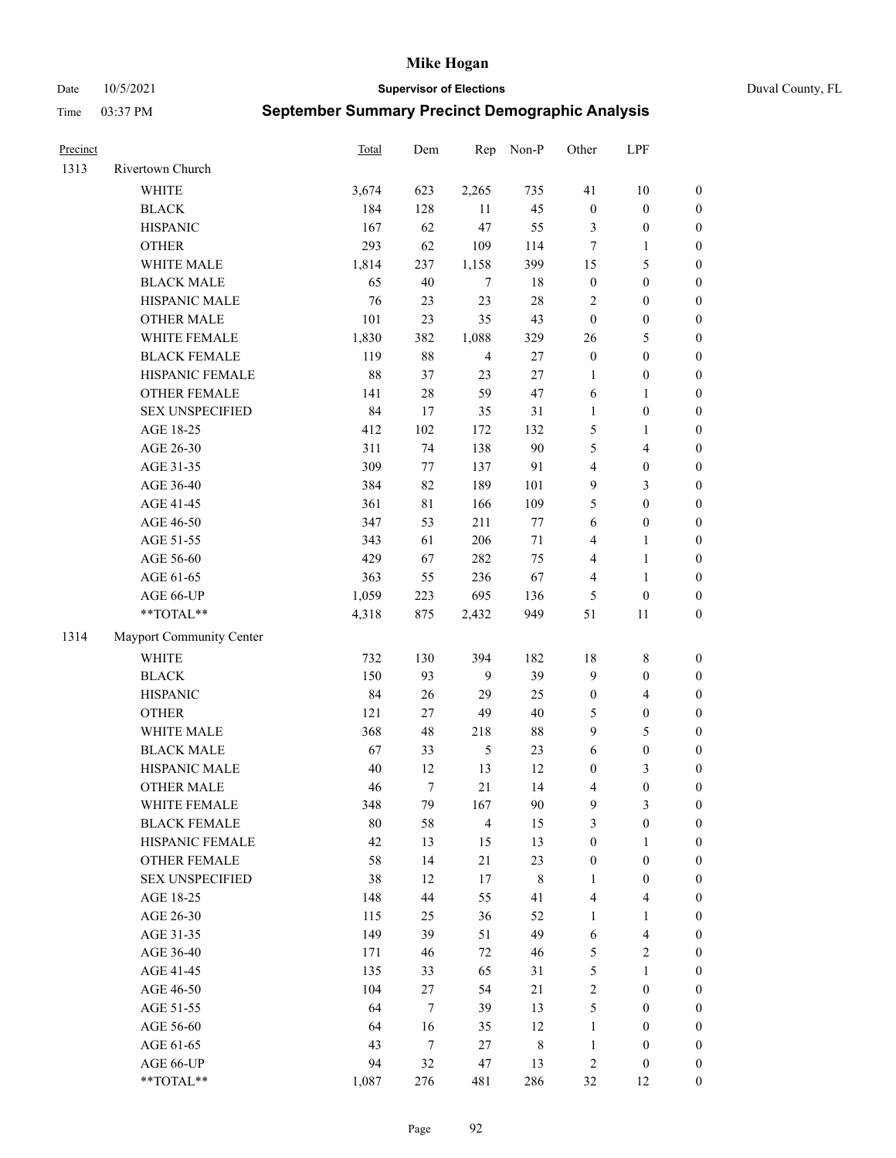Date 10/5/2021 **Supervisor of Elections** Duval County, FL

| Precinct |                          | <b>Total</b> | Dem         | Rep            | Non-P  | Other            | LPF              |                  |
|----------|--------------------------|--------------|-------------|----------------|--------|------------------|------------------|------------------|
| 1313     | Rivertown Church         |              |             |                |        |                  |                  |                  |
|          | <b>WHITE</b>             | 3,674        | 623         | 2,265          | 735    | 41               | 10               | 0                |
|          | <b>BLACK</b>             | 184          | 128         | 11             | 45     | $\boldsymbol{0}$ | $\boldsymbol{0}$ | $\boldsymbol{0}$ |
|          | <b>HISPANIC</b>          | 167          | 62          | 47             | 55     | 3                | $\boldsymbol{0}$ | $\boldsymbol{0}$ |
|          | <b>OTHER</b>             | 293          | 62          | 109            | 114    | 7                | 1                | $\boldsymbol{0}$ |
|          | WHITE MALE               | 1,814        | 237         | 1,158          | 399    | 15               | $\mathfrak s$    | $\boldsymbol{0}$ |
|          | <b>BLACK MALE</b>        | 65           | 40          | 7              | 18     | $\boldsymbol{0}$ | $\boldsymbol{0}$ | $\boldsymbol{0}$ |
|          | HISPANIC MALE            | 76           | 23          | 23             | $28\,$ | 2                | $\boldsymbol{0}$ | $\boldsymbol{0}$ |
|          | <b>OTHER MALE</b>        | 101          | 23          | 35             | 43     | $\boldsymbol{0}$ | $\boldsymbol{0}$ | $\boldsymbol{0}$ |
|          | WHITE FEMALE             | 1,830        | 382         | 1,088          | 329    | 26               | $\mathfrak s$    | $\boldsymbol{0}$ |
|          | <b>BLACK FEMALE</b>      | 119          | $88\,$      | $\overline{4}$ | 27     | $\boldsymbol{0}$ | $\boldsymbol{0}$ | $\boldsymbol{0}$ |
|          | HISPANIC FEMALE          | 88           | 37          | 23             | 27     | 1                | $\boldsymbol{0}$ | 0                |
|          | OTHER FEMALE             | 141          | $28\,$      | 59             | 47     | 6                | $\mathbf{1}$     | $\boldsymbol{0}$ |
|          | <b>SEX UNSPECIFIED</b>   | 84           | 17          | 35             | 31     | $\mathbf{1}$     | $\boldsymbol{0}$ | $\boldsymbol{0}$ |
|          | AGE 18-25                | 412          | 102         | 172            | 132    | 5                | 1                | $\boldsymbol{0}$ |
|          | AGE 26-30                | 311          | 74          | 138            | 90     | 5                | $\overline{4}$   | $\boldsymbol{0}$ |
|          | AGE 31-35                | 309          | $77\,$      | 137            | 91     | 4                | $\boldsymbol{0}$ | $\boldsymbol{0}$ |
|          | AGE 36-40                | 384          | 82          | 189            | 101    | 9                | $\mathfrak{Z}$   | $\boldsymbol{0}$ |
|          | AGE 41-45                | 361          | $8\sqrt{1}$ | 166            | 109    | 5                | $\boldsymbol{0}$ | $\boldsymbol{0}$ |
|          | AGE 46-50                | 347          | 53          | 211            | $77\,$ | 6                | $\boldsymbol{0}$ | $\boldsymbol{0}$ |
|          | AGE 51-55                | 343          | 61          | 206            | 71     | 4                | 1                | $\boldsymbol{0}$ |
|          | AGE 56-60                | 429          | 67          | 282            | 75     | 4                | $\mathbf{1}$     | 0                |
|          | AGE 61-65                | 363          | 55          | 236            | 67     | 4                | $\mathbf{1}$     | 0                |
|          | AGE 66-UP                | 1,059        | 223         | 695            | 136    | 5                | $\boldsymbol{0}$ | $\boldsymbol{0}$ |
|          | $**TOTAL**$              | 4,318        | 875         | 2,432          | 949    | 51               | 11               | $\boldsymbol{0}$ |
| 1314     | Mayport Community Center |              |             |                |        |                  |                  |                  |
|          | <b>WHITE</b>             | 732          | 130         | 394            | 182    | 18               | $\,$ 8 $\,$      | $\boldsymbol{0}$ |
|          | <b>BLACK</b>             | 150          | 93          | 9              | 39     | 9                | $\boldsymbol{0}$ | $\boldsymbol{0}$ |
|          | <b>HISPANIC</b>          | 84           | 26          | 29             | 25     | $\boldsymbol{0}$ | $\overline{4}$   | $\boldsymbol{0}$ |
|          | <b>OTHER</b>             | 121          | $27\,$      | 49             | $40\,$ | 5                | $\boldsymbol{0}$ | $\boldsymbol{0}$ |
|          | WHITE MALE               | 368          | 48          | 218            | $88\,$ | 9                | 5                | $\boldsymbol{0}$ |
|          | <b>BLACK MALE</b>        | 67           | 33          | $\mathfrak{H}$ | 23     | $\sqrt{6}$       | $\boldsymbol{0}$ | $\boldsymbol{0}$ |
|          | HISPANIC MALE            | 40           | 12          | 13             | 12     | $\boldsymbol{0}$ | $\mathfrak{Z}$   | $\boldsymbol{0}$ |
|          | <b>OTHER MALE</b>        | 46           | $\tau$      | 21             | 14     | 4                | $\boldsymbol{0}$ | $\boldsymbol{0}$ |
|          | WHITE FEMALE             | 348          | 79          | 167            | 90     | 9                | 3                | 0                |
|          | <b>BLACK FEMALE</b>      | $80\,$       | 58          | $\overline{4}$ | 15     | 3                | $\boldsymbol{0}$ | $\overline{0}$   |
|          | HISPANIC FEMALE          | 42           | 13          | 15             | 13     | $\boldsymbol{0}$ | 1                | 0                |
|          | <b>OTHER FEMALE</b>      | 58           | 14          | 21             | 23     | $\boldsymbol{0}$ | $\boldsymbol{0}$ | 0                |
|          | <b>SEX UNSPECIFIED</b>   | 38           | 12          | 17             | 8      | $\mathbf{1}$     | $\boldsymbol{0}$ | 0                |
|          | AGE 18-25                | 148          | 44          | 55             | 41     | 4                | $\overline{4}$   | 0                |
|          | AGE 26-30                | 115          | 25          | 36             | 52     | $\mathbf{1}$     | $\mathbf{1}$     | 0                |
|          | AGE 31-35                | 149          | 39          | 51             | 49     | 6                | $\overline{4}$   | 0                |
|          | AGE 36-40                | 171          | 46          | 72             | 46     | 5                | $\sqrt{2}$       | 0                |
|          | AGE 41-45                | 135          | 33          | 65             | 31     | 5                | $\mathbf{1}$     | 0                |
|          | AGE 46-50                | 104          | 27          | 54             | 21     | 2                | $\boldsymbol{0}$ | 0                |
|          | AGE 51-55                | 64           | $\tau$      | 39             | 13     | 5                | $\boldsymbol{0}$ | 0                |
|          | AGE 56-60                | 64           | 16          | 35             | 12     | $\mathbf{1}$     | $\boldsymbol{0}$ | 0                |
|          | AGE 61-65                | 43           | $\tau$      | 27             | 8      | $\mathbf{1}$     | $\boldsymbol{0}$ | 0                |
|          | AGE 66-UP                | 94           | 32          | 47             | 13     | 2                | $\boldsymbol{0}$ | 0                |
|          | **TOTAL**                | 1,087        | 276         | 481            | 286    | 32               | 12               | $\boldsymbol{0}$ |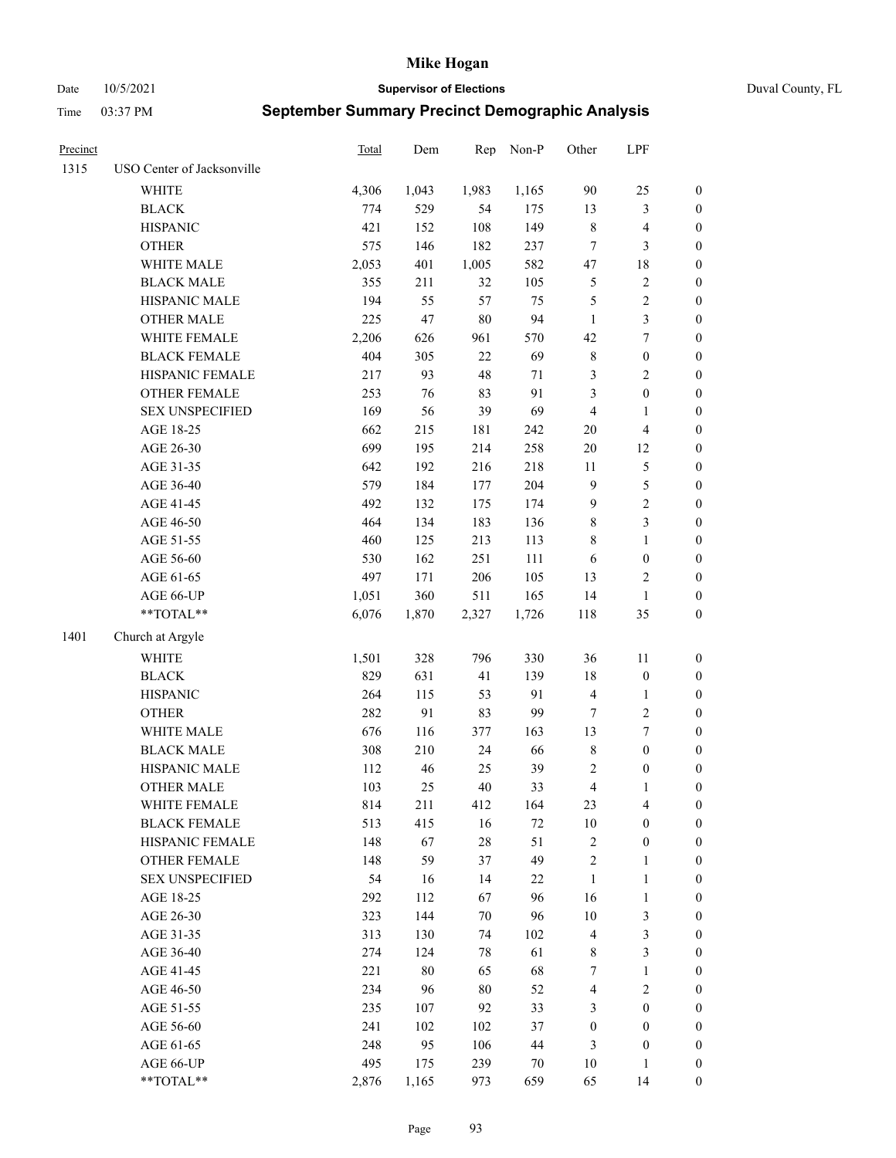Date 10/5/2021 **Supervisor of Elections** Duval County, FL

| Precinct |                                                           | Total | Dem    | Rep    | Non-P  | Other                   | LPF              |                  |
|----------|-----------------------------------------------------------|-------|--------|--------|--------|-------------------------|------------------|------------------|
| 1315     | USO Center of Jacksonville                                |       |        |        |        |                         |                  |                  |
|          | <b>WHITE</b>                                              | 4,306 | 1,043  | 1,983  | 1,165  | 90                      | 25               | 0                |
|          | <b>BLACK</b>                                              | 774   | 529    | 54     | 175    | 13                      | $\mathfrak{Z}$   | $\boldsymbol{0}$ |
|          | <b>HISPANIC</b>                                           | 421   | 152    | 108    | 149    | 8                       | $\overline{4}$   | $\boldsymbol{0}$ |
|          | <b>OTHER</b>                                              | 575   | 146    | 182    | 237    | 7                       | 3                | $\boldsymbol{0}$ |
|          | WHITE MALE                                                | 2,053 | 401    | 1,005  | 582    | 47                      | 18               | $\boldsymbol{0}$ |
|          | <b>BLACK MALE</b>                                         | 355   | 211    | 32     | 105    | 5                       | $\sqrt{2}$       | $\boldsymbol{0}$ |
|          | HISPANIC MALE                                             | 194   | 55     | 57     | 75     | 5                       | $\sqrt{2}$       | $\boldsymbol{0}$ |
|          | <b>OTHER MALE</b>                                         | 225   | 47     | $80\,$ | 94     | $\mathbf{1}$            | $\mathfrak{Z}$   | $\boldsymbol{0}$ |
|          | WHITE FEMALE                                              | 2,206 | 626    | 961    | 570    | 42                      | $\boldsymbol{7}$ | $\boldsymbol{0}$ |
|          | <b>BLACK FEMALE</b>                                       | 404   | 305    | $22\,$ | 69     | 8                       | $\boldsymbol{0}$ | 0                |
|          | HISPANIC FEMALE                                           | 217   | 93     | 48     | $71\,$ | 3                       | $\sqrt{2}$       | 0                |
|          | OTHER FEMALE                                              | 253   | 76     | 83     | 91     | 3                       | $\boldsymbol{0}$ | $\boldsymbol{0}$ |
|          | <b>SEX UNSPECIFIED</b>                                    | 169   | 56     | 39     | 69     | 4                       | $\mathbf{1}$     | $\boldsymbol{0}$ |
|          | AGE 18-25                                                 | 662   | 215    | 181    | 242    | $20\,$                  | $\overline{4}$   | $\boldsymbol{0}$ |
|          | AGE 26-30                                                 | 699   | 195    | 214    | 258    | $20\,$                  | 12               | $\boldsymbol{0}$ |
|          | AGE 31-35                                                 | 642   | 192    | 216    | 218    | $11\,$                  | $\mathfrak s$    | $\boldsymbol{0}$ |
|          | AGE 36-40                                                 | 579   | 184    | 177    | 204    | 9                       | 5                | $\boldsymbol{0}$ |
|          | AGE 41-45                                                 | 492   | 132    | 175    | 174    | $\mathbf{9}$            | $\sqrt{2}$       | $\boldsymbol{0}$ |
|          | AGE 46-50                                                 | 464   | 134    | 183    | 136    | $\,$ $\,$               | $\mathfrak{Z}$   | $\boldsymbol{0}$ |
|          | AGE 51-55                                                 | 460   | 125    | 213    | 113    | 8                       | $\mathbf{1}$     | $\boldsymbol{0}$ |
|          | AGE 56-60                                                 | 530   | 162    | 251    | 111    | 6                       | $\boldsymbol{0}$ | 0                |
|          | AGE 61-65                                                 | 497   | 171    | 206    | 105    | 13                      | $\overline{c}$   | 0                |
|          | AGE 66-UP                                                 | 1,051 | 360    | 511    | 165    | 14                      | $\mathbf{1}$     | $\boldsymbol{0}$ |
|          | $**TOTAL**$                                               | 6,076 | 1,870  | 2,327  | 1,726  | 118                     | 35               | $\boldsymbol{0}$ |
| 1401     | Church at Argyle                                          |       |        |        |        |                         |                  |                  |
|          | <b>WHITE</b>                                              | 1,501 | 328    | 796    | 330    | 36                      | 11               | $\boldsymbol{0}$ |
|          | <b>BLACK</b>                                              | 829   | 631    | 41     | 139    | 18                      | $\boldsymbol{0}$ | $\boldsymbol{0}$ |
|          | <b>HISPANIC</b>                                           | 264   | 115    | 53     | 91     | 4                       | $\mathbf{1}$     | $\boldsymbol{0}$ |
|          | <b>OTHER</b>                                              | 282   | 91     | 83     | 99     | $\boldsymbol{7}$        | $\sqrt{2}$       | $\boldsymbol{0}$ |
|          | WHITE MALE                                                | 676   | 116    | 377    | 163    | 13                      | $\boldsymbol{7}$ | $\boldsymbol{0}$ |
|          | <b>BLACK MALE</b>                                         | 308   | 210    | 24     | 66     | 8                       | $\boldsymbol{0}$ | $\boldsymbol{0}$ |
|          | HISPANIC MALE                                             | 112   | 46     | 25     | 39     | 2                       | $\boldsymbol{0}$ | $\boldsymbol{0}$ |
|          | <b>OTHER MALE</b>                                         | 103   | 25     | 40     | 33     | $\overline{\mathbf{4}}$ | $\mathbf{1}$     | $\boldsymbol{0}$ |
|          | WHITE FEMALE                                              | 814   | 211    | 412    | 164    | 23                      | 4                | 0                |
|          | <b>BLACK FEMALE</b>                                       | 513   | 415    | 16     | 72     | 10                      | $\boldsymbol{0}$ | $\overline{0}$   |
|          | HISPANIC FEMALE                                           | 148   | 67     | $28\,$ | 51     | $\overline{c}$          | $\boldsymbol{0}$ | $\overline{0}$   |
|          | <b>OTHER FEMALE</b>                                       | 148   | 59     | 37     | 49     | 2                       | $\mathbf{1}$     | $\overline{0}$   |
|          | <b>SEX UNSPECIFIED</b>                                    | 54    | 16     | 14     | $22\,$ | $\mathbf{1}$            | $\mathbf{1}$     | 0                |
|          | AGE 18-25                                                 | 292   | 112    | 67     | 96     | 16                      | $\mathbf{1}$     | 0                |
|          | AGE 26-30                                                 | 323   | 144    | 70     | 96     | $10\,$                  | 3                | 0                |
|          | AGE 31-35                                                 | 313   | 130    | 74     | 102    | 4                       | $\mathfrak{Z}$   | 0                |
|          | AGE 36-40                                                 | 274   | 124    | 78     | 61     | 8                       | $\mathfrak{Z}$   | 0                |
|          | AGE 41-45                                                 | 221   | $80\,$ | 65     | 68     | 7                       | $\mathbf{1}$     | 0                |
|          | AGE 46-50                                                 | 234   | 96     | 80     | 52     | 4                       | $\sqrt{2}$       | 0                |
|          | AGE 51-55                                                 | 235   | 107    | 92     | 33     | 3                       | $\boldsymbol{0}$ | 0                |
|          | AGE 56-60                                                 | 241   | 102    | 102    | 37     | $\boldsymbol{0}$        | $\boldsymbol{0}$ | $\overline{0}$   |
|          | AGE 61-65                                                 | 248   | 95     | 106    | 44     | 3                       | $\boldsymbol{0}$ | $\overline{0}$   |
|          | AGE 66-UP                                                 | 495   | 175    | 239    | 70     | 10                      | $\mathbf{1}$     | 0                |
|          | $\mathrm{*}\mathrm{*}\mathrm{TOTAL} \mathrm{*}\mathrm{*}$ | 2,876 | 1,165  | 973    | 659    | 65                      | 14               | $\boldsymbol{0}$ |
|          |                                                           |       |        |        |        |                         |                  |                  |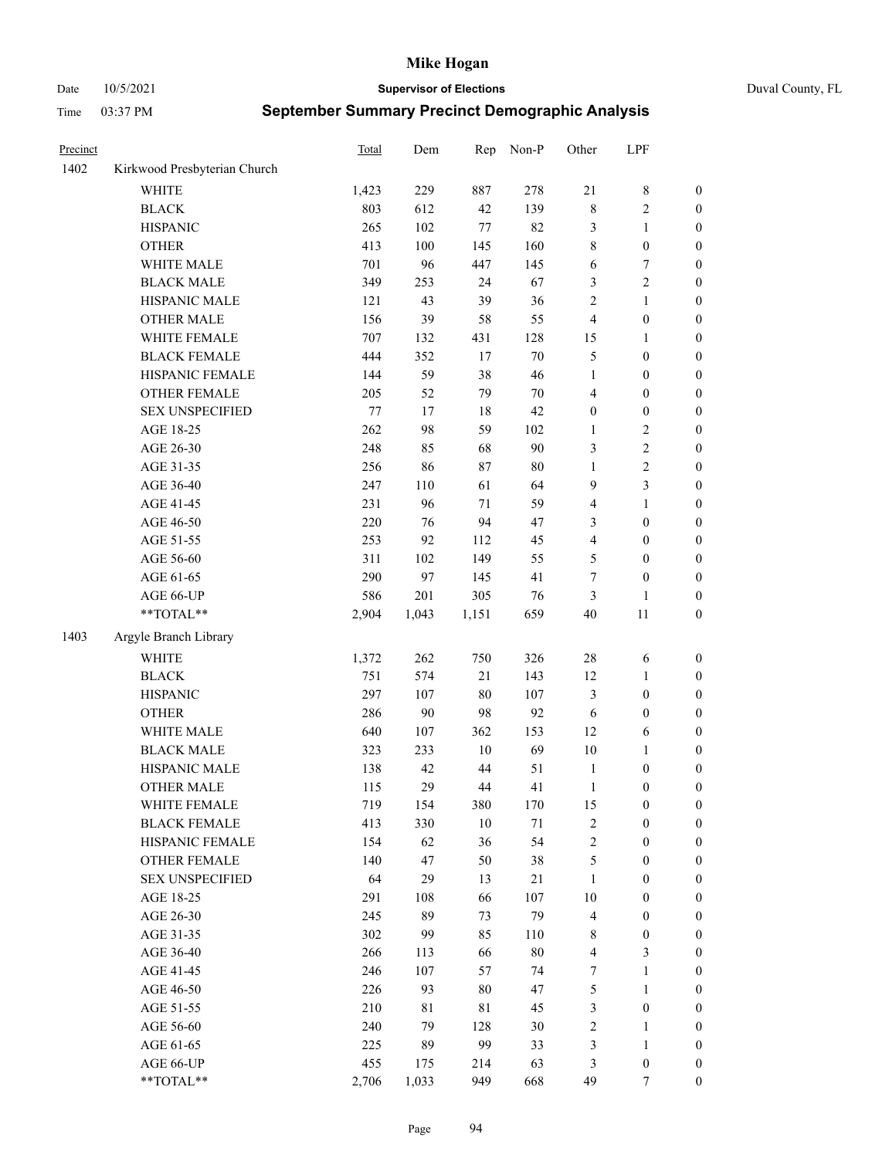Date 10/5/2021 **Supervisor of Elections** Duval County, FL

| Precinct |                              | Total   | Dem     | Rep    | Non-P | Other            | LPF              |                  |
|----------|------------------------------|---------|---------|--------|-------|------------------|------------------|------------------|
| 1402     | Kirkwood Presbyterian Church |         |         |        |       |                  |                  |                  |
|          | <b>WHITE</b>                 | 1,423   | 229     | 887    | 278   | $21\,$           | $\,$ 8 $\,$      | 0                |
|          | <b>BLACK</b>                 | 803     | 612     | 42     | 139   | $\,$ $\,$        | $\sqrt{2}$       | $\boldsymbol{0}$ |
|          | <b>HISPANIC</b>              | 265     | 102     | $77\,$ | 82    | 3                | $\mathbf{1}$     | $\boldsymbol{0}$ |
|          | <b>OTHER</b>                 | 413     | 100     | 145    | 160   | 8                | $\boldsymbol{0}$ | $\boldsymbol{0}$ |
|          | WHITE MALE                   | 701     | 96      | 447    | 145   | 6                | $\boldsymbol{7}$ | $\boldsymbol{0}$ |
|          | <b>BLACK MALE</b>            | 349     | 253     | 24     | 67    | 3                | $\sqrt{2}$       | $\boldsymbol{0}$ |
|          | HISPANIC MALE                | 121     | 43      | 39     | 36    | $\overline{c}$   | $\mathbf{1}$     | $\boldsymbol{0}$ |
|          | <b>OTHER MALE</b>            | 156     | 39      | 58     | 55    | 4                | $\boldsymbol{0}$ | $\boldsymbol{0}$ |
|          | WHITE FEMALE                 | 707     | 132     | 431    | 128   | 15               | 1                | $\boldsymbol{0}$ |
|          | <b>BLACK FEMALE</b>          | 444     | 352     | 17     | 70    | 5                | $\boldsymbol{0}$ | $\boldsymbol{0}$ |
|          | HISPANIC FEMALE              | 144     | 59      | 38     | 46    | $\mathbf{1}$     | $\boldsymbol{0}$ | $\boldsymbol{0}$ |
|          | OTHER FEMALE                 | 205     | 52      | 79     | 70    | 4                | $\boldsymbol{0}$ | $\boldsymbol{0}$ |
|          | <b>SEX UNSPECIFIED</b>       | $77 \,$ | 17      | 18     | 42    | $\boldsymbol{0}$ | $\boldsymbol{0}$ | $\boldsymbol{0}$ |
|          | AGE 18-25                    | 262     | 98      | 59     | 102   | $\mathbf{1}$     | $\sqrt{2}$       | $\boldsymbol{0}$ |
|          | AGE 26-30                    | 248     | 85      | 68     | 90    | 3                | $\sqrt{2}$       | $\boldsymbol{0}$ |
|          | AGE 31-35                    | 256     | 86      | 87     | 80    | 1                | $\sqrt{2}$       | $\boldsymbol{0}$ |
|          | AGE 36-40                    | 247     | 110     | 61     | 64    | 9                | 3                | $\boldsymbol{0}$ |
|          | AGE 41-45                    | 231     | 96      | $71\,$ | 59    | 4                | $\mathbf{1}$     | $\boldsymbol{0}$ |
|          | AGE 46-50                    | 220     | 76      | 94     | 47    | 3                | $\boldsymbol{0}$ | $\boldsymbol{0}$ |
|          | AGE 51-55                    | 253     | 92      | 112    | 45    | 4                | $\boldsymbol{0}$ | $\boldsymbol{0}$ |
|          | AGE 56-60                    | 311     | 102     | 149    | 55    | 5                | $\boldsymbol{0}$ | 0                |
|          | AGE 61-65                    | 290     | 97      | 145    | 41    | $\boldsymbol{7}$ | $\boldsymbol{0}$ | $\boldsymbol{0}$ |
|          | AGE 66-UP                    | 586     | 201     | 305    | 76    | 3                | $\mathbf{1}$     | $\boldsymbol{0}$ |
|          | $**TOTAL**$                  | 2,904   | 1,043   | 1,151  | 659   | 40               | 11               | $\boldsymbol{0}$ |
|          |                              |         |         |        |       |                  |                  |                  |
| 1403     | Argyle Branch Library        |         |         |        |       |                  |                  |                  |
|          | <b>WHITE</b>                 | 1,372   | 262     | 750    | 326   | 28               | 6                | $\boldsymbol{0}$ |
|          | <b>BLACK</b>                 | 751     | 574     | 21     | 143   | 12               | $\mathbf{1}$     | $\boldsymbol{0}$ |
|          | <b>HISPANIC</b>              | 297     | 107     | 80     | 107   | 3                | $\boldsymbol{0}$ | $\boldsymbol{0}$ |
|          | <b>OTHER</b>                 | 286     | 90      | 98     | 92    | 6                | $\boldsymbol{0}$ | $\boldsymbol{0}$ |
|          | WHITE MALE                   | 640     | $107\,$ | 362    | 153   | 12               | 6                | $\boldsymbol{0}$ |
|          | <b>BLACK MALE</b>            | 323     | 233     | $10\,$ | 69    | 10               | $\mathbf{1}$     | $\boldsymbol{0}$ |
|          | HISPANIC MALE                | 138     | 42      | 44     | 51    | $\mathbf{1}$     | $\boldsymbol{0}$ | 0                |
|          | <b>OTHER MALE</b>            | 115     | 29      | 44     | 41    | $\mathbf{1}$     | $\boldsymbol{0}$ | $\boldsymbol{0}$ |
|          | WHITE FEMALE                 | 719     | 154     | 380    | 170   | 15               | 0                | 0                |
|          | <b>BLACK FEMALE</b>          | 413     | 330     | $10\,$ | 71    | 2                | $\boldsymbol{0}$ | $\overline{0}$   |
|          | HISPANIC FEMALE              | 154     | 62      | 36     | 54    | $\overline{c}$   | $\boldsymbol{0}$ | $\overline{0}$   |
|          | OTHER FEMALE                 | 140     | 47      | 50     | 38    | 5                | $\boldsymbol{0}$ | $\overline{0}$   |
|          | <b>SEX UNSPECIFIED</b>       | 64      | 29      | 13     | 21    | $\mathbf{1}$     | $\boldsymbol{0}$ | 0                |
|          | AGE 18-25                    | 291     | 108     | 66     | 107   | 10               | $\boldsymbol{0}$ | 0                |
|          | AGE 26-30                    | 245     | 89      | 73     | 79    | 4                | $\boldsymbol{0}$ | 0                |
|          | AGE 31-35                    | 302     | 99      | 85     | 110   | 8                | $\boldsymbol{0}$ | 0                |
|          | AGE 36-40                    | 266     | 113     | 66     | 80    | 4                | $\mathfrak{Z}$   | 0                |
|          | AGE 41-45                    | 246     | 107     | 57     | 74    | 7                | $\mathbf{1}$     | 0                |
|          | AGE 46-50                    | 226     | 93      | 80     | 47    | 5                | $\mathbf{1}$     | 0                |
|          | AGE 51-55                    | 210     | 81      | 81     | 45    | 3                | $\boldsymbol{0}$ | 0                |
|          | AGE 56-60                    | 240     | 79      | 128    | 30    | $\overline{c}$   | 1                | 0                |
|          | AGE 61-65                    | 225     | 89      | 99     | 33    | 3                | $\mathbf{1}$     | 0                |
|          | AGE 66-UP                    | 455     | 175     | 214    | 63    | 3                | $\boldsymbol{0}$ | 0                |
|          | **TOTAL**                    | 2,706   | 1,033   | 949    | 668   | 49               | 7                | $\boldsymbol{0}$ |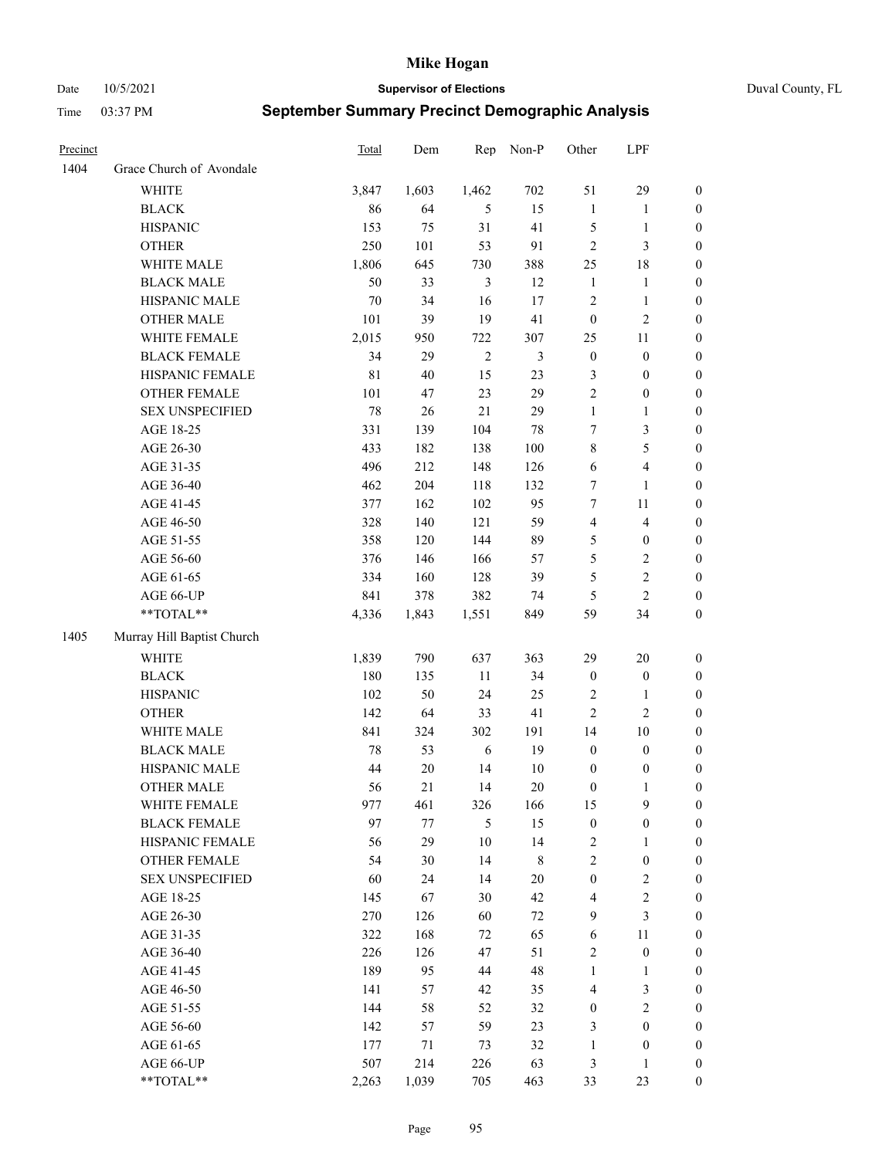Date 10/5/2021 **Supervisor of Elections** Duval County, FL

| Precinct |                            | <b>Total</b> | Dem    | Rep            | Non-P          | Other                   | LPF              |                  |
|----------|----------------------------|--------------|--------|----------------|----------------|-------------------------|------------------|------------------|
| 1404     | Grace Church of Avondale   |              |        |                |                |                         |                  |                  |
|          | <b>WHITE</b>               | 3,847        | 1,603  | 1,462          | 702            | 51                      | 29               | 0                |
|          | <b>BLACK</b>               | 86           | 64     | 5              | 15             | $\mathbf{1}$            | $\mathbf{1}$     | 0                |
|          | <b>HISPANIC</b>            | 153          | 75     | 31             | 41             | 5                       | $\mathbf{1}$     | $\boldsymbol{0}$ |
|          | <b>OTHER</b>               | 250          | 101    | 53             | 91             | $\overline{c}$          | $\mathfrak{Z}$   | $\boldsymbol{0}$ |
|          | WHITE MALE                 | 1,806        | 645    | 730            | 388            | 25                      | 18               | $\boldsymbol{0}$ |
|          | <b>BLACK MALE</b>          | 50           | 33     | $\mathfrak{Z}$ | 12             | $\mathbf{1}$            | 1                | $\boldsymbol{0}$ |
|          | HISPANIC MALE              | $70\,$       | 34     | 16             | 17             | 2                       | $\mathbf{1}$     | $\boldsymbol{0}$ |
|          | <b>OTHER MALE</b>          | 101          | 39     | 19             | 41             | $\boldsymbol{0}$        | $\mathfrak{2}$   | $\boldsymbol{0}$ |
|          | WHITE FEMALE               | 2,015        | 950    | 722            | 307            | 25                      | 11               | $\boldsymbol{0}$ |
|          | <b>BLACK FEMALE</b>        | 34           | 29     | $\sqrt{2}$     | $\mathfrak{Z}$ | $\boldsymbol{0}$        | $\boldsymbol{0}$ | $\boldsymbol{0}$ |
|          | HISPANIC FEMALE            | $8\sqrt{1}$  | 40     | 15             | 23             | 3                       | $\boldsymbol{0}$ | 0                |
|          | OTHER FEMALE               | 101          | 47     | 23             | 29             | $\overline{2}$          | $\boldsymbol{0}$ | $\boldsymbol{0}$ |
|          | <b>SEX UNSPECIFIED</b>     | 78           | 26     | 21             | 29             | $\mathbf{1}$            | $\mathbf{1}$     | $\boldsymbol{0}$ |
|          | AGE 18-25                  | 331          | 139    | 104            | $78\,$         | 7                       | $\mathfrak{Z}$   | $\boldsymbol{0}$ |
|          | AGE 26-30                  | 433          | 182    | 138            | 100            | 8                       | $\mathfrak s$    | $\boldsymbol{0}$ |
|          | AGE 31-35                  | 496          | 212    | 148            | 126            | 6                       | $\overline{4}$   | $\boldsymbol{0}$ |
|          | AGE 36-40                  | 462          | 204    | 118            | 132            | $\boldsymbol{7}$        | $\mathbf{1}$     | $\boldsymbol{0}$ |
|          | AGE 41-45                  | 377          | 162    | 102            | 95             | $\tau$                  | $11\,$           | $\boldsymbol{0}$ |
|          | AGE 46-50                  | 328          | 140    | 121            | 59             | $\overline{\mathbf{4}}$ | $\overline{4}$   | $\boldsymbol{0}$ |
|          | AGE 51-55                  | 358          | 120    | 144            | 89             | 5                       | $\boldsymbol{0}$ | $\boldsymbol{0}$ |
|          | AGE 56-60                  | 376          | 146    | 166            | 57             | 5                       | $\sqrt{2}$       | 0                |
|          | AGE 61-65                  | 334          | 160    | 128            | 39             | 5                       | $\sqrt{2}$       | $\boldsymbol{0}$ |
|          | AGE 66-UP                  | 841          | 378    | 382            | 74             | 5                       | $\overline{c}$   | $\boldsymbol{0}$ |
|          | $**TOTAL**$                | 4,336        | 1,843  | 1,551          | 849            | 59                      | 34               | $\boldsymbol{0}$ |
| 1405     | Murray Hill Baptist Church |              |        |                |                |                         |                  |                  |
|          |                            |              |        |                |                |                         |                  |                  |
|          | <b>WHITE</b>               | 1,839        | 790    | 637            | 363            | 29                      | 20               | $\boldsymbol{0}$ |
|          | <b>BLACK</b>               | 180          | 135    | $11\,$         | 34             | $\boldsymbol{0}$        | $\boldsymbol{0}$ | $\boldsymbol{0}$ |
|          | <b>HISPANIC</b>            | 102          | 50     | 24             | 25             | 2                       | $\mathbf{1}$     | $\boldsymbol{0}$ |
|          | <b>OTHER</b>               | 142          | 64     | 33             | 41             | $\overline{c}$          | $\overline{2}$   | $\boldsymbol{0}$ |
|          | WHITE MALE                 | 841          | 324    | 302            | 191            | 14                      | 10               | $\boldsymbol{0}$ |
|          | <b>BLACK MALE</b>          | 78           | 53     | $\sqrt{6}$     | 19             | $\boldsymbol{0}$        | $\boldsymbol{0}$ | $\boldsymbol{0}$ |
|          | HISPANIC MALE              | 44           | $20\,$ | 14             | $10\,$         | $\boldsymbol{0}$        | $\boldsymbol{0}$ | 0                |
|          | <b>OTHER MALE</b>          | 56           | 21     | 14             | $20\,$         | $\boldsymbol{0}$        | $\mathbf{1}$     | $\boldsymbol{0}$ |
|          | WHITE FEMALE               | 977          | 461    | 326            | 166            | 15                      | 9                | 0                |
|          | <b>BLACK FEMALE</b>        | 97           | 77     | 5              | 15             | $\boldsymbol{0}$        | $\boldsymbol{0}$ | $\boldsymbol{0}$ |
|          | HISPANIC FEMALE            | 56           | 29     | $10\,$         | 14             | 2                       | 1                | $\overline{0}$   |
|          | <b>OTHER FEMALE</b>        | 54           | 30     | 14             | 8              | 2                       | $\boldsymbol{0}$ | 0                |
|          | <b>SEX UNSPECIFIED</b>     | 60           | 24     | 14             | $20\,$         | $\boldsymbol{0}$        | $\mathfrak{2}$   | 0                |
|          | AGE 18-25                  | 145          | 67     | 30             | 42             | 4                       | $\sqrt{2}$       | 0                |
|          | AGE 26-30                  | 270          | 126    | 60             | $72\,$         | 9                       | 3                | 0                |
|          | AGE 31-35                  | 322          | 168    | 72             | 65             | 6                       | $11\,$           | 0                |
|          | AGE 36-40                  | 226          | 126    | 47             | 51             | 2                       | $\boldsymbol{0}$ | 0                |
|          | AGE 41-45                  | 189          | 95     | 44             | 48             | $\mathbf{1}$            | $\mathbf{1}$     | 0                |
|          | AGE 46-50                  | 141          | 57     | 42             | 35             | 4                       | $\mathfrak{Z}$   | 0                |
|          | AGE 51-55                  | 144          | 58     | 52             | 32             | $\boldsymbol{0}$        | $\sqrt{2}$       | 0                |
|          | AGE 56-60                  | 142          | 57     | 59             | 23             | 3                       | $\boldsymbol{0}$ | 0                |
|          | AGE 61-65                  | 177          | 71     | 73             | 32             | $\mathbf{1}$            | $\boldsymbol{0}$ | 0                |
|          | AGE 66-UP                  | 507          | 214    | 226            | 63             | 3                       | $\mathbf{1}$     | 0                |
|          | **TOTAL**                  | 2,263        | 1,039  | 705            | 463            | 33                      | 23               | $\boldsymbol{0}$ |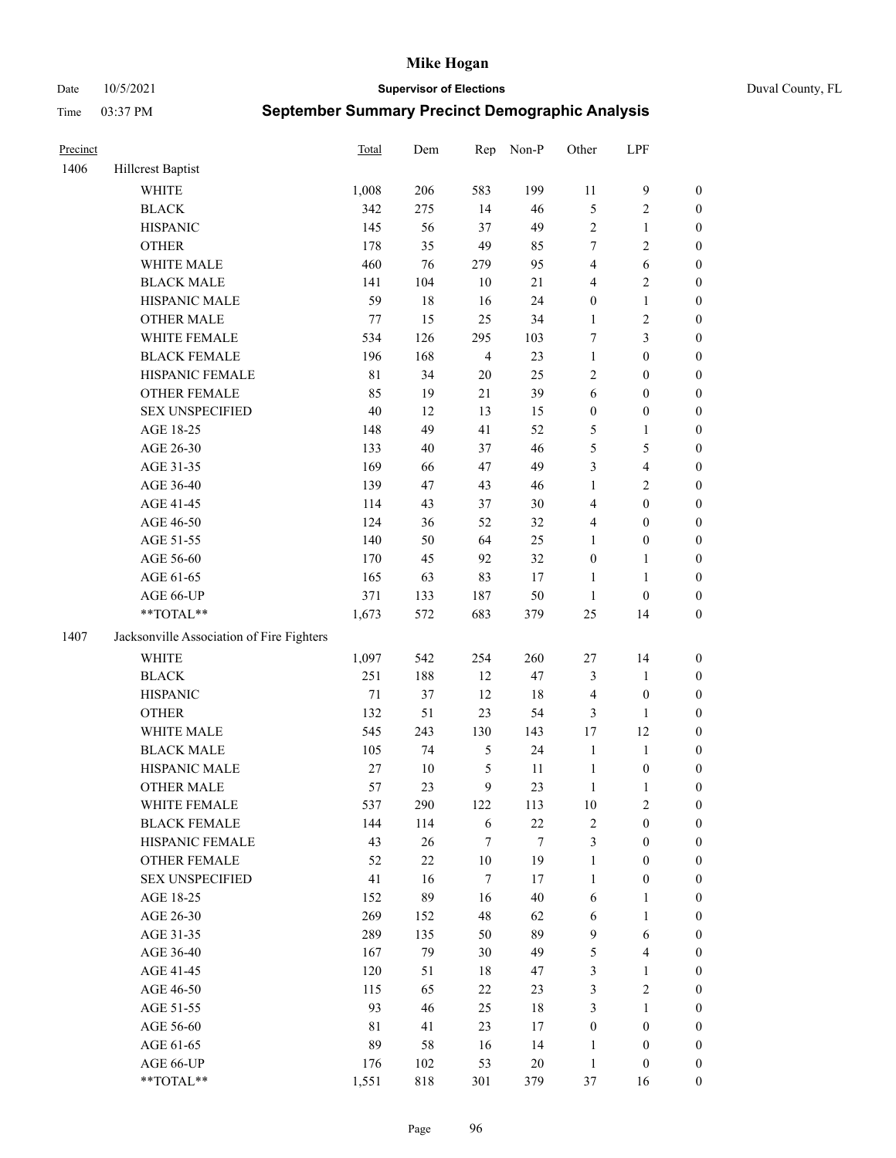#### Date 10/5/2021 **Supervisor of Elections** Duval County, FL

| Precinct |                                           | Total       | Dem    | Rep            | Non-P  | Other            | LPF                     |                  |
|----------|-------------------------------------------|-------------|--------|----------------|--------|------------------|-------------------------|------------------|
| 1406     | Hillcrest Baptist                         |             |        |                |        |                  |                         |                  |
|          | <b>WHITE</b>                              | 1,008       | 206    | 583            | 199    | 11               | $\mathbf{9}$            | 0                |
|          | <b>BLACK</b>                              | 342         | 275    | 14             | 46     | 5                | $\sqrt{2}$              | $\boldsymbol{0}$ |
|          | <b>HISPANIC</b>                           | 145         | 56     | 37             | 49     | 2                | $\mathbf{1}$            | $\boldsymbol{0}$ |
|          | <b>OTHER</b>                              | 178         | 35     | 49             | 85     | 7                | $\sqrt{2}$              | $\boldsymbol{0}$ |
|          | WHITE MALE                                | 460         | 76     | 279            | 95     | 4                | 6                       | $\boldsymbol{0}$ |
|          | <b>BLACK MALE</b>                         | 141         | 104    | 10             | 21     | 4                | $\sqrt{2}$              | $\boldsymbol{0}$ |
|          | HISPANIC MALE                             | 59          | $18\,$ | 16             | 24     | $\boldsymbol{0}$ | $\mathbf{1}$            | $\boldsymbol{0}$ |
|          | <b>OTHER MALE</b>                         | 77          | 15     | 25             | 34     | $\mathbf{1}$     | $\sqrt{2}$              | $\boldsymbol{0}$ |
|          | WHITE FEMALE                              | 534         | 126    | 295            | 103    | 7                | $\mathfrak{Z}$          | $\boldsymbol{0}$ |
|          | <b>BLACK FEMALE</b>                       | 196         | 168    | $\overline{4}$ | 23     | $\mathbf{1}$     | $\boldsymbol{0}$        | $\boldsymbol{0}$ |
|          | HISPANIC FEMALE                           | $8\sqrt{1}$ | 34     | 20             | 25     | $\overline{c}$   | $\boldsymbol{0}$        | $\boldsymbol{0}$ |
|          | <b>OTHER FEMALE</b>                       | 85          | 19     | 21             | 39     | 6                | $\boldsymbol{0}$        | $\boldsymbol{0}$ |
|          | <b>SEX UNSPECIFIED</b>                    | 40          | 12     | 13             | 15     | $\boldsymbol{0}$ | $\boldsymbol{0}$        | $\boldsymbol{0}$ |
|          | AGE 18-25                                 | 148         | 49     | 41             | 52     | 5                | 1                       | $\boldsymbol{0}$ |
|          | AGE 26-30                                 | 133         | 40     | 37             | 46     | 5                | $\mathfrak{S}$          | $\boldsymbol{0}$ |
|          | AGE 31-35                                 | 169         | 66     | 47             | 49     | 3                | $\overline{\mathbf{4}}$ | $\boldsymbol{0}$ |
|          | AGE 36-40                                 | 139         | 47     | 43             | 46     | $\mathbf{1}$     | $\sqrt{2}$              | $\boldsymbol{0}$ |
|          | AGE 41-45                                 | 114         | 43     | 37             | 30     | $\overline{4}$   | $\boldsymbol{0}$        | $\boldsymbol{0}$ |
|          | AGE 46-50                                 | 124         | 36     | 52             | 32     | 4                | $\boldsymbol{0}$        | $\boldsymbol{0}$ |
|          | AGE 51-55                                 | 140         | 50     | 64             | 25     | 1                | $\boldsymbol{0}$        | $\boldsymbol{0}$ |
|          | AGE 56-60                                 | 170         | 45     | 92             | 32     | $\boldsymbol{0}$ | $\mathbf{1}$            | 0                |
|          | AGE 61-65                                 | 165         | 63     | 83             | 17     | $\mathbf{1}$     | $\mathbf{1}$            | 0                |
|          | AGE 66-UP                                 | 371         | 133    | 187            | 50     | $\mathbf{1}$     | $\boldsymbol{0}$        | $\boldsymbol{0}$ |
|          | **TOTAL**                                 | 1,673       | 572    | 683            | 379    | $25\,$           | 14                      | $\boldsymbol{0}$ |
| 1407     | Jacksonville Association of Fire Fighters |             |        |                |        |                  |                         |                  |
|          | WHITE                                     | 1,097       | 542    | 254            | 260    | $27\,$           | 14                      | $\boldsymbol{0}$ |
|          | <b>BLACK</b>                              | 251         | 188    | 12             | 47     | 3                | $\mathbf{1}$            | $\boldsymbol{0}$ |
|          | <b>HISPANIC</b>                           | $71\,$      | 37     | 12             | 18     | 4                | $\boldsymbol{0}$        | $\boldsymbol{0}$ |
|          | <b>OTHER</b>                              | 132         | 51     | 23             | 54     | 3                | $\mathbf{1}$            | $\boldsymbol{0}$ |
|          | WHITE MALE                                | 545         | 243    | 130            | 143    | 17               | 12                      | $\boldsymbol{0}$ |
|          | <b>BLACK MALE</b>                         | 105         | 74     | $\mathfrak{S}$ | 24     | $\mathbf{1}$     | $\mathbf{1}$            | $\boldsymbol{0}$ |
|          | HISPANIC MALE                             | 27          | $10\,$ | 5              | 11     | $\mathbf{1}$     | $\boldsymbol{0}$        | 0                |
|          | OTHER MALE                                | 57          | 23     | 9              | 23     | $\mathbf{1}$     | $\mathbf{1}$            | $\boldsymbol{0}$ |
|          | WHITE FEMALE                              | 537         | 290    | 122            | 113    | 10               | 2                       | 0                |
|          | <b>BLACK FEMALE</b>                       | 144         | 114    | 6              | $22\,$ | 2                | $\boldsymbol{0}$        | $\overline{0}$   |
|          | HISPANIC FEMALE                           | 43          | 26     | 7              | 7      | 3                | $\boldsymbol{0}$        | $\overline{0}$   |
|          | OTHER FEMALE                              | 52          | $22\,$ | $10\,$         | 19     | $\mathbf{1}$     | $\boldsymbol{0}$        | $\overline{0}$   |
|          | <b>SEX UNSPECIFIED</b>                    | 41          | 16     | 7              | 17     | $\mathbf{1}$     | $\boldsymbol{0}$        | 0                |
|          | AGE 18-25                                 | 152         | 89     | 16             | $40\,$ | 6                | $\mathbf{1}$            | 0                |
|          | AGE 26-30                                 | 269         | 152    | 48             | 62     | 6                | $\mathbf{1}$            | 0                |
|          | AGE 31-35                                 | 289         | 135    | 50             | 89     | $\mathbf{9}$     | 6                       | 0                |
|          | AGE 36-40                                 | 167         | 79     | 30             | 49     | 5                | $\overline{\mathbf{4}}$ | 0                |
|          | AGE 41-45                                 | 120         | 51     | 18             | 47     | 3                | $\mathbf{1}$            | 0                |
|          | AGE 46-50                                 | 115         | 65     | 22             | 23     | 3                | $\sqrt{2}$              | 0                |
|          | AGE 51-55                                 | 93          | 46     | 25             | 18     | 3                | $\mathbf{1}$            | 0                |
|          | AGE 56-60                                 | 81          | 41     | 23             | 17     | $\boldsymbol{0}$ | $\boldsymbol{0}$        | $\overline{0}$   |
|          | AGE 61-65                                 | 89          | 58     | 16             | 14     | 1                | $\boldsymbol{0}$        | $\overline{0}$   |
|          | AGE 66-UP                                 | 176         | 102    | 53             | $20\,$ | $\mathbf{1}$     | $\boldsymbol{0}$        | 0                |
|          | **TOTAL**                                 | 1,551       | 818    | 301            | 379    | 37               | 16                      | $\boldsymbol{0}$ |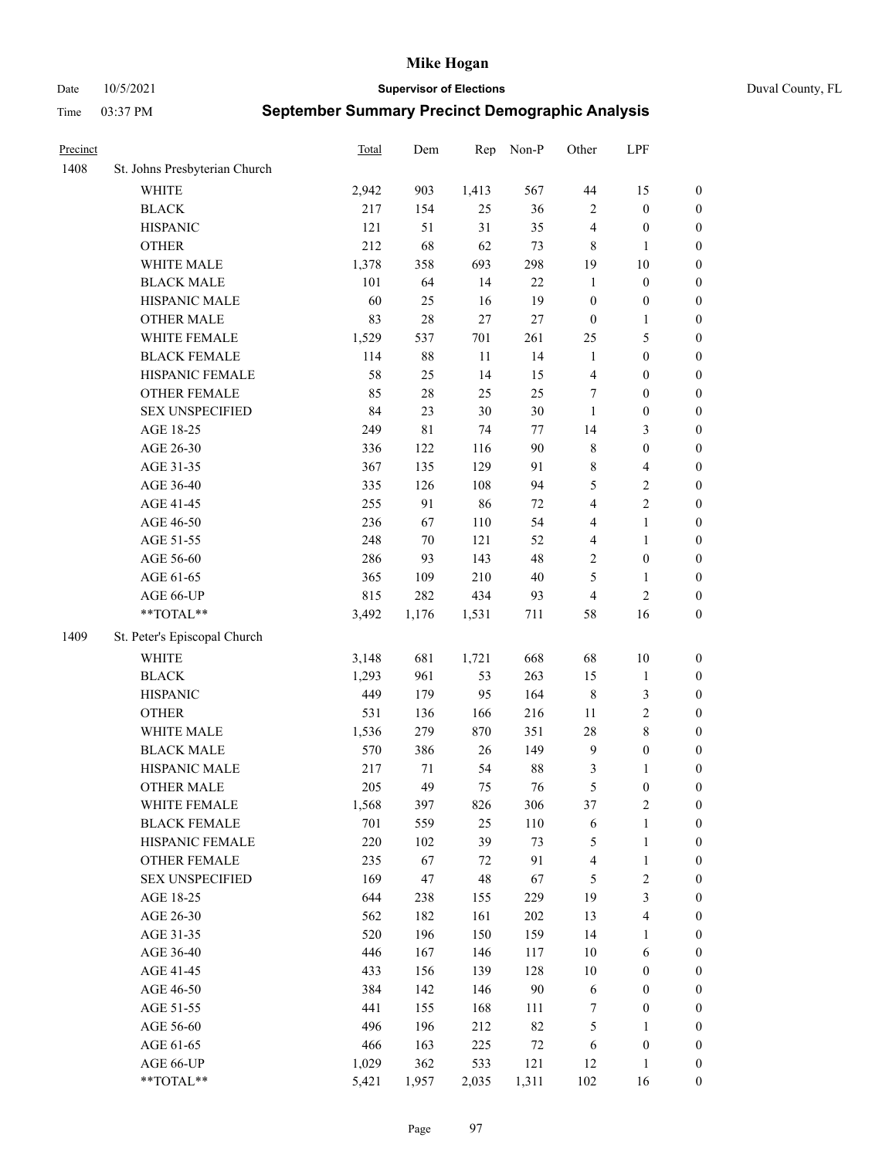Date 10/5/2021 **Supervisor of Elections** Duval County, FL

| Precinct |                               | Total | Dem         | Rep    | Non-P  | Other                   | LPF                     |                  |
|----------|-------------------------------|-------|-------------|--------|--------|-------------------------|-------------------------|------------------|
| 1408     | St. Johns Presbyterian Church |       |             |        |        |                         |                         |                  |
|          | WHITE                         | 2,942 | 903         | 1,413  | 567    | $44\,$                  | 15                      | 0                |
|          | <b>BLACK</b>                  | 217   | 154         | 25     | 36     | $\overline{c}$          | $\boldsymbol{0}$        | 0                |
|          | <b>HISPANIC</b>               | 121   | 51          | 31     | 35     | 4                       | $\boldsymbol{0}$        | $\boldsymbol{0}$ |
|          | <b>OTHER</b>                  | 212   | 68          | 62     | 73     | 8                       | 1                       | $\boldsymbol{0}$ |
|          | WHITE MALE                    | 1,378 | 358         | 693    | 298    | 19                      | $10\,$                  | $\boldsymbol{0}$ |
|          | <b>BLACK MALE</b>             | 101   | 64          | 14     | 22     | $\mathbf{1}$            | $\boldsymbol{0}$        | $\boldsymbol{0}$ |
|          | HISPANIC MALE                 | 60    | 25          | 16     | 19     | $\boldsymbol{0}$        | $\boldsymbol{0}$        | $\boldsymbol{0}$ |
|          | <b>OTHER MALE</b>             | 83    | $28\,$      | $27\,$ | 27     | $\boldsymbol{0}$        | $\mathbf{1}$            | $\boldsymbol{0}$ |
|          | WHITE FEMALE                  | 1,529 | 537         | 701    | 261    | 25                      | $\mathfrak{S}$          | $\boldsymbol{0}$ |
|          | <b>BLACK FEMALE</b>           | 114   | $88\,$      | 11     | 14     | $\mathbf{1}$            | $\boldsymbol{0}$        | 0                |
|          | HISPANIC FEMALE               | 58    | 25          | 14     | 15     | $\overline{\mathbf{4}}$ | $\boldsymbol{0}$        | 0                |
|          | OTHER FEMALE                  | 85    | $28\,$      | 25     | 25     | 7                       | $\boldsymbol{0}$        | $\boldsymbol{0}$ |
|          | <b>SEX UNSPECIFIED</b>        | 84    | 23          | 30     | 30     | $\mathbf{1}$            | $\boldsymbol{0}$        | $\boldsymbol{0}$ |
|          | AGE 18-25                     | 249   | $8\sqrt{1}$ | 74     | $77\,$ | 14                      | $\mathfrak{Z}$          | $\boldsymbol{0}$ |
|          | AGE 26-30                     | 336   | 122         | 116    | 90     | 8                       | $\boldsymbol{0}$        | $\boldsymbol{0}$ |
|          | AGE 31-35                     | 367   | 135         | 129    | 91     | 8                       | $\overline{\mathbf{4}}$ | $\boldsymbol{0}$ |
|          | AGE 36-40                     | 335   | 126         | 108    | 94     | 5                       | $\sqrt{2}$              | $\boldsymbol{0}$ |
|          | AGE 41-45                     | 255   | 91          | 86     | $72\,$ | $\overline{4}$          | $\overline{2}$          | $\boldsymbol{0}$ |
|          | AGE 46-50                     | 236   | 67          | 110    | 54     | 4                       | $\mathbf{1}$            | $\boldsymbol{0}$ |
|          | AGE 51-55                     | 248   | 70          | 121    | 52     | $\overline{\mathbf{4}}$ | $\mathbf{1}$            | 0                |
|          | AGE 56-60                     | 286   | 93          | 143    | 48     | $\sqrt{2}$              | $\boldsymbol{0}$        | 0                |
|          | AGE 61-65                     | 365   | 109         | 210    | $40\,$ | 5                       | $\mathbf{1}$            | 0                |
|          | AGE 66-UP                     | 815   | 282         | 434    | 93     | $\overline{4}$          | $\sqrt{2}$              | $\boldsymbol{0}$ |
|          | **TOTAL**                     | 3,492 | 1,176       | 1,531  | 711    | 58                      | 16                      | $\boldsymbol{0}$ |
| 1409     | St. Peter's Episcopal Church  |       |             |        |        |                         |                         |                  |
|          | <b>WHITE</b>                  | 3,148 | 681         | 1,721  | 668    | 68                      | $10\,$                  | $\boldsymbol{0}$ |
|          | <b>BLACK</b>                  | 1,293 | 961         | 53     | 263    | 15                      | $\mathbf{1}$            | $\boldsymbol{0}$ |
|          | <b>HISPANIC</b>               | 449   | 179         | 95     | 164    | $\,$ $\,$               | $\mathfrak{Z}$          | $\boldsymbol{0}$ |
|          | <b>OTHER</b>                  | 531   | 136         | 166    | 216    | 11                      | $\sqrt{2}$              | $\boldsymbol{0}$ |
|          | WHITE MALE                    | 1,536 | 279         | 870    | 351    | 28                      | $8\,$                   | $\boldsymbol{0}$ |
|          | <b>BLACK MALE</b>             | 570   | 386         | 26     | 149    | $\overline{9}$          | $\boldsymbol{0}$        | $\boldsymbol{0}$ |
|          | HISPANIC MALE                 | 217   | 71          | 54     | $88\,$ | $\mathfrak{Z}$          | 1                       | $\boldsymbol{0}$ |
|          | <b>OTHER MALE</b>             | 205   | 49          | 75     | 76     | 5                       | $\boldsymbol{0}$        | $\boldsymbol{0}$ |
|          | WHITE FEMALE                  | 1,568 | 397         | 826    | 306    | 37                      | 2                       | 0                |
|          | <b>BLACK FEMALE</b>           | 701   | 559         | 25     | 110    | 6                       | $\mathbf{1}$            | $\boldsymbol{0}$ |
|          | HISPANIC FEMALE               | 220   | 102         | 39     | 73     | 5                       | $\mathbf{1}$            | $\boldsymbol{0}$ |
|          | OTHER FEMALE                  | 235   | 67          | $72\,$ | 91     | 4                       | $\mathbf{1}$            | $\overline{0}$   |
|          | <b>SEX UNSPECIFIED</b>        | 169   | 47          | 48     | 67     | 5                       | $\sqrt{2}$              | 0                |
|          | AGE 18-25                     | 644   | 238         | 155    | 229    | 19                      | $\mathfrak{Z}$          | $\theta$         |
|          | AGE 26-30                     | 562   | 182         | 161    | 202    | 13                      | $\overline{\mathbf{4}}$ | 0                |
|          | AGE 31-35                     | 520   | 196         | 150    | 159    | 14                      | 1                       | 0                |
|          | AGE 36-40                     | 446   | 167         | 146    | 117    | 10                      | 6                       | 0                |
|          | AGE 41-45                     | 433   | 156         | 139    | 128    | 10                      | $\boldsymbol{0}$        | 0                |
|          | AGE 46-50                     | 384   | 142         | 146    | $90\,$ | 6                       | $\boldsymbol{0}$        | 0                |
|          | AGE 51-55                     | 441   | 155         | 168    | 111    | 7                       | $\boldsymbol{0}$        | $\boldsymbol{0}$ |
|          | AGE 56-60                     | 496   | 196         | 212    | 82     | 5                       | $\mathbf{1}$            | $\boldsymbol{0}$ |
|          | AGE 61-65                     | 466   | 163         | 225    | 72     | 6                       | $\boldsymbol{0}$        | $\boldsymbol{0}$ |
|          | AGE 66-UP                     | 1,029 | 362         | 533    | 121    | 12                      | $\mathbf{1}$            | $\boldsymbol{0}$ |
|          | **TOTAL**                     | 5,421 | 1,957       | 2,035  | 1,311  | 102                     | 16                      | $\boldsymbol{0}$ |
|          |                               |       |             |        |        |                         |                         |                  |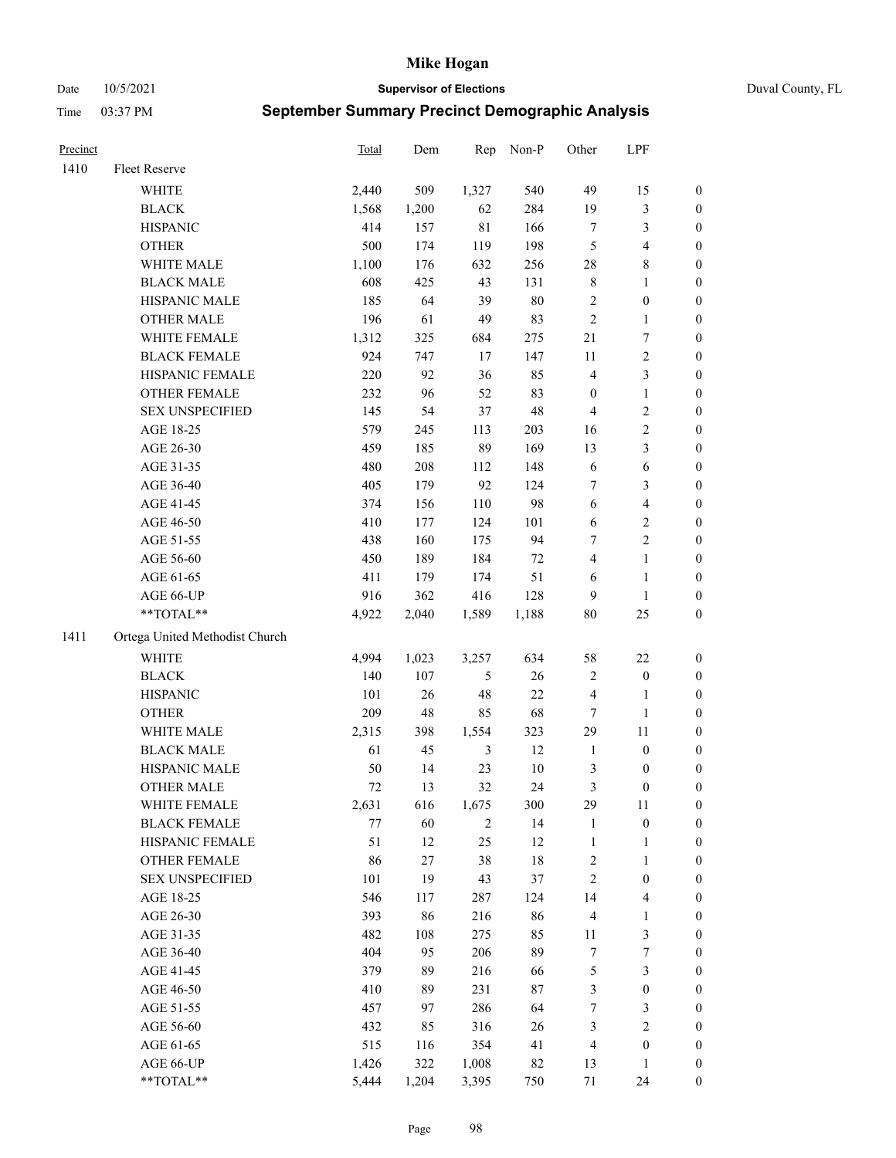Date 10/5/2021 **Supervisor of Elections** Duval County, FL

| Precinct |                                | Total | Dem    | Rep            | Non-P  | Other            | LPF                     |                  |
|----------|--------------------------------|-------|--------|----------------|--------|------------------|-------------------------|------------------|
| 1410     | Fleet Reserve                  |       |        |                |        |                  |                         |                  |
|          | WHITE                          | 2,440 | 509    | 1,327          | 540    | 49               | 15                      | 0                |
|          | <b>BLACK</b>                   | 1,568 | 1,200  | 62             | 284    | 19               | $\mathfrak{Z}$          | 0                |
|          | <b>HISPANIC</b>                | 414   | 157    | $8\sqrt{1}$    | 166    | $\boldsymbol{7}$ | $\mathfrak{Z}$          | $\boldsymbol{0}$ |
|          | <b>OTHER</b>                   | 500   | 174    | 119            | 198    | 5                | $\overline{\mathbf{4}}$ | $\boldsymbol{0}$ |
|          | WHITE MALE                     | 1,100 | 176    | 632            | 256    | 28               | $8\,$                   | $\boldsymbol{0}$ |
|          | <b>BLACK MALE</b>              | 608   | 425    | 43             | 131    | 8                | 1                       | $\boldsymbol{0}$ |
|          | HISPANIC MALE                  | 185   | 64     | 39             | $80\,$ | 2                | $\boldsymbol{0}$        | $\boldsymbol{0}$ |
|          | <b>OTHER MALE</b>              | 196   | 61     | 49             | 83     | $\overline{2}$   | $\mathbf{1}$            | $\boldsymbol{0}$ |
|          | WHITE FEMALE                   | 1,312 | 325    | 684            | 275    | 21               | $\boldsymbol{7}$        | $\boldsymbol{0}$ |
|          | <b>BLACK FEMALE</b>            | 924   | 747    | 17             | 147    | $11\,$           | $\boldsymbol{2}$        | 0                |
|          | HISPANIC FEMALE                | 220   | 92     | 36             | 85     | 4                | $\mathfrak{Z}$          | 0                |
|          | OTHER FEMALE                   | 232   | 96     | 52             | 83     | $\boldsymbol{0}$ | $\mathbf{1}$            | 0                |
|          | <b>SEX UNSPECIFIED</b>         | 145   | 54     | 37             | 48     | $\overline{4}$   | $\sqrt{2}$              | $\boldsymbol{0}$ |
|          | AGE 18-25                      | 579   | 245    | 113            | 203    | 16               | $\sqrt{2}$              | $\boldsymbol{0}$ |
|          | AGE 26-30                      | 459   | 185    | 89             | 169    | 13               | $\mathfrak{Z}$          | $\boldsymbol{0}$ |
|          | AGE 31-35                      | 480   | 208    | 112            | 148    | 6                | $\sqrt{6}$              | $\boldsymbol{0}$ |
|          | AGE 36-40                      | 405   | 179    | 92             | 124    | 7                | $\mathfrak{Z}$          | $\boldsymbol{0}$ |
|          | AGE 41-45                      | 374   | 156    | 110            | 98     | $\sqrt{6}$       | $\overline{\mathbf{4}}$ | $\boldsymbol{0}$ |
|          | AGE 46-50                      | 410   | 177    | 124            | 101    | $\sqrt{6}$       | $\sqrt{2}$              | 0                |
|          | AGE 51-55                      | 438   | 160    | 175            | 94     | 7                | $\sqrt{2}$              | 0                |
|          | AGE 56-60                      | 450   | 189    | 184            | $72\,$ | $\overline{4}$   | $\mathbf{1}$            | 0                |
|          | AGE 61-65                      | 411   | 179    | 174            | 51     | 6                | $\mathbf{1}$            | 0                |
|          | AGE 66-UP                      | 916   | 362    | 416            | 128    | 9                | $\mathbf{1}$            | 0                |
|          | **TOTAL**                      | 4,922 | 2,040  | 1,589          | 1,188  | 80               | $25\,$                  | $\boldsymbol{0}$ |
| 1411     | Ortega United Methodist Church |       |        |                |        |                  |                         |                  |
|          | <b>WHITE</b>                   | 4,994 | 1,023  | 3,257          | 634    | 58               | $22\,$                  | $\boldsymbol{0}$ |
|          | <b>BLACK</b>                   | 140   | 107    | $\mathfrak s$  | 26     | $\sqrt{2}$       | $\boldsymbol{0}$        | $\boldsymbol{0}$ |
|          | <b>HISPANIC</b>                | 101   | $26\,$ | 48             | $22\,$ | 4                | $\mathbf{1}$            | $\boldsymbol{0}$ |
|          | <b>OTHER</b>                   | 209   | 48     | 85             | 68     | $\tau$           | $\mathbf{1}$            | $\boldsymbol{0}$ |
|          | WHITE MALE                     | 2,315 | 398    | 1,554          | 323    | 29               | $11\,$                  | $\boldsymbol{0}$ |
|          | <b>BLACK MALE</b>              | 61    | 45     | 3              | 12     | $\mathbf{1}$     | $\boldsymbol{0}$        | $\boldsymbol{0}$ |
|          | HISPANIC MALE                  | 50    | 14     | 23             | $10\,$ | 3                | $\boldsymbol{0}$        | 0                |
|          | <b>OTHER MALE</b>              | 72    | 13     | 32             | 24     | 3                | $\boldsymbol{0}$        | 0                |
|          | WHITE FEMALE                   | 2,631 | 616    | 1,675          | 300    | 29               | 11                      | 0                |
|          | <b>BLACK FEMALE</b>            | 77    | 60     | $\overline{c}$ | 14     | $\mathbf{1}$     | $\boldsymbol{0}$        | $\boldsymbol{0}$ |
|          | HISPANIC FEMALE                | 51    | 12     | 25             | 12     | $\mathbf{1}$     | $\mathbf{1}$            | $\boldsymbol{0}$ |
|          | OTHER FEMALE                   | 86    | 27     | 38             | $18\,$ | $\sqrt{2}$       | $\mathbf{1}$            | $\overline{0}$   |
|          | <b>SEX UNSPECIFIED</b>         | 101   | 19     | 43             | 37     | $\overline{c}$   | $\boldsymbol{0}$        | 0                |
|          | AGE 18-25                      | 546   | 117    | 287            | 124    | 14               | $\overline{\mathbf{4}}$ | 0                |
|          | AGE 26-30                      | 393   | 86     | 216            | 86     | $\overline{4}$   | $\mathbf{1}$            | 0                |
|          | AGE 31-35                      | 482   | 108    | 275            | 85     | 11               | $\mathfrak{Z}$          | 0                |
|          | AGE 36-40                      | 404   | 95     | 206            | 89     | 7                | $\boldsymbol{7}$        | 0                |
|          | AGE 41-45                      | 379   | 89     | 216            | 66     | 5                | $\mathfrak{Z}$          | 0                |
|          | AGE 46-50                      | 410   | 89     | 231            | 87     | 3                | $\boldsymbol{0}$        | 0                |
|          | AGE 51-55                      | 457   | 97     | 286            | 64     | 7                | 3                       | $\boldsymbol{0}$ |
|          | AGE 56-60                      | 432   | 85     | 316            | 26     | 3                | $\sqrt{2}$              | $\overline{0}$   |
|          | AGE 61-65                      | 515   | 116    | 354            | 41     | 4                | $\boldsymbol{0}$        | $\overline{0}$   |
|          | AGE 66-UP                      | 1,426 | 322    | 1,008          | 82     | 13               | $\mathbf{1}$            | $\boldsymbol{0}$ |
|          | **TOTAL**                      | 5,444 | 1,204  | 3,395          | 750    | 71               | 24                      | $\boldsymbol{0}$ |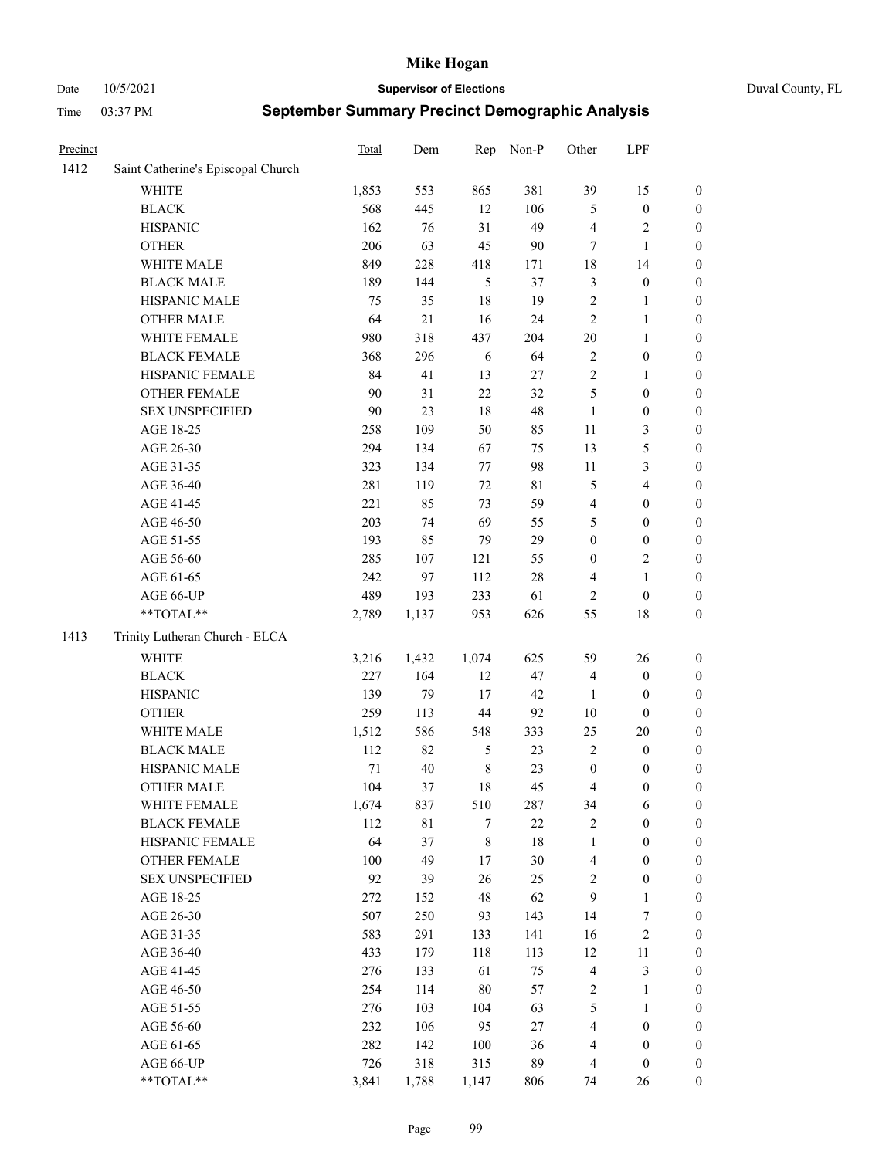#### Date 10/5/2021 **Supervisor of Elections** Duval County, FL

| Precinct |                                    | <b>Total</b> | Dem   | Rep            | Non-P       | Other            | LPF                     |                  |
|----------|------------------------------------|--------------|-------|----------------|-------------|------------------|-------------------------|------------------|
| 1412     | Saint Catherine's Episcopal Church |              |       |                |             |                  |                         |                  |
|          | <b>WHITE</b>                       | 1,853        | 553   | 865            | 381         | 39               | 15                      | 0                |
|          | <b>BLACK</b>                       | 568          | 445   | 12             | 106         | 5                | $\boldsymbol{0}$        | 0                |
|          | <b>HISPANIC</b>                    | 162          | 76    | 31             | 49          | 4                | $\sqrt{2}$              | $\boldsymbol{0}$ |
|          | <b>OTHER</b>                       | 206          | 63    | 45             | $90\,$      | 7                | $\mathbf{1}$            | $\boldsymbol{0}$ |
|          | WHITE MALE                         | 849          | 228   | 418            | 171         | 18               | 14                      | $\boldsymbol{0}$ |
|          | <b>BLACK MALE</b>                  | 189          | 144   | 5              | 37          | 3                | $\boldsymbol{0}$        | $\boldsymbol{0}$ |
|          | HISPANIC MALE                      | 75           | 35    | 18             | 19          | $\overline{c}$   | $\mathbf{1}$            | $\boldsymbol{0}$ |
|          | <b>OTHER MALE</b>                  | 64           | 21    | 16             | 24          | $\mathbf{2}$     | $\mathbf{1}$            | $\boldsymbol{0}$ |
|          | WHITE FEMALE                       | 980          | 318   | 437            | 204         | $20\,$           | 1                       | $\boldsymbol{0}$ |
|          | <b>BLACK FEMALE</b>                | 368          | 296   | 6              | 64          | $\sqrt{2}$       | $\boldsymbol{0}$        | 0                |
|          | HISPANIC FEMALE                    | 84           | 41    | 13             | 27          | $\sqrt{2}$       | $\mathbf{1}$            | 0                |
|          | <b>OTHER FEMALE</b>                | 90           | 31    | 22             | 32          | 5                | $\boldsymbol{0}$        | $\boldsymbol{0}$ |
|          | <b>SEX UNSPECIFIED</b>             | 90           | 23    | 18             | 48          | $\mathbf{1}$     | $\boldsymbol{0}$        | $\boldsymbol{0}$ |
|          | AGE 18-25                          | 258          | 109   | 50             | 85          | $11\,$           | $\mathfrak{Z}$          | $\boldsymbol{0}$ |
|          | AGE 26-30                          | 294          | 134   | 67             | 75          | 13               | $\mathfrak{S}$          | $\boldsymbol{0}$ |
|          | AGE 31-35                          | 323          | 134   | $77 \,$        | 98          | 11               | $\mathfrak{Z}$          | $\boldsymbol{0}$ |
|          | AGE 36-40                          | 281          | 119   | 72             | $8\sqrt{1}$ | 5                | $\overline{\mathbf{4}}$ | $\boldsymbol{0}$ |
|          | AGE 41-45                          | 221          | 85    | 73             | 59          | $\overline{4}$   | $\boldsymbol{0}$        | $\boldsymbol{0}$ |
|          | AGE 46-50                          | 203          | 74    | 69             | 55          | 5                | $\boldsymbol{0}$        | $\boldsymbol{0}$ |
|          | AGE 51-55                          | 193          | 85    | 79             | 29          | $\boldsymbol{0}$ | $\boldsymbol{0}$        | $\boldsymbol{0}$ |
|          | AGE 56-60                          | 285          | 107   | 121            | 55          | $\boldsymbol{0}$ | $\sqrt{2}$              | 0                |
|          | AGE 61-65                          | 242          | 97    | 112            | $28\,$      | 4                | $\mathbf{1}$            | $\boldsymbol{0}$ |
|          | AGE 66-UP                          | 489          | 193   | 233            | 61          | $\overline{2}$   | $\boldsymbol{0}$        | $\boldsymbol{0}$ |
|          | **TOTAL**                          | 2,789        | 1,137 | 953            | 626         | 55               | $18\,$                  | $\boldsymbol{0}$ |
| 1413     | Trinity Lutheran Church - ELCA     |              |       |                |             |                  |                         |                  |
|          | <b>WHITE</b>                       | 3,216        | 1,432 | 1,074          | 625         | 59               | 26                      | $\boldsymbol{0}$ |
|          | <b>BLACK</b>                       | 227          | 164   | 12             | 47          | 4                | $\boldsymbol{0}$        | $\boldsymbol{0}$ |
|          | <b>HISPANIC</b>                    | 139          | 79    | 17             | 42          | $\mathbf{1}$     | $\boldsymbol{0}$        | $\boldsymbol{0}$ |
|          | <b>OTHER</b>                       | 259          | 113   | 44             | 92          | $10\,$           | $\boldsymbol{0}$        | $\boldsymbol{0}$ |
|          | WHITE MALE                         | 1,512        | 586   | 548            | 333         | 25               | $20\,$                  | $\boldsymbol{0}$ |
|          | <b>BLACK MALE</b>                  | 112          | 82    | $\mathfrak{S}$ | 23          | $\overline{2}$   | $\boldsymbol{0}$        | $\boldsymbol{0}$ |
|          | HISPANIC MALE                      | 71           | 40    | $\,$ 8 $\,$    | 23          | $\boldsymbol{0}$ | $\boldsymbol{0}$        | $\boldsymbol{0}$ |
|          | OTHER MALE                         | 104          | 37    | 18             | 45          | 4                | $\boldsymbol{0}$        | $\boldsymbol{0}$ |
|          | WHITE FEMALE                       | 1,674        | 837   | 510            | 287         | 34               | 6                       | 0                |
|          | <b>BLACK FEMALE</b>                | 112          | 81    | 7              | 22          | 2                | $\boldsymbol{0}$        | $\boldsymbol{0}$ |
|          | HISPANIC FEMALE                    | 64           | 37    | $\,$ $\,$      | 18          | $\mathbf{1}$     | $\boldsymbol{0}$        | $\overline{0}$   |
|          | OTHER FEMALE                       | 100          | 49    | $17$           | 30          | 4                | $\boldsymbol{0}$        | $\overline{0}$   |
|          | <b>SEX UNSPECIFIED</b>             | 92           | 39    | 26             | 25          | 2                | $\boldsymbol{0}$        | 0                |
|          | AGE 18-25                          | 272          | 152   | 48             | 62          | 9                | $\mathbf{1}$            | 0                |
|          | AGE 26-30                          | 507          | 250   | 93             | 143         | 14               | $\boldsymbol{7}$        | 0                |
|          | AGE 31-35                          | 583          | 291   | 133            | 141         | 16               | $\sqrt{2}$              | 0                |
|          | AGE 36-40                          | 433          | 179   | 118            | 113         | 12               | 11                      | 0                |
|          | AGE 41-45                          | 276          | 133   | 61             | 75          | $\overline{4}$   | $\mathfrak{Z}$          | 0                |
|          | AGE 46-50                          | 254          | 114   | 80             | 57          | 2                | $\mathbf{1}$            | 0                |
|          | AGE 51-55                          | 276          | 103   | 104            | 63          | 5                | $\mathbf{1}$            | 0                |
|          | AGE 56-60                          | 232          | 106   | 95             | $27\,$      | 4                | $\boldsymbol{0}$        | $\boldsymbol{0}$ |
|          | AGE 61-65                          | 282          | 142   | 100            | 36          | 4                | $\boldsymbol{0}$        | $\overline{0}$   |
|          | AGE 66-UP                          | 726          | 318   | 315            | 89          | 4                | $\boldsymbol{0}$        | 0                |
|          | **TOTAL**                          | 3,841        | 1,788 | 1,147          | 806         | 74               | 26                      | $\boldsymbol{0}$ |
|          |                                    |              |       |                |             |                  |                         |                  |